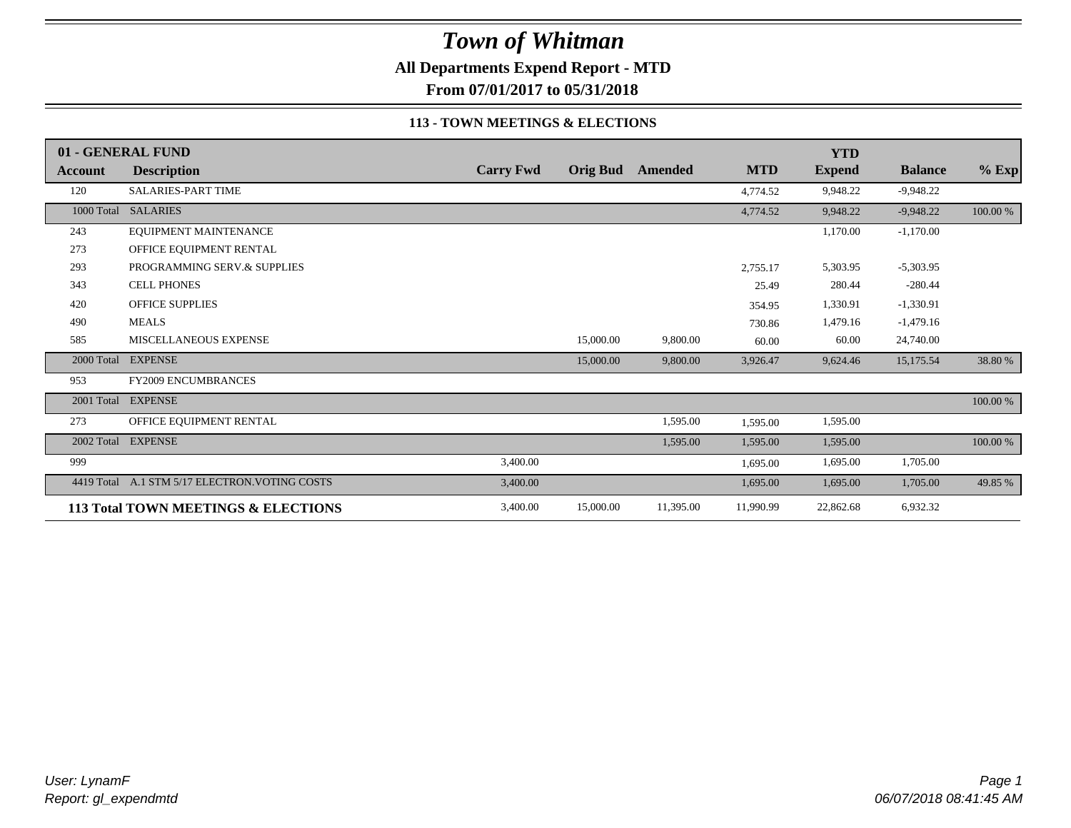**All Departments Expend Report - MTD**

**From 07/01/2017 to 05/31/2018**

#### **113 - TOWN MEETINGS & ELECTIONS**

|                | 01 - GENERAL FUND                              |                  |                 |           |            | <b>YTD</b>    |                |          |
|----------------|------------------------------------------------|------------------|-----------------|-----------|------------|---------------|----------------|----------|
| <b>Account</b> | <b>Description</b>                             | <b>Carry Fwd</b> | <b>Orig Bud</b> | Amended   | <b>MTD</b> | <b>Expend</b> | <b>Balance</b> | $%$ Exp  |
| 120            | <b>SALARIES-PART TIME</b>                      |                  |                 |           | 4,774.52   | 9,948.22      | $-9,948.22$    |          |
|                | 1000 Total SALARIES                            |                  |                 |           | 4,774.52   | 9,948.22      | $-9,948.22$    | 100.00 % |
| 243            | EQUIPMENT MAINTENANCE                          |                  |                 |           |            | 1,170.00      | $-1,170.00$    |          |
| 273            | OFFICE EQUIPMENT RENTAL                        |                  |                 |           |            |               |                |          |
| 293            | PROGRAMMING SERV.& SUPPLIES                    |                  |                 |           | 2,755.17   | 5,303.95      | $-5,303.95$    |          |
| 343            | <b>CELL PHONES</b>                             |                  |                 |           | 25.49      | 280.44        | $-280.44$      |          |
| 420            | <b>OFFICE SUPPLIES</b>                         |                  |                 |           | 354.95     | 1,330.91      | $-1,330.91$    |          |
| 490            | <b>MEALS</b>                                   |                  |                 |           | 730.86     | 1,479.16      | $-1,479.16$    |          |
| 585            | MISCELLANEOUS EXPENSE                          |                  | 15,000.00       | 9,800.00  | 60.00      | 60.00         | 24,740.00      |          |
| 2000 Total     | <b>EXPENSE</b>                                 |                  | 15,000.00       | 9,800.00  | 3,926.47   | 9,624.46      | 15,175.54      | 38.80 %  |
| 953            | <b>FY2009 ENCUMBRANCES</b>                     |                  |                 |           |            |               |                |          |
|                | 2001 Total EXPENSE                             |                  |                 |           |            |               |                | 100.00 % |
| 273            | OFFICE EQUIPMENT RENTAL                        |                  |                 | 1,595.00  | 1,595.00   | 1,595.00      |                |          |
| 2002 Total     | <b>EXPENSE</b>                                 |                  |                 | 1,595.00  | 1,595.00   | 1,595.00      |                | 100.00 % |
| 999            |                                                | 3,400.00         |                 |           | 1,695.00   | 1,695.00      | 1,705.00       |          |
|                | 4419 Total A.1 STM 5/17 ELECTRON. VOTING COSTS | 3,400.00         |                 |           | 1,695.00   | 1,695.00      | 1,705.00       | 49.85 %  |
|                | 113 Total TOWN MEETINGS & ELECTIONS            | 3,400.00         | 15,000.00       | 11,395.00 | 11,990.99  | 22,862.68     | 6,932.32       |          |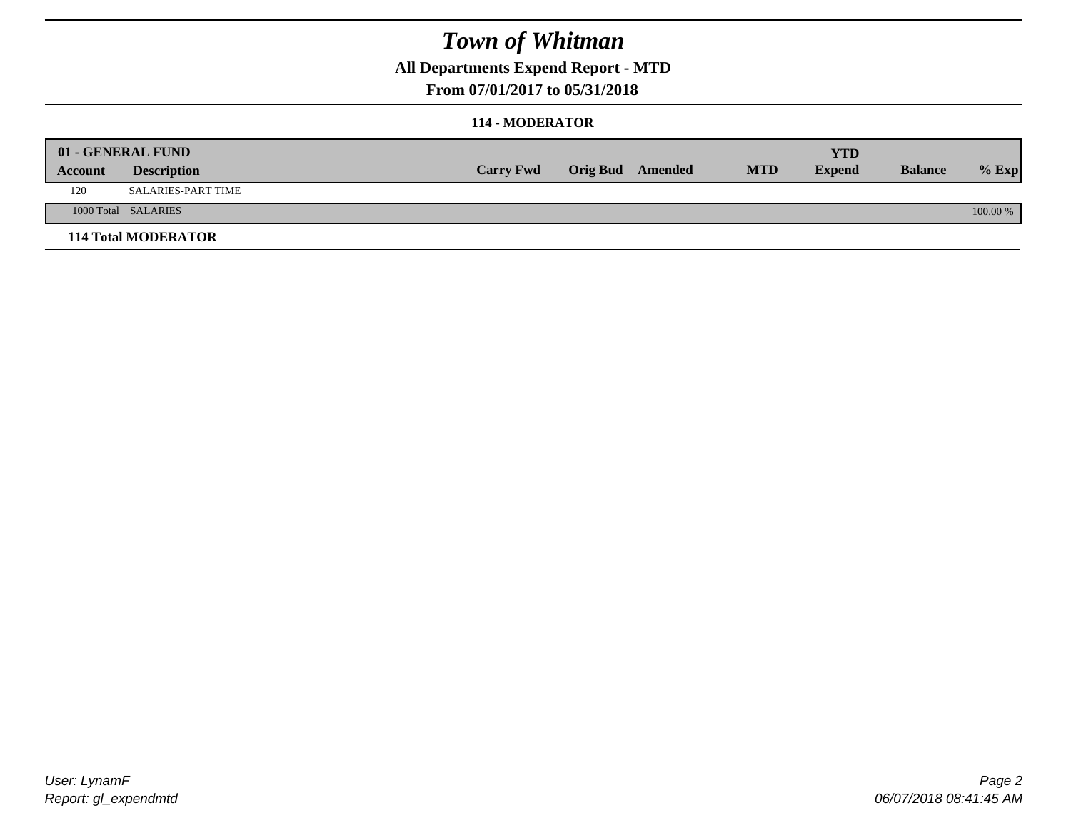### **All Departments Expend Report - MTD**

#### **From 07/01/2017 to 05/31/2018**

#### **114 - MODERATOR**

|         | 01 - GENERAL FUND          |                  |                  |            | <b>YTD</b>    |                |          |
|---------|----------------------------|------------------|------------------|------------|---------------|----------------|----------|
| Account | <b>Description</b>         | <b>Carry Fwd</b> | Orig Bud Amended | <b>MTD</b> | <b>Expend</b> | <b>Balance</b> | $%$ Exp  |
| 120     | <b>SALARIES-PART TIME</b>  |                  |                  |            |               |                |          |
|         | 1000 Total SALARIES        |                  |                  |            |               |                | 100.00 % |
|         | <b>114 Total MODERATOR</b> |                  |                  |            |               |                |          |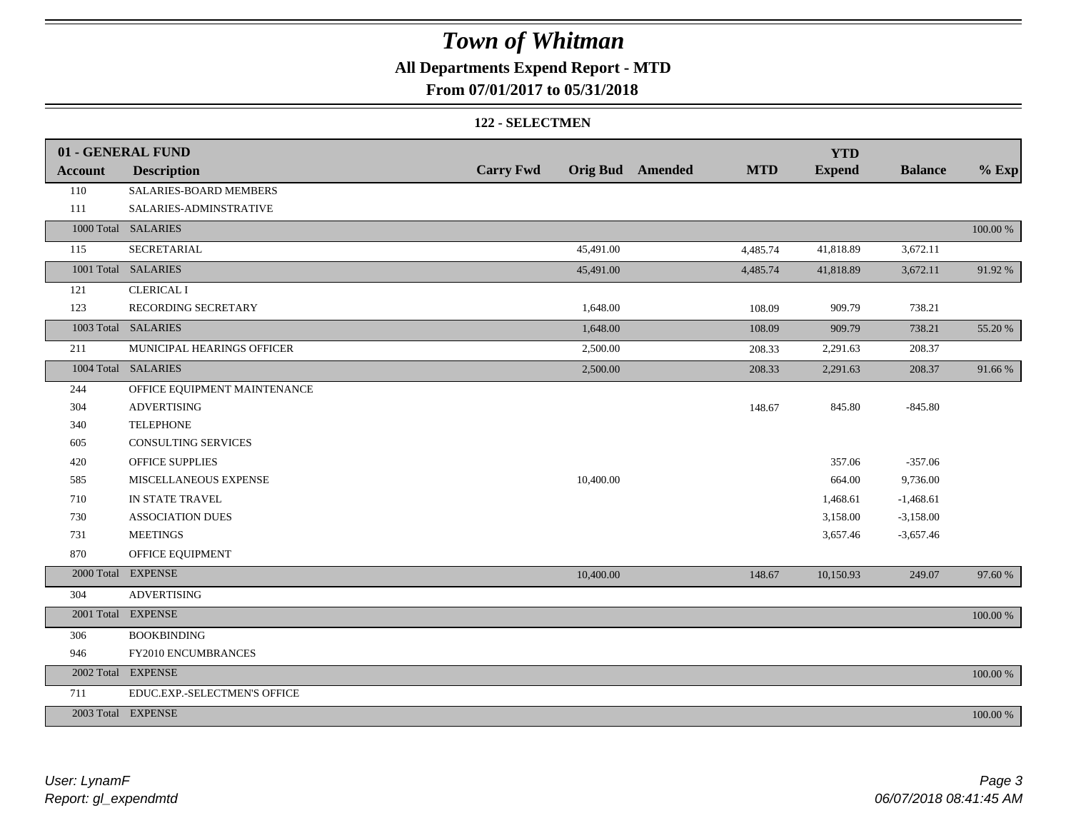### **All Departments Expend Report - MTD**

#### **From 07/01/2017 to 05/31/2018**

#### **122 - SELECTMEN**

|                | 01 - GENERAL FUND            |                  |           |                         |            | <b>YTD</b>    |                |          |
|----------------|------------------------------|------------------|-----------|-------------------------|------------|---------------|----------------|----------|
| <b>Account</b> | <b>Description</b>           | <b>Carry Fwd</b> |           | <b>Orig Bud</b> Amended | <b>MTD</b> | <b>Expend</b> | <b>Balance</b> | $%$ Exp  |
| 110            | SALARIES-BOARD MEMBERS       |                  |           |                         |            |               |                |          |
| 111            | SALARIES-ADMINSTRATIVE       |                  |           |                         |            |               |                |          |
|                | 1000 Total SALARIES          |                  |           |                         |            |               |                | 100.00 % |
| 115            | <b>SECRETARIAL</b>           |                  | 45,491.00 |                         | 4,485.74   | 41,818.89     | 3,672.11       |          |
|                | 1001 Total SALARIES          |                  | 45,491.00 |                         | 4,485.74   | 41,818.89     | 3,672.11       | 91.92%   |
| 121            | <b>CLERICAL I</b>            |                  |           |                         |            |               |                |          |
| 123            | RECORDING SECRETARY          |                  | 1,648.00  |                         | 108.09     | 909.79        | 738.21         |          |
|                | 1003 Total SALARIES          |                  | 1,648.00  |                         | 108.09     | 909.79        | 738.21         | 55.20 %  |
| 211            | MUNICIPAL HEARINGS OFFICER   |                  | 2,500.00  |                         | 208.33     | 2,291.63      | 208.37         |          |
|                | 1004 Total SALARIES          |                  | 2,500.00  |                         | 208.33     | 2,291.63      | 208.37         | 91.66 %  |
| 244            | OFFICE EQUIPMENT MAINTENANCE |                  |           |                         |            |               |                |          |
| 304            | <b>ADVERTISING</b>           |                  |           |                         | 148.67     | 845.80        | $-845.80$      |          |
| 340            | <b>TELEPHONE</b>             |                  |           |                         |            |               |                |          |
| 605            | CONSULTING SERVICES          |                  |           |                         |            |               |                |          |
| 420            | <b>OFFICE SUPPLIES</b>       |                  |           |                         |            | 357.06        | $-357.06$      |          |
| 585            | MISCELLANEOUS EXPENSE        |                  | 10,400.00 |                         |            | 664.00        | 9,736.00       |          |
| 710            | IN STATE TRAVEL              |                  |           |                         |            | 1,468.61      | $-1,468.61$    |          |
| 730            | <b>ASSOCIATION DUES</b>      |                  |           |                         |            | 3,158.00      | $-3,158.00$    |          |
| 731            | <b>MEETINGS</b>              |                  |           |                         |            | 3,657.46      | $-3,657.46$    |          |
| 870            | OFFICE EQUIPMENT             |                  |           |                         |            |               |                |          |
|                | 2000 Total EXPENSE           |                  | 10,400.00 |                         | 148.67     | 10,150.93     | 249.07         | 97.60 %  |
| 304            | <b>ADVERTISING</b>           |                  |           |                         |            |               |                |          |
|                | 2001 Total EXPENSE           |                  |           |                         |            |               |                | 100.00 % |
| 306            | <b>BOOKBINDING</b>           |                  |           |                         |            |               |                |          |
| 946            | FY2010 ENCUMBRANCES          |                  |           |                         |            |               |                |          |
|                | 2002 Total EXPENSE           |                  |           |                         |            |               |                | 100.00 % |
| 711            | EDUC.EXP.-SELECTMEN'S OFFICE |                  |           |                         |            |               |                |          |
|                | 2003 Total EXPENSE           |                  |           |                         |            |               |                | 100.00 % |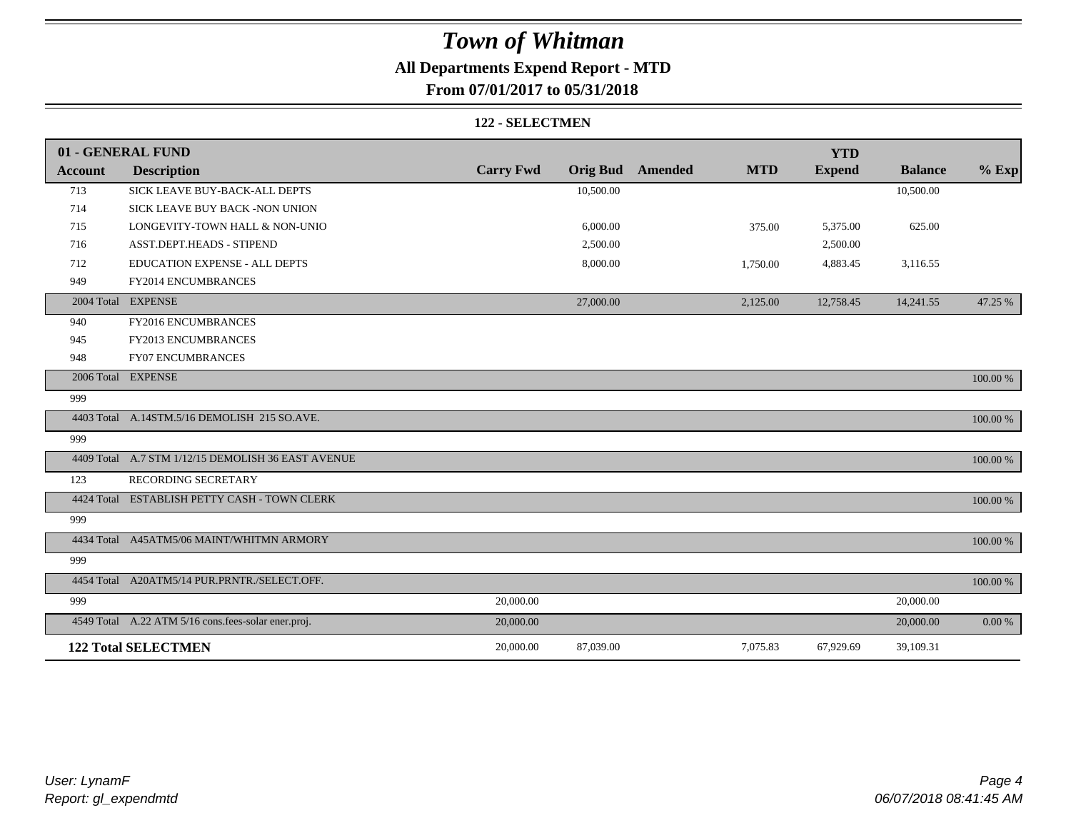### **All Departments Expend Report - MTD**

### **From 07/01/2017 to 05/31/2018**

#### **122 - SELECTMEN**

|                | 01 - GENERAL FUND                                   |                  |                 |         |            | <b>YTD</b>    |                |          |
|----------------|-----------------------------------------------------|------------------|-----------------|---------|------------|---------------|----------------|----------|
| <b>Account</b> | <b>Description</b>                                  | <b>Carry Fwd</b> | <b>Orig Bud</b> | Amended | <b>MTD</b> | <b>Expend</b> | <b>Balance</b> | $%$ Exp  |
| 713            | SICK LEAVE BUY-BACK-ALL DEPTS                       |                  | 10,500.00       |         |            |               | 10,500.00      |          |
| 714            | SICK LEAVE BUY BACK -NON UNION                      |                  |                 |         |            |               |                |          |
| 715            | LONGEVITY-TOWN HALL & NON-UNIO                      |                  | 6,000.00        |         | 375.00     | 5,375.00      | 625.00         |          |
| 716            | <b>ASST.DEPT.HEADS - STIPEND</b>                    |                  | 2,500.00        |         |            | 2,500.00      |                |          |
| 712            | EDUCATION EXPENSE - ALL DEPTS                       |                  | 8,000.00        |         | 1,750.00   | 4,883.45      | 3,116.55       |          |
| 949            | FY2014 ENCUMBRANCES                                 |                  |                 |         |            |               |                |          |
|                | 2004 Total EXPENSE                                  |                  | 27,000.00       |         | 2,125.00   | 12,758.45     | 14,241.55      | 47.25 %  |
| 940            | FY2016 ENCUMBRANCES                                 |                  |                 |         |            |               |                |          |
| 945            | FY2013 ENCUMBRANCES                                 |                  |                 |         |            |               |                |          |
| 948            | <b>FY07 ENCUMBRANCES</b>                            |                  |                 |         |            |               |                |          |
|                | 2006 Total EXPENSE                                  |                  |                 |         |            |               |                | 100.00 % |
| 999            |                                                     |                  |                 |         |            |               |                |          |
|                | 4403 Total A.14STM.5/16 DEMOLISH 215 SO.AVE.        |                  |                 |         |            |               |                | 100.00 % |
| 999            |                                                     |                  |                 |         |            |               |                |          |
|                | 4409 Total A.7 STM 1/12/15 DEMOLISH 36 EAST AVENUE  |                  |                 |         |            |               |                | 100.00 % |
| 123            | RECORDING SECRETARY                                 |                  |                 |         |            |               |                |          |
|                | 4424 Total ESTABLISH PETTY CASH - TOWN CLERK        |                  |                 |         |            |               |                | 100.00 % |
| 999            |                                                     |                  |                 |         |            |               |                |          |
|                | 4434 Total A45ATM5/06 MAINT/WHITMN ARMORY           |                  |                 |         |            |               |                | 100.00 % |
| 999            |                                                     |                  |                 |         |            |               |                |          |
|                | 4454 Total A20ATM5/14 PUR.PRNTR./SELECT.OFF.        |                  |                 |         |            |               |                | 100.00 % |
| 999            |                                                     | 20,000.00        |                 |         |            |               | 20,000.00      |          |
|                | 4549 Total A.22 ATM 5/16 cons.fees-solar ener.proj. | 20,000.00        |                 |         |            |               | 20,000.00      | 0.00 %   |
|                | <b>122 Total SELECTMEN</b>                          | 20,000.00        | 87,039.00       |         | 7,075.83   | 67,929.69     | 39,109.31      |          |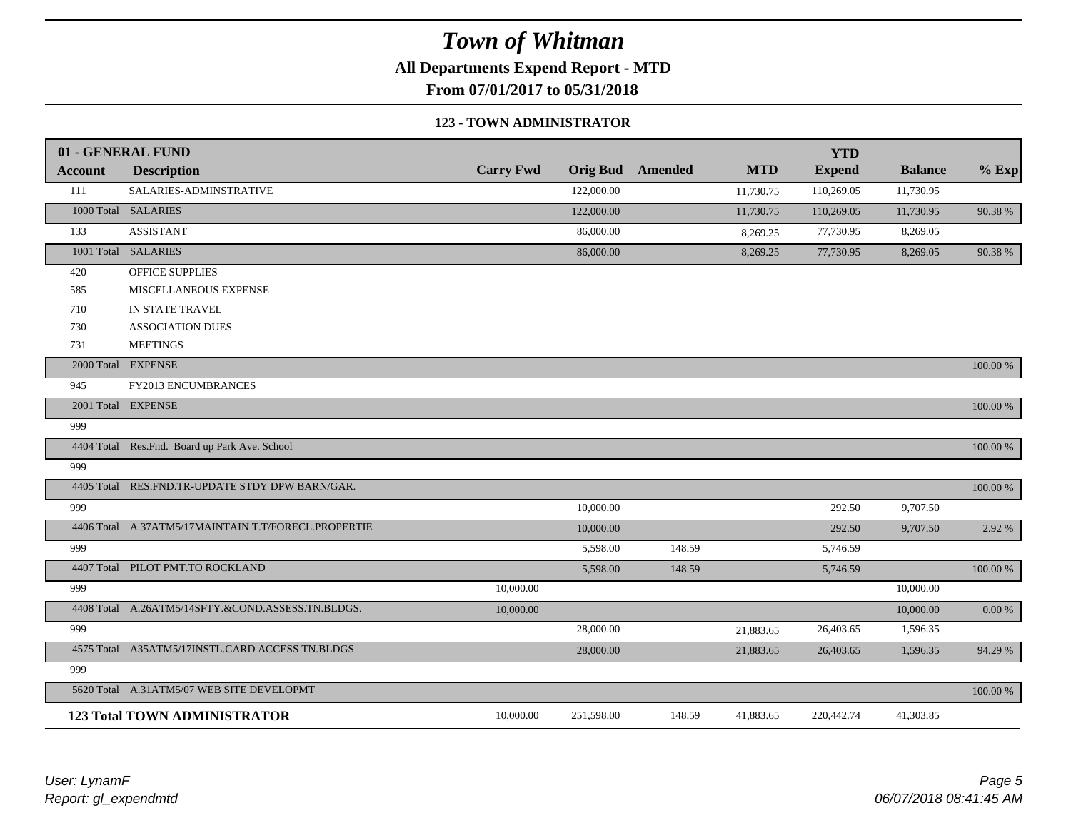**All Departments Expend Report - MTD**

**From 07/01/2017 to 05/31/2018**

#### **123 - TOWN ADMINISTRATOR**

|                | 01 - GENERAL FUND                                   |                  |                 |                |            | <b>YTD</b>    |                |             |
|----------------|-----------------------------------------------------|------------------|-----------------|----------------|------------|---------------|----------------|-------------|
| <b>Account</b> | <b>Description</b>                                  | <b>Carry Fwd</b> | <b>Orig Bud</b> | <b>Amended</b> | <b>MTD</b> | <b>Expend</b> | <b>Balance</b> | $%$ Exp     |
| 111            | SALARIES-ADMINSTRATIVE                              |                  | 122,000.00      |                | 11,730.75  | 110,269.05    | 11,730.95      |             |
|                | 1000 Total SALARIES                                 |                  | 122,000.00      |                | 11,730.75  | 110,269.05    | 11,730.95      | 90.38%      |
| 133            | <b>ASSISTANT</b>                                    |                  | 86,000.00       |                | 8,269.25   | 77,730.95     | 8,269.05       |             |
|                | 1001 Total SALARIES                                 |                  | 86,000.00       |                | 8,269.25   | 77,730.95     | 8,269.05       | 90.38%      |
| 420            | OFFICE SUPPLIES                                     |                  |                 |                |            |               |                |             |
| 585            | MISCELLANEOUS EXPENSE                               |                  |                 |                |            |               |                |             |
| 710            | IN STATE TRAVEL                                     |                  |                 |                |            |               |                |             |
| 730            | <b>ASSOCIATION DUES</b>                             |                  |                 |                |            |               |                |             |
| 731            | <b>MEETINGS</b>                                     |                  |                 |                |            |               |                |             |
|                | 2000 Total EXPENSE                                  |                  |                 |                |            |               |                | 100.00 %    |
| 945            | FY2013 ENCUMBRANCES                                 |                  |                 |                |            |               |                |             |
|                | 2001 Total EXPENSE                                  |                  |                 |                |            |               |                | 100.00 %    |
| 999            |                                                     |                  |                 |                |            |               |                |             |
|                | 4404 Total Res.Fnd. Board up Park Ave. School       |                  |                 |                |            |               |                | 100.00 %    |
| 999            |                                                     |                  |                 |                |            |               |                |             |
| 4405 Total     | RES.FND.TR-UPDATE STDY DPW BARN/GAR.                |                  |                 |                |            |               |                | $100.00~\%$ |
| 999            |                                                     |                  | 10,000.00       |                |            | 292.50        | 9,707.50       |             |
|                | 4406 Total A.37ATM5/17MAINTAIN T.T/FORECL.PROPERTIE |                  | 10,000.00       |                |            | 292.50        | 9,707.50       | 2.92 %      |
| 999            |                                                     |                  | 5,598.00        | 148.59         |            | 5,746.59      |                |             |
|                | 4407 Total PILOT PMT.TO ROCKLAND                    |                  | 5,598.00        | 148.59         |            | 5,746.59      |                | 100.00 %    |
| 999            |                                                     | 10,000.00        |                 |                |            |               | 10,000.00      |             |
|                | 4408 Total A.26ATM5/14SFTY.&COND.ASSESS.TN.BLDGS.   | 10,000.00        |                 |                |            |               | 10,000.00      | 0.00 %      |
| 999            |                                                     |                  | 28,000.00       |                | 21,883.65  | 26,403.65     | 1,596.35       |             |
|                | 4575 Total A35ATM5/17INSTL.CARD ACCESS TN.BLDGS     |                  | 28,000.00       |                | 21,883.65  | 26,403.65     | 1,596.35       | 94.29 %     |
| 999            |                                                     |                  |                 |                |            |               |                |             |
|                | 5620 Total A.31ATM5/07 WEB SITE DEVELOPMT           |                  |                 |                |            |               |                | 100.00 %    |
|                | <b>123 Total TOWN ADMINISTRATOR</b>                 | 10,000.00        | 251,598.00      | 148.59         | 41,883.65  | 220,442.74    | 41,303.85      |             |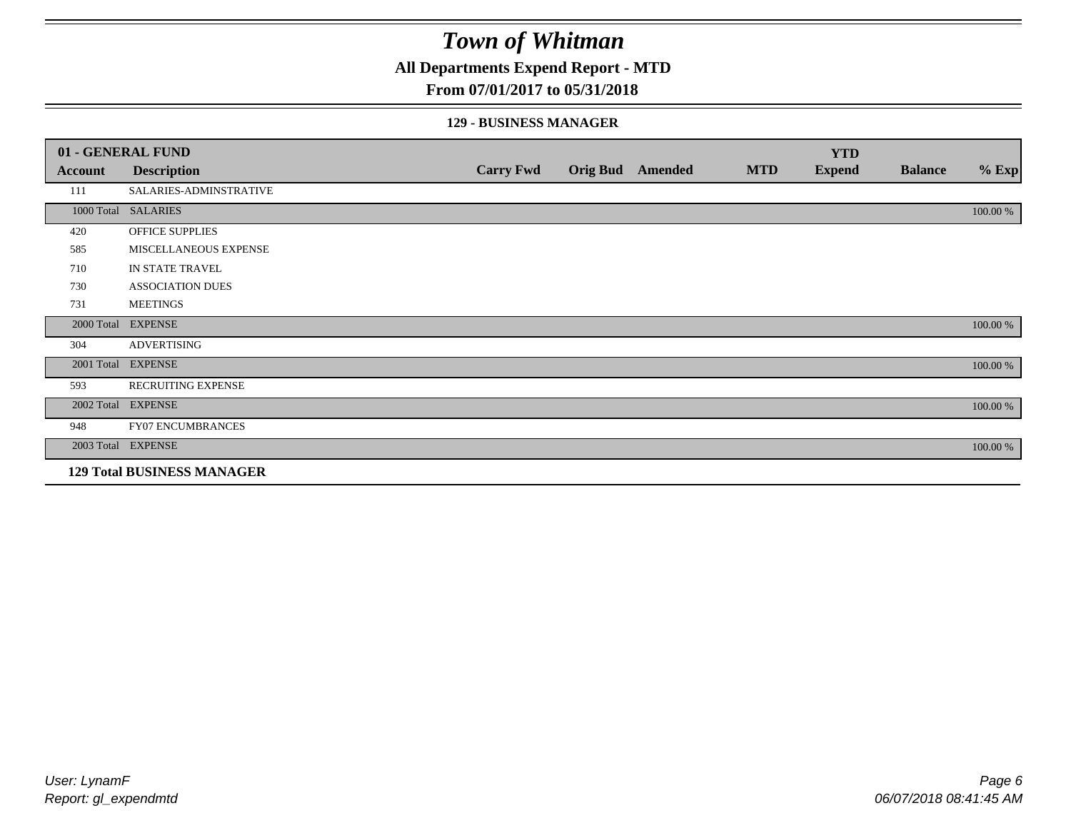#### **All Departments Expend Report - MTD**

#### **From 07/01/2017 to 05/31/2018**

#### **129 - BUSINESS MANAGER**

|            | 01 - GENERAL FUND                 |                  |                 |         |            | <b>YTD</b>    |                |          |
|------------|-----------------------------------|------------------|-----------------|---------|------------|---------------|----------------|----------|
| Account    | <b>Description</b>                | <b>Carry Fwd</b> | <b>Orig Bud</b> | Amended | <b>MTD</b> | <b>Expend</b> | <b>Balance</b> | $%$ Exp  |
| 111        | SALARIES-ADMINSTRATIVE            |                  |                 |         |            |               |                |          |
|            | 1000 Total SALARIES               |                  |                 |         |            |               |                | 100.00 % |
| 420        | OFFICE SUPPLIES                   |                  |                 |         |            |               |                |          |
| 585        | MISCELLANEOUS EXPENSE             |                  |                 |         |            |               |                |          |
| 710        | IN STATE TRAVEL                   |                  |                 |         |            |               |                |          |
| 730        | <b>ASSOCIATION DUES</b>           |                  |                 |         |            |               |                |          |
| 731        | <b>MEETINGS</b>                   |                  |                 |         |            |               |                |          |
| 2000 Total | <b>EXPENSE</b>                    |                  |                 |         |            |               |                | 100.00 % |
| 304        | <b>ADVERTISING</b>                |                  |                 |         |            |               |                |          |
| 2001 Total | <b>EXPENSE</b>                    |                  |                 |         |            |               |                | 100.00 % |
| 593        | <b>RECRUITING EXPENSE</b>         |                  |                 |         |            |               |                |          |
|            | 2002 Total EXPENSE                |                  |                 |         |            |               |                | 100.00 % |
| 948        | <b>FY07 ENCUMBRANCES</b>          |                  |                 |         |            |               |                |          |
|            | 2003 Total EXPENSE                |                  |                 |         |            |               |                | 100.00 % |
|            | <b>129 Total BUSINESS MANAGER</b> |                  |                 |         |            |               |                |          |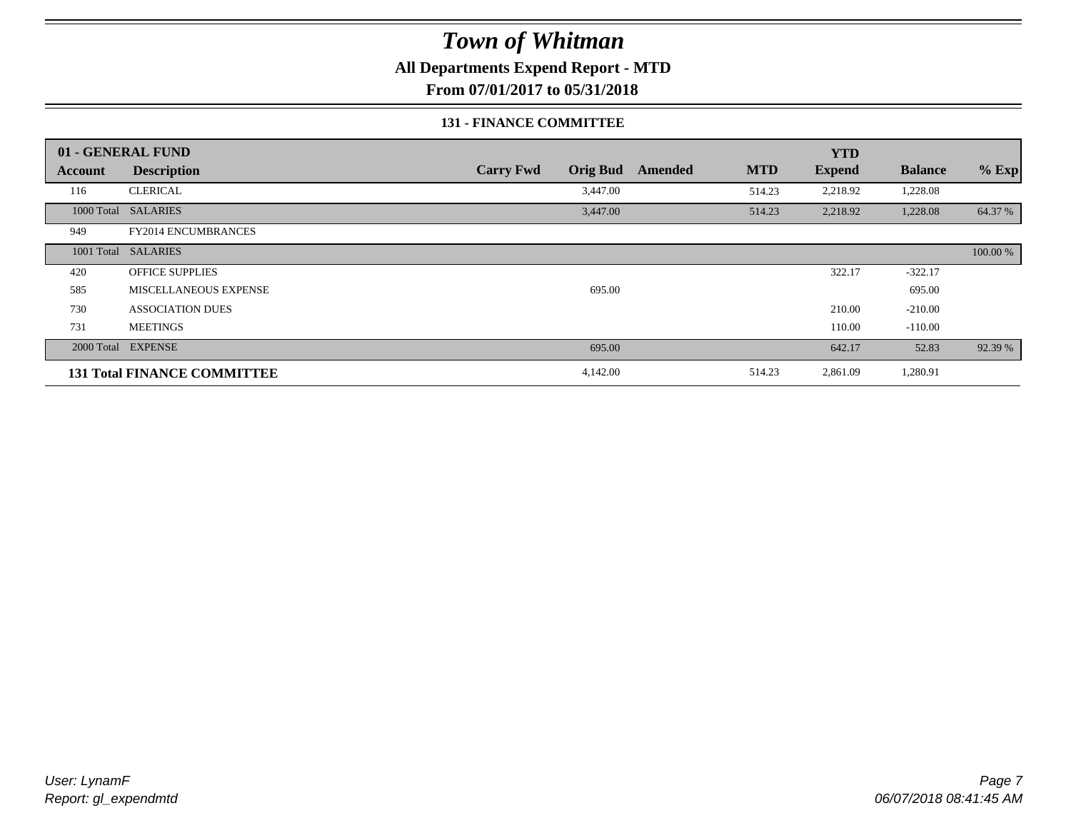**All Departments Expend Report - MTD**

**From 07/01/2017 to 05/31/2018**

#### **131 - FINANCE COMMITTEE**

|                | 01 - GENERAL FUND                  |                                     |         |            | <b>YTD</b>    |                |          |
|----------------|------------------------------------|-------------------------------------|---------|------------|---------------|----------------|----------|
| <b>Account</b> | <b>Description</b>                 | <b>Orig Bud</b><br><b>Carry Fwd</b> | Amended | <b>MTD</b> | <b>Expend</b> | <b>Balance</b> | $%$ Exp  |
| 116            | <b>CLERICAL</b>                    | 3,447.00                            |         | 514.23     | 2,218.92      | 1,228.08       |          |
|                | 1000 Total SALARIES                | 3,447.00                            |         | 514.23     | 2,218.92      | 1,228.08       | 64.37 %  |
| 949            | <b>FY2014 ENCUMBRANCES</b>         |                                     |         |            |               |                |          |
|                | 1001 Total SALARIES                |                                     |         |            |               |                | 100.00 % |
| 420            | <b>OFFICE SUPPLIES</b>             |                                     |         |            | 322.17        | $-322.17$      |          |
| 585            | MISCELLANEOUS EXPENSE              | 695.00                              |         |            |               | 695.00         |          |
| 730            | <b>ASSOCIATION DUES</b>            |                                     |         |            | 210.00        | $-210.00$      |          |
| 731            | <b>MEETINGS</b>                    |                                     |         |            | 110.00        | $-110.00$      |          |
|                | 2000 Total EXPENSE                 | 695.00                              |         |            | 642.17        | 52.83          | 92.39 %  |
|                | <b>131 Total FINANCE COMMITTEE</b> | 4,142.00                            |         | 514.23     | 2,861.09      | 1,280.91       |          |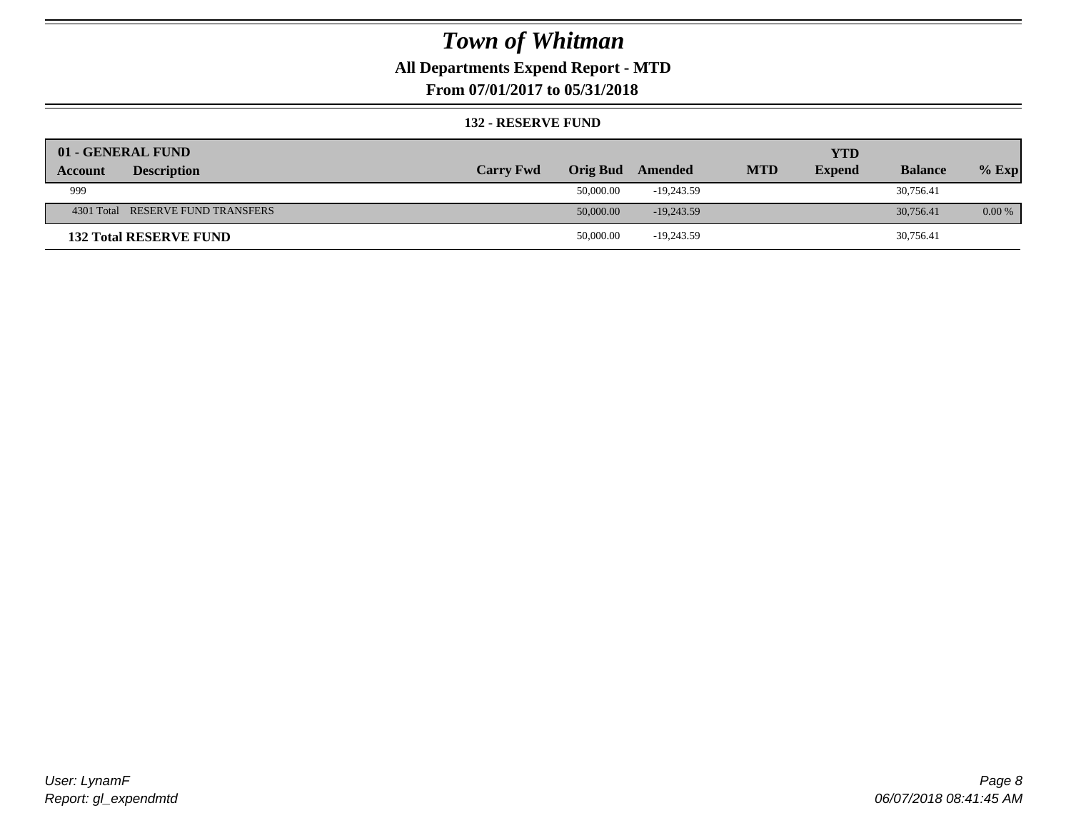### **All Departments Expend Report - MTD**

**From 07/01/2017 to 05/31/2018**

#### **132 - RESERVE FUND**

| 01 - GENERAL FUND                 |                  |           |              |            | <b>YTD</b>    |                |          |
|-----------------------------------|------------------|-----------|--------------|------------|---------------|----------------|----------|
| <b>Description</b><br>Account     | <b>Carry Fwd</b> | Orig Bud  | Amended      | <b>MTD</b> | <b>Expend</b> | <b>Balance</b> | $%$ Exp  |
| 999                               |                  | 50,000.00 | $-19.243.59$ |            |               | 30,756.41      |          |
| 4301 Total RESERVE FUND TRANSFERS |                  | 50,000.00 | $-19.243.59$ |            |               | 30,756.41      | $0.00\%$ |
| <b>132 Total RESERVE FUND</b>     |                  | 50,000.00 | $-19,243.59$ |            |               | 30,756.41      |          |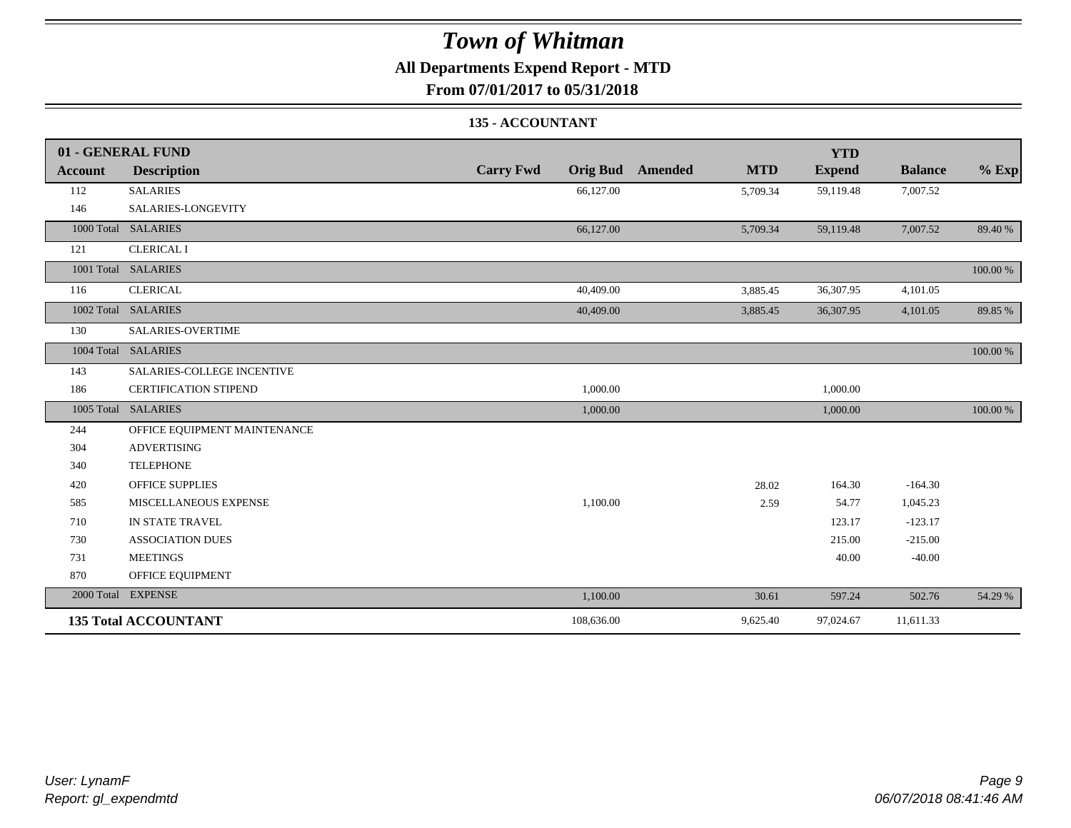### **All Departments Expend Report - MTD**

**From 07/01/2017 to 05/31/2018**

#### **135 - ACCOUNTANT**

|                | 01 - GENERAL FUND            |                                     |                       | <b>YTD</b>    |                |          |
|----------------|------------------------------|-------------------------------------|-----------------------|---------------|----------------|----------|
| <b>Account</b> | <b>Description</b>           | <b>Carry Fwd</b><br><b>Orig Bud</b> | <b>MTD</b><br>Amended | <b>Expend</b> | <b>Balance</b> | $%$ Exp  |
| 112            | <b>SALARIES</b>              | 66,127.00                           | 5,709.34              | 59,119.48     | 7,007.52       |          |
| 146            | SALARIES-LONGEVITY           |                                     |                       |               |                |          |
|                | 1000 Total SALARIES          | 66,127.00                           | 5,709.34              | 59,119.48     | 7,007.52       | 89.40 %  |
| 121            | <b>CLERICAL I</b>            |                                     |                       |               |                |          |
|                | 1001 Total SALARIES          |                                     |                       |               |                | 100.00 % |
| 116            | <b>CLERICAL</b>              | 40,409.00                           | 3,885.45              | 36,307.95     | 4,101.05       |          |
|                | 1002 Total SALARIES          | 40,409.00                           | 3,885.45              | 36,307.95     | 4,101.05       | 89.85 %  |
| 130            | SALARIES-OVERTIME            |                                     |                       |               |                |          |
|                | 1004 Total SALARIES          |                                     |                       |               |                | 100.00 % |
| 143            | SALARIES-COLLEGE INCENTIVE   |                                     |                       |               |                |          |
| 186            | <b>CERTIFICATION STIPEND</b> | 1,000.00                            |                       | 1,000.00      |                |          |
|                | 1005 Total SALARIES          | 1,000.00                            |                       | 1,000.00      |                | 100.00 % |
| 244            | OFFICE EQUIPMENT MAINTENANCE |                                     |                       |               |                |          |
| 304            | <b>ADVERTISING</b>           |                                     |                       |               |                |          |
| 340            | <b>TELEPHONE</b>             |                                     |                       |               |                |          |
| 420            | <b>OFFICE SUPPLIES</b>       |                                     | 28.02                 | 164.30        | $-164.30$      |          |
| 585            | MISCELLANEOUS EXPENSE        | 1,100.00                            | 2.59                  | 54.77         | 1,045.23       |          |
| 710            | IN STATE TRAVEL              |                                     |                       | 123.17        | $-123.17$      |          |
| 730            | <b>ASSOCIATION DUES</b>      |                                     |                       | 215.00        | $-215.00$      |          |
| 731            | <b>MEETINGS</b>              |                                     |                       | 40.00         | $-40.00$       |          |
| 870            | OFFICE EQUIPMENT             |                                     |                       |               |                |          |
|                | 2000 Total EXPENSE           | 1,100.00                            | 30.61                 | 597.24        | 502.76         | 54.29 %  |
|                | <b>135 Total ACCOUNTANT</b>  | 108,636.00                          | 9,625.40              | 97,024.67     | 11,611.33      |          |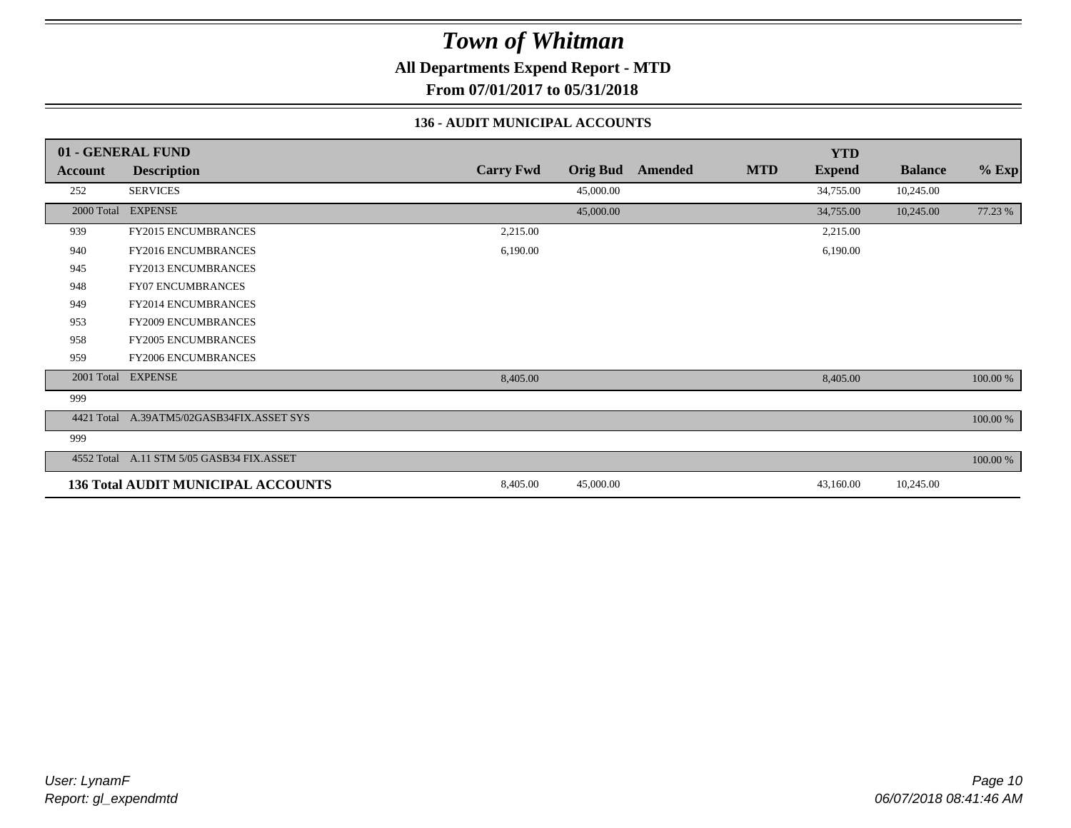**All Departments Expend Report - MTD**

**From 07/01/2017 to 05/31/2018**

#### **136 - AUDIT MUNICIPAL ACCOUNTS**

|            | 01 - GENERAL FUND                         |                  |                 |         |            | <b>YTD</b>    |                |             |
|------------|-------------------------------------------|------------------|-----------------|---------|------------|---------------|----------------|-------------|
| Account    | <b>Description</b>                        | <b>Carry Fwd</b> | <b>Orig Bud</b> | Amended | <b>MTD</b> | <b>Expend</b> | <b>Balance</b> | $%$ Exp     |
| 252        | <b>SERVICES</b>                           |                  | 45,000.00       |         |            | 34,755.00     | 10,245.00      |             |
|            | 2000 Total EXPENSE                        |                  | 45,000.00       |         |            | 34,755.00     | 10,245.00      | 77.23 %     |
| 939        | <b>FY2015 ENCUMBRANCES</b>                | 2,215.00         |                 |         |            | 2,215.00      |                |             |
| 940        | <b>FY2016 ENCUMBRANCES</b>                | 6,190.00         |                 |         |            | 6,190.00      |                |             |
| 945        | <b>FY2013 ENCUMBRANCES</b>                |                  |                 |         |            |               |                |             |
| 948        | <b>FY07 ENCUMBRANCES</b>                  |                  |                 |         |            |               |                |             |
| 949        | <b>FY2014 ENCUMBRANCES</b>                |                  |                 |         |            |               |                |             |
| 953        | <b>FY2009 ENCUMBRANCES</b>                |                  |                 |         |            |               |                |             |
| 958        | <b>FY2005 ENCUMBRANCES</b>                |                  |                 |         |            |               |                |             |
| 959        | <b>FY2006 ENCUMBRANCES</b>                |                  |                 |         |            |               |                |             |
|            | 2001 Total EXPENSE                        | 8,405.00         |                 |         |            | 8,405.00      |                | 100.00 %    |
| 999        |                                           |                  |                 |         |            |               |                |             |
| 4421 Total | A.39ATM5/02GASB34FIX.ASSET SYS            |                  |                 |         |            |               |                | 100.00 %    |
| 999        |                                           |                  |                 |         |            |               |                |             |
|            | 4552 Total A.11 STM 5/05 GASB34 FIX.ASSET |                  |                 |         |            |               |                | $100.00~\%$ |
|            | <b>136 Total AUDIT MUNICIPAL ACCOUNTS</b> | 8,405.00         | 45,000.00       |         |            | 43,160.00     | 10,245.00      |             |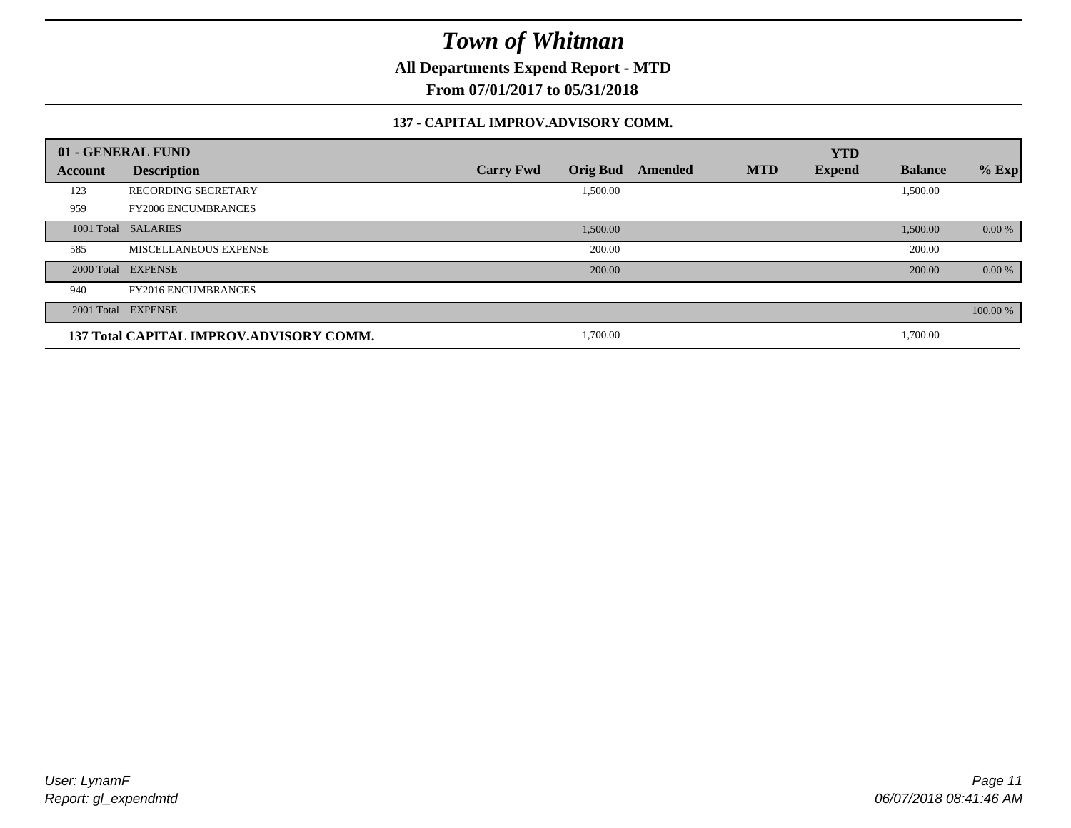**All Departments Expend Report - MTD**

**From 07/01/2017 to 05/31/2018**

#### **137 - CAPITAL IMPROV.ADVISORY COMM.**

|                | 01 - GENERAL FUND                       |                                     |         |            | <b>YTD</b>    |                |          |
|----------------|-----------------------------------------|-------------------------------------|---------|------------|---------------|----------------|----------|
| <b>Account</b> | <b>Description</b>                      | <b>Orig Bud</b><br><b>Carry Fwd</b> | Amended | <b>MTD</b> | <b>Expend</b> | <b>Balance</b> | $%$ Exp  |
| 123            | <b>RECORDING SECRETARY</b>              | 1,500.00                            |         |            |               | 1,500.00       |          |
| 959            | <b>FY2006 ENCUMBRANCES</b>              |                                     |         |            |               |                |          |
|                | 1001 Total SALARIES                     | 1,500.00                            |         |            |               | 1,500.00       | 0.00 %   |
| 585            | MISCELLANEOUS EXPENSE                   | 200.00                              |         |            |               | 200.00         |          |
|                | 2000 Total EXPENSE                      | 200.00                              |         |            |               | 200.00         | 0.00 %   |
| 940            | <b>FY2016 ENCUMBRANCES</b>              |                                     |         |            |               |                |          |
|                | 2001 Total EXPENSE                      |                                     |         |            |               |                | 100.00 % |
|                | 137 Total CAPITAL IMPROV.ADVISORY COMM. | 1,700.00                            |         |            |               | 1,700.00       |          |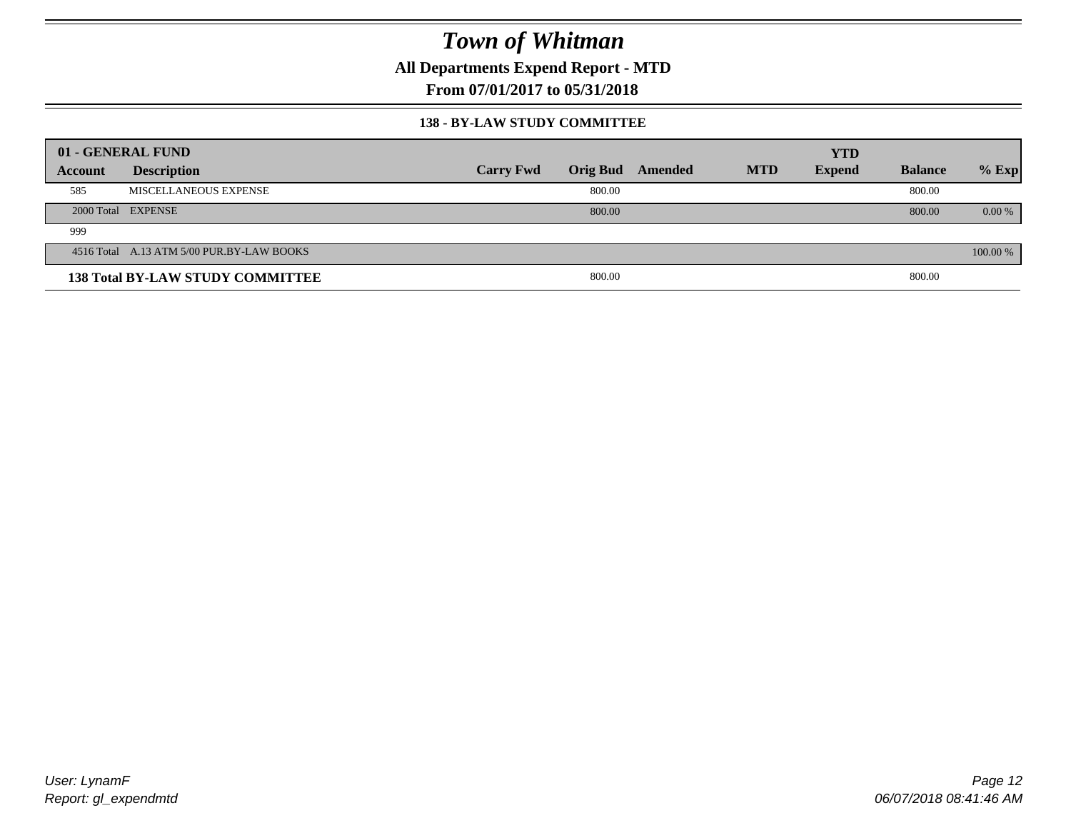**All Departments Expend Report - MTD**

**From 07/01/2017 to 05/31/2018**

#### **138 - BY-LAW STUDY COMMITTEE**

|         | 01 - GENERAL FUND                         |                  |        |                  |            | <b>YTD</b>    |                |          |
|---------|-------------------------------------------|------------------|--------|------------------|------------|---------------|----------------|----------|
| Account | <b>Description</b>                        | <b>Carry Fwd</b> |        | Orig Bud Amended | <b>MTD</b> | <b>Expend</b> | <b>Balance</b> | $%$ Exp  |
| 585     | MISCELLANEOUS EXPENSE                     |                  | 800.00 |                  |            |               | 800.00         |          |
|         | 2000 Total EXPENSE                        |                  | 800.00 |                  |            |               | 800.00         | $0.00\%$ |
| 999     |                                           |                  |        |                  |            |               |                |          |
|         | 4516 Total A.13 ATM 5/00 PUR.BY-LAW BOOKS |                  |        |                  |            |               |                | 100.00 % |
|         | <b>138 Total BY-LAW STUDY COMMITTEE</b>   |                  | 800.00 |                  |            |               | 800.00         |          |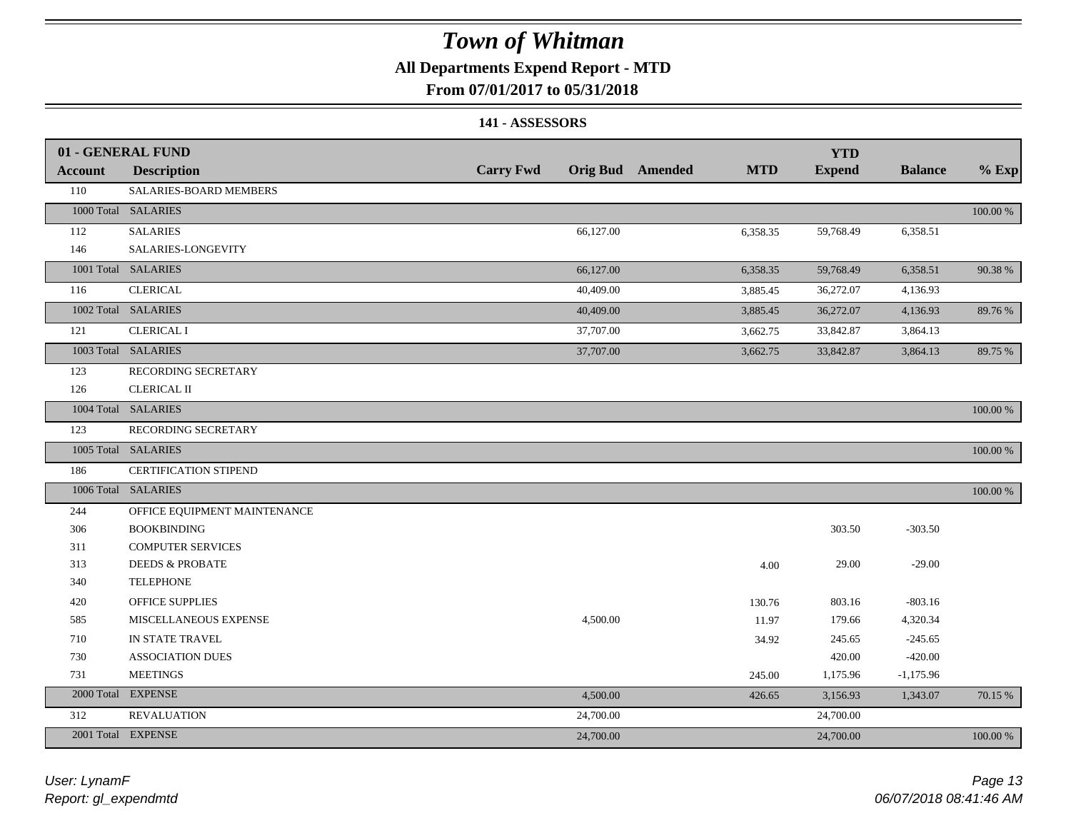#### **All Departments Expend Report - MTD**

#### **From 07/01/2017 to 05/31/2018**

#### **141 - ASSESSORS**

|                | 01 - GENERAL FUND            |                  |           |                         |            | <b>YTD</b>    |                |          |
|----------------|------------------------------|------------------|-----------|-------------------------|------------|---------------|----------------|----------|
| <b>Account</b> | <b>Description</b>           | <b>Carry Fwd</b> |           | <b>Orig Bud</b> Amended | <b>MTD</b> | <b>Expend</b> | <b>Balance</b> | $%$ Exp  |
| 110            | SALARIES-BOARD MEMBERS       |                  |           |                         |            |               |                |          |
|                | 1000 Total SALARIES          |                  |           |                         |            |               |                | 100.00 % |
| 112            | <b>SALARIES</b>              |                  | 66,127.00 |                         | 6,358.35   | 59,768.49     | 6,358.51       |          |
| 146            | SALARIES-LONGEVITY           |                  |           |                         |            |               |                |          |
|                | 1001 Total SALARIES          |                  | 66,127.00 |                         | 6,358.35   | 59,768.49     | 6,358.51       | 90.38%   |
| 116            | <b>CLERICAL</b>              |                  | 40,409.00 |                         | 3,885.45   | 36,272.07     | 4,136.93       |          |
|                | 1002 Total SALARIES          |                  | 40,409.00 |                         | 3,885.45   | 36,272.07     | 4,136.93       | 89.76%   |
| 121            | <b>CLERICAL I</b>            |                  | 37,707.00 |                         | 3,662.75   | 33,842.87     | 3,864.13       |          |
|                | 1003 Total SALARIES          |                  | 37,707.00 |                         | 3,662.75   | 33,842.87     | 3,864.13       | 89.75 %  |
| 123            | RECORDING SECRETARY          |                  |           |                         |            |               |                |          |
| 126            | <b>CLERICAL II</b>           |                  |           |                         |            |               |                |          |
|                | 1004 Total SALARIES          |                  |           |                         |            |               |                | 100.00 % |
| 123            | RECORDING SECRETARY          |                  |           |                         |            |               |                |          |
|                | 1005 Total SALARIES          |                  |           |                         |            |               |                | 100.00 % |
| 186            | CERTIFICATION STIPEND        |                  |           |                         |            |               |                |          |
|                | 1006 Total SALARIES          |                  |           |                         |            |               |                | 100.00 % |
| 244            | OFFICE EQUIPMENT MAINTENANCE |                  |           |                         |            |               |                |          |
| 306            | <b>BOOKBINDING</b>           |                  |           |                         |            | 303.50        | $-303.50$      |          |
| 311            | <b>COMPUTER SERVICES</b>     |                  |           |                         |            |               |                |          |
| 313            | <b>DEEDS &amp; PROBATE</b>   |                  |           |                         | 4.00       | 29.00         | $-29.00$       |          |
| 340            | <b>TELEPHONE</b>             |                  |           |                         |            |               |                |          |
| 420            | <b>OFFICE SUPPLIES</b>       |                  |           |                         | 130.76     | 803.16        | $-803.16$      |          |
| 585            | MISCELLANEOUS EXPENSE        |                  | 4,500.00  |                         | 11.97      | 179.66        | 4,320.34       |          |
| 710            | IN STATE TRAVEL              |                  |           |                         | 34.92      | 245.65        | $-245.65$      |          |
| 730            | <b>ASSOCIATION DUES</b>      |                  |           |                         |            | 420.00        | $-420.00$      |          |
| 731            | <b>MEETINGS</b>              |                  |           |                         | 245.00     | 1,175.96      | $-1,175.96$    |          |
| 2000 Total     | <b>EXPENSE</b>               |                  | 4,500.00  |                         | 426.65     | 3,156.93      | 1,343.07       | 70.15 %  |
| 312            | <b>REVALUATION</b>           |                  | 24,700.00 |                         |            | 24,700.00     |                |          |
|                | 2001 Total EXPENSE           |                  | 24,700.00 |                         |            | 24,700.00     |                | 100.00 % |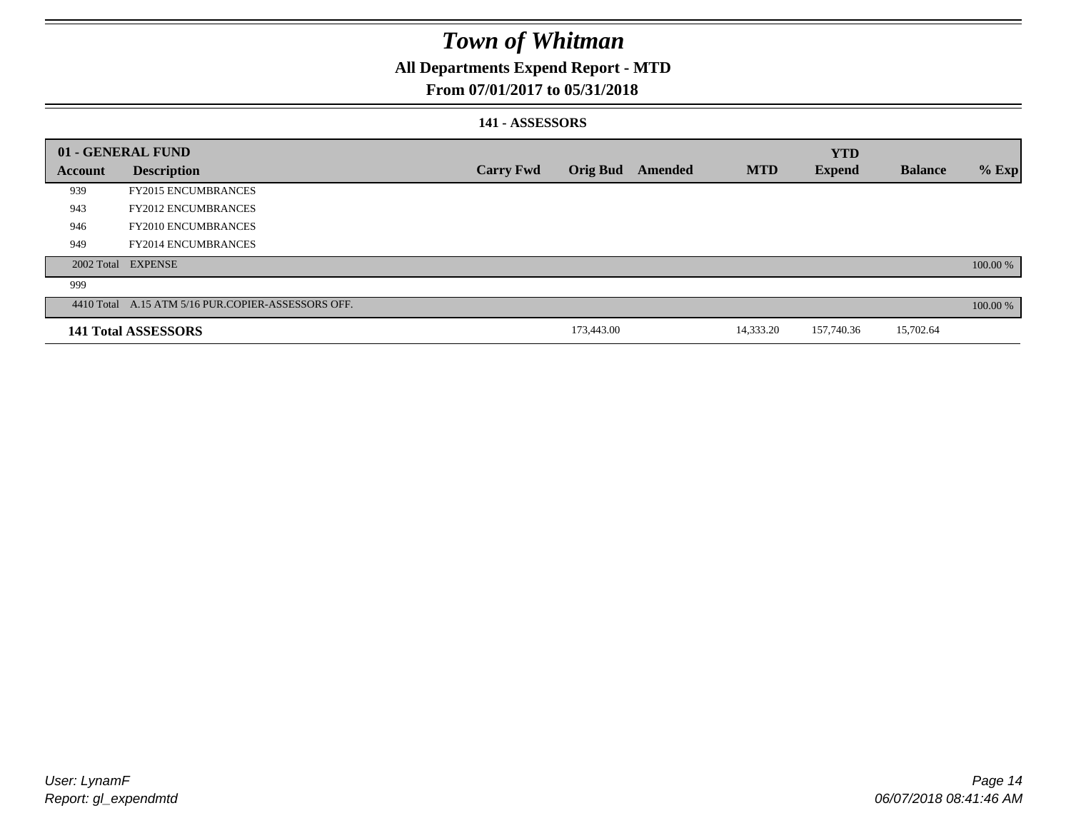### **All Departments Expend Report - MTD**

#### **From 07/01/2017 to 05/31/2018**

#### **141 - ASSESSORS**

|                | 01 - GENERAL FUND                                  |                  |                 |         |            | <b>YTD</b>    |                |          |
|----------------|----------------------------------------------------|------------------|-----------------|---------|------------|---------------|----------------|----------|
| <b>Account</b> | <b>Description</b>                                 | <b>Carry Fwd</b> | <b>Orig Bud</b> | Amended | <b>MTD</b> | <b>Expend</b> | <b>Balance</b> | $%$ Exp  |
| 939            | <b>FY2015 ENCUMBRANCES</b>                         |                  |                 |         |            |               |                |          |
| 943            | <b>FY2012 ENCUMBRANCES</b>                         |                  |                 |         |            |               |                |          |
| 946            | <b>FY2010 ENCUMBRANCES</b>                         |                  |                 |         |            |               |                |          |
| 949            | <b>FY2014 ENCUMBRANCES</b>                         |                  |                 |         |            |               |                |          |
|                | 2002 Total EXPENSE                                 |                  |                 |         |            |               |                | 100.00 % |
| 999            |                                                    |                  |                 |         |            |               |                |          |
|                | 4410 Total A.15 ATM 5/16 PUR.COPIER-ASSESSORS OFF. |                  |                 |         |            |               |                | 100.00 % |
|                | 141 Total ASSESSORS                                |                  | 173,443.00      |         | 14,333.20  | 157,740.36    | 15,702.64      |          |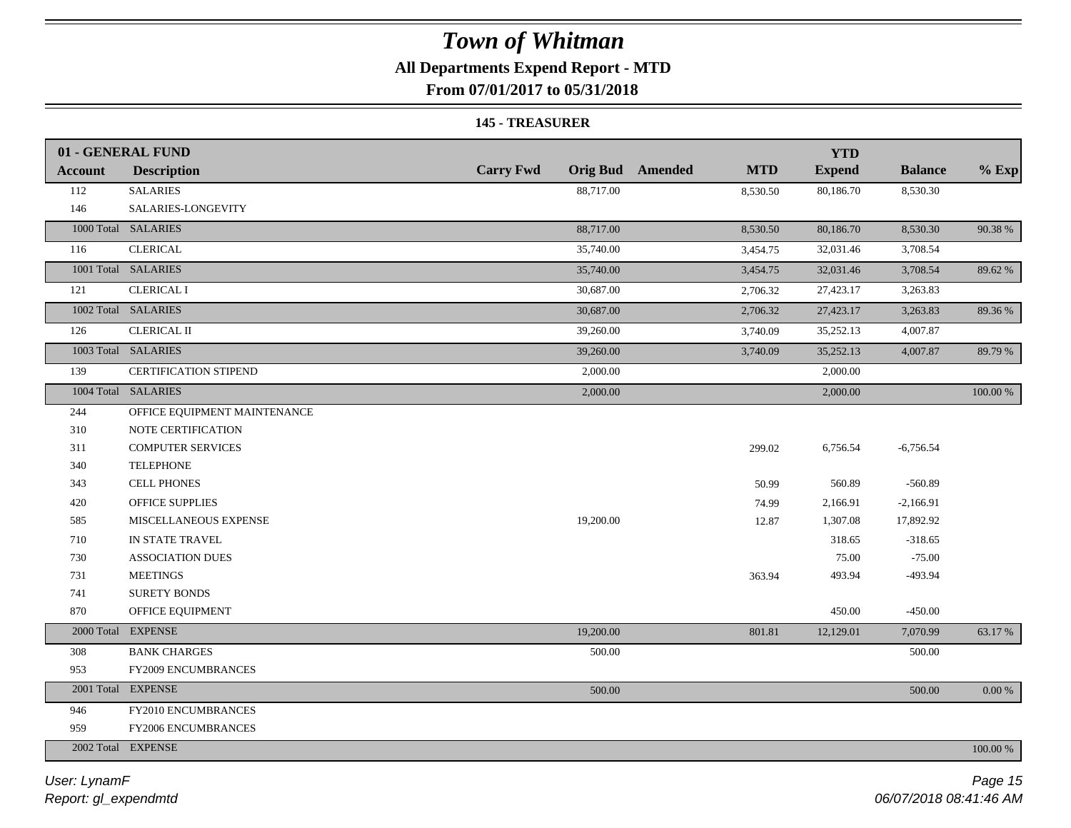### **All Departments Expend Report - MTD**

**From 07/01/2017 to 05/31/2018**

#### **145 - TREASURER**

|                | 01 - GENERAL FUND            |                  |                                       | <b>YTD</b>    |                |             |
|----------------|------------------------------|------------------|---------------------------------------|---------------|----------------|-------------|
| <b>Account</b> | <b>Description</b>           | <b>Carry Fwd</b> | <b>Orig Bud</b> Amended<br><b>MTD</b> | <b>Expend</b> | <b>Balance</b> | $%$ Exp     |
| 112            | <b>SALARIES</b>              | 88,717.00        | 8,530.50                              | 80,186.70     | 8,530.30       |             |
| 146            | SALARIES-LONGEVITY           |                  |                                       |               |                |             |
|                | 1000 Total SALARIES          | 88,717.00        | 8,530.50                              | 80,186.70     | 8,530.30       | 90.38 %     |
| 116            | <b>CLERICAL</b>              | 35,740.00        | 3,454.75                              | 32,031.46     | 3,708.54       |             |
|                | 1001 Total SALARIES          | 35,740.00        | 3,454.75                              | 32,031.46     | 3,708.54       | 89.62%      |
| 121            | <b>CLERICAL I</b>            | 30,687.00        | 2,706.32                              | 27,423.17     | 3,263.83       |             |
|                | 1002 Total SALARIES          | 30,687.00        | 2,706.32                              | 27,423.17     | 3,263.83       | 89.36%      |
| 126            | <b>CLERICAL II</b>           | 39,260.00        | 3,740.09                              | 35,252.13     | 4,007.87       |             |
|                | 1003 Total SALARIES          | 39,260.00        | 3,740.09                              | 35,252.13     | 4,007.87       | 89.79 %     |
| 139            | <b>CERTIFICATION STIPEND</b> | 2,000.00         |                                       | 2,000.00      |                |             |
|                | 1004 Total SALARIES          | 2,000.00         |                                       | 2,000.00      |                | 100.00 %    |
| 244            | OFFICE EQUIPMENT MAINTENANCE |                  |                                       |               |                |             |
| 310            | NOTE CERTIFICATION           |                  |                                       |               |                |             |
| 311            | <b>COMPUTER SERVICES</b>     |                  | 299.02                                | 6,756.54      | $-6,756.54$    |             |
| 340            | <b>TELEPHONE</b>             |                  |                                       |               |                |             |
| 343            | <b>CELL PHONES</b>           |                  | 50.99                                 | 560.89        | $-560.89$      |             |
| 420            | OFFICE SUPPLIES              |                  | 74.99                                 | 2,166.91      | $-2,166.91$    |             |
| 585            | MISCELLANEOUS EXPENSE        | 19,200.00        | 12.87                                 | 1,307.08      | 17,892.92      |             |
| 710            | IN STATE TRAVEL              |                  |                                       | 318.65        | $-318.65$      |             |
| 730            | <b>ASSOCIATION DUES</b>      |                  |                                       | 75.00         | $-75.00$       |             |
| 731            | <b>MEETINGS</b>              |                  | 363.94                                | 493.94        | -493.94        |             |
| 741            | <b>SURETY BONDS</b>          |                  |                                       |               |                |             |
| 870            | OFFICE EQUIPMENT             |                  |                                       | 450.00        | $-450.00$      |             |
|                | 2000 Total EXPENSE           | 19,200.00        | 801.81                                | 12,129.01     | 7,070.99       | 63.17%      |
| 308            | <b>BANK CHARGES</b>          | 500.00           |                                       |               | 500.00         |             |
| 953            | <b>FY2009 ENCUMBRANCES</b>   |                  |                                       |               |                |             |
|                | 2001 Total EXPENSE           | 500.00           |                                       |               | 500.00         | $0.00 \%$   |
| 946            | FY2010 ENCUMBRANCES          |                  |                                       |               |                |             |
| 959            | FY2006 ENCUMBRANCES          |                  |                                       |               |                |             |
|                | 2002 Total EXPENSE           |                  |                                       |               |                | $100.00~\%$ |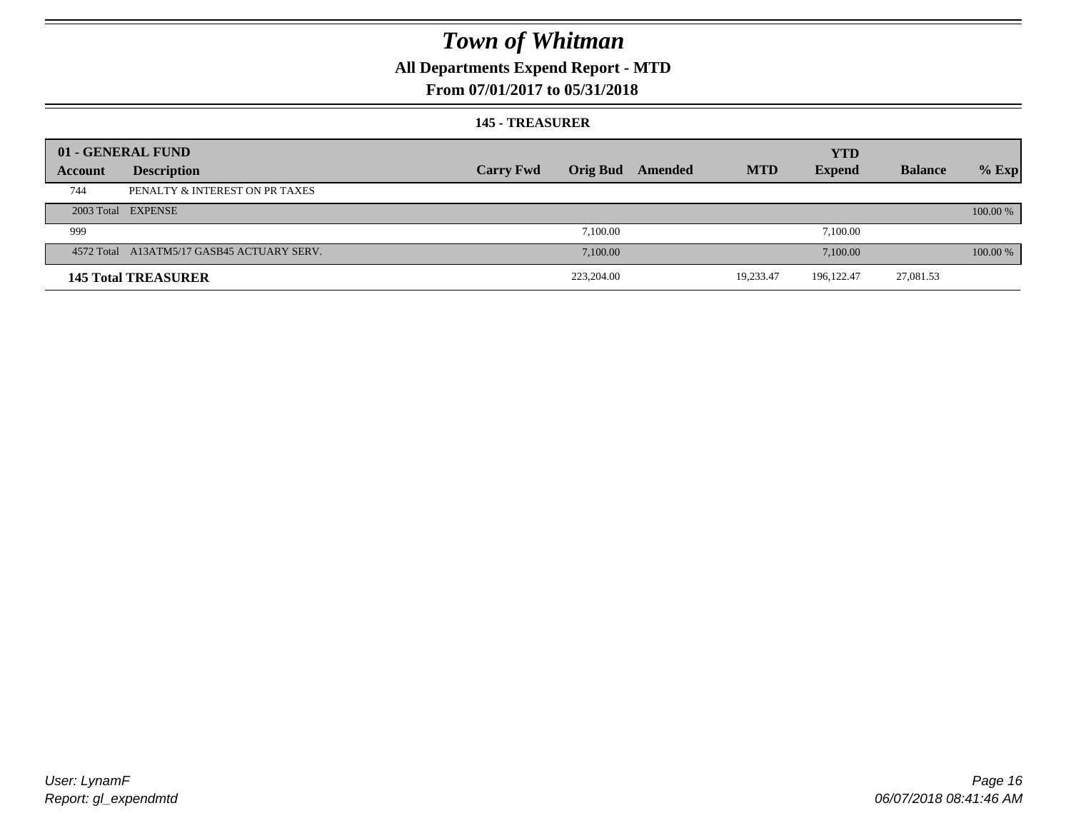### **All Departments Expend Report - MTD**

#### **From 07/01/2017 to 05/31/2018**

#### **145 - TREASURER**

|         | 01 - GENERAL FUND                          |                  |                 |         |            | <b>YTD</b>    |                |          |
|---------|--------------------------------------------|------------------|-----------------|---------|------------|---------------|----------------|----------|
| Account | <b>Description</b>                         | <b>Carry Fwd</b> | <b>Orig Bud</b> | Amended | <b>MTD</b> | <b>Expend</b> | <b>Balance</b> | $%$ Exp  |
| 744     | PENALTY & INTEREST ON PR TAXES             |                  |                 |         |            |               |                |          |
|         | 2003 Total EXPENSE                         |                  |                 |         |            |               |                | 100.00 % |
| 999     |                                            |                  | 7.100.00        |         |            | 7,100.00      |                |          |
|         | 4572 Total A13ATM5/17 GASB45 ACTUARY SERV. |                  | 7.100.00        |         |            | 7,100.00      |                | 100.00 % |
|         | <b>145 Total TREASURER</b>                 |                  | 223,204.00      |         | 19,233.47  | 196, 122. 47  | 27,081.53      |          |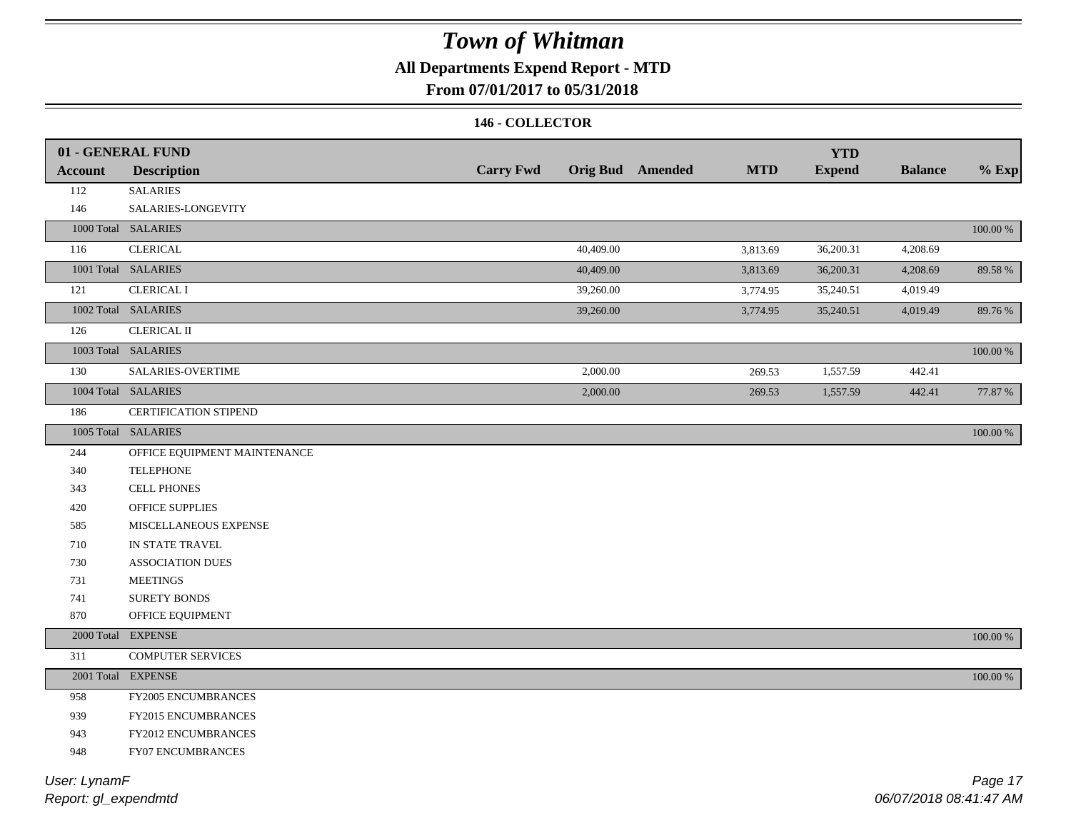### **All Departments Expend Report - MTD**

#### **From 07/01/2017 to 05/31/2018**

#### **146 - COLLECTOR**

|                | 01 - GENERAL FUND            |                  |           |                         |            | <b>YTD</b>    |                |             |
|----------------|------------------------------|------------------|-----------|-------------------------|------------|---------------|----------------|-------------|
| <b>Account</b> | <b>Description</b>           | <b>Carry Fwd</b> |           | <b>Orig Bud</b> Amended | <b>MTD</b> | <b>Expend</b> | <b>Balance</b> | $%$ Exp     |
| 112            | <b>SALARIES</b>              |                  |           |                         |            |               |                |             |
| 146            | SALARIES-LONGEVITY           |                  |           |                         |            |               |                |             |
|                | 1000 Total SALARIES          |                  |           |                         |            |               |                | $100.00~\%$ |
| 116            | <b>CLERICAL</b>              |                  | 40,409.00 |                         | 3,813.69   | 36,200.31     | 4,208.69       |             |
|                | 1001 Total SALARIES          |                  | 40,409.00 |                         | 3,813.69   | 36,200.31     | 4,208.69       | 89.58%      |
| 121            | <b>CLERICAL I</b>            |                  | 39,260.00 |                         | 3,774.95   | 35,240.51     | 4,019.49       |             |
|                | 1002 Total SALARIES          |                  | 39,260.00 |                         | 3,774.95   | 35,240.51     | 4,019.49       | 89.76%      |
| 126            | <b>CLERICAL II</b>           |                  |           |                         |            |               |                |             |
|                | 1003 Total SALARIES          |                  |           |                         |            |               |                | 100.00 %    |
| 130            | SALARIES-OVERTIME            |                  | 2,000.00  |                         | 269.53     | 1,557.59      | 442.41         |             |
|                | 1004 Total SALARIES          |                  | 2,000.00  |                         | 269.53     | 1,557.59      | 442.41         | 77.87 %     |
| 186            | CERTIFICATION STIPEND        |                  |           |                         |            |               |                |             |
|                | 1005 Total SALARIES          |                  |           |                         |            |               |                | 100.00 %    |
| 244            | OFFICE EQUIPMENT MAINTENANCE |                  |           |                         |            |               |                |             |
| 340            | <b>TELEPHONE</b>             |                  |           |                         |            |               |                |             |
| 343            | <b>CELL PHONES</b>           |                  |           |                         |            |               |                |             |
| 420            | <b>OFFICE SUPPLIES</b>       |                  |           |                         |            |               |                |             |
| 585            | MISCELLANEOUS EXPENSE        |                  |           |                         |            |               |                |             |
| 710            | IN STATE TRAVEL              |                  |           |                         |            |               |                |             |
| 730            | <b>ASSOCIATION DUES</b>      |                  |           |                         |            |               |                |             |
| 731            | <b>MEETINGS</b>              |                  |           |                         |            |               |                |             |
| 741            | SURETY BONDS                 |                  |           |                         |            |               |                |             |
| 870            | OFFICE EQUIPMENT             |                  |           |                         |            |               |                |             |
|                | 2000 Total EXPENSE           |                  |           |                         |            |               |                | 100.00 %    |
| 311            | <b>COMPUTER SERVICES</b>     |                  |           |                         |            |               |                |             |
|                | 2001 Total EXPENSE           |                  |           |                         |            |               |                | $100.00~\%$ |
| 958            | FY2005 ENCUMBRANCES          |                  |           |                         |            |               |                |             |
| 939            | FY2015 ENCUMBRANCES          |                  |           |                         |            |               |                |             |
| 943            | FY2012 ENCUMBRANCES          |                  |           |                         |            |               |                |             |
| 948            | FY07 ENCUMBRANCES            |                  |           |                         |            |               |                |             |
|                |                              |                  |           |                         |            |               |                |             |

*Report: gl\_expendmtd User: LynamF*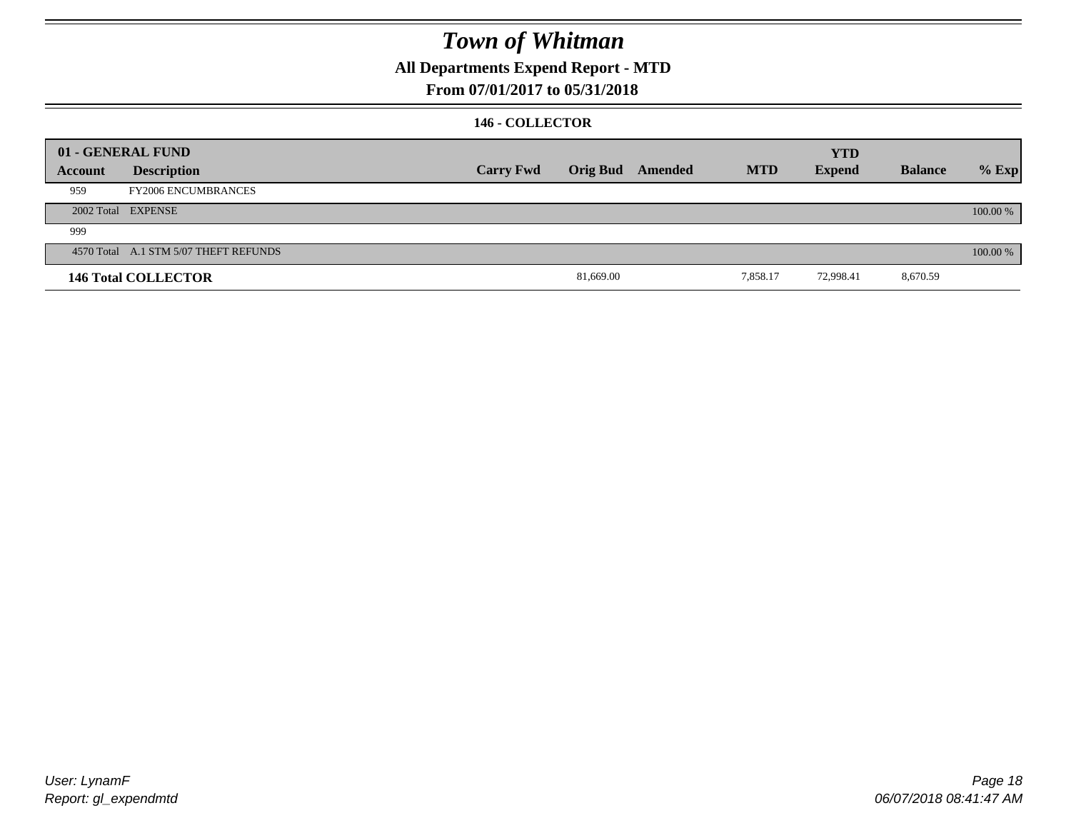### **All Departments Expend Report - MTD**

#### **From 07/01/2017 to 05/31/2018**

#### **146 - COLLECTOR**

|         | 01 - GENERAL FUND                     |                  |           |                  |            | <b>YTD</b>    |                |          |
|---------|---------------------------------------|------------------|-----------|------------------|------------|---------------|----------------|----------|
| Account | <b>Description</b>                    | <b>Carry Fwd</b> |           | Orig Bud Amended | <b>MTD</b> | <b>Expend</b> | <b>Balance</b> | $%$ Exp  |
| 959     | <b>FY2006 ENCUMBRANCES</b>            |                  |           |                  |            |               |                |          |
|         | 2002 Total EXPENSE                    |                  |           |                  |            |               |                | 100.00 % |
| 999     |                                       |                  |           |                  |            |               |                |          |
|         | 4570 Total A.1 STM 5/07 THEFT REFUNDS |                  |           |                  |            |               |                | 100.00 % |
|         | <b>146 Total COLLECTOR</b>            |                  | 81,669.00 |                  | 7,858.17   | 72,998.41     | 8,670.59       |          |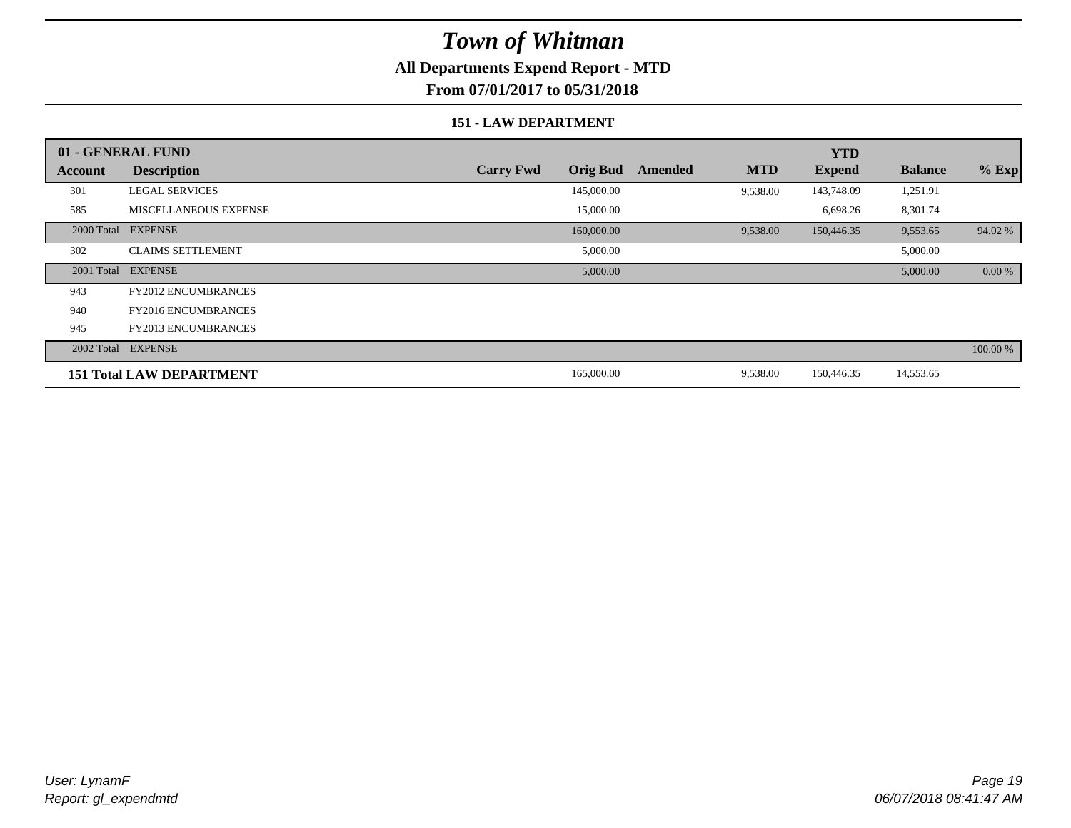### **All Departments Expend Report - MTD**

**From 07/01/2017 to 05/31/2018**

#### **151 - LAW DEPARTMENT**

|         | 01 - GENERAL FUND               |                                     |                       | <b>YTD</b>    |                |          |
|---------|---------------------------------|-------------------------------------|-----------------------|---------------|----------------|----------|
| Account | <b>Description</b>              | <b>Carry Fwd</b><br><b>Orig Bud</b> | <b>MTD</b><br>Amended | <b>Expend</b> | <b>Balance</b> | $%$ Exp  |
| 301     | <b>LEGAL SERVICES</b>           | 145,000.00                          | 9,538.00              | 143,748.09    | 1,251.91       |          |
| 585     | <b>MISCELLANEOUS EXPENSE</b>    | 15,000.00                           |                       | 6,698.26      | 8,301.74       |          |
|         | 2000 Total EXPENSE              | 160,000.00                          | 9,538.00              | 150,446.35    | 9,553.65       | 94.02 %  |
| 302     | <b>CLAIMS SETTLEMENT</b>        | 5,000.00                            |                       |               | 5,000.00       |          |
|         | 2001 Total EXPENSE              | 5,000.00                            |                       |               | 5,000.00       | 0.00 %   |
| 943     | <b>FY2012 ENCUMBRANCES</b>      |                                     |                       |               |                |          |
| 940     | <b>FY2016 ENCUMBRANCES</b>      |                                     |                       |               |                |          |
| 945     | <b>FY2013 ENCUMBRANCES</b>      |                                     |                       |               |                |          |
|         | 2002 Total EXPENSE              |                                     |                       |               |                | 100.00 % |
|         | <b>151 Total LAW DEPARTMENT</b> | 165,000.00                          | 9,538.00              | 150,446.35    | 14,553.65      |          |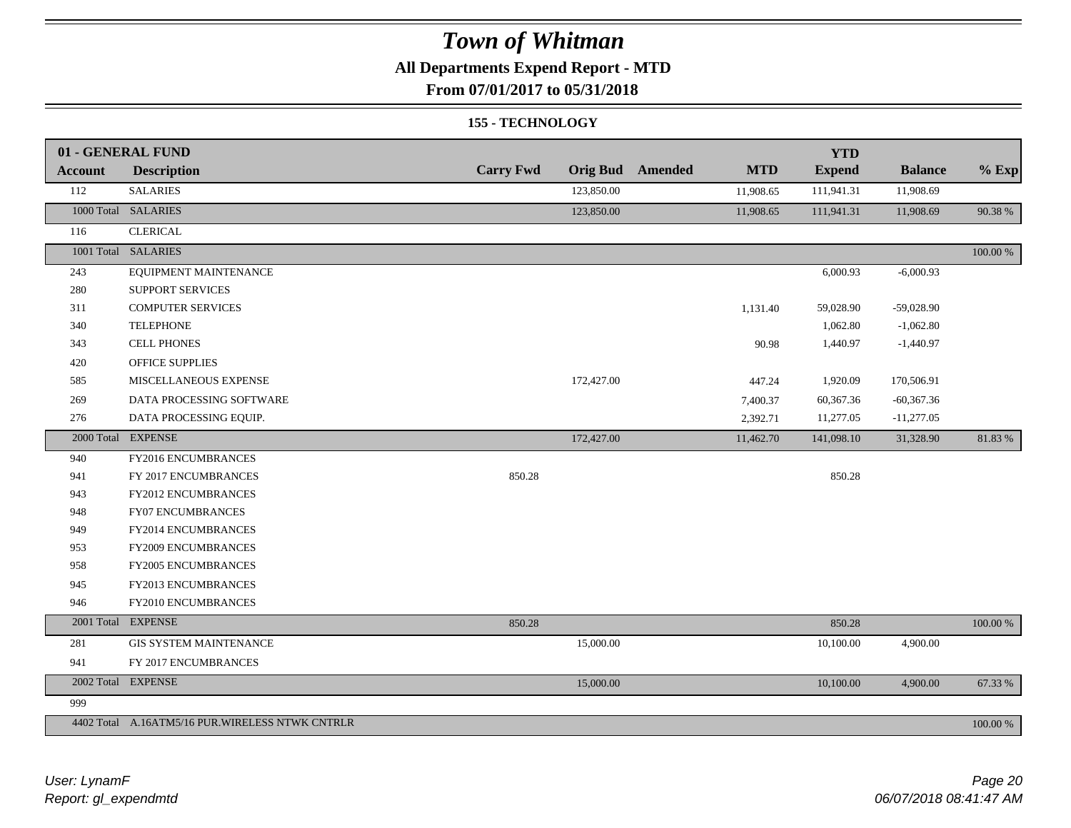### **All Departments Expend Report - MTD**

**From 07/01/2017 to 05/31/2018**

#### **155 - TECHNOLOGY**

|                | 01 - GENERAL FUND                               |                  |                 |         |            | <b>YTD</b>    |                |          |
|----------------|-------------------------------------------------|------------------|-----------------|---------|------------|---------------|----------------|----------|
| <b>Account</b> | <b>Description</b>                              | <b>Carry Fwd</b> | <b>Orig Bud</b> | Amended | <b>MTD</b> | <b>Expend</b> | <b>Balance</b> | $%$ Exp  |
| 112            | <b>SALARIES</b>                                 |                  | 123,850.00      |         | 11,908.65  | 111,941.31    | 11,908.69      |          |
|                | 1000 Total SALARIES                             |                  | 123,850.00      |         | 11,908.65  | 111,941.31    | 11,908.69      | 90.38%   |
| 116            | <b>CLERICAL</b>                                 |                  |                 |         |            |               |                |          |
|                | 1001 Total SALARIES                             |                  |                 |         |            |               |                | 100.00 % |
| 243            | EQUIPMENT MAINTENANCE                           |                  |                 |         |            | 6,000.93      | $-6,000.93$    |          |
| 280            | SUPPORT SERVICES                                |                  |                 |         |            |               |                |          |
| 311            | <b>COMPUTER SERVICES</b>                        |                  |                 |         | 1,131.40   | 59,028.90     | $-59,028.90$   |          |
| 340            | <b>TELEPHONE</b>                                |                  |                 |         |            | 1,062.80      | $-1,062.80$    |          |
| 343            | <b>CELL PHONES</b>                              |                  |                 |         | 90.98      | 1,440.97      | $-1,440.97$    |          |
| 420            | <b>OFFICE SUPPLIES</b>                          |                  |                 |         |            |               |                |          |
| 585            | MISCELLANEOUS EXPENSE                           |                  | 172,427.00      |         | 447.24     | 1,920.09      | 170,506.91     |          |
| 269            | DATA PROCESSING SOFTWARE                        |                  |                 |         | 7,400.37   | 60,367.36     | $-60,367.36$   |          |
| 276            | DATA PROCESSING EQUIP.                          |                  |                 |         | 2,392.71   | 11,277.05     | $-11,277.05$   |          |
|                | 2000 Total EXPENSE                              |                  | 172,427.00      |         | 11,462.70  | 141,098.10    | 31,328.90      | 81.83%   |
| 940            | FY2016 ENCUMBRANCES                             |                  |                 |         |            |               |                |          |
| 941            | FY 2017 ENCUMBRANCES                            | 850.28           |                 |         |            | 850.28        |                |          |
| 943            | FY2012 ENCUMBRANCES                             |                  |                 |         |            |               |                |          |
| 948            | FY07 ENCUMBRANCES                               |                  |                 |         |            |               |                |          |
| 949            | FY2014 ENCUMBRANCES                             |                  |                 |         |            |               |                |          |
| 953            | FY2009 ENCUMBRANCES                             |                  |                 |         |            |               |                |          |
| 958            | FY2005 ENCUMBRANCES                             |                  |                 |         |            |               |                |          |
| 945            | FY2013 ENCUMBRANCES                             |                  |                 |         |            |               |                |          |
| 946            | FY2010 ENCUMBRANCES                             |                  |                 |         |            |               |                |          |
|                | 2001 Total EXPENSE                              | 850.28           |                 |         |            | 850.28        |                | 100.00 % |
| 281            | <b>GIS SYSTEM MAINTENANCE</b>                   |                  | 15,000.00       |         |            | 10,100.00     | 4,900.00       |          |
| 941            | FY 2017 ENCUMBRANCES                            |                  |                 |         |            |               |                |          |
|                | 2002 Total EXPENSE                              |                  | 15,000.00       |         |            | 10,100.00     | 4,900.00       | 67.33 %  |
| 999            |                                                 |                  |                 |         |            |               |                |          |
|                | 4402 Total A.16ATM5/16 PUR.WIRELESS NTWK CNTRLR |                  |                 |         |            |               |                | 100.00 % |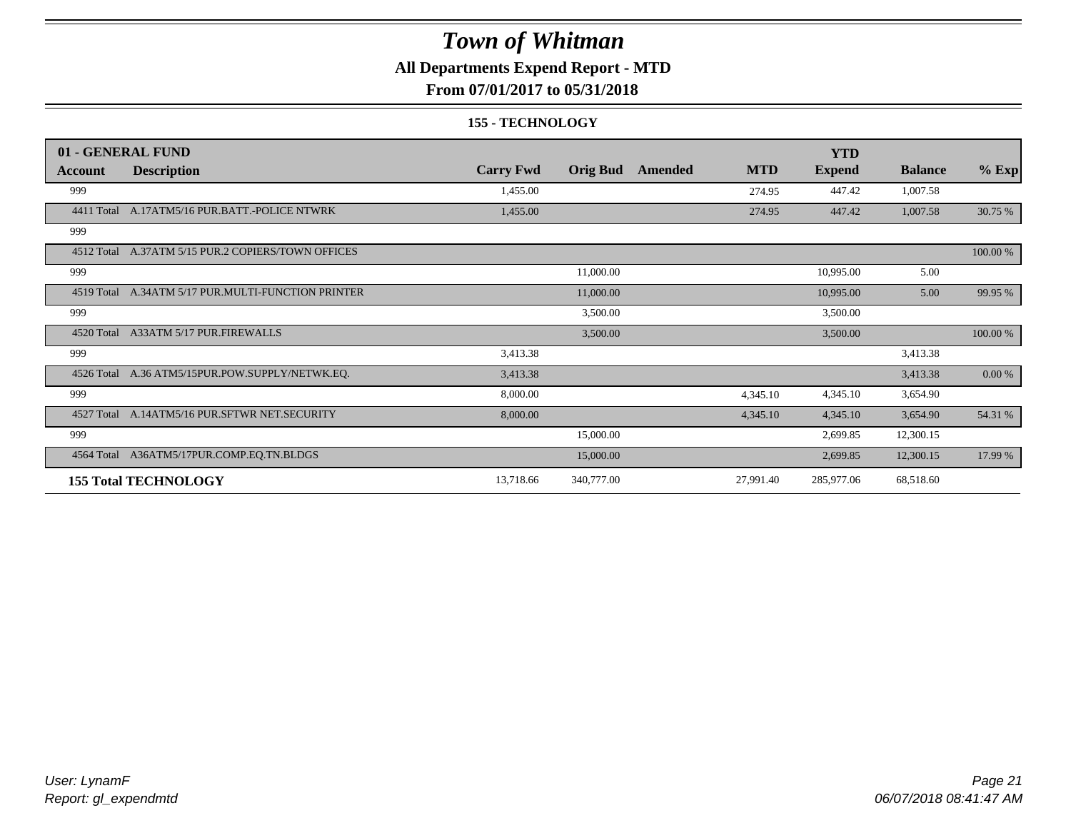### **All Departments Expend Report - MTD**

**From 07/01/2017 to 05/31/2018**

#### **155 - TECHNOLOGY**

|            | 01 - GENERAL FUND                             |                  |                 |         |            | <b>YTD</b>    |                |           |
|------------|-----------------------------------------------|------------------|-----------------|---------|------------|---------------|----------------|-----------|
| Account    | <b>Description</b>                            | <b>Carry Fwd</b> | <b>Orig Bud</b> | Amended | <b>MTD</b> | <b>Expend</b> | <b>Balance</b> | $%$ Exp   |
| 999        |                                               | 1,455.00         |                 |         | 274.95     | 447.42        | 1,007.58       |           |
| 4411 Total | A.17ATM5/16 PUR.BATT.-POLICE NTWRK            | 1,455.00         |                 |         | 274.95     | 447.42        | 1,007.58       | 30.75 %   |
| 999        |                                               |                  |                 |         |            |               |                |           |
| 4512 Total | A.37ATM 5/15 PUR.2 COPIERS/TOWN OFFICES       |                  |                 |         |            |               |                | 100.00 %  |
| 999        |                                               |                  | 11,000.00       |         |            | 10,995.00     | 5.00           |           |
| 4519 Total | A.34ATM 5/17 PUR.MULTI-FUNCTION PRINTER       |                  | 11,000.00       |         |            | 10,995.00     | 5.00           | 99.95 %   |
| 999        |                                               |                  | 3,500.00        |         |            | 3,500.00      |                |           |
| 4520 Total | A33ATM 5/17 PUR.FIREWALLS                     |                  | 3,500.00        |         |            | 3,500.00      |                | 100.00 %  |
| 999        |                                               | 3,413.38         |                 |         |            |               | 3,413.38       |           |
| 4526 Total | A.36 ATM5/15PUR.POW.SUPPLY/NETWK.EQ.          | 3,413.38         |                 |         |            |               | 3,413.38       | $0.00 \%$ |
| 999        |                                               | 8,000.00         |                 |         | 4,345.10   | 4,345.10      | 3,654.90       |           |
|            | 4527 Total A.14ATM5/16 PUR.SFTWR NET.SECURITY | 8,000.00         |                 |         | 4,345.10   | 4,345.10      | 3,654.90       | 54.31 %   |
| 999        |                                               |                  | 15,000.00       |         |            | 2,699.85      | 12,300.15      |           |
| 4564 Total | A36ATM5/17PUR.COMP.EQ.TN.BLDGS                |                  | 15,000.00       |         |            | 2,699.85      | 12,300.15      | 17.99 %   |
|            | <b>155 Total TECHNOLOGY</b>                   | 13,718.66        | 340,777.00      |         | 27,991.40  | 285,977.06    | 68,518.60      |           |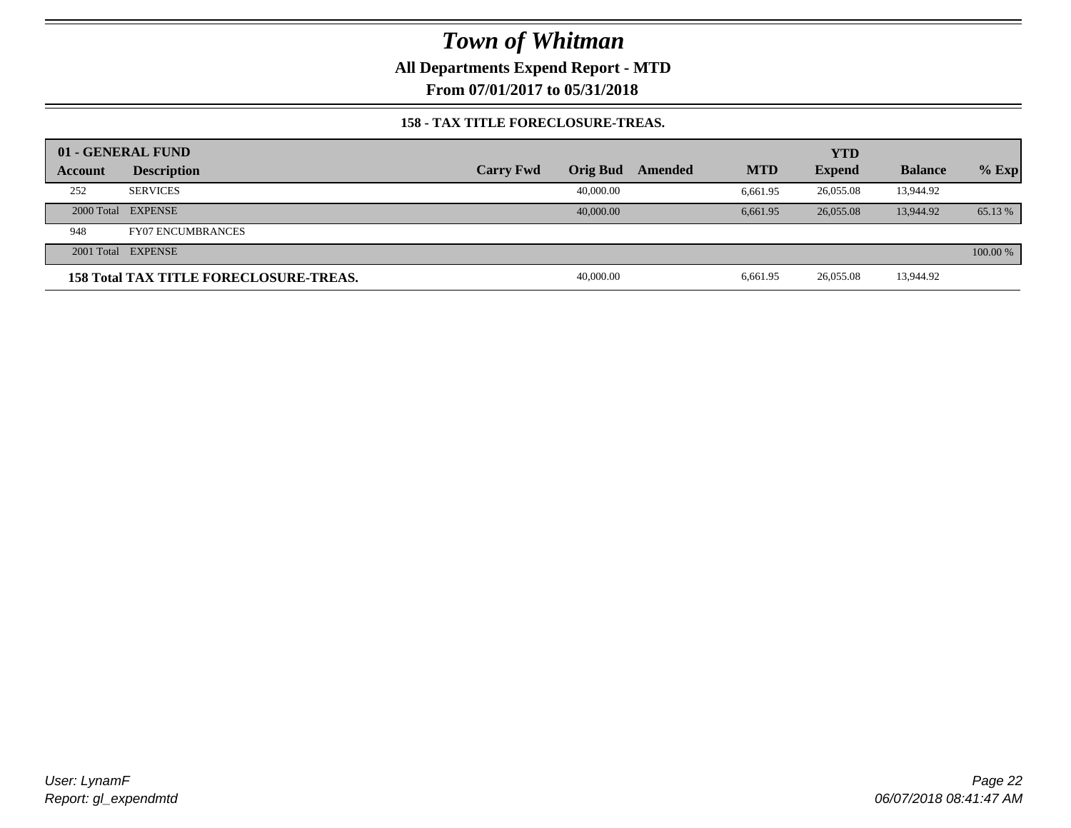**All Departments Expend Report - MTD**

**From 07/01/2017 to 05/31/2018**

#### **158 - TAX TITLE FORECLOSURE-TREAS.**

|         | 01 - GENERAL FUND                             |                  |           |         |            | <b>YTD</b>    |                |          |
|---------|-----------------------------------------------|------------------|-----------|---------|------------|---------------|----------------|----------|
| Account | <b>Description</b>                            | <b>Carry Fwd</b> | Orig Bud  | Amended | <b>MTD</b> | <b>Expend</b> | <b>Balance</b> | $%$ Exp  |
| 252     | <b>SERVICES</b>                               |                  | 40,000.00 |         | 6.661.95   | 26.055.08     | 13,944.92      |          |
|         | 2000 Total EXPENSE                            |                  | 40,000,00 |         | 6.661.95   | 26,055,08     | 13,944.92      | 65.13 %  |
| 948     | <b>FY07 ENCUMBRANCES</b>                      |                  |           |         |            |               |                |          |
|         | 2001 Total EXPENSE                            |                  |           |         |            |               |                | 100.00 % |
|         | <b>158 Total TAX TITLE FORECLOSURE-TREAS.</b> |                  | 40,000.00 |         | 6.661.95   | 26,055.08     | 13,944.92      |          |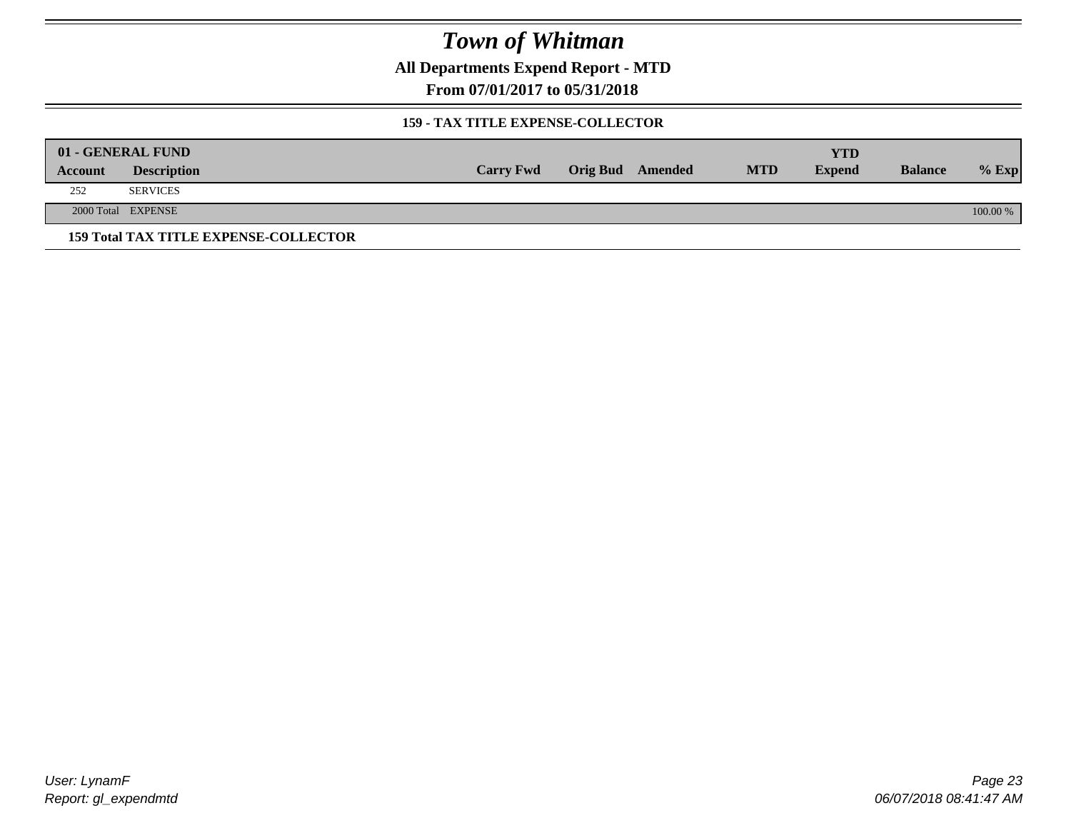**All Departments Expend Report - MTD**

**From 07/01/2017 to 05/31/2018**

#### **159 - TAX TITLE EXPENSE-COLLECTOR**

|         | 01 - GENERAL FUND                            |                  |                         |            | YTD           |                |          |
|---------|----------------------------------------------|------------------|-------------------------|------------|---------------|----------------|----------|
| Account | <b>Description</b>                           | <b>Carry Fwd</b> | <b>Orig Bud</b> Amended | <b>MTD</b> | <b>Expend</b> | <b>Balance</b> | $%$ Exp  |
| 252     | <b>SERVICES</b>                              |                  |                         |            |               |                |          |
|         | 2000 Total EXPENSE                           |                  |                         |            |               |                | 100.00 % |
|         | <b>159 Total TAX TITLE EXPENSE-COLLECTOR</b> |                  |                         |            |               |                |          |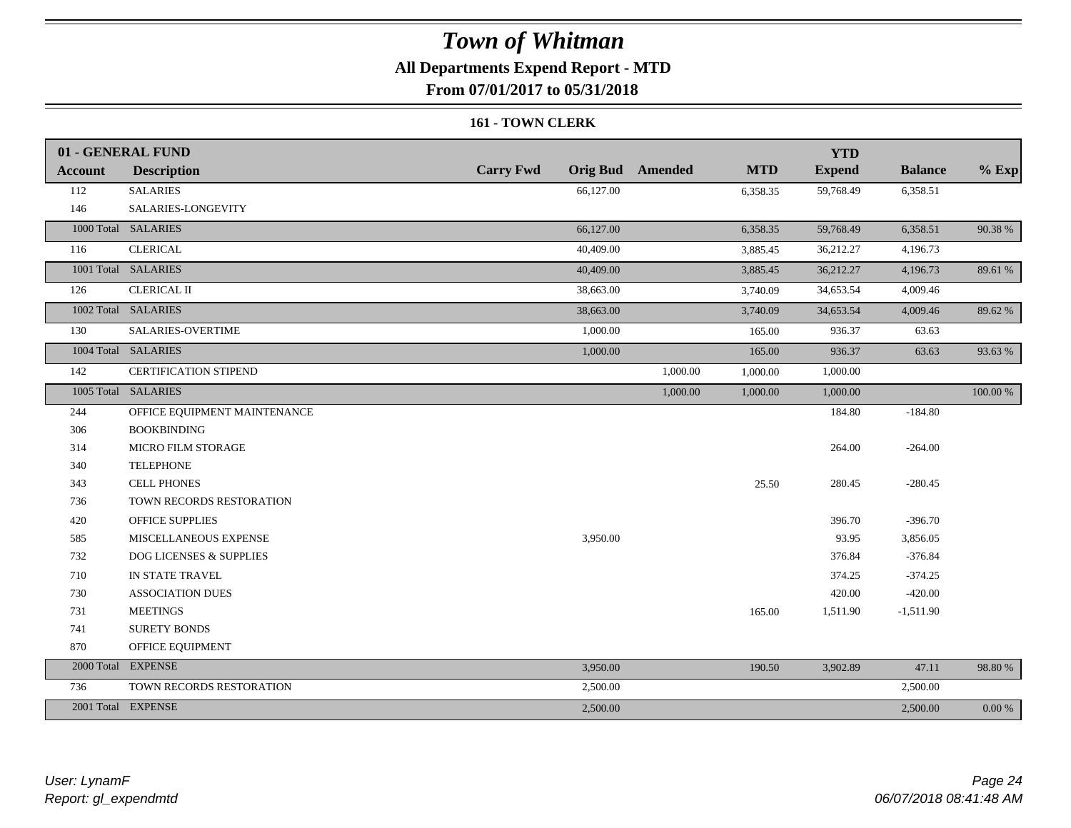### **All Departments Expend Report - MTD**

**From 07/01/2017 to 05/31/2018**

#### **161 - TOWN CLERK**

|                | 01 - GENERAL FUND                  |                  |                         |            | <b>YTD</b>    |                |            |
|----------------|------------------------------------|------------------|-------------------------|------------|---------------|----------------|------------|
| <b>Account</b> | <b>Description</b>                 | <b>Carry Fwd</b> | <b>Orig Bud</b> Amended | <b>MTD</b> | <b>Expend</b> | <b>Balance</b> | $%$ Exp    |
| 112            | <b>SALARIES</b>                    | 66,127.00        |                         | 6,358.35   | 59,768.49     | 6,358.51       |            |
| 146            | SALARIES-LONGEVITY                 |                  |                         |            |               |                |            |
|                | 1000 Total SALARIES                | 66,127.00        |                         | 6,358.35   | 59,768.49     | 6,358.51       | 90.38%     |
| 116            | <b>CLERICAL</b>                    | 40,409.00        |                         | 3,885.45   | 36,212.27     | 4,196.73       |            |
|                | 1001 Total SALARIES                | 40,409.00        |                         | 3,885.45   | 36,212.27     | 4,196.73       | 89.61 %    |
| 126            | <b>CLERICAL II</b>                 | 38,663.00        |                         | 3,740.09   | 34,653.54     | 4,009.46       |            |
|                | 1002 Total SALARIES                | 38,663.00        |                         | 3,740.09   | 34,653.54     | 4,009.46       | 89.62 %    |
| 130            | <b>SALARIES-OVERTIME</b>           | 1,000.00         |                         | 165.00     | 936.37        | 63.63          |            |
|                | 1004 Total SALARIES                | 1,000.00         |                         | 165.00     | 936.37        | 63.63          | 93.63%     |
| 142            | <b>CERTIFICATION STIPEND</b>       |                  | 1,000.00                | 1,000.00   | 1,000.00      |                |            |
|                | 1005 Total SALARIES                |                  | 1,000.00                | 1,000.00   | 1,000.00      |                | 100.00 %   |
| 244            | OFFICE EQUIPMENT MAINTENANCE       |                  |                         |            | 184.80        | $-184.80$      |            |
| 306            | <b>BOOKBINDING</b>                 |                  |                         |            |               |                |            |
| 314            | <b>MICRO FILM STORAGE</b>          |                  |                         |            | 264.00        | $-264.00$      |            |
| 340            | <b>TELEPHONE</b>                   |                  |                         |            |               |                |            |
| 343            | <b>CELL PHONES</b>                 |                  |                         | 25.50      | 280.45        | $-280.45$      |            |
| 736            | TOWN RECORDS RESTORATION           |                  |                         |            |               |                |            |
| 420            | <b>OFFICE SUPPLIES</b>             |                  |                         |            | 396.70        | $-396.70$      |            |
| 585            | MISCELLANEOUS EXPENSE              | 3,950.00         |                         |            | 93.95         | 3,856.05       |            |
| 732            | <b>DOG LICENSES &amp; SUPPLIES</b> |                  |                         |            | 376.84        | $-376.84$      |            |
| 710            | IN STATE TRAVEL                    |                  |                         |            | 374.25        | $-374.25$      |            |
| 730            | <b>ASSOCIATION DUES</b>            |                  |                         |            | 420.00        | $-420.00$      |            |
| 731            | <b>MEETINGS</b>                    |                  |                         | 165.00     | 1,511.90      | $-1,511.90$    |            |
| 741            | <b>SURETY BONDS</b>                |                  |                         |            |               |                |            |
| 870            | OFFICE EQUIPMENT                   |                  |                         |            |               |                |            |
|                | 2000 Total EXPENSE                 | 3,950.00         |                         | 190.50     | 3,902.89      | 47.11          | 98.80%     |
| 736            | TOWN RECORDS RESTORATION           | 2,500.00         |                         |            |               | 2,500.00       |            |
|                | 2001 Total EXPENSE                 | 2,500.00         |                         |            |               | 2,500.00       | $0.00\ \%$ |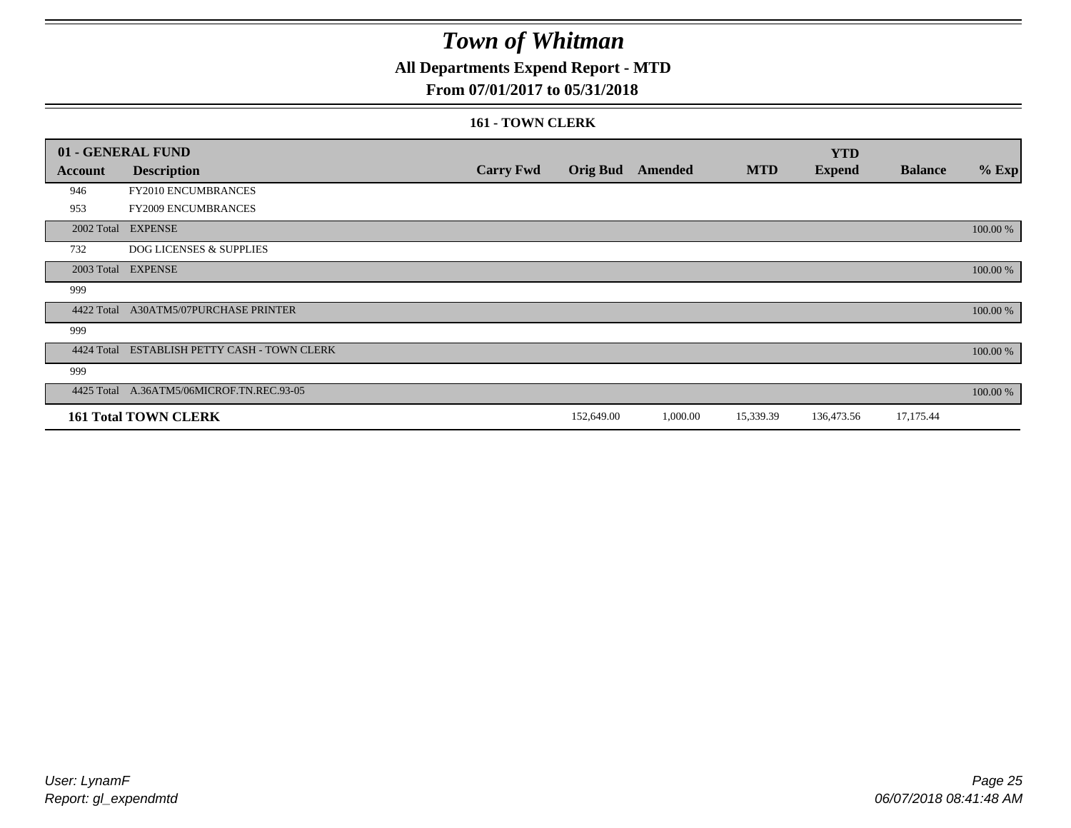### **All Departments Expend Report - MTD**

#### **From 07/01/2017 to 05/31/2018**

#### **161 - TOWN CLERK**

|            | 01 - GENERAL FUND                         |                  |                 |          |            | <b>YTD</b>    |                |          |
|------------|-------------------------------------------|------------------|-----------------|----------|------------|---------------|----------------|----------|
| Account    | <b>Description</b>                        | <b>Carry Fwd</b> | <b>Orig Bud</b> | Amended  | <b>MTD</b> | <b>Expend</b> | <b>Balance</b> | $%$ Exp  |
| 946        | FY2010 ENCUMBRANCES                       |                  |                 |          |            |               |                |          |
| 953        | FY2009 ENCUMBRANCES                       |                  |                 |          |            |               |                |          |
|            | 2002 Total EXPENSE                        |                  |                 |          |            |               |                | 100.00 % |
| 732        | <b>DOG LICENSES &amp; SUPPLIES</b>        |                  |                 |          |            |               |                |          |
|            | 2003 Total EXPENSE                        |                  |                 |          |            |               |                | 100.00 % |
| 999        |                                           |                  |                 |          |            |               |                |          |
| 4422 Total | A30ATM5/07PURCHASE PRINTER                |                  |                 |          |            |               |                | 100.00 % |
| 999        |                                           |                  |                 |          |            |               |                |          |
| 4424 Total | ESTABLISH PETTY CASH - TOWN CLERK         |                  |                 |          |            |               |                | 100.00 % |
| 999        |                                           |                  |                 |          |            |               |                |          |
|            | 4425 Total A.36ATM5/06MICROF.TN.REC.93-05 |                  |                 |          |            |               |                | 100.00 % |
|            | <b>161 Total TOWN CLERK</b>               |                  | 152,649.00      | 1,000.00 | 15,339.39  | 136,473.56    | 17,175.44      |          |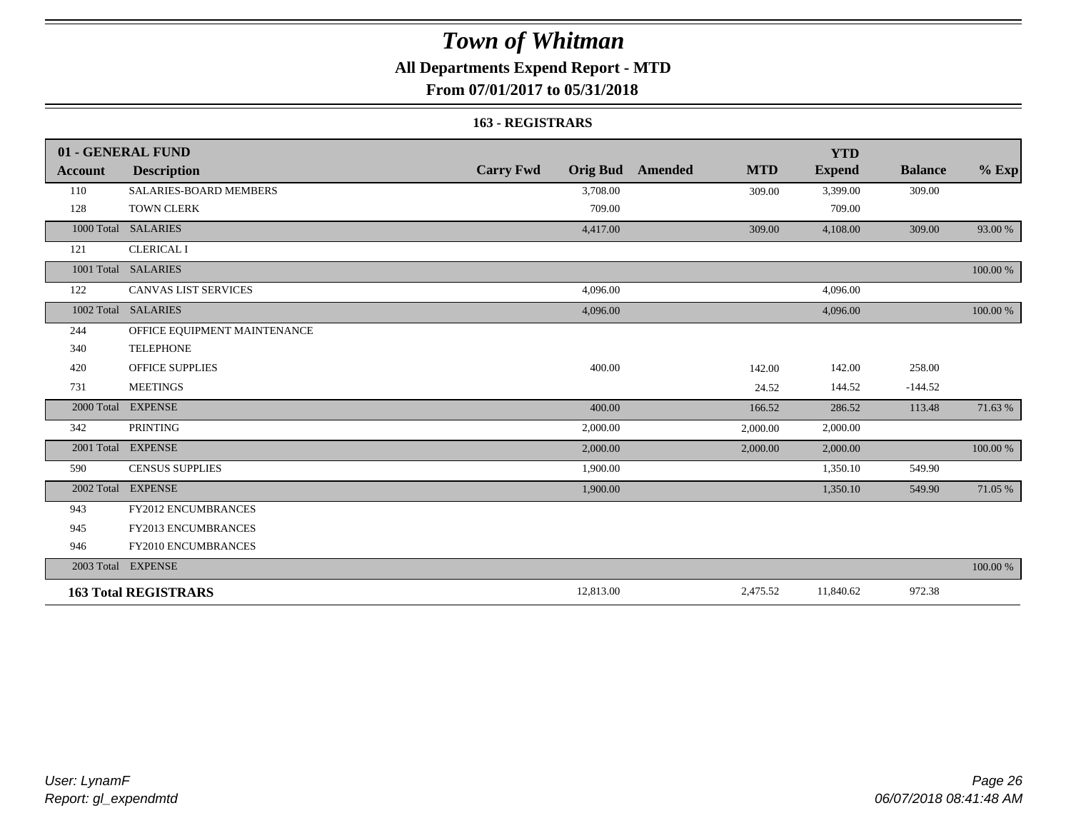### **All Departments Expend Report - MTD**

**From 07/01/2017 to 05/31/2018**

#### **163 - REGISTRARS**

|                | 01 - GENERAL FUND             |                                     |                       | <b>YTD</b>    |                |          |
|----------------|-------------------------------|-------------------------------------|-----------------------|---------------|----------------|----------|
| <b>Account</b> | <b>Description</b>            | <b>Carry Fwd</b><br><b>Orig Bud</b> | <b>MTD</b><br>Amended | <b>Expend</b> | <b>Balance</b> | $\%$ Exp |
| 110            | <b>SALARIES-BOARD MEMBERS</b> | 3,708.00                            | 309.00                | 3,399.00      | 309.00         |          |
| 128            | <b>TOWN CLERK</b>             | 709.00                              |                       | 709.00        |                |          |
| 1000 Total     | <b>SALARIES</b>               | 4,417.00                            | 309.00                | 4,108.00      | 309.00         | 93.00 %  |
| 121            | <b>CLERICAL I</b>             |                                     |                       |               |                |          |
|                | 1001 Total SALARIES           |                                     |                       |               |                | 100.00 % |
| 122            | <b>CANVAS LIST SERVICES</b>   | 4,096.00                            |                       | 4,096.00      |                |          |
|                | 1002 Total SALARIES           | 4,096.00                            |                       | 4,096.00      |                | 100.00 % |
| 244            | OFFICE EQUIPMENT MAINTENANCE  |                                     |                       |               |                |          |
| 340            | <b>TELEPHONE</b>              |                                     |                       |               |                |          |
| 420            | <b>OFFICE SUPPLIES</b>        | 400.00                              | 142.00                | 142.00        | 258.00         |          |
| 731            | <b>MEETINGS</b>               |                                     | 24.52                 | 144.52        | $-144.52$      |          |
| 2000 Total     | <b>EXPENSE</b>                | 400.00                              | 166.52                | 286.52        | 113.48         | 71.63 %  |
| 342            | <b>PRINTING</b>               | 2,000.00                            | 2,000.00              | 2,000.00      |                |          |
|                | 2001 Total EXPENSE            | 2,000.00                            | 2,000.00              | 2,000.00      |                | 100.00 % |
| 590            | <b>CENSUS SUPPLIES</b>        | 1,900.00                            |                       | 1,350.10      | 549.90         |          |
| 2002 Total     | <b>EXPENSE</b>                | 1,900.00                            |                       | 1,350.10      | 549.90         | 71.05 %  |
| 943            | FY2012 ENCUMBRANCES           |                                     |                       |               |                |          |
| 945            | <b>FY2013 ENCUMBRANCES</b>    |                                     |                       |               |                |          |
| 946            | FY2010 ENCUMBRANCES           |                                     |                       |               |                |          |
|                | 2003 Total EXPENSE            |                                     |                       |               |                | 100.00 % |
|                | <b>163 Total REGISTRARS</b>   | 12,813.00                           | 2,475.52              | 11,840.62     | 972.38         |          |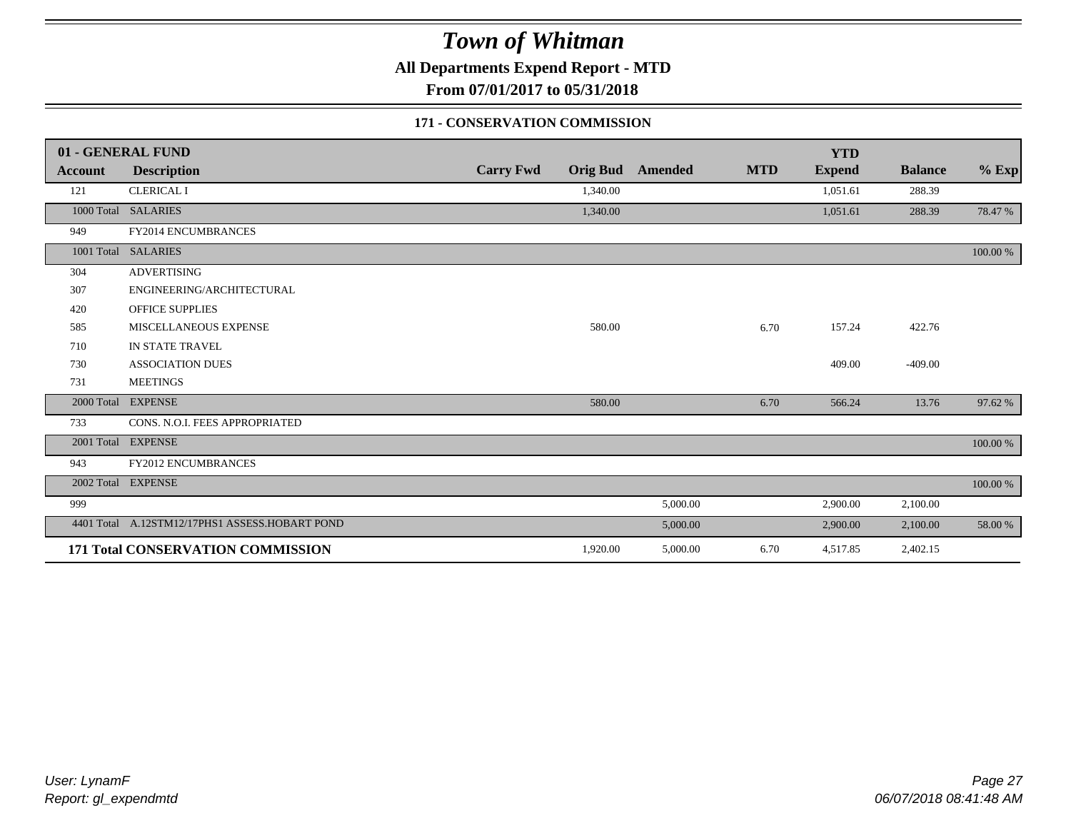**All Departments Expend Report - MTD**

**From 07/01/2017 to 05/31/2018**

#### **171 - CONSERVATION COMMISSION**

|                | 01 - GENERAL FUND                              |                  |                 |          |            | <b>YTD</b>    |                |          |
|----------------|------------------------------------------------|------------------|-----------------|----------|------------|---------------|----------------|----------|
| <b>Account</b> | <b>Description</b>                             | <b>Carry Fwd</b> | <b>Orig Bud</b> | Amended  | <b>MTD</b> | <b>Expend</b> | <b>Balance</b> | $%$ Exp  |
| 121            | <b>CLERICAL I</b>                              |                  | 1,340.00        |          |            | 1,051.61      | 288.39         |          |
|                | 1000 Total SALARIES                            |                  | 1,340.00        |          |            | 1,051.61      | 288.39         | 78.47 %  |
| 949            | FY2014 ENCUMBRANCES                            |                  |                 |          |            |               |                |          |
| 1001 Total     | <b>SALARIES</b>                                |                  |                 |          |            |               |                | 100.00 % |
| 304            | <b>ADVERTISING</b>                             |                  |                 |          |            |               |                |          |
| 307            | ENGINEERING/ARCHITECTURAL                      |                  |                 |          |            |               |                |          |
| 420            | <b>OFFICE SUPPLIES</b>                         |                  |                 |          |            |               |                |          |
| 585            | <b>MISCELLANEOUS EXPENSE</b>                   |                  | 580.00          |          | 6.70       | 157.24        | 422.76         |          |
| 710            | IN STATE TRAVEL                                |                  |                 |          |            |               |                |          |
| 730            | <b>ASSOCIATION DUES</b>                        |                  |                 |          |            | 409.00        | $-409.00$      |          |
| 731            | <b>MEETINGS</b>                                |                  |                 |          |            |               |                |          |
| 2000 Total     | <b>EXPENSE</b>                                 |                  | 580.00          |          | 6.70       | 566.24        | 13.76          | 97.62 %  |
| 733            | CONS. N.O.I. FEES APPROPRIATED                 |                  |                 |          |            |               |                |          |
| 2001 Total     | <b>EXPENSE</b>                                 |                  |                 |          |            |               |                | 100.00 % |
| 943            | <b>FY2012 ENCUMBRANCES</b>                     |                  |                 |          |            |               |                |          |
|                | 2002 Total EXPENSE                             |                  |                 |          |            |               |                | 100.00 % |
| 999            |                                                |                  |                 | 5,000.00 |            | 2,900.00      | 2,100.00       |          |
|                | 4401 Total A.12STM12/17PHS1 ASSESS.HOBART POND |                  |                 | 5,000.00 |            | 2,900.00      | 2,100.00       | 58.00 %  |
|                | 171 Total CONSERVATION COMMISSION              |                  | 1,920.00        | 5,000.00 | 6.70       | 4,517.85      | 2,402.15       |          |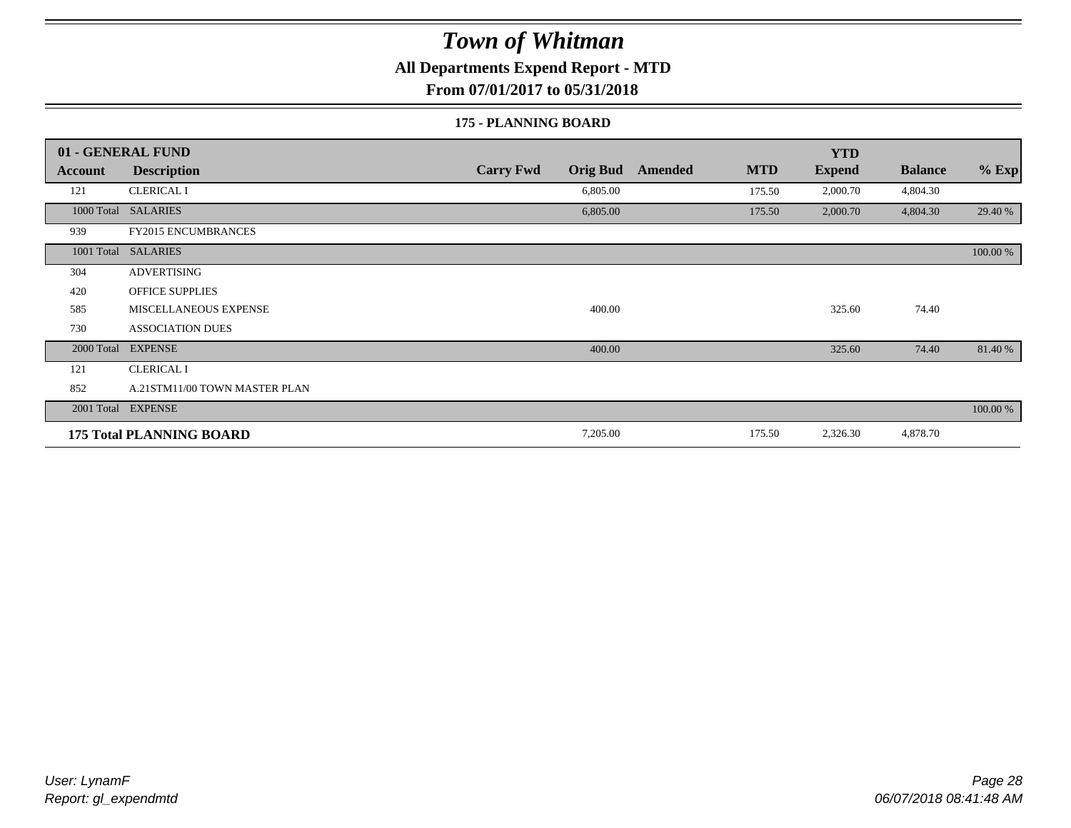**All Departments Expend Report - MTD**

**From 07/01/2017 to 05/31/2018**

#### **175 - PLANNING BOARD**

|                | 01 - GENERAL FUND               |                                     |                       | <b>YTD</b>    |                |          |
|----------------|---------------------------------|-------------------------------------|-----------------------|---------------|----------------|----------|
| <b>Account</b> | <b>Description</b>              | <b>Carry Fwd</b><br><b>Orig Bud</b> | <b>MTD</b><br>Amended | <b>Expend</b> | <b>Balance</b> | $%$ Exp  |
| 121            | <b>CLERICAL I</b>               | 6,805.00                            | 175.50                | 2,000.70      | 4,804.30       |          |
| 1000 Total     | <b>SALARIES</b>                 | 6,805.00                            | 175.50                | 2,000.70      | 4,804.30       | 29.40 %  |
| 939            | <b>FY2015 ENCUMBRANCES</b>      |                                     |                       |               |                |          |
| 1001 Total     | <b>SALARIES</b>                 |                                     |                       |               |                | 100.00 % |
| 304            | <b>ADVERTISING</b>              |                                     |                       |               |                |          |
| 420            | <b>OFFICE SUPPLIES</b>          |                                     |                       |               |                |          |
| 585            | MISCELLANEOUS EXPENSE           | 400.00                              |                       | 325.60        | 74.40          |          |
| 730            | <b>ASSOCIATION DUES</b>         |                                     |                       |               |                |          |
| 2000 Total     | <b>EXPENSE</b>                  | 400.00                              |                       | 325.60        | 74.40          | 81.40 %  |
| 121            | <b>CLERICAL I</b>               |                                     |                       |               |                |          |
| 852            | A.21STM11/00 TOWN MASTER PLAN   |                                     |                       |               |                |          |
|                | 2001 Total EXPENSE              |                                     |                       |               |                | 100.00 % |
|                | <b>175 Total PLANNING BOARD</b> | 7,205.00                            | 175.50                | 2,326.30      | 4,878.70       |          |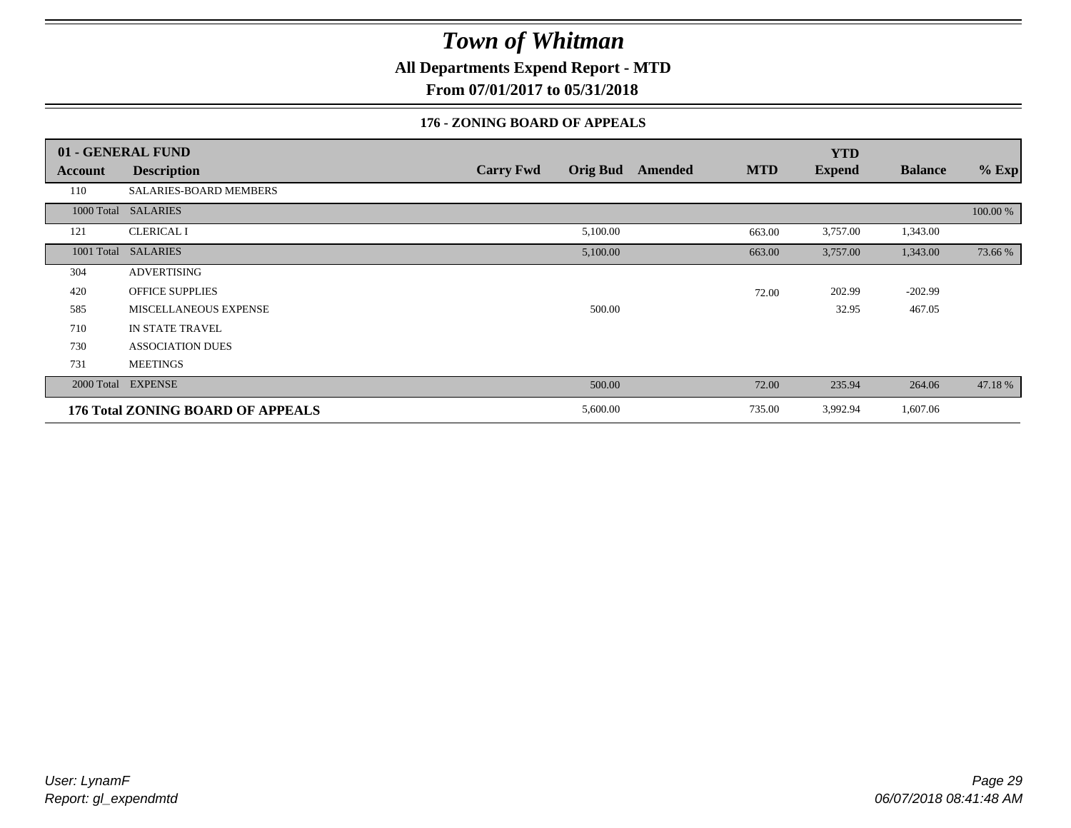**All Departments Expend Report - MTD**

**From 07/01/2017 to 05/31/2018**

#### **176 - ZONING BOARD OF APPEALS**

|            | 01 - GENERAL FUND                        |                                     |         |            | <b>YTD</b>    |                |          |
|------------|------------------------------------------|-------------------------------------|---------|------------|---------------|----------------|----------|
| Account    | <b>Description</b>                       | <b>Orig Bud</b><br><b>Carry Fwd</b> | Amended | <b>MTD</b> | <b>Expend</b> | <b>Balance</b> | $%$ Exp  |
| 110        | SALARIES-BOARD MEMBERS                   |                                     |         |            |               |                |          |
|            | 1000 Total SALARIES                      |                                     |         |            |               |                | 100.00 % |
| 121        | <b>CLERICAL I</b>                        | 5,100.00                            |         | 663.00     | 3,757.00      | 1,343.00       |          |
| 1001 Total | <b>SALARIES</b>                          | 5,100.00                            |         | 663.00     | 3,757.00      | 1,343.00       | 73.66 %  |
| 304        | ADVERTISING                              |                                     |         |            |               |                |          |
| 420        | <b>OFFICE SUPPLIES</b>                   |                                     |         | 72.00      | 202.99        | $-202.99$      |          |
| 585        | <b>MISCELLANEOUS EXPENSE</b>             | 500.00                              |         |            | 32.95         | 467.05         |          |
| 710        | IN STATE TRAVEL                          |                                     |         |            |               |                |          |
| 730        | <b>ASSOCIATION DUES</b>                  |                                     |         |            |               |                |          |
| 731        | <b>MEETINGS</b>                          |                                     |         |            |               |                |          |
|            | 2000 Total EXPENSE                       | 500.00                              |         | 72.00      | 235.94        | 264.06         | 47.18%   |
|            | <b>176 Total ZONING BOARD OF APPEALS</b> | 5,600.00                            |         | 735.00     | 3,992.94      | 1,607.06       |          |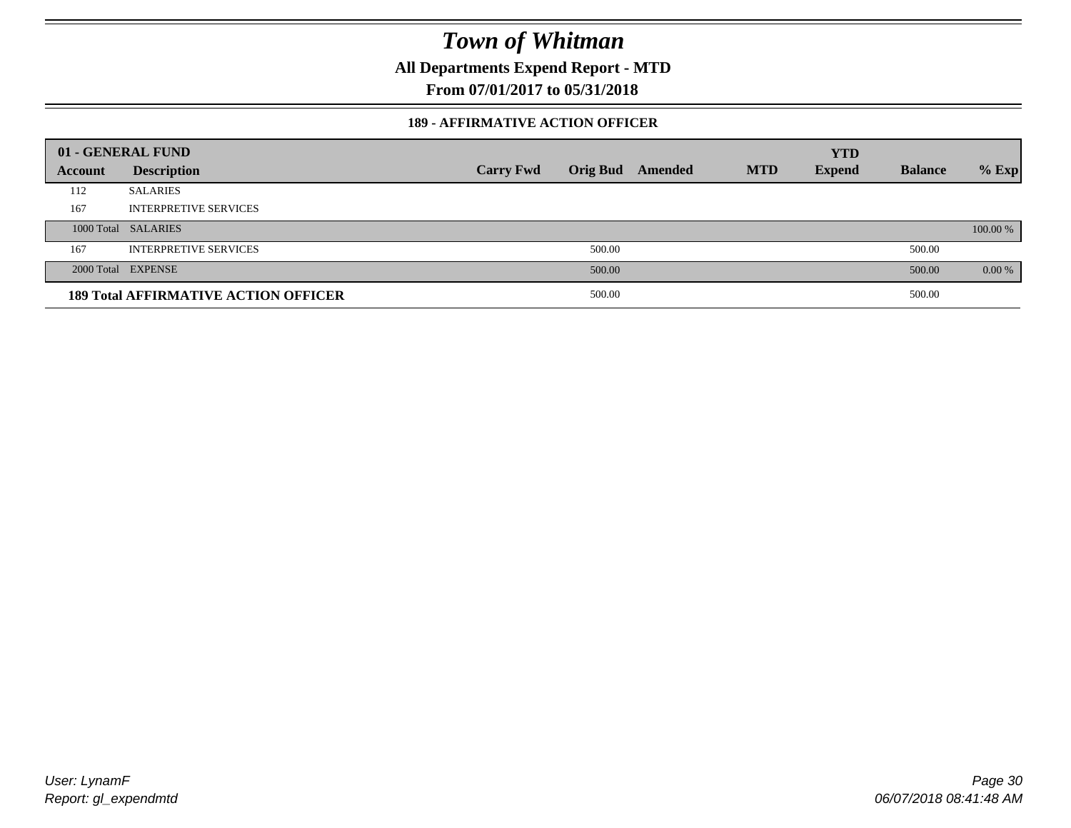**All Departments Expend Report - MTD**

**From 07/01/2017 to 05/31/2018**

#### **189 - AFFIRMATIVE ACTION OFFICER**

|         | 01 - GENERAL FUND                           |                  |        |                         |            | <b>YTD</b>    |                |          |
|---------|---------------------------------------------|------------------|--------|-------------------------|------------|---------------|----------------|----------|
| Account | <b>Description</b>                          | <b>Carry Fwd</b> |        | <b>Orig Bud</b> Amended | <b>MTD</b> | <b>Expend</b> | <b>Balance</b> | $%$ Exp  |
| 112     | <b>SALARIES</b>                             |                  |        |                         |            |               |                |          |
| 167     | <b>INTERPRETIVE SERVICES</b>                |                  |        |                         |            |               |                |          |
|         | 1000 Total SALARIES                         |                  |        |                         |            |               |                | 100.00 % |
| 167     | <b>INTERPRETIVE SERVICES</b>                |                  | 500.00 |                         |            |               | 500.00         |          |
|         | 2000 Total EXPENSE                          |                  | 500.00 |                         |            |               | 500.00         | $0.00\%$ |
|         | <b>189 Total AFFIRMATIVE ACTION OFFICER</b> |                  | 500.00 |                         |            |               | 500.00         |          |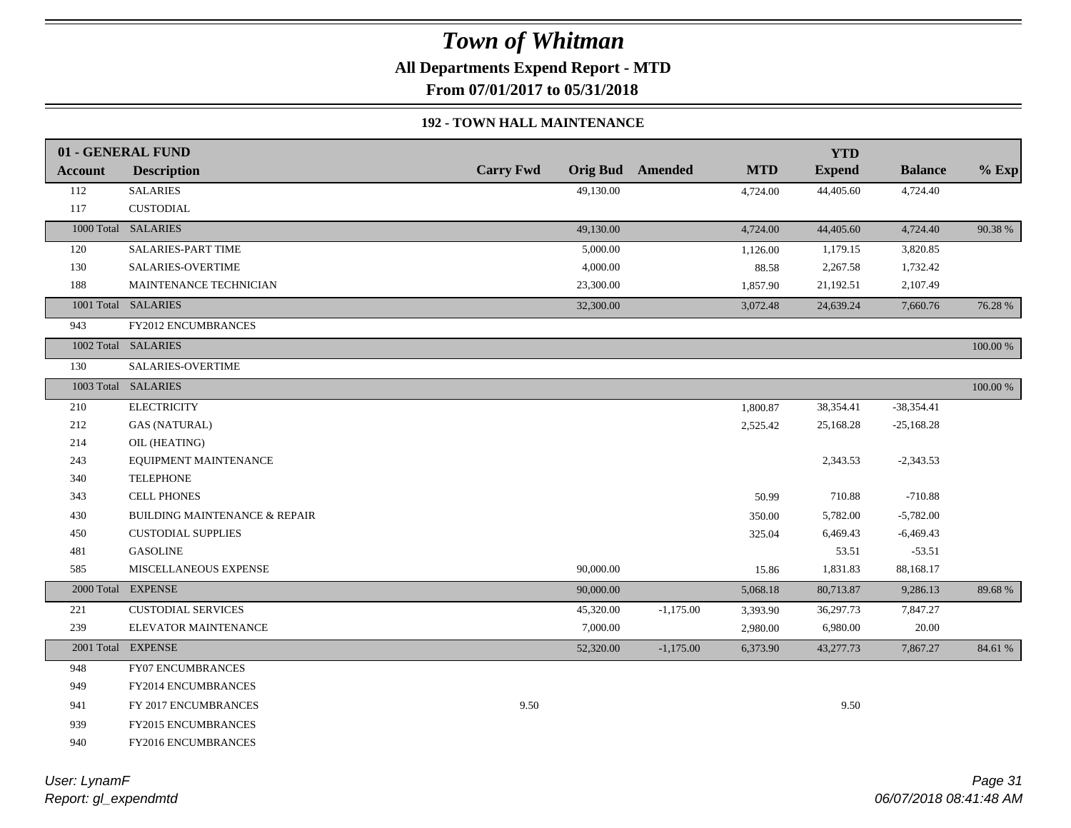**All Departments Expend Report - MTD**

**From 07/01/2017 to 05/31/2018**

#### **192 - TOWN HALL MAINTENANCE**

|                | 01 - GENERAL FUND                        |                  |           |                         |            | <b>YTD</b>    |                |             |
|----------------|------------------------------------------|------------------|-----------|-------------------------|------------|---------------|----------------|-------------|
| <b>Account</b> | <b>Description</b>                       | <b>Carry Fwd</b> |           | <b>Orig Bud</b> Amended | <b>MTD</b> | <b>Expend</b> | <b>Balance</b> | $%$ Exp     |
| 112            | <b>SALARIES</b>                          |                  | 49,130.00 |                         | 4,724.00   | 44,405.60     | 4,724.40       |             |
| 117            | <b>CUSTODIAL</b>                         |                  |           |                         |            |               |                |             |
|                | 1000 Total SALARIES                      |                  | 49,130.00 |                         | 4,724.00   | 44,405.60     | 4,724.40       | 90.38%      |
| 120            | SALARIES-PART TIME                       |                  | 5,000.00  |                         | 1,126.00   | 1,179.15      | 3,820.85       |             |
| 130            | <b>SALARIES-OVERTIME</b>                 |                  | 4,000.00  |                         | 88.58      | 2,267.58      | 1,732.42       |             |
| 188            | MAINTENANCE TECHNICIAN                   |                  | 23,300.00 |                         | 1,857.90   | 21,192.51     | 2,107.49       |             |
|                | 1001 Total SALARIES                      |                  | 32,300.00 |                         | 3,072.48   | 24,639.24     | 7,660.76       | 76.28 %     |
| 943            | <b>FY2012 ENCUMBRANCES</b>               |                  |           |                         |            |               |                |             |
|                | 1002 Total SALARIES                      |                  |           |                         |            |               |                | 100.00 %    |
| 130            | SALARIES-OVERTIME                        |                  |           |                         |            |               |                |             |
|                | 1003 Total SALARIES                      |                  |           |                         |            |               |                | $100.00~\%$ |
| 210            | <b>ELECTRICITY</b>                       |                  |           |                         | 1,800.87   | 38,354.41     | $-38,354.41$   |             |
| 212            | <b>GAS (NATURAL)</b>                     |                  |           |                         | 2,525.42   | 25,168.28     | $-25,168.28$   |             |
| 214            | OIL (HEATING)                            |                  |           |                         |            |               |                |             |
| 243            | EQUIPMENT MAINTENANCE                    |                  |           |                         |            | 2,343.53      | $-2,343.53$    |             |
| 340            | <b>TELEPHONE</b>                         |                  |           |                         |            |               |                |             |
| 343            | <b>CELL PHONES</b>                       |                  |           |                         | 50.99      | 710.88        | $-710.88$      |             |
| 430            | <b>BUILDING MAINTENANCE &amp; REPAIR</b> |                  |           |                         | 350.00     | 5,782.00      | $-5,782.00$    |             |
| 450            | <b>CUSTODIAL SUPPLIES</b>                |                  |           |                         | 325.04     | 6,469.43      | $-6,469.43$    |             |
| 481            | <b>GASOLINE</b>                          |                  |           |                         |            | 53.51         | $-53.51$       |             |
| 585            | MISCELLANEOUS EXPENSE                    |                  | 90,000.00 |                         | 15.86      | 1,831.83      | 88,168.17      |             |
|                | 2000 Total EXPENSE                       |                  | 90,000.00 |                         | 5,068.18   | 80,713.87     | 9,286.13       | 89.68%      |
| 221            | <b>CUSTODIAL SERVICES</b>                |                  | 45,320.00 | $-1,175.00$             | 3,393.90   | 36,297.73     | 7,847.27       |             |
| 239            | ELEVATOR MAINTENANCE                     |                  | 7,000.00  |                         | 2,980.00   | 6,980.00      | 20.00          |             |
|                | 2001 Total EXPENSE                       |                  | 52,320.00 | $-1,175.00$             | 6,373.90   | 43,277.73     | 7,867.27       | 84.61 %     |
| 948            | FY07 ENCUMBRANCES                        |                  |           |                         |            |               |                |             |
| 949            | FY2014 ENCUMBRANCES                      |                  |           |                         |            |               |                |             |
| 941            | FY 2017 ENCUMBRANCES                     | 9.50             |           |                         |            | 9.50          |                |             |
| 939            | <b>FY2015 ENCUMBRANCES</b>               |                  |           |                         |            |               |                |             |
| 940            | FY2016 ENCUMBRANCES                      |                  |           |                         |            |               |                |             |
|                |                                          |                  |           |                         |            |               |                |             |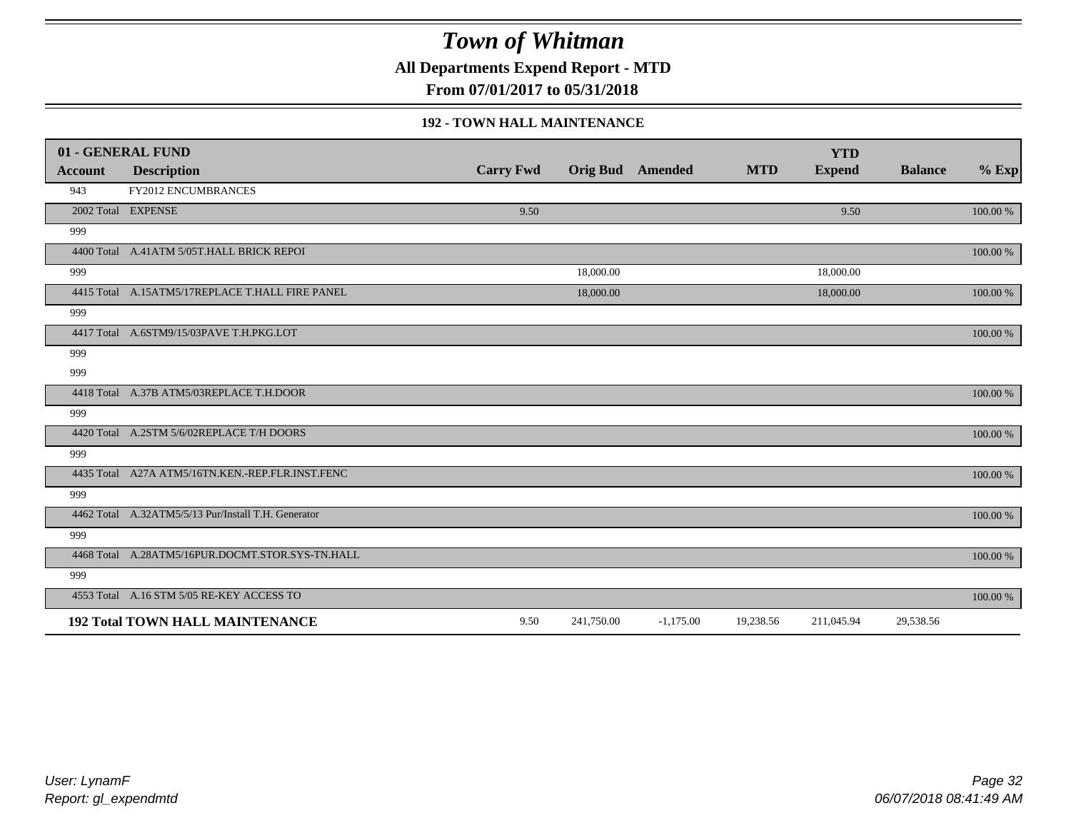**All Departments Expend Report - MTD**

**From 07/01/2017 to 05/31/2018**

#### **192 - TOWN HALL MAINTENANCE**

|         | 01 - GENERAL FUND                                   |                  |            |                         |            | <b>YTD</b>    |                |          |
|---------|-----------------------------------------------------|------------------|------------|-------------------------|------------|---------------|----------------|----------|
| Account | <b>Description</b>                                  | <b>Carry Fwd</b> |            | <b>Orig Bud</b> Amended | <b>MTD</b> | <b>Expend</b> | <b>Balance</b> | $%$ Exp  |
| 943     | <b>FY2012 ENCUMBRANCES</b>                          |                  |            |                         |            |               |                |          |
|         | 2002 Total EXPENSE                                  | 9.50             |            |                         |            | 9.50          |                | 100.00 % |
| 999     |                                                     |                  |            |                         |            |               |                |          |
|         | 4400 Total A.41ATM 5/05T.HALL BRICK REPOI           |                  |            |                         |            |               |                | 100.00 % |
| 999     |                                                     |                  | 18,000.00  |                         |            | 18,000.00     |                |          |
|         | 4415 Total A.15ATM5/17REPLACE T.HALL FIRE PANEL     |                  | 18,000.00  |                         |            | 18,000.00     |                | 100.00 % |
| 999     |                                                     |                  |            |                         |            |               |                |          |
|         | 4417 Total A.6STM9/15/03PAVE T.H.PKG.LOT            |                  |            |                         |            |               |                | 100.00 % |
| 999     |                                                     |                  |            |                         |            |               |                |          |
| 999     |                                                     |                  |            |                         |            |               |                |          |
|         | 4418 Total A.37B ATM5/03REPLACE T.H.DOOR            |                  |            |                         |            |               |                | 100.00 % |
| 999     |                                                     |                  |            |                         |            |               |                |          |
|         | 4420 Total A.2STM 5/6/02REPLACE T/H DOORS           |                  |            |                         |            |               |                | 100.00 % |
| 999     |                                                     |                  |            |                         |            |               |                |          |
|         | 4435 Total A27A ATM5/16TN.KEN.-REP.FLR.INST.FENC    |                  |            |                         |            |               |                | 100.00 % |
| 999     |                                                     |                  |            |                         |            |               |                |          |
|         | 4462 Total A.32ATM5/5/13 Pur/Install T.H. Generator |                  |            |                         |            |               |                | 100.00 % |
| 999     |                                                     |                  |            |                         |            |               |                |          |
|         | 4468 Total A.28ATM5/16PUR.DOCMT.STOR.SYS-TN.HALL    |                  |            |                         |            |               |                | 100.00 % |
| 999     |                                                     |                  |            |                         |            |               |                |          |
|         | 4553 Total A.16 STM 5/05 RE-KEY ACCESS TO           |                  |            |                         |            |               |                | 100.00 % |
|         | <b>192 Total TOWN HALL MAINTENANCE</b>              | 9.50             | 241,750.00 | $-1,175.00$             | 19,238.56  | 211,045.94    | 29,538.56      |          |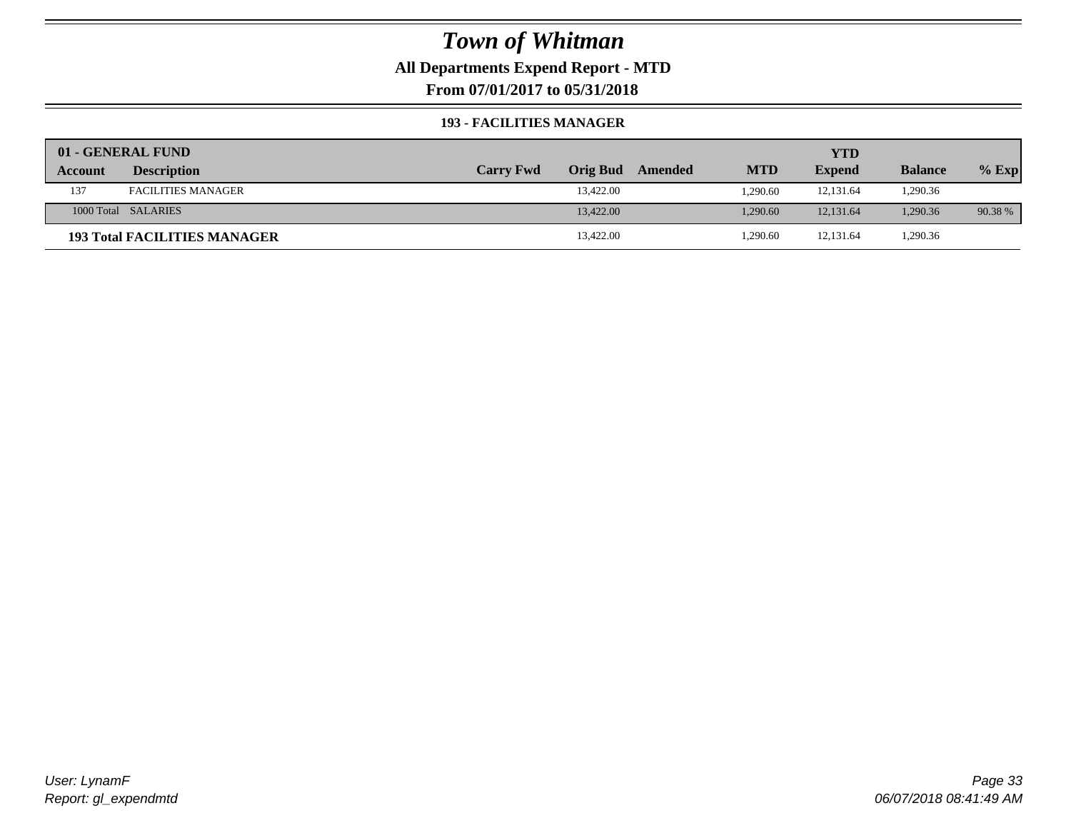**All Departments Expend Report - MTD**

**From 07/01/2017 to 05/31/2018**

#### **193 - FACILITIES MANAGER**

|         | 01 - GENERAL FUND                   |                  |                 |         |            | YTD           |                |         |
|---------|-------------------------------------|------------------|-----------------|---------|------------|---------------|----------------|---------|
| Account | <b>Description</b>                  | <b>Carry Fwd</b> | <b>Orig Bud</b> | Amended | <b>MTD</b> | <b>Expend</b> | <b>Balance</b> | $%$ Exp |
| 137     | <b>FACILITIES MANAGER</b>           |                  | 13,422.00       |         | 1,290.60   | 12,131.64     | 1,290.36       |         |
|         | 1000 Total SALARIES                 |                  | 13,422.00       |         | 1.290.60   | 12.131.64     | 1,290.36       | 90.38 % |
|         | <b>193 Total FACILITIES MANAGER</b> |                  | 13,422.00       |         | .290.60    | 12,131.64     | 1,290.36       |         |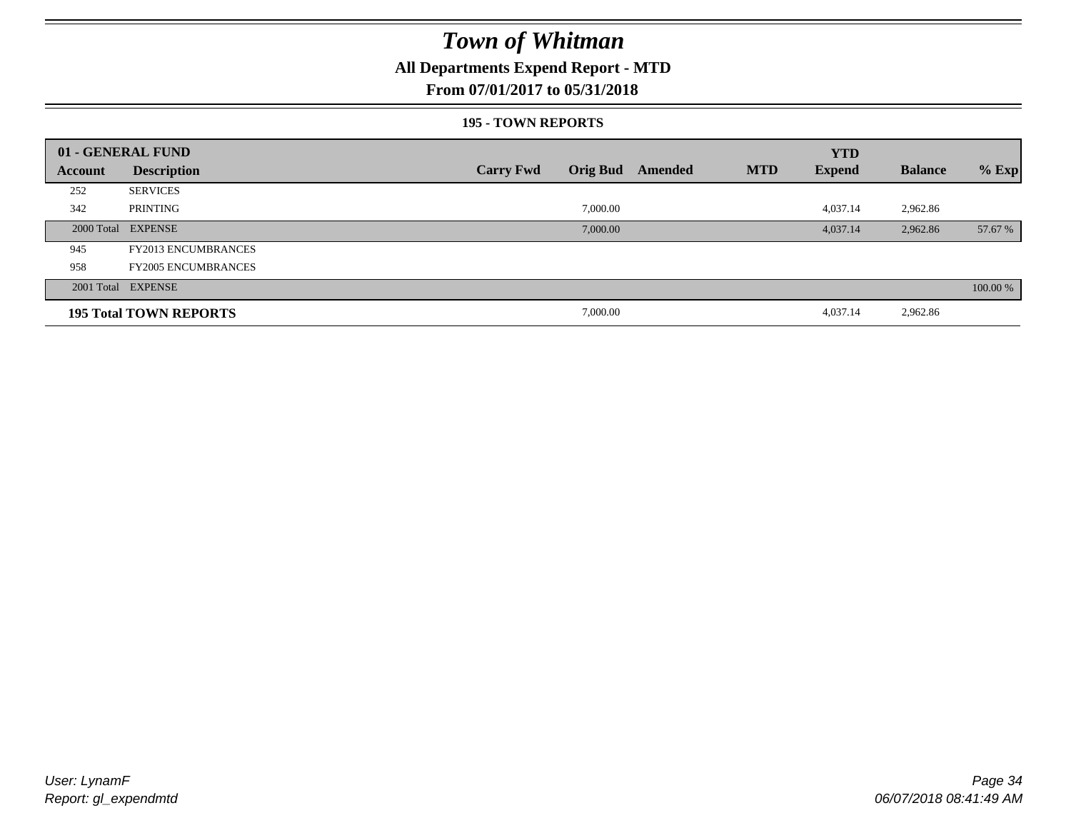#### **All Departments Expend Report - MTD**

#### **From 07/01/2017 to 05/31/2018**

#### **195 - TOWN REPORTS**

|         | 01 - GENERAL FUND             |                                     |         |            | <b>YTD</b>    |                |          |
|---------|-------------------------------|-------------------------------------|---------|------------|---------------|----------------|----------|
| Account | <b>Description</b>            | <b>Orig Bud</b><br><b>Carry Fwd</b> | Amended | <b>MTD</b> | <b>Expend</b> | <b>Balance</b> | $%$ Exp  |
| 252     | <b>SERVICES</b>               |                                     |         |            |               |                |          |
| 342     | PRINTING                      | 7,000.00                            |         |            | 4,037.14      | 2,962.86       |          |
|         | 2000 Total EXPENSE            | 7,000.00                            |         |            | 4,037.14      | 2,962.86       | 57.67 %  |
| 945     | <b>FY2013 ENCUMBRANCES</b>    |                                     |         |            |               |                |          |
| 958     | <b>FY2005 ENCUMBRANCES</b>    |                                     |         |            |               |                |          |
|         | 2001 Total EXPENSE            |                                     |         |            |               |                | 100.00 % |
|         | <b>195 Total TOWN REPORTS</b> | 7,000.00                            |         |            | 4,037.14      | 2,962.86       |          |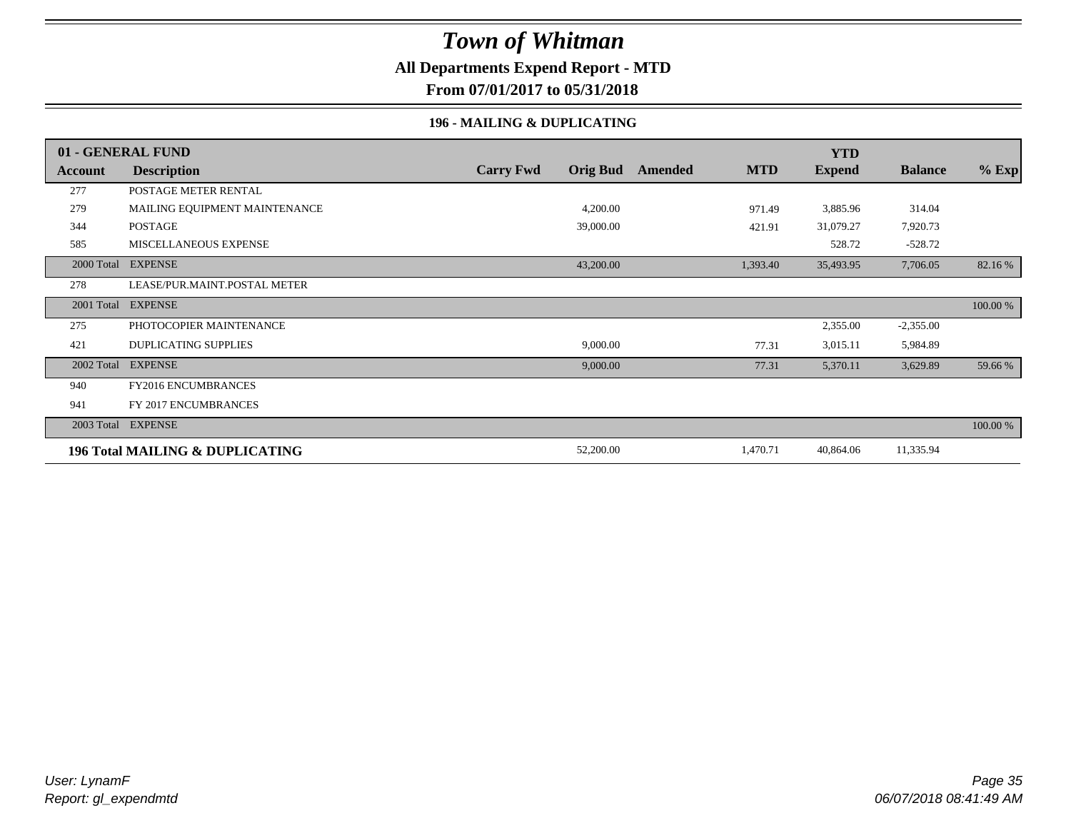#### **All Departments Expend Report - MTD**

**From 07/01/2017 to 05/31/2018**

#### **196 - MAILING & DUPLICATING**

|            | 01 - GENERAL FUND                          |                  |                 |         |            | <b>YTD</b>    |                |          |
|------------|--------------------------------------------|------------------|-----------------|---------|------------|---------------|----------------|----------|
| Account    | <b>Description</b>                         | <b>Carry Fwd</b> | <b>Orig Bud</b> | Amended | <b>MTD</b> | <b>Expend</b> | <b>Balance</b> | $%$ Exp  |
| 277        | POSTAGE METER RENTAL                       |                  |                 |         |            |               |                |          |
| 279        | MAILING EQUIPMENT MAINTENANCE              |                  | 4,200.00        |         | 971.49     | 3,885.96      | 314.04         |          |
| 344        | POSTAGE                                    |                  | 39,000.00       |         | 421.91     | 31,079.27     | 7,920.73       |          |
| 585        | <b>MISCELLANEOUS EXPENSE</b>               |                  |                 |         |            | 528.72        | $-528.72$      |          |
| 2000 Total | <b>EXPENSE</b>                             |                  | 43,200.00       |         | 1,393.40   | 35,493.95     | 7,706.05       | 82.16 %  |
| 278        | LEASE/PUR.MAINT.POSTAL METER               |                  |                 |         |            |               |                |          |
| 2001 Total | <b>EXPENSE</b>                             |                  |                 |         |            |               |                | 100.00 % |
| 275        | PHOTOCOPIER MAINTENANCE                    |                  |                 |         |            | 2,355.00      | $-2,355.00$    |          |
| 421        | <b>DUPLICATING SUPPLIES</b>                |                  | 9,000.00        |         | 77.31      | 3,015.11      | 5,984.89       |          |
| 2002 Total | <b>EXPENSE</b>                             |                  | 9,000.00        |         | 77.31      | 5,370.11      | 3,629.89       | 59.66 %  |
| 940        | <b>FY2016 ENCUMBRANCES</b>                 |                  |                 |         |            |               |                |          |
| 941        | FY 2017 ENCUMBRANCES                       |                  |                 |         |            |               |                |          |
|            | 2003 Total EXPENSE                         |                  |                 |         |            |               |                | 100.00 % |
|            | <b>196 Total MAILING &amp; DUPLICATING</b> |                  | 52,200.00       |         | 1,470.71   | 40,864.06     | 11,335.94      |          |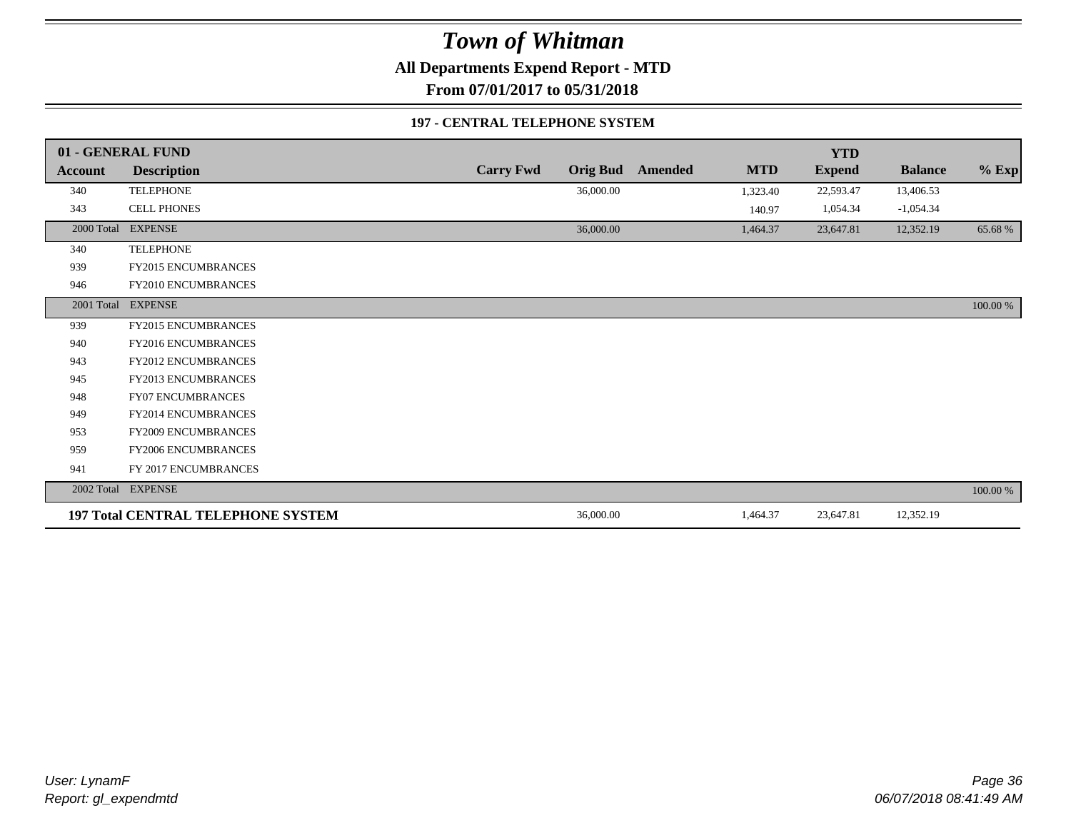**All Departments Expend Report - MTD**

**From 07/01/2017 to 05/31/2018**

#### **197 - CENTRAL TELEPHONE SYSTEM**

|            | 01 - GENERAL FUND                         |                  |                 |         |            | <b>YTD</b>    |                |          |
|------------|-------------------------------------------|------------------|-----------------|---------|------------|---------------|----------------|----------|
| Account    | <b>Description</b>                        | <b>Carry Fwd</b> | <b>Orig Bud</b> | Amended | <b>MTD</b> | <b>Expend</b> | <b>Balance</b> | $%$ Exp  |
| 340        | <b>TELEPHONE</b>                          |                  | 36,000.00       |         | 1,323.40   | 22,593.47     | 13,406.53      |          |
| 343        | <b>CELL PHONES</b>                        |                  |                 |         | 140.97     | 1,054.34      | $-1,054.34$    |          |
| 2000 Total | <b>EXPENSE</b>                            |                  | 36,000.00       |         | 1,464.37   | 23,647.81     | 12,352.19      | 65.68%   |
| 340        | <b>TELEPHONE</b>                          |                  |                 |         |            |               |                |          |
| 939        | FY2015 ENCUMBRANCES                       |                  |                 |         |            |               |                |          |
| 946        | FY2010 ENCUMBRANCES                       |                  |                 |         |            |               |                |          |
| 2001 Total | <b>EXPENSE</b>                            |                  |                 |         |            |               |                | 100.00 % |
| 939        | <b>FY2015 ENCUMBRANCES</b>                |                  |                 |         |            |               |                |          |
| 940        | FY2016 ENCUMBRANCES                       |                  |                 |         |            |               |                |          |
| 943        | <b>FY2012 ENCUMBRANCES</b>                |                  |                 |         |            |               |                |          |
| 945        | FY2013 ENCUMBRANCES                       |                  |                 |         |            |               |                |          |
| 948        | <b>FY07 ENCUMBRANCES</b>                  |                  |                 |         |            |               |                |          |
| 949        | FY2014 ENCUMBRANCES                       |                  |                 |         |            |               |                |          |
| 953        | FY2009 ENCUMBRANCES                       |                  |                 |         |            |               |                |          |
| 959        | <b>FY2006 ENCUMBRANCES</b>                |                  |                 |         |            |               |                |          |
| 941        | FY 2017 ENCUMBRANCES                      |                  |                 |         |            |               |                |          |
| 2002 Total | <b>EXPENSE</b>                            |                  |                 |         |            |               |                | 100.00 % |
|            | <b>197 Total CENTRAL TELEPHONE SYSTEM</b> |                  | 36,000.00       |         | 1,464.37   | 23,647.81     | 12,352.19      |          |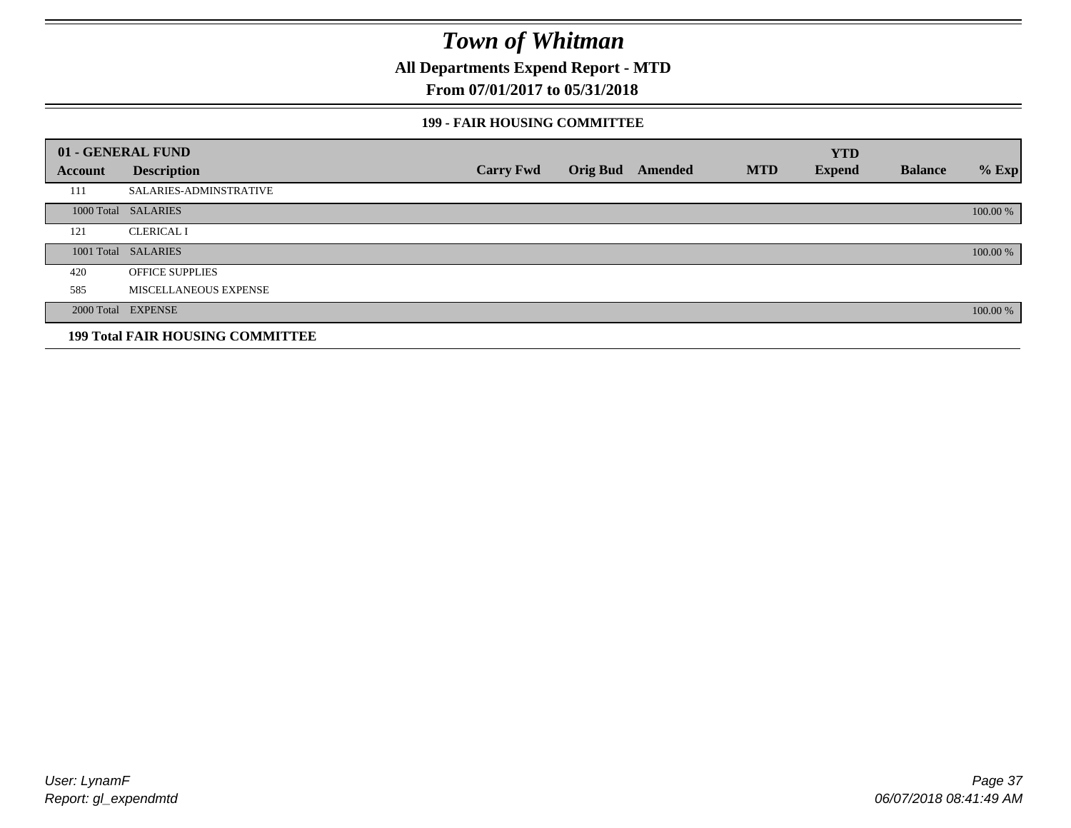**All Departments Expend Report - MTD**

### **From 07/01/2017 to 05/31/2018**

### **199 - FAIR HOUSING COMMITTEE**

|         | 01 - GENERAL FUND                       |                  |                         |            | <b>YTD</b>    |                |          |
|---------|-----------------------------------------|------------------|-------------------------|------------|---------------|----------------|----------|
| Account | <b>Description</b>                      | <b>Carry Fwd</b> | <b>Orig Bud</b> Amended | <b>MTD</b> | <b>Expend</b> | <b>Balance</b> | $%$ Exp  |
| 111     | <b>SALARIES-ADMINSTRATIVE</b>           |                  |                         |            |               |                |          |
|         | 1000 Total SALARIES                     |                  |                         |            |               |                | 100.00 % |
| 121     | <b>CLERICAL I</b>                       |                  |                         |            |               |                |          |
|         | 1001 Total SALARIES                     |                  |                         |            |               |                | 100.00 % |
| 420     | <b>OFFICE SUPPLIES</b>                  |                  |                         |            |               |                |          |
| 585     | MISCELLANEOUS EXPENSE                   |                  |                         |            |               |                |          |
|         | 2000 Total EXPENSE                      |                  |                         |            |               |                | 100.00 % |
|         | <b>199 Total FAIR HOUSING COMMITTEE</b> |                  |                         |            |               |                |          |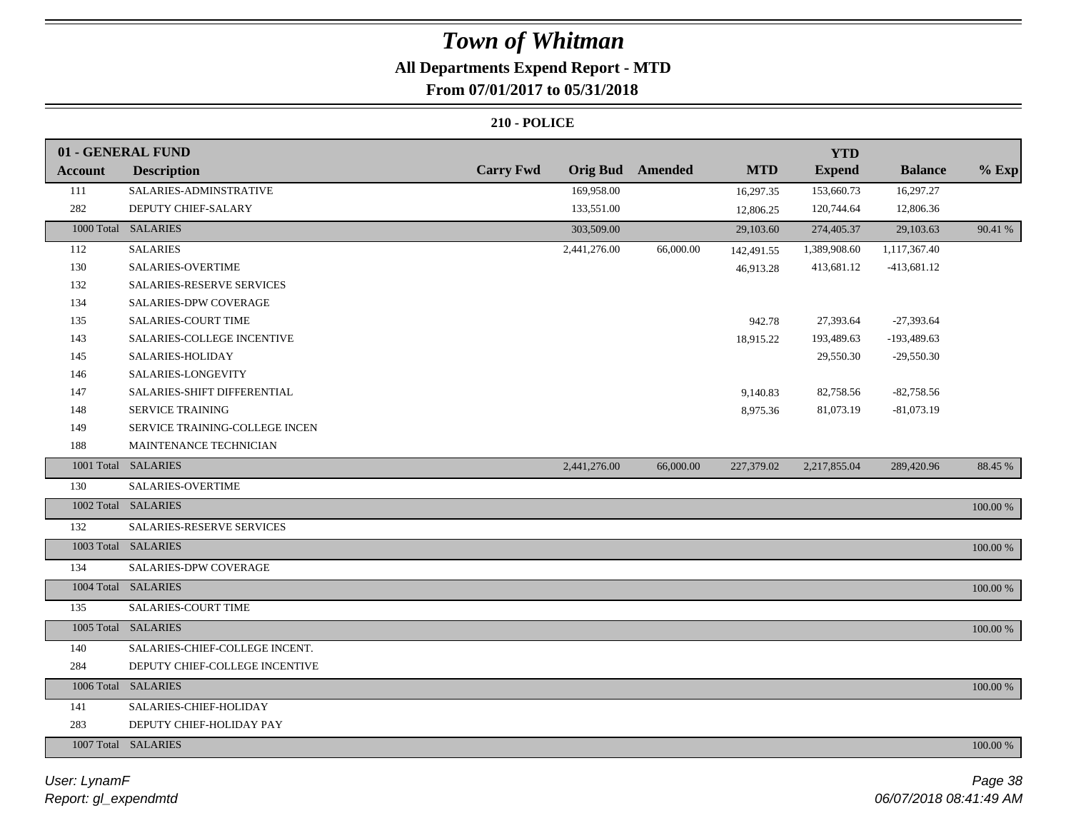# **All Departments Expend Report - MTD**

# **From 07/01/2017 to 05/31/2018**

|                | 01 - GENERAL FUND                |                  |                 |                |            | <b>YTD</b>    |                |             |
|----------------|----------------------------------|------------------|-----------------|----------------|------------|---------------|----------------|-------------|
| <b>Account</b> | <b>Description</b>               | <b>Carry Fwd</b> | <b>Orig Bud</b> | <b>Amended</b> | <b>MTD</b> | <b>Expend</b> | <b>Balance</b> | $%$ Exp     |
| 111            | SALARIES-ADMINSTRATIVE           |                  | 169,958.00      |                | 16,297.35  | 153,660.73    | 16,297.27      |             |
| 282            | DEPUTY CHIEF-SALARY              |                  | 133,551.00      |                | 12,806.25  | 120,744.64    | 12,806.36      |             |
|                | 1000 Total SALARIES              |                  | 303,509.00      |                | 29,103.60  | 274,405.37    | 29,103.63      | 90.41 %     |
| 112            | <b>SALARIES</b>                  |                  | 2,441,276.00    | 66,000.00      | 142,491.55 | 1,389,908.60  | 1,117,367.40   |             |
| 130            | SALARIES-OVERTIME                |                  |                 |                | 46,913.28  | 413,681.12    | $-413,681.12$  |             |
| 132            | <b>SALARIES-RESERVE SERVICES</b> |                  |                 |                |            |               |                |             |
| 134            | <b>SALARIES-DPW COVERAGE</b>     |                  |                 |                |            |               |                |             |
| 135            | <b>SALARIES-COURT TIME</b>       |                  |                 |                | 942.78     | 27,393.64     | $-27,393.64$   |             |
| 143            | SALARIES-COLLEGE INCENTIVE       |                  |                 |                | 18,915.22  | 193,489.63    | $-193,489.63$  |             |
| 145            | SALARIES-HOLIDAY                 |                  |                 |                |            | 29,550.30     | $-29,550.30$   |             |
| 146            | SALARIES-LONGEVITY               |                  |                 |                |            |               |                |             |
| 147            | SALARIES-SHIFT DIFFERENTIAL      |                  |                 |                | 9,140.83   | 82,758.56     | $-82,758.56$   |             |
| 148            | SERVICE TRAINING                 |                  |                 |                | 8,975.36   | 81,073.19     | $-81,073.19$   |             |
| 149            | SERVICE TRAINING-COLLEGE INCEN   |                  |                 |                |            |               |                |             |
| 188            | MAINTENANCE TECHNICIAN           |                  |                 |                |            |               |                |             |
|                | 1001 Total SALARIES              |                  | 2,441,276.00    | 66,000.00      | 227,379.02 | 2,217,855.04  | 289,420.96     | 88.45 %     |
| 130            | SALARIES-OVERTIME                |                  |                 |                |            |               |                |             |
|                | 1002 Total SALARIES              |                  |                 |                |            |               |                | $100.00~\%$ |
| 132            | SALARIES-RESERVE SERVICES        |                  |                 |                |            |               |                |             |
|                | 1003 Total SALARIES              |                  |                 |                |            |               |                | $100.00~\%$ |
| 134            | SALARIES-DPW COVERAGE            |                  |                 |                |            |               |                |             |
|                | 1004 Total SALARIES              |                  |                 |                |            |               |                | 100.00 %    |
| 135            | SALARIES-COURT TIME              |                  |                 |                |            |               |                |             |
|                | 1005 Total SALARIES              |                  |                 |                |            |               |                | 100.00 %    |
| 140            | SALARIES-CHIEF-COLLEGE INCENT.   |                  |                 |                |            |               |                |             |
| 284            | DEPUTY CHIEF-COLLEGE INCENTIVE   |                  |                 |                |            |               |                |             |
|                | 1006 Total SALARIES              |                  |                 |                |            |               |                | 100.00 %    |
| 141            | SALARIES-CHIEF-HOLIDAY           |                  |                 |                |            |               |                |             |
| 283            | DEPUTY CHIEF-HOLIDAY PAY         |                  |                 |                |            |               |                |             |
|                | 1007 Total SALARIES              |                  |                 |                |            |               |                | 100.00 %    |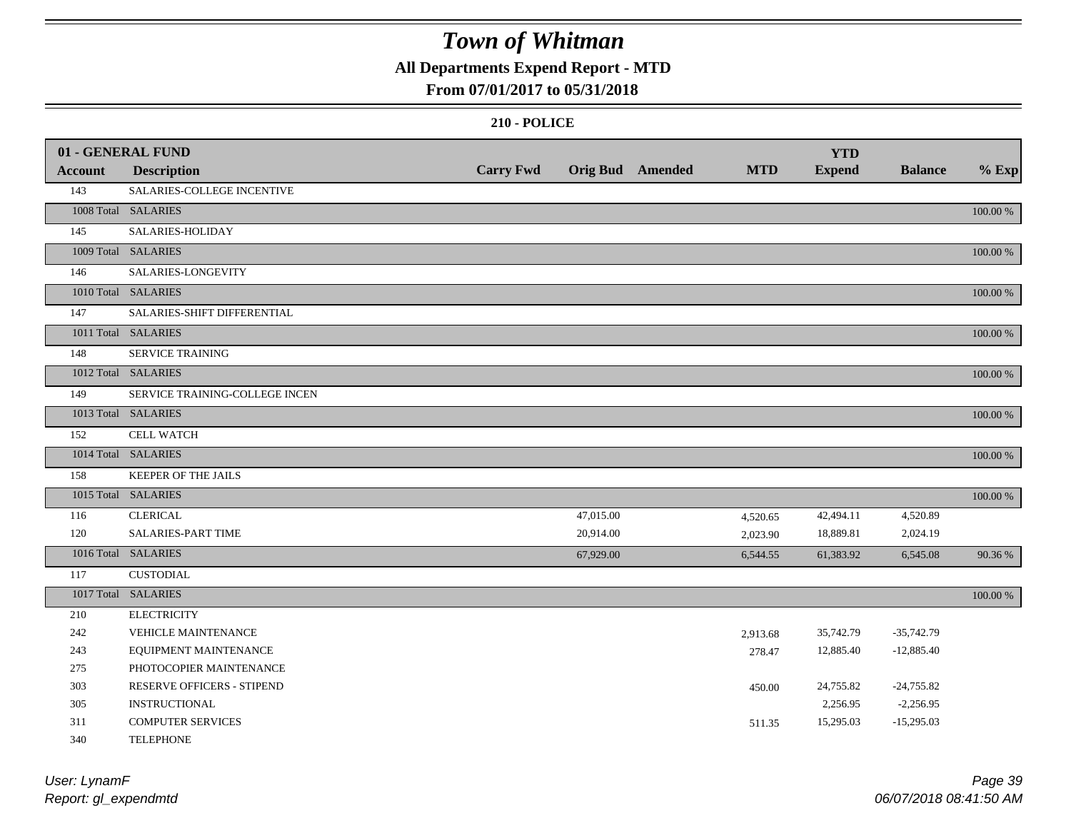### **All Departments Expend Report - MTD**

### **From 07/01/2017 to 05/31/2018**

|                | 01 - GENERAL FUND              |                  |           |                         |            | <b>YTD</b>    |                |          |
|----------------|--------------------------------|------------------|-----------|-------------------------|------------|---------------|----------------|----------|
| <b>Account</b> | <b>Description</b>             | <b>Carry Fwd</b> |           | <b>Orig Bud</b> Amended | <b>MTD</b> | <b>Expend</b> | <b>Balance</b> | $%$ Exp  |
| 143            | SALARIES-COLLEGE INCENTIVE     |                  |           |                         |            |               |                |          |
|                | 1008 Total SALARIES            |                  |           |                         |            |               |                | 100.00 % |
| 145            | SALARIES-HOLIDAY               |                  |           |                         |            |               |                |          |
|                | 1009 Total SALARIES            |                  |           |                         |            |               |                | 100.00 % |
| 146            | SALARIES-LONGEVITY             |                  |           |                         |            |               |                |          |
|                | 1010 Total SALARIES            |                  |           |                         |            |               |                | 100.00 % |
| 147            | SALARIES-SHIFT DIFFERENTIAL    |                  |           |                         |            |               |                |          |
|                | 1011 Total SALARIES            |                  |           |                         |            |               |                | 100.00 % |
| 148            | SERVICE TRAINING               |                  |           |                         |            |               |                |          |
|                | 1012 Total SALARIES            |                  |           |                         |            |               |                | 100.00 % |
| 149            | SERVICE TRAINING-COLLEGE INCEN |                  |           |                         |            |               |                |          |
|                | 1013 Total SALARIES            |                  |           |                         |            |               |                | 100.00 % |
| 152            | <b>CELL WATCH</b>              |                  |           |                         |            |               |                |          |
|                | 1014 Total SALARIES            |                  |           |                         |            |               |                | 100.00 % |
| 158            | KEEPER OF THE JAILS            |                  |           |                         |            |               |                |          |
|                | 1015 Total SALARIES            |                  |           |                         |            |               |                | 100.00 % |
| 116            | <b>CLERICAL</b>                |                  | 47,015.00 |                         | 4,520.65   | 42,494.11     | 4,520.89       |          |
| 120            | <b>SALARIES-PART TIME</b>      |                  | 20,914.00 |                         | 2,023.90   | 18,889.81     | 2,024.19       |          |
|                | 1016 Total SALARIES            |                  | 67,929.00 |                         | 6,544.55   | 61,383.92     | 6,545.08       | 90.36%   |
| 117            | <b>CUSTODIAL</b>               |                  |           |                         |            |               |                |          |
|                | 1017 Total SALARIES            |                  |           |                         |            |               |                | 100.00 % |
| 210            | <b>ELECTRICITY</b>             |                  |           |                         |            |               |                |          |
| 242            | <b>VEHICLE MAINTENANCE</b>     |                  |           |                         | 2,913.68   | 35,742.79     | $-35,742.79$   |          |
| 243            | EQUIPMENT MAINTENANCE          |                  |           |                         | 278.47     | 12,885.40     | $-12,885.40$   |          |
| 275            | PHOTOCOPIER MAINTENANCE        |                  |           |                         |            |               |                |          |
| 303            | RESERVE OFFICERS - STIPEND     |                  |           |                         | 450.00     | 24,755.82     | $-24,755.82$   |          |
| 305            | <b>INSTRUCTIONAL</b>           |                  |           |                         |            | 2,256.95      | $-2,256.95$    |          |
| 311            | <b>COMPUTER SERVICES</b>       |                  |           |                         | 511.35     | 15,295.03     | $-15,295.03$   |          |
| 340            | <b>TELEPHONE</b>               |                  |           |                         |            |               |                |          |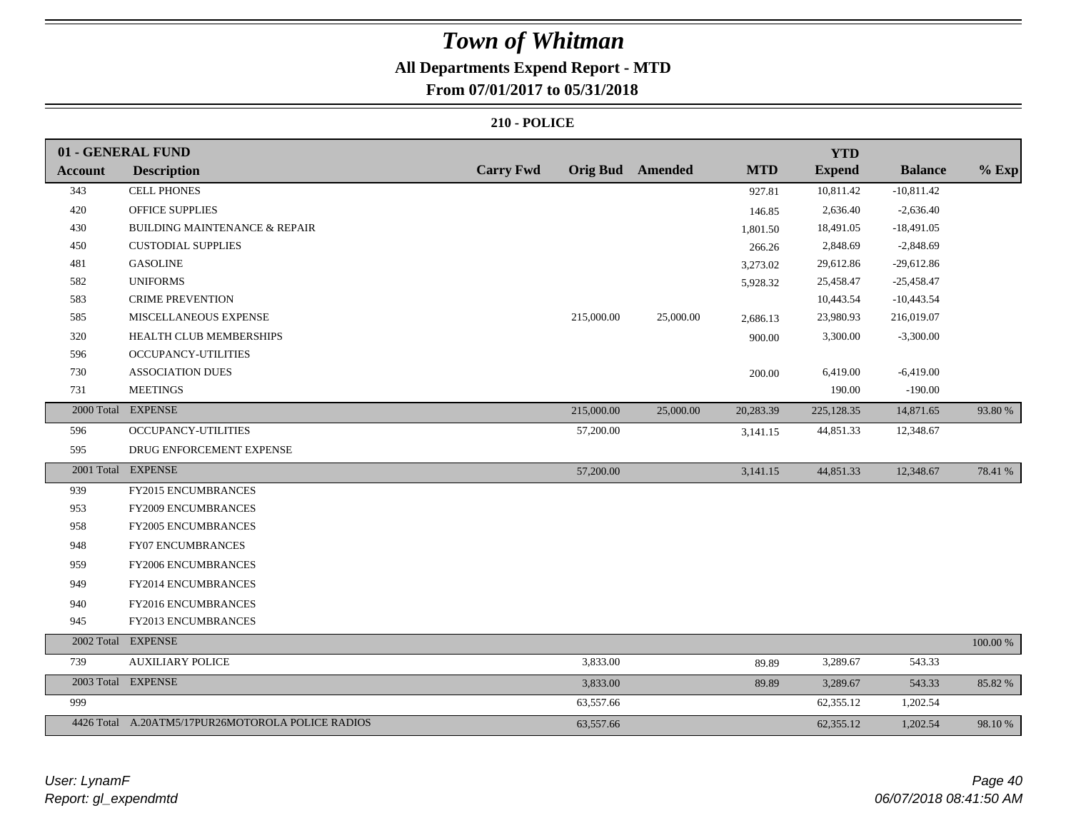# **All Departments Expend Report - MTD**

### **From 07/01/2017 to 05/31/2018**

|                | 01 - GENERAL FUND                                 |                  |            |                         |            | <b>YTD</b>    |                |          |
|----------------|---------------------------------------------------|------------------|------------|-------------------------|------------|---------------|----------------|----------|
| <b>Account</b> | <b>Description</b>                                | <b>Carry Fwd</b> |            | <b>Orig Bud</b> Amended | <b>MTD</b> | <b>Expend</b> | <b>Balance</b> | $%$ Exp  |
| 343            | <b>CELL PHONES</b>                                |                  |            |                         | 927.81     | 10,811.42     | $-10,811.42$   |          |
| 420            | <b>OFFICE SUPPLIES</b>                            |                  |            |                         | 146.85     | 2,636.40      | $-2,636.40$    |          |
| 430            | <b>BUILDING MAINTENANCE &amp; REPAIR</b>          |                  |            |                         | 1,801.50   | 18,491.05     | $-18,491.05$   |          |
| 450            | <b>CUSTODIAL SUPPLIES</b>                         |                  |            |                         | 266.26     | 2,848.69      | $-2,848.69$    |          |
| 481            | <b>GASOLINE</b>                                   |                  |            |                         | 3,273.02   | 29,612.86     | $-29,612.86$   |          |
| 582            | <b>UNIFORMS</b>                                   |                  |            |                         | 5,928.32   | 25,458.47     | $-25,458.47$   |          |
| 583            | <b>CRIME PREVENTION</b>                           |                  |            |                         |            | 10,443.54     | $-10,443.54$   |          |
| 585            | MISCELLANEOUS EXPENSE                             |                  | 215,000.00 | 25,000.00               | 2,686.13   | 23,980.93     | 216,019.07     |          |
| 320            | HEALTH CLUB MEMBERSHIPS                           |                  |            |                         | 900.00     | 3,300.00      | $-3,300.00$    |          |
| 596            | <b>OCCUPANCY-UTILITIES</b>                        |                  |            |                         |            |               |                |          |
| 730            | <b>ASSOCIATION DUES</b>                           |                  |            |                         | 200.00     | 6,419.00      | $-6,419.00$    |          |
| 731            | <b>MEETINGS</b>                                   |                  |            |                         |            | 190.00        | $-190.00$      |          |
|                | 2000 Total EXPENSE                                |                  | 215,000.00 | 25,000.00               | 20,283.39  | 225,128.35    | 14,871.65      | 93.80 %  |
| 596            | OCCUPANCY-UTILITIES                               |                  | 57,200.00  |                         | 3,141.15   | 44,851.33     | 12,348.67      |          |
| 595            | DRUG ENFORCEMENT EXPENSE                          |                  |            |                         |            |               |                |          |
|                | 2001 Total EXPENSE                                |                  | 57,200.00  |                         | 3,141.15   | 44,851.33     | 12,348.67      | 78.41 %  |
| 939            | FY2015 ENCUMBRANCES                               |                  |            |                         |            |               |                |          |
| 953            | FY2009 ENCUMBRANCES                               |                  |            |                         |            |               |                |          |
| 958            | FY2005 ENCUMBRANCES                               |                  |            |                         |            |               |                |          |
| 948            | FY07 ENCUMBRANCES                                 |                  |            |                         |            |               |                |          |
| 959            | <b>FY2006 ENCUMBRANCES</b>                        |                  |            |                         |            |               |                |          |
| 949            | FY2014 ENCUMBRANCES                               |                  |            |                         |            |               |                |          |
| 940            | FY2016 ENCUMBRANCES                               |                  |            |                         |            |               |                |          |
| 945            | FY2013 ENCUMBRANCES                               |                  |            |                         |            |               |                |          |
|                | 2002 Total EXPENSE                                |                  |            |                         |            |               |                | 100.00 % |
| 739            | <b>AUXILIARY POLICE</b>                           |                  | 3,833.00   |                         | 89.89      | 3,289.67      | 543.33         |          |
|                | 2003 Total EXPENSE                                |                  | 3,833.00   |                         | 89.89      | 3,289.67      | 543.33         | 85.82 %  |
| 999            |                                                   |                  | 63,557.66  |                         |            | 62,355.12     | 1,202.54       |          |
|                | 4426 Total A.20ATM5/17PUR26MOTOROLA POLICE RADIOS |                  | 63,557.66  |                         |            | 62,355.12     | 1,202.54       | 98.10%   |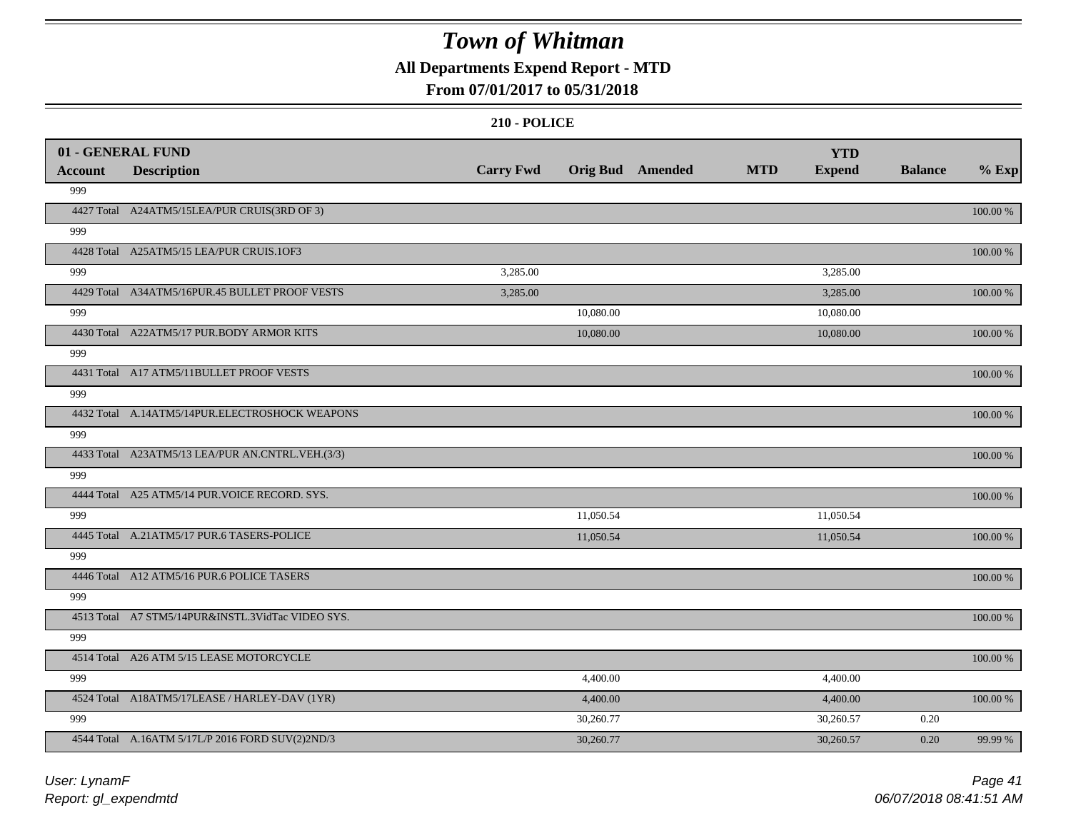### **All Departments Expend Report - MTD**

### **From 07/01/2017 to 05/31/2018**

|                       | 01 - GENERAL FUND                                 | <b>Carry Fwd</b> | <b>Orig Bud</b> Amended | <b>MTD</b> | <b>YTD</b><br><b>Expend</b> | <b>Balance</b> | $%$ Exp     |
|-----------------------|---------------------------------------------------|------------------|-------------------------|------------|-----------------------------|----------------|-------------|
| <b>Account</b><br>999 | <b>Description</b>                                |                  |                         |            |                             |                |             |
|                       | 4427 Total A24ATM5/15LEA/PUR CRUIS(3RD OF 3)      |                  |                         |            |                             |                | 100.00 %    |
| 999                   |                                                   |                  |                         |            |                             |                |             |
|                       | 4428 Total A25ATM5/15 LEA/PUR CRUIS.10F3          |                  |                         |            |                             |                | 100.00 %    |
| 999                   |                                                   | 3,285.00         |                         |            | 3,285.00                    |                |             |
|                       | 4429 Total A34ATM5/16PUR.45 BULLET PROOF VESTS    | 3,285.00         |                         |            | 3,285.00                    |                | 100.00 %    |
| 999                   |                                                   |                  | 10,080.00               |            | 10,080.00                   |                |             |
|                       | 4430 Total A22ATM5/17 PUR.BODY ARMOR KITS         |                  | 10,080.00               |            | 10,080.00                   |                | 100.00 %    |
| 999                   |                                                   |                  |                         |            |                             |                |             |
|                       | 4431 Total A17 ATM5/11BULLET PROOF VESTS          |                  |                         |            |                             |                | 100.00 %    |
| 999                   |                                                   |                  |                         |            |                             |                |             |
|                       | 4432 Total A.14ATM5/14PUR.ELECTROSHOCK WEAPONS    |                  |                         |            |                             |                | 100.00 %    |
| 999                   |                                                   |                  |                         |            |                             |                |             |
|                       | 4433 Total A23ATM5/13 LEA/PUR AN.CNTRL.VEH.(3/3)  |                  |                         |            |                             |                | 100.00 %    |
| 999                   |                                                   |                  |                         |            |                             |                |             |
|                       | 4444 Total A25 ATM5/14 PUR. VOICE RECORD. SYS.    |                  |                         |            |                             |                | 100.00 %    |
| 999                   |                                                   |                  | 11,050.54               |            | 11,050.54                   |                |             |
|                       | 4445 Total A.21ATM5/17 PUR.6 TASERS-POLICE        |                  | 11,050.54               |            | 11,050.54                   |                | 100.00 %    |
| 999                   |                                                   |                  |                         |            |                             |                |             |
|                       | 4446 Total A12 ATM5/16 PUR.6 POLICE TASERS        |                  |                         |            |                             |                | $100.00~\%$ |
| 999                   |                                                   |                  |                         |            |                             |                |             |
|                       | 4513 Total A7 STM5/14PUR&INSTL.3VidTac VIDEO SYS. |                  |                         |            |                             |                | 100.00 %    |
| 999                   |                                                   |                  |                         |            |                             |                |             |
|                       | 4514 Total A26 ATM 5/15 LEASE MOTORCYCLE          |                  |                         |            |                             |                | 100.00 %    |
| 999                   |                                                   |                  | 4,400.00                |            | 4,400.00                    |                |             |
|                       | 4524 Total A18ATM5/17LEASE / HARLEY-DAV (1YR)     |                  | 4,400.00                |            | 4,400.00                    |                | 100.00 %    |
| 999                   |                                                   |                  | 30,260.77               |            | 30,260.57                   | 0.20           |             |
|                       | 4544 Total A.16ATM 5/17L/P 2016 FORD SUV(2)2ND/3  |                  | 30,260.77               |            | 30,260.57                   | 0.20           | 99.99 %     |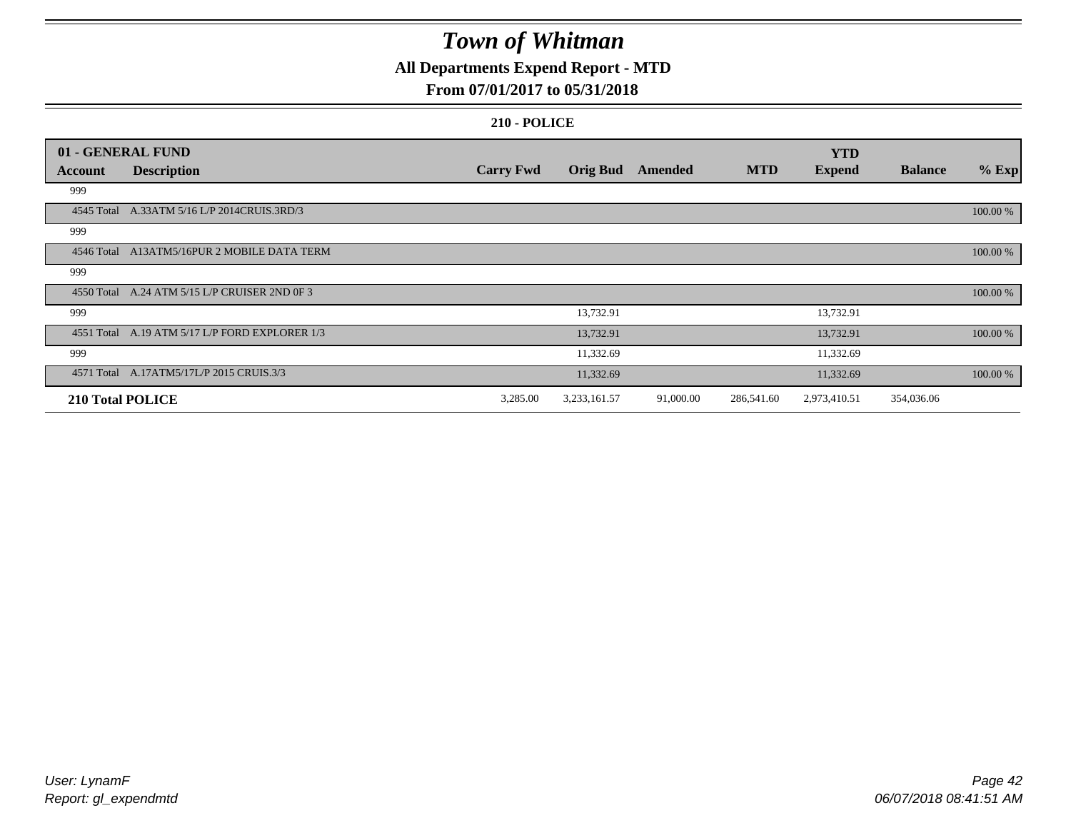### **All Departments Expend Report - MTD**

### **From 07/01/2017 to 05/31/2018**

|                  | 01 - GENERAL FUND                              |                  |                 |           |            | <b>YTD</b>    |                |          |
|------------------|------------------------------------------------|------------------|-----------------|-----------|------------|---------------|----------------|----------|
| Account          | <b>Description</b>                             | <b>Carry Fwd</b> | <b>Orig Bud</b> | Amended   | <b>MTD</b> | <b>Expend</b> | <b>Balance</b> | $%$ Exp  |
| 999              |                                                |                  |                 |           |            |               |                |          |
|                  | 4545 Total A.33ATM 5/16 L/P 2014CRUIS.3RD/3    |                  |                 |           |            |               |                | 100.00 % |
| 999              |                                                |                  |                 |           |            |               |                |          |
|                  | 4546 Total A13ATM5/16PUR 2 MOBILE DATA TERM    |                  |                 |           |            |               |                | 100.00 % |
| 999              |                                                |                  |                 |           |            |               |                |          |
|                  | 4550 Total A.24 ATM 5/15 L/P CRUISER 2ND 0F 3  |                  |                 |           |            |               |                | 100.00 % |
| 999              |                                                |                  | 13,732.91       |           |            | 13,732.91     |                |          |
|                  | 4551 Total A.19 ATM 5/17 L/P FORD EXPLORER 1/3 |                  | 13,732.91       |           |            | 13,732.91     |                | 100.00 % |
| 999              |                                                |                  | 11,332.69       |           |            | 11,332.69     |                |          |
|                  | 4571 Total A.17ATM5/17L/P 2015 CRUIS.3/3       |                  | 11,332.69       |           |            | 11,332.69     |                | 100.00 % |
| 210 Total POLICE |                                                | 3,285.00         | 3,233,161.57    | 91,000.00 | 286,541.60 | 2,973,410.51  | 354,036.06     |          |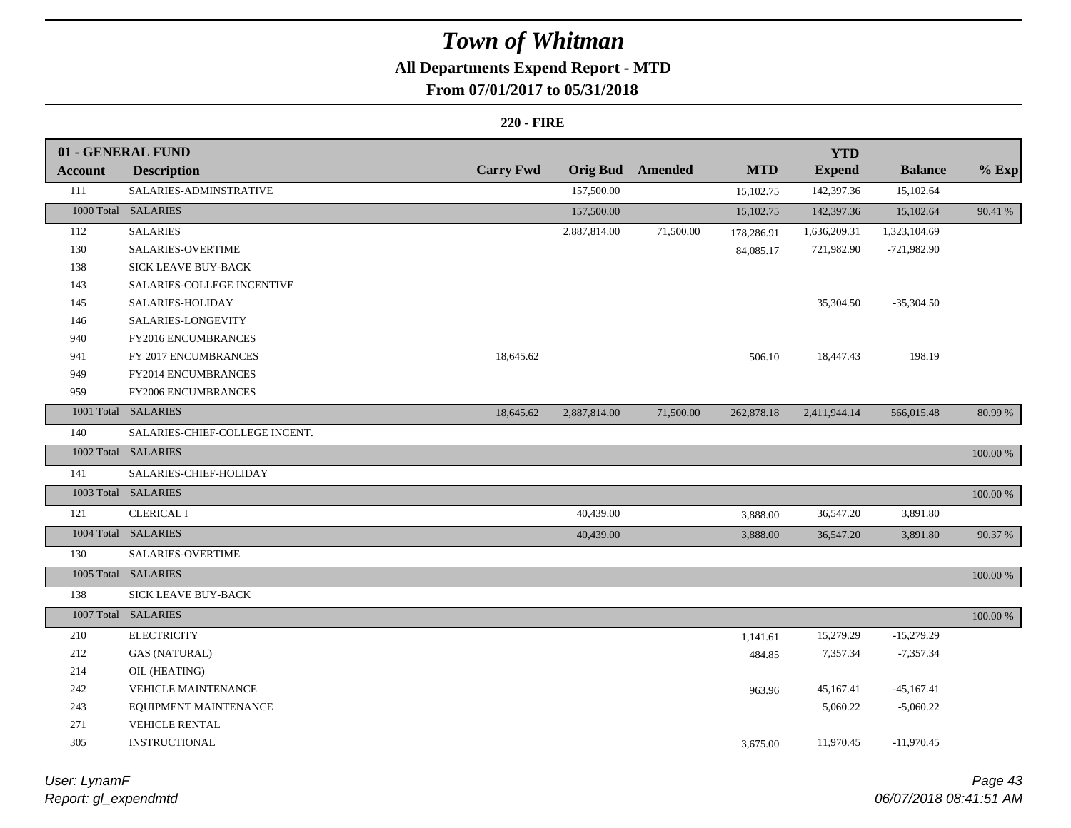# **All Departments Expend Report - MTD**

### **From 07/01/2017 to 05/31/2018**

#### **220 - FIRE**

|                | 01 - GENERAL FUND              |                  |                 |                |            | <b>YTD</b>    |                |             |
|----------------|--------------------------------|------------------|-----------------|----------------|------------|---------------|----------------|-------------|
| <b>Account</b> | <b>Description</b>             | <b>Carry Fwd</b> | <b>Orig Bud</b> | <b>Amended</b> | <b>MTD</b> | <b>Expend</b> | <b>Balance</b> | $%$ Exp     |
| 111            | SALARIES-ADMINSTRATIVE         |                  | 157,500.00      |                | 15,102.75  | 142,397.36    | 15,102.64      |             |
|                | 1000 Total SALARIES            |                  | 157,500.00      |                | 15,102.75  | 142,397.36    | 15,102.64      | 90.41 %     |
| 112            | <b>SALARIES</b>                |                  | 2,887,814.00    | 71,500.00      | 178,286.91 | 1,636,209.31  | 1,323,104.69   |             |
| 130            | SALARIES-OVERTIME              |                  |                 |                | 84,085.17  | 721,982.90    | $-721,982.90$  |             |
| 138            | <b>SICK LEAVE BUY-BACK</b>     |                  |                 |                |            |               |                |             |
| 143            | SALARIES-COLLEGE INCENTIVE     |                  |                 |                |            |               |                |             |
| 145            | SALARIES-HOLIDAY               |                  |                 |                |            | 35,304.50     | $-35,304.50$   |             |
| 146            | SALARIES-LONGEVITY             |                  |                 |                |            |               |                |             |
| 940            | FY2016 ENCUMBRANCES            |                  |                 |                |            |               |                |             |
| 941            | FY 2017 ENCUMBRANCES           | 18,645.62        |                 |                | 506.10     | 18,447.43     | 198.19         |             |
| 949            | FY2014 ENCUMBRANCES            |                  |                 |                |            |               |                |             |
| 959            | FY2006 ENCUMBRANCES            |                  |                 |                |            |               |                |             |
|                | 1001 Total SALARIES            | 18,645.62        | 2,887,814.00    | 71,500.00      | 262,878.18 | 2,411,944.14  | 566,015.48     | 80.99 %     |
| 140            | SALARIES-CHIEF-COLLEGE INCENT. |                  |                 |                |            |               |                |             |
|                | 1002 Total SALARIES            |                  |                 |                |            |               |                | 100.00 %    |
| 141            | SALARIES-CHIEF-HOLIDAY         |                  |                 |                |            |               |                |             |
|                | 1003 Total SALARIES            |                  |                 |                |            |               |                | 100.00 %    |
| 121            | <b>CLERICAL I</b>              |                  | 40,439.00       |                | 3,888.00   | 36,547.20     | 3,891.80       |             |
|                | 1004 Total SALARIES            |                  | 40,439.00       |                | 3,888.00   | 36,547.20     | 3,891.80       | 90.37 %     |
| 130            | SALARIES-OVERTIME              |                  |                 |                |            |               |                |             |
|                | 1005 Total SALARIES            |                  |                 |                |            |               |                | 100.00 %    |
| 138            | SICK LEAVE BUY-BACK            |                  |                 |                |            |               |                |             |
|                | 1007 Total SALARIES            |                  |                 |                |            |               |                | $100.00~\%$ |
| 210            | <b>ELECTRICITY</b>             |                  |                 |                | 1,141.61   | 15,279.29     | $-15,279.29$   |             |
| 212            | <b>GAS (NATURAL)</b>           |                  |                 |                | 484.85     | 7,357.34      | $-7,357.34$    |             |
| 214            | OIL (HEATING)                  |                  |                 |                |            |               |                |             |
| 242            | VEHICLE MAINTENANCE            |                  |                 |                | 963.96     | 45,167.41     | $-45,167.41$   |             |
| 243            | EQUIPMENT MAINTENANCE          |                  |                 |                |            | 5,060.22      | $-5,060.22$    |             |
| 271            | VEHICLE RENTAL                 |                  |                 |                |            |               |                |             |
| 305            | INSTRUCTIONAL                  |                  |                 |                | 3,675.00   | 11,970.45     | $-11,970.45$   |             |
|                |                                |                  |                 |                |            |               |                |             |

*Report: gl\_expendmtd User: LynamF*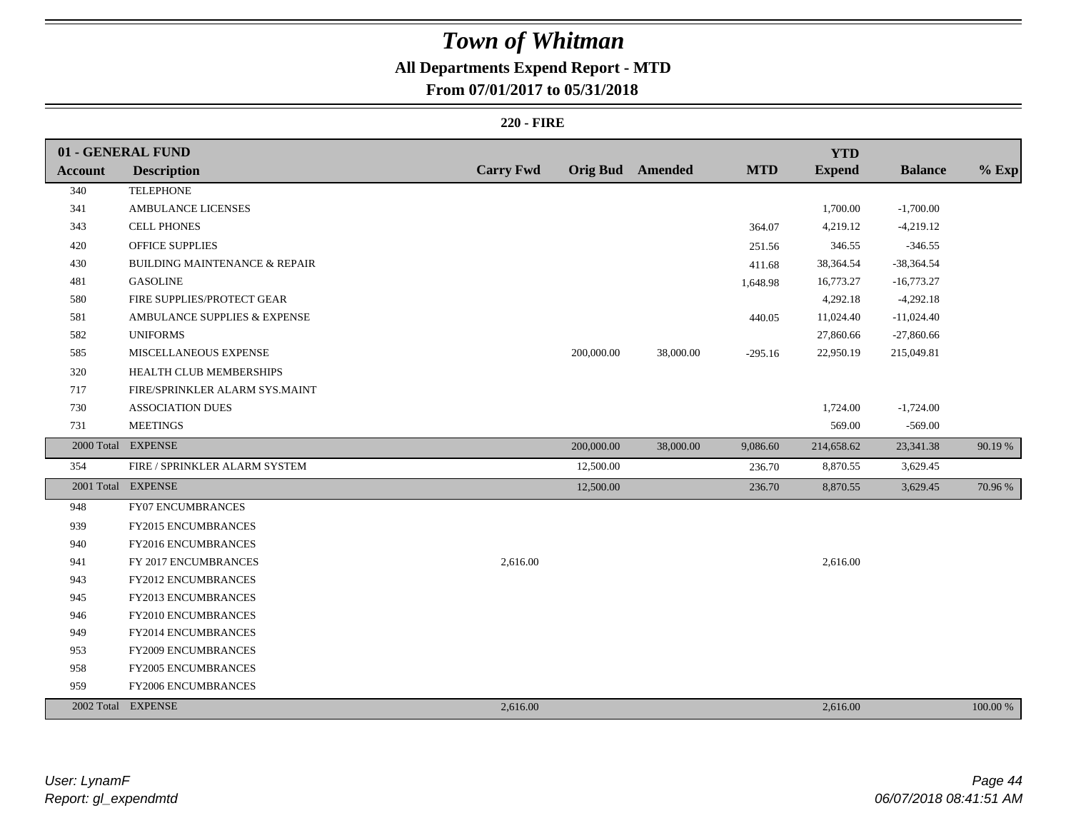# **All Departments Expend Report - MTD**

### **From 07/01/2017 to 05/31/2018**

#### **220 - FIRE**

|                | 01 - GENERAL FUND                        |                  |            |                         |            | <b>YTD</b>    |                |          |
|----------------|------------------------------------------|------------------|------------|-------------------------|------------|---------------|----------------|----------|
| <b>Account</b> | <b>Description</b>                       | <b>Carry Fwd</b> |            | <b>Orig Bud</b> Amended | <b>MTD</b> | <b>Expend</b> | <b>Balance</b> | $%$ Exp  |
| 340            | <b>TELEPHONE</b>                         |                  |            |                         |            |               |                |          |
| 341            | <b>AMBULANCE LICENSES</b>                |                  |            |                         |            | 1,700.00      | $-1,700.00$    |          |
| 343            | <b>CELL PHONES</b>                       |                  |            |                         | 364.07     | 4,219.12      | $-4,219.12$    |          |
| 420            | <b>OFFICE SUPPLIES</b>                   |                  |            |                         | 251.56     | 346.55        | $-346.55$      |          |
| 430            | <b>BUILDING MAINTENANCE &amp; REPAIR</b> |                  |            |                         | 411.68     | 38,364.54     | -38,364.54     |          |
| 481            | <b>GASOLINE</b>                          |                  |            |                         | 1,648.98   | 16,773.27     | $-16,773.27$   |          |
| 580            | FIRE SUPPLIES/PROTECT GEAR               |                  |            |                         |            | 4,292.18      | $-4,292.18$    |          |
| 581            | AMBULANCE SUPPLIES & EXPENSE             |                  |            |                         | 440.05     | 11,024.40     | $-11,024.40$   |          |
| 582            | <b>UNIFORMS</b>                          |                  |            |                         |            | 27,860.66     | $-27,860.66$   |          |
| 585            | MISCELLANEOUS EXPENSE                    |                  | 200,000.00 | 38,000.00               | $-295.16$  | 22,950.19     | 215,049.81     |          |
| 320            | HEALTH CLUB MEMBERSHIPS                  |                  |            |                         |            |               |                |          |
| 717            | FIRE/SPRINKLER ALARM SYS.MAINT           |                  |            |                         |            |               |                |          |
| 730            | <b>ASSOCIATION DUES</b>                  |                  |            |                         |            | 1,724.00      | $-1,724.00$    |          |
| 731            | <b>MEETINGS</b>                          |                  |            |                         |            | 569.00        | $-569.00$      |          |
|                | 2000 Total EXPENSE                       |                  | 200,000.00 | 38,000.00               | 9,086.60   | 214,658.62    | 23,341.38      | 90.19 %  |
| 354            | FIRE / SPRINKLER ALARM SYSTEM            |                  | 12,500.00  |                         | 236.70     | 8,870.55      | 3,629.45       |          |
|                | 2001 Total EXPENSE                       |                  | 12,500.00  |                         | 236.70     | 8,870.55      | 3,629.45       | 70.96 %  |
| 948            | FY07 ENCUMBRANCES                        |                  |            |                         |            |               |                |          |
| 939            | FY2015 ENCUMBRANCES                      |                  |            |                         |            |               |                |          |
| 940            | FY2016 ENCUMBRANCES                      |                  |            |                         |            |               |                |          |
| 941            | FY 2017 ENCUMBRANCES                     | 2,616.00         |            |                         |            | 2,616.00      |                |          |
| 943            | FY2012 ENCUMBRANCES                      |                  |            |                         |            |               |                |          |
| 945            | FY2013 ENCUMBRANCES                      |                  |            |                         |            |               |                |          |
| 946            | FY2010 ENCUMBRANCES                      |                  |            |                         |            |               |                |          |
| 949            | FY2014 ENCUMBRANCES                      |                  |            |                         |            |               |                |          |
| 953            | FY2009 ENCUMBRANCES                      |                  |            |                         |            |               |                |          |
| 958            | <b>FY2005 ENCUMBRANCES</b>               |                  |            |                         |            |               |                |          |
| 959            | FY2006 ENCUMBRANCES                      |                  |            |                         |            |               |                |          |
|                | 2002 Total EXPENSE                       | 2,616.00         |            |                         |            | 2,616.00      |                | 100.00 % |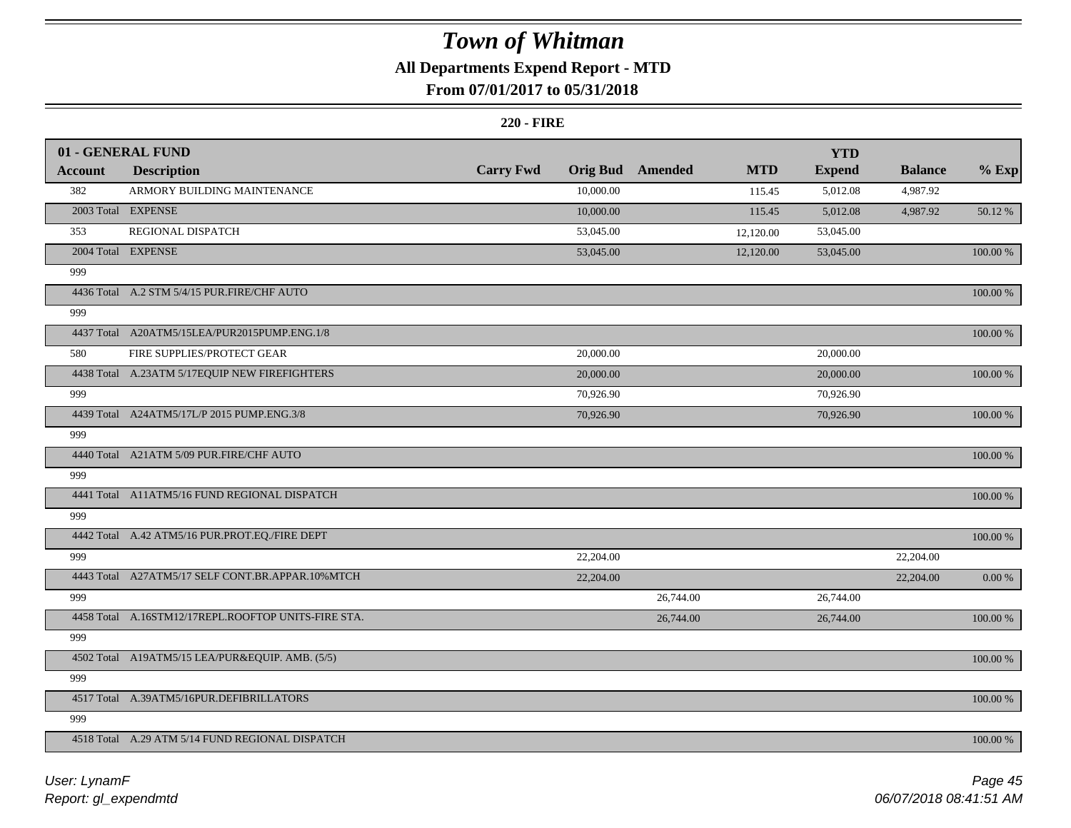### **All Departments Expend Report - MTD**

### **From 07/01/2017 to 05/31/2018**

#### **220 - FIRE**

|                | 01 - GENERAL FUND                                   |                  |                 |           |            | <b>YTD</b>    |                |             |
|----------------|-----------------------------------------------------|------------------|-----------------|-----------|------------|---------------|----------------|-------------|
| <b>Account</b> | <b>Description</b>                                  | <b>Carry Fwd</b> | <b>Orig Bud</b> | Amended   | <b>MTD</b> | <b>Expend</b> | <b>Balance</b> | $%$ Exp     |
| 382            | ARMORY BUILDING MAINTENANCE                         |                  | 10,000.00       |           | 115.45     | 5,012.08      | 4,987.92       |             |
|                | 2003 Total EXPENSE                                  |                  | 10,000.00       |           | 115.45     | 5,012.08      | 4,987.92       | 50.12 %     |
| 353            | REGIONAL DISPATCH                                   |                  | 53,045.00       |           | 12,120.00  | 53,045.00     |                |             |
|                | 2004 Total EXPENSE                                  |                  | 53,045.00       |           | 12,120.00  | 53,045.00     |                | 100.00 %    |
| 999            |                                                     |                  |                 |           |            |               |                |             |
|                | 4436 Total A.2 STM 5/4/15 PUR.FIRE/CHF AUTO         |                  |                 |           |            |               |                | 100.00 %    |
| 999            |                                                     |                  |                 |           |            |               |                |             |
|                | 4437 Total A20ATM5/15LEA/PUR2015PUMP.ENG.1/8        |                  |                 |           |            |               |                | 100.00 %    |
| 580            | FIRE SUPPLIES/PROTECT GEAR                          |                  | 20,000.00       |           |            | 20,000.00     |                |             |
|                | 4438 Total A.23ATM 5/17EQUIP NEW FIREFIGHTERS       |                  | 20,000.00       |           |            | 20,000.00     |                | 100.00 %    |
| 999            |                                                     |                  | 70,926.90       |           |            | 70,926.90     |                |             |
|                | 4439 Total A24ATM5/17L/P 2015 PUMP.ENG.3/8          |                  | 70,926.90       |           |            | 70,926.90     |                | 100.00 %    |
| 999            |                                                     |                  |                 |           |            |               |                |             |
|                | 4440 Total A21ATM 5/09 PUR.FIRE/CHF AUTO            |                  |                 |           |            |               |                | $100.00~\%$ |
| 999            |                                                     |                  |                 |           |            |               |                |             |
|                | 4441 Total A11ATM5/16 FUND REGIONAL DISPATCH        |                  |                 |           |            |               |                | 100.00 %    |
| 999            |                                                     |                  |                 |           |            |               |                |             |
|                | 4442 Total A.42 ATM5/16 PUR.PROT.EQ./FIRE DEPT      |                  |                 |           |            |               |                | 100.00 %    |
| 999            |                                                     |                  | 22,204.00       |           |            |               | 22,204.00      |             |
|                | 4443 Total A27ATM5/17 SELF CONT.BR.APPAR.10%MTCH    |                  | 22,204.00       |           |            |               | 22,204.00      | $0.00\ \%$  |
| 999            |                                                     |                  |                 | 26,744.00 |            | 26,744.00     |                |             |
|                | 4458 Total A.16STM12/17REPL.ROOFTOP UNITS-FIRE STA. |                  |                 | 26,744.00 |            | 26,744.00     |                | 100.00 %    |
| 999            |                                                     |                  |                 |           |            |               |                |             |
|                | 4502 Total A19ATM5/15 LEA/PUR&EQUIP. AMB. (5/5)     |                  |                 |           |            |               |                | $100.00~\%$ |
| 999            |                                                     |                  |                 |           |            |               |                |             |
|                | 4517 Total A.39ATM5/16PUR.DEFIBRILLATORS            |                  |                 |           |            |               |                | 100.00 %    |
| 999            |                                                     |                  |                 |           |            |               |                |             |
|                | 4518 Total A.29 ATM 5/14 FUND REGIONAL DISPATCH     |                  |                 |           |            |               |                | 100.00 %    |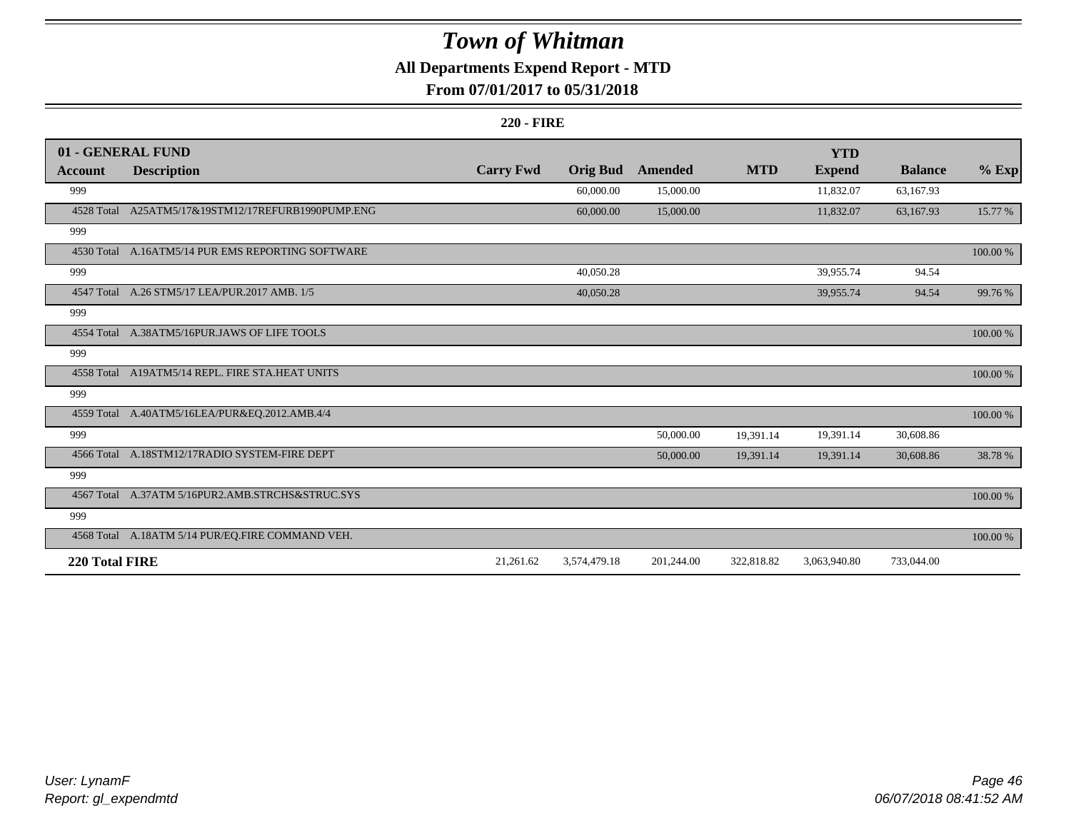### **All Departments Expend Report - MTD**

### **From 07/01/2017 to 05/31/2018**

#### **220 - FIRE**

|                | 01 - GENERAL FUND                                 |                  |                 |            |            | <b>YTD</b>    |                |          |
|----------------|---------------------------------------------------|------------------|-----------------|------------|------------|---------------|----------------|----------|
| Account        | <b>Description</b>                                | <b>Carry Fwd</b> | <b>Orig Bud</b> | Amended    | <b>MTD</b> | <b>Expend</b> | <b>Balance</b> | $%$ Exp  |
| 999            |                                                   |                  | 60,000.00       | 15,000.00  |            | 11,832.07     | 63,167.93      |          |
| 4528 Total     | A25ATM5/17&19STM12/17REFURB1990PUMP.ENG           |                  | 60,000.00       | 15,000.00  |            | 11,832.07     | 63,167.93      | 15.77 %  |
| 999            |                                                   |                  |                 |            |            |               |                |          |
|                | 4530 Total A.16ATM5/14 PUR EMS REPORTING SOFTWARE |                  |                 |            |            |               |                | 100.00 % |
| 999            |                                                   |                  | 40,050.28       |            |            | 39,955.74     | 94.54          |          |
|                | 4547 Total A.26 STM5/17 LEA/PUR.2017 AMB, 1/5     |                  | 40,050.28       |            |            | 39,955.74     | 94.54          | 99.76 %  |
| 999            |                                                   |                  |                 |            |            |               |                |          |
|                | 4554 Total A.38ATM5/16PUR.JAWS OF LIFE TOOLS      |                  |                 |            |            |               |                | 100.00 % |
| 999            |                                                   |                  |                 |            |            |               |                |          |
|                | 4558 Total A19ATM5/14 REPL. FIRE STA.HEAT UNITS   |                  |                 |            |            |               |                | 100.00 % |
| 999            |                                                   |                  |                 |            |            |               |                |          |
|                | 4559 Total A.40ATM5/16LEA/PUR&EQ.2012.AMB.4/4     |                  |                 |            |            |               |                | 100.00 % |
| 999            |                                                   |                  |                 | 50,000.00  | 19,391.14  | 19,391.14     | 30,608.86      |          |
|                | 4566 Total A.18STM12/17RADIO SYSTEM-FIRE DEPT     |                  |                 | 50,000.00  | 19,391.14  | 19,391.14     | 30,608.86      | 38.78%   |
| 999            |                                                   |                  |                 |            |            |               |                |          |
|                | 4567 Total A.37ATM 5/16PUR2.AMB.STRCHS&STRUC.SYS  |                  |                 |            |            |               |                | 100.00 % |
| 999            |                                                   |                  |                 |            |            |               |                |          |
|                | 4568 Total A.18ATM 5/14 PUR/EQ.FIRE COMMAND VEH.  |                  |                 |            |            |               |                | 100.00 % |
| 220 Total FIRE |                                                   | 21,261.62        | 3,574,479.18    | 201,244.00 | 322,818.82 | 3,063,940.80  | 733,044.00     |          |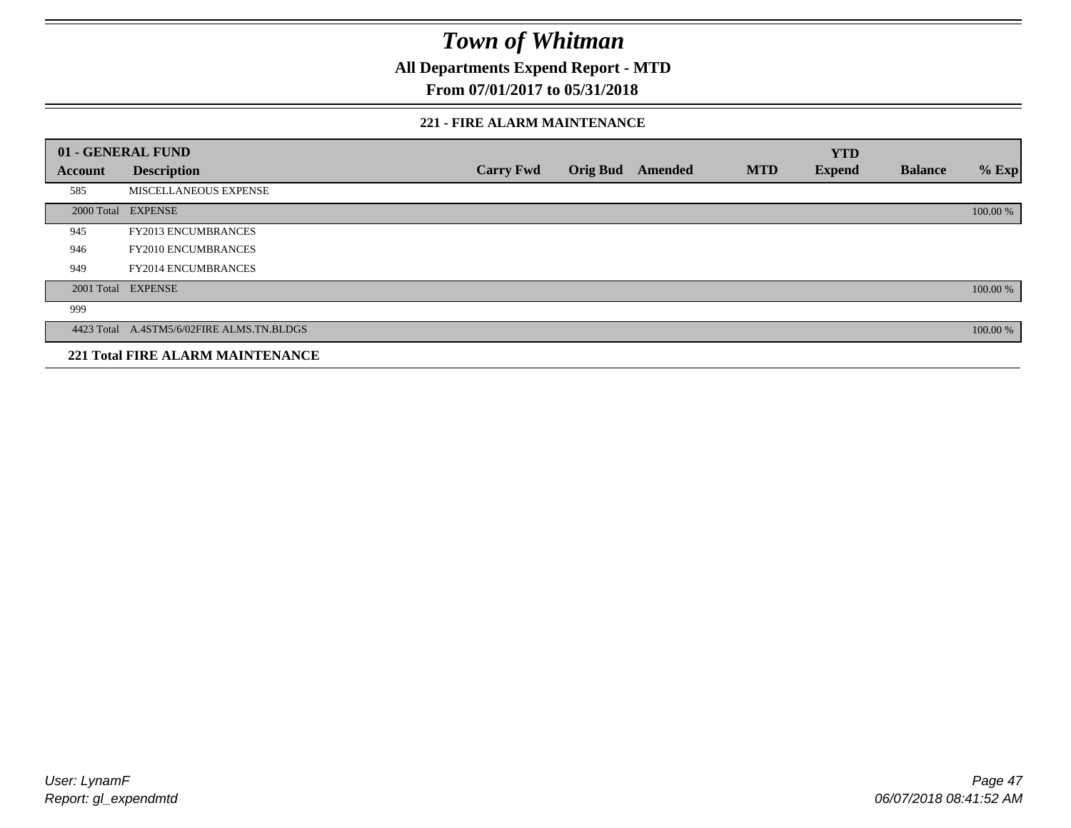**All Departments Expend Report - MTD**

### **From 07/01/2017 to 05/31/2018**

#### **221 - FIRE ALARM MAINTENANCE**

|         | 01 - GENERAL FUND                         |                  |                 |         |            | <b>YTD</b>    |                |          |
|---------|-------------------------------------------|------------------|-----------------|---------|------------|---------------|----------------|----------|
| Account | <b>Description</b>                        | <b>Carry Fwd</b> | <b>Orig Bud</b> | Amended | <b>MTD</b> | <b>Expend</b> | <b>Balance</b> | $%$ Exp  |
| 585     | MISCELLANEOUS EXPENSE                     |                  |                 |         |            |               |                |          |
|         | 2000 Total EXPENSE                        |                  |                 |         |            |               |                | 100.00 % |
| 945     | <b>FY2013 ENCUMBRANCES</b>                |                  |                 |         |            |               |                |          |
| 946     | <b>FY2010 ENCUMBRANCES</b>                |                  |                 |         |            |               |                |          |
| 949     | <b>FY2014 ENCUMBRANCES</b>                |                  |                 |         |            |               |                |          |
|         | 2001 Total EXPENSE                        |                  |                 |         |            |               |                | 100.00 % |
| 999     |                                           |                  |                 |         |            |               |                |          |
|         | 4423 Total A.4STM5/6/02FIRE ALMS.TN.BLDGS |                  |                 |         |            |               |                | 100.00 % |
|         | <b>221 Total FIRE ALARM MAINTENANCE</b>   |                  |                 |         |            |               |                |          |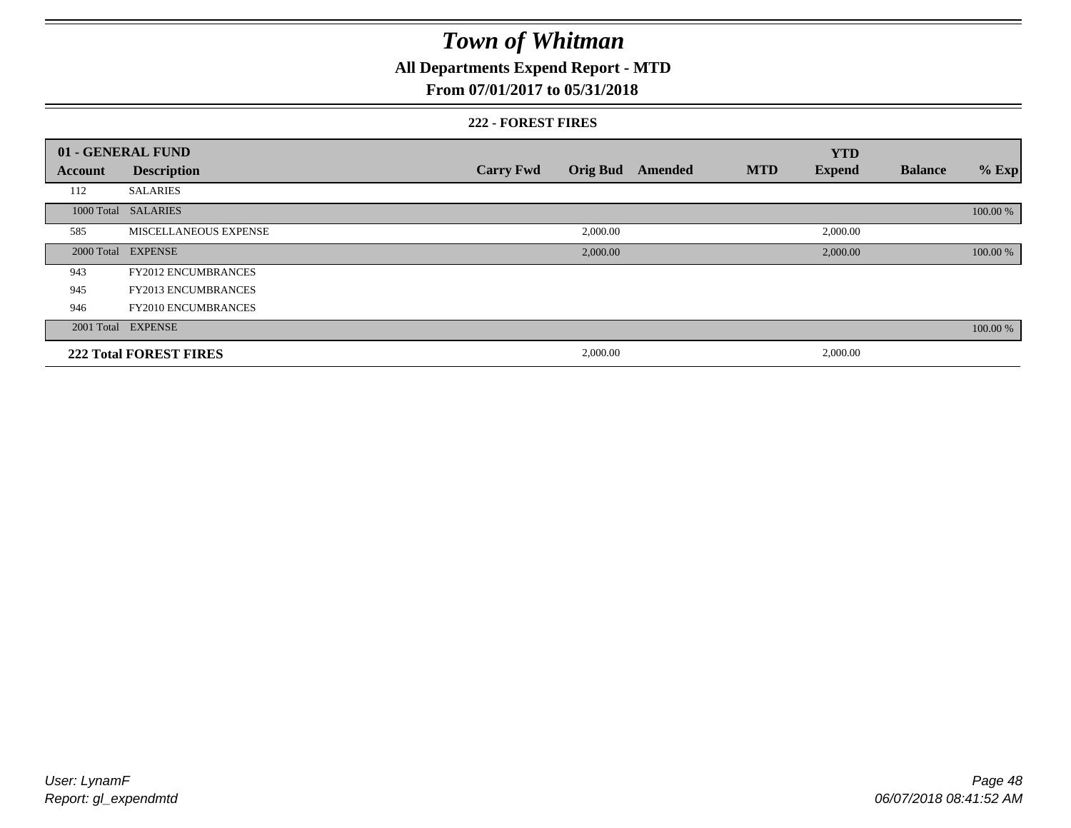# **All Departments Expend Report - MTD**

### **From 07/01/2017 to 05/31/2018**

#### **222 - FOREST FIRES**

|         | 01 - GENERAL FUND             |                  |          |                         |            | <b>YTD</b>    |                |          |
|---------|-------------------------------|------------------|----------|-------------------------|------------|---------------|----------------|----------|
| Account | <b>Description</b>            | <b>Carry Fwd</b> |          | <b>Orig Bud</b> Amended | <b>MTD</b> | <b>Expend</b> | <b>Balance</b> | $%$ Exp  |
| 112     | <b>SALARIES</b>               |                  |          |                         |            |               |                |          |
|         | 1000 Total SALARIES           |                  |          |                         |            |               |                | 100.00 % |
| 585     | MISCELLANEOUS EXPENSE         |                  | 2,000.00 |                         |            | 2,000.00      |                |          |
|         | 2000 Total EXPENSE            |                  | 2,000.00 |                         |            | 2,000.00      |                | 100.00 % |
| 943     | <b>FY2012 ENCUMBRANCES</b>    |                  |          |                         |            |               |                |          |
| 945     | <b>FY2013 ENCUMBRANCES</b>    |                  |          |                         |            |               |                |          |
| 946     | <b>FY2010 ENCUMBRANCES</b>    |                  |          |                         |            |               |                |          |
|         | 2001 Total EXPENSE            |                  |          |                         |            |               |                | 100.00 % |
|         | <b>222 Total FOREST FIRES</b> |                  | 2,000.00 |                         |            | 2,000.00      |                |          |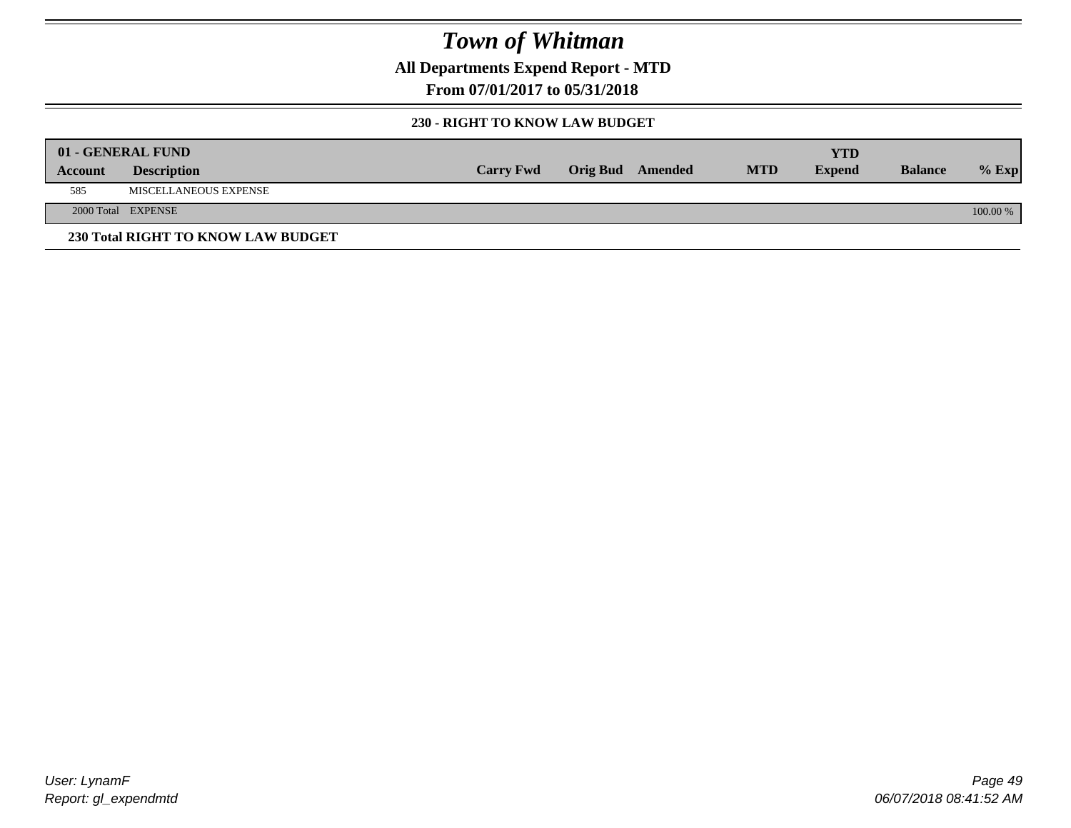**All Departments Expend Report - MTD**

**From 07/01/2017 to 05/31/2018**

#### **230 - RIGHT TO KNOW LAW BUDGET**

|         | 01 - GENERAL FUND                  |                  |                         |            | YTD           |                |            |
|---------|------------------------------------|------------------|-------------------------|------------|---------------|----------------|------------|
| Account | <b>Description</b>                 | <b>Carry Fwd</b> | <b>Orig Bud</b> Amended | <b>MTD</b> | <b>Expend</b> | <b>Balance</b> | $%$ Exp    |
| 585     | MISCELLANEOUS EXPENSE              |                  |                         |            |               |                |            |
|         | 2000 Total EXPENSE                 |                  |                         |            |               |                | $100.00\%$ |
|         | 230 Total RIGHT TO KNOW LAW BUDGET |                  |                         |            |               |                |            |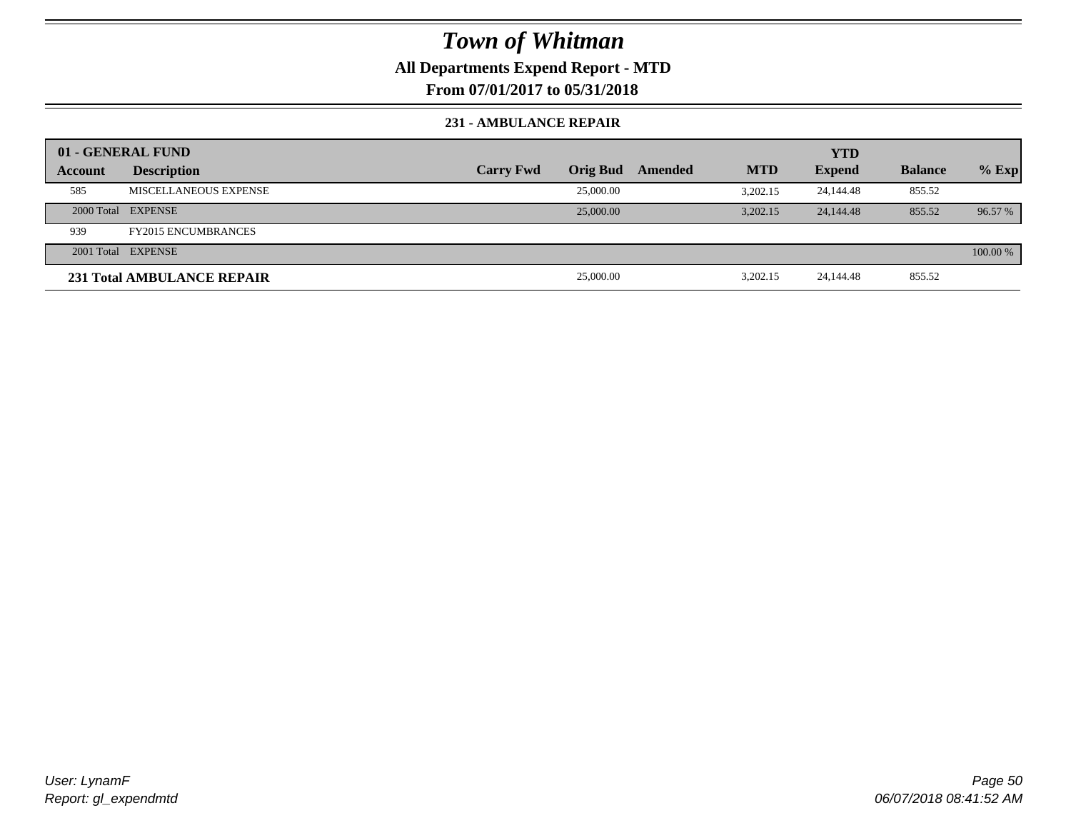### **All Departments Expend Report - MTD**

**From 07/01/2017 to 05/31/2018**

#### **231 - AMBULANCE REPAIR**

|         | 01 - GENERAL FUND          |                  |                 |         |            | <b>YTD</b>    |                |          |
|---------|----------------------------|------------------|-----------------|---------|------------|---------------|----------------|----------|
| Account | <b>Description</b>         | <b>Carry Fwd</b> | <b>Orig Bud</b> | Amended | <b>MTD</b> | <b>Expend</b> | <b>Balance</b> | $%$ Exp  |
| 585     | MISCELLANEOUS EXPENSE      |                  | 25,000.00       |         | 3.202.15   | 24,144.48     | 855.52         |          |
|         | 2000 Total EXPENSE         |                  | 25,000.00       |         | 3.202.15   | 24, 144, 48   | 855.52         | 96.57 %  |
| 939     | <b>FY2015 ENCUMBRANCES</b> |                  |                 |         |            |               |                |          |
|         | 2001 Total EXPENSE         |                  |                 |         |            |               |                | 100.00 % |
|         | 231 Total AMBULANCE REPAIR |                  | 25,000.00       |         | 3,202.15   | 24,144.48     | 855.52         |          |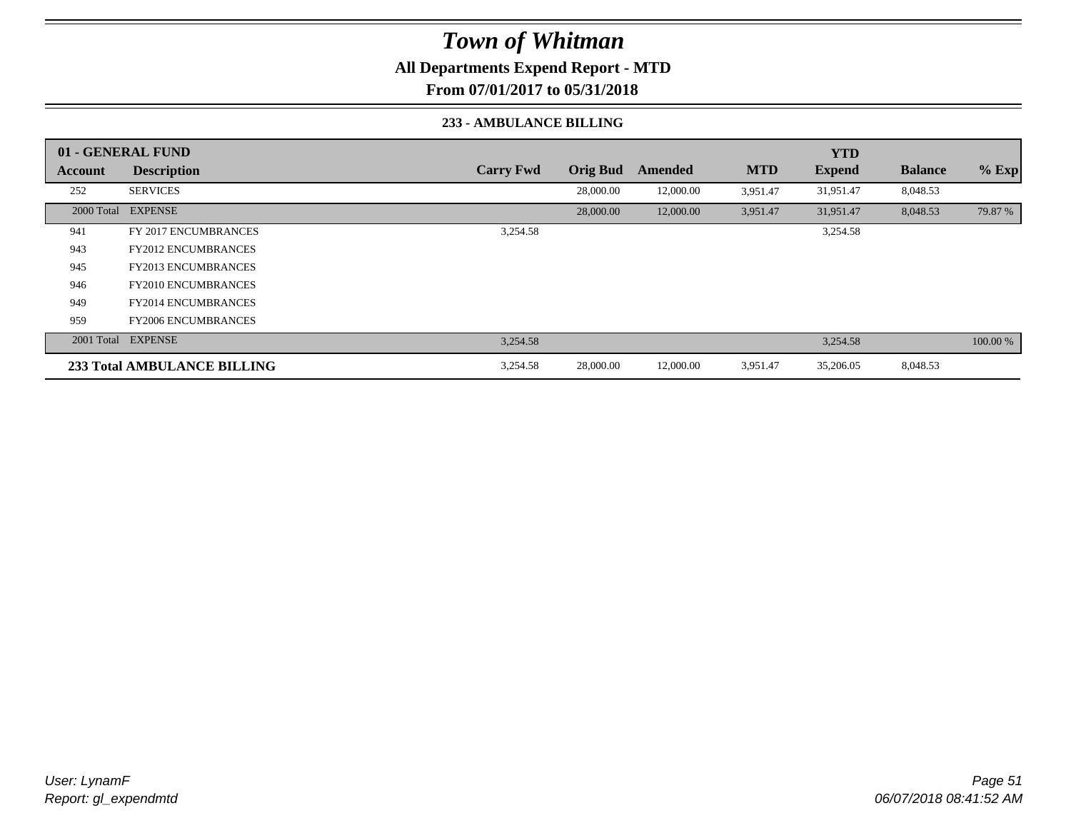**All Departments Expend Report - MTD**

**From 07/01/2017 to 05/31/2018**

#### **233 - AMBULANCE BILLING**

|         | 01 - GENERAL FUND                  |                  |                 |           |            | <b>YTD</b>    |                |          |
|---------|------------------------------------|------------------|-----------------|-----------|------------|---------------|----------------|----------|
| Account | <b>Description</b>                 | <b>Carry Fwd</b> | <b>Orig Bud</b> | Amended   | <b>MTD</b> | <b>Expend</b> | <b>Balance</b> | $%$ Exp  |
| 252     | <b>SERVICES</b>                    |                  | 28,000.00       | 12,000.00 | 3,951.47   | 31,951.47     | 8,048.53       |          |
|         | 2000 Total EXPENSE                 |                  | 28,000.00       | 12,000.00 | 3,951.47   | 31,951.47     | 8,048.53       | 79.87 %  |
| 941     | <b>FY 2017 ENCUMBRANCES</b>        | 3,254.58         |                 |           |            | 3,254.58      |                |          |
| 943     | <b>FY2012 ENCUMBRANCES</b>         |                  |                 |           |            |               |                |          |
| 945     | <b>FY2013 ENCUMBRANCES</b>         |                  |                 |           |            |               |                |          |
| 946     | <b>FY2010 ENCUMBRANCES</b>         |                  |                 |           |            |               |                |          |
| 949     | <b>FY2014 ENCUMBRANCES</b>         |                  |                 |           |            |               |                |          |
| 959     | <b>FY2006 ENCUMBRANCES</b>         |                  |                 |           |            |               |                |          |
|         | 2001 Total EXPENSE                 | 3,254.58         |                 |           |            | 3,254.58      |                | 100.00 % |
|         | <b>233 Total AMBULANCE BILLING</b> | 3,254.58         | 28,000.00       | 12,000.00 | 3,951.47   | 35,206.05     | 8,048.53       |          |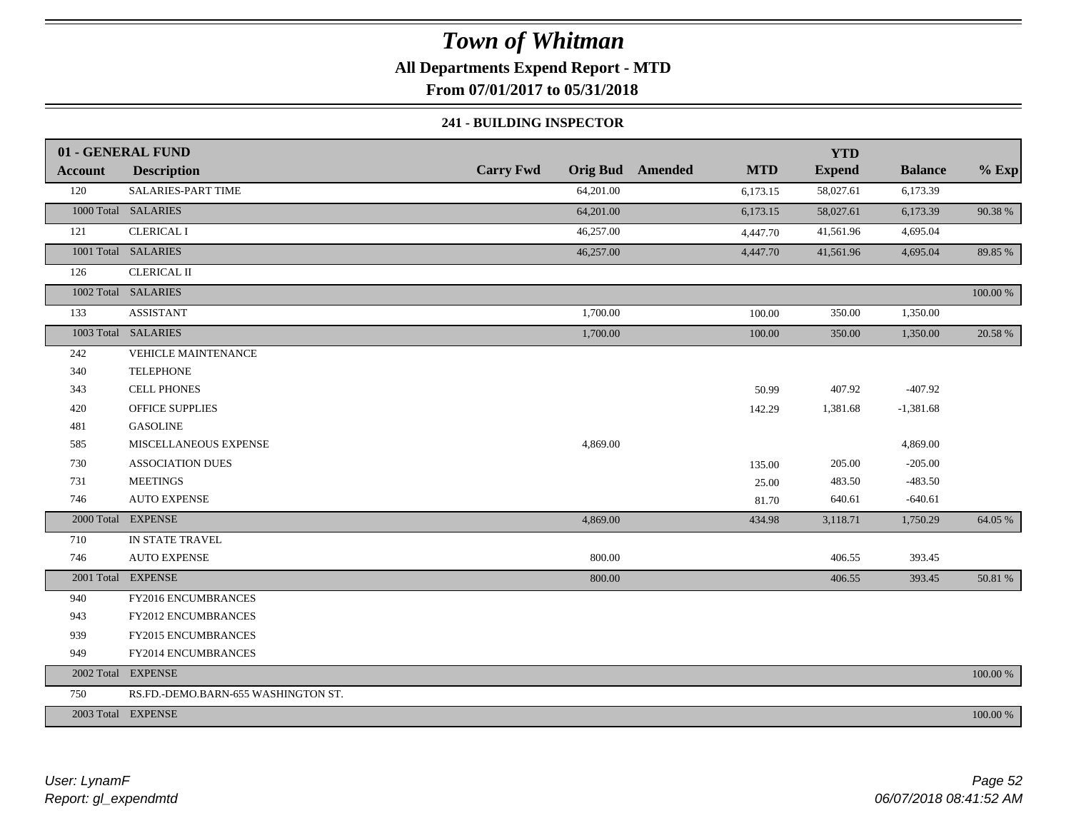**All Departments Expend Report - MTD**

**From 07/01/2017 to 05/31/2018**

#### **241 - BUILDING INSPECTOR**

|                | 01 - GENERAL FUND                   |                  |           |                         |            | <b>YTD</b>    |                |          |
|----------------|-------------------------------------|------------------|-----------|-------------------------|------------|---------------|----------------|----------|
| <b>Account</b> | <b>Description</b>                  | <b>Carry Fwd</b> |           | <b>Orig Bud</b> Amended | <b>MTD</b> | <b>Expend</b> | <b>Balance</b> | $%$ Exp  |
| 120            | SALARIES-PART TIME                  |                  | 64,201.00 |                         | 6,173.15   | 58,027.61     | 6,173.39       |          |
|                | 1000 Total SALARIES                 |                  | 64,201.00 |                         | 6,173.15   | 58,027.61     | 6,173.39       | 90.38%   |
| 121            | <b>CLERICAL I</b>                   |                  | 46,257.00 |                         | 4,447.70   | 41,561.96     | 4,695.04       |          |
|                | 1001 Total SALARIES                 |                  | 46,257.00 |                         | 4,447.70   | 41,561.96     | 4,695.04       | 89.85 %  |
| 126            | <b>CLERICAL II</b>                  |                  |           |                         |            |               |                |          |
|                | 1002 Total SALARIES                 |                  |           |                         |            |               |                | 100.00 % |
| 133            | <b>ASSISTANT</b>                    |                  | 1,700.00  |                         | 100.00     | 350.00        | 1,350.00       |          |
|                | 1003 Total SALARIES                 |                  | 1,700.00  |                         | 100.00     | 350.00        | 1,350.00       | 20.58 %  |
| 242            | <b>VEHICLE MAINTENANCE</b>          |                  |           |                         |            |               |                |          |
| 340            | <b>TELEPHONE</b>                    |                  |           |                         |            |               |                |          |
| 343            | <b>CELL PHONES</b>                  |                  |           |                         | 50.99      | 407.92        | $-407.92$      |          |
| 420            | <b>OFFICE SUPPLIES</b>              |                  |           |                         | 142.29     | 1,381.68      | $-1,381.68$    |          |
| 481            | <b>GASOLINE</b>                     |                  |           |                         |            |               |                |          |
| 585            | MISCELLANEOUS EXPENSE               |                  | 4,869.00  |                         |            |               | 4,869.00       |          |
| 730            | <b>ASSOCIATION DUES</b>             |                  |           |                         | 135.00     | 205.00        | $-205.00$      |          |
| 731            | <b>MEETINGS</b>                     |                  |           |                         | 25.00      | 483.50        | $-483.50$      |          |
| 746            | <b>AUTO EXPENSE</b>                 |                  |           |                         | 81.70      | 640.61        | $-640.61$      |          |
| 2000 Total     | <b>EXPENSE</b>                      |                  | 4,869.00  |                         | 434.98     | 3,118.71      | 1,750.29       | 64.05 %  |
| 710            | IN STATE TRAVEL                     |                  |           |                         |            |               |                |          |
| 746            | <b>AUTO EXPENSE</b>                 |                  | 800.00    |                         |            | 406.55        | 393.45         |          |
|                | 2001 Total EXPENSE                  |                  | 800.00    |                         |            | 406.55        | 393.45         | 50.81 %  |
| 940            | FY2016 ENCUMBRANCES                 |                  |           |                         |            |               |                |          |
| 943            | FY2012 ENCUMBRANCES                 |                  |           |                         |            |               |                |          |
| 939            | FY2015 ENCUMBRANCES                 |                  |           |                         |            |               |                |          |
| 949            | FY2014 ENCUMBRANCES                 |                  |           |                         |            |               |                |          |
|                | 2002 Total EXPENSE                  |                  |           |                         |            |               |                | 100.00 % |
| 750            | RS.FD.-DEMO.BARN-655 WASHINGTON ST. |                  |           |                         |            |               |                |          |
|                | 2003 Total EXPENSE                  |                  |           |                         |            |               |                | 100.00 % |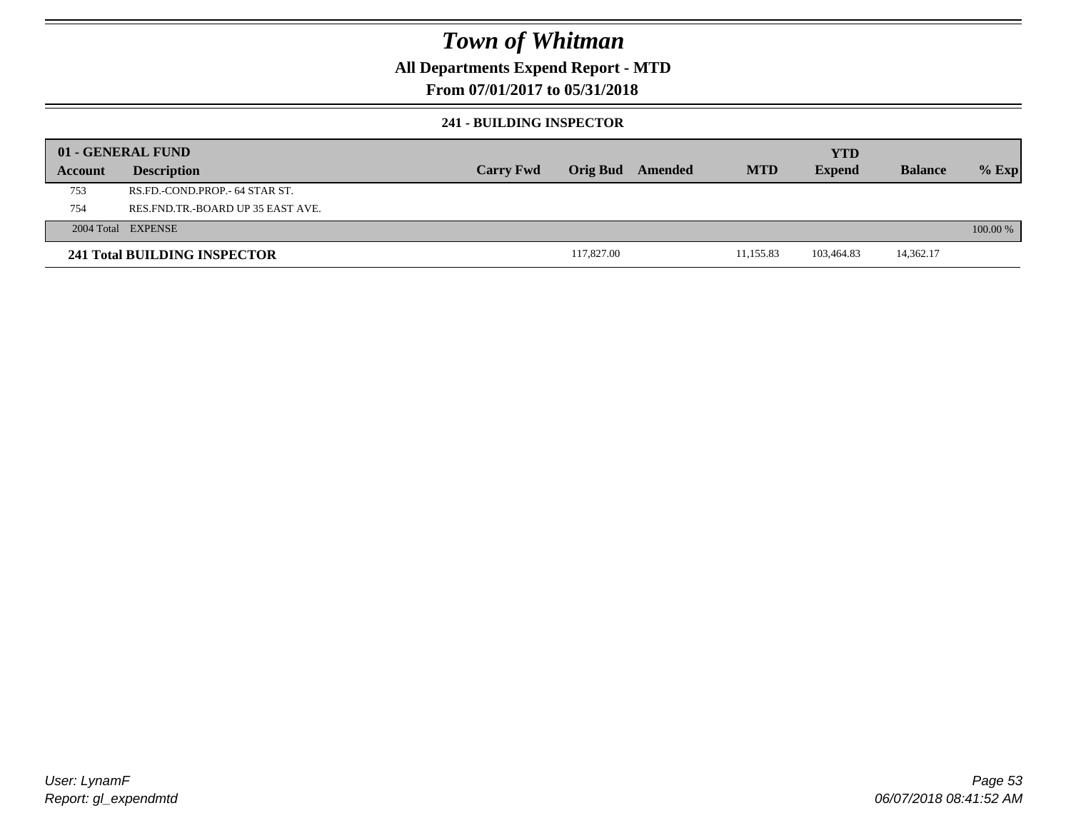### **All Departments Expend Report - MTD**

### **From 07/01/2017 to 05/31/2018**

### **241 - BUILDING INSPECTOR**

|         | 01 - GENERAL FUND                     |                  |            |         |            | <b>YTD</b>    |                |            |
|---------|---------------------------------------|------------------|------------|---------|------------|---------------|----------------|------------|
| Account | <b>Description</b>                    | <b>Carry Fwd</b> | Orig Bud   | Amended | <b>MTD</b> | <b>Expend</b> | <b>Balance</b> | $%$ Exp    |
| 753     | RS.FD.-COND.PROP.- 64 STAR ST.        |                  |            |         |            |               |                |            |
| 754     | RES. FND. TR. - BOARD UP 35 EAST AVE. |                  |            |         |            |               |                |            |
|         | 2004 Total EXPENSE                    |                  |            |         |            |               |                | $100.00\%$ |
|         | 241 Total BUILDING INSPECTOR          |                  | 117,827.00 |         | 11,155.83  | 103.464.83    | 14,362.17      |            |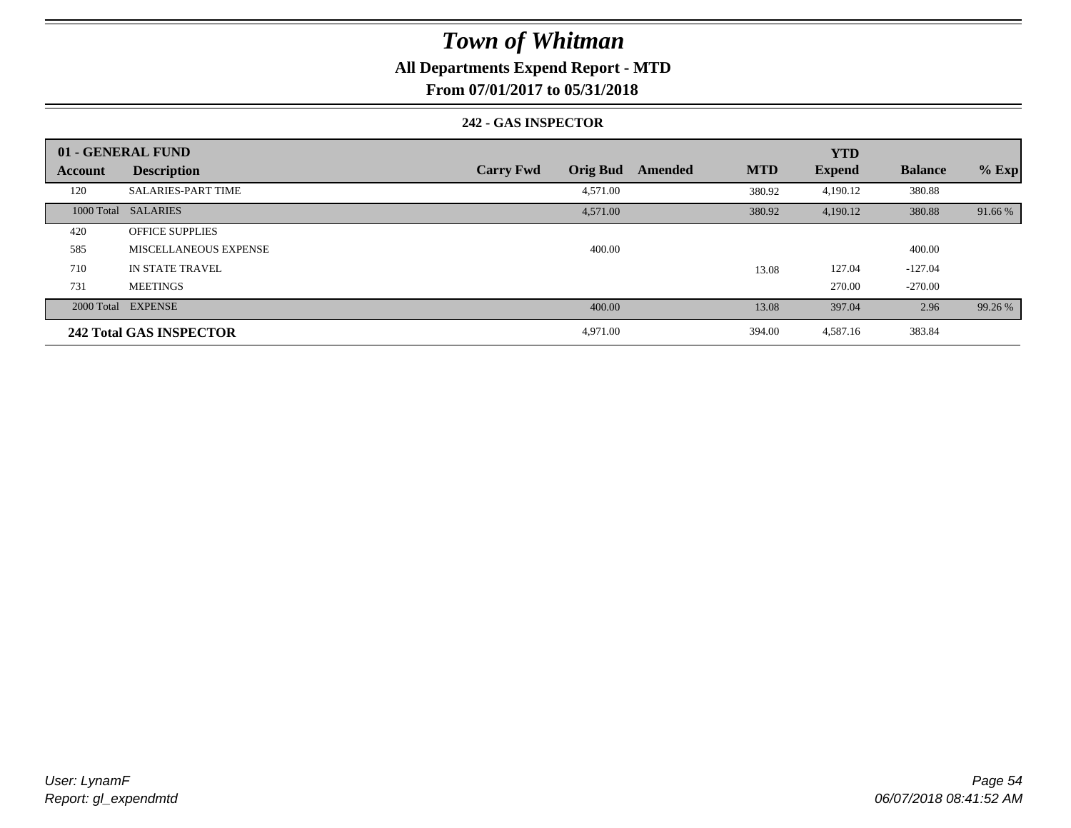### **All Departments Expend Report - MTD**

**From 07/01/2017 to 05/31/2018**

#### **242 - GAS INSPECTOR**

|         | 01 - GENERAL FUND              |                                     |                       | <b>YTD</b>    |                |         |
|---------|--------------------------------|-------------------------------------|-----------------------|---------------|----------------|---------|
| Account | <b>Description</b>             | <b>Orig Bud</b><br><b>Carry Fwd</b> | <b>MTD</b><br>Amended | <b>Expend</b> | <b>Balance</b> | $%$ Exp |
| 120     | <b>SALARIES-PART TIME</b>      | 4,571.00                            | 380.92                | 4,190.12      | 380.88         |         |
|         | 1000 Total SALARIES            | 4,571.00                            | 380.92                | 4,190.12      | 380.88         | 91.66 % |
| 420     | <b>OFFICE SUPPLIES</b>         |                                     |                       |               |                |         |
| 585     | <b>MISCELLANEOUS EXPENSE</b>   | 400.00                              |                       |               | 400.00         |         |
| 710     | IN STATE TRAVEL                |                                     | 13.08                 | 127.04        | $-127.04$      |         |
| 731     | <b>MEETINGS</b>                |                                     |                       | 270.00        | $-270.00$      |         |
|         | 2000 Total EXPENSE             | 400.00                              | 13.08                 | 397.04        | 2.96           | 99.26 % |
|         | <b>242 Total GAS INSPECTOR</b> | 4,971.00                            | 394.00                | 4,587.16      | 383.84         |         |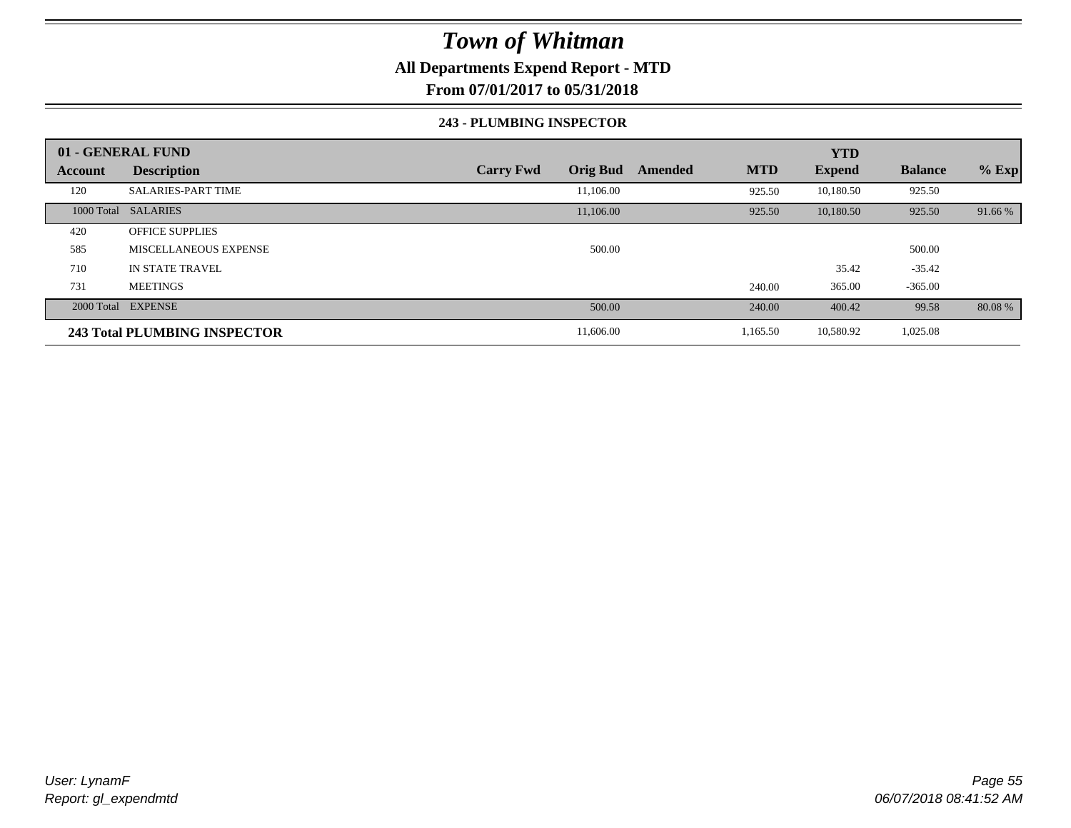### **All Departments Expend Report - MTD**

**From 07/01/2017 to 05/31/2018**

#### **243 - PLUMBING INSPECTOR**

|         | 01 - GENERAL FUND            |                                     |                       | <b>YTD</b>    |                |         |
|---------|------------------------------|-------------------------------------|-----------------------|---------------|----------------|---------|
| Account | <b>Description</b>           | <b>Orig Bud</b><br><b>Carry Fwd</b> | <b>MTD</b><br>Amended | <b>Expend</b> | <b>Balance</b> | $%$ Exp |
| 120     | <b>SALARIES-PART TIME</b>    | 11.106.00                           | 925.50                | 10,180.50     | 925.50         |         |
|         | 1000 Total SALARIES          | 11,106.00                           | 925.50                | 10,180.50     | 925.50         | 91.66 % |
| 420     | <b>OFFICE SUPPLIES</b>       |                                     |                       |               |                |         |
| 585     | <b>MISCELLANEOUS EXPENSE</b> | 500.00                              |                       |               | 500.00         |         |
| 710     | <b>IN STATE TRAVEL</b>       |                                     |                       | 35.42         | $-35.42$       |         |
| 731     | <b>MEETINGS</b>              |                                     | 240.00                | 365.00        | $-365.00$      |         |
|         | 2000 Total EXPENSE           | 500.00                              | 240.00                | 400.42        | 99.58          | 80.08 % |
|         | 243 Total PLUMBING INSPECTOR | 11,606.00                           | 1,165.50              | 10,580.92     | 1,025.08       |         |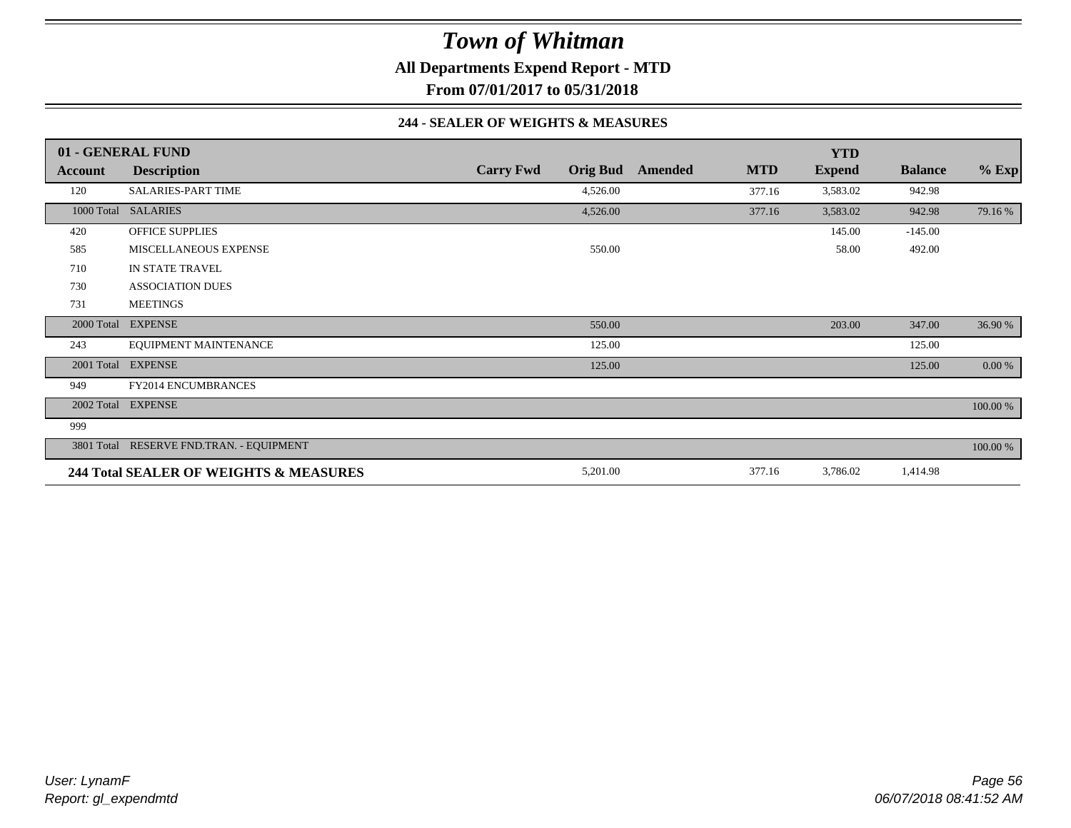**All Departments Expend Report - MTD**

**From 07/01/2017 to 05/31/2018**

#### **244 - SEALER OF WEIGHTS & MEASURES**

|         | 01 - GENERAL FUND                        |                  |                 |         |            | <b>YTD</b>    |                |             |
|---------|------------------------------------------|------------------|-----------------|---------|------------|---------------|----------------|-------------|
| Account | <b>Description</b>                       | <b>Carry Fwd</b> | <b>Orig Bud</b> | Amended | <b>MTD</b> | <b>Expend</b> | <b>Balance</b> | $%$ Exp     |
| 120     | <b>SALARIES-PART TIME</b>                |                  | 4,526.00        |         | 377.16     | 3,583.02      | 942.98         |             |
|         | 1000 Total SALARIES                      |                  | 4,526.00        |         | 377.16     | 3,583.02      | 942.98         | 79.16 %     |
| 420     | <b>OFFICE SUPPLIES</b>                   |                  |                 |         |            | 145.00        | $-145.00$      |             |
| 585     | MISCELLANEOUS EXPENSE                    |                  | 550.00          |         |            | 58.00         | 492.00         |             |
| 710     | IN STATE TRAVEL                          |                  |                 |         |            |               |                |             |
| 730     | <b>ASSOCIATION DUES</b>                  |                  |                 |         |            |               |                |             |
| 731     | <b>MEETINGS</b>                          |                  |                 |         |            |               |                |             |
|         | 2000 Total EXPENSE                       |                  | 550.00          |         |            | 203.00        | 347.00         | 36.90 %     |
| 243     | EQUIPMENT MAINTENANCE                    |                  | 125.00          |         |            |               | 125.00         |             |
|         | 2001 Total EXPENSE                       |                  | 125.00          |         |            |               | 125.00         | $0.00\%$    |
| 949     | FY2014 ENCUMBRANCES                      |                  |                 |         |            |               |                |             |
|         | 2002 Total EXPENSE                       |                  |                 |         |            |               |                | 100.00 %    |
| 999     |                                          |                  |                 |         |            |               |                |             |
|         | 3801 Total RESERVE FND.TRAN. - EQUIPMENT |                  |                 |         |            |               |                | $100.00~\%$ |
|         | 244 Total SEALER OF WEIGHTS & MEASURES   |                  | 5,201.00        |         | 377.16     | 3,786.02      | 1,414.98       |             |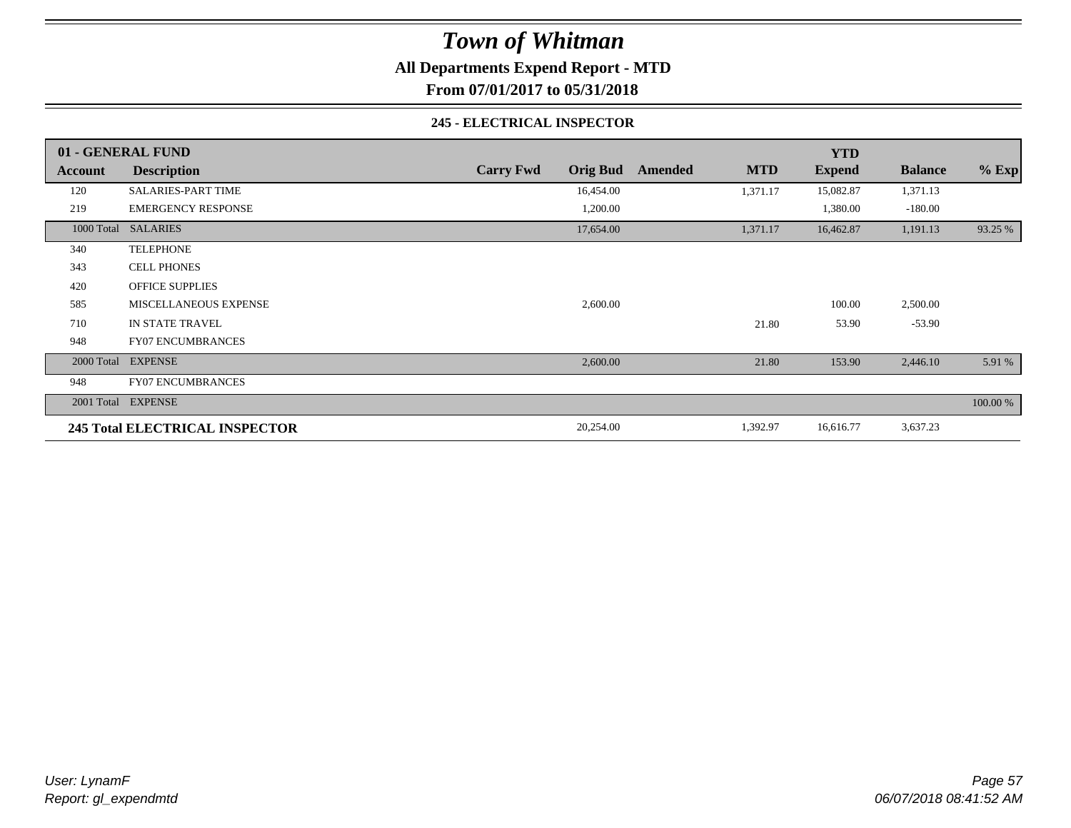**All Departments Expend Report - MTD**

**From 07/01/2017 to 05/31/2018**

#### **245 - ELECTRICAL INSPECTOR**

|         | 01 - GENERAL FUND              |                                     |                       | <b>YTD</b>    |                |          |
|---------|--------------------------------|-------------------------------------|-----------------------|---------------|----------------|----------|
| Account | <b>Description</b>             | <b>Orig Bud</b><br><b>Carry Fwd</b> | <b>MTD</b><br>Amended | <b>Expend</b> | <b>Balance</b> | $%$ Exp  |
| 120     | <b>SALARIES-PART TIME</b>      | 16,454.00                           | 1,371.17              | 15,082.87     | 1,371.13       |          |
| 219     | <b>EMERGENCY RESPONSE</b>      | 1,200.00                            |                       | 1,380.00      | $-180.00$      |          |
|         | 1000 Total SALARIES            | 17,654.00                           | 1,371.17              | 16,462.87     | 1,191.13       | 93.25 %  |
| 340     | <b>TELEPHONE</b>               |                                     |                       |               |                |          |
| 343     | <b>CELL PHONES</b>             |                                     |                       |               |                |          |
| 420     | <b>OFFICE SUPPLIES</b>         |                                     |                       |               |                |          |
| 585     | MISCELLANEOUS EXPENSE          | 2,600.00                            |                       | 100.00        | 2,500.00       |          |
| 710     | IN STATE TRAVEL                |                                     | 21.80                 | 53.90         | $-53.90$       |          |
| 948     | <b>FY07 ENCUMBRANCES</b>       |                                     |                       |               |                |          |
|         | 2000 Total EXPENSE             | 2,600.00                            | 21.80                 | 153.90        | 2,446.10       | 5.91 %   |
| 948     | <b>FY07 ENCUMBRANCES</b>       |                                     |                       |               |                |          |
|         | 2001 Total EXPENSE             |                                     |                       |               |                | 100.00 % |
|         | 245 Total ELECTRICAL INSPECTOR | 20,254.00                           | 1,392.97              | 16,616.77     | 3,637.23       |          |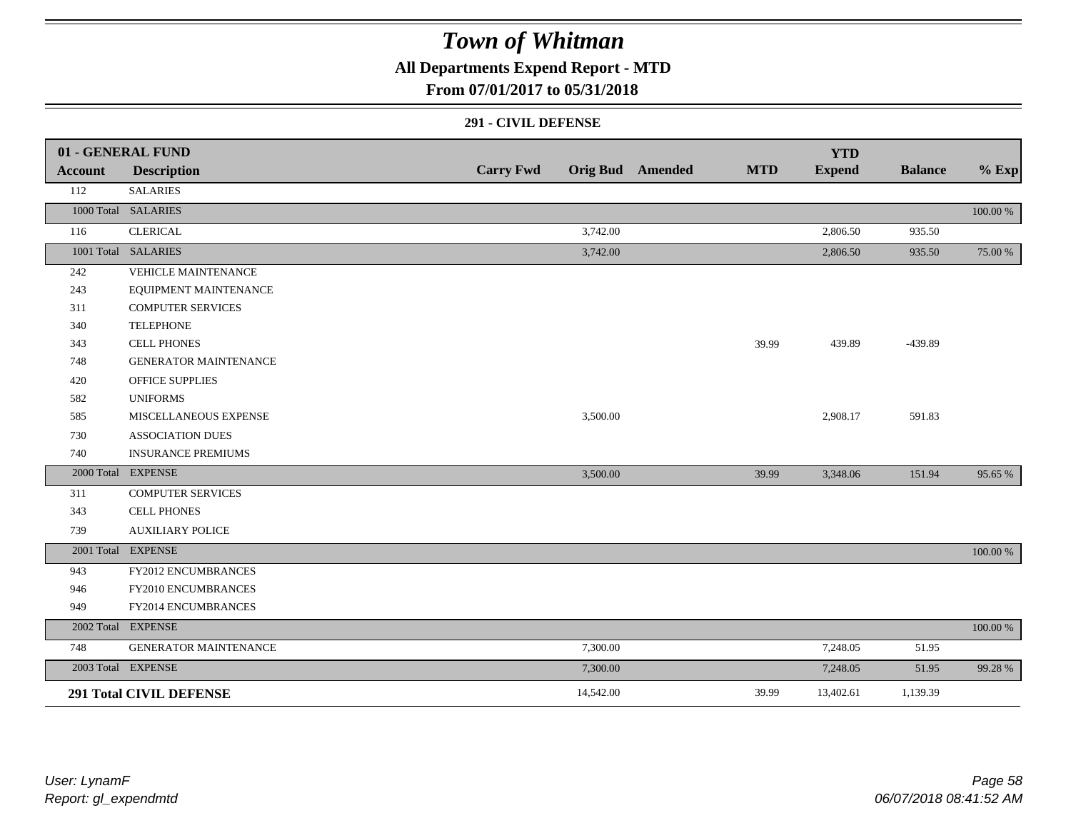### **All Departments Expend Report - MTD**

### **From 07/01/2017 to 05/31/2018**

#### **291 - CIVIL DEFENSE**

|         | 01 - GENERAL FUND              |                  |           |                         |            | <b>YTD</b>    |                |             |
|---------|--------------------------------|------------------|-----------|-------------------------|------------|---------------|----------------|-------------|
| Account | <b>Description</b>             | <b>Carry Fwd</b> |           | <b>Orig Bud</b> Amended | <b>MTD</b> | <b>Expend</b> | <b>Balance</b> | $%$ Exp     |
| 112     | <b>SALARIES</b>                |                  |           |                         |            |               |                |             |
|         | 1000 Total SALARIES            |                  |           |                         |            |               |                | 100.00 %    |
| 116     | <b>CLERICAL</b>                |                  | 3,742.00  |                         |            | 2,806.50      | 935.50         |             |
|         | 1001 Total SALARIES            |                  | 3,742.00  |                         |            | 2,806.50      | 935.50         | 75.00 %     |
| 242     | <b>VEHICLE MAINTENANCE</b>     |                  |           |                         |            |               |                |             |
| 243     | EQUIPMENT MAINTENANCE          |                  |           |                         |            |               |                |             |
| 311     | <b>COMPUTER SERVICES</b>       |                  |           |                         |            |               |                |             |
| 340     | <b>TELEPHONE</b>               |                  |           |                         |            |               |                |             |
| 343     | <b>CELL PHONES</b>             |                  |           |                         | 39.99      | 439.89        | -439.89        |             |
| 748     | <b>GENERATOR MAINTENANCE</b>   |                  |           |                         |            |               |                |             |
| 420     | <b>OFFICE SUPPLIES</b>         |                  |           |                         |            |               |                |             |
| 582     | <b>UNIFORMS</b>                |                  |           |                         |            |               |                |             |
| 585     | MISCELLANEOUS EXPENSE          |                  | 3,500.00  |                         |            | 2,908.17      | 591.83         |             |
| 730     | <b>ASSOCIATION DUES</b>        |                  |           |                         |            |               |                |             |
| 740     | <b>INSURANCE PREMIUMS</b>      |                  |           |                         |            |               |                |             |
|         | 2000 Total EXPENSE             |                  | 3,500.00  |                         | 39.99      | 3,348.06      | 151.94         | 95.65 %     |
| 311     | <b>COMPUTER SERVICES</b>       |                  |           |                         |            |               |                |             |
| 343     | <b>CELL PHONES</b>             |                  |           |                         |            |               |                |             |
| 739     | <b>AUXILIARY POLICE</b>        |                  |           |                         |            |               |                |             |
|         | 2001 Total EXPENSE             |                  |           |                         |            |               |                | 100.00 %    |
| 943     | <b>FY2012 ENCUMBRANCES</b>     |                  |           |                         |            |               |                |             |
| 946     | FY2010 ENCUMBRANCES            |                  |           |                         |            |               |                |             |
| 949     | FY2014 ENCUMBRANCES            |                  |           |                         |            |               |                |             |
|         | 2002 Total EXPENSE             |                  |           |                         |            |               |                | $100.00~\%$ |
| 748     | GENERATOR MAINTENANCE          |                  | 7,300.00  |                         |            | 7,248.05      | 51.95          |             |
|         | 2003 Total EXPENSE             |                  | 7,300.00  |                         |            | 7,248.05      | 51.95          | 99.28 %     |
|         | <b>291 Total CIVIL DEFENSE</b> |                  | 14,542.00 |                         | 39.99      | 13,402.61     | 1,139.39       |             |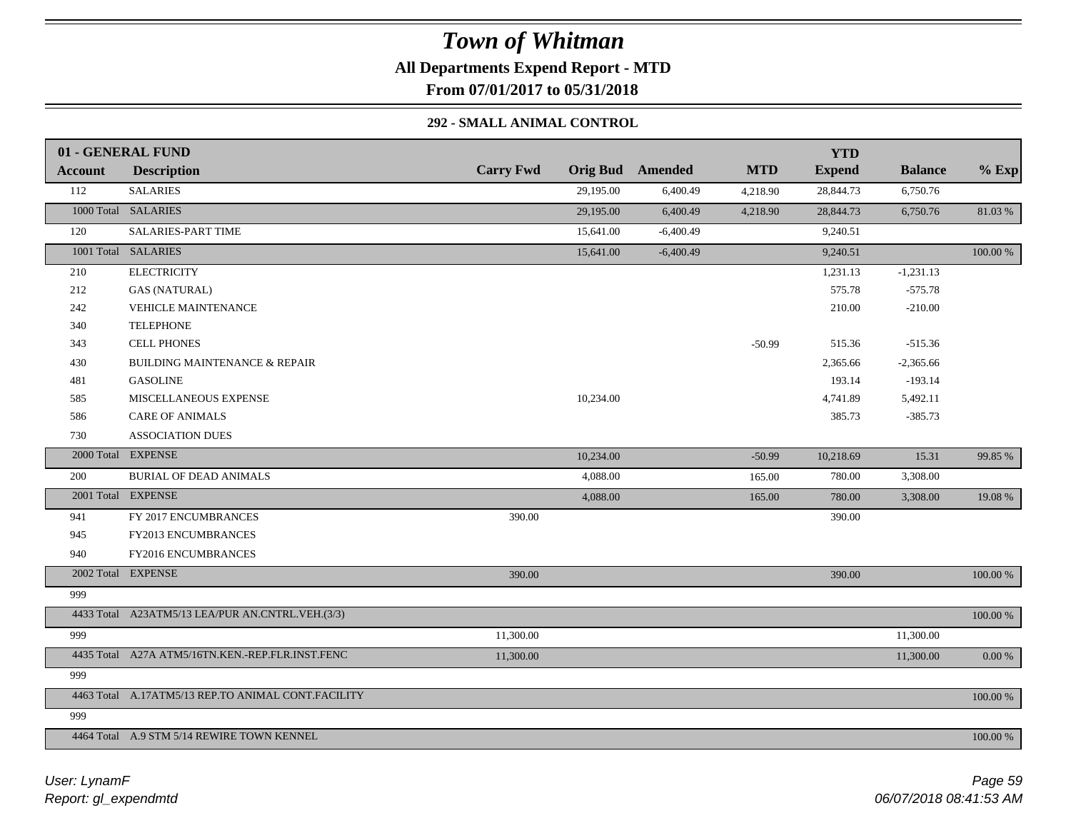# *Town of Whitman* **All Departments Expend Report - MTD From 07/01/2017 to 05/31/2018**

### **292 - SMALL ANIMAL CONTROL**

|         | 01 - GENERAL FUND                                  |                  |           |                         |            | <b>YTD</b>    |                |          |
|---------|----------------------------------------------------|------------------|-----------|-------------------------|------------|---------------|----------------|----------|
| Account | <b>Description</b>                                 | <b>Carry Fwd</b> |           | <b>Orig Bud</b> Amended | <b>MTD</b> | <b>Expend</b> | <b>Balance</b> | $%$ Exp  |
| 112     | <b>SALARIES</b>                                    |                  | 29,195.00 | 6,400.49                | 4,218.90   | 28,844.73     | 6,750.76       |          |
|         | 1000 Total SALARIES                                |                  | 29,195.00 | 6,400.49                | 4,218.90   | 28,844.73     | 6,750.76       | 81.03%   |
| 120     | <b>SALARIES-PART TIME</b>                          |                  | 15,641.00 | $-6,400.49$             |            | 9,240.51      |                |          |
|         | 1001 Total SALARIES                                |                  | 15,641.00 | $-6,400.49$             |            | 9,240.51      |                | 100.00 % |
| 210     | <b>ELECTRICITY</b>                                 |                  |           |                         |            | 1,231.13      | $-1,231.13$    |          |
| 212     | <b>GAS (NATURAL)</b>                               |                  |           |                         |            | 575.78        | $-575.78$      |          |
| 242     | <b>VEHICLE MAINTENANCE</b>                         |                  |           |                         |            | 210.00        | $-210.00$      |          |
| 340     | <b>TELEPHONE</b>                                   |                  |           |                         |            |               |                |          |
| 343     | <b>CELL PHONES</b>                                 |                  |           |                         | $-50.99$   | 515.36        | $-515.36$      |          |
| 430     | <b>BUILDING MAINTENANCE &amp; REPAIR</b>           |                  |           |                         |            | 2,365.66      | $-2,365.66$    |          |
| 481     | <b>GASOLINE</b>                                    |                  |           |                         |            | 193.14        | $-193.14$      |          |
| 585     | MISCELLANEOUS EXPENSE                              |                  | 10,234.00 |                         |            | 4,741.89      | 5,492.11       |          |
| 586     | <b>CARE OF ANIMALS</b>                             |                  |           |                         |            | 385.73        | $-385.73$      |          |
| 730     | <b>ASSOCIATION DUES</b>                            |                  |           |                         |            |               |                |          |
|         | 2000 Total EXPENSE                                 |                  | 10,234.00 |                         | $-50.99$   | 10,218.69     | 15.31          | 99.85 %  |
| 200     | <b>BURIAL OF DEAD ANIMALS</b>                      |                  | 4,088.00  |                         | 165.00     | 780.00        | 3,308.00       |          |
|         | 2001 Total EXPENSE                                 |                  | 4,088.00  |                         | 165.00     | 780.00        | 3,308.00       | 19.08 %  |
| 941     | FY 2017 ENCUMBRANCES                               | 390.00           |           |                         |            | 390.00        |                |          |
| 945     | FY2013 ENCUMBRANCES                                |                  |           |                         |            |               |                |          |
| 940     | FY2016 ENCUMBRANCES                                |                  |           |                         |            |               |                |          |
|         | 2002 Total EXPENSE                                 | 390.00           |           |                         |            | 390.00        |                | 100.00 % |
| 999     |                                                    |                  |           |                         |            |               |                |          |
|         | 4433 Total A23ATM5/13 LEA/PUR AN.CNTRL.VEH.(3/3)   |                  |           |                         |            |               |                | 100.00 % |
| 999     |                                                    | 11,300.00        |           |                         |            |               | 11,300.00      |          |
|         | 4435 Total A27A ATM5/16TN.KEN.-REP.FLR.INST.FENC   | 11,300.00        |           |                         |            |               | 11,300.00      | 0.00 %   |
| 999     |                                                    |                  |           |                         |            |               |                |          |
|         | 4463 Total A.17ATM5/13 REP.TO ANIMAL CONT.FACILITY |                  |           |                         |            |               |                | 100.00 % |
| 999     |                                                    |                  |           |                         |            |               |                |          |
|         | 4464 Total A.9 STM 5/14 REWIRE TOWN KENNEL         |                  |           |                         |            |               |                | 100.00 % |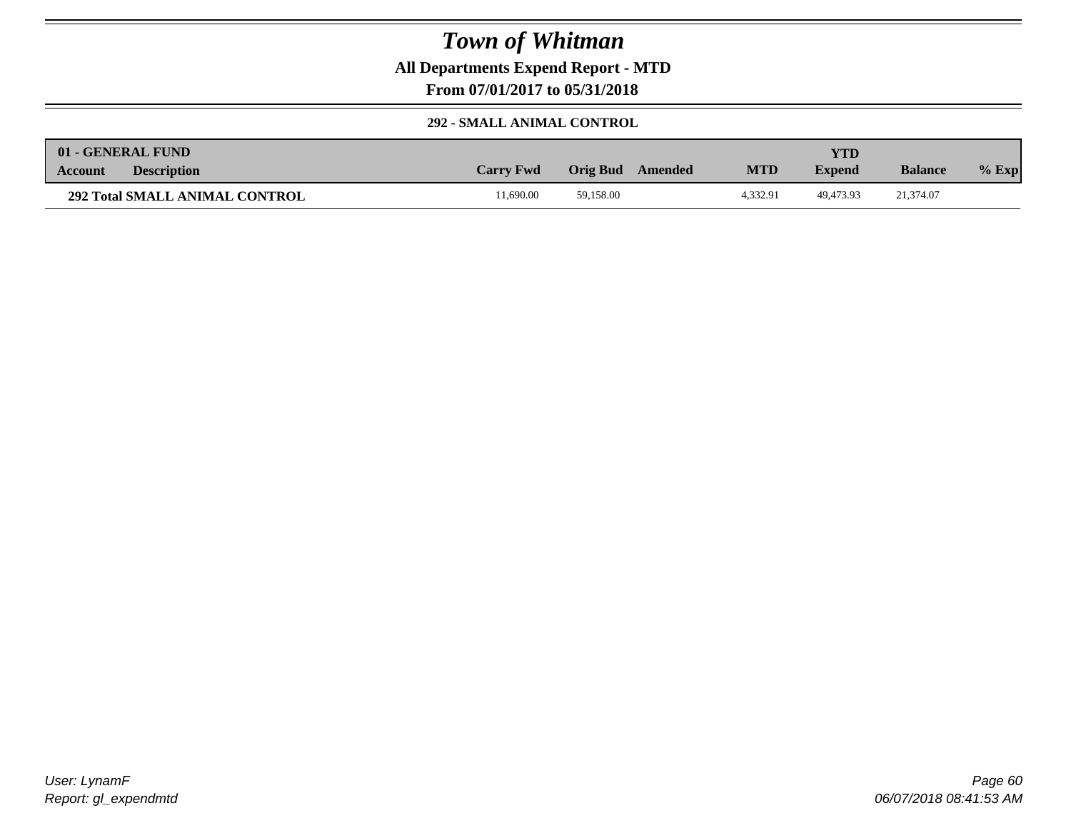**All Departments Expend Report - MTD**

**From 07/01/2017 to 05/31/2018**

#### **292 - SMALL ANIMAL CONTROL**

|                | 01 - GENERAL FUND                     |                  |           |         |            | <b>YTD</b>    |                |         |
|----------------|---------------------------------------|------------------|-----------|---------|------------|---------------|----------------|---------|
| <b>Account</b> | <b>Description</b>                    | <b>Carry Fwd</b> | Orig Bud  | Amended | <b>MTD</b> | <b>Expend</b> | <b>Balance</b> | $%$ Exp |
|                | <b>292 Total SMALL ANIMAL CONTROL</b> | 1.690.00         | 59.158.00 |         | 4.332.91   | 49.473.93     | 21,374.07      |         |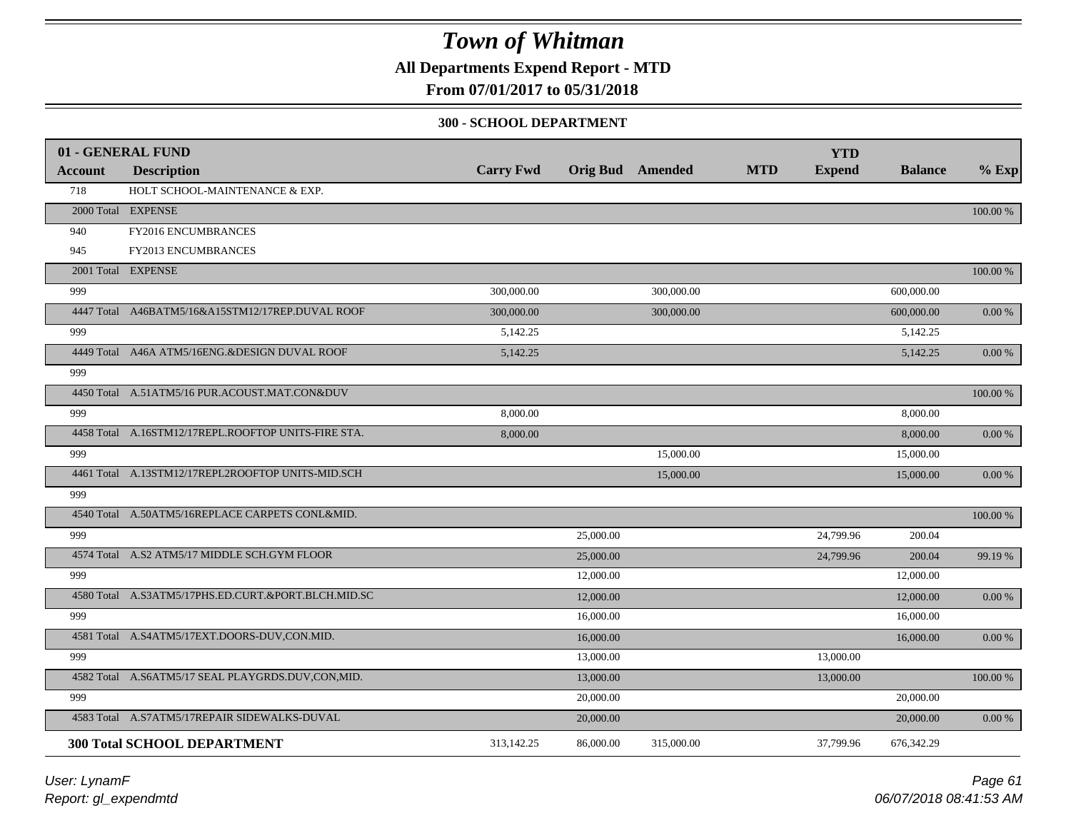**All Departments Expend Report - MTD**

### **From 07/01/2017 to 05/31/2018**

#### **300 - SCHOOL DEPARTMENT**

|                | 01 - GENERAL FUND                                   |                  |                         |            |            | <b>YTD</b>    |                |            |
|----------------|-----------------------------------------------------|------------------|-------------------------|------------|------------|---------------|----------------|------------|
| <b>Account</b> | <b>Description</b>                                  | <b>Carry Fwd</b> | <b>Orig Bud</b> Amended |            | <b>MTD</b> | <b>Expend</b> | <b>Balance</b> | $%$ Exp    |
| 718            | HOLT SCHOOL-MAINTENANCE & EXP.                      |                  |                         |            |            |               |                |            |
|                | 2000 Total EXPENSE                                  |                  |                         |            |            |               |                | 100.00 %   |
| 940            | FY2016 ENCUMBRANCES                                 |                  |                         |            |            |               |                |            |
| 945            | FY2013 ENCUMBRANCES                                 |                  |                         |            |            |               |                |            |
|                | 2001 Total EXPENSE                                  |                  |                         |            |            |               |                | 100.00 %   |
| 999            |                                                     | 300,000.00       |                         | 300,000.00 |            |               | 600,000.00     |            |
|                | 4447 Total A46BATM5/16&A15STM12/17REP.DUVAL ROOF    | 300,000.00       |                         | 300,000.00 |            |               | 600,000.00     | 0.00 %     |
| 999            |                                                     | 5,142.25         |                         |            |            |               | 5,142.25       |            |
|                | 4449 Total A46A ATM5/16ENG.&DESIGN DUVAL ROOF       | 5,142.25         |                         |            |            |               | 5,142.25       | 0.00 %     |
| 999            |                                                     |                  |                         |            |            |               |                |            |
|                | 4450 Total A.51ATM5/16 PUR.ACOUST.MAT.CON&DUV       |                  |                         |            |            |               |                | 100.00 %   |
| 999            |                                                     | 8,000.00         |                         |            |            |               | 8,000.00       |            |
|                | 4458 Total A.16STM12/17REPL.ROOFTOP UNITS-FIRE STA. | 8,000.00         |                         |            |            |               | 8,000.00       | 0.00 %     |
| 999            |                                                     |                  |                         | 15,000.00  |            |               | 15,000.00      |            |
|                | 4461 Total A.13STM12/17REPL2ROOFTOP UNITS-MID.SCH   |                  |                         | 15,000.00  |            |               | 15,000.00      | 0.00 %     |
| 999            |                                                     |                  |                         |            |            |               |                |            |
|                | 4540 Total A.50ATM5/16REPLACE CARPETS CONL&MID.     |                  |                         |            |            |               |                | 100.00 %   |
| 999            |                                                     |                  | 25,000.00               |            |            | 24,799.96     | 200.04         |            |
|                | 4574 Total A.S2 ATM5/17 MIDDLE SCH.GYM FLOOR        |                  | 25,000.00               |            |            | 24,799.96     | 200.04         | 99.19 %    |
| 999            |                                                     |                  | 12,000.00               |            |            |               | 12,000.00      |            |
|                | 4580 Total A.S3ATM5/17PHS.ED.CURT.&PORT.BLCH.MID.SC |                  | 12,000.00               |            |            |               | 12,000.00      | $0.00\:\%$ |
| 999            |                                                     |                  | 16,000.00               |            |            |               | 16,000.00      |            |
|                | 4581 Total A.S4ATM5/17EXT.DOORS-DUV,CON.MID.        |                  | 16,000.00               |            |            |               | 16,000.00      | 0.00 %     |
| 999            |                                                     |                  | 13,000.00               |            |            | 13,000.00     |                |            |
|                | 4582 Total A.S6ATM5/17 SEAL PLAYGRDS.DUV,CON,MID.   |                  | 13,000.00               |            |            | 13,000.00     |                | 100.00 %   |
| 999            |                                                     |                  | 20,000.00               |            |            |               | 20,000.00      |            |
|                | 4583 Total A.S7ATM5/17REPAIR SIDEWALKS-DUVAL        |                  | 20,000.00               |            |            |               | 20,000.00      | $0.00\ \%$ |
|                | <b>300 Total SCHOOL DEPARTMENT</b>                  | 313,142.25       | 86,000.00               | 315,000.00 |            | 37,799.96     | 676,342.29     |            |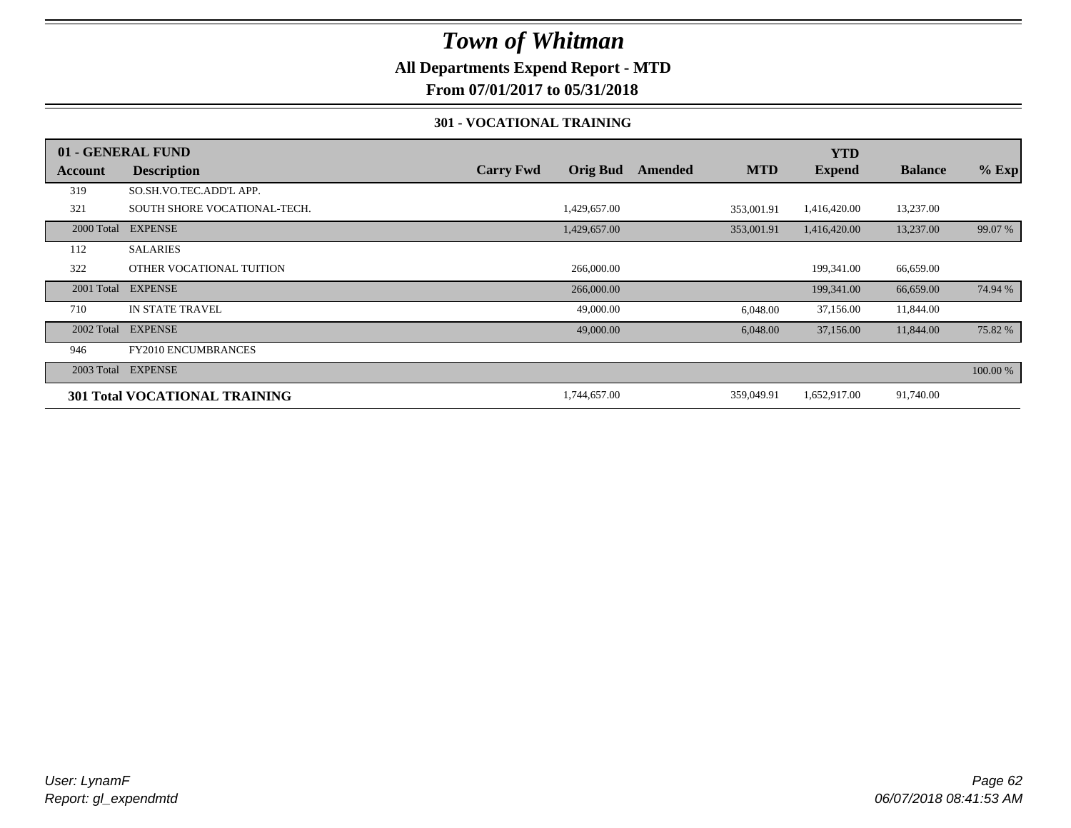### **All Departments Expend Report - MTD**

**From 07/01/2017 to 05/31/2018**

#### **301 - VOCATIONAL TRAINING**

|         | 01 - GENERAL FUND                    |                  |                 |         |            | <b>YTD</b>    |                |          |
|---------|--------------------------------------|------------------|-----------------|---------|------------|---------------|----------------|----------|
| Account | <b>Description</b>                   | <b>Carry Fwd</b> | <b>Orig Bud</b> | Amended | <b>MTD</b> | <b>Expend</b> | <b>Balance</b> | $%$ Exp  |
| 319     | SO.SH.VO.TEC.ADD'L APP.              |                  |                 |         |            |               |                |          |
| 321     | SOUTH SHORE VOCATIONAL-TECH.         |                  | 1,429,657.00    |         | 353,001.91 | 1,416,420.00  | 13,237.00      |          |
|         | 2000 Total EXPENSE                   |                  | 1,429,657.00    |         | 353,001.91 | 1,416,420.00  | 13,237.00      | 99.07 %  |
| 112     | <b>SALARIES</b>                      |                  |                 |         |            |               |                |          |
| 322     | OTHER VOCATIONAL TUITION             |                  | 266,000.00      |         |            | 199,341.00    | 66,659.00      |          |
|         | 2001 Total EXPENSE                   |                  | 266,000.00      |         |            | 199,341.00    | 66,659.00      | 74.94 %  |
| 710     | <b>IN STATE TRAVEL</b>               |                  | 49,000.00       |         | 6,048.00   | 37,156.00     | 11,844.00      |          |
|         | 2002 Total EXPENSE                   |                  | 49,000.00       |         | 6,048.00   | 37,156.00     | 11,844.00      | 75.82 %  |
| 946     | <b>FY2010 ENCUMBRANCES</b>           |                  |                 |         |            |               |                |          |
|         | 2003 Total EXPENSE                   |                  |                 |         |            |               |                | 100.00 % |
|         | <b>301 Total VOCATIONAL TRAINING</b> |                  | 1,744,657.00    |         | 359,049.91 | 1,652,917.00  | 91,740.00      |          |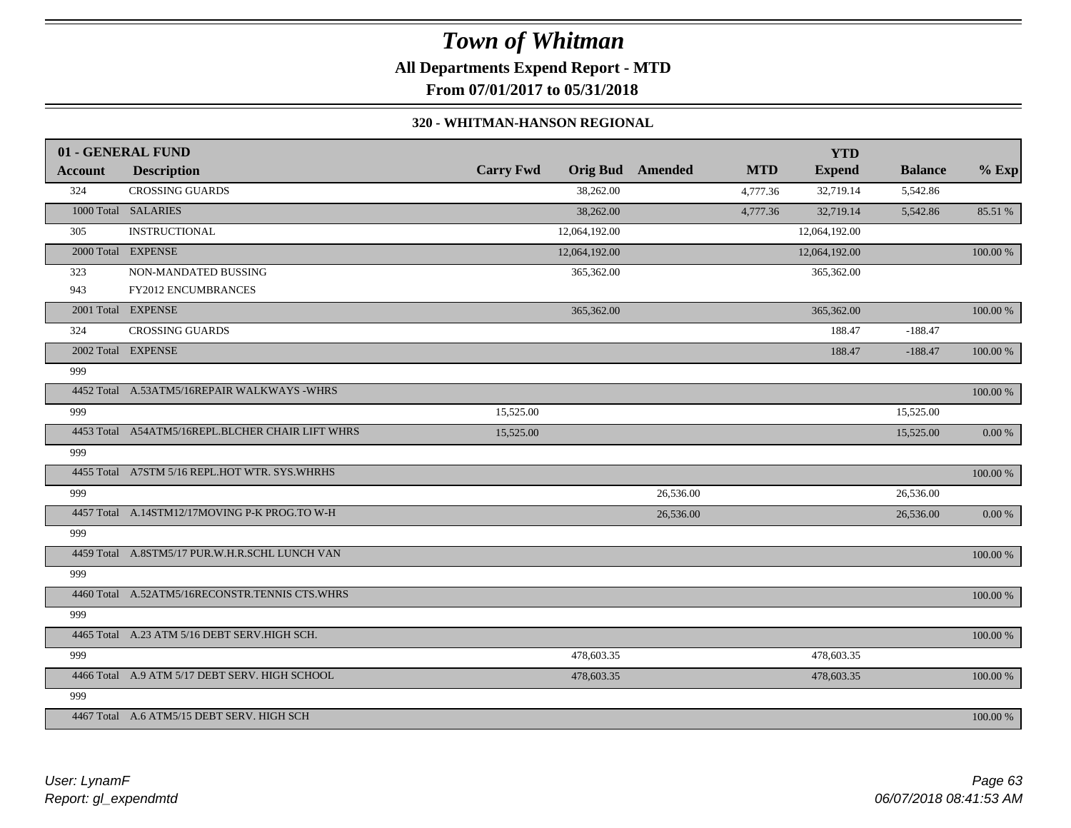# *Town of Whitman* **All Departments Expend Report - MTD From 07/01/2017 to 05/31/2018**

#### **320 - WHITMAN-HANSON REGIONAL**

|                | 01 - GENERAL FUND                                |                  |                 |           |            | <b>YTD</b>    |                |             |
|----------------|--------------------------------------------------|------------------|-----------------|-----------|------------|---------------|----------------|-------------|
| <b>Account</b> | <b>Description</b>                               | <b>Carry Fwd</b> | <b>Orig Bud</b> | Amended   | <b>MTD</b> | <b>Expend</b> | <b>Balance</b> | $%$ Exp     |
| 324            | <b>CROSSING GUARDS</b>                           |                  | 38,262.00       |           | 4,777.36   | 32,719.14     | 5,542.86       |             |
|                | 1000 Total SALARIES                              |                  | 38,262.00       |           | 4,777.36   | 32,719.14     | 5,542.86       | 85.51 %     |
| 305            | <b>INSTRUCTIONAL</b>                             |                  | 12,064,192.00   |           |            | 12,064,192.00 |                |             |
|                | 2000 Total EXPENSE                               |                  | 12,064,192.00   |           |            | 12,064,192.00 |                | 100.00 %    |
| 323            | NON-MANDATED BUSSING                             |                  | 365,362.00      |           |            | 365,362.00    |                |             |
| 943            | FY2012 ENCUMBRANCES                              |                  |                 |           |            |               |                |             |
|                | 2001 Total EXPENSE                               |                  | 365,362.00      |           |            | 365,362.00    |                | 100.00 %    |
| 324            | <b>CROSSING GUARDS</b>                           |                  |                 |           |            | 188.47        | $-188.47$      |             |
|                | 2002 Total EXPENSE                               |                  |                 |           |            | 188.47        | $-188.47$      | 100.00 %    |
| 999            |                                                  |                  |                 |           |            |               |                |             |
|                | 4452 Total A.53ATM5/16REPAIR WALKWAYS -WHRS      |                  |                 |           |            |               |                | 100.00 %    |
| 999            |                                                  | 15,525.00        |                 |           |            |               | 15,525.00      |             |
|                | 4453 Total A54ATM5/16REPL.BLCHER CHAIR LIFT WHRS | 15,525.00        |                 |           |            |               | 15,525.00      | $0.00 \%$   |
| 999            |                                                  |                  |                 |           |            |               |                |             |
|                | 4455 Total A7STM 5/16 REPL.HOT WTR. SYS.WHRHS    |                  |                 |           |            |               |                | $100.00~\%$ |
| 999            |                                                  |                  |                 | 26,536.00 |            |               | 26,536.00      |             |
|                | 4457 Total A.14STM12/17MOVING P-K PROG.TO W-H    |                  |                 | 26,536.00 |            |               | 26,536.00      | $0.00\ \%$  |
| 999            |                                                  |                  |                 |           |            |               |                |             |
|                | 4459 Total A.8STM5/17 PUR.W.H.R.SCHL LUNCH VAN   |                  |                 |           |            |               |                | 100.00 %    |
| 999            |                                                  |                  |                 |           |            |               |                |             |
|                | 4460 Total A.52ATM5/16RECONSTR.TENNIS CTS.WHRS   |                  |                 |           |            |               |                | 100.00 %    |
| 999            |                                                  |                  |                 |           |            |               |                |             |
|                | 4465 Total A.23 ATM 5/16 DEBT SERV.HIGH SCH.     |                  |                 |           |            |               |                | $100.00~\%$ |
| 999            |                                                  |                  | 478,603.35      |           |            | 478,603.35    |                |             |
|                | 4466 Total A.9 ATM 5/17 DEBT SERV. HIGH SCHOOL   |                  | 478,603.35      |           |            | 478,603.35    |                | 100.00 %    |
| 999            |                                                  |                  |                 |           |            |               |                |             |
|                | 4467 Total A.6 ATM5/15 DEBT SERV. HIGH SCH       |                  |                 |           |            |               |                | 100.00 %    |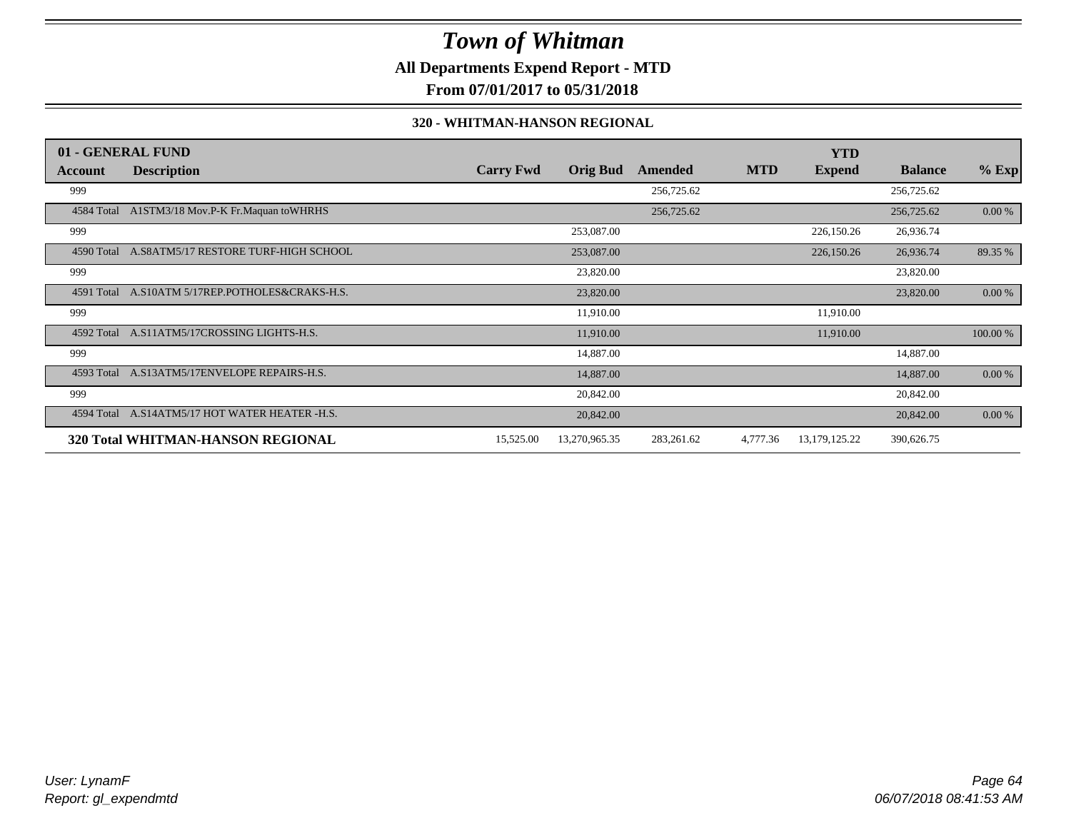**All Departments Expend Report - MTD**

**From 07/01/2017 to 05/31/2018**

#### **320 - WHITMAN-HANSON REGIONAL**

|            | 01 - GENERAL FUND                              |                  |                 |            |            | <b>YTD</b>       |                |          |
|------------|------------------------------------------------|------------------|-----------------|------------|------------|------------------|----------------|----------|
| Account    | <b>Description</b>                             | <b>Carry Fwd</b> | <b>Orig Bud</b> | Amended    | <b>MTD</b> | <b>Expend</b>    | <b>Balance</b> | $%$ Exp  |
| 999        |                                                |                  |                 | 256,725.62 |            |                  | 256,725.62     |          |
|            | 4584 Total A1STM3/18 Mov.P-K Fr.Maquan toWHRHS |                  |                 | 256,725.62 |            |                  | 256,725.62     | 0.00 %   |
| 999        |                                                |                  | 253,087.00      |            |            | 226,150.26       | 26,936.74      |          |
| 4590 Total | A.S8ATM5/17 RESTORE TURF-HIGH SCHOOL           |                  | 253,087.00      |            |            | 226,150.26       | 26,936.74      | 89.35 %  |
| 999        |                                                |                  | 23,820.00       |            |            |                  | 23,820.00      |          |
| 4591 Total | A.S10ATM 5/17REP.POTHOLES&CRAKS-H.S.           |                  | 23,820.00       |            |            |                  | 23,820.00      | 0.00 %   |
| 999        |                                                |                  | 11,910.00       |            |            | 11,910.00        |                |          |
| 4592 Total | A.S11ATM5/17CROSSING LIGHTS-H.S.               |                  | 11,910.00       |            |            | 11,910.00        |                | 100.00 % |
| 999        |                                                |                  | 14,887.00       |            |            |                  | 14,887.00      |          |
| 4593 Total | A.S13ATM5/17ENVELOPE REPAIRS-H.S.              |                  | 14,887.00       |            |            |                  | 14,887.00      | 0.00 %   |
| 999        |                                                |                  | 20,842.00       |            |            |                  | 20,842.00      |          |
| 4594 Total | A.S14ATM5/17 HOT WATER HEATER -H.S.            |                  | 20,842.00       |            |            |                  | 20,842.00      | 0.00 %   |
|            | <b>320 Total WHITMAN-HANSON REGIONAL</b>       | 15,525.00        | 13,270,965.35   | 283,261.62 | 4,777.36   | 13, 179, 125. 22 | 390,626.75     |          |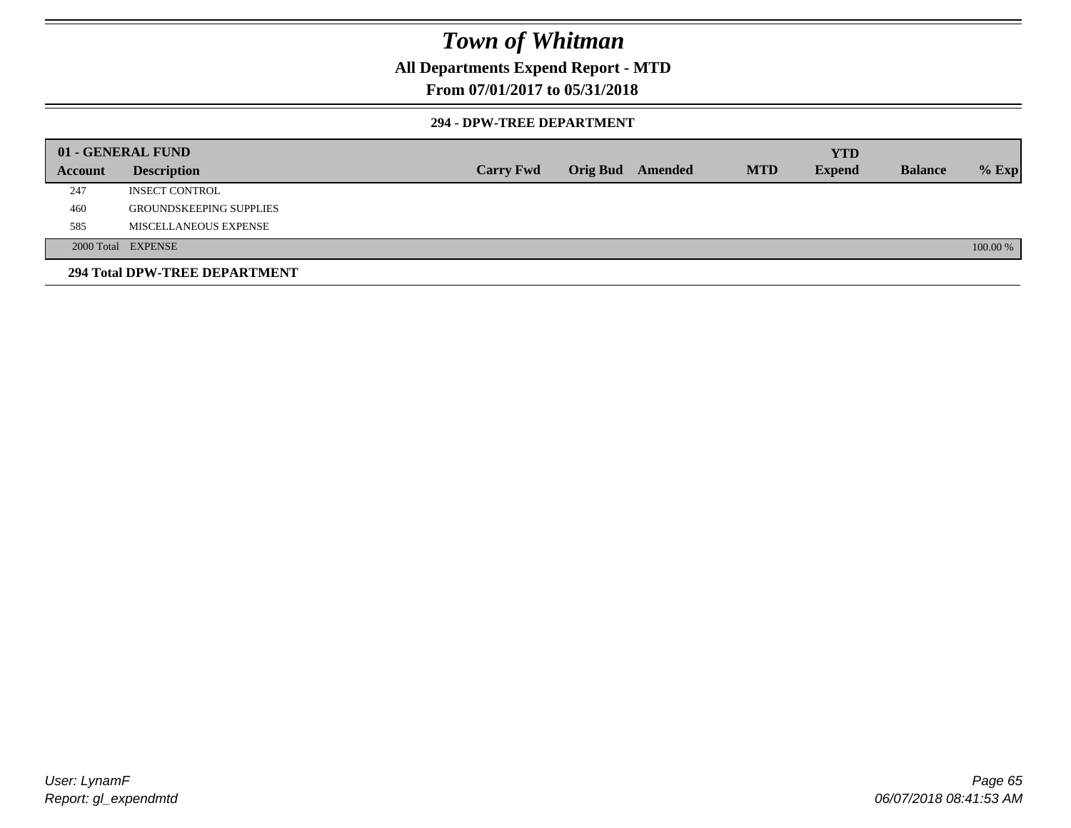### **All Departments Expend Report - MTD**

### **From 07/01/2017 to 05/31/2018**

#### **294 - DPW-TREE DEPARTMENT**

|         | 01 - GENERAL FUND              |                  |                         |            | <b>YTD</b>    |                |          |
|---------|--------------------------------|------------------|-------------------------|------------|---------------|----------------|----------|
| Account | <b>Description</b>             | <b>Carry Fwd</b> | <b>Orig Bud</b> Amended | <b>MTD</b> | <b>Expend</b> | <b>Balance</b> | $%$ Exp  |
| 247     | <b>INSECT CONTROL</b>          |                  |                         |            |               |                |          |
| 460     | <b>GROUNDSKEEPING SUPPLIES</b> |                  |                         |            |               |                |          |
| 585     | MISCELLANEOUS EXPENSE          |                  |                         |            |               |                |          |
|         | 2000 Total EXPENSE             |                  |                         |            |               |                | 100.00 % |
|         | 294 Total DPW-TREE DEPARTMENT  |                  |                         |            |               |                |          |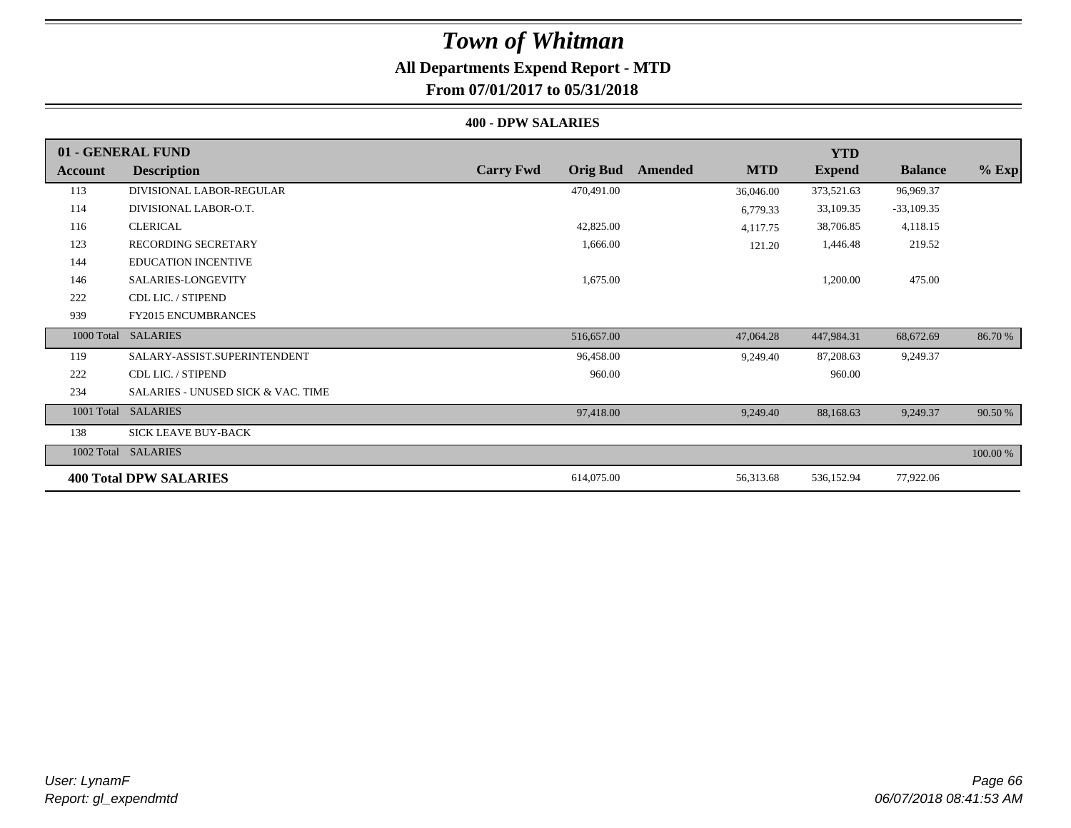# **All Departments Expend Report - MTD**

# **From 07/01/2017 to 05/31/2018**

#### **400 - DPW SALARIES**

|                | 01 - GENERAL FUND                             |                                     |                       | <b>YTD</b>    |                |          |
|----------------|-----------------------------------------------|-------------------------------------|-----------------------|---------------|----------------|----------|
| <b>Account</b> | <b>Description</b>                            | <b>Carry Fwd</b><br><b>Orig Bud</b> | <b>MTD</b><br>Amended | <b>Expend</b> | <b>Balance</b> | $%$ Exp  |
| 113            | DIVISIONAL LABOR-REGULAR                      | 470,491.00                          | 36,046.00             | 373,521.63    | 96,969.37      |          |
| 114            | DIVISIONAL LABOR-O.T.                         |                                     | 6,779.33              | 33,109.35     | $-33,109.35$   |          |
| 116            | <b>CLERICAL</b>                               | 42,825.00                           | 4,117.75              | 38,706.85     | 4,118.15       |          |
| 123            | <b>RECORDING SECRETARY</b>                    | 1,666.00                            | 121.20                | 1,446.48      | 219.52         |          |
| 144            | <b>EDUCATION INCENTIVE</b>                    |                                     |                       |               |                |          |
| 146            | SALARIES-LONGEVITY                            | 1,675.00                            |                       | 1,200.00      | 475.00         |          |
| 222            | CDL LIC. / STIPEND                            |                                     |                       |               |                |          |
| 939            | <b>FY2015 ENCUMBRANCES</b>                    |                                     |                       |               |                |          |
| 1000 Total     | <b>SALARIES</b>                               | 516,657.00                          | 47,064.28             | 447,984.31    | 68,672.69      | 86.70 %  |
| 119            | SALARY-ASSIST.SUPERINTENDENT                  | 96,458.00                           | 9,249.40              | 87,208.63     | 9,249.37       |          |
| 222            | CDL LIC. / STIPEND                            | 960.00                              |                       | 960.00        |                |          |
| 234            | <b>SALARIES - UNUSED SICK &amp; VAC. TIME</b> |                                     |                       |               |                |          |
| 1001 Total     | <b>SALARIES</b>                               | 97,418.00                           | 9,249.40              | 88,168.63     | 9,249.37       | 90.50 %  |
| 138            | <b>SICK LEAVE BUY-BACK</b>                    |                                     |                       |               |                |          |
| 1002 Total     | <b>SALARIES</b>                               |                                     |                       |               |                | 100.00 % |
|                | <b>400 Total DPW SALARIES</b>                 | 614,075.00                          | 56,313.68             | 536,152.94    | 77,922.06      |          |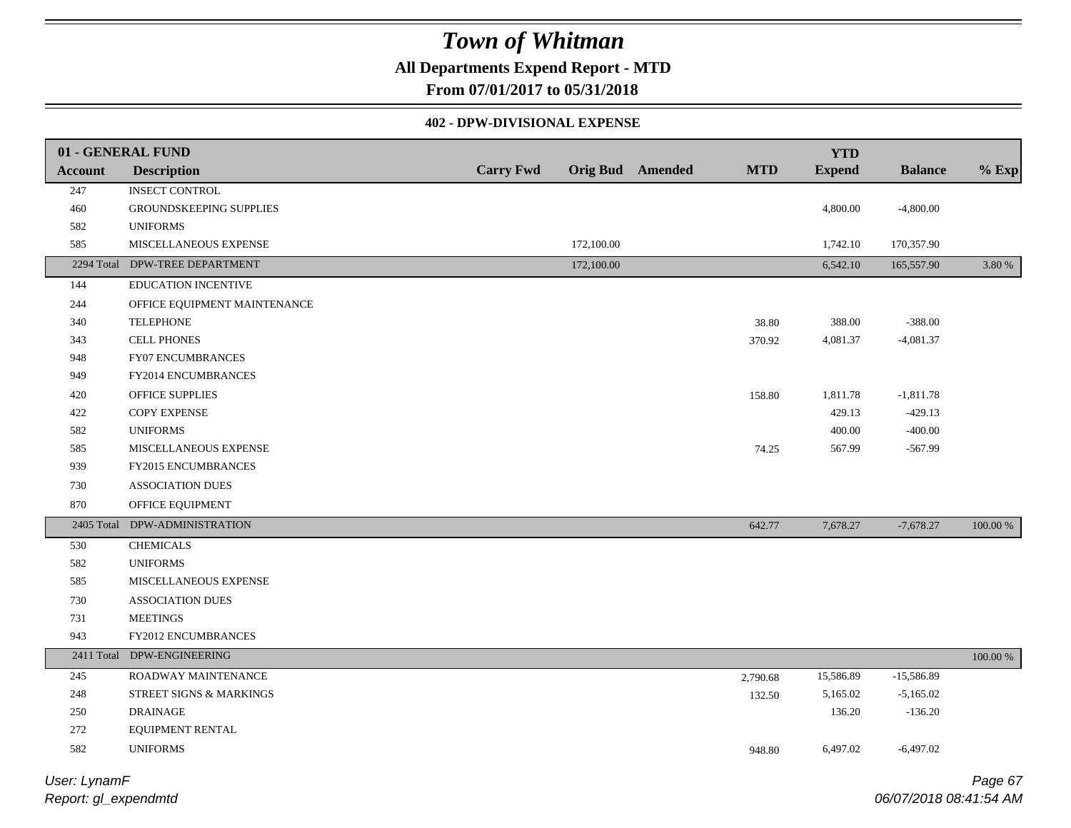### **All Departments Expend Report - MTD**

**From 07/01/2017 to 05/31/2018**

### **402 - DPW-DIVISIONAL EXPENSE**

|                | 01 - GENERAL FUND              |                  |            |                         |            | <b>YTD</b>    |                |             |
|----------------|--------------------------------|------------------|------------|-------------------------|------------|---------------|----------------|-------------|
| <b>Account</b> | <b>Description</b>             | <b>Carry Fwd</b> |            | <b>Orig Bud</b> Amended | <b>MTD</b> | <b>Expend</b> | <b>Balance</b> | $%$ Exp     |
| 247            | <b>INSECT CONTROL</b>          |                  |            |                         |            |               |                |             |
| 460            | GROUNDSKEEPING SUPPLIES        |                  |            |                         |            | 4,800.00      | $-4,800.00$    |             |
| 582            | <b>UNIFORMS</b>                |                  |            |                         |            |               |                |             |
| 585            | MISCELLANEOUS EXPENSE          |                  | 172,100.00 |                         |            | 1,742.10      | 170,357.90     |             |
|                | 2294 Total DPW-TREE DEPARTMENT |                  | 172,100.00 |                         |            | 6,542.10      | 165,557.90     | 3.80 %      |
| 144            | <b>EDUCATION INCENTIVE</b>     |                  |            |                         |            |               |                |             |
| 244            | OFFICE EQUIPMENT MAINTENANCE   |                  |            |                         |            |               |                |             |
| 340            | <b>TELEPHONE</b>               |                  |            |                         | 38.80      | 388.00        | $-388.00$      |             |
| 343            | <b>CELL PHONES</b>             |                  |            |                         | 370.92     | 4,081.37      | $-4,081.37$    |             |
| 948            | FY07 ENCUMBRANCES              |                  |            |                         |            |               |                |             |
| 949            | FY2014 ENCUMBRANCES            |                  |            |                         |            |               |                |             |
| 420            | OFFICE SUPPLIES                |                  |            |                         | 158.80     | 1,811.78      | $-1,811.78$    |             |
| 422            | <b>COPY EXPENSE</b>            |                  |            |                         |            | 429.13        | $-429.13$      |             |
| 582            | <b>UNIFORMS</b>                |                  |            |                         |            | 400.00        | $-400.00$      |             |
| 585            | MISCELLANEOUS EXPENSE          |                  |            |                         | 74.25      | 567.99        | $-567.99$      |             |
| 939            | FY2015 ENCUMBRANCES            |                  |            |                         |            |               |                |             |
| 730            | ASSOCIATION DUES               |                  |            |                         |            |               |                |             |
| 870            | OFFICE EQUIPMENT               |                  |            |                         |            |               |                |             |
| 2405 Total     | DPW-ADMINISTRATION             |                  |            |                         | 642.77     | 7,678.27      | $-7,678.27$    | $100.00~\%$ |
| 530            | <b>CHEMICALS</b>               |                  |            |                         |            |               |                |             |
| 582            | <b>UNIFORMS</b>                |                  |            |                         |            |               |                |             |
| 585            | MISCELLANEOUS EXPENSE          |                  |            |                         |            |               |                |             |
| 730            | ASSOCIATION DUES               |                  |            |                         |            |               |                |             |
| 731            | <b>MEETINGS</b>                |                  |            |                         |            |               |                |             |
| 943            | FY2012 ENCUMBRANCES            |                  |            |                         |            |               |                |             |
|                | 2411 Total DPW-ENGINEERING     |                  |            |                         |            |               |                | $100.00~\%$ |
| 245            | ROADWAY MAINTENANCE            |                  |            |                         | 2,790.68   | 15,586.89     | $-15,586.89$   |             |
| 248            | STREET SIGNS & MARKINGS        |                  |            |                         | 132.50     | 5,165.02      | $-5,165.02$    |             |
| $250\,$        | <b>DRAINAGE</b>                |                  |            |                         |            | 136.20        | $-136.20$      |             |
| 272            | EQUIPMENT RENTAL               |                  |            |                         |            |               |                |             |
| 582            | <b>UNIFORMS</b>                |                  |            |                         | 948.80     | 6,497.02      | $-6,497.02$    |             |
|                |                                |                  |            |                         |            |               |                |             |

*Report: gl\_expendmtd User: LynamF*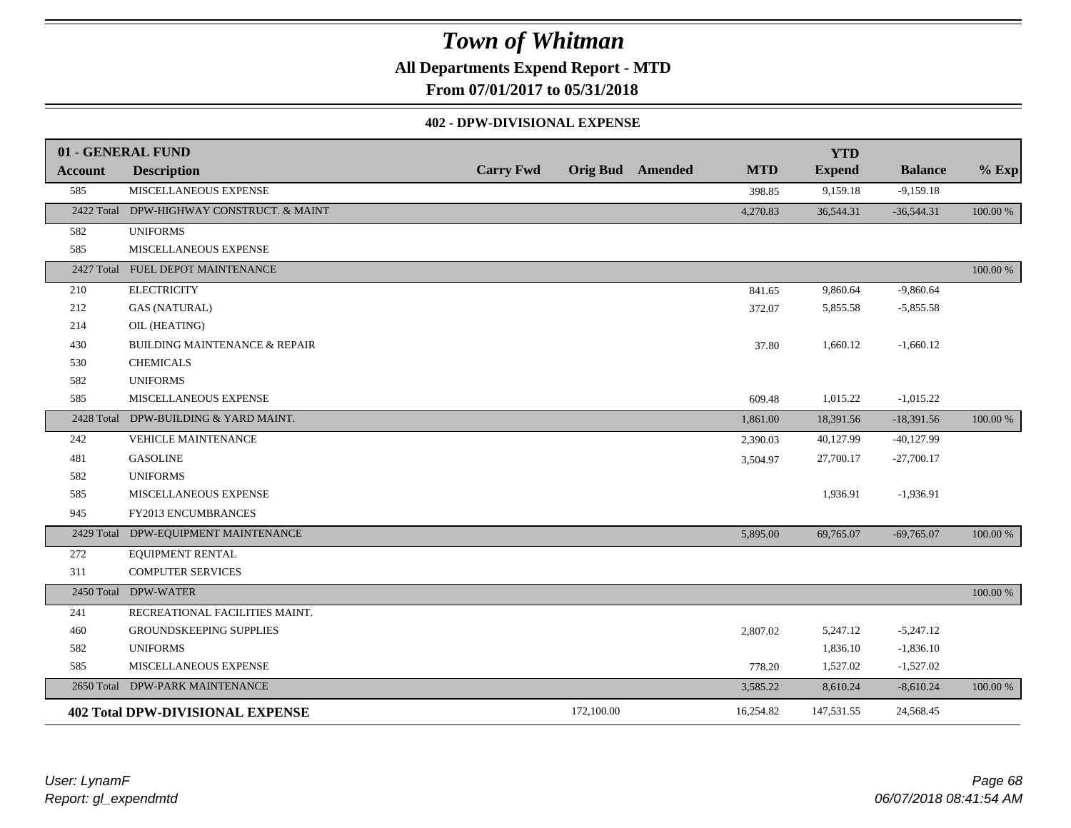**All Departments Expend Report - MTD**

**From 07/01/2017 to 05/31/2018**

### **402 - DPW-DIVISIONAL EXPENSE**

|                | 01 - GENERAL FUND                        |                  |            |                         |            | <b>YTD</b>    |                |          |
|----------------|------------------------------------------|------------------|------------|-------------------------|------------|---------------|----------------|----------|
| <b>Account</b> | <b>Description</b>                       | <b>Carry Fwd</b> |            | <b>Orig Bud</b> Amended | <b>MTD</b> | <b>Expend</b> | <b>Balance</b> | $%$ Exp  |
| 585            | MISCELLANEOUS EXPENSE                    |                  |            |                         | 398.85     | 9,159.18      | $-9,159.18$    |          |
| 2422 Total     | DPW-HIGHWAY CONSTRUCT. & MAINT           |                  |            |                         | 4,270.83   | 36,544.31     | $-36,544.31$   | 100.00 % |
| 582            | <b>UNIFORMS</b>                          |                  |            |                         |            |               |                |          |
| 585            | MISCELLANEOUS EXPENSE                    |                  |            |                         |            |               |                |          |
|                | 2427 Total FUEL DEPOT MAINTENANCE        |                  |            |                         |            |               |                | 100.00 % |
| 210            | <b>ELECTRICITY</b>                       |                  |            |                         | 841.65     | 9,860.64      | $-9,860.64$    |          |
| 212            | <b>GAS (NATURAL)</b>                     |                  |            |                         | 372.07     | 5,855.58      | $-5,855.58$    |          |
| 214            | OIL (HEATING)                            |                  |            |                         |            |               |                |          |
| 430            | <b>BUILDING MAINTENANCE &amp; REPAIR</b> |                  |            |                         | 37.80      | 1,660.12      | $-1,660.12$    |          |
| 530            | <b>CHEMICALS</b>                         |                  |            |                         |            |               |                |          |
| 582            | <b>UNIFORMS</b>                          |                  |            |                         |            |               |                |          |
| 585            | MISCELLANEOUS EXPENSE                    |                  |            |                         | 609.48     | 1,015.22      | $-1,015.22$    |          |
|                | 2428 Total DPW-BUILDING & YARD MAINT.    |                  |            |                         | 1,861.00   | 18,391.56     | $-18,391.56$   | 100.00 % |
| 242            | <b>VEHICLE MAINTENANCE</b>               |                  |            |                         | 2,390.03   | 40,127.99     | $-40,127.99$   |          |
| 481            | <b>GASOLINE</b>                          |                  |            |                         | 3,504.97   | 27,700.17     | $-27,700.17$   |          |
| 582            | <b>UNIFORMS</b>                          |                  |            |                         |            |               |                |          |
| 585            | MISCELLANEOUS EXPENSE                    |                  |            |                         |            | 1,936.91      | $-1,936.91$    |          |
| 945            | FY2013 ENCUMBRANCES                      |                  |            |                         |            |               |                |          |
|                | 2429 Total DPW-EQUIPMENT MAINTENANCE     |                  |            |                         | 5,895.00   | 69,765.07     | $-69,765.07$   | 100.00 % |
| 272            | EQUIPMENT RENTAL                         |                  |            |                         |            |               |                |          |
| 311            | <b>COMPUTER SERVICES</b>                 |                  |            |                         |            |               |                |          |
| 2450 Total     | <b>DPW-WATER</b>                         |                  |            |                         |            |               |                | 100.00 % |
| 241            | RECREATIONAL FACILITIES MAINT.           |                  |            |                         |            |               |                |          |
| 460            | GROUNDSKEEPING SUPPLIES                  |                  |            |                         | 2,807.02   | 5,247.12      | $-5,247.12$    |          |
| 582            | <b>UNIFORMS</b>                          |                  |            |                         |            | 1,836.10      | $-1,836.10$    |          |
| 585            | MISCELLANEOUS EXPENSE                    |                  |            |                         | 778.20     | 1,527.02      | $-1,527.02$    |          |
|                | 2650 Total DPW-PARK MAINTENANCE          |                  |            |                         | 3,585.22   | 8,610.24      | $-8,610.24$    | 100.00 % |
|                | <b>402 Total DPW-DIVISIONAL EXPENSE</b>  |                  | 172,100.00 |                         | 16,254.82  | 147,531.55    | 24,568.45      |          |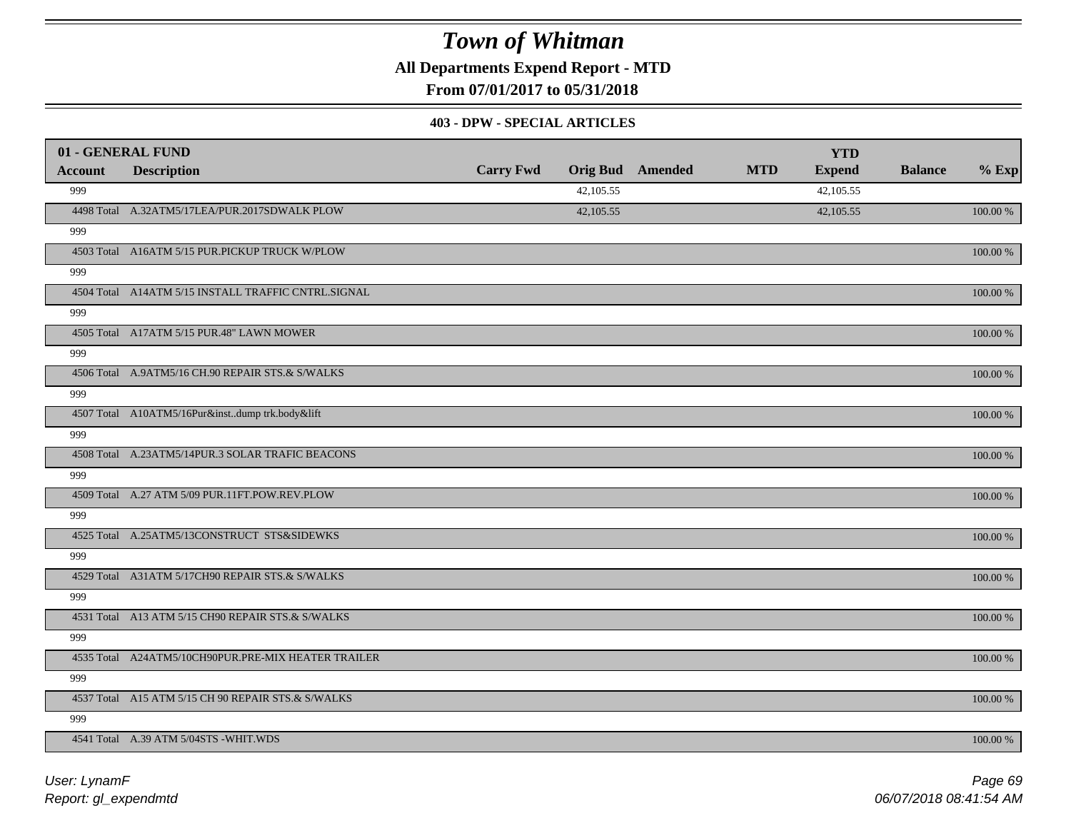**All Departments Expend Report - MTD**

**From 07/01/2017 to 05/31/2018**

#### **403 - DPW - SPECIAL ARTICLES**

| 01 - GENERAL FUND |                                                     |                  |           |                         |            | <b>YTD</b>    |                |             |
|-------------------|-----------------------------------------------------|------------------|-----------|-------------------------|------------|---------------|----------------|-------------|
| <b>Account</b>    | <b>Description</b>                                  | <b>Carry Fwd</b> |           | <b>Orig Bud</b> Amended | <b>MTD</b> | <b>Expend</b> | <b>Balance</b> | $%$ Exp     |
| 999               |                                                     |                  | 42,105.55 |                         |            | 42,105.55     |                |             |
|                   | 4498 Total A.32ATM5/17LEA/PUR.2017SDWALK PLOW       |                  | 42,105.55 |                         |            | 42,105.55     |                | 100.00 %    |
| 999               |                                                     |                  |           |                         |            |               |                |             |
|                   | 4503 Total A16ATM 5/15 PUR.PICKUP TRUCK W/PLOW      |                  |           |                         |            |               |                | 100.00 %    |
| 999               |                                                     |                  |           |                         |            |               |                |             |
|                   | 4504 Total A14ATM 5/15 INSTALL TRAFFIC CNTRL.SIGNAL |                  |           |                         |            |               |                | 100.00 %    |
| 999               |                                                     |                  |           |                         |            |               |                |             |
|                   | 4505 Total A17ATM 5/15 PUR.48" LAWN MOWER           |                  |           |                         |            |               |                | 100.00 %    |
| 999               |                                                     |                  |           |                         |            |               |                |             |
|                   | 4506 Total A.9ATM5/16 CH.90 REPAIR STS.& S/WALKS    |                  |           |                         |            |               |                | 100.00 %    |
| 999               |                                                     |                  |           |                         |            |               |                |             |
|                   | 4507 Total A10ATM5/16Pur&instdump trk.body&lift     |                  |           |                         |            |               |                | 100.00 %    |
| 999               |                                                     |                  |           |                         |            |               |                |             |
|                   | 4508 Total A.23ATM5/14PUR.3 SOLAR TRAFIC BEACONS    |                  |           |                         |            |               |                | 100.00 %    |
| 999               |                                                     |                  |           |                         |            |               |                |             |
|                   | 4509 Total A.27 ATM 5/09 PUR.11FT.POW.REV.PLOW      |                  |           |                         |            |               |                | 100.00 %    |
| 999               |                                                     |                  |           |                         |            |               |                |             |
|                   | 4525 Total A.25ATM5/13CONSTRUCT STS&SIDEWKS         |                  |           |                         |            |               |                | 100.00 %    |
| 999               |                                                     |                  |           |                         |            |               |                |             |
|                   | 4529 Total A31ATM 5/17CH90 REPAIR STS.& S/WALKS     |                  |           |                         |            |               |                | 100.00 %    |
| 999               |                                                     |                  |           |                         |            |               |                |             |
|                   | 4531 Total A13 ATM 5/15 CH90 REPAIR STS.& S/WALKS   |                  |           |                         |            |               |                | 100.00 %    |
| 999               |                                                     |                  |           |                         |            |               |                |             |
|                   | 4535 Total A24ATM5/10CH90PUR.PRE-MIX HEATER TRAILER |                  |           |                         |            |               |                | $100.00~\%$ |
| 999               |                                                     |                  |           |                         |            |               |                |             |
|                   | 4537 Total A15 ATM 5/15 CH 90 REPAIR STS.& S/WALKS  |                  |           |                         |            |               |                | 100.00 %    |
| 999               |                                                     |                  |           |                         |            |               |                |             |
|                   | 4541 Total A.39 ATM 5/04STS -WHIT.WDS               |                  |           |                         |            |               |                | 100.00 %    |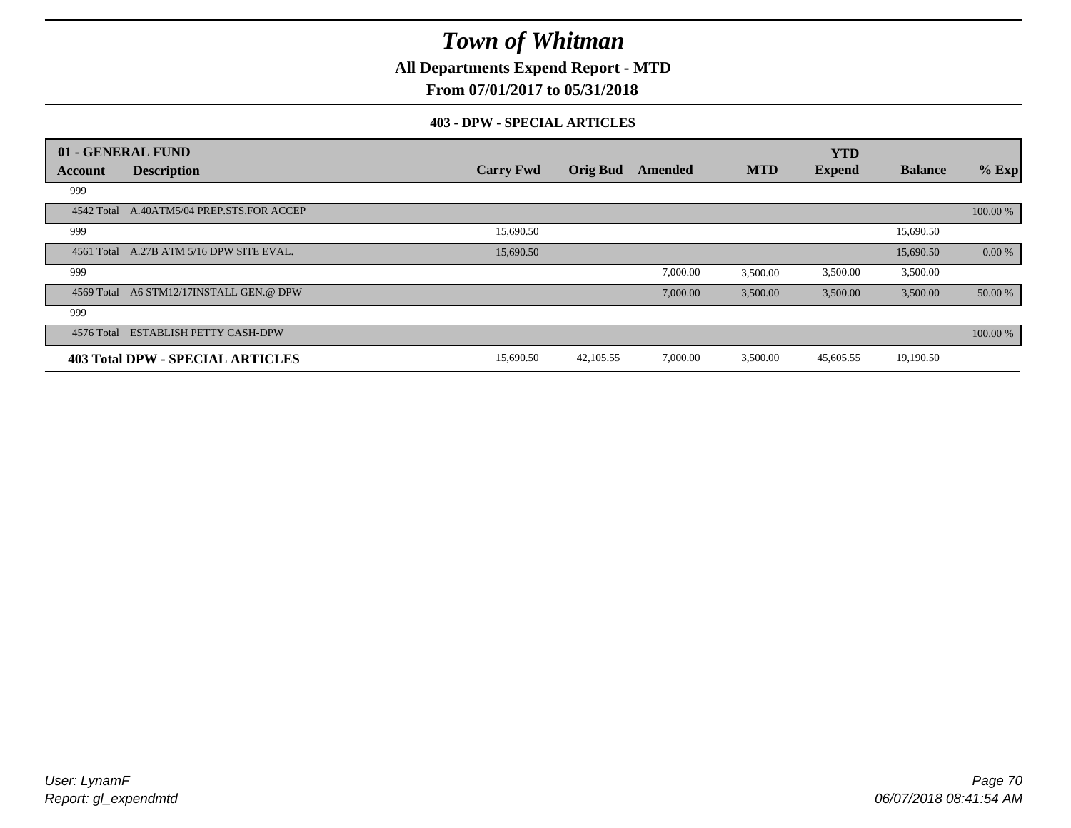**All Departments Expend Report - MTD**

### **From 07/01/2017 to 05/31/2018**

#### **403 - DPW - SPECIAL ARTICLES**

|                | 01 - GENERAL FUND                         |                  |                 |          |            | <b>YTD</b>    |                |          |
|----------------|-------------------------------------------|------------------|-----------------|----------|------------|---------------|----------------|----------|
| <b>Account</b> | <b>Description</b>                        | <b>Carry Fwd</b> | <b>Orig Bud</b> | Amended  | <b>MTD</b> | <b>Expend</b> | <b>Balance</b> | $%$ Exp  |
| 999            |                                           |                  |                 |          |            |               |                |          |
|                | 4542 Total A.40ATM5/04 PREP.STS.FOR ACCEP |                  |                 |          |            |               |                | 100.00 % |
| 999            |                                           | 15,690.50        |                 |          |            |               | 15,690.50      |          |
|                | 4561 Total A.27B ATM 5/16 DPW SITE EVAL.  | 15,690.50        |                 |          |            |               | 15,690.50      | 0.00 %   |
| 999            |                                           |                  |                 | 7,000.00 | 3,500.00   | 3,500.00      | 3,500.00       |          |
|                | 4569 Total A6 STM12/17INSTALL GEN.@ DPW   |                  |                 | 7,000.00 | 3,500.00   | 3,500.00      | 3,500.00       | 50.00 %  |
| 999            |                                           |                  |                 |          |            |               |                |          |
| 4576 Total     | <b>ESTABLISH PETTY CASH-DPW</b>           |                  |                 |          |            |               |                | 100.00 % |
|                | <b>403 Total DPW - SPECIAL ARTICLES</b>   | 15,690.50        | 42,105.55       | 7,000.00 | 3,500.00   | 45,605.55     | 19,190.50      |          |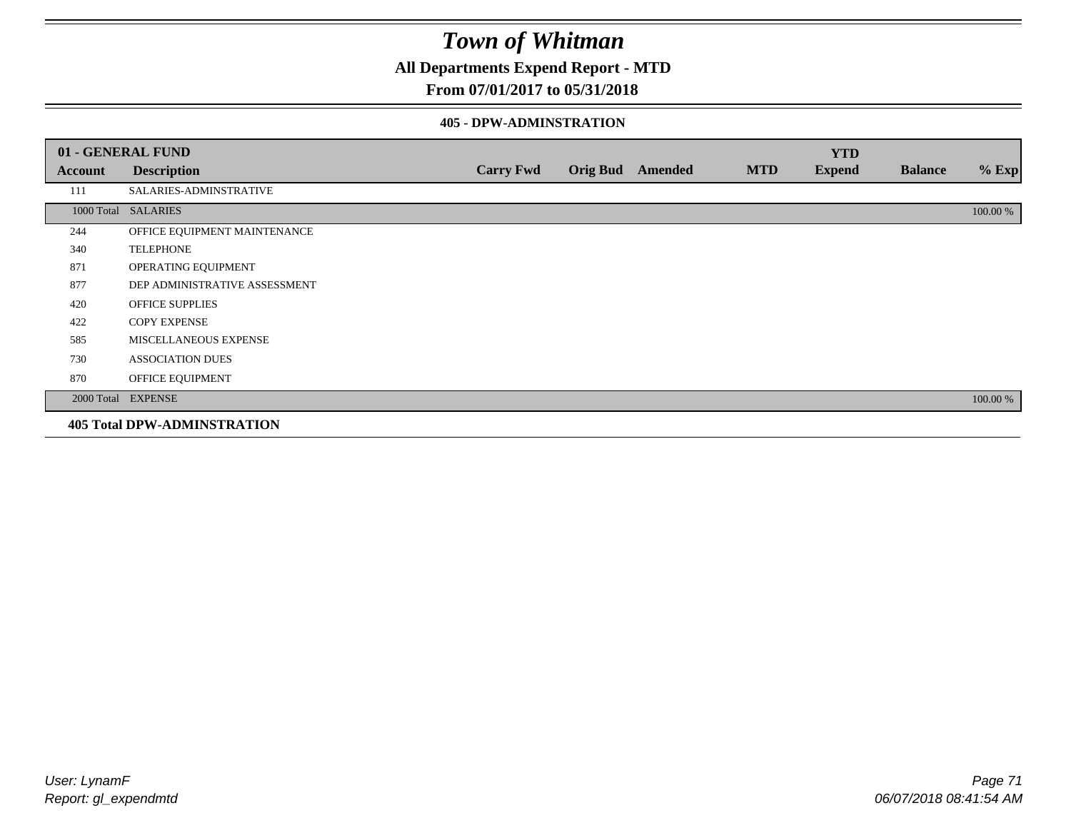**All Departments Expend Report - MTD**

### **From 07/01/2017 to 05/31/2018**

#### **405 - DPW-ADMINSTRATION**

|         | 01 - GENERAL FUND                  |                  |                  |            | <b>YTD</b>    |                |          |
|---------|------------------------------------|------------------|------------------|------------|---------------|----------------|----------|
| Account | <b>Description</b>                 | <b>Carry Fwd</b> | Orig Bud Amended | <b>MTD</b> | <b>Expend</b> | <b>Balance</b> | $%$ Exp  |
| 111     | SALARIES-ADMINSTRATIVE             |                  |                  |            |               |                |          |
|         | 1000 Total SALARIES                |                  |                  |            |               |                | 100.00 % |
| 244     | OFFICE EQUIPMENT MAINTENANCE       |                  |                  |            |               |                |          |
| 340     | <b>TELEPHONE</b>                   |                  |                  |            |               |                |          |
| 871     | OPERATING EQUIPMENT                |                  |                  |            |               |                |          |
| 877     | DEP ADMINISTRATIVE ASSESSMENT      |                  |                  |            |               |                |          |
| 420     | <b>OFFICE SUPPLIES</b>             |                  |                  |            |               |                |          |
| 422     | <b>COPY EXPENSE</b>                |                  |                  |            |               |                |          |
| 585     | MISCELLANEOUS EXPENSE              |                  |                  |            |               |                |          |
| 730     | <b>ASSOCIATION DUES</b>            |                  |                  |            |               |                |          |
| 870     | OFFICE EQUIPMENT                   |                  |                  |            |               |                |          |
|         | 2000 Total EXPENSE                 |                  |                  |            |               |                | 100.00 % |
|         | <b>405 Total DPW-ADMINSTRATION</b> |                  |                  |            |               |                |          |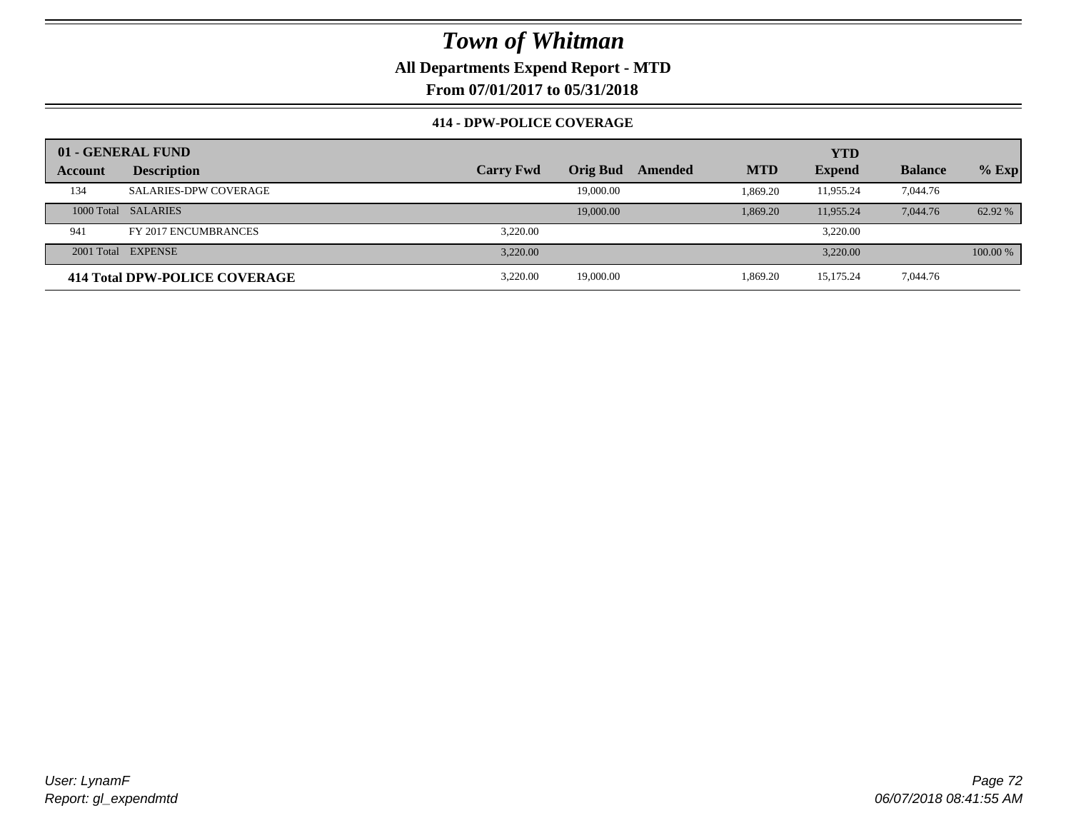**All Departments Expend Report - MTD**

**From 07/01/2017 to 05/31/2018**

### **414 - DPW-POLICE COVERAGE**

|         | 01 - GENERAL FUND             |                  |                 |         |            | <b>YTD</b>    |                |            |
|---------|-------------------------------|------------------|-----------------|---------|------------|---------------|----------------|------------|
| Account | <b>Description</b>            | <b>Carry Fwd</b> | <b>Orig Bud</b> | Amended | <b>MTD</b> | <b>Expend</b> | <b>Balance</b> | $%$ Exp    |
| 134     | <b>SALARIES-DPW COVERAGE</b>  |                  | 19,000.00       |         | 1.869.20   | 11,955.24     | 7,044.76       |            |
|         | 1000 Total SALARIES           |                  | 19,000.00       |         | 1.869.20   | 11,955.24     | 7,044.76       | 62.92 %    |
| 941     | FY 2017 ENCUMBRANCES          | 3.220.00         |                 |         |            | 3.220.00      |                |            |
|         | 2001 Total EXPENSE            | 3.220.00         |                 |         |            | 3.220.00      |                | $100.00\%$ |
|         | 414 Total DPW-POLICE COVERAGE | 3.220.00         | 19,000.00       |         | 1.869.20   | 15,175.24     | 7,044.76       |            |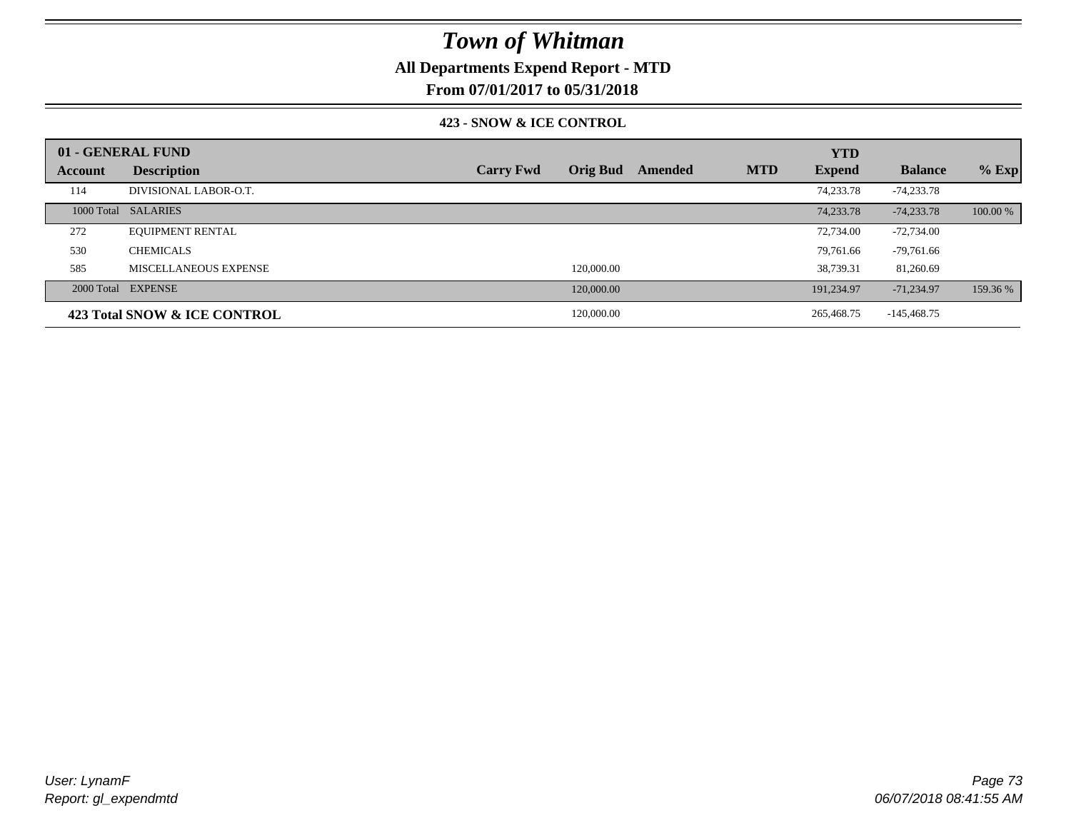## **All Departments Expend Report - MTD**

**From 07/01/2017 to 05/31/2018**

### **423 - SNOW & ICE CONTROL**

|         | 01 - GENERAL FUND            |                  |                 |         |            | <b>YTD</b>    |                |          |
|---------|------------------------------|------------------|-----------------|---------|------------|---------------|----------------|----------|
| Account | <b>Description</b>           | <b>Carry Fwd</b> | <b>Orig Bud</b> | Amended | <b>MTD</b> | <b>Expend</b> | <b>Balance</b> | $%$ Exp  |
| 114     | DIVISIONAL LABOR-O.T.        |                  |                 |         |            | 74,233.78     | $-74.233.78$   |          |
|         | 1000 Total SALARIES          |                  |                 |         |            | 74,233.78     | $-74,233.78$   | 100.00 % |
| 272     | <b>EQUIPMENT RENTAL</b>      |                  |                 |         |            | 72,734.00     | $-72,734.00$   |          |
| 530     | <b>CHEMICALS</b>             |                  |                 |         |            | 79,761.66     | $-79,761.66$   |          |
| 585     | MISCELLANEOUS EXPENSE        |                  | 120,000.00      |         |            | 38,739.31     | 81,260.69      |          |
|         | 2000 Total EXPENSE           |                  | 120,000.00      |         |            | 191.234.97    | $-71,234.97$   | 159.36 % |
|         | 423 Total SNOW & ICE CONTROL |                  | 120,000.00      |         |            | 265,468.75    | $-145,468.75$  |          |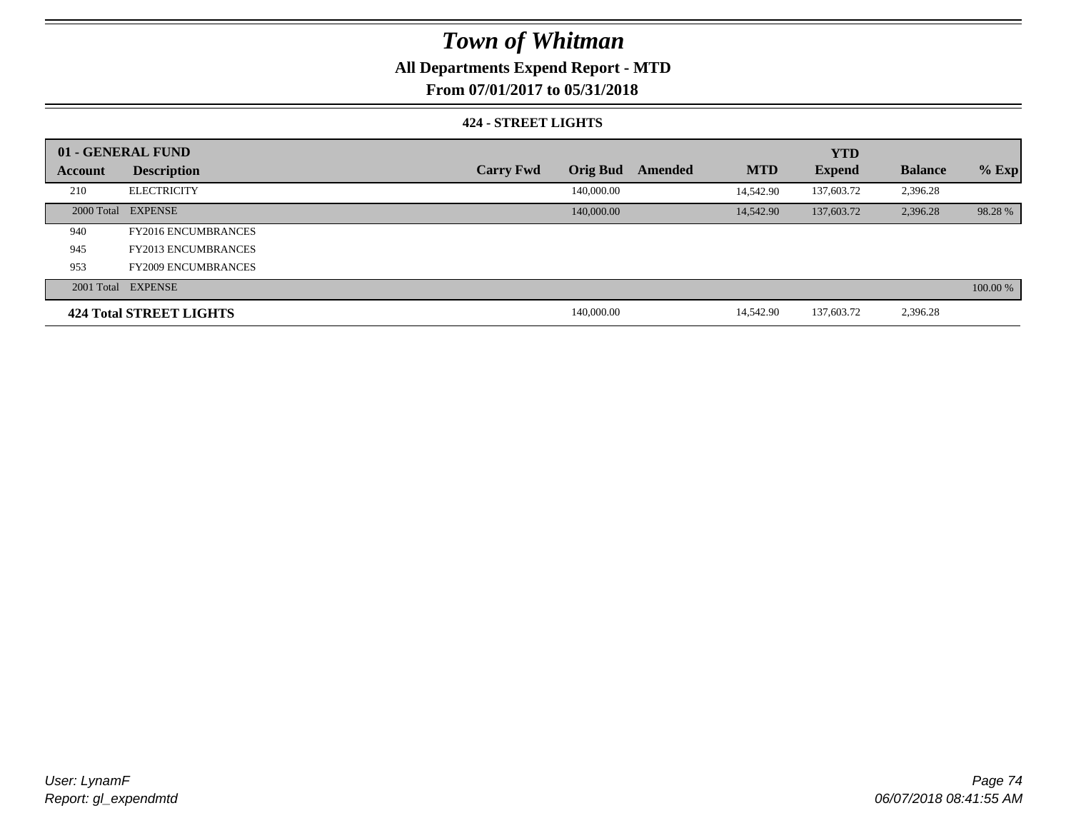## **All Departments Expend Report - MTD**

**From 07/01/2017 to 05/31/2018**

### **424 - STREET LIGHTS**

|         | 01 - GENERAL FUND          |                  |                 |         |            |               |                |          |
|---------|----------------------------|------------------|-----------------|---------|------------|---------------|----------------|----------|
| Account | <b>Description</b>         | <b>Carry Fwd</b> | <b>Orig Bud</b> | Amended | <b>MTD</b> | <b>Expend</b> | <b>Balance</b> | $%$ Exp  |
| 210     | <b>ELECTRICITY</b>         |                  | 140,000.00      |         | 14,542.90  | 137,603.72    | 2,396.28       |          |
|         | 2000 Total EXPENSE         |                  | 140,000.00      |         | 14,542.90  | 137,603.72    | 2,396.28       | 98.28 %  |
| 940     | <b>FY2016 ENCUMBRANCES</b> |                  |                 |         |            |               |                |          |
| 945     | <b>FY2013 ENCUMBRANCES</b> |                  |                 |         |            |               |                |          |
| 953     | <b>FY2009 ENCUMBRANCES</b> |                  |                 |         |            |               |                |          |
|         | 2001 Total EXPENSE         |                  |                 |         |            |               |                | 100.00 % |
|         | 424 Total STREET LIGHTS    |                  | 140,000.00      |         | 14.542.90  | 137,603.72    | 2,396.28       |          |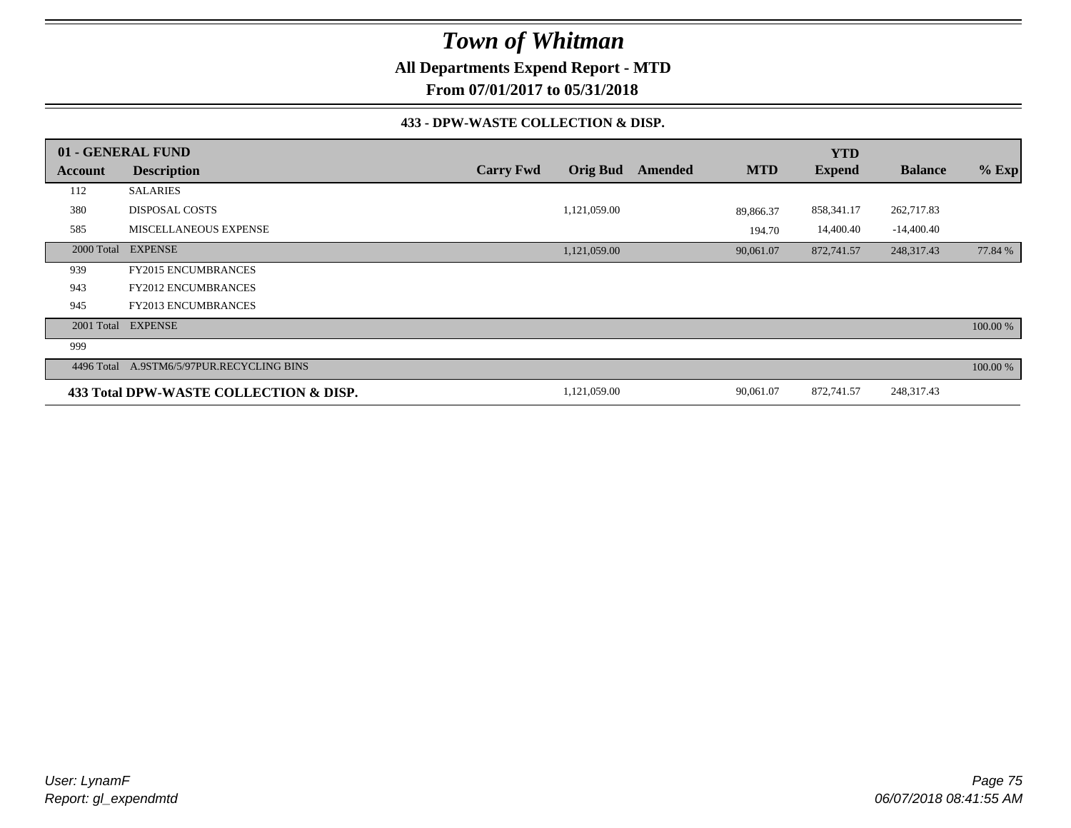**All Departments Expend Report - MTD**

**From 07/01/2017 to 05/31/2018**

### **433 - DPW-WASTE COLLECTION & DISP.**

|         | 01 - GENERAL FUND                         |                  |                 |         |            | <b>YTD</b>    |                |          |
|---------|-------------------------------------------|------------------|-----------------|---------|------------|---------------|----------------|----------|
| Account | <b>Description</b>                        | <b>Carry Fwd</b> | <b>Orig Bud</b> | Amended | <b>MTD</b> | <b>Expend</b> | <b>Balance</b> | $%$ Exp  |
| 112     | <b>SALARIES</b>                           |                  |                 |         |            |               |                |          |
| 380     | <b>DISPOSAL COSTS</b>                     |                  | 1,121,059.00    |         | 89.866.37  | 858,341.17    | 262,717.83     |          |
| 585     | MISCELLANEOUS EXPENSE                     |                  |                 |         | 194.70     | 14,400.40     | $-14,400.40$   |          |
|         | 2000 Total EXPENSE                        |                  | 1,121,059.00    |         | 90,061.07  | 872,741.57    | 248,317.43     | 77.84 %  |
| 939     | <b>FY2015 ENCUMBRANCES</b>                |                  |                 |         |            |               |                |          |
| 943     | <b>FY2012 ENCUMBRANCES</b>                |                  |                 |         |            |               |                |          |
| 945     | <b>FY2013 ENCUMBRANCES</b>                |                  |                 |         |            |               |                |          |
|         | 2001 Total EXPENSE                        |                  |                 |         |            |               |                | 100.00 % |
| 999     |                                           |                  |                 |         |            |               |                |          |
|         | 4496 Total A.9STM6/5/97PUR.RECYCLING BINS |                  |                 |         |            |               |                | 100.00 % |
|         | 433 Total DPW-WASTE COLLECTION & DISP.    |                  | 1,121,059.00    |         | 90,061.07  | 872,741.57    | 248,317.43     |          |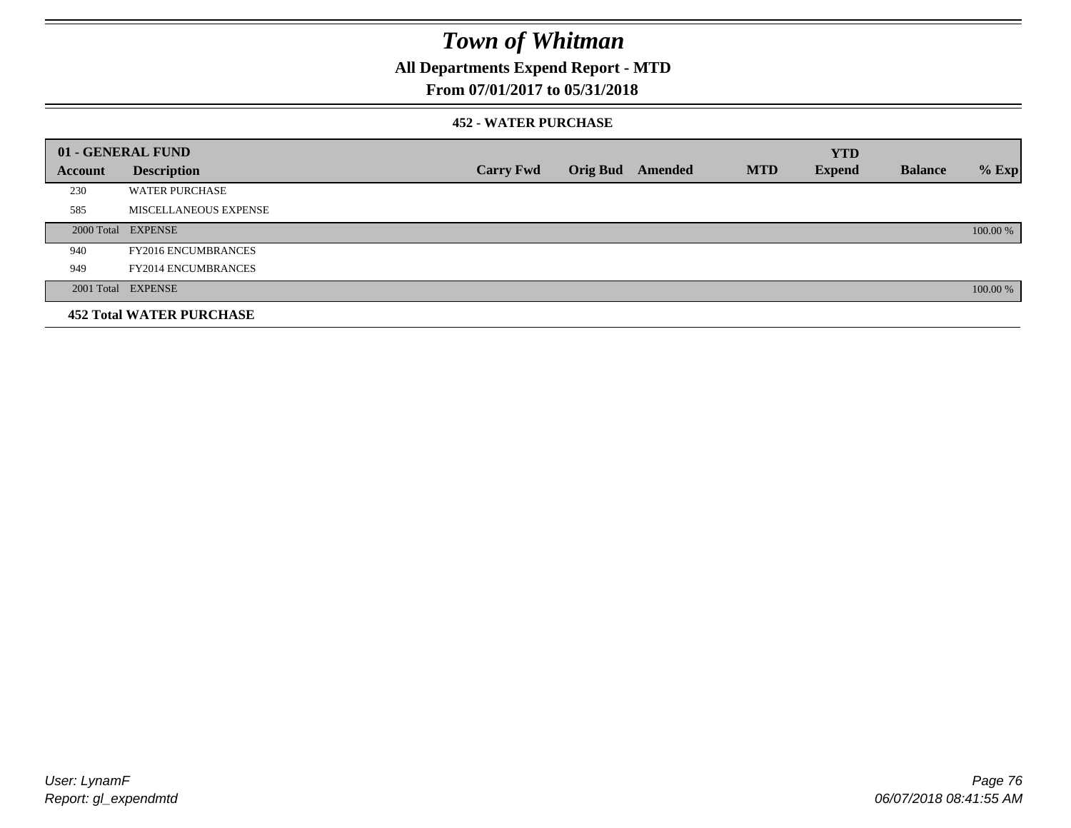## **All Departments Expend Report - MTD**

### **From 07/01/2017 to 05/31/2018**

### **452 - WATER PURCHASE**

|         | 01 - GENERAL FUND               |                  |                 |         |            | <b>YTD</b>    |                |          |
|---------|---------------------------------|------------------|-----------------|---------|------------|---------------|----------------|----------|
| Account | <b>Description</b>              | <b>Carry Fwd</b> | <b>Orig Bud</b> | Amended | <b>MTD</b> | <b>Expend</b> | <b>Balance</b> | $%$ Exp  |
| 230     | <b>WATER PURCHASE</b>           |                  |                 |         |            |               |                |          |
| 585     | MISCELLANEOUS EXPENSE           |                  |                 |         |            |               |                |          |
|         | 2000 Total EXPENSE              |                  |                 |         |            |               |                | 100.00 % |
| 940     | <b>FY2016 ENCUMBRANCES</b>      |                  |                 |         |            |               |                |          |
| 949     | <b>FY2014 ENCUMBRANCES</b>      |                  |                 |         |            |               |                |          |
|         | 2001 Total EXPENSE              |                  |                 |         |            |               |                | 100.00 % |
|         | <b>452 Total WATER PURCHASE</b> |                  |                 |         |            |               |                |          |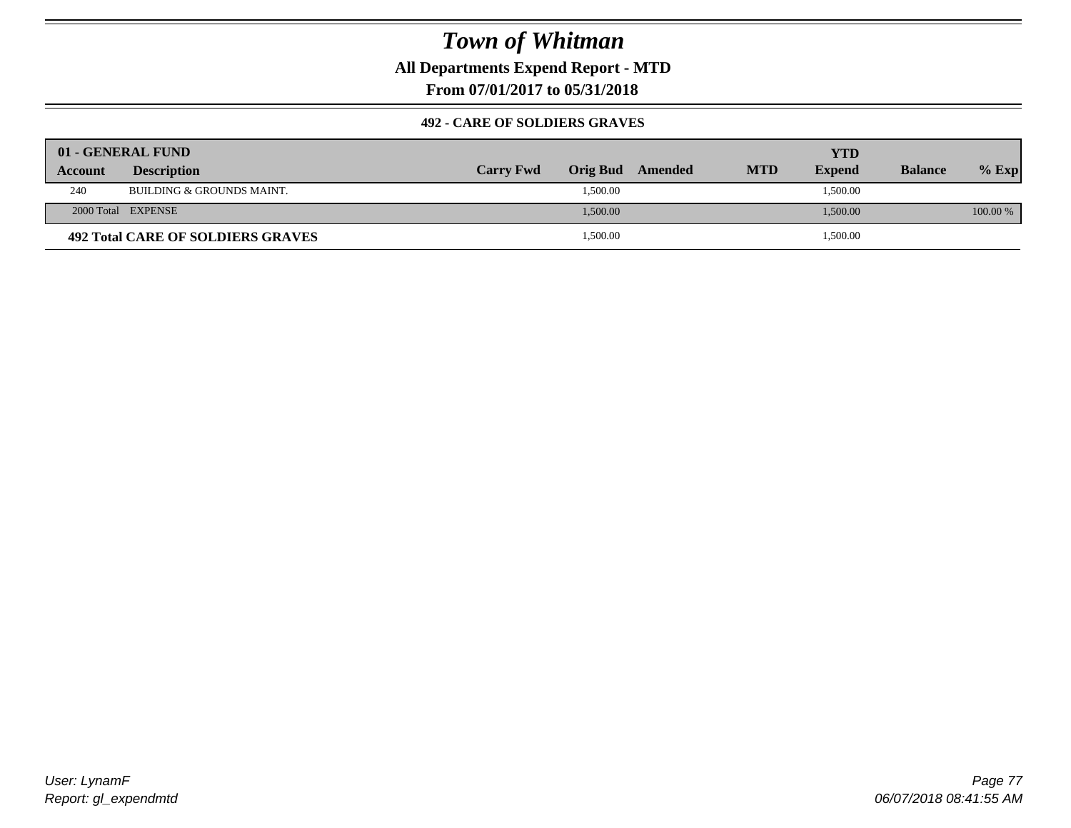**All Departments Expend Report - MTD**

**From 07/01/2017 to 05/31/2018**

### **492 - CARE OF SOLDIERS GRAVES**

|         | 01 - GENERAL FUND                        |                  |          |         |            | YTD           |                |          |
|---------|------------------------------------------|------------------|----------|---------|------------|---------------|----------------|----------|
| Account | <b>Description</b>                       | <b>Carry Fwd</b> | Orig Bud | Amended | <b>MTD</b> | <b>Expend</b> | <b>Balance</b> | $%$ Exp  |
| 240     | BUILDING & GROUNDS MAINT.                |                  | 1,500.00 |         |            | 1,500.00      |                |          |
|         | 2000 Total EXPENSE                       |                  | 1,500.00 |         |            | 1,500.00      |                | 100.00 % |
|         | <b>492 Total CARE OF SOLDIERS GRAVES</b> |                  | 1,500.00 |         |            | 1,500.00      |                |          |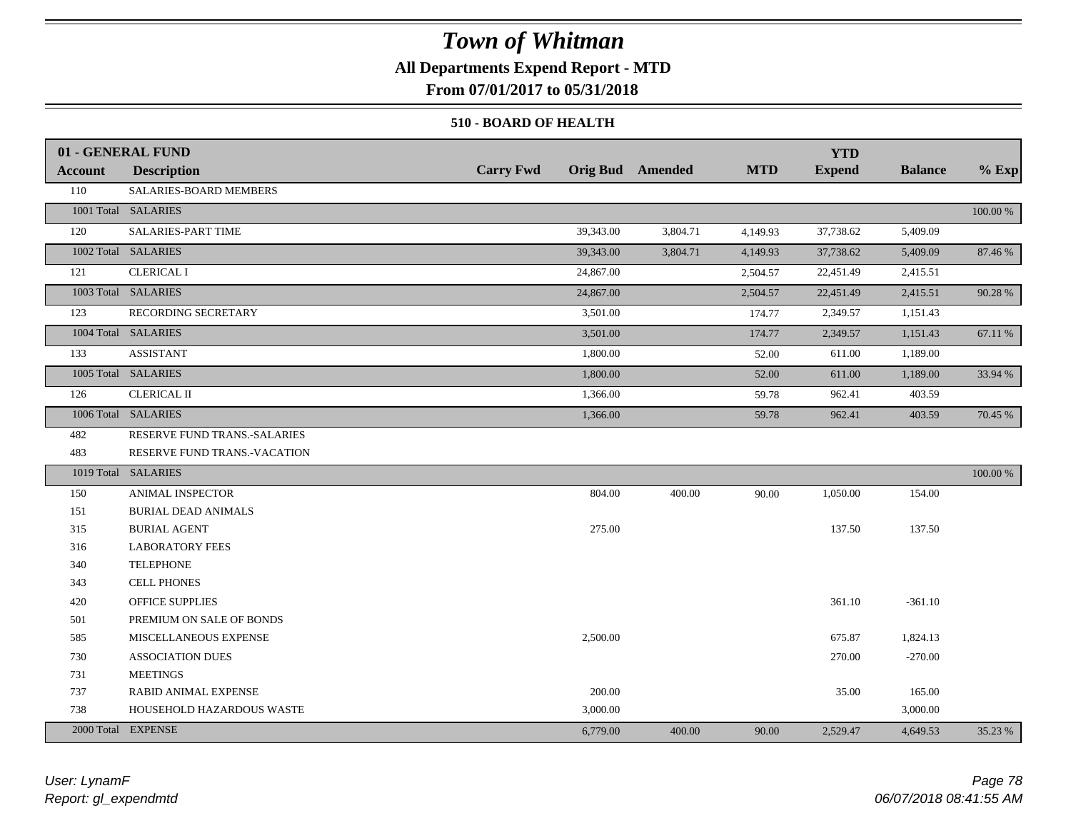## **All Departments Expend Report - MTD**

**From 07/01/2017 to 05/31/2018**

### **510 - BOARD OF HEALTH**

|         | 01 - GENERAL FUND            |                  |                         |            | <b>YTD</b>    |                |          |
|---------|------------------------------|------------------|-------------------------|------------|---------------|----------------|----------|
| Account | <b>Description</b>           | <b>Carry Fwd</b> | <b>Orig Bud</b> Amended | <b>MTD</b> | <b>Expend</b> | <b>Balance</b> | $%$ Exp  |
| 110     | SALARIES-BOARD MEMBERS       |                  |                         |            |               |                |          |
|         | 1001 Total SALARIES          |                  |                         |            |               |                | 100.00 % |
| 120     | SALARIES-PART TIME           | 39,343.00        | 3,804.71                | 4,149.93   | 37,738.62     | 5,409.09       |          |
|         | 1002 Total SALARIES          | 39,343.00        | 3,804.71                | 4,149.93   | 37,738.62     | 5,409.09       | 87.46 %  |
| 121     | <b>CLERICAL I</b>            | 24,867.00        |                         | 2,504.57   | 22,451.49     | 2,415.51       |          |
|         | 1003 Total SALARIES          | 24,867.00        |                         | 2,504.57   | 22,451.49     | 2,415.51       | 90.28 %  |
| 123     | RECORDING SECRETARY          | 3,501.00         |                         | 174.77     | 2,349.57      | 1,151.43       |          |
|         | 1004 Total SALARIES          | 3,501.00         |                         | 174.77     | 2,349.57      | 1,151.43       | 67.11 %  |
| 133     | <b>ASSISTANT</b>             | 1,800.00         |                         | 52.00      | 611.00        | 1,189.00       |          |
|         | 1005 Total SALARIES          | 1,800.00         |                         | 52.00      | 611.00        | 1,189.00       | 33.94 %  |
| 126     | <b>CLERICAL II</b>           | 1,366.00         |                         | 59.78      | 962.41        | 403.59         |          |
|         | 1006 Total SALARIES          | 1,366.00         |                         | 59.78      | 962.41        | 403.59         | 70.45 %  |
| 482     | RESERVE FUND TRANS.-SALARIES |                  |                         |            |               |                |          |
| 483     | RESERVE FUND TRANS.-VACATION |                  |                         |            |               |                |          |
|         | 1019 Total SALARIES          |                  |                         |            |               |                | 100.00 % |
| 150     | ANIMAL INSPECTOR             | 804.00           | 400.00                  | 90.00      | 1,050.00      | 154.00         |          |
| 151     | <b>BURIAL DEAD ANIMALS</b>   |                  |                         |            |               |                |          |
| 315     | <b>BURIAL AGENT</b>          | 275.00           |                         |            | 137.50        | 137.50         |          |
| 316     | <b>LABORATORY FEES</b>       |                  |                         |            |               |                |          |
| 340     | <b>TELEPHONE</b>             |                  |                         |            |               |                |          |
| 343     | <b>CELL PHONES</b>           |                  |                         |            |               |                |          |
| 420     | <b>OFFICE SUPPLIES</b>       |                  |                         |            | 361.10        | $-361.10$      |          |
| 501     | PREMIUM ON SALE OF BONDS     |                  |                         |            |               |                |          |
| 585     | MISCELLANEOUS EXPENSE        | 2,500.00         |                         |            | 675.87        | 1,824.13       |          |
| 730     | <b>ASSOCIATION DUES</b>      |                  |                         |            | 270.00        | $-270.00$      |          |
| 731     | <b>MEETINGS</b>              |                  |                         |            |               |                |          |
| 737     | <b>RABID ANIMAL EXPENSE</b>  | 200.00           |                         |            | 35.00         | 165.00         |          |
| 738     | HOUSEHOLD HAZARDOUS WASTE    | 3,000.00         |                         |            |               | 3,000.00       |          |
|         | 2000 Total EXPENSE           | 6,779.00         | 400.00                  | 90.00      | 2,529.47      | 4,649.53       | 35.23 %  |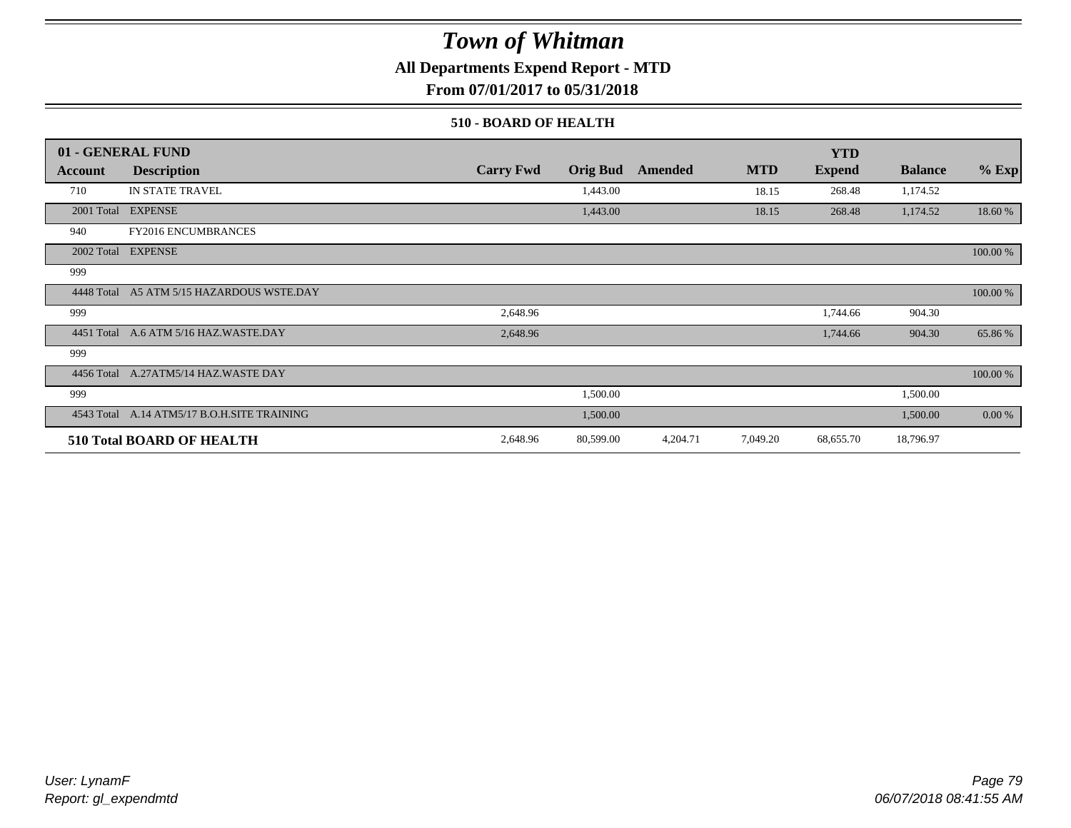**All Departments Expend Report - MTD**

**From 07/01/2017 to 05/31/2018**

### **510 - BOARD OF HEALTH**

|            | 01 - GENERAL FUND                           |                  |                 |          |            | <b>YTD</b>    |                |          |
|------------|---------------------------------------------|------------------|-----------------|----------|------------|---------------|----------------|----------|
| Account    | <b>Description</b>                          | <b>Carry Fwd</b> | <b>Orig Bud</b> | Amended  | <b>MTD</b> | <b>Expend</b> | <b>Balance</b> | $%$ Exp  |
| 710        | <b>IN STATE TRAVEL</b>                      |                  | 1,443.00        |          | 18.15      | 268.48        | 1,174.52       |          |
|            | 2001 Total EXPENSE                          |                  | 1,443.00        |          | 18.15      | 268.48        | 1,174.52       | 18.60 %  |
| 940        | <b>FY2016 ENCUMBRANCES</b>                  |                  |                 |          |            |               |                |          |
|            | 2002 Total EXPENSE                          |                  |                 |          |            |               |                | 100.00 % |
| 999        |                                             |                  |                 |          |            |               |                |          |
|            | 4448 Total A5 ATM 5/15 HAZARDOUS WSTE.DAY   |                  |                 |          |            |               |                | 100.00 % |
| 999        |                                             | 2,648.96         |                 |          |            | 1,744.66      | 904.30         |          |
| 4451 Total | A.6 ATM 5/16 HAZ.WASTE.DAY                  | 2,648.96         |                 |          |            | 1,744.66      | 904.30         | 65.86%   |
| 999        |                                             |                  |                 |          |            |               |                |          |
|            | 4456 Total A.27ATM5/14 HAZ.WASTE DAY        |                  |                 |          |            |               |                | 100.00 % |
| 999        |                                             |                  | 1,500.00        |          |            |               | 1,500.00       |          |
|            | 4543 Total A.14 ATM5/17 B.O.H.SITE TRAINING |                  | 1,500.00        |          |            |               | 1,500.00       | 0.00 %   |
|            | <b>510 Total BOARD OF HEALTH</b>            | 2,648.96         | 80,599.00       | 4,204.71 | 7,049.20   | 68,655.70     | 18,796.97      |          |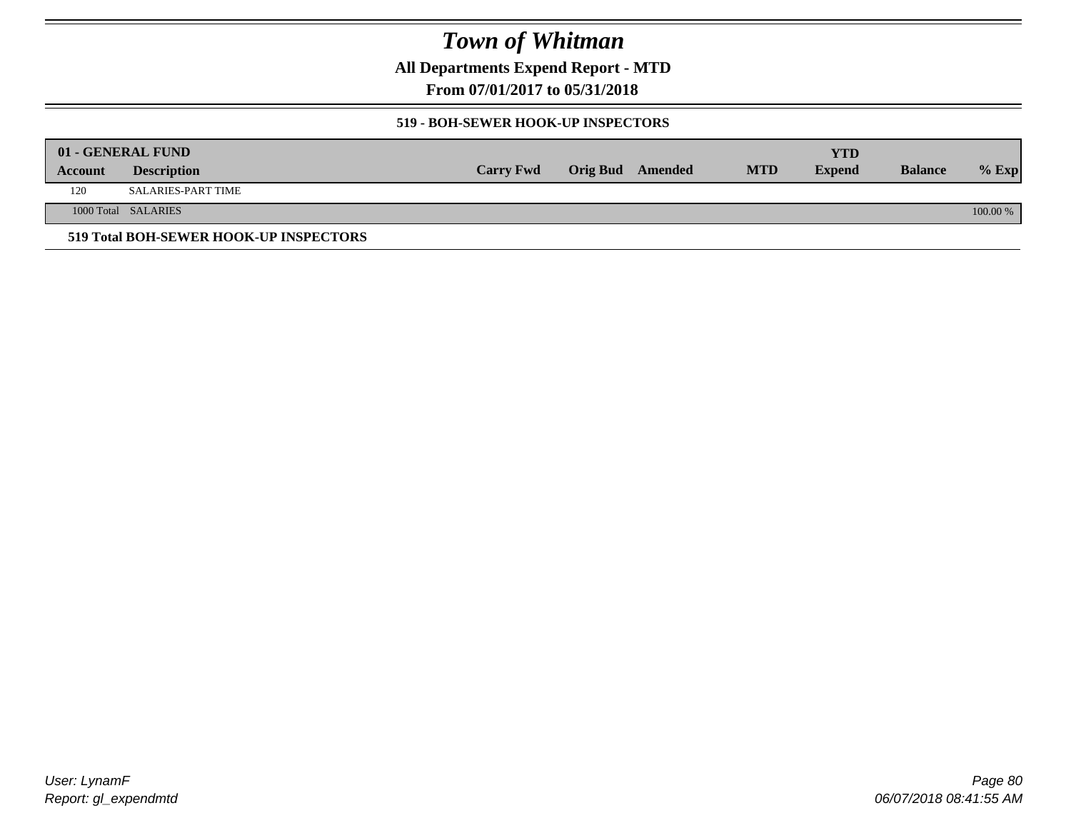**All Departments Expend Report - MTD**

**From 07/01/2017 to 05/31/2018**

### **519 - BOH-SEWER HOOK-UP INSPECTORS**

|         | 01 - GENERAL FUND                      |                  |                         |            | YTD           |                |          |
|---------|----------------------------------------|------------------|-------------------------|------------|---------------|----------------|----------|
| Account | <b>Description</b>                     | <b>Carry Fwd</b> | <b>Orig Bud</b> Amended | <b>MTD</b> | <b>Expend</b> | <b>Balance</b> | $%$ Exp  |
| 120     | SALARIES-PART TIME                     |                  |                         |            |               |                |          |
|         | 1000 Total SALARIES                    |                  |                         |            |               |                | 100.00 % |
|         | 519 Total BOH-SEWER HOOK-UP INSPECTORS |                  |                         |            |               |                |          |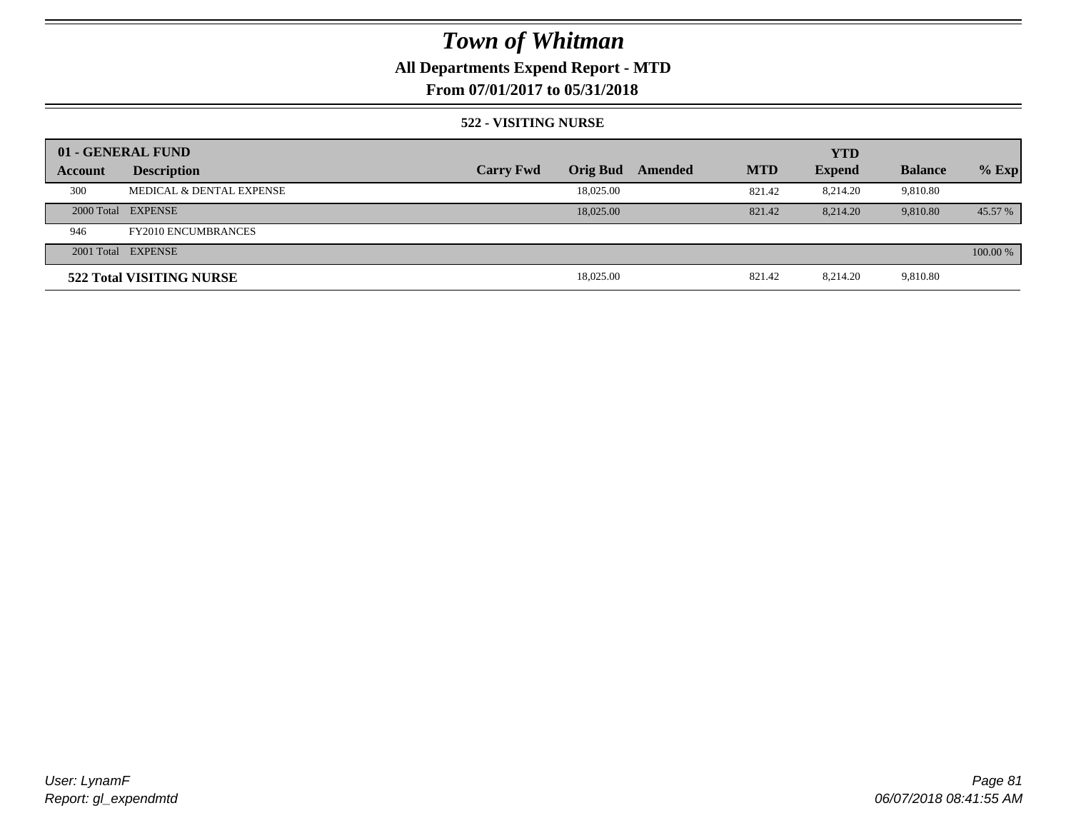## **All Departments Expend Report - MTD**

## **From 07/01/2017 to 05/31/2018**

### **522 - VISITING NURSE**

|         | 01 - GENERAL FUND          |                  |                 |         |            | <b>YTD</b>    |                |          |
|---------|----------------------------|------------------|-----------------|---------|------------|---------------|----------------|----------|
| Account | <b>Description</b>         | <b>Carry Fwd</b> | <b>Orig Bud</b> | Amended | <b>MTD</b> | <b>Expend</b> | <b>Balance</b> | $%$ Exp  |
| 300     | MEDICAL & DENTAL EXPENSE   |                  | 18,025.00       |         | 821.42     | 8.214.20      | 9,810.80       |          |
|         | 2000 Total EXPENSE         |                  | 18,025,00       |         | 821.42     | 8.214.20      | 9.810.80       | 45.57 %  |
| 946     | <b>FY2010 ENCUMBRANCES</b> |                  |                 |         |            |               |                |          |
|         | 2001 Total EXPENSE         |                  |                 |         |            |               |                | 100.00 % |
|         | 522 Total VISITING NURSE   |                  | 18,025.00       |         | 821.42     | 8.214.20      | 9,810.80       |          |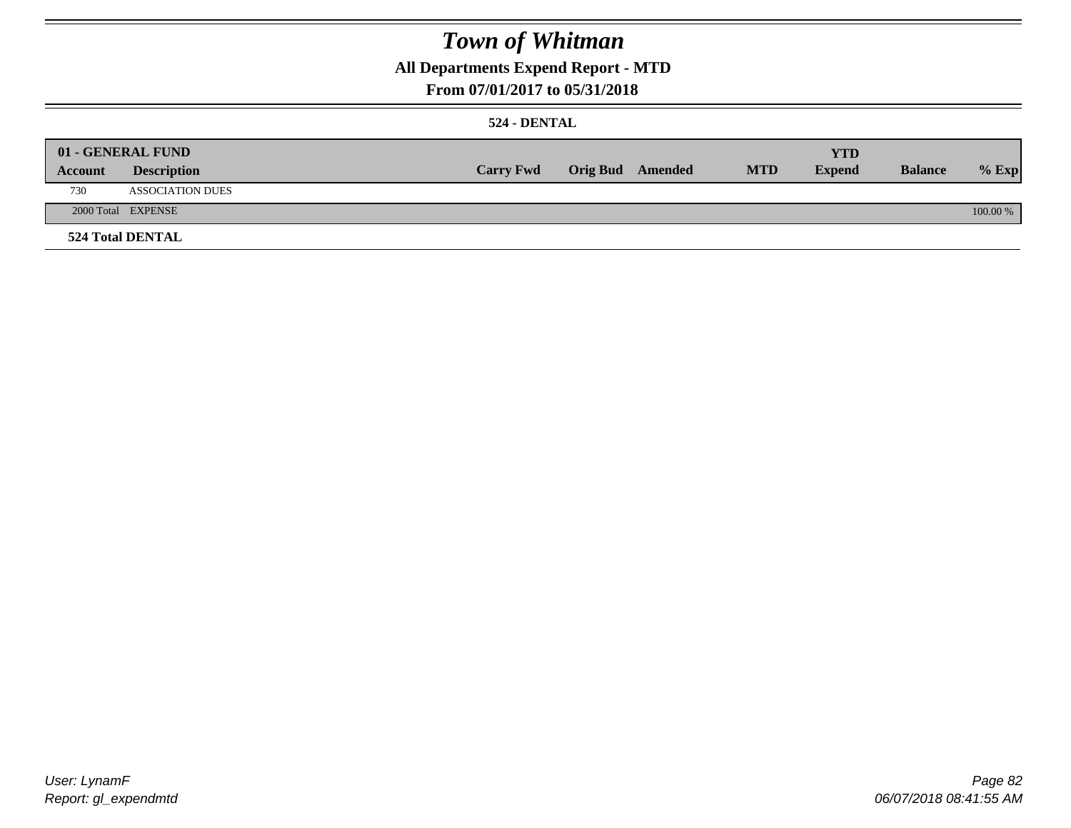## **All Departments Expend Report - MTD**

## **From 07/01/2017 to 05/31/2018**

### **524 - DENTAL**

|         | 01 - GENERAL FUND       |                  |                  |            | <b>YTD</b>    |                |          |
|---------|-------------------------|------------------|------------------|------------|---------------|----------------|----------|
| Account | <b>Description</b>      | <b>Carry Fwd</b> | Orig Bud Amended | <b>MTD</b> | <b>Expend</b> | <b>Balance</b> | $%$ Exp  |
| 730     | <b>ASSOCIATION DUES</b> |                  |                  |            |               |                |          |
|         | 2000 Total EXPENSE      |                  |                  |            |               |                | 100.00 % |
|         | <b>524 Total DENTAL</b> |                  |                  |            |               |                |          |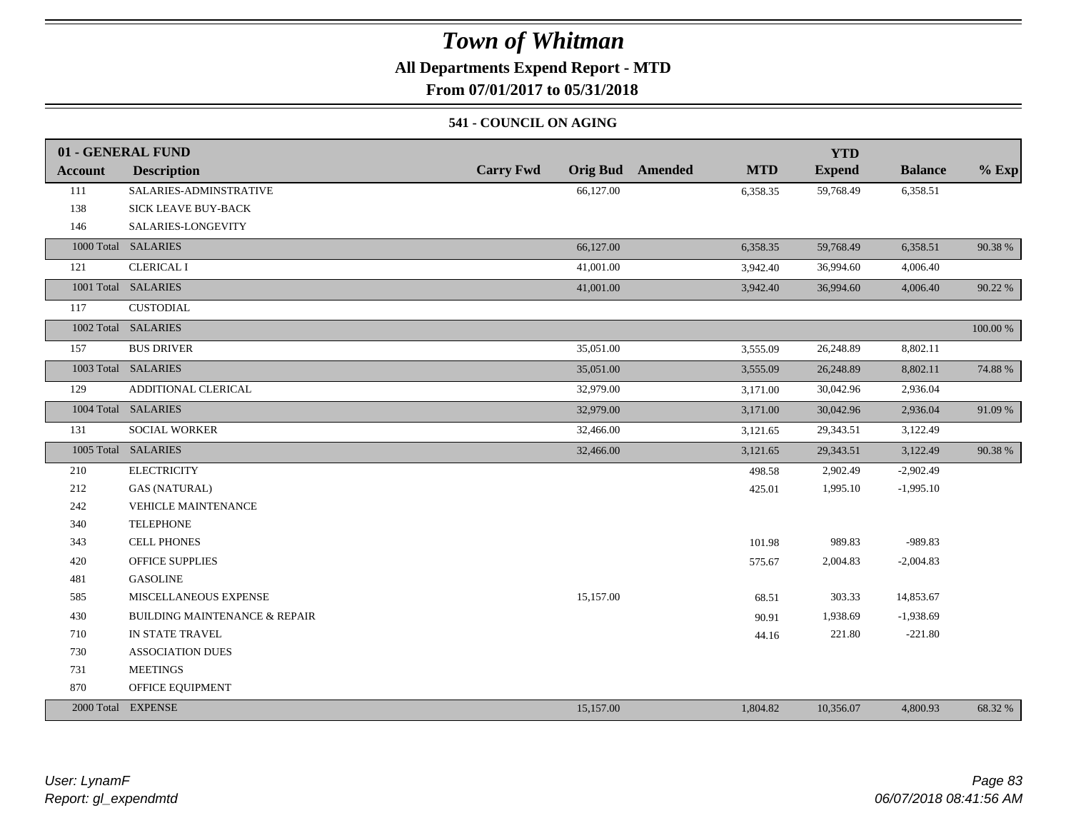## **All Departments Expend Report - MTD**

**From 07/01/2017 to 05/31/2018**

### **541 - COUNCIL ON AGING**

|         | 01 - GENERAL FUND                        |                  |                                       | <b>YTD</b>    |                |          |
|---------|------------------------------------------|------------------|---------------------------------------|---------------|----------------|----------|
| Account | <b>Description</b>                       | <b>Carry Fwd</b> | <b>Orig Bud</b> Amended<br><b>MTD</b> | <b>Expend</b> | <b>Balance</b> | $%$ Exp  |
| 111     | SALARIES-ADMINSTRATIVE                   | 66,127.00        | 6,358.35                              | 59,768.49     | 6,358.51       |          |
| 138     | SICK LEAVE BUY-BACK                      |                  |                                       |               |                |          |
| 146     | SALARIES-LONGEVITY                       |                  |                                       |               |                |          |
|         | 1000 Total SALARIES                      | 66,127.00        | 6,358.35                              | 59,768.49     | 6,358.51       | 90.38 %  |
| 121     | <b>CLERICAL I</b>                        | 41,001.00        | 3,942.40                              | 36,994.60     | 4,006.40       |          |
|         | 1001 Total SALARIES                      | 41,001.00        | 3,942.40                              | 36,994.60     | 4,006.40       | 90.22 %  |
| 117     | <b>CUSTODIAL</b>                         |                  |                                       |               |                |          |
|         | 1002 Total SALARIES                      |                  |                                       |               |                | 100.00 % |
| 157     | <b>BUS DRIVER</b>                        | 35,051.00        | 3,555.09                              | 26,248.89     | 8,802.11       |          |
|         | 1003 Total SALARIES                      | 35,051.00        | 3,555.09                              | 26,248.89     | 8,802.11       | 74.88%   |
| 129     | ADDITIONAL CLERICAL                      | 32,979.00        | 3,171.00                              | 30,042.96     | 2,936.04       |          |
|         | 1004 Total SALARIES                      | 32,979.00        | 3,171.00                              | 30,042.96     | 2,936.04       | 91.09%   |
| 131     | <b>SOCIAL WORKER</b>                     | 32,466.00        | 3,121.65                              | 29,343.51     | 3,122.49       |          |
|         | 1005 Total SALARIES                      | 32,466.00        | 3,121.65                              | 29,343.51     | 3,122.49       | 90.38%   |
| 210     | <b>ELECTRICITY</b>                       |                  | 498.58                                | 2,902.49      | $-2,902.49$    |          |
| 212     | <b>GAS (NATURAL)</b>                     |                  | 425.01                                | 1,995.10      | $-1,995.10$    |          |
| 242     | <b>VEHICLE MAINTENANCE</b>               |                  |                                       |               |                |          |
| 340     | <b>TELEPHONE</b>                         |                  |                                       |               |                |          |
| 343     | <b>CELL PHONES</b>                       |                  | 101.98                                | 989.83        | -989.83        |          |
| 420     | <b>OFFICE SUPPLIES</b>                   |                  | 575.67                                | 2,004.83      | $-2,004.83$    |          |
| 481     | <b>GASOLINE</b>                          |                  |                                       |               |                |          |
| 585     | MISCELLANEOUS EXPENSE                    | 15,157.00        | 68.51                                 | 303.33        | 14,853.67      |          |
| 430     | <b>BUILDING MAINTENANCE &amp; REPAIR</b> |                  | 90.91                                 | 1,938.69      | $-1,938.69$    |          |
| 710     | IN STATE TRAVEL                          |                  | 44.16                                 | 221.80        | $-221.80$      |          |
| 730     | <b>ASSOCIATION DUES</b>                  |                  |                                       |               |                |          |
| 731     | <b>MEETINGS</b>                          |                  |                                       |               |                |          |
| 870     | OFFICE EQUIPMENT                         |                  |                                       |               |                |          |
|         | 2000 Total EXPENSE                       | 15,157.00        | 1,804.82                              | 10,356.07     | 4,800.93       | 68.32 %  |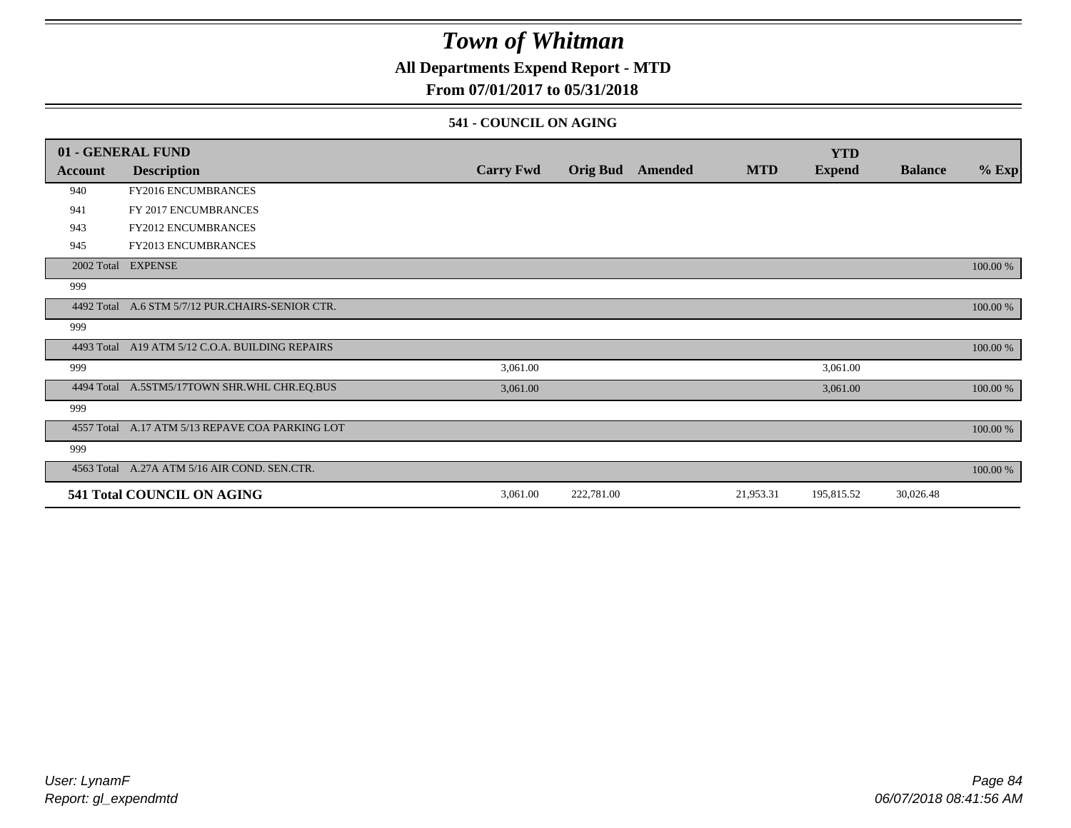## **All Departments Expend Report - MTD**

## **From 07/01/2017 to 05/31/2018**

#### **541 - COUNCIL ON AGING**

|         | 01 - GENERAL FUND                                |                  |                 |         |            | <b>YTD</b>    |                |          |
|---------|--------------------------------------------------|------------------|-----------------|---------|------------|---------------|----------------|----------|
| Account | <b>Description</b>                               | <b>Carry Fwd</b> | <b>Orig Bud</b> | Amended | <b>MTD</b> | <b>Expend</b> | <b>Balance</b> | $%$ Exp  |
| 940     | <b>FY2016 ENCUMBRANCES</b>                       |                  |                 |         |            |               |                |          |
| 941     | FY 2017 ENCUMBRANCES                             |                  |                 |         |            |               |                |          |
| 943     | <b>FY2012 ENCUMBRANCES</b>                       |                  |                 |         |            |               |                |          |
| 945     | <b>FY2013 ENCUMBRANCES</b>                       |                  |                 |         |            |               |                |          |
|         | 2002 Total EXPENSE                               |                  |                 |         |            |               |                | 100.00 % |
| 999     |                                                  |                  |                 |         |            |               |                |          |
|         | 4492 Total A.6 STM 5/7/12 PUR.CHAIRS-SENIOR CTR. |                  |                 |         |            |               |                | 100.00 % |
| 999     |                                                  |                  |                 |         |            |               |                |          |
|         | 4493 Total A19 ATM 5/12 C.O.A. BUILDING REPAIRS  |                  |                 |         |            |               |                | 100.00 % |
| 999     |                                                  | 3,061.00         |                 |         |            | 3,061.00      |                |          |
|         | 4494 Total A.5STM5/17TOWN SHR.WHL CHR.EQ.BUS     | 3,061.00         |                 |         |            | 3,061.00      |                | 100.00 % |
| 999     |                                                  |                  |                 |         |            |               |                |          |
|         | 4557 Total A.17 ATM 5/13 REPAVE COA PARKING LOT  |                  |                 |         |            |               |                | 100.00 % |
| 999     |                                                  |                  |                 |         |            |               |                |          |
|         | 4563 Total A.27A ATM 5/16 AIR COND. SEN.CTR.     |                  |                 |         |            |               |                | 100.00 % |
|         | 541 Total COUNCIL ON AGING                       | 3,061.00         | 222,781.00      |         | 21,953.31  | 195,815.52    | 30,026.48      |          |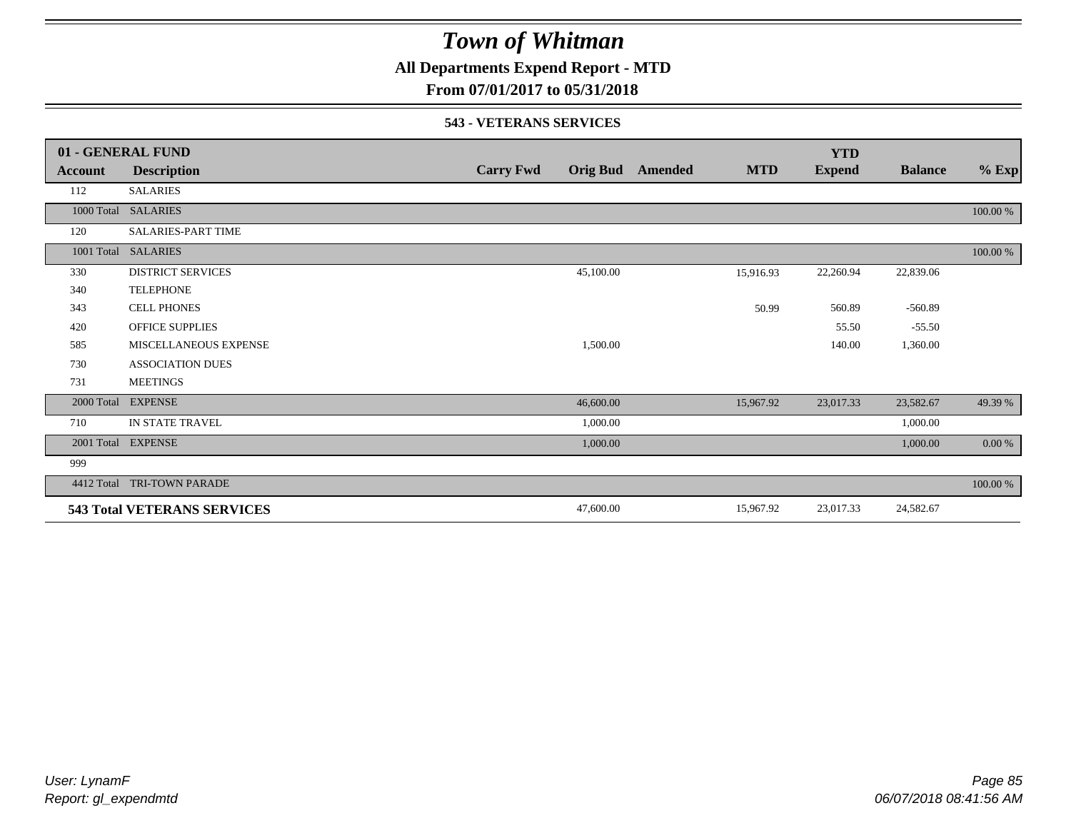**All Departments Expend Report - MTD**

## **From 07/01/2017 to 05/31/2018**

#### **543 - VETERANS SERVICES**

|            | 01 - GENERAL FUND                  |                  |                 |         |            | <b>YTD</b>    |                |          |
|------------|------------------------------------|------------------|-----------------|---------|------------|---------------|----------------|----------|
| Account    | <b>Description</b>                 | <b>Carry Fwd</b> | <b>Orig Bud</b> | Amended | <b>MTD</b> | <b>Expend</b> | <b>Balance</b> | $%$ Exp  |
| 112        | <b>SALARIES</b>                    |                  |                 |         |            |               |                |          |
| 1000 Total | <b>SALARIES</b>                    |                  |                 |         |            |               |                | 100.00 % |
| 120        | <b>SALARIES-PART TIME</b>          |                  |                 |         |            |               |                |          |
| 1001 Total | <b>SALARIES</b>                    |                  |                 |         |            |               |                | 100.00 % |
| 330        | <b>DISTRICT SERVICES</b>           |                  | 45,100.00       |         | 15,916.93  | 22,260.94     | 22,839.06      |          |
| 340        | <b>TELEPHONE</b>                   |                  |                 |         |            |               |                |          |
| 343        | <b>CELL PHONES</b>                 |                  |                 |         | 50.99      | 560.89        | $-560.89$      |          |
| 420        | <b>OFFICE SUPPLIES</b>             |                  |                 |         |            | 55.50         | $-55.50$       |          |
| 585        | MISCELLANEOUS EXPENSE              |                  | 1,500.00        |         |            | 140.00        | 1,360.00       |          |
| 730        | <b>ASSOCIATION DUES</b>            |                  |                 |         |            |               |                |          |
| 731        | <b>MEETINGS</b>                    |                  |                 |         |            |               |                |          |
| 2000 Total | <b>EXPENSE</b>                     |                  | 46,600.00       |         | 15,967.92  | 23,017.33     | 23,582.67      | 49.39 %  |
| 710        | IN STATE TRAVEL                    |                  | 1,000.00        |         |            |               | 1,000.00       |          |
| 2001 Total | <b>EXPENSE</b>                     |                  | 1,000.00        |         |            |               | 1,000.00       | $0.00\%$ |
| 999        |                                    |                  |                 |         |            |               |                |          |
| 4412 Total | <b>TRI-TOWN PARADE</b>             |                  |                 |         |            |               |                | 100.00 % |
|            | <b>543 Total VETERANS SERVICES</b> |                  | 47,600.00       |         | 15,967.92  | 23,017.33     | 24,582.67      |          |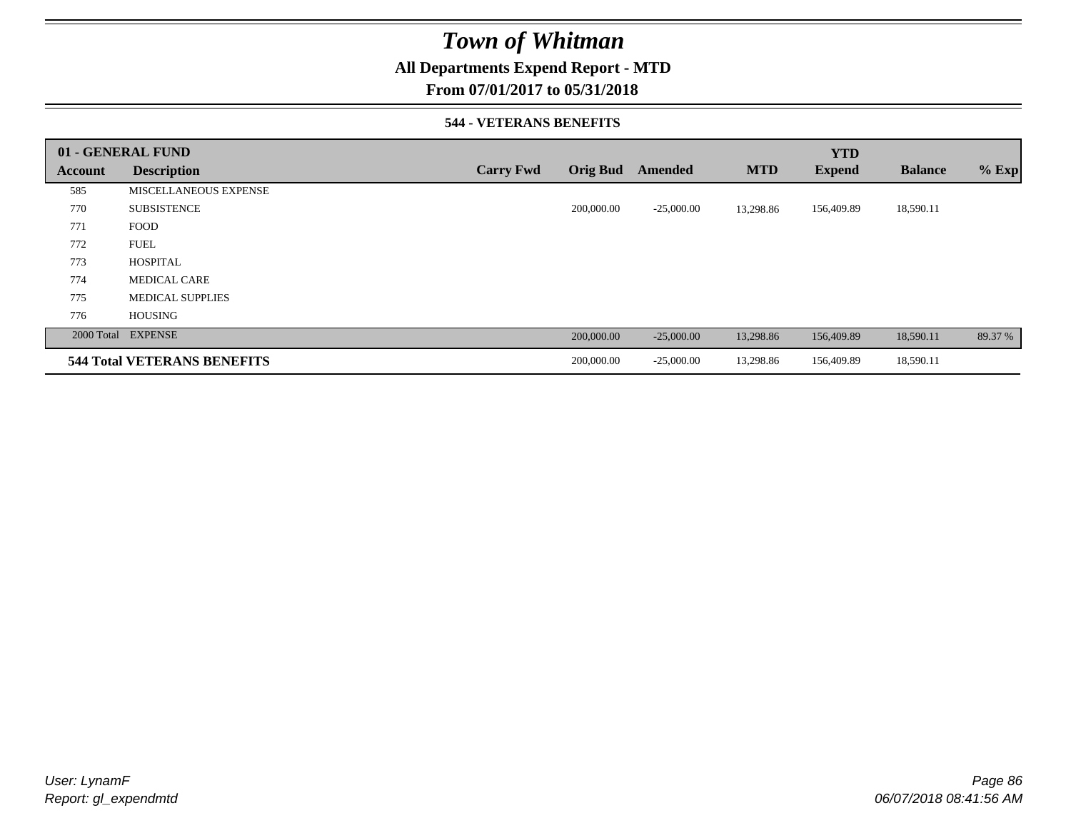## **All Departments Expend Report - MTD**

### **From 07/01/2017 to 05/31/2018**

### **544 - VETERANS BENEFITS**

|         | 01 - GENERAL FUND                  |                  |                 |              |            | <b>YTD</b>    |                |         |
|---------|------------------------------------|------------------|-----------------|--------------|------------|---------------|----------------|---------|
| Account | <b>Description</b>                 | <b>Carry Fwd</b> | <b>Orig Bud</b> | Amended      | <b>MTD</b> | <b>Expend</b> | <b>Balance</b> | $%$ Exp |
| 585     | MISCELLANEOUS EXPENSE              |                  |                 |              |            |               |                |         |
| 770     | <b>SUBSISTENCE</b>                 |                  | 200,000.00      | $-25,000.00$ | 13,298.86  | 156,409.89    | 18,590.11      |         |
| 771     | <b>FOOD</b>                        |                  |                 |              |            |               |                |         |
| 772     | <b>FUEL</b>                        |                  |                 |              |            |               |                |         |
| 773     | <b>HOSPITAL</b>                    |                  |                 |              |            |               |                |         |
| 774     | <b>MEDICAL CARE</b>                |                  |                 |              |            |               |                |         |
| 775     | <b>MEDICAL SUPPLIES</b>            |                  |                 |              |            |               |                |         |
| 776     | <b>HOUSING</b>                     |                  |                 |              |            |               |                |         |
|         | 2000 Total EXPENSE                 |                  | 200,000.00      | $-25,000.00$ | 13,298.86  | 156,409.89    | 18,590.11      | 89.37 % |
|         | <b>544 Total VETERANS BENEFITS</b> |                  | 200,000.00      | $-25,000.00$ | 13,298.86  | 156,409.89    | 18,590.11      |         |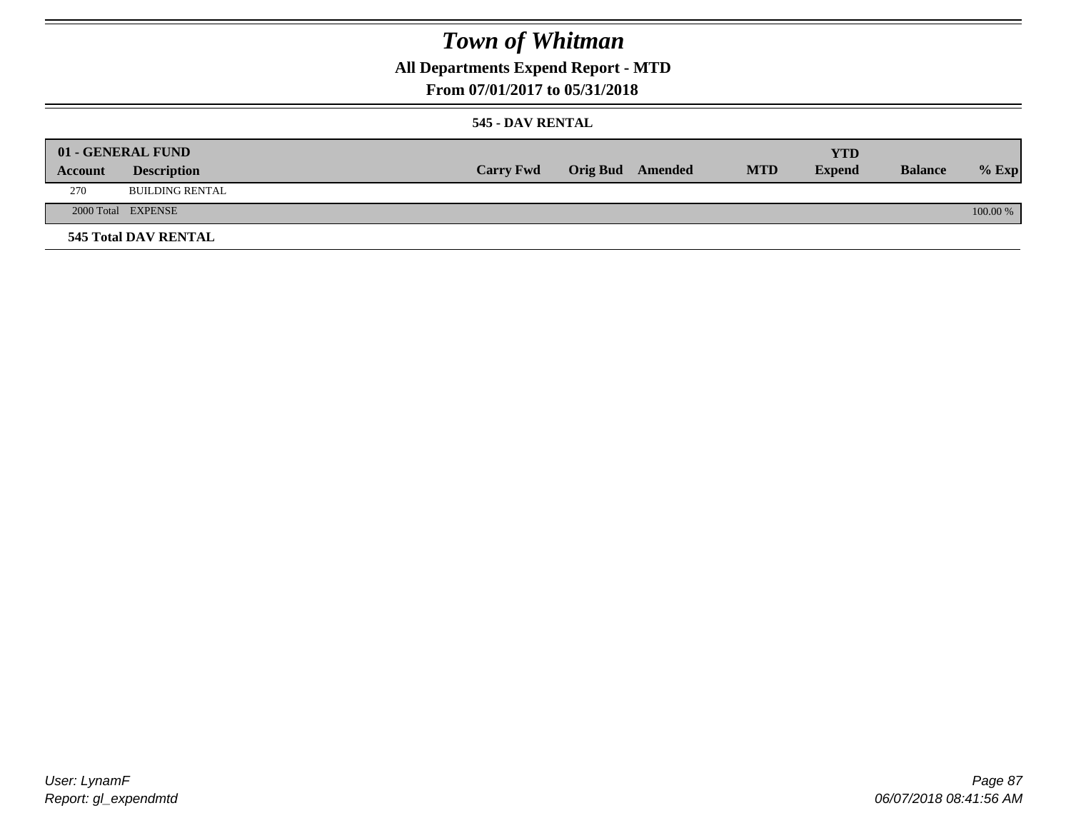## **All Departments Expend Report - MTD**

### **From 07/01/2017 to 05/31/2018**

### **545 - DAV RENTAL**

|         | 01 - GENERAL FUND           |                  |                         |            | <b>YTD</b>    |                |          |
|---------|-----------------------------|------------------|-------------------------|------------|---------------|----------------|----------|
| Account | <b>Description</b>          | <b>Carry Fwd</b> | <b>Orig Bud</b> Amended | <b>MTD</b> | <b>Expend</b> | <b>Balance</b> | $%$ Exp  |
| 270     | <b>BUILDING RENTAL</b>      |                  |                         |            |               |                |          |
|         | 2000 Total EXPENSE          |                  |                         |            |               |                | 100.00 % |
|         | <b>545 Total DAV RENTAL</b> |                  |                         |            |               |                |          |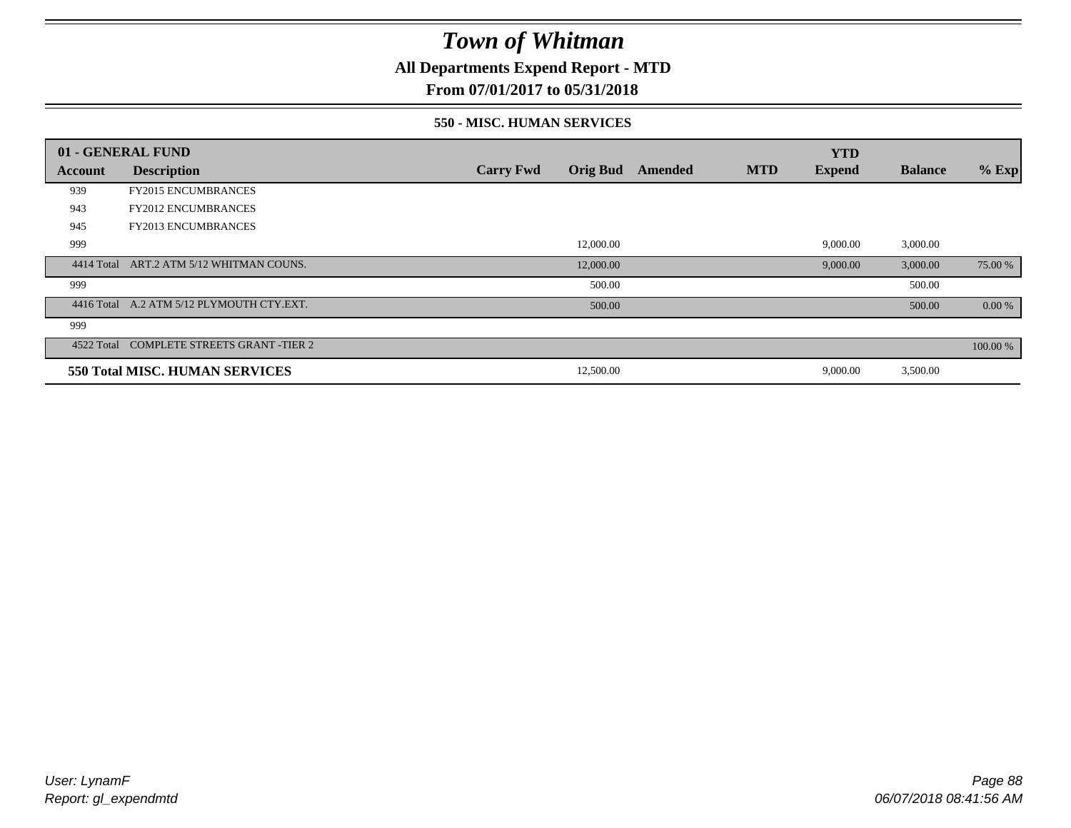## **All Departments Expend Report - MTD**

### **From 07/01/2017 to 05/31/2018**

#### **550 - MISC. HUMAN SERVICES**

|            | 01 - GENERAL FUND                         |                  |                 |         |            | <b>YTD</b>    |                |          |
|------------|-------------------------------------------|------------------|-----------------|---------|------------|---------------|----------------|----------|
| Account    | <b>Description</b>                        | <b>Carry Fwd</b> | <b>Orig Bud</b> | Amended | <b>MTD</b> | <b>Expend</b> | <b>Balance</b> | $%$ Exp  |
| 939        | <b>FY2015 ENCUMBRANCES</b>                |                  |                 |         |            |               |                |          |
| 943        | <b>FY2012 ENCUMBRANCES</b>                |                  |                 |         |            |               |                |          |
| 945        | <b>FY2013 ENCUMBRANCES</b>                |                  |                 |         |            |               |                |          |
| 999        |                                           |                  | 12,000.00       |         |            | 9,000.00      | 3,000.00       |          |
| 4414 Total | ART.2 ATM 5/12 WHITMAN COUNS.             |                  | 12,000.00       |         |            | 9,000.00      | 3,000.00       | 75.00 %  |
| 999        |                                           |                  | 500.00          |         |            |               | 500.00         |          |
|            | 4416 Total A.2 ATM 5/12 PLYMOUTH CTY.EXT. |                  | 500.00          |         |            |               | 500.00         | 0.00 %   |
| 999        |                                           |                  |                 |         |            |               |                |          |
|            | 4522 Total COMPLETE STREETS GRANT -TIER 2 |                  |                 |         |            |               |                | 100.00 % |
|            | <b>550 Total MISC. HUMAN SERVICES</b>     |                  | 12,500.00       |         |            | 9,000.00      | 3,500.00       |          |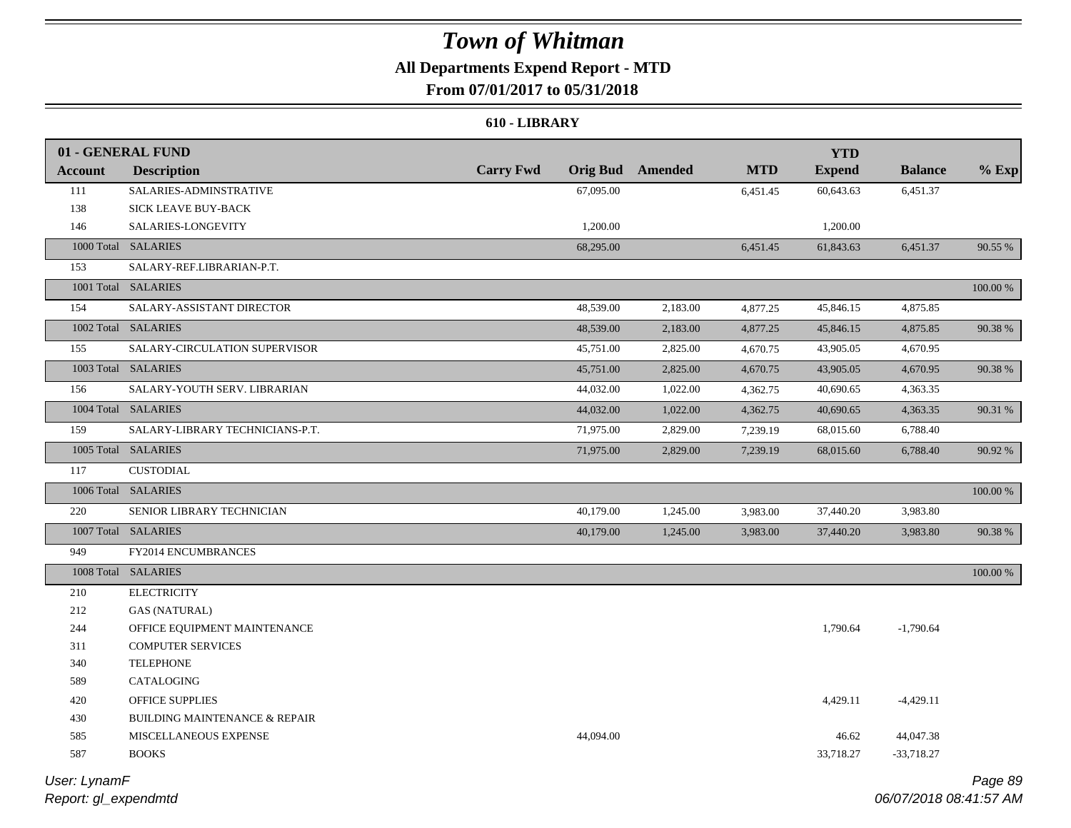## **All Departments Expend Report - MTD**

## **From 07/01/2017 to 05/31/2018**

#### **610 - LIBRARY**

|                | 01 - GENERAL FUND                        |                  |           |                  |            | <b>YTD</b>    |                |          |
|----------------|------------------------------------------|------------------|-----------|------------------|------------|---------------|----------------|----------|
| <b>Account</b> | <b>Description</b>                       | <b>Carry Fwd</b> |           | Orig Bud Amended | <b>MTD</b> | <b>Expend</b> | <b>Balance</b> | $%$ Exp  |
| 111            | SALARIES-ADMINSTRATIVE                   |                  | 67,095.00 |                  | 6,451.45   | 60,643.63     | 6,451.37       |          |
| 138            | SICK LEAVE BUY-BACK                      |                  |           |                  |            |               |                |          |
| 146            | SALARIES-LONGEVITY                       |                  | 1,200.00  |                  |            | 1,200.00      |                |          |
|                | 1000 Total SALARIES                      |                  | 68,295.00 |                  | 6,451.45   | 61,843.63     | 6,451.37       | 90.55 %  |
| 153            | SALARY-REF.LIBRARIAN-P.T.                |                  |           |                  |            |               |                |          |
|                | 1001 Total SALARIES                      |                  |           |                  |            |               |                | 100.00 % |
| 154            | SALARY-ASSISTANT DIRECTOR                |                  | 48,539.00 | 2,183.00         | 4,877.25   | 45,846.15     | 4,875.85       |          |
|                | 1002 Total SALARIES                      |                  | 48,539.00 | 2,183.00         | 4,877.25   | 45,846.15     | 4,875.85       | 90.38 %  |
| 155            | SALARY-CIRCULATION SUPERVISOR            |                  | 45,751.00 | 2,825.00         | 4,670.75   | 43,905.05     | 4,670.95       |          |
|                | 1003 Total SALARIES                      |                  | 45,751.00 | 2,825.00         | 4,670.75   | 43,905.05     | 4,670.95       | 90.38%   |
| 156            | SALARY-YOUTH SERV. LIBRARIAN             |                  | 44,032.00 | 1,022.00         | 4,362.75   | 40,690.65     | 4,363.35       |          |
|                | 1004 Total SALARIES                      |                  | 44,032.00 | 1,022.00         | 4,362.75   | 40,690.65     | 4,363.35       | 90.31 %  |
| 159            | SALARY-LIBRARY TECHNICIANS-P.T.          |                  | 71,975.00 | 2,829.00         | 7,239.19   | 68,015.60     | 6,788.40       |          |
|                | 1005 Total SALARIES                      |                  | 71,975.00 | 2,829.00         | 7,239.19   | 68,015.60     | 6,788.40       | 90.92 %  |
| 117            | <b>CUSTODIAL</b>                         |                  |           |                  |            |               |                |          |
|                | 1006 Total SALARIES                      |                  |           |                  |            |               |                | 100.00 % |
| 220            | SENIOR LIBRARY TECHNICIAN                |                  | 40,179.00 | 1,245.00         | 3,983.00   | 37,440.20     | 3,983.80       |          |
|                | 1007 Total SALARIES                      |                  | 40,179.00 | 1,245.00         | 3,983.00   | 37,440.20     | 3,983.80       | 90.38%   |
| 949            | FY2014 ENCUMBRANCES                      |                  |           |                  |            |               |                |          |
|                | 1008 Total SALARIES                      |                  |           |                  |            |               |                | 100.00 % |
| 210            | <b>ELECTRICITY</b>                       |                  |           |                  |            |               |                |          |
| 212            | <b>GAS (NATURAL)</b>                     |                  |           |                  |            |               |                |          |
| 244            | OFFICE EQUIPMENT MAINTENANCE             |                  |           |                  |            | 1,790.64      | $-1,790.64$    |          |
| 311            | COMPUTER SERVICES                        |                  |           |                  |            |               |                |          |
| 340            | <b>TELEPHONE</b>                         |                  |           |                  |            |               |                |          |
| 589            | CATALOGING                               |                  |           |                  |            |               |                |          |
| 420            | <b>OFFICE SUPPLIES</b>                   |                  |           |                  |            | 4,429.11      | $-4,429.11$    |          |
| 430            | <b>BUILDING MAINTENANCE &amp; REPAIR</b> |                  |           |                  |            |               |                |          |
| 585            | MISCELLANEOUS EXPENSE                    |                  | 44,094.00 |                  |            | 46.62         | 44,047.38      |          |
| 587            | <b>BOOKS</b>                             |                  |           |                  |            | 33,718.27     | $-33,718.27$   |          |
|                |                                          |                  |           |                  |            |               |                |          |

*Report: gl\_expendmtd User: LynamF*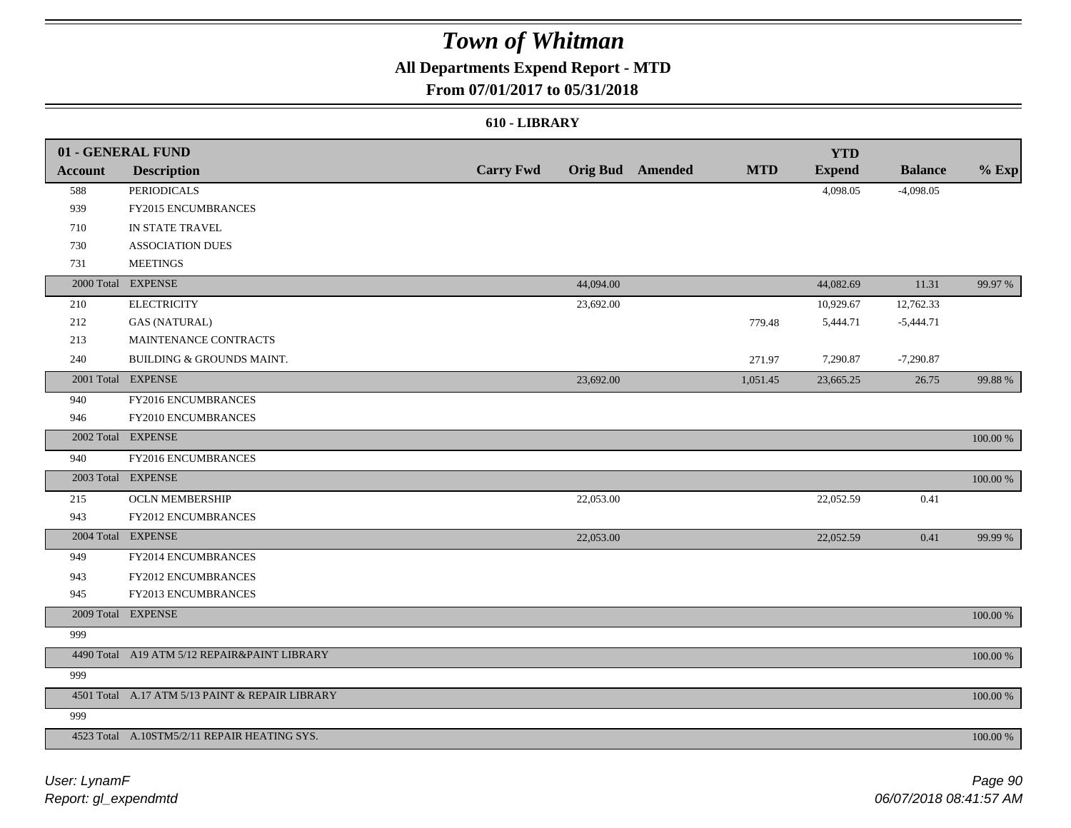## **All Departments Expend Report - MTD**

### **From 07/01/2017 to 05/31/2018**

### **610 - LIBRARY**

|                | 01 - GENERAL FUND                               |                  |           |                         |            | <b>YTD</b>    |                |             |
|----------------|-------------------------------------------------|------------------|-----------|-------------------------|------------|---------------|----------------|-------------|
| <b>Account</b> | <b>Description</b>                              | <b>Carry Fwd</b> |           | <b>Orig Bud</b> Amended | <b>MTD</b> | <b>Expend</b> | <b>Balance</b> | $%$ Exp     |
| 588            | <b>PERIODICALS</b>                              |                  |           |                         |            | 4,098.05      | $-4,098.05$    |             |
| 939            | FY2015 ENCUMBRANCES                             |                  |           |                         |            |               |                |             |
| 710            | IN STATE TRAVEL                                 |                  |           |                         |            |               |                |             |
| 730            | <b>ASSOCIATION DUES</b>                         |                  |           |                         |            |               |                |             |
| 731            | <b>MEETINGS</b>                                 |                  |           |                         |            |               |                |             |
|                | 2000 Total EXPENSE                              |                  | 44,094.00 |                         |            | 44,082.69     | 11.31          | 99.97 %     |
| 210            | <b>ELECTRICITY</b>                              |                  | 23,692.00 |                         |            | 10,929.67     | 12,762.33      |             |
| 212            | <b>GAS (NATURAL)</b>                            |                  |           |                         | 779.48     | 5,444.71      | $-5,444.71$    |             |
| 213            | MAINTENANCE CONTRACTS                           |                  |           |                         |            |               |                |             |
| 240            | BUILDING & GROUNDS MAINT.                       |                  |           |                         | 271.97     | 7,290.87      | $-7,290.87$    |             |
|                | 2001 Total EXPENSE                              |                  | 23,692.00 |                         | 1,051.45   | 23,665.25     | 26.75          | 99.88 %     |
| 940            | FY2016 ENCUMBRANCES                             |                  |           |                         |            |               |                |             |
| 946            | FY2010 ENCUMBRANCES                             |                  |           |                         |            |               |                |             |
|                | 2002 Total EXPENSE                              |                  |           |                         |            |               |                | 100.00 %    |
| 940            | FY2016 ENCUMBRANCES                             |                  |           |                         |            |               |                |             |
|                | 2003 Total EXPENSE                              |                  |           |                         |            |               |                | 100.00 %    |
| 215            | <b>OCLN MEMBERSHIP</b>                          |                  | 22,053.00 |                         |            | 22,052.59     | 0.41           |             |
| 943            | FY2012 ENCUMBRANCES                             |                  |           |                         |            |               |                |             |
|                | 2004 Total EXPENSE                              |                  | 22,053.00 |                         |            | 22,052.59     | 0.41           | 99.99 %     |
| 949            | FY2014 ENCUMBRANCES                             |                  |           |                         |            |               |                |             |
| 943            | FY2012 ENCUMBRANCES                             |                  |           |                         |            |               |                |             |
| 945            | FY2013 ENCUMBRANCES                             |                  |           |                         |            |               |                |             |
|                | 2009 Total EXPENSE                              |                  |           |                         |            |               |                | $100.00~\%$ |
| 999            |                                                 |                  |           |                         |            |               |                |             |
|                | 4490 Total A19 ATM 5/12 REPAIR&PAINT LIBRARY    |                  |           |                         |            |               |                | 100.00 %    |
| 999            |                                                 |                  |           |                         |            |               |                |             |
|                | 4501 Total A.17 ATM 5/13 PAINT & REPAIR LIBRARY |                  |           |                         |            |               |                | 100.00 %    |
| 999            |                                                 |                  |           |                         |            |               |                |             |
|                | 4523 Total A.10STM5/2/11 REPAIR HEATING SYS.    |                  |           |                         |            |               |                | 100.00 %    |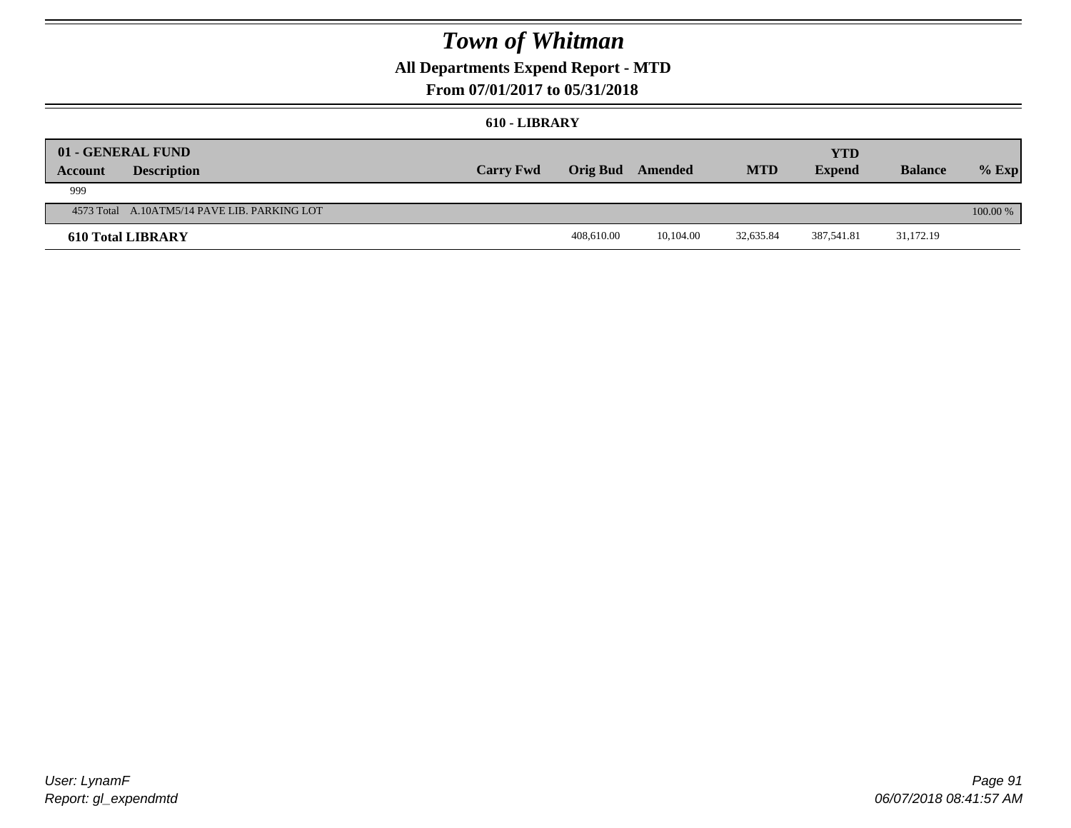## **All Departments Expend Report - MTD**

## **From 07/01/2017 to 05/31/2018**

#### **610 - LIBRARY**

| Account | 01 - GENERAL FUND<br><b>Description</b>      | <b>Carry Fwd</b> | <b>Orig Bud</b> Amended |           | <b>MTD</b> | <b>YTD</b><br><b>Expend</b> | <b>Balance</b> | $%$ Exp    |
|---------|----------------------------------------------|------------------|-------------------------|-----------|------------|-----------------------------|----------------|------------|
| 999     |                                              |                  |                         |           |            |                             |                |            |
|         | 4573 Total A.10ATM5/14 PAVE LIB. PARKING LOT |                  |                         |           |            |                             |                | $100.00\%$ |
|         | <b>610 Total LIBRARY</b>                     |                  | 408,610.00              | 10.104.00 | 32,635.84  | 387.541.81                  | 31,172.19      |            |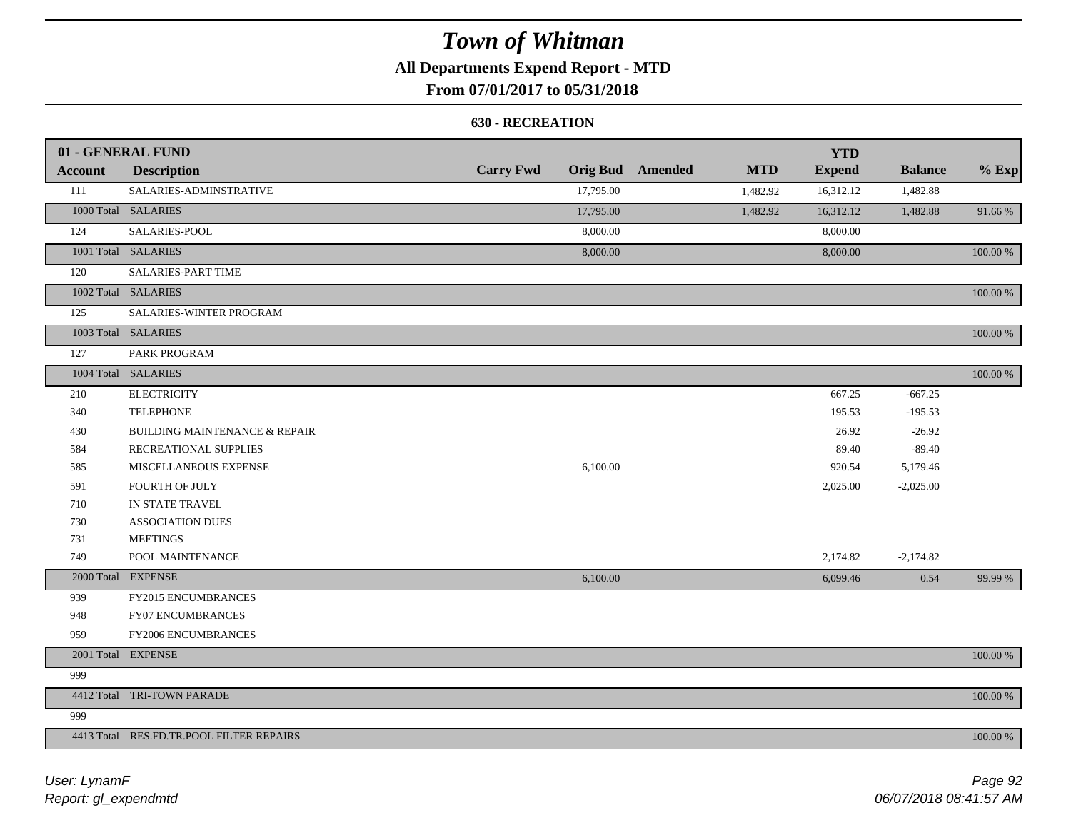## **All Departments Expend Report - MTD**

## **From 07/01/2017 to 05/31/2018**

#### **630 - RECREATION**

|         | 01 - GENERAL FUND                        |                  |           |                         |            | <b>YTD</b>    |                |             |
|---------|------------------------------------------|------------------|-----------|-------------------------|------------|---------------|----------------|-------------|
| Account | <b>Description</b>                       | <b>Carry Fwd</b> |           | <b>Orig Bud</b> Amended | <b>MTD</b> | <b>Expend</b> | <b>Balance</b> | $%$ Exp     |
| 111     | SALARIES-ADMINSTRATIVE                   |                  | 17,795.00 |                         | 1,482.92   | 16,312.12     | 1,482.88       |             |
|         | 1000 Total SALARIES                      |                  | 17,795.00 |                         | 1,482.92   | 16,312.12     | 1,482.88       | 91.66%      |
| 124     | SALARIES-POOL                            |                  | 8,000.00  |                         |            | 8,000.00      |                |             |
|         | 1001 Total SALARIES                      |                  | 8,000.00  |                         |            | 8,000.00      |                | 100.00 %    |
| 120     | <b>SALARIES-PART TIME</b>                |                  |           |                         |            |               |                |             |
|         | 1002 Total SALARIES                      |                  |           |                         |            |               |                | 100.00 %    |
| 125     | SALARIES-WINTER PROGRAM                  |                  |           |                         |            |               |                |             |
|         | 1003 Total SALARIES                      |                  |           |                         |            |               |                | 100.00 %    |
| 127     | PARK PROGRAM                             |                  |           |                         |            |               |                |             |
|         | 1004 Total SALARIES                      |                  |           |                         |            |               |                | 100.00 %    |
| 210     | <b>ELECTRICITY</b>                       |                  |           |                         |            | 667.25        | $-667.25$      |             |
| 340     | <b>TELEPHONE</b>                         |                  |           |                         |            | 195.53        | $-195.53$      |             |
| 430     | <b>BUILDING MAINTENANCE &amp; REPAIR</b> |                  |           |                         |            | 26.92         | $-26.92$       |             |
| 584     | RECREATIONAL SUPPLIES                    |                  |           |                         |            | 89.40         | $-89.40$       |             |
| 585     | MISCELLANEOUS EXPENSE                    |                  | 6,100.00  |                         |            | 920.54        | 5,179.46       |             |
| 591     | <b>FOURTH OF JULY</b>                    |                  |           |                         |            | 2,025.00      | $-2,025.00$    |             |
| 710     | IN STATE TRAVEL                          |                  |           |                         |            |               |                |             |
| 730     | <b>ASSOCIATION DUES</b>                  |                  |           |                         |            |               |                |             |
| 731     | <b>MEETINGS</b>                          |                  |           |                         |            |               |                |             |
| 749     | POOL MAINTENANCE                         |                  |           |                         |            | 2,174.82      | $-2,174.82$    |             |
|         | 2000 Total EXPENSE                       |                  | 6,100.00  |                         |            | 6,099.46      | 0.54           | 99.99 %     |
| 939     | FY2015 ENCUMBRANCES                      |                  |           |                         |            |               |                |             |
| 948     | <b>FY07 ENCUMBRANCES</b>                 |                  |           |                         |            |               |                |             |
| 959     | FY2006 ENCUMBRANCES                      |                  |           |                         |            |               |                |             |
|         | 2001 Total EXPENSE                       |                  |           |                         |            |               |                | $100.00~\%$ |
| 999     |                                          |                  |           |                         |            |               |                |             |
|         | 4412 Total TRI-TOWN PARADE               |                  |           |                         |            |               |                | 100.00 %    |
| 999     |                                          |                  |           |                         |            |               |                |             |
|         | 4413 Total RES.FD.TR.POOL FILTER REPAIRS |                  |           |                         |            |               |                | 100.00 %    |

*Report: gl\_expendmtd User: LynamF*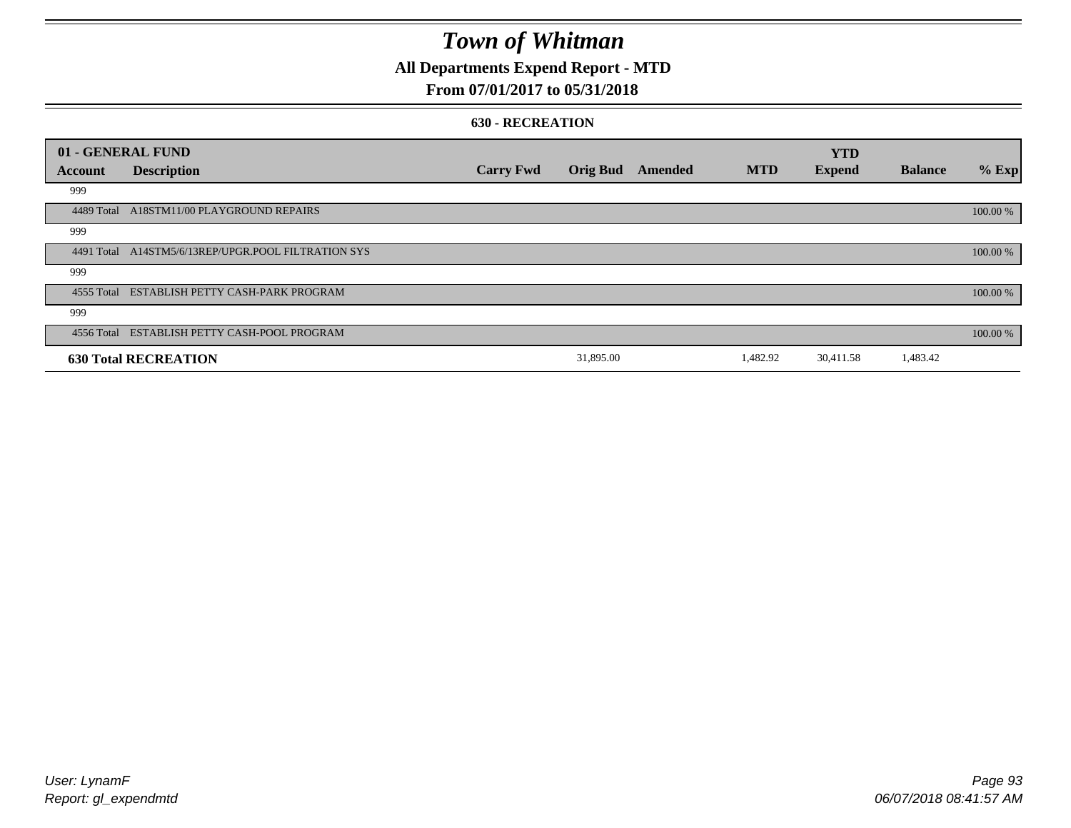## **All Departments Expend Report - MTD**

### **From 07/01/2017 to 05/31/2018**

#### **630 - RECREATION**

|            | 01 - GENERAL FUND                                   |                  |                 |         |            | <b>YTD</b>    |                |          |
|------------|-----------------------------------------------------|------------------|-----------------|---------|------------|---------------|----------------|----------|
| Account    | <b>Description</b>                                  | <b>Carry Fwd</b> | <b>Orig Bud</b> | Amended | <b>MTD</b> | <b>Expend</b> | <b>Balance</b> | $%$ Exp  |
| 999        |                                                     |                  |                 |         |            |               |                |          |
| 4489 Total | A18STM11/00 PLAYGROUND REPAIRS                      |                  |                 |         |            |               |                | 100.00 % |
| 999        |                                                     |                  |                 |         |            |               |                |          |
|            | 4491 Total A14STM5/6/13REP/UPGR.POOL FILTRATION SYS |                  |                 |         |            |               |                | 100.00 % |
| 999        |                                                     |                  |                 |         |            |               |                |          |
|            | 4555 Total ESTABLISH PETTY CASH-PARK PROGRAM        |                  |                 |         |            |               |                | 100.00 % |
| 999        |                                                     |                  |                 |         |            |               |                |          |
|            | 4556 Total ESTABLISH PETTY CASH-POOL PROGRAM        |                  |                 |         |            |               |                | 100.00 % |
|            | <b>630 Total RECREATION</b>                         |                  | 31,895.00       |         | 1,482.92   | 30,411.58     | 1,483.42       |          |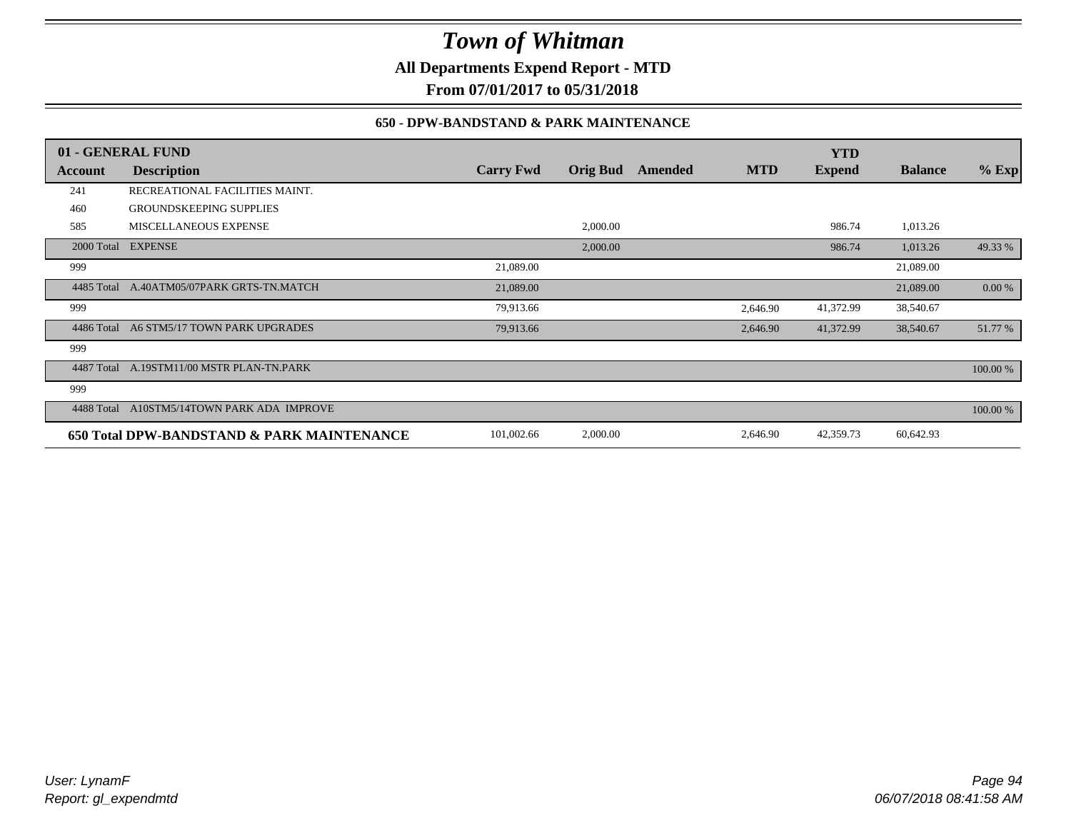**All Departments Expend Report - MTD**

**From 07/01/2017 to 05/31/2018**

### **650 - DPW-BANDSTAND & PARK MAINTENANCE**

|            | 01 - GENERAL FUND                          |                  |                 |         |            | <b>YTD</b>    |                |          |
|------------|--------------------------------------------|------------------|-----------------|---------|------------|---------------|----------------|----------|
| Account    | <b>Description</b>                         | <b>Carry Fwd</b> | <b>Orig Bud</b> | Amended | <b>MTD</b> | <b>Expend</b> | <b>Balance</b> | $%$ Exp  |
| 241        | RECREATIONAL FACILITIES MAINT.             |                  |                 |         |            |               |                |          |
| 460        | <b>GROUNDSKEEPING SUPPLIES</b>             |                  |                 |         |            |               |                |          |
| 585        | MISCELLANEOUS EXPENSE                      |                  | 2,000.00        |         |            | 986.74        | 1,013.26       |          |
|            | 2000 Total EXPENSE                         |                  | 2,000.00        |         |            | 986.74        | 1,013.26       | 49.33 %  |
| 999        |                                            | 21,089.00        |                 |         |            |               | 21,089.00      |          |
| 4485 Total | A.40ATM05/07PARK GRTS-TN.MATCH             | 21,089.00        |                 |         |            |               | 21,089.00      | 0.00 %   |
| 999        |                                            | 79,913.66        |                 |         | 2,646.90   | 41,372.99     | 38,540.67      |          |
| 4486 Total | A6 STM5/17 TOWN PARK UPGRADES              | 79,913.66        |                 |         | 2,646.90   | 41,372.99     | 38,540.67      | 51.77 %  |
| 999        |                                            |                  |                 |         |            |               |                |          |
| 4487 Total | A.19STM11/00 MSTR PLAN-TN.PARK             |                  |                 |         |            |               |                | 100.00 % |
| 999        |                                            |                  |                 |         |            |               |                |          |
| 4488 Total | A10STM5/14TOWN PARK ADA IMPROVE            |                  |                 |         |            |               |                | 100.00 % |
|            | 650 Total DPW-BANDSTAND & PARK MAINTENANCE | 101,002.66       | 2,000.00        |         | 2,646.90   | 42,359.73     | 60,642.93      |          |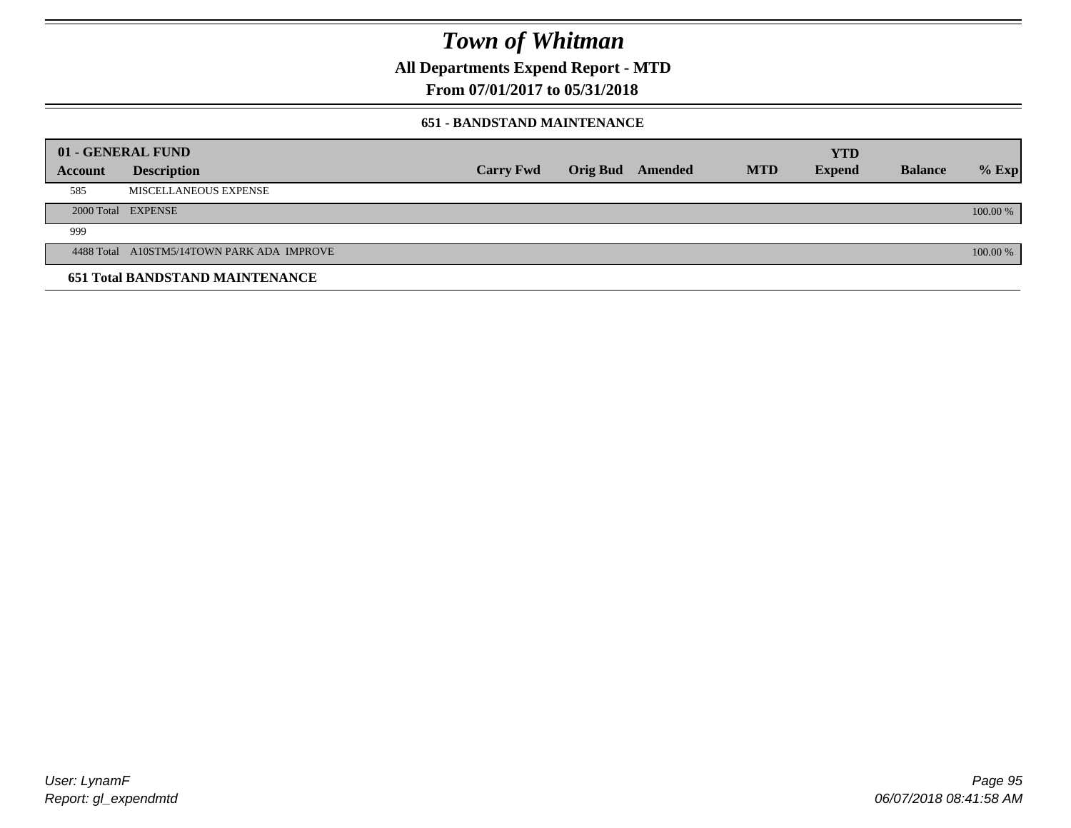**All Departments Expend Report - MTD**

## **From 07/01/2017 to 05/31/2018**

### **651 - BANDSTAND MAINTENANCE**

|         | 01 - GENERAL FUND                          |                  |                         |            | <b>YTD</b>    |                |          |
|---------|--------------------------------------------|------------------|-------------------------|------------|---------------|----------------|----------|
| Account | <b>Description</b>                         | <b>Carry Fwd</b> | <b>Orig Bud</b> Amended | <b>MTD</b> | <b>Expend</b> | <b>Balance</b> | $%$ Exp  |
| 585     | MISCELLANEOUS EXPENSE                      |                  |                         |            |               |                |          |
|         | 2000 Total EXPENSE                         |                  |                         |            |               |                | 100.00 % |
| 999     |                                            |                  |                         |            |               |                |          |
|         | 4488 Total A10STM5/14TOWN PARK ADA IMPROVE |                  |                         |            |               |                | 100.00 % |
|         | <b>651 Total BANDSTAND MAINTENANCE</b>     |                  |                         |            |               |                |          |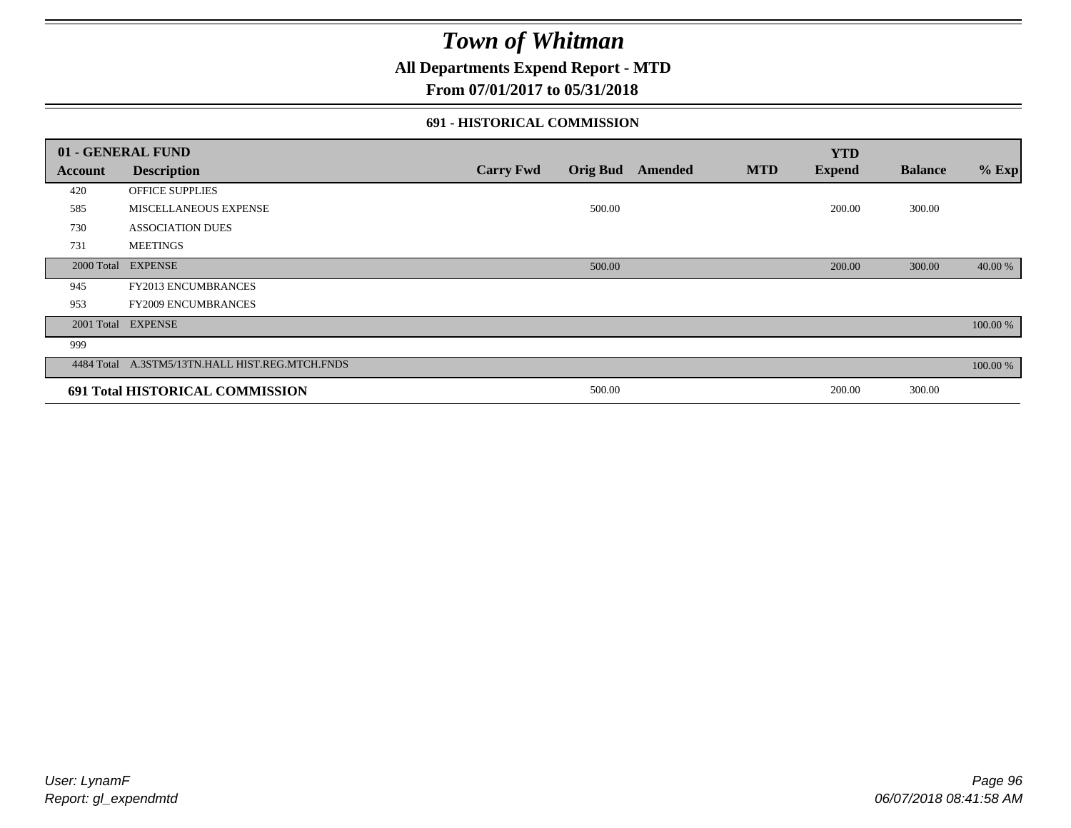## **All Departments Expend Report - MTD**

### **From 07/01/2017 to 05/31/2018**

### **691 - HISTORICAL COMMISSION**

| 01 - GENERAL FUND |                                                 |                  |                 |         |            | <b>YTD</b>    |                |          |
|-------------------|-------------------------------------------------|------------------|-----------------|---------|------------|---------------|----------------|----------|
| Account           | <b>Description</b>                              | <b>Carry Fwd</b> | <b>Orig Bud</b> | Amended | <b>MTD</b> | <b>Expend</b> | <b>Balance</b> | $%$ Exp  |
| 420               | OFFICE SUPPLIES                                 |                  |                 |         |            |               |                |          |
| 585               | MISCELLANEOUS EXPENSE                           |                  | 500.00          |         |            | 200.00        | 300.00         |          |
| 730               | <b>ASSOCIATION DUES</b>                         |                  |                 |         |            |               |                |          |
| 731               | <b>MEETINGS</b>                                 |                  |                 |         |            |               |                |          |
| 2000 Total        | <b>EXPENSE</b>                                  |                  | 500.00          |         |            | 200.00        | 300.00         | 40.00 %  |
| 945               | <b>FY2013 ENCUMBRANCES</b>                      |                  |                 |         |            |               |                |          |
| 953               | <b>FY2009 ENCUMBRANCES</b>                      |                  |                 |         |            |               |                |          |
| 2001 Total        | <b>EXPENSE</b>                                  |                  |                 |         |            |               |                | 100.00 % |
| 999               |                                                 |                  |                 |         |            |               |                |          |
|                   | 4484 Total A.3STM5/13TN.HALL HIST.REG.MTCH.FNDS |                  |                 |         |            |               |                | 100.00 % |
|                   | 691 Total HISTORICAL COMMISSION                 |                  | 500.00          |         |            | 200.00        | 300.00         |          |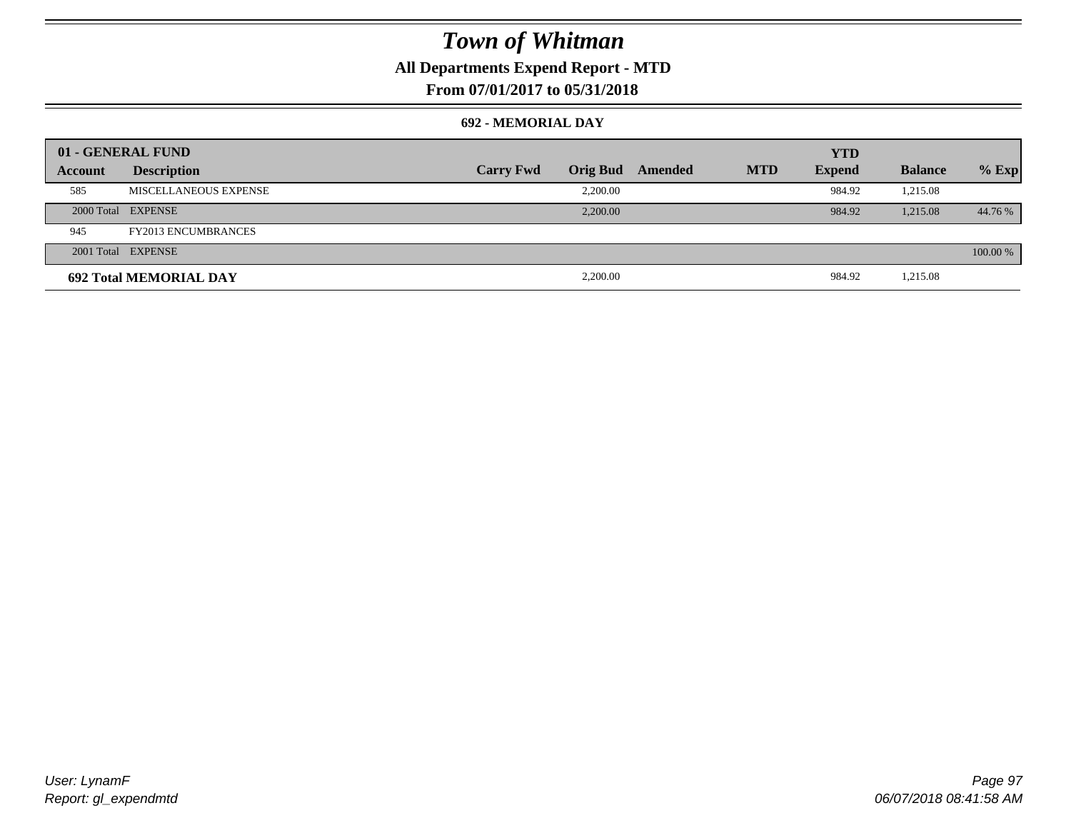## **All Departments Expend Report - MTD**

## **From 07/01/2017 to 05/31/2018**

### **692 - MEMORIAL DAY**

| 01 - GENERAL FUND |                               |                  |                 |         |            | <b>YTD</b>    |                |          |
|-------------------|-------------------------------|------------------|-----------------|---------|------------|---------------|----------------|----------|
| Account           | <b>Description</b>            | <b>Carry Fwd</b> | <b>Orig Bud</b> | Amended | <b>MTD</b> | <b>Expend</b> | <b>Balance</b> | $%$ Exp  |
| 585               | MISCELLANEOUS EXPENSE         |                  | 2.200.00        |         |            | 984.92        | 1,215.08       |          |
|                   | 2000 Total EXPENSE            |                  | 2,200.00        |         |            | 984.92        | 1,215.08       | 44.76 %  |
| 945               | <b>FY2013 ENCUMBRANCES</b>    |                  |                 |         |            |               |                |          |
|                   | 2001 Total EXPENSE            |                  |                 |         |            |               |                | 100.00 % |
|                   | <b>692 Total MEMORIAL DAY</b> |                  | 2,200.00        |         |            | 984.92        | 1,215.08       |          |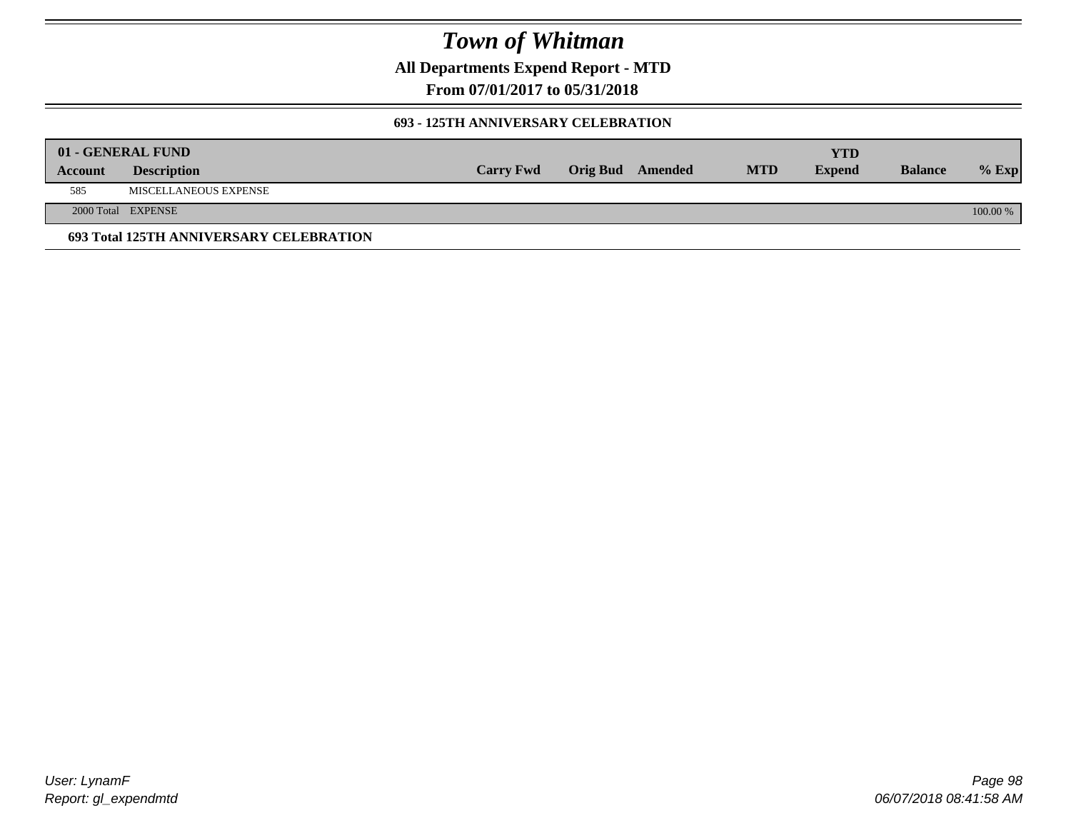**All Departments Expend Report - MTD**

**From 07/01/2017 to 05/31/2018**

### **693 - 125TH ANNIVERSARY CELEBRATION**

|         | 01 - GENERAL FUND                       |                  |                         |            | YTD           |                |          |
|---------|-----------------------------------------|------------------|-------------------------|------------|---------------|----------------|----------|
| Account | <b>Description</b>                      | <b>Carry Fwd</b> | <b>Orig Bud</b> Amended | <b>MTD</b> | <b>Expend</b> | <b>Balance</b> | $%$ Exp  |
| 585     | MISCELLANEOUS EXPENSE                   |                  |                         |            |               |                |          |
|         | 2000 Total EXPENSE                      |                  |                         |            |               |                | 100.00 % |
|         | 693 Total 125TH ANNIVERSARY CELEBRATION |                  |                         |            |               |                |          |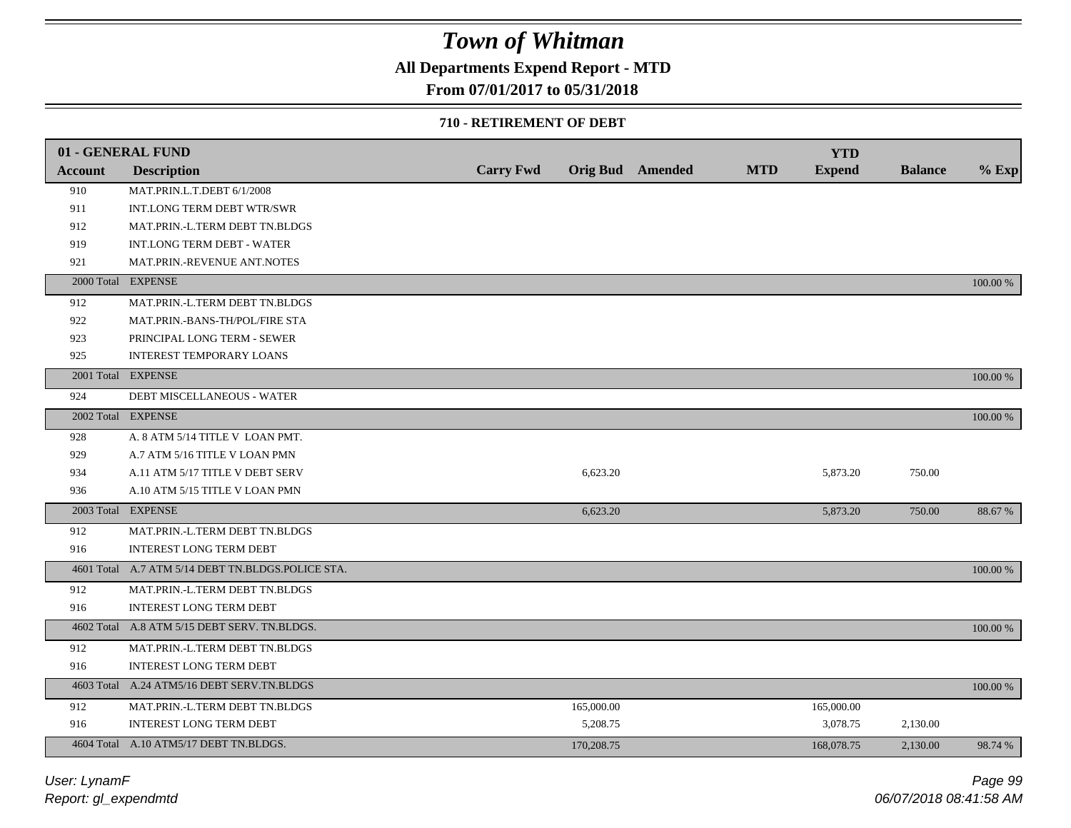## **All Departments Expend Report - MTD**

### **From 07/01/2017 to 05/31/2018**

#### **710 - RETIREMENT OF DEBT**

|                | 01 - GENERAL FUND                                 |                  |            |                  |            | <b>YTD</b>    |                |          |
|----------------|---------------------------------------------------|------------------|------------|------------------|------------|---------------|----------------|----------|
| <b>Account</b> | <b>Description</b>                                | <b>Carry Fwd</b> |            | Orig Bud Amended | <b>MTD</b> | <b>Expend</b> | <b>Balance</b> | $%$ Exp  |
| 910            | MAT.PRIN.L.T.DEBT 6/1/2008                        |                  |            |                  |            |               |                |          |
| 911            | INT.LONG TERM DEBT WTR/SWR                        |                  |            |                  |            |               |                |          |
| 912            | MAT.PRIN.-L.TERM DEBT TN.BLDGS                    |                  |            |                  |            |               |                |          |
| 919            | <b>INT.LONG TERM DEBT - WATER</b>                 |                  |            |                  |            |               |                |          |
| 921            | MAT.PRIN.-REVENUE ANT.NOTES                       |                  |            |                  |            |               |                |          |
| 2000 Total     | <b>EXPENSE</b>                                    |                  |            |                  |            |               |                | 100.00 % |
| 912            | MAT.PRIN.-L.TERM DEBT TN.BLDGS                    |                  |            |                  |            |               |                |          |
| 922            | MAT.PRIN.-BANS-TH/POL/FIRE STA                    |                  |            |                  |            |               |                |          |
| 923            | PRINCIPAL LONG TERM - SEWER                       |                  |            |                  |            |               |                |          |
| 925            | <b>INTEREST TEMPORARY LOANS</b>                   |                  |            |                  |            |               |                |          |
|                | 2001 Total EXPENSE                                |                  |            |                  |            |               |                | 100.00 % |
| 924            | DEBT MISCELLANEOUS - WATER                        |                  |            |                  |            |               |                |          |
|                | 2002 Total EXPENSE                                |                  |            |                  |            |               |                | 100.00 % |
| 928            | A. 8 ATM 5/14 TITLE V LOAN PMT.                   |                  |            |                  |            |               |                |          |
| 929            | A.7 ATM 5/16 TITLE V LOAN PMN                     |                  |            |                  |            |               |                |          |
| 934            | A.11 ATM 5/17 TITLE V DEBT SERV                   |                  | 6,623.20   |                  |            | 5,873.20      | 750.00         |          |
| 936            | A.10 ATM 5/15 TITLE V LOAN PMN                    |                  |            |                  |            |               |                |          |
|                | 2003 Total EXPENSE                                |                  | 6,623.20   |                  |            | 5,873.20      | 750.00         | 88.67 %  |
| 912            | MAT.PRIN.-L.TERM DEBT TN.BLDGS                    |                  |            |                  |            |               |                |          |
| 916            | <b>INTEREST LONG TERM DEBT</b>                    |                  |            |                  |            |               |                |          |
|                | 4601 Total A.7 ATM 5/14 DEBT TN.BLDGS.POLICE STA. |                  |            |                  |            |               |                | 100.00 % |
| 912            | MAT.PRIN.-L.TERM DEBT TN.BLDGS                    |                  |            |                  |            |               |                |          |
| 916            | <b>INTEREST LONG TERM DEBT</b>                    |                  |            |                  |            |               |                |          |
|                | 4602 Total A.8 ATM 5/15 DEBT SERV. TN.BLDGS.      |                  |            |                  |            |               |                | 100.00 % |
| 912            | MAT.PRIN.-L.TERM DEBT TN.BLDGS                    |                  |            |                  |            |               |                |          |
| 916            | <b>INTEREST LONG TERM DEBT</b>                    |                  |            |                  |            |               |                |          |
|                | 4603 Total A.24 ATM5/16 DEBT SERV.TN.BLDGS        |                  |            |                  |            |               |                | 100.00 % |
| 912            | MAT.PRIN.-L.TERM DEBT TN.BLDGS                    |                  | 165,000.00 |                  |            | 165,000.00    |                |          |
| 916            | <b>INTEREST LONG TERM DEBT</b>                    |                  | 5,208.75   |                  |            | 3,078.75      | 2,130.00       |          |
|                | 4604 Total A.10 ATM5/17 DEBT TN.BLDGS.            |                  | 170,208.75 |                  |            | 168,078.75    | 2,130.00       | 98.74 %  |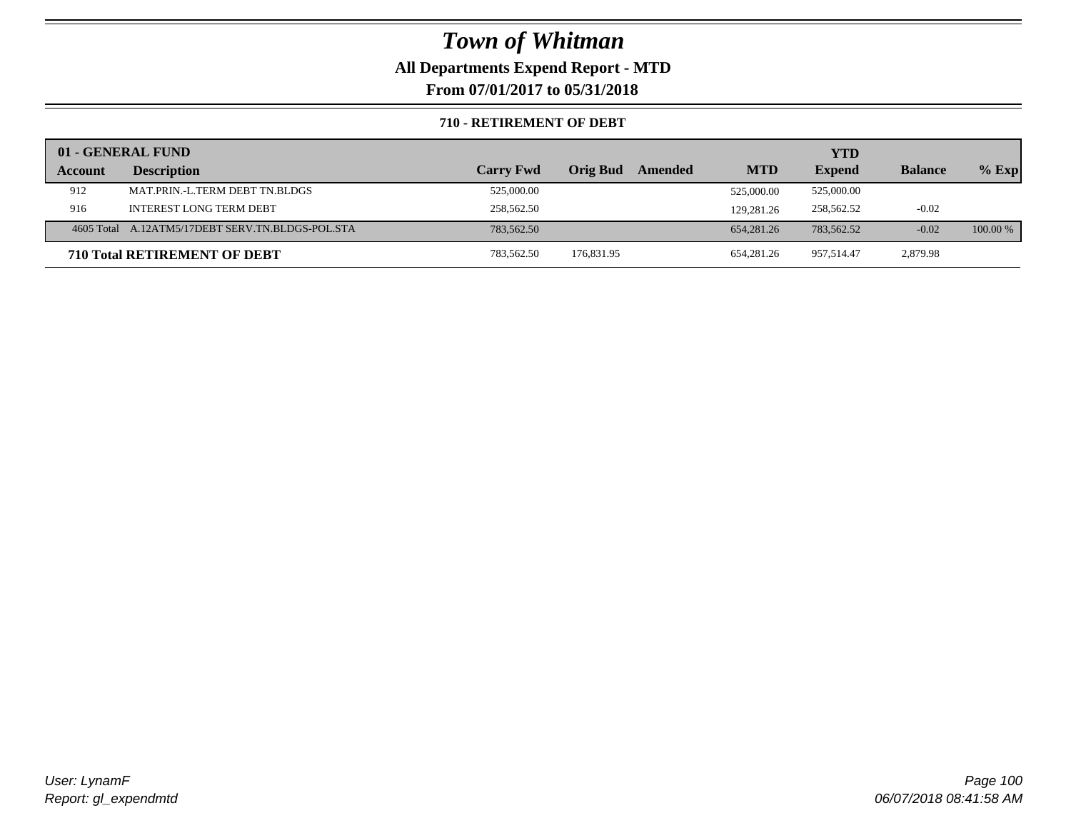## **All Departments Expend Report - MTD**

**From 07/01/2017 to 05/31/2018**

### **710 - RETIREMENT OF DEBT**

|         | 01 - GENERAL FUND                                |                  |                            |            | YTD           |                |            |
|---------|--------------------------------------------------|------------------|----------------------------|------------|---------------|----------------|------------|
| Account | <b>Description</b>                               | <b>Carry Fwd</b> | <b>Orig Bud</b><br>Amended | <b>MTD</b> | <b>Expend</b> | <b>Balance</b> | $%$ Exp    |
| 912     | MAT.PRIN.-L.TERM DEBT TN.BLDGS                   | 525,000.00       |                            | 525,000.00 | 525,000.00    |                |            |
| 916     | <b>INTEREST LONG TERM DEBT</b>                   | 258,562.50       |                            | 129,281.26 | 258,562.52    | $-0.02$        |            |
|         | 4605 Total A.12ATM5/17DEBT SERV.TN.BLDGS-POL.STA | 783,562.50       |                            | 654,281.26 | 783,562.52    | $-0.02$        | $100.00\%$ |
|         | <b>710 Total RETIREMENT OF DEBT</b>              | 783,562.50       | 176,831.95                 | 654.281.26 | 957.514.47    | 2,879.98       |            |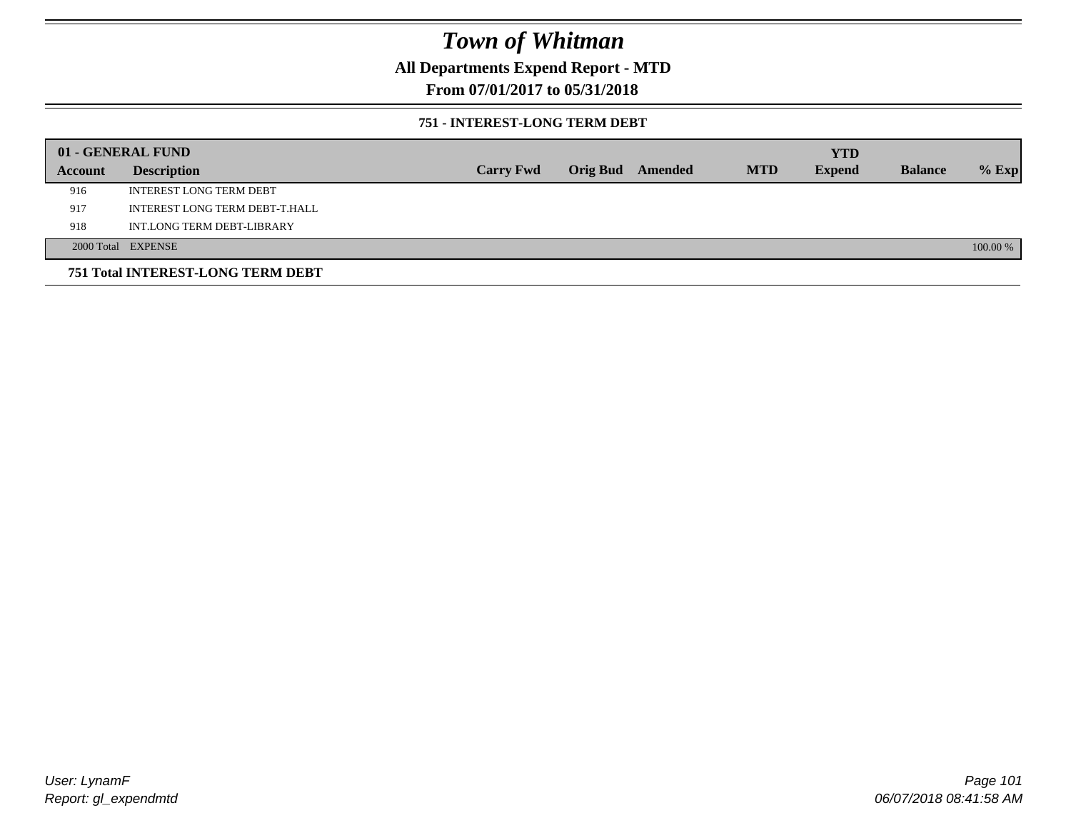## **All Departments Expend Report - MTD**

## **From 07/01/2017 to 05/31/2018**

### **751 - INTEREST-LONG TERM DEBT**

|         | 01 - GENERAL FUND                 |                  |  |                  |            | <b>YTD</b>    |                |          |
|---------|-----------------------------------|------------------|--|------------------|------------|---------------|----------------|----------|
| Account | <b>Description</b>                | <b>Carry Fwd</b> |  | Orig Bud Amended | <b>MTD</b> | <b>Expend</b> | <b>Balance</b> | $%$ Exp  |
| 916     | <b>INTEREST LONG TERM DEBT</b>    |                  |  |                  |            |               |                |          |
| 917     | INTEREST LONG TERM DEBT-T.HALL    |                  |  |                  |            |               |                |          |
| 918     | INT.LONG TERM DEBT-LIBRARY        |                  |  |                  |            |               |                |          |
|         | 2000 Total EXPENSE                |                  |  |                  |            |               |                | 100.00 % |
|         | 751 Total INTEREST-LONG TERM DEBT |                  |  |                  |            |               |                |          |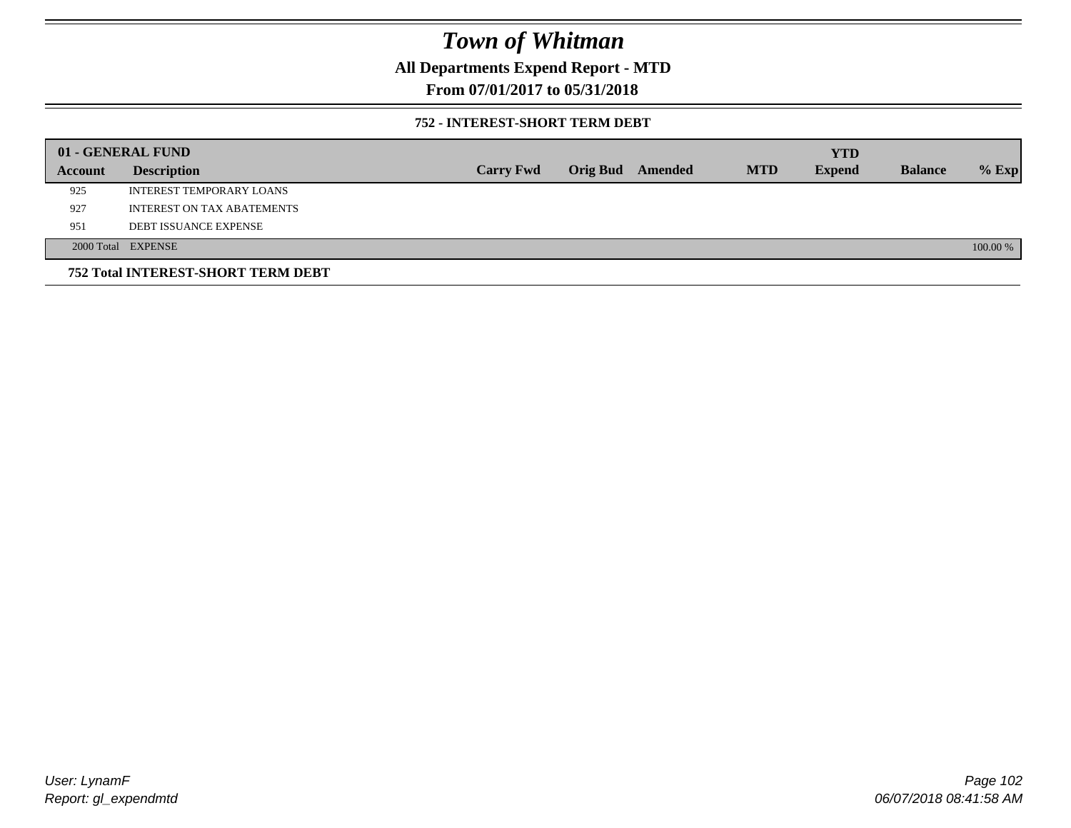## **All Departments Expend Report - MTD**

## **From 07/01/2017 to 05/31/2018**

### **752 - INTEREST-SHORT TERM DEBT**

|         | 01 - GENERAL FUND                  |                  |                 |         |            | <b>YTD</b>    |                |          |
|---------|------------------------------------|------------------|-----------------|---------|------------|---------------|----------------|----------|
| Account | <b>Description</b>                 | <b>Carry Fwd</b> | <b>Orig Bud</b> | Amended | <b>MTD</b> | <b>Expend</b> | <b>Balance</b> | $%$ Exp  |
| 925     | INTEREST TEMPORARY LOANS           |                  |                 |         |            |               |                |          |
| 927     | <b>INTEREST ON TAX ABATEMENTS</b>  |                  |                 |         |            |               |                |          |
| 951     | <b>DEBT ISSUANCE EXPENSE</b>       |                  |                 |         |            |               |                |          |
|         | 2000 Total EXPENSE                 |                  |                 |         |            |               |                | 100.00 % |
|         | 752 Total INTEREST-SHORT TERM DEBT |                  |                 |         |            |               |                |          |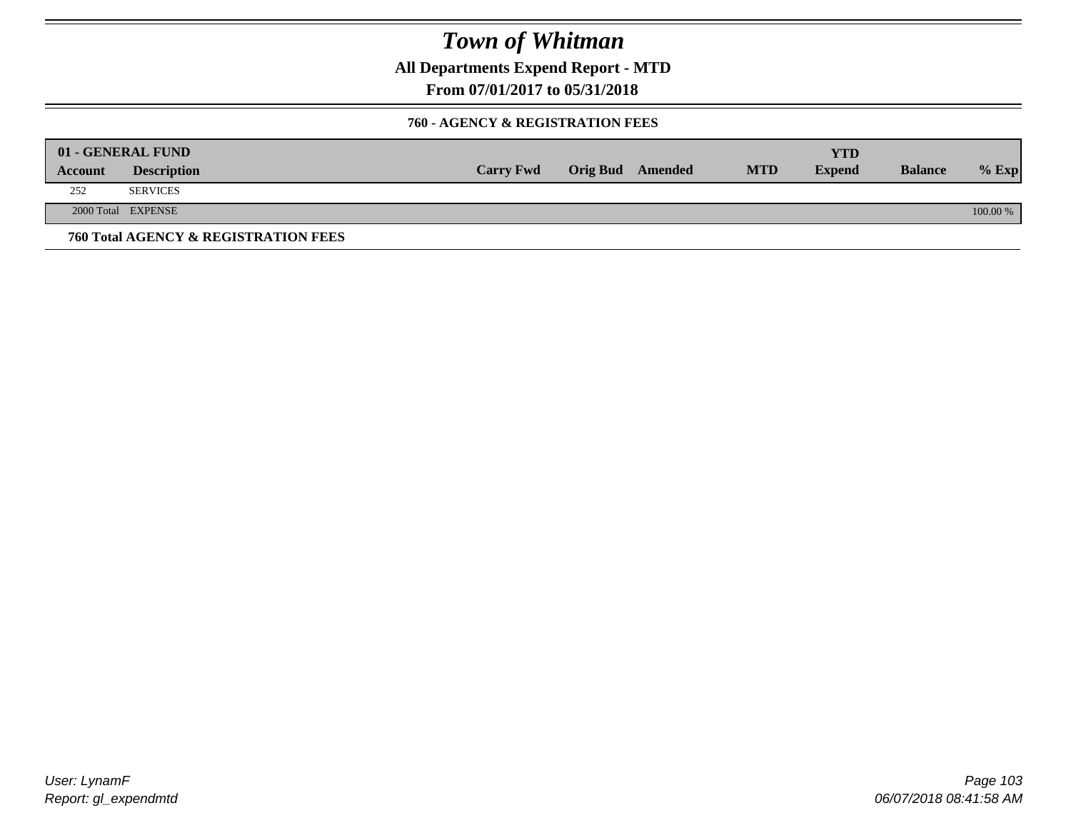**All Departments Expend Report - MTD**

**From 07/01/2017 to 05/31/2018**

### **760 - AGENCY & REGISTRATION FEES**

|         | 01 - GENERAL FUND                    |                  |                         |            | YTD           |                |          |
|---------|--------------------------------------|------------------|-------------------------|------------|---------------|----------------|----------|
| Account | <b>Description</b>                   | <b>Carry Fwd</b> | <b>Orig Bud</b> Amended | <b>MTD</b> | <b>Expend</b> | <b>Balance</b> | $%$ Exp  |
| 252     | <b>SERVICES</b>                      |                  |                         |            |               |                |          |
|         | 2000 Total EXPENSE                   |                  |                         |            |               |                | 100.00 % |
|         | 760 Total AGENCY & REGISTRATION FEES |                  |                         |            |               |                |          |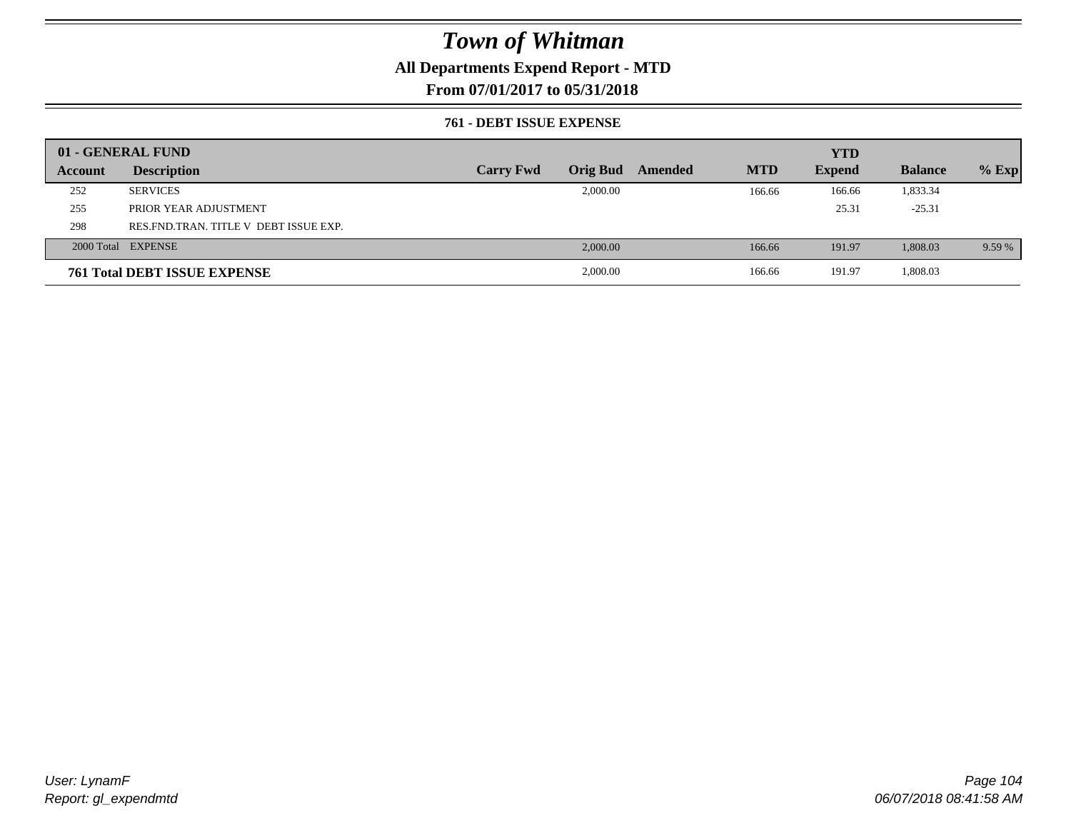## **All Departments Expend Report - MTD**

**From 07/01/2017 to 05/31/2018**

### **761 - DEBT ISSUE EXPENSE**

|         | 01 - GENERAL FUND                     |                  |                 |         |            | <b>YTD</b>    |                |         |
|---------|---------------------------------------|------------------|-----------------|---------|------------|---------------|----------------|---------|
| Account | <b>Description</b>                    | <b>Carry Fwd</b> | <b>Orig Bud</b> | Amended | <b>MTD</b> | <b>Expend</b> | <b>Balance</b> | $%$ Exp |
| 252     | <b>SERVICES</b>                       |                  | 2,000.00        |         | 166.66     | 166.66        | 1,833.34       |         |
| 255     | PRIOR YEAR ADJUSTMENT                 |                  |                 |         |            | 25.31         | $-25.31$       |         |
| 298     | RES FND TRAN. TITLE V DEBT ISSUE EXP. |                  |                 |         |            |               |                |         |
|         | 2000 Total EXPENSE                    |                  | 2,000.00        |         | 166.66     | 191.97        | 1,808.03       | 9.59 %  |
|         | <b>761 Total DEBT ISSUE EXPENSE</b>   |                  | 2,000.00        |         | 166.66     | 191.97        | 1,808.03       |         |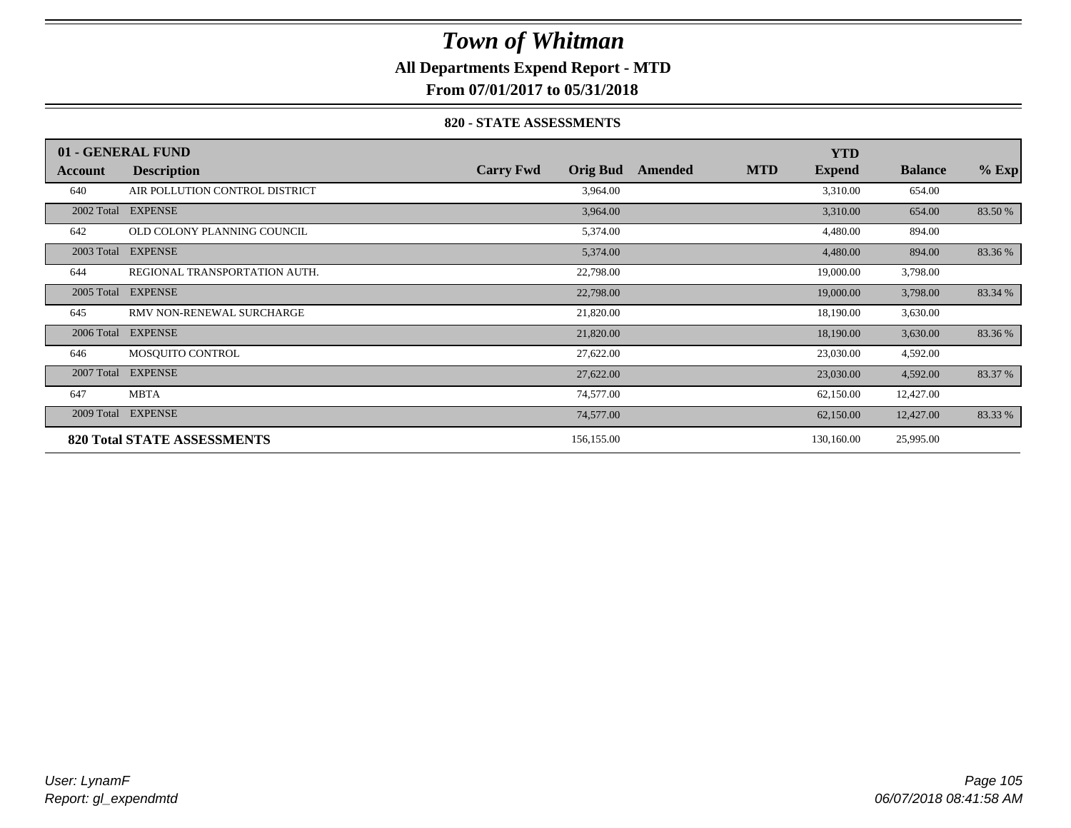## **All Departments Expend Report - MTD**

**From 07/01/2017 to 05/31/2018**

### **820 - STATE ASSESSMENTS**

|            | 01 - GENERAL FUND                  |                                     |         |            | <b>YTD</b>    |                |         |
|------------|------------------------------------|-------------------------------------|---------|------------|---------------|----------------|---------|
| Account    | <b>Description</b>                 | <b>Orig Bud</b><br><b>Carry Fwd</b> | Amended | <b>MTD</b> | <b>Expend</b> | <b>Balance</b> | $%$ Exp |
| 640        | AIR POLLUTION CONTROL DISTRICT     | 3,964.00                            |         |            | 3,310.00      | 654.00         |         |
| 2002 Total | <b>EXPENSE</b>                     | 3,964.00                            |         |            | 3,310.00      | 654.00         | 83.50 % |
| 642        | OLD COLONY PLANNING COUNCIL        | 5,374.00                            |         |            | 4,480.00      | 894.00         |         |
| 2003 Total | <b>EXPENSE</b>                     | 5,374.00                            |         |            | 4,480.00      | 894.00         | 83.36 % |
| 644        | REGIONAL TRANSPORTATION AUTH.      | 22,798.00                           |         |            | 19,000.00     | 3,798.00       |         |
| 2005 Total | <b>EXPENSE</b>                     | 22,798.00                           |         |            | 19,000.00     | 3,798.00       | 83.34 % |
| 645        | RMV NON-RENEWAL SURCHARGE          | 21,820.00                           |         |            | 18,190.00     | 3,630.00       |         |
| 2006 Total | <b>EXPENSE</b>                     | 21,820.00                           |         |            | 18,190.00     | 3,630.00       | 83.36 % |
| 646        | MOSQUITO CONTROL                   | 27,622.00                           |         |            | 23,030.00     | 4,592.00       |         |
| 2007 Total | <b>EXPENSE</b>                     | 27,622.00                           |         |            | 23,030.00     | 4,592.00       | 83.37 % |
| 647        | <b>MBTA</b>                        | 74,577.00                           |         |            | 62,150.00     | 12,427.00      |         |
| 2009 Total | <b>EXPENSE</b>                     | 74,577.00                           |         |            | 62,150.00     | 12,427.00      | 83.33 % |
|            | <b>820 Total STATE ASSESSMENTS</b> | 156,155.00                          |         |            | 130,160.00    | 25,995.00      |         |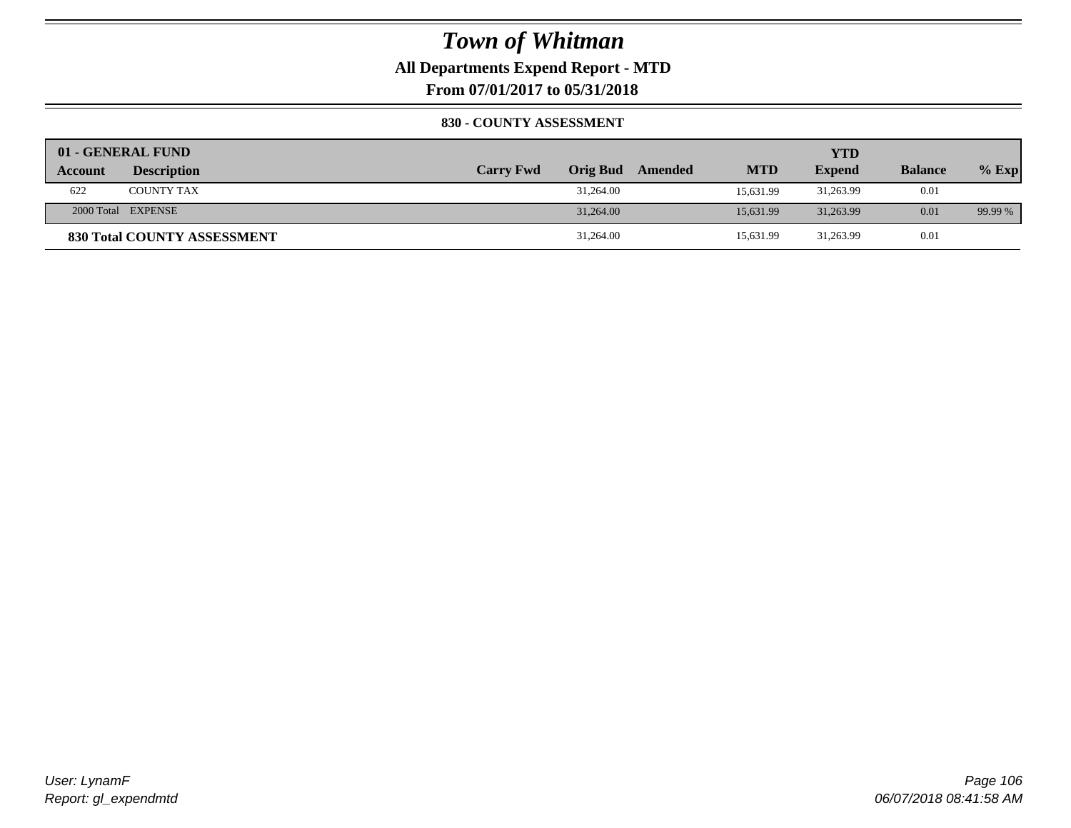## **All Departments Expend Report - MTD**

**From 07/01/2017 to 05/31/2018**

### **830 - COUNTY ASSESSMENT**

|                | 01 - GENERAL FUND                  |                  |           |                  |            | YTD           |                |         |
|----------------|------------------------------------|------------------|-----------|------------------|------------|---------------|----------------|---------|
| <b>Account</b> | <b>Description</b>                 | <b>Carry Fwd</b> |           | Orig Bud Amended | <b>MTD</b> | <b>Expend</b> | <b>Balance</b> | $%$ Exp |
| 622            | <b>COUNTY TAX</b>                  |                  | 31,264.00 |                  | 15.631.99  | 31,263.99     | 0.01           |         |
|                | 2000 Total EXPENSE                 |                  | 31,264.00 |                  | 15.631.99  | 31,263.99     | 0.01           | 99.99 % |
|                | <b>830 Total COUNTY ASSESSMENT</b> |                  | 31,264.00 |                  | 15,631.99  | 31,263.99     | 0.01           |         |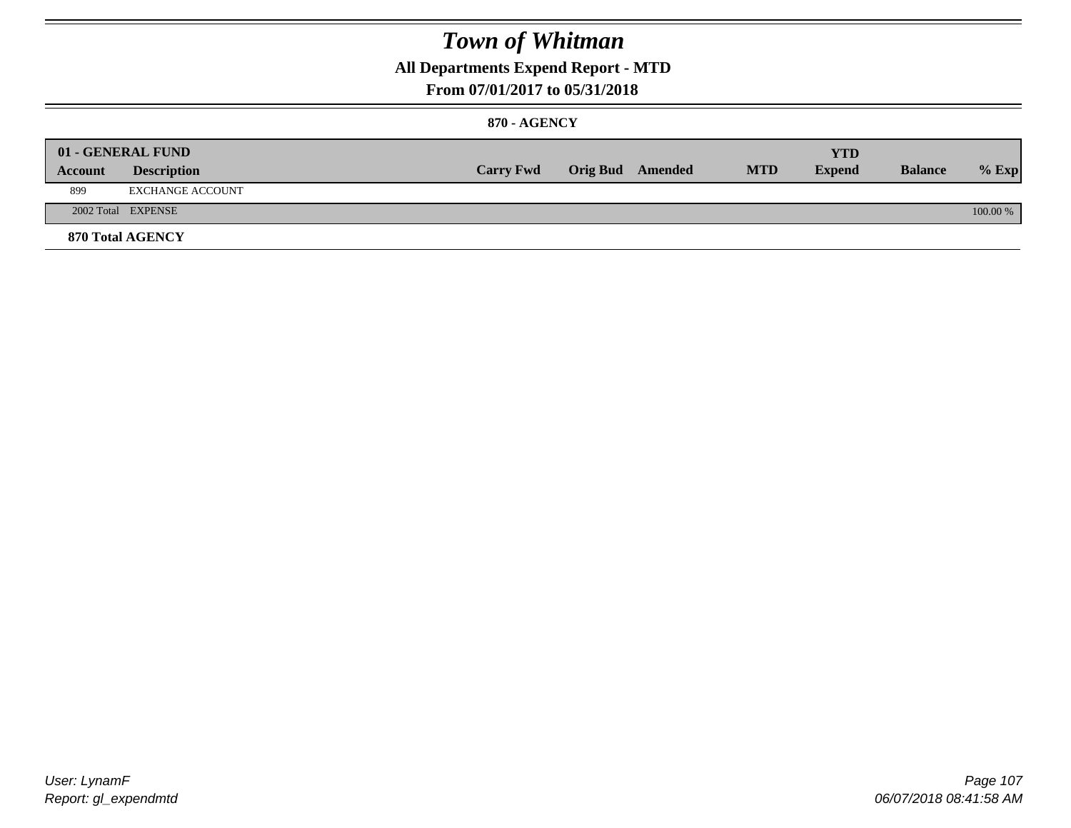## **All Departments Expend Report - MTD**

## **From 07/01/2017 to 05/31/2018**

### **870 - AGENCY**

| Account | 01 - GENERAL FUND<br><b>Description</b> | <b>Carry Fwd</b> | <b>Orig Bud</b> Amended | <b>MTD</b> | <b>YTD</b><br><b>Expend</b> | <b>Balance</b> | $%$ Exp  |
|---------|-----------------------------------------|------------------|-------------------------|------------|-----------------------------|----------------|----------|
| 899     | EXCHANGE ACCOUNT                        |                  |                         |            |                             |                |          |
|         | 2002 Total EXPENSE                      |                  |                         |            |                             |                | 100.00 % |
|         | <b>870 Total AGENCY</b>                 |                  |                         |            |                             |                |          |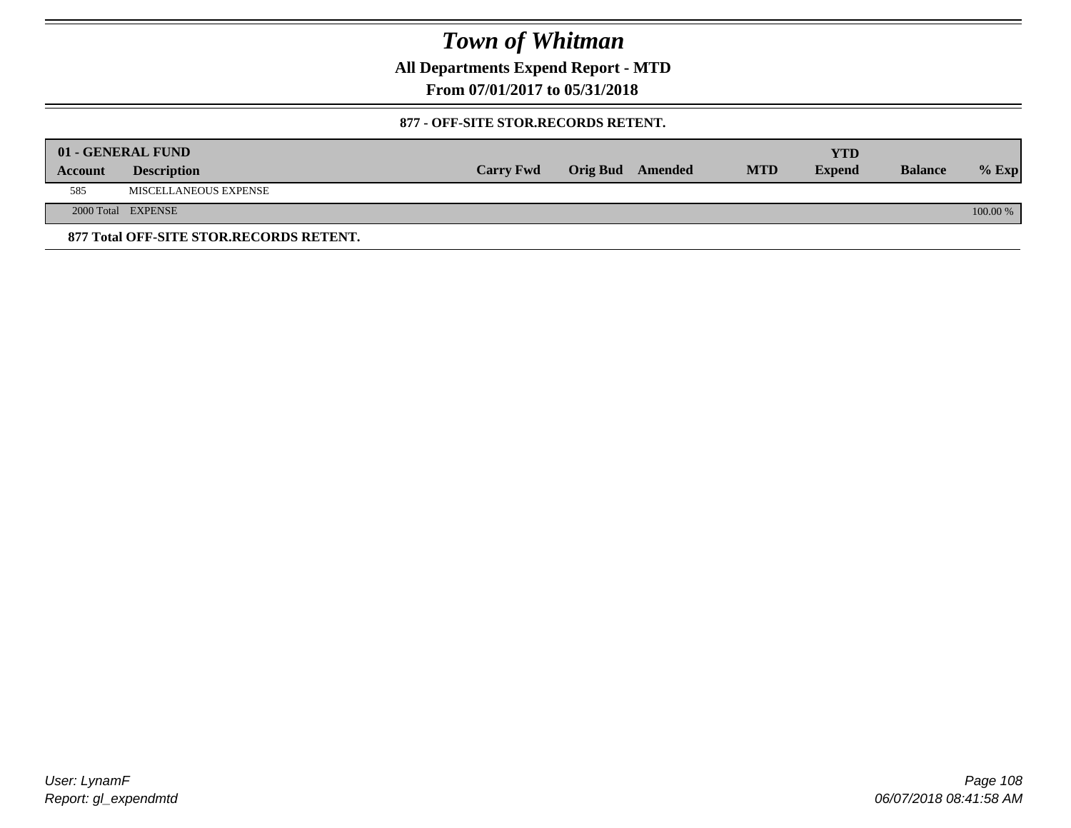**All Departments Expend Report - MTD**

**From 07/01/2017 to 05/31/2018**

### **877 - OFF-SITE STOR.RECORDS RETENT.**

|         | 01 - GENERAL FUND                       |                  |                         |            | <b>YTD</b>    |                |            |
|---------|-----------------------------------------|------------------|-------------------------|------------|---------------|----------------|------------|
| Account | <b>Description</b>                      | <b>Carry Fwd</b> | <b>Orig Bud</b> Amended | <b>MTD</b> | <b>Expend</b> | <b>Balance</b> | $%$ Exp    |
| 585     | MISCELLANEOUS EXPENSE                   |                  |                         |            |               |                |            |
|         | 2000 Total EXPENSE                      |                  |                         |            |               |                | $100.00\%$ |
|         | 877 Total OFF-SITE STOR.RECORDS RETENT. |                  |                         |            |               |                |            |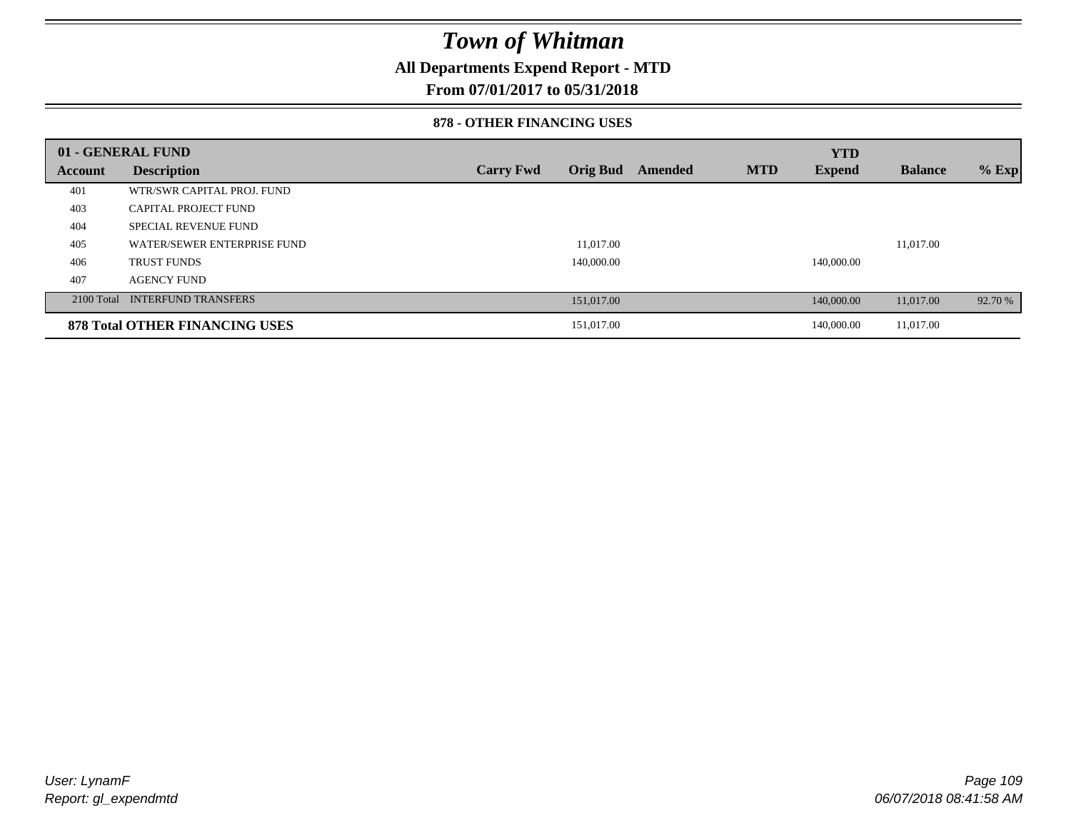### **All Departments Expend Report - MTD**

### **From 07/01/2017 to 05/31/2018**

#### **878 - OTHER FINANCING USES**

|         | 01 - GENERAL FUND                     |                  |                 |         |            | <b>YTD</b>    |                |         |
|---------|---------------------------------------|------------------|-----------------|---------|------------|---------------|----------------|---------|
| Account | <b>Description</b>                    | <b>Carry Fwd</b> | <b>Orig Bud</b> | Amended | <b>MTD</b> | <b>Expend</b> | <b>Balance</b> | $%$ Exp |
| 401     | WTR/SWR CAPITAL PROJ. FUND            |                  |                 |         |            |               |                |         |
| 403     | <b>CAPITAL PROJECT FUND</b>           |                  |                 |         |            |               |                |         |
| 404     | <b>SPECIAL REVENUE FUND</b>           |                  |                 |         |            |               |                |         |
| 405     | WATER/SEWER ENTERPRISE FUND           |                  | 11.017.00       |         |            |               | 11.017.00      |         |
| 406     | <b>TRUST FUNDS</b>                    |                  | 140,000.00      |         |            | 140,000.00    |                |         |
| 407     | <b>AGENCY FUND</b>                    |                  |                 |         |            |               |                |         |
|         | 2100 Total INTERFUND TRANSFERS        |                  | 151,017.00      |         |            | 140,000.00    | 11,017.00      | 92.70 % |
|         | <b>878 Total OTHER FINANCING USES</b> |                  | 151,017.00      |         |            | 140,000.00    | 11,017.00      |         |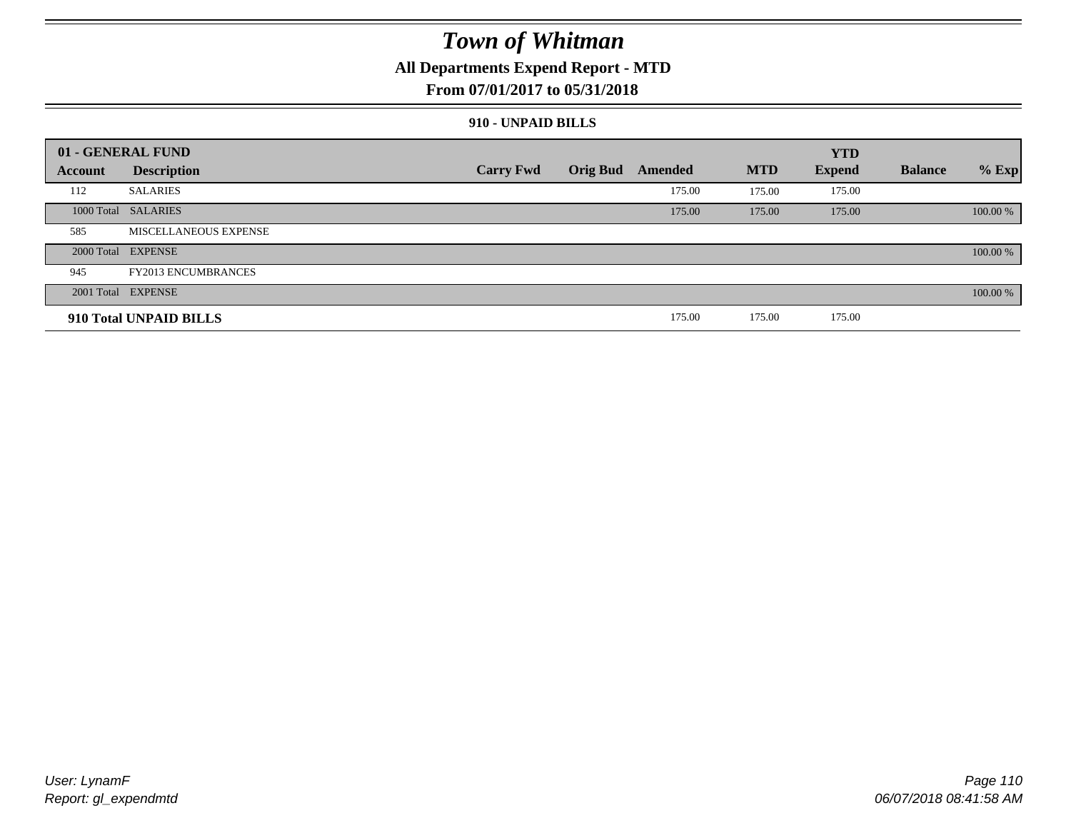### **All Departments Expend Report - MTD**

### **From 07/01/2017 to 05/31/2018**

#### **910 - UNPAID BILLS**

|         | 01 - GENERAL FUND          |                  |                 |         |            | <b>YTD</b>    |                |          |
|---------|----------------------------|------------------|-----------------|---------|------------|---------------|----------------|----------|
| Account | <b>Description</b>         | <b>Carry Fwd</b> | <b>Orig Bud</b> | Amended | <b>MTD</b> | <b>Expend</b> | <b>Balance</b> | $%$ Exp  |
| 112     | <b>SALARIES</b>            |                  |                 | 175.00  | 175.00     | 175.00        |                |          |
|         | 1000 Total SALARIES        |                  |                 | 175.00  | 175.00     | 175.00        |                | 100.00 % |
| 585     | MISCELLANEOUS EXPENSE      |                  |                 |         |            |               |                |          |
|         | 2000 Total EXPENSE         |                  |                 |         |            |               |                | 100.00 % |
| 945     | <b>FY2013 ENCUMBRANCES</b> |                  |                 |         |            |               |                |          |
|         | 2001 Total EXPENSE         |                  |                 |         |            |               |                | 100.00 % |
|         | 910 Total UNPAID BILLS     |                  |                 | 175.00  | 175.00     | 175.00        |                |          |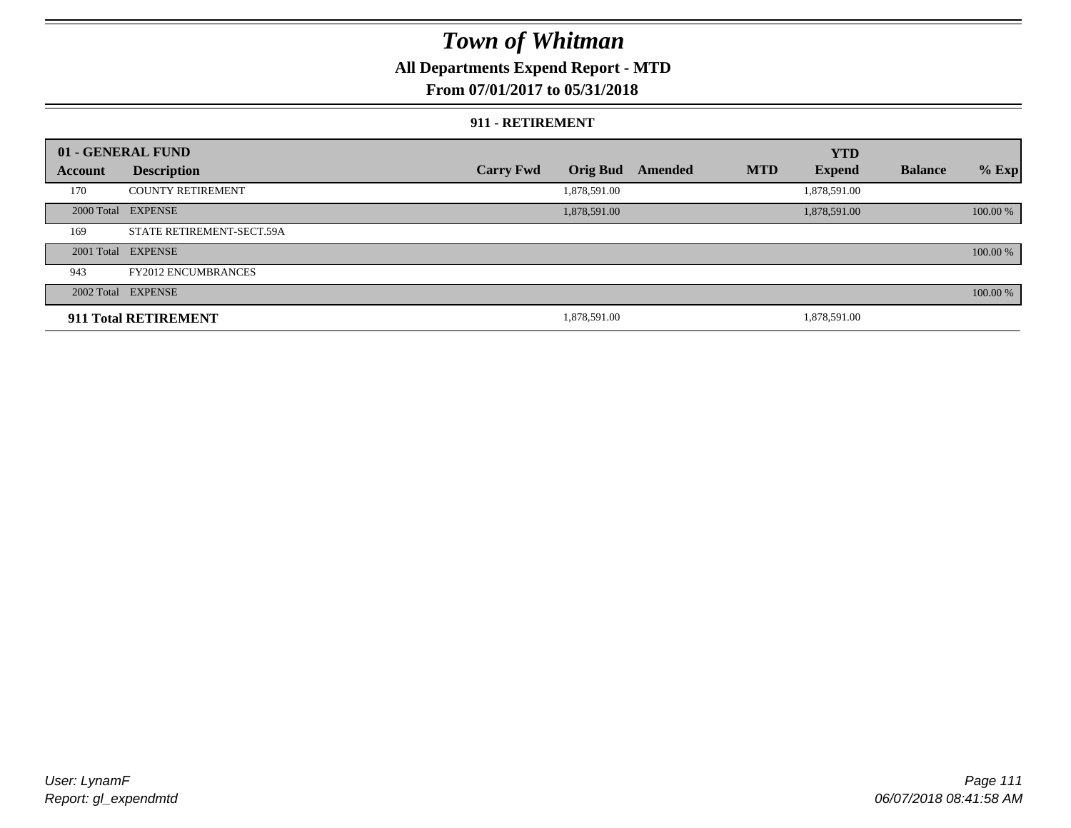### **All Departments Expend Report - MTD**

#### **From 07/01/2017 to 05/31/2018**

#### **911 - RETIREMENT**

|         | 01 - GENERAL FUND          |                  |                 |         |            | <b>YTD</b>    |                |          |
|---------|----------------------------|------------------|-----------------|---------|------------|---------------|----------------|----------|
| Account | <b>Description</b>         | <b>Carry Fwd</b> | <b>Orig Bud</b> | Amended | <b>MTD</b> | <b>Expend</b> | <b>Balance</b> | $%$ Exp  |
| 170     | <b>COUNTY RETIREMENT</b>   |                  | 1,878,591.00    |         |            | 1,878,591.00  |                |          |
|         | 2000 Total EXPENSE         |                  | 1,878,591.00    |         |            | 1,878,591.00  |                | 100.00 % |
| 169     | STATE RETIREMENT-SECT.59A  |                  |                 |         |            |               |                |          |
|         | 2001 Total EXPENSE         |                  |                 |         |            |               |                | 100.00 % |
| 943     | <b>FY2012 ENCUMBRANCES</b> |                  |                 |         |            |               |                |          |
|         | 2002 Total EXPENSE         |                  |                 |         |            |               |                | 100.00 % |
|         | 911 Total RETIREMENT       |                  | 1,878,591.00    |         |            | 1.878.591.00  |                |          |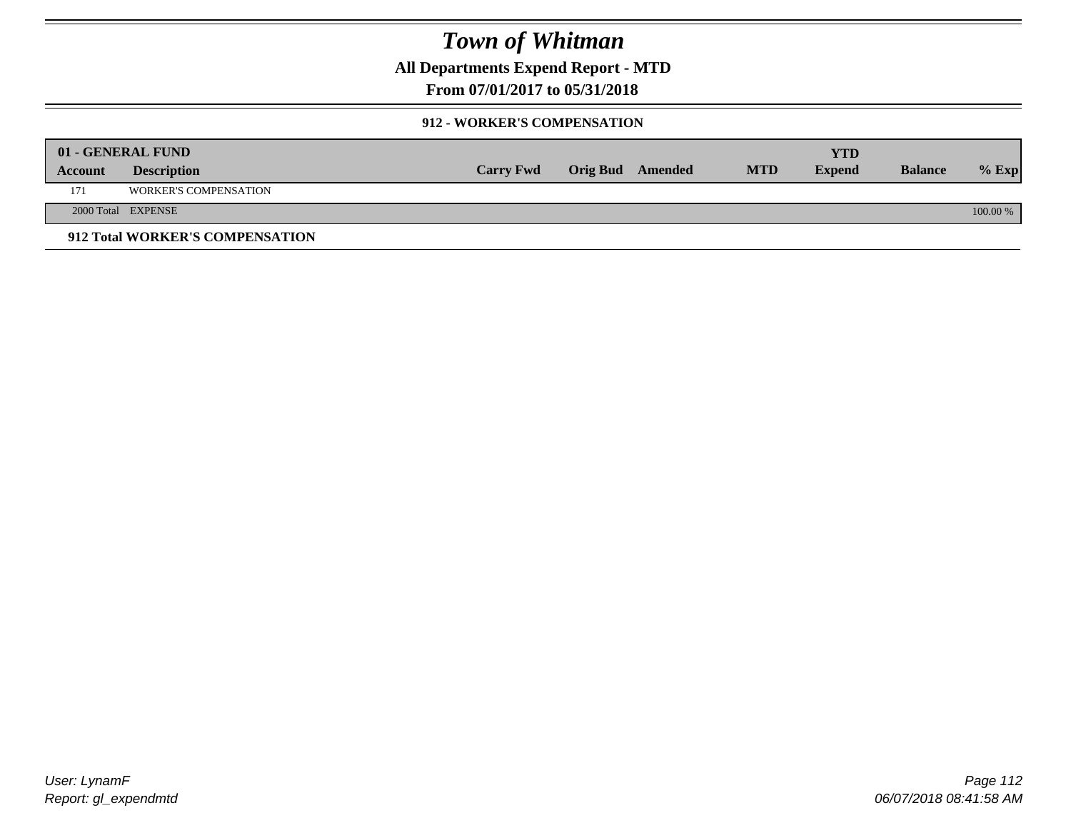**All Departments Expend Report - MTD**

**From 07/01/2017 to 05/31/2018**

#### **912 - WORKER'S COMPENSATION**

|         | 01 - GENERAL FUND               |                  |                  |            | <b>YTD</b>    |                |          |
|---------|---------------------------------|------------------|------------------|------------|---------------|----------------|----------|
| Account | <b>Description</b>              | <b>Carry Fwd</b> | Orig Bud Amended | <b>MTD</b> | <b>Expend</b> | <b>Balance</b> | $%$ Exp  |
| 171     | <b>WORKER'S COMPENSATION</b>    |                  |                  |            |               |                |          |
|         | 2000 Total EXPENSE              |                  |                  |            |               |                | 100.00 % |
|         | 912 Total WORKER'S COMPENSATION |                  |                  |            |               |                |          |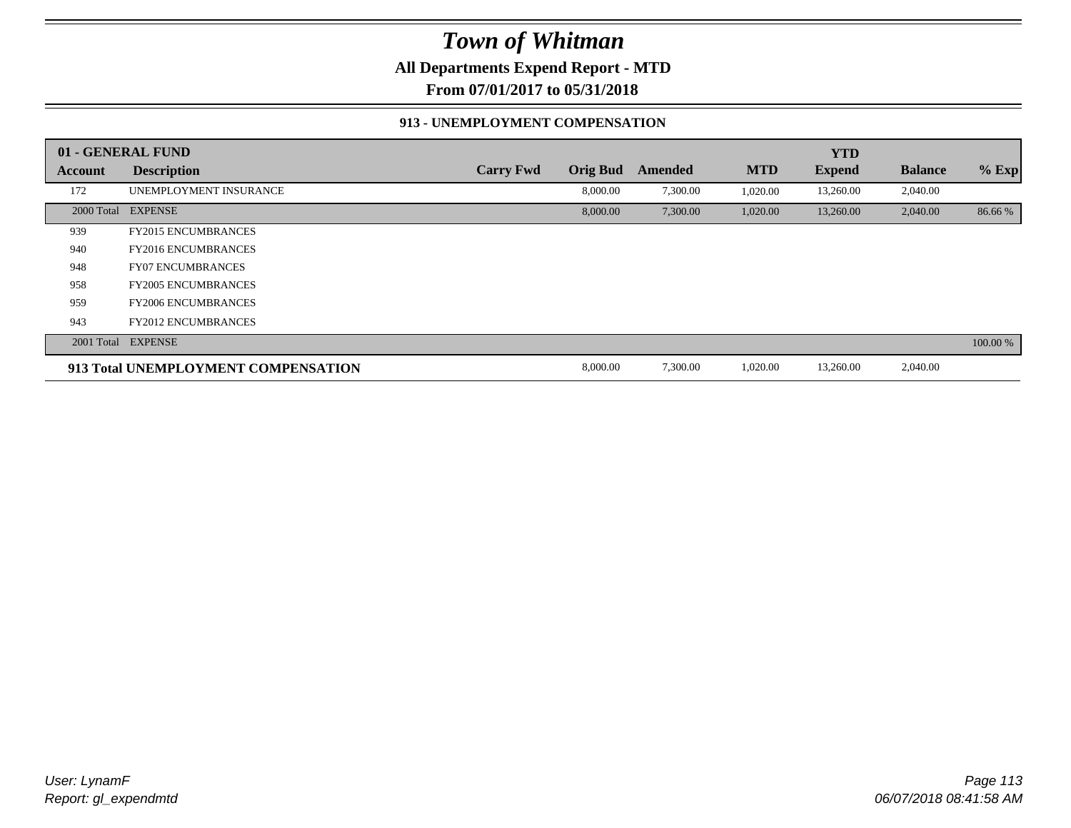**All Departments Expend Report - MTD**

**From 07/01/2017 to 05/31/2018**

#### **913 - UNEMPLOYMENT COMPENSATION**

|                | 01 - GENERAL FUND                   |                  |                 |          |            | <b>YTD</b>    |                |          |
|----------------|-------------------------------------|------------------|-----------------|----------|------------|---------------|----------------|----------|
| <b>Account</b> | <b>Description</b>                  | <b>Carry Fwd</b> | <b>Orig Bud</b> | Amended  | <b>MTD</b> | <b>Expend</b> | <b>Balance</b> | $%$ Exp  |
| 172            | UNEMPLOYMENT INSURANCE              |                  | 8,000.00        | 7,300.00 | 1,020.00   | 13,260.00     | 2,040.00       |          |
| 2000 Total     | <b>EXPENSE</b>                      |                  | 8,000.00        | 7,300.00 | 1,020.00   | 13,260.00     | 2,040.00       | 86.66%   |
| 939            | <b>FY2015 ENCUMBRANCES</b>          |                  |                 |          |            |               |                |          |
| 940            | <b>FY2016 ENCUMBRANCES</b>          |                  |                 |          |            |               |                |          |
| 948            | <b>FY07 ENCUMBRANCES</b>            |                  |                 |          |            |               |                |          |
| 958            | <b>FY2005 ENCUMBRANCES</b>          |                  |                 |          |            |               |                |          |
| 959            | <b>FY2006 ENCUMBRANCES</b>          |                  |                 |          |            |               |                |          |
| 943            | <b>FY2012 ENCUMBRANCES</b>          |                  |                 |          |            |               |                |          |
|                | 2001 Total EXPENSE                  |                  |                 |          |            |               |                | 100.00 % |
|                | 913 Total UNEMPLOYMENT COMPENSATION |                  | 8,000.00        | 7,300.00 | 1,020.00   | 13,260.00     | 2,040.00       |          |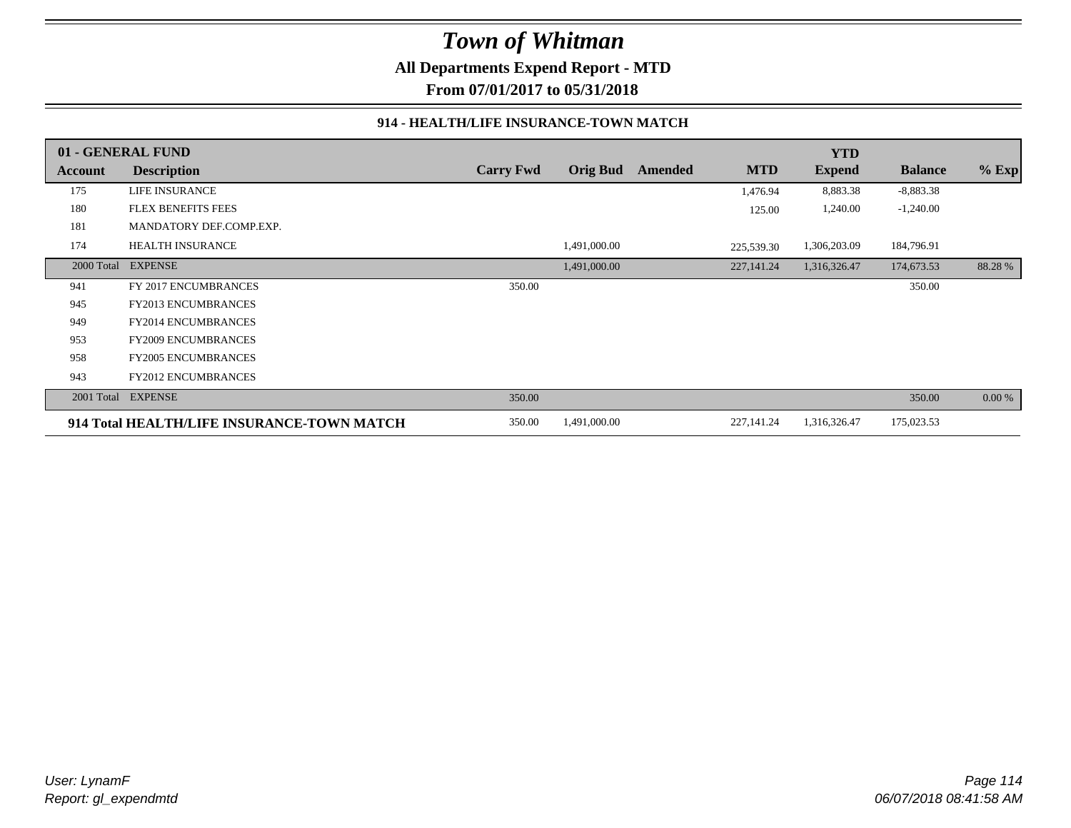**All Departments Expend Report - MTD**

**From 07/01/2017 to 05/31/2018**

#### **914 - HEALTH/LIFE INSURANCE-TOWN MATCH**

|            | 01 - GENERAL FUND                          |                  |                 |         |             | <b>YTD</b>    |                |         |
|------------|--------------------------------------------|------------------|-----------------|---------|-------------|---------------|----------------|---------|
| Account    | <b>Description</b>                         | <b>Carry Fwd</b> | <b>Orig Bud</b> | Amended | <b>MTD</b>  | <b>Expend</b> | <b>Balance</b> | $%$ Exp |
| 175        | <b>LIFE INSURANCE</b>                      |                  |                 |         | 1,476.94    | 8,883.38      | $-8,883.38$    |         |
| 180        | FLEX BENEFITS FEES                         |                  |                 |         | 125.00      | 1,240.00      | $-1,240.00$    |         |
| 181        | MANDATORY DEF.COMP.EXP.                    |                  |                 |         |             |               |                |         |
| 174        | <b>HEALTH INSURANCE</b>                    |                  | 1,491,000.00    |         | 225,539.30  | 1,306,203.09  | 184,796.91     |         |
| 2000 Total | <b>EXPENSE</b>                             |                  | 1,491,000.00    |         | 227, 141.24 | 1,316,326.47  | 174,673.53     | 88.28%  |
| 941        | FY 2017 ENCUMBRANCES                       | 350.00           |                 |         |             |               | 350.00         |         |
| 945        | <b>FY2013 ENCUMBRANCES</b>                 |                  |                 |         |             |               |                |         |
| 949        | <b>FY2014 ENCUMBRANCES</b>                 |                  |                 |         |             |               |                |         |
| 953        | <b>FY2009 ENCUMBRANCES</b>                 |                  |                 |         |             |               |                |         |
| 958        | <b>FY2005 ENCUMBRANCES</b>                 |                  |                 |         |             |               |                |         |
| 943        | <b>FY2012 ENCUMBRANCES</b>                 |                  |                 |         |             |               |                |         |
| 2001 Total | <b>EXPENSE</b>                             | 350.00           |                 |         |             |               | 350.00         | 0.00 %  |
|            | 914 Total HEALTH/LIFE INSURANCE-TOWN MATCH | 350.00           | 1,491,000.00    |         | 227,141.24  | 1,316,326.47  | 175,023.53     |         |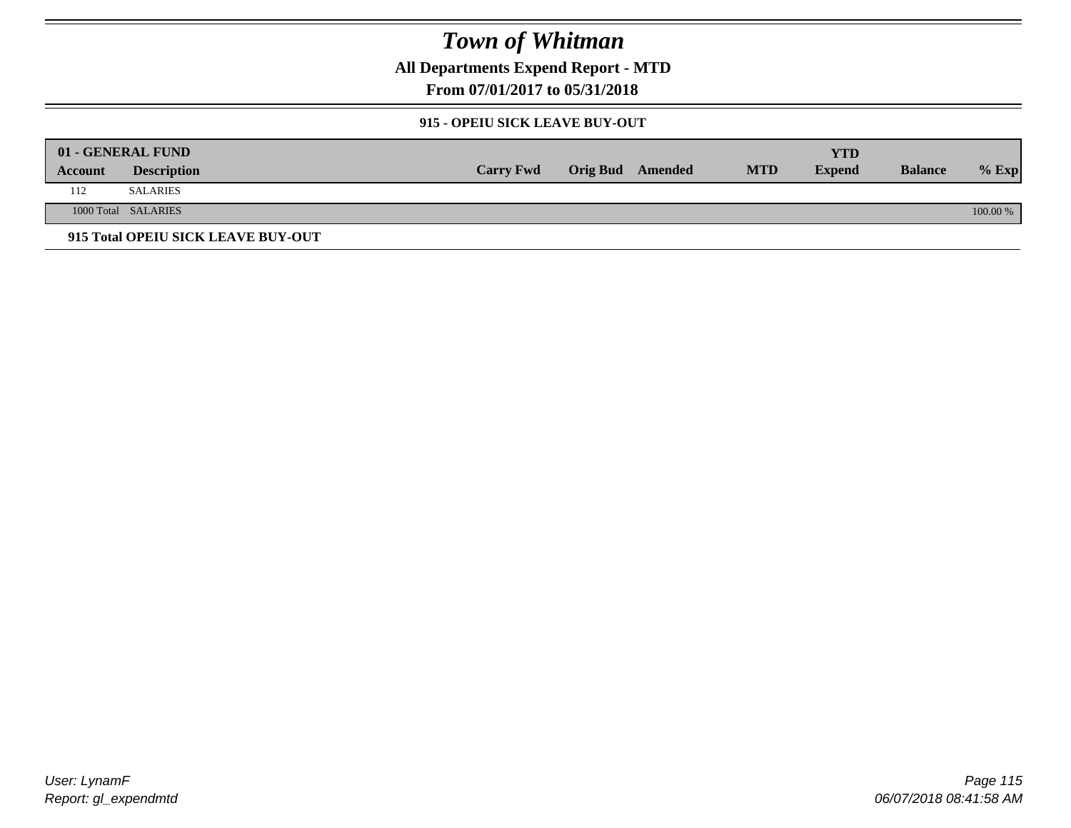**All Departments Expend Report - MTD**

**From 07/01/2017 to 05/31/2018**

#### **915 - OPEIU SICK LEAVE BUY-OUT**

|         | 01 - GENERAL FUND                  |                  |                         |            | YTD           |                |          |
|---------|------------------------------------|------------------|-------------------------|------------|---------------|----------------|----------|
| Account | <b>Description</b>                 | <b>Carry Fwd</b> | <b>Orig Bud</b> Amended | <b>MTD</b> | <b>Expend</b> | <b>Balance</b> | $%$ Exp  |
| 112     | <b>SALARIES</b>                    |                  |                         |            |               |                |          |
|         | 1000 Total SALARIES                |                  |                         |            |               |                | 100.00 % |
|         | 915 Total OPEIU SICK LEAVE BUY-OUT |                  |                         |            |               |                |          |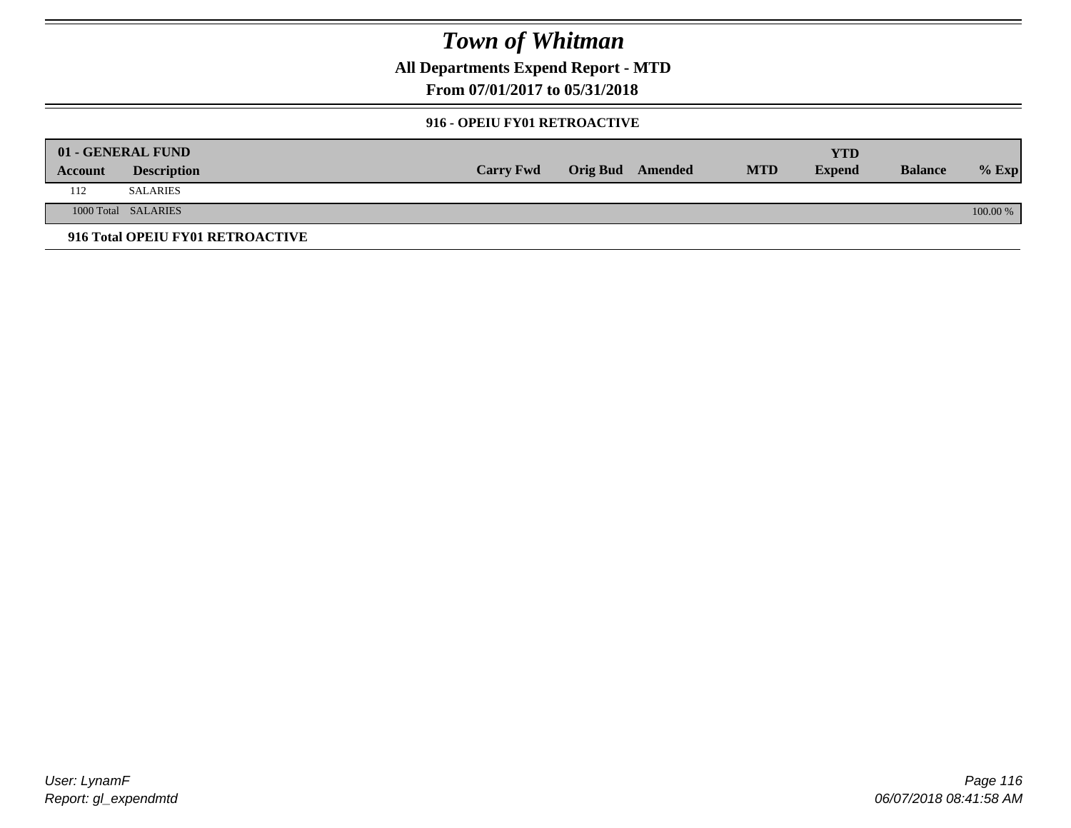**All Departments Expend Report - MTD**

**From 07/01/2017 to 05/31/2018**

#### **916 - OPEIU FY01 RETROACTIVE**

|         | 01 - GENERAL FUND                |                  |                         |            | YTD           |                |          |
|---------|----------------------------------|------------------|-------------------------|------------|---------------|----------------|----------|
| Account | <b>Description</b>               | <b>Carry Fwd</b> | <b>Orig Bud</b> Amended | <b>MTD</b> | <b>Expend</b> | <b>Balance</b> | $%$ Exp  |
| 112     | <b>SALARIES</b>                  |                  |                         |            |               |                |          |
|         | 1000 Total SALARIES              |                  |                         |            |               |                | 100.00 % |
|         | 916 Total OPEIU FY01 RETROACTIVE |                  |                         |            |               |                |          |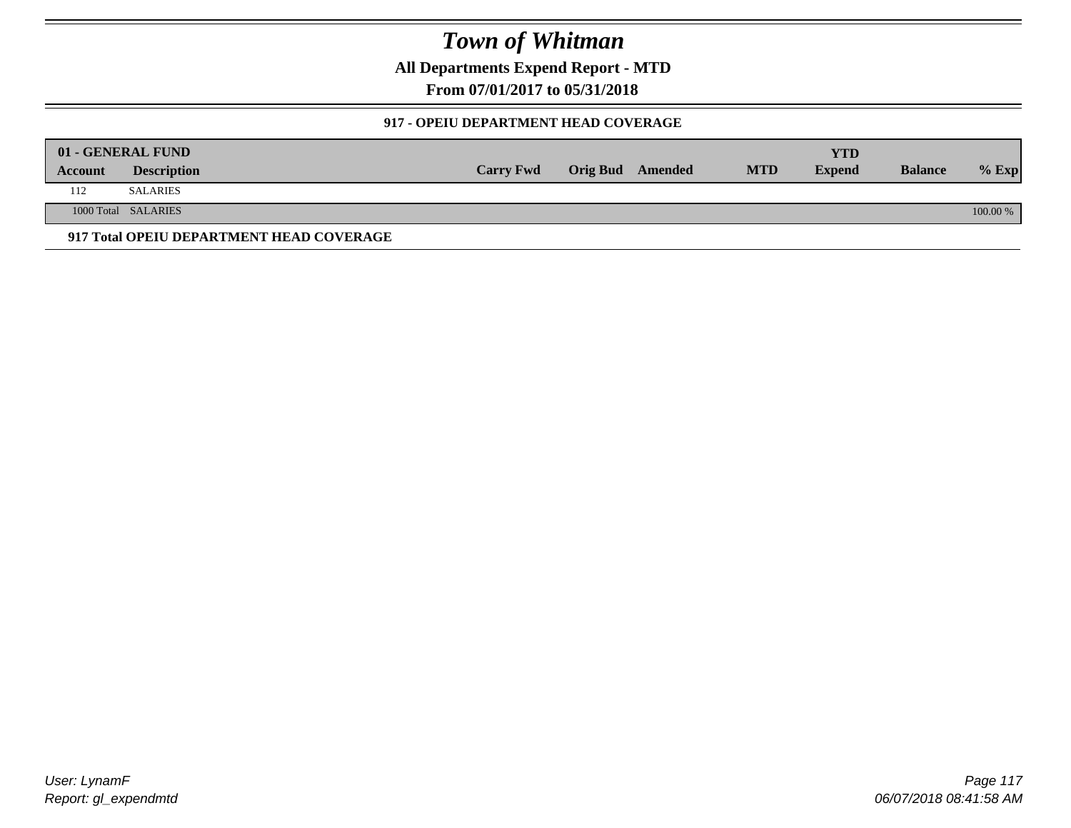**All Departments Expend Report - MTD**

**From 07/01/2017 to 05/31/2018**

#### **917 - OPEIU DEPARTMENT HEAD COVERAGE**

|         | 01 - GENERAL FUND                        |                  |                         |            | YTD           |                |            |
|---------|------------------------------------------|------------------|-------------------------|------------|---------------|----------------|------------|
| Account | <b>Description</b>                       | <b>Carry Fwd</b> | <b>Orig Bud</b> Amended | <b>MTD</b> | <b>Expend</b> | <b>Balance</b> | $%$ Exp    |
| 112     | <b>SALARIES</b>                          |                  |                         |            |               |                |            |
|         | 1000 Total SALARIES                      |                  |                         |            |               |                | $100.00\%$ |
|         | 917 Total OPEIU DEPARTMENT HEAD COVERAGE |                  |                         |            |               |                |            |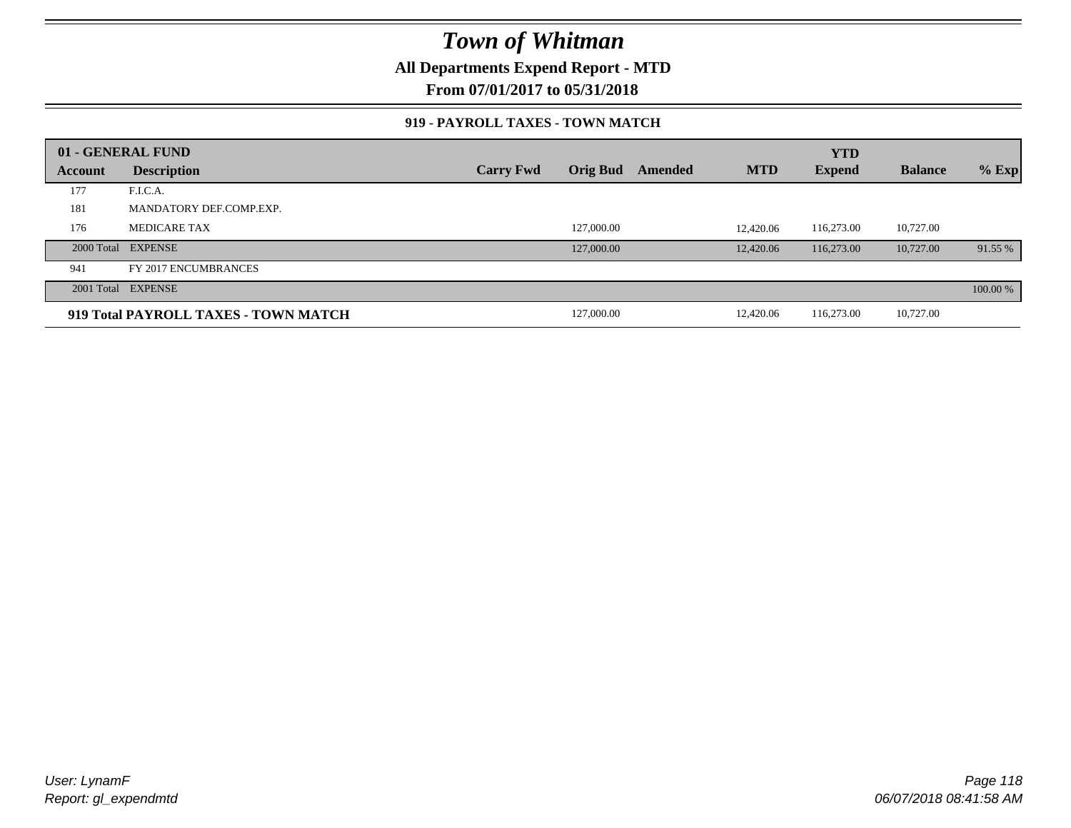**All Departments Expend Report - MTD**

**From 07/01/2017 to 05/31/2018**

#### **919 - PAYROLL TAXES - TOWN MATCH**

|         | 01 - GENERAL FUND                    |                  |                 |         |            | <b>YTD</b>    |                |          |
|---------|--------------------------------------|------------------|-----------------|---------|------------|---------------|----------------|----------|
| Account | <b>Description</b>                   | <b>Carry Fwd</b> | <b>Orig Bud</b> | Amended | <b>MTD</b> | <b>Expend</b> | <b>Balance</b> | $%$ Exp  |
| 177     | F.I.C.A.                             |                  |                 |         |            |               |                |          |
| 181     | MANDATORY DEF.COMP.EXP.              |                  |                 |         |            |               |                |          |
| 176     | <b>MEDICARE TAX</b>                  |                  | 127,000.00      |         | 12,420.06  | 116,273.00    | 10,727.00      |          |
|         | 2000 Total EXPENSE                   |                  | 127,000.00      |         | 12,420.06  | 116,273.00    | 10,727.00      | 91.55 %  |
| 941     | FY 2017 ENCUMBRANCES                 |                  |                 |         |            |               |                |          |
|         | 2001 Total EXPENSE                   |                  |                 |         |            |               |                | 100.00 % |
|         | 919 Total PAYROLL TAXES - TOWN MATCH |                  | 127,000.00      |         | 12,420.06  | 116,273.00    | 10,727.00      |          |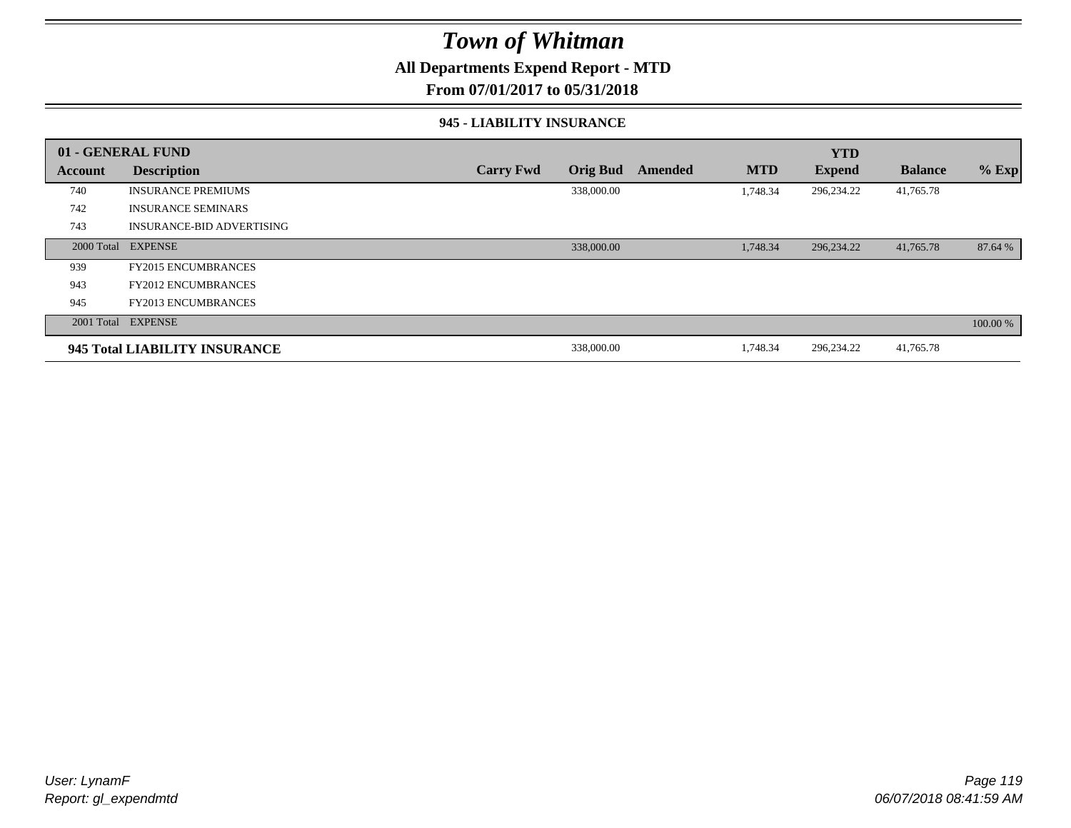### **All Departments Expend Report - MTD**

**From 07/01/2017 to 05/31/2018**

#### **945 - LIABILITY INSURANCE**

|                | 01 - GENERAL FUND                |                  |                 |                |            | <b>YTD</b>    |                |          |
|----------------|----------------------------------|------------------|-----------------|----------------|------------|---------------|----------------|----------|
| <b>Account</b> | <b>Description</b>               | <b>Carry Fwd</b> | <b>Orig Bud</b> | <b>Amended</b> | <b>MTD</b> | <b>Expend</b> | <b>Balance</b> | $%$ Exp  |
| 740            | <b>INSURANCE PREMIUMS</b>        |                  | 338,000.00      |                | 1,748.34   | 296,234.22    | 41,765.78      |          |
| 742            | <b>INSURANCE SEMINARS</b>        |                  |                 |                |            |               |                |          |
| 743            | <b>INSURANCE-BID ADVERTISING</b> |                  |                 |                |            |               |                |          |
|                | 2000 Total EXPENSE               |                  | 338,000.00      |                | 1,748.34   | 296,234.22    | 41,765.78      | 87.64 %  |
| 939            | <b>FY2015 ENCUMBRANCES</b>       |                  |                 |                |            |               |                |          |
| 943            | <b>FY2012 ENCUMBRANCES</b>       |                  |                 |                |            |               |                |          |
| 945            | <b>FY2013 ENCUMBRANCES</b>       |                  |                 |                |            |               |                |          |
|                | 2001 Total EXPENSE               |                  |                 |                |            |               |                | 100.00 % |
|                | 945 Total LIABILITY INSURANCE    |                  | 338,000.00      |                | 1,748.34   | 296,234.22    | 41,765.78      |          |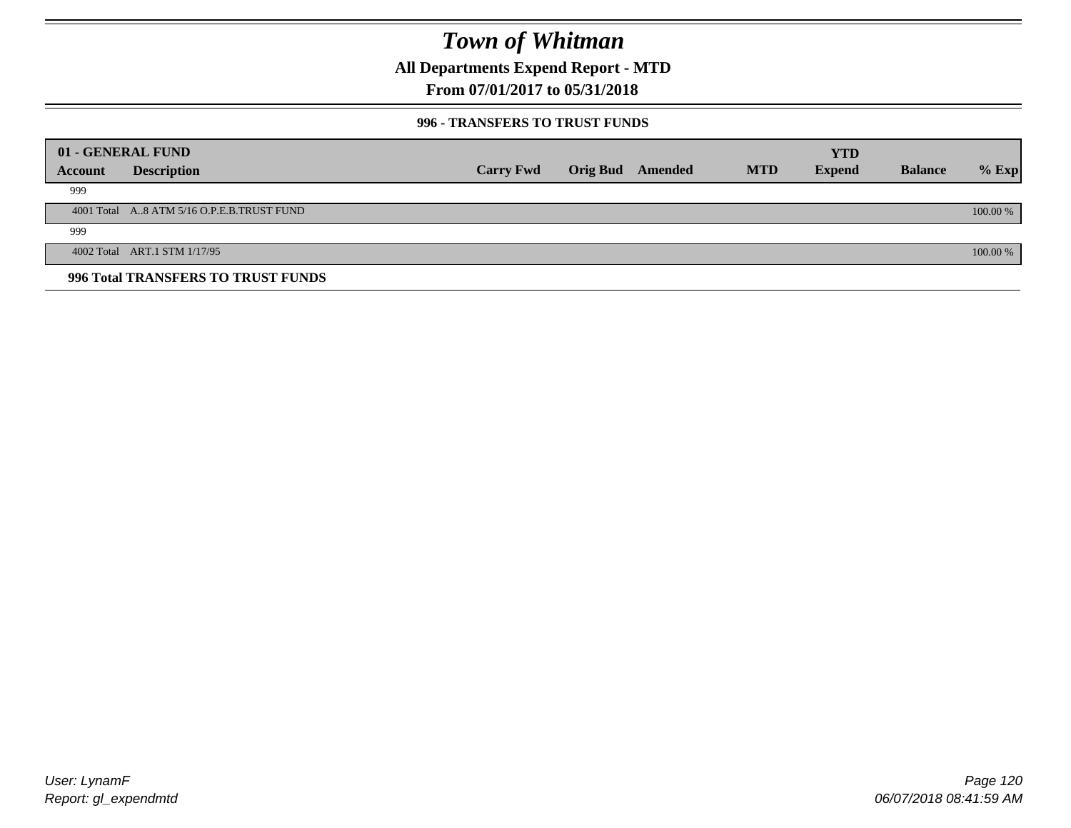**All Departments Expend Report - MTD**

### **From 07/01/2017 to 05/31/2018**

#### **996 - TRANSFERS TO TRUST FUNDS**

|         | 01 - GENERAL FUND                         |                  |                         |            | <b>YTD</b>    |                |            |
|---------|-------------------------------------------|------------------|-------------------------|------------|---------------|----------------|------------|
| Account | <b>Description</b>                        | <b>Carry Fwd</b> | <b>Orig Bud</b> Amended | <b>MTD</b> | <b>Expend</b> | <b>Balance</b> | $%$ Exp    |
| 999     |                                           |                  |                         |            |               |                |            |
|         | 4001 Total A8 ATM 5/16 O.P.E.B.TRUST FUND |                  |                         |            |               |                | $100.00\%$ |
| 999     |                                           |                  |                         |            |               |                |            |
|         | 4002 Total ART.1 STM 1/17/95              |                  |                         |            |               |                | 100.00 %   |
|         | 996 Total TRANSFERS TO TRUST FUNDS        |                  |                         |            |               |                |            |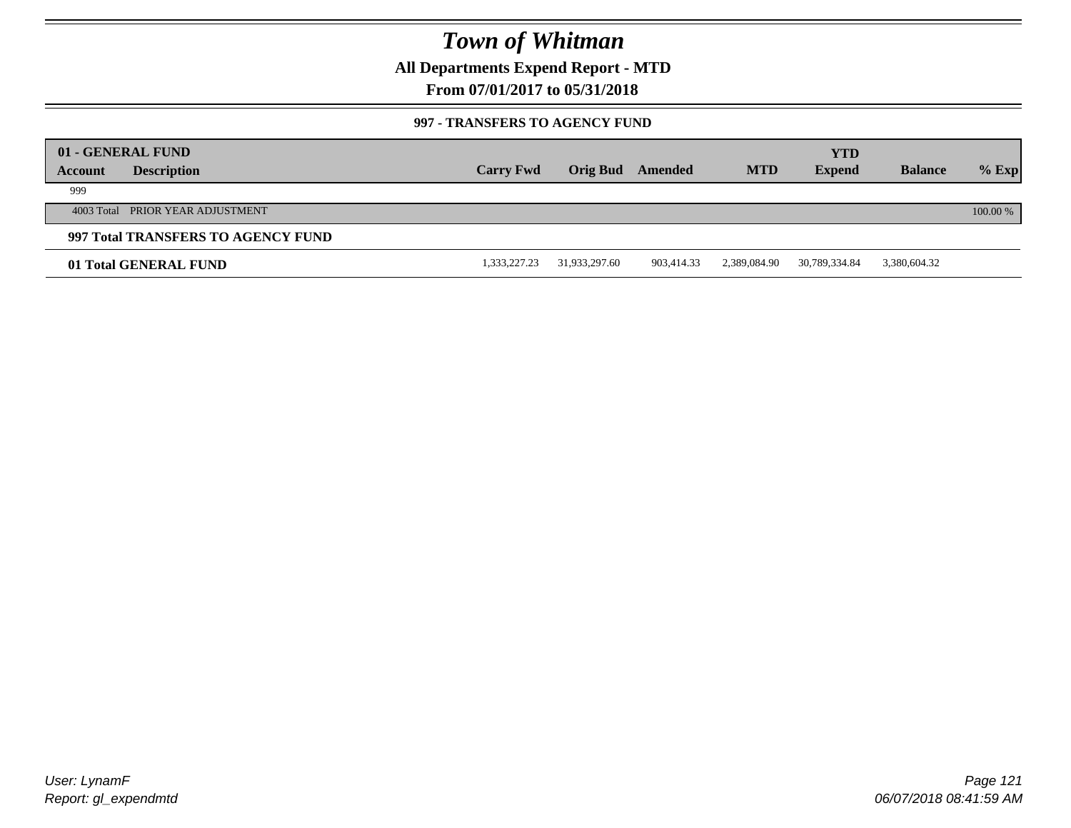**All Departments Expend Report - MTD**

### **From 07/01/2017 to 05/31/2018**

#### **997 - TRANSFERS TO AGENCY FUND**

| Account | 01 - GENERAL FUND<br><b>Description</b> | <b>Carry Fwd</b> | Orig Bud      | Amended    | <b>MTD</b>   | <b>YTD</b><br><b>Expend</b> | <b>Balance</b> | $%$ Exp  |
|---------|-----------------------------------------|------------------|---------------|------------|--------------|-----------------------------|----------------|----------|
| 999     |                                         |                  |               |            |              |                             |                |          |
|         |                                         |                  |               |            |              |                             |                |          |
|         | 4003 Total PRIOR YEAR ADJUSTMENT        |                  |               |            |              |                             |                | 100.00 % |
|         | 997 Total TRANSFERS TO AGENCY FUND      |                  |               |            |              |                             |                |          |
|         | 01 Total GENERAL FUND                   | 1,333,227.23     | 31,933,297.60 | 903,414.33 | 2,389,084.90 | 30,789,334.84               | 3,380,604.32   |          |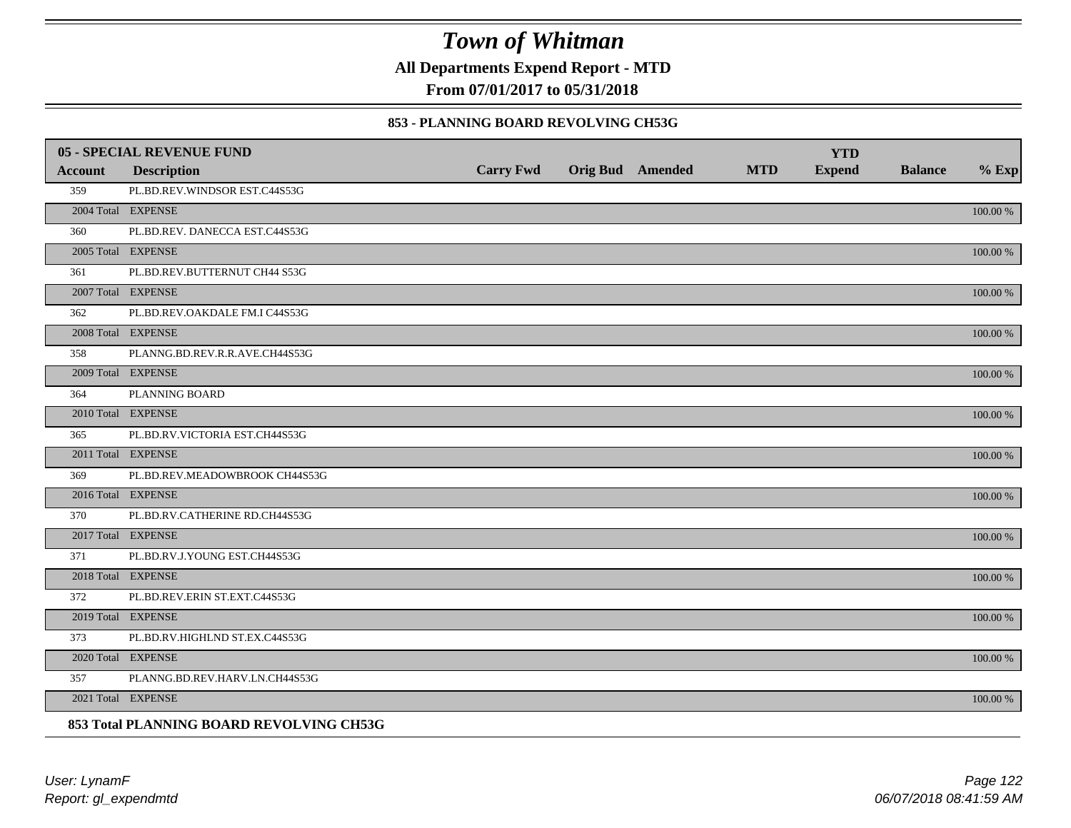**All Departments Expend Report - MTD**

**From 07/01/2017 to 05/31/2018**

#### **853 - PLANNING BOARD REVOLVING CH53G**

|         | <b>05 - SPECIAL REVENUE FUND</b>         |                  |                  |            | <b>YTD</b>    |                |             |
|---------|------------------------------------------|------------------|------------------|------------|---------------|----------------|-------------|
| Account | <b>Description</b>                       | <b>Carry Fwd</b> | Orig Bud Amended | <b>MTD</b> | <b>Expend</b> | <b>Balance</b> | $%$ Exp     |
| 359     | PL.BD.REV.WINDSOR EST.C44S53G            |                  |                  |            |               |                |             |
|         | 2004 Total EXPENSE                       |                  |                  |            |               |                | 100.00 %    |
| 360     | PL.BD.REV. DANECCA EST.C44S53G           |                  |                  |            |               |                |             |
|         | 2005 Total EXPENSE                       |                  |                  |            |               |                | 100.00 %    |
| 361     | PL.BD.REV.BUTTERNUT CH44 S53G            |                  |                  |            |               |                |             |
|         | 2007 Total EXPENSE                       |                  |                  |            |               |                | 100.00 %    |
| 362     | PL.BD.REV.OAKDALE FM.I C44S53G           |                  |                  |            |               |                |             |
|         | 2008 Total EXPENSE                       |                  |                  |            |               |                | $100.00~\%$ |
| 358     | PLANNG.BD.REV.R.R.AVE.CH44S53G           |                  |                  |            |               |                |             |
|         | 2009 Total EXPENSE                       |                  |                  |            |               |                | 100.00 %    |
| 364     | PLANNING BOARD                           |                  |                  |            |               |                |             |
|         | 2010 Total EXPENSE                       |                  |                  |            |               |                | $100.00~\%$ |
| 365     | PL.BD.RV.VICTORIA EST.CH44S53G           |                  |                  |            |               |                |             |
|         | 2011 Total EXPENSE                       |                  |                  |            |               |                | 100.00 %    |
| 369     | PL.BD.REV.MEADOWBROOK CH44S53G           |                  |                  |            |               |                |             |
|         | 2016 Total EXPENSE                       |                  |                  |            |               |                | 100.00 %    |
| 370     | PL.BD.RV.CATHERINE RD.CH44S53G           |                  |                  |            |               |                |             |
|         | 2017 Total EXPENSE                       |                  |                  |            |               |                | 100.00 %    |
| 371     | PL.BD.RV.J.YOUNG EST.CH44S53G            |                  |                  |            |               |                |             |
|         | 2018 Total EXPENSE                       |                  |                  |            |               |                | $100.00~\%$ |
| 372     | PL.BD.REV.ERIN ST.EXT.C44S53G            |                  |                  |            |               |                |             |
|         | 2019 Total EXPENSE                       |                  |                  |            |               |                | 100.00 %    |
| 373     | PL.BD.RV.HIGHLND ST.EX.C44S53G           |                  |                  |            |               |                |             |
|         | 2020 Total EXPENSE                       |                  |                  |            |               |                | 100.00 %    |
| 357     | PLANNG.BD.REV.HARV.LN.CH44S53G           |                  |                  |            |               |                |             |
|         | 2021 Total EXPENSE                       |                  |                  |            |               |                | 100.00 %    |
|         | 853 Total PLANNING BOARD REVOLVING CH53G |                  |                  |            |               |                |             |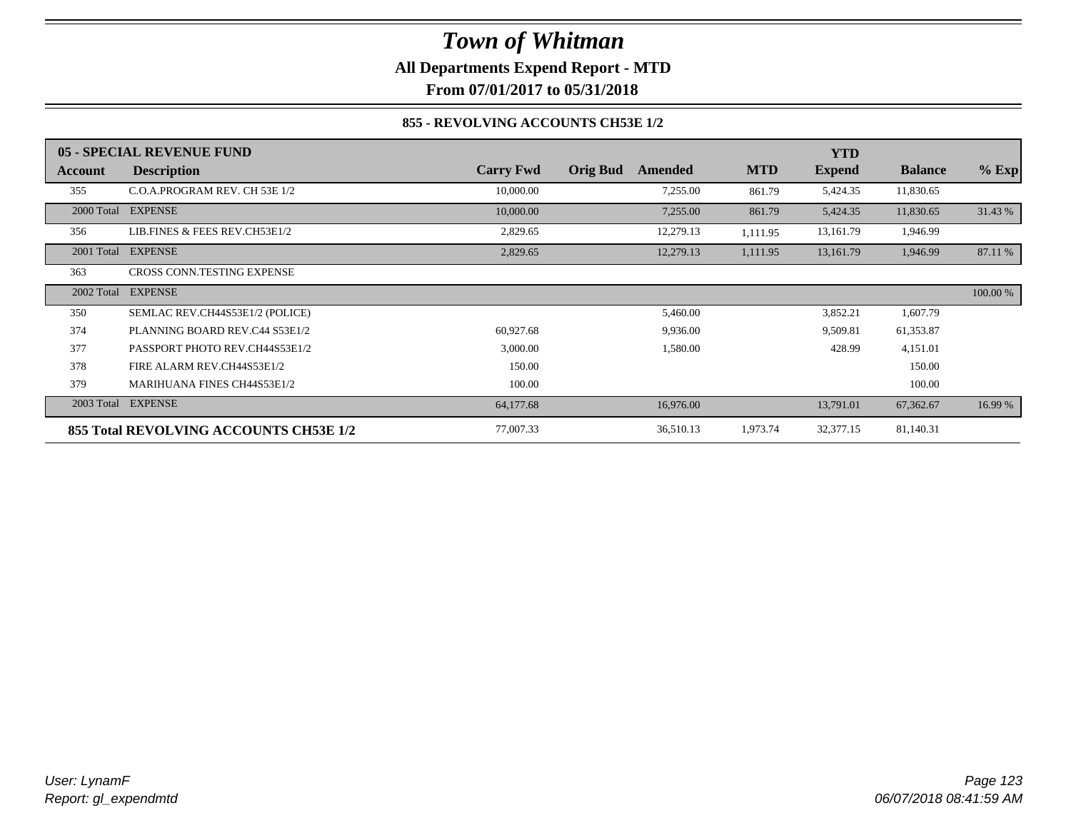### *Town of Whitman* **All Departments Expend Report - MTD**

**From 07/01/2017 to 05/31/2018**

### **855 - REVOLVING ACCOUNTS CH53E 1/2**

|            | 05 - SPECIAL REVENUE FUND              |                  |                            |            | <b>YTD</b>    |                |          |
|------------|----------------------------------------|------------------|----------------------------|------------|---------------|----------------|----------|
| Account    | <b>Description</b>                     | <b>Carry Fwd</b> | <b>Orig Bud</b><br>Amended | <b>MTD</b> | <b>Expend</b> | <b>Balance</b> | $%$ Exp  |
| 355        | C.O.A.PROGRAM REV. CH 53E 1/2          | 10,000.00        | 7,255.00                   | 861.79     | 5,424.35      | 11,830.65      |          |
| 2000 Total | <b>EXPENSE</b>                         | 10,000.00        | 7,255.00                   | 861.79     | 5,424.35      | 11,830.65      | 31.43 %  |
| 356        | LIB.FINES & FEES REV.CH53E1/2          | 2,829.65         | 12,279.13                  | 1,111.95   | 13,161.79     | 1,946.99       |          |
| 2001 Total | <b>EXPENSE</b>                         | 2,829.65         | 12,279.13                  | 1,111.95   | 13,161.79     | 1,946.99       | 87.11 %  |
| 363        | CROSS CONN.TESTING EXPENSE             |                  |                            |            |               |                |          |
| 2002 Total | <b>EXPENSE</b>                         |                  |                            |            |               |                | 100.00 % |
| 350        | SEMLAC REV.CH44S53E1/2 (POLICE)        |                  | 5,460.00                   |            | 3,852.21      | 1,607.79       |          |
| 374        | PLANNING BOARD REV.C44 S53E1/2         | 60,927.68        | 9,936.00                   |            | 9,509.81      | 61,353.87      |          |
| 377        | PASSPORT PHOTO REV.CH44S53E1/2         | 3,000.00         | 1,580.00                   |            | 428.99        | 4,151.01       |          |
| 378        | FIRE ALARM REV.CH44S53E1/2             | 150.00           |                            |            |               | 150.00         |          |
| 379        | <b>MARIHUANA FINES CH44S53E1/2</b>     | 100.00           |                            |            |               | 100.00         |          |
| 2003 Total | <b>EXPENSE</b>                         | 64,177.68        | 16,976.00                  |            | 13,791.01     | 67,362.67      | 16.99 %  |
|            | 855 Total REVOLVING ACCOUNTS CH53E 1/2 | 77,007.33        | 36,510.13                  | 1,973.74   | 32,377.15     | 81,140.31      |          |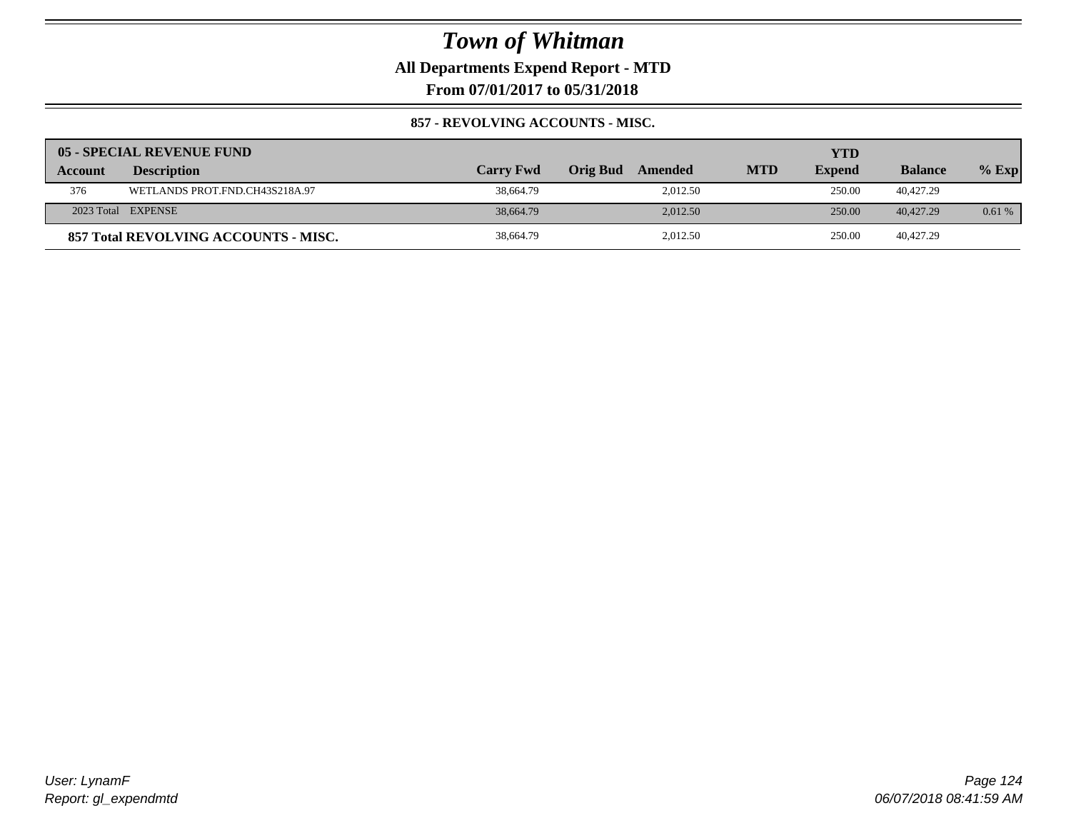**All Departments Expend Report - MTD**

**From 07/01/2017 to 05/31/2018**

### **857 - REVOLVING ACCOUNTS - MISC.**

|         | 05 - SPECIAL REVENUE FUND            |                  |                     |            | YTD           |                |          |
|---------|--------------------------------------|------------------|---------------------|------------|---------------|----------------|----------|
| Account | <b>Description</b>                   | <b>Carry Fwd</b> | Orig Bud<br>Amended | <b>MTD</b> | <b>Expend</b> | <b>Balance</b> | $%$ Exp  |
| 376     | WETLANDS PROT.FND.CH43S218A.97       | 38,664.79        | 2.012.50            |            | 250.00        | 40.427.29      |          |
|         | 2023 Total EXPENSE                   | 38,664.79        | 2.012.50            |            | 250.00        | 40,427.29      | $0.61\%$ |
|         | 857 Total REVOLVING ACCOUNTS - MISC. | 38,664.79        | 2,012.50            |            | 250.00        | 40.427.29      |          |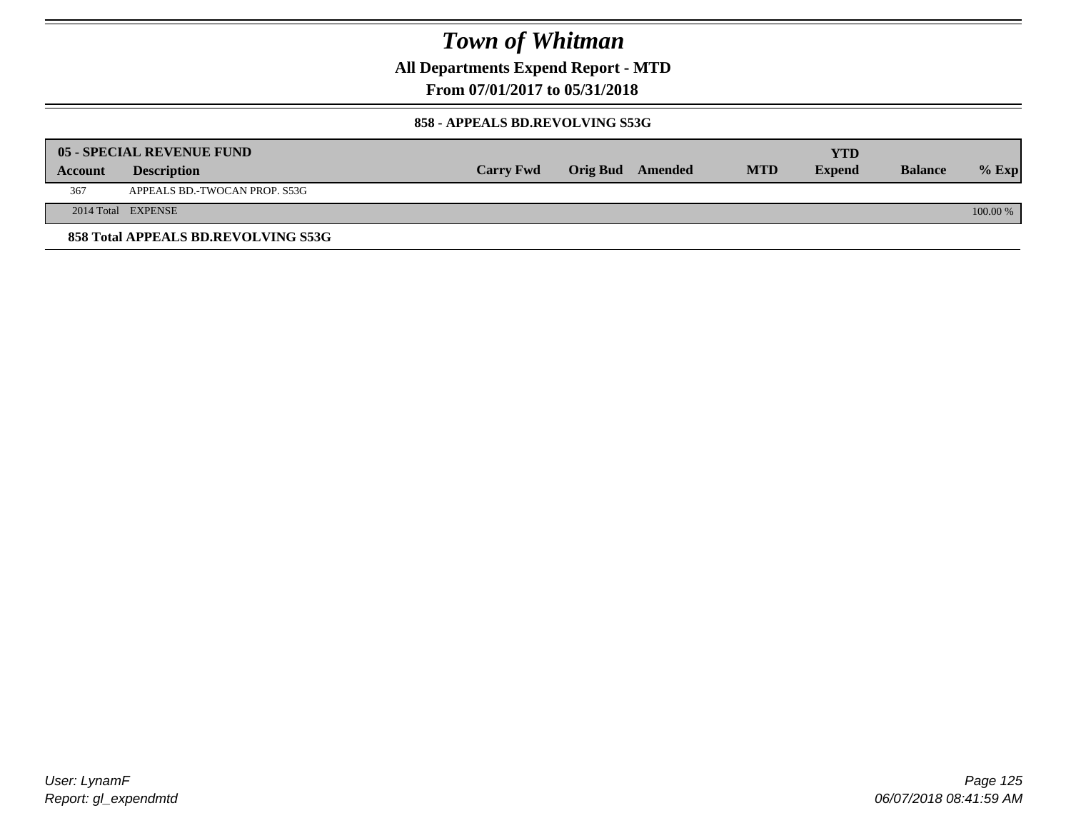**All Departments Expend Report - MTD**

**From 07/01/2017 to 05/31/2018**

#### **858 - APPEALS BD.REVOLVING S53G**

|         | 05 - SPECIAL REVENUE FUND           |                  |                  |            | YTD           |                |            |
|---------|-------------------------------------|------------------|------------------|------------|---------------|----------------|------------|
| Account | <b>Description</b>                  | <b>Carry Fwd</b> | Orig Bud Amended | <b>MTD</b> | <b>Expend</b> | <b>Balance</b> | $\%$ Exp   |
| 367     | APPEALS BD.-TWOCAN PROP. S53G       |                  |                  |            |               |                |            |
|         | 2014 Total EXPENSE                  |                  |                  |            |               |                | $100.00\%$ |
|         | 858 Total APPEALS BD.REVOLVING S53G |                  |                  |            |               |                |            |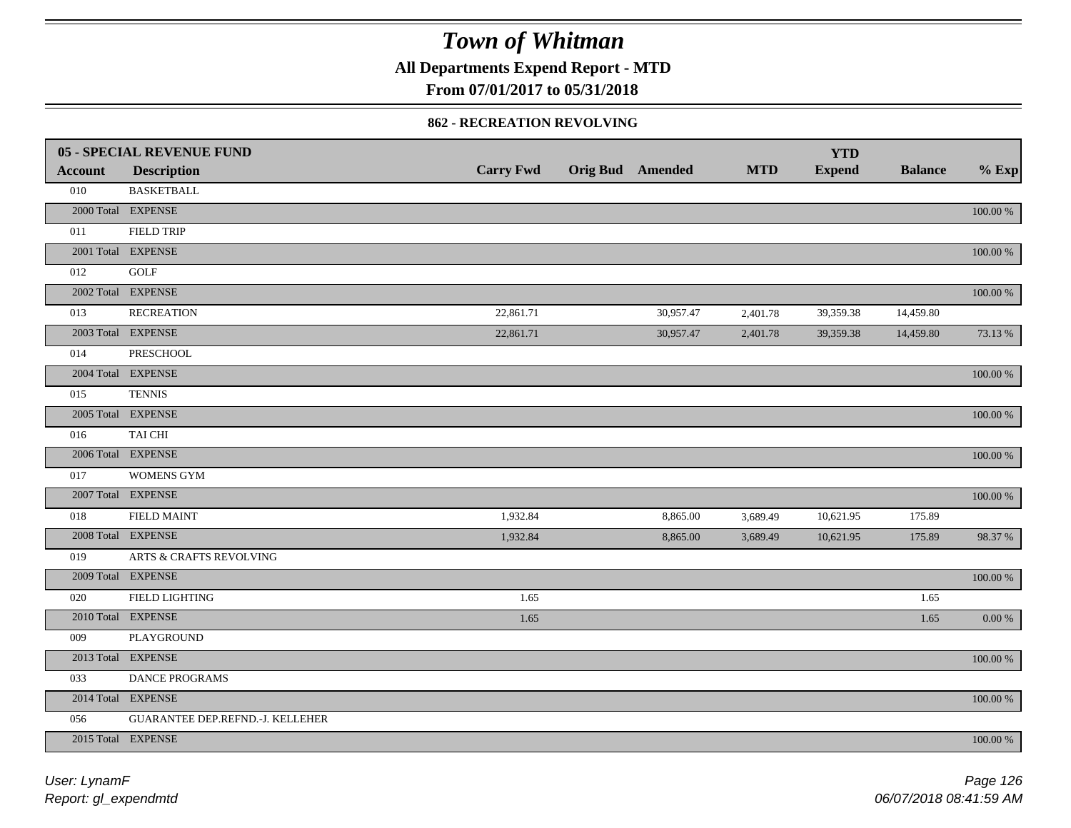**All Departments Expend Report - MTD**

### **From 07/01/2017 to 05/31/2018**

#### **862 - RECREATION REVOLVING**

|                | <b>05 - SPECIAL REVENUE FUND</b> |                  |                         |            | <b>YTD</b>    |                |             |
|----------------|----------------------------------|------------------|-------------------------|------------|---------------|----------------|-------------|
| <b>Account</b> | <b>Description</b>               | <b>Carry Fwd</b> | <b>Orig Bud</b> Amended | <b>MTD</b> | <b>Expend</b> | <b>Balance</b> | $%$ Exp     |
| 010            | <b>BASKETBALL</b>                |                  |                         |            |               |                |             |
|                | 2000 Total EXPENSE               |                  |                         |            |               |                | 100.00 %    |
| 011            | <b>FIELD TRIP</b>                |                  |                         |            |               |                |             |
|                | 2001 Total EXPENSE               |                  |                         |            |               |                | 100.00 %    |
| 012            | GOLF                             |                  |                         |            |               |                |             |
|                | 2002 Total EXPENSE               |                  |                         |            |               |                | 100.00 %    |
| 013            | <b>RECREATION</b>                | 22,861.71        | 30,957.47               | 2,401.78   | 39,359.38     | 14,459.80      |             |
|                | 2003 Total EXPENSE               | 22,861.71        | 30,957.47               | 2,401.78   | 39,359.38     | 14,459.80      | 73.13 %     |
| 014            | PRESCHOOL                        |                  |                         |            |               |                |             |
|                | 2004 Total EXPENSE               |                  |                         |            |               |                | 100.00 %    |
| 015            | <b>TENNIS</b>                    |                  |                         |            |               |                |             |
|                | 2005 Total EXPENSE               |                  |                         |            |               |                | 100.00 %    |
| 016            | TAI CHI                          |                  |                         |            |               |                |             |
|                | 2006 Total EXPENSE               |                  |                         |            |               |                | 100.00 %    |
| 017            | WOMENS GYM                       |                  |                         |            |               |                |             |
|                | 2007 Total EXPENSE               |                  |                         |            |               |                | $100.00~\%$ |
| 018            | <b>FIELD MAINT</b>               | 1,932.84         | 8,865.00                | 3,689.49   | 10,621.95     | 175.89         |             |
|                | 2008 Total EXPENSE               | 1,932.84         | 8,865.00                | 3,689.49   | 10,621.95     | 175.89         | 98.37%      |
| 019            | ARTS & CRAFTS REVOLVING          |                  |                         |            |               |                |             |
|                | 2009 Total EXPENSE               |                  |                         |            |               |                | $100.00~\%$ |
| 020            | <b>FIELD LIGHTING</b>            | 1.65             |                         |            |               | 1.65           |             |
|                | 2010 Total EXPENSE               | 1.65             |                         |            |               | 1.65           | $0.00\,\%$  |
| 009            | PLAYGROUND                       |                  |                         |            |               |                |             |
|                | 2013 Total EXPENSE               |                  |                         |            |               |                | $100.00~\%$ |
| 033            | DANCE PROGRAMS                   |                  |                         |            |               |                |             |
|                | 2014 Total EXPENSE               |                  |                         |            |               |                | 100.00 %    |
| 056            | GUARANTEE DEP.REFND.-J. KELLEHER |                  |                         |            |               |                |             |
|                | 2015 Total EXPENSE               |                  |                         |            |               |                | 100.00 %    |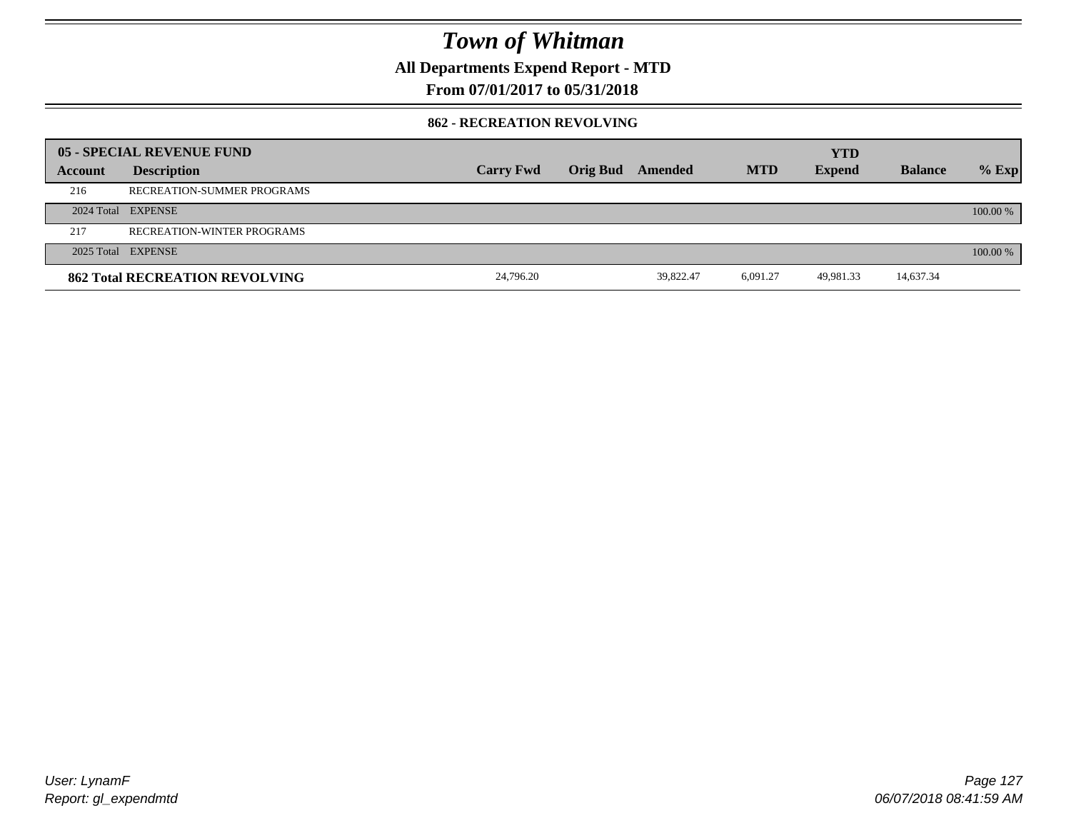**All Departments Expend Report - MTD**

### **From 07/01/2017 to 05/31/2018**

#### **862 - RECREATION REVOLVING**

|         | 05 - SPECIAL REVENUE FUND             |                  |                         |           |            | <b>YTD</b>    |                |          |
|---------|---------------------------------------|------------------|-------------------------|-----------|------------|---------------|----------------|----------|
| Account | <b>Description</b>                    | <b>Carry Fwd</b> | <b>Orig Bud</b> Amended |           | <b>MTD</b> | <b>Expend</b> | <b>Balance</b> | $%$ Exp  |
| 216     | RECREATION-SUMMER PROGRAMS            |                  |                         |           |            |               |                |          |
|         | 2024 Total EXPENSE                    |                  |                         |           |            |               |                | 100.00 % |
| 217     | <b>RECREATION-WINTER PROGRAMS</b>     |                  |                         |           |            |               |                |          |
|         | 2025 Total EXPENSE                    |                  |                         |           |            |               |                | 100.00 % |
|         | <b>862 Total RECREATION REVOLVING</b> | 24,796.20        |                         | 39.822.47 | 6,091.27   | 49,981.33     | 14,637.34      |          |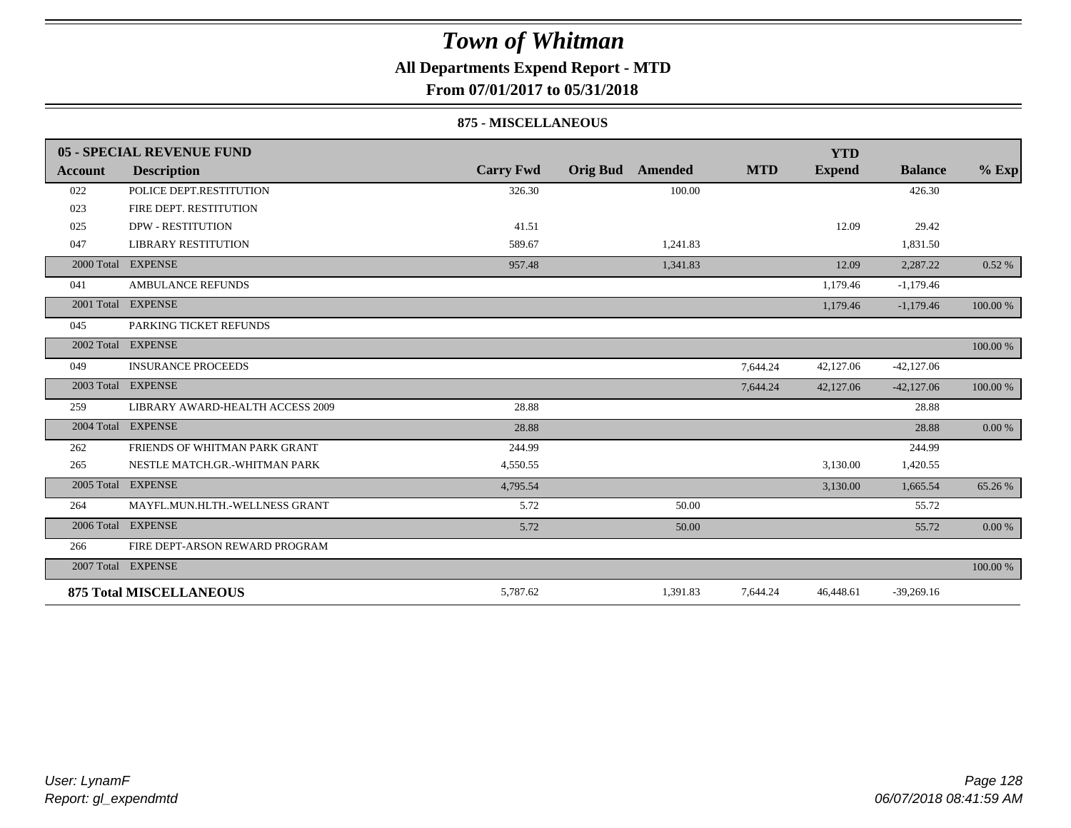### **All Departments Expend Report - MTD**

**From 07/01/2017 to 05/31/2018**

#### **875 - MISCELLANEOUS**

|            | 05 - SPECIAL REVENUE FUND        |                  |                            |            | <b>YTD</b>    |                |          |
|------------|----------------------------------|------------------|----------------------------|------------|---------------|----------------|----------|
| Account    | <b>Description</b>               | <b>Carry Fwd</b> | <b>Orig Bud</b><br>Amended | <b>MTD</b> | <b>Expend</b> | <b>Balance</b> | $%$ Exp  |
| 022        | POLICE DEPT.RESTITUTION          | 326.30           | 100.00                     |            |               | 426.30         |          |
| 023        | FIRE DEPT. RESTITUTION           |                  |                            |            |               |                |          |
| 025        | <b>DPW - RESTITUTION</b>         | 41.51            |                            |            | 12.09         | 29.42          |          |
| 047        | <b>LIBRARY RESTITUTION</b>       | 589.67           | 1,241.83                   |            |               | 1,831.50       |          |
| 2000 Total | <b>EXPENSE</b>                   | 957.48           | 1,341.83                   |            | 12.09         | 2,287.22       | 0.52%    |
| 041        | <b>AMBULANCE REFUNDS</b>         |                  |                            |            | 1,179.46      | $-1,179.46$    |          |
| 2001 Total | <b>EXPENSE</b>                   |                  |                            |            | 1,179.46      | $-1,179.46$    | 100.00 % |
| 045        | PARKING TICKET REFUNDS           |                  |                            |            |               |                |          |
|            | 2002 Total EXPENSE               |                  |                            |            |               |                | 100.00 % |
| 049        | <b>INSURANCE PROCEEDS</b>        |                  |                            | 7,644.24   | 42,127.06     | $-42,127.06$   |          |
|            | 2003 Total EXPENSE               |                  |                            | 7,644.24   | 42,127.06     | $-42,127.06$   | 100.00 % |
| 259        | LIBRARY AWARD-HEALTH ACCESS 2009 | 28.88            |                            |            |               | 28.88          |          |
|            | 2004 Total EXPENSE               | 28.88            |                            |            |               | 28.88          | 0.00 %   |
| 262        | FRIENDS OF WHITMAN PARK GRANT    | 244.99           |                            |            |               | 244.99         |          |
| 265        | NESTLE MATCH.GR.-WHITMAN PARK    | 4,550.55         |                            |            | 3,130.00      | 1,420.55       |          |
| 2005 Total | <b>EXPENSE</b>                   | 4,795.54         |                            |            | 3,130.00      | 1,665.54       | 65.26 %  |
| 264        | MAYFL.MUN.HLTH.-WELLNESS GRANT   | 5.72             | 50.00                      |            |               | 55.72          |          |
|            | 2006 Total EXPENSE               | 5.72             | 50.00                      |            |               | 55.72          | 0.00 %   |
| 266        | FIRE DEPT-ARSON REWARD PROGRAM   |                  |                            |            |               |                |          |
|            | 2007 Total EXPENSE               |                  |                            |            |               |                | 100.00 % |
|            | <b>875 Total MISCELLANEOUS</b>   | 5,787.62         | 1,391.83                   | 7,644.24   | 46,448.61     | $-39,269.16$   |          |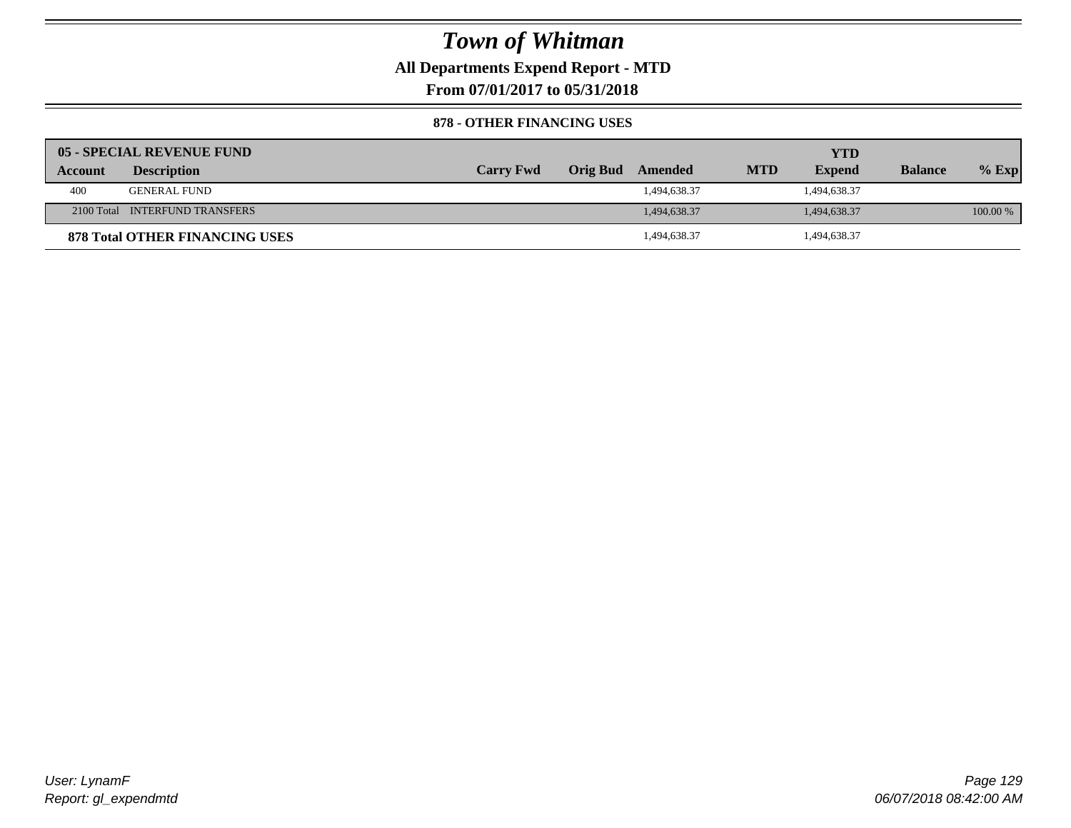**All Departments Expend Report - MTD**

**From 07/01/2017 to 05/31/2018**

#### **878 - OTHER FINANCING USES**

|         | 05 - SPECIAL REVENUE FUND             |                  |                  |            | YTD           |                |          |
|---------|---------------------------------------|------------------|------------------|------------|---------------|----------------|----------|
| Account | <b>Description</b>                    | <b>Carry Fwd</b> | Orig Bud Amended | <b>MTD</b> | <b>Expend</b> | <b>Balance</b> | $%$ Exp  |
| 400     | <b>GENERAL FUND</b>                   |                  | 1,494,638.37     |            | 1,494,638.37  |                |          |
|         | 2100 Total INTERFUND TRANSFERS        |                  | 1,494,638.37     |            | 1,494,638.37  |                | 100.00 % |
|         | <b>878 Total OTHER FINANCING USES</b> |                  | 1,494,638.37     |            | 494,638.37    |                |          |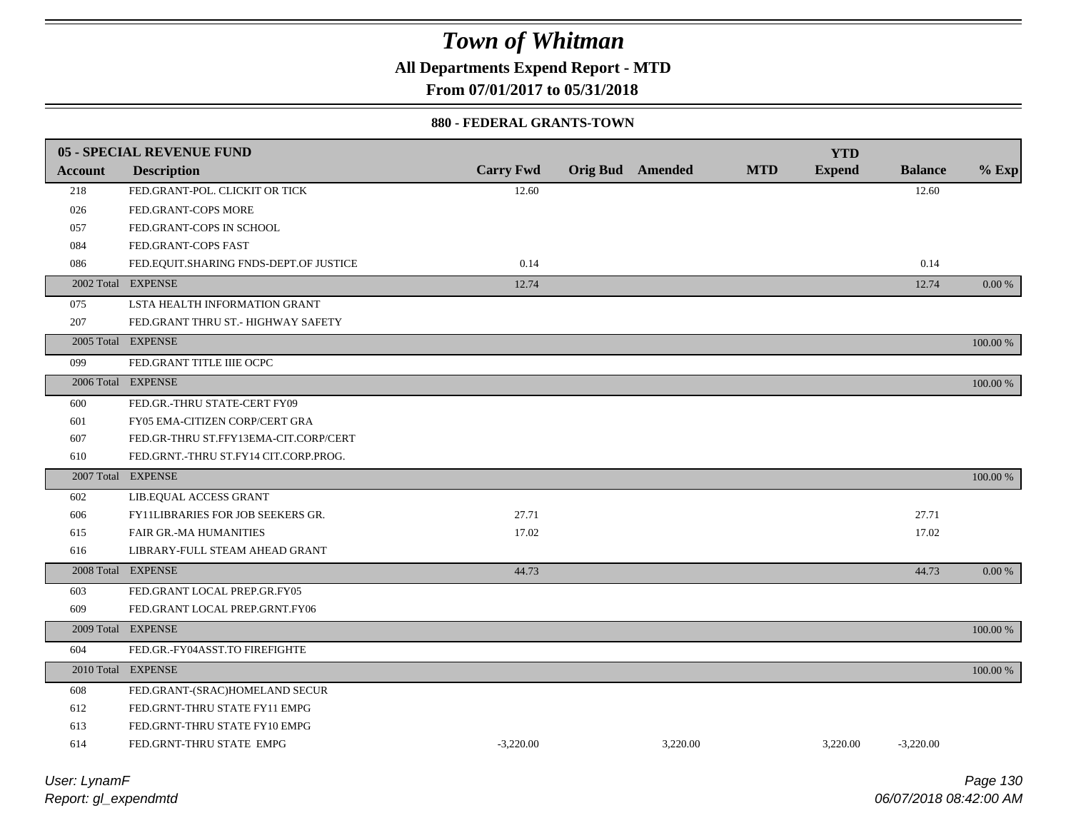**All Departments Expend Report - MTD**

**From 07/01/2017 to 05/31/2018**

#### **880 - FEDERAL GRANTS-TOWN**

|                | 05 - SPECIAL REVENUE FUND                |                  |                         |          |            | <b>YTD</b>    |                |             |
|----------------|------------------------------------------|------------------|-------------------------|----------|------------|---------------|----------------|-------------|
| <b>Account</b> | <b>Description</b>                       | <b>Carry Fwd</b> | <b>Orig Bud</b> Amended |          | <b>MTD</b> | <b>Expend</b> | <b>Balance</b> | $%$ Exp     |
| 218            | FED.GRANT-POL. CLICKIT OR TICK           | 12.60            |                         |          |            |               | 12.60          |             |
| 026            | FED.GRANT-COPS MORE                      |                  |                         |          |            |               |                |             |
| 057            | FED.GRANT-COPS IN SCHOOL                 |                  |                         |          |            |               |                |             |
| 084            | FED.GRANT-COPS FAST                      |                  |                         |          |            |               |                |             |
| 086            | FED.EQUIT.SHARING FNDS-DEPT.OF JUSTICE   | 0.14             |                         |          |            |               | 0.14           |             |
|                | 2002 Total EXPENSE                       | 12.74            |                         |          |            |               | 12.74          | $0.00\%$    |
| 075            | LSTA HEALTH INFORMATION GRANT            |                  |                         |          |            |               |                |             |
| 207            | FED.GRANT THRU ST.- HIGHWAY SAFETY       |                  |                         |          |            |               |                |             |
|                | 2005 Total EXPENSE                       |                  |                         |          |            |               |                | 100.00 %    |
| 099            | FED.GRANT TITLE IIIE OCPC                |                  |                         |          |            |               |                |             |
|                | 2006 Total EXPENSE                       |                  |                         |          |            |               |                | 100.00 %    |
| 600            | FED.GR.-THRU STATE-CERT FY09             |                  |                         |          |            |               |                |             |
| 601            | FY05 EMA-CITIZEN CORP/CERT GRA           |                  |                         |          |            |               |                |             |
| 607            | FED.GR-THRU ST.FFY13EMA-CIT.CORP/CERT    |                  |                         |          |            |               |                |             |
| 610            | FED.GRNT.-THRU ST.FY14 CIT.CORP.PROG.    |                  |                         |          |            |               |                |             |
|                | 2007 Total EXPENSE                       |                  |                         |          |            |               |                | $100.00~\%$ |
| 602            | LIB.EQUAL ACCESS GRANT                   |                  |                         |          |            |               |                |             |
| 606            | <b>FY11LIBRARIES FOR JOB SEEKERS GR.</b> | 27.71            |                         |          |            |               | 27.71          |             |
| 615            | FAIR GR.-MA HUMANITIES                   | 17.02            |                         |          |            |               | 17.02          |             |
| 616            | LIBRARY-FULL STEAM AHEAD GRANT           |                  |                         |          |            |               |                |             |
|                | 2008 Total EXPENSE                       | 44.73            |                         |          |            |               | 44.73          | 0.00 %      |
| 603            | FED.GRANT LOCAL PREP.GR.FY05             |                  |                         |          |            |               |                |             |
| 609            | FED.GRANT LOCAL PREP.GRNT.FY06           |                  |                         |          |            |               |                |             |
|                | 2009 Total EXPENSE                       |                  |                         |          |            |               |                | 100.00 %    |
| 604            | FED.GR.-FY04ASST.TO FIREFIGHTE           |                  |                         |          |            |               |                |             |
|                | 2010 Total EXPENSE                       |                  |                         |          |            |               |                | 100.00 %    |
| 608            | FED.GRANT-(SRAC)HOMELAND SECUR           |                  |                         |          |            |               |                |             |
| 612            | FED.GRNT-THRU STATE FY11 EMPG            |                  |                         |          |            |               |                |             |
| 613            | FED.GRNT-THRU STATE FY10 EMPG            |                  |                         |          |            |               |                |             |
| 614            | FED.GRNT-THRU STATE EMPG                 | $-3,220.00$      |                         | 3,220.00 |            | 3,220.00      | $-3,220.00$    |             |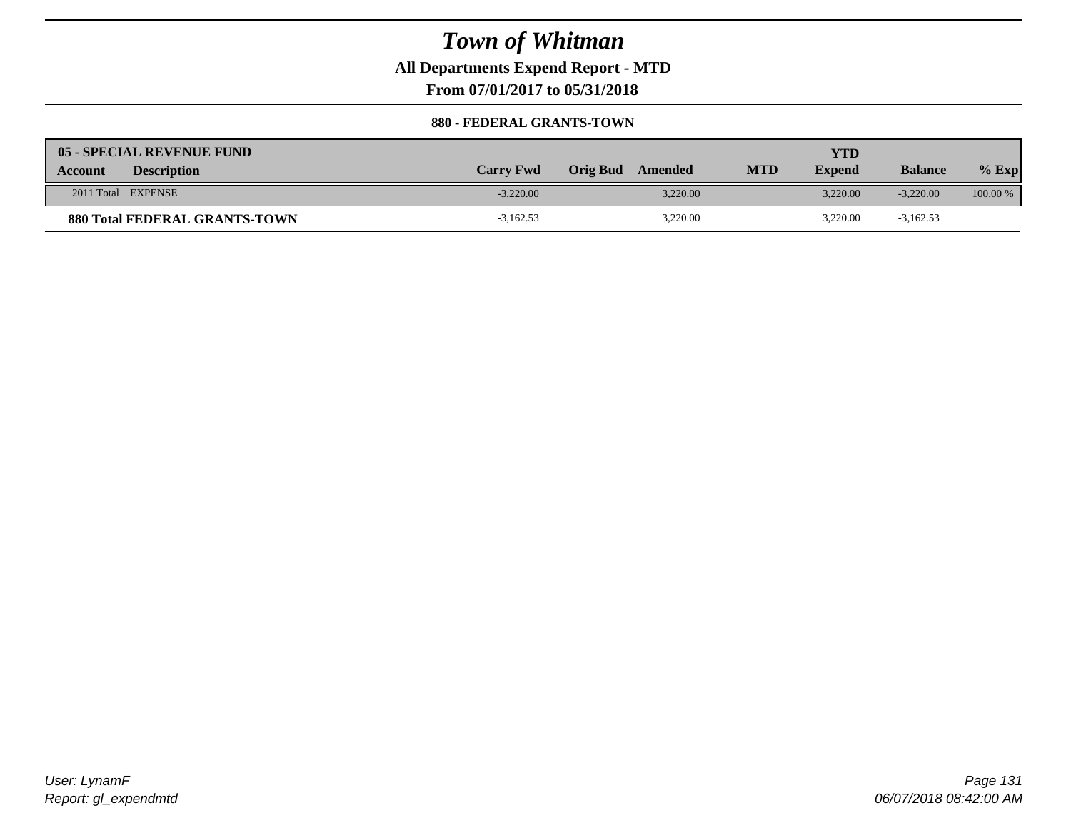**All Departments Expend Report - MTD**

**From 07/01/2017 to 05/31/2018**

#### **880 - FEDERAL GRANTS-TOWN**

| 05 - SPECIAL REVENUE FUND            |                  |                     |            | YTD           |                |            |
|--------------------------------------|------------------|---------------------|------------|---------------|----------------|------------|
| <b>Description</b><br><b>Account</b> | <b>Carry Fwd</b> | Orig Bud<br>Amended | <b>MTD</b> | <b>Expend</b> | <b>Balance</b> | $%$ Exp    |
| 2011 Total EXPENSE                   | $-3.220.00$      | 3.220.00            |            | 3.220.00      | $-3.220.00$    | $100.00\%$ |
| <b>880 Total FEDERAL GRANTS-TOWN</b> | $-3,162.53$      | 3,220.00            |            | 3,220.00      | $-3,162.53$    |            |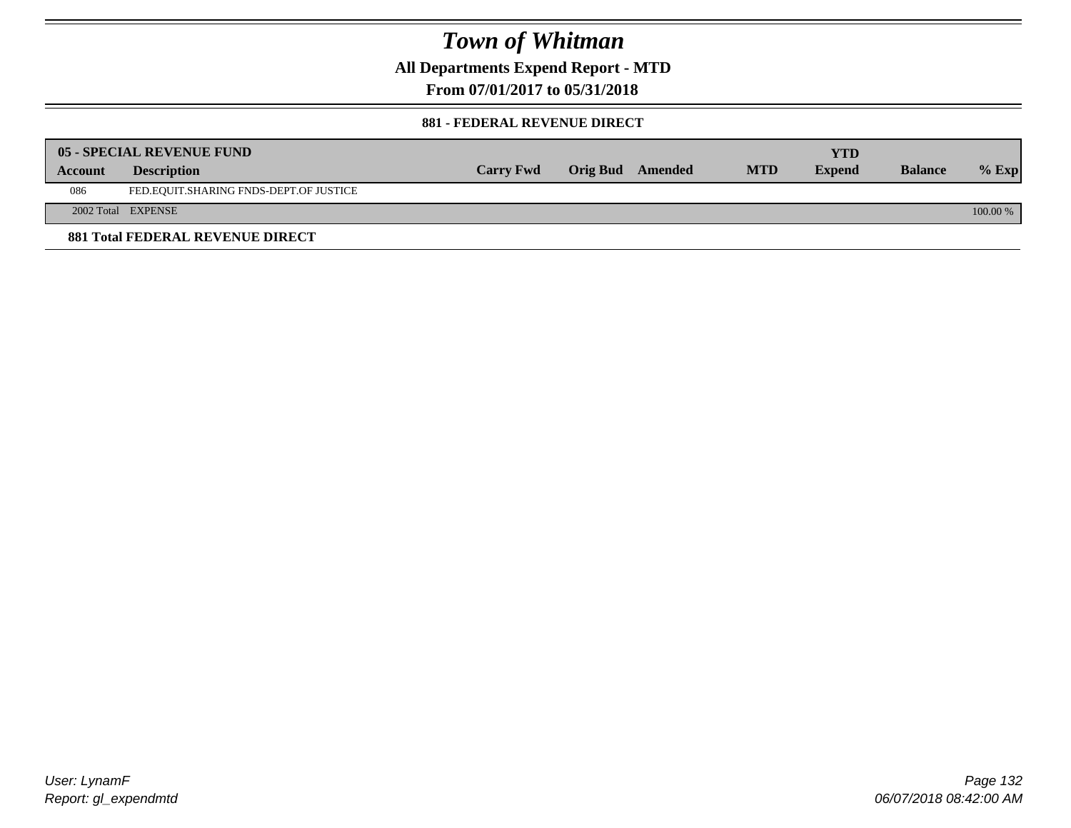**All Departments Expend Report - MTD**

**From 07/01/2017 to 05/31/2018**

#### **881 - FEDERAL REVENUE DIRECT**

|                | <b>05 - SPECIAL REVENUE FUND</b>        |                  |                  |            | YTD           |                |          |
|----------------|-----------------------------------------|------------------|------------------|------------|---------------|----------------|----------|
| <b>Account</b> | <b>Description</b>                      | <b>Carry Fwd</b> | Orig Bud Amended | <b>MTD</b> | <b>Expend</b> | <b>Balance</b> | $%$ Exp  |
| 086            | FED.EQUIT.SHARING FNDS-DEPT.OF JUSTICE  |                  |                  |            |               |                |          |
|                | 2002 Total EXPENSE                      |                  |                  |            |               |                | 100.00 % |
|                | <b>881 Total FEDERAL REVENUE DIRECT</b> |                  |                  |            |               |                |          |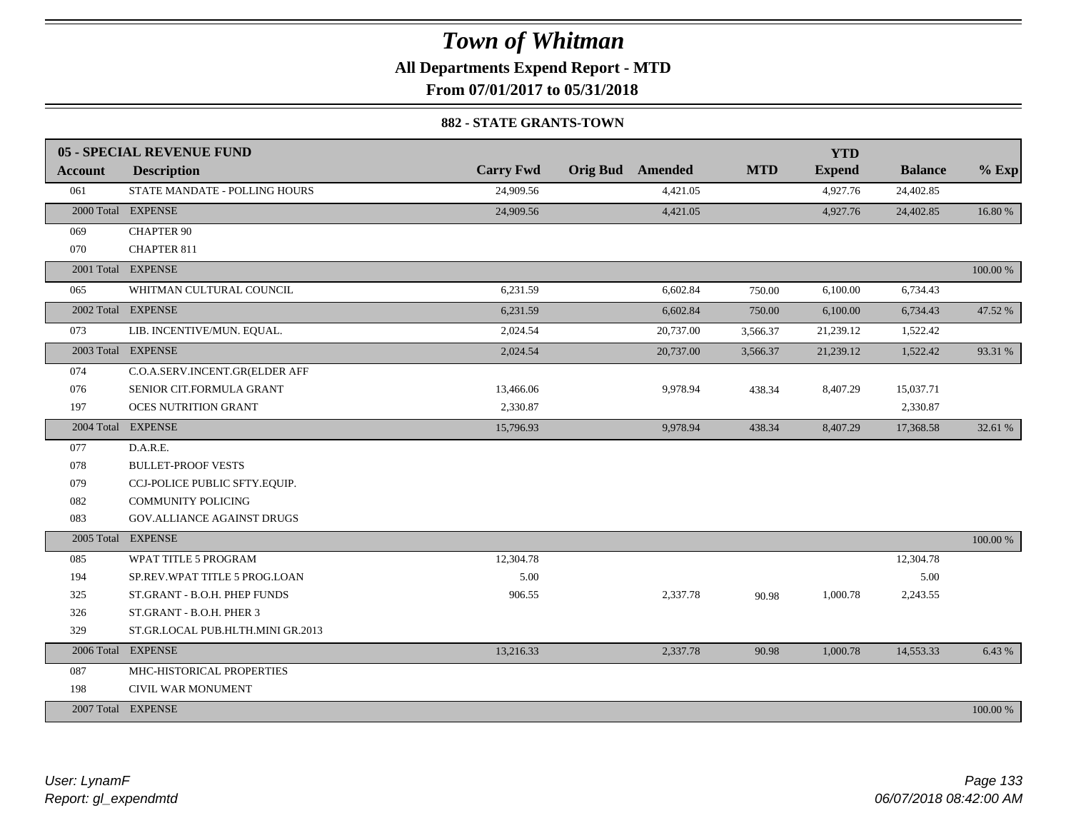**All Departments Expend Report - MTD**

**From 07/01/2017 to 05/31/2018**

#### **882 - STATE GRANTS-TOWN**

|         | 05 - SPECIAL REVENUE FUND         |                  |                         |            | <b>YTD</b>    |                |          |
|---------|-----------------------------------|------------------|-------------------------|------------|---------------|----------------|----------|
| Account | <b>Description</b>                | <b>Carry Fwd</b> | <b>Orig Bud</b> Amended | <b>MTD</b> | <b>Expend</b> | <b>Balance</b> | $%$ Exp  |
| 061     | STATE MANDATE - POLLING HOURS     | 24,909.56        | 4,421.05                |            | 4,927.76      | 24,402.85      |          |
|         | 2000 Total EXPENSE                | 24,909.56        | 4,421.05                |            | 4,927.76      | 24,402.85      | 16.80%   |
| 069     | <b>CHAPTER 90</b>                 |                  |                         |            |               |                |          |
| 070     | CHAPTER 811                       |                  |                         |            |               |                |          |
|         | 2001 Total EXPENSE                |                  |                         |            |               |                | 100.00 % |
| 065     | WHITMAN CULTURAL COUNCIL          | 6,231.59         | 6,602.84                | 750.00     | 6,100.00      | 6,734.43       |          |
|         | 2002 Total EXPENSE                | 6,231.59         | 6,602.84                | 750.00     | 6,100.00      | 6,734.43       | 47.52 %  |
| 073     | LIB. INCENTIVE/MUN. EQUAL.        | 2,024.54         | 20,737.00               | 3,566.37   | 21,239.12     | 1,522.42       |          |
|         | 2003 Total EXPENSE                | 2,024.54         | 20,737.00               | 3,566.37   | 21,239.12     | 1,522.42       | 93.31 %  |
| 074     | C.O.A.SERV.INCENT.GR(ELDER AFF    |                  |                         |            |               |                |          |
| 076     | SENIOR CIT.FORMULA GRANT          | 13,466.06        | 9,978.94                | 438.34     | 8,407.29      | 15,037.71      |          |
| 197     | <b>OCES NUTRITION GRANT</b>       | 2,330.87         |                         |            |               | 2,330.87       |          |
|         | 2004 Total EXPENSE                | 15,796.93        | 9,978.94                | 438.34     | 8,407.29      | 17,368.58      | 32.61 %  |
| 077     | D.A.R.E.                          |                  |                         |            |               |                |          |
| 078     | <b>BULLET-PROOF VESTS</b>         |                  |                         |            |               |                |          |
| 079     | CCJ-POLICE PUBLIC SFTY.EQUIP.     |                  |                         |            |               |                |          |
| 082     | <b>COMMUNITY POLICING</b>         |                  |                         |            |               |                |          |
| 083     | GOV. ALLIANCE AGAINST DRUGS       |                  |                         |            |               |                |          |
|         | 2005 Total EXPENSE                |                  |                         |            |               |                | 100.00 % |
| 085     | WPAT TITLE 5 PROGRAM              | 12,304.78        |                         |            |               | 12,304.78      |          |
| 194     | SP.REV.WPAT TITLE 5 PROG.LOAN     | 5.00             |                         |            |               | 5.00           |          |
| 325     | ST.GRANT - B.O.H. PHEP FUNDS      | 906.55           | 2,337.78                | 90.98      | 1,000.78      | 2,243.55       |          |
| 326     | ST.GRANT - B.O.H. PHER 3          |                  |                         |            |               |                |          |
| 329     | ST.GR.LOCAL PUB.HLTH.MINI GR.2013 |                  |                         |            |               |                |          |
|         | 2006 Total EXPENSE                | 13,216.33        | 2,337.78                | 90.98      | 1,000.78      | 14,553.33      | 6.43 %   |
| 087     | MHC-HISTORICAL PROPERTIES         |                  |                         |            |               |                |          |
| 198     | CIVIL WAR MONUMENT                |                  |                         |            |               |                |          |
|         | 2007 Total EXPENSE                |                  |                         |            |               |                | 100.00 % |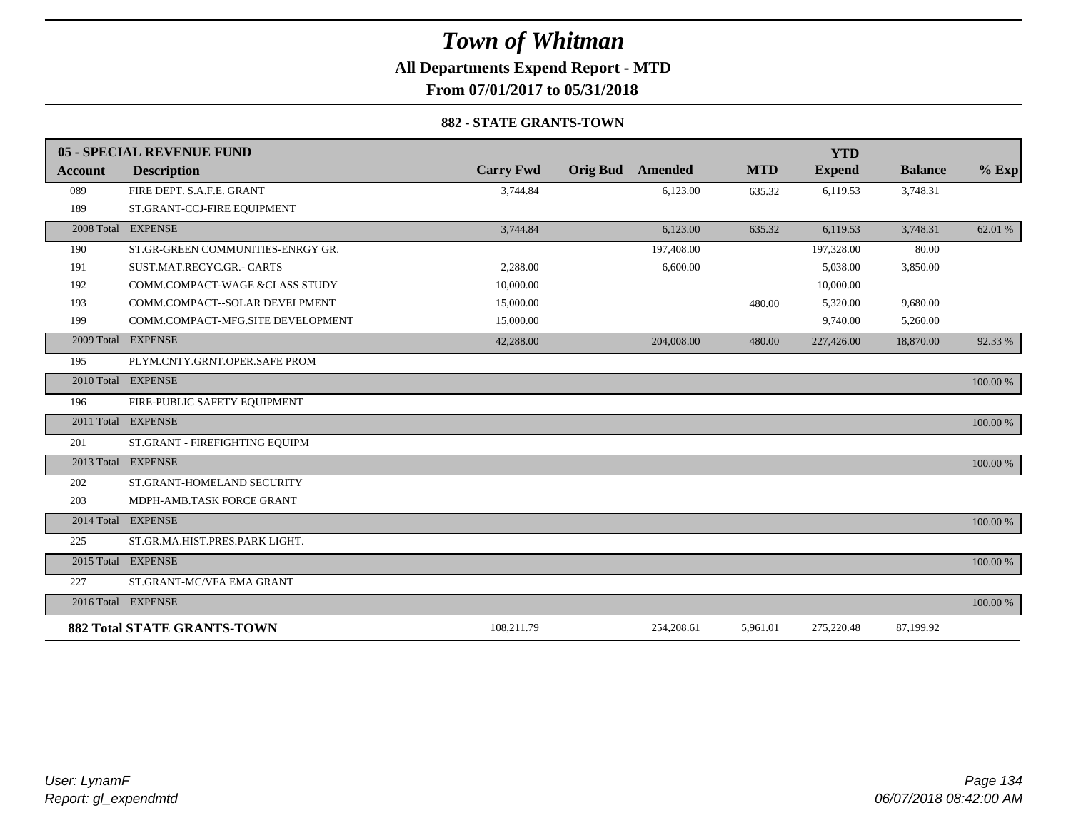### *Town of Whitman* **All Departments Expend Report - MTD**

**From 07/01/2017 to 05/31/2018**

#### **882 - STATE GRANTS-TOWN**

|                | 05 - SPECIAL REVENUE FUND          |                  |                            |            | <b>YTD</b>    |                |          |
|----------------|------------------------------------|------------------|----------------------------|------------|---------------|----------------|----------|
| <b>Account</b> | <b>Description</b>                 | <b>Carry Fwd</b> | <b>Orig Bud</b><br>Amended | <b>MTD</b> | <b>Expend</b> | <b>Balance</b> | $%$ Exp  |
| 089            | FIRE DEPT. S.A.F.E. GRANT          | 3,744.84         | 6,123.00                   | 635.32     | 6,119.53      | 3,748.31       |          |
| 189            | ST.GRANT-CCJ-FIRE EQUIPMENT        |                  |                            |            |               |                |          |
|                | 2008 Total EXPENSE                 | 3,744.84         | 6,123.00                   | 635.32     | 6,119.53      | 3,748.31       | 62.01 %  |
| 190            | ST.GR-GREEN COMMUNITIES-ENRGY GR.  |                  | 197,408.00                 |            | 197,328.00    | 80.00          |          |
| 191            | SUST.MAT.RECYC.GR.- CARTS          | 2,288.00         | 6,600.00                   |            | 5,038.00      | 3,850.00       |          |
| 192            | COMM.COMPACT-WAGE &CLASS STUDY     | 10,000.00        |                            |            | 10,000.00     |                |          |
| 193            | COMM.COMPACT--SOLAR DEVELPMENT     | 15,000.00        |                            | 480.00     | 5,320.00      | 9,680.00       |          |
| 199            | COMM.COMPACT-MFG.SITE DEVELOPMENT  | 15,000.00        |                            |            | 9,740.00      | 5,260.00       |          |
| 2009 Total     | <b>EXPENSE</b>                     | 42,288.00        | 204,008.00                 | 480.00     | 227,426.00    | 18,870.00      | 92.33 %  |
| 195            | PLYM.CNTY.GRNT.OPER.SAFE PROM      |                  |                            |            |               |                |          |
|                | 2010 Total EXPENSE                 |                  |                            |            |               |                | 100.00 % |
| 196            | FIRE-PUBLIC SAFETY EQUIPMENT       |                  |                            |            |               |                |          |
|                | 2011 Total EXPENSE                 |                  |                            |            |               |                | 100.00 % |
| 201            | ST.GRANT - FIREFIGHTING EQUIPM     |                  |                            |            |               |                |          |
|                | 2013 Total EXPENSE                 |                  |                            |            |               |                | 100.00 % |
| 202            | ST.GRANT-HOMELAND SECURITY         |                  |                            |            |               |                |          |
| 203            | MDPH-AMB.TASK FORCE GRANT          |                  |                            |            |               |                |          |
| 2014 Total     | <b>EXPENSE</b>                     |                  |                            |            |               |                | 100.00 % |
| 225            | ST.GR.MA.HIST.PRES.PARK LIGHT.     |                  |                            |            |               |                |          |
|                | 2015 Total EXPENSE                 |                  |                            |            |               |                | 100.00 % |
| 227            | ST.GRANT-MC/VFA EMA GRANT          |                  |                            |            |               |                |          |
|                | 2016 Total EXPENSE                 |                  |                            |            |               |                | 100.00 % |
|                | <b>882 Total STATE GRANTS-TOWN</b> | 108,211.79       | 254,208.61                 | 5,961.01   | 275,220.48    | 87,199.92      |          |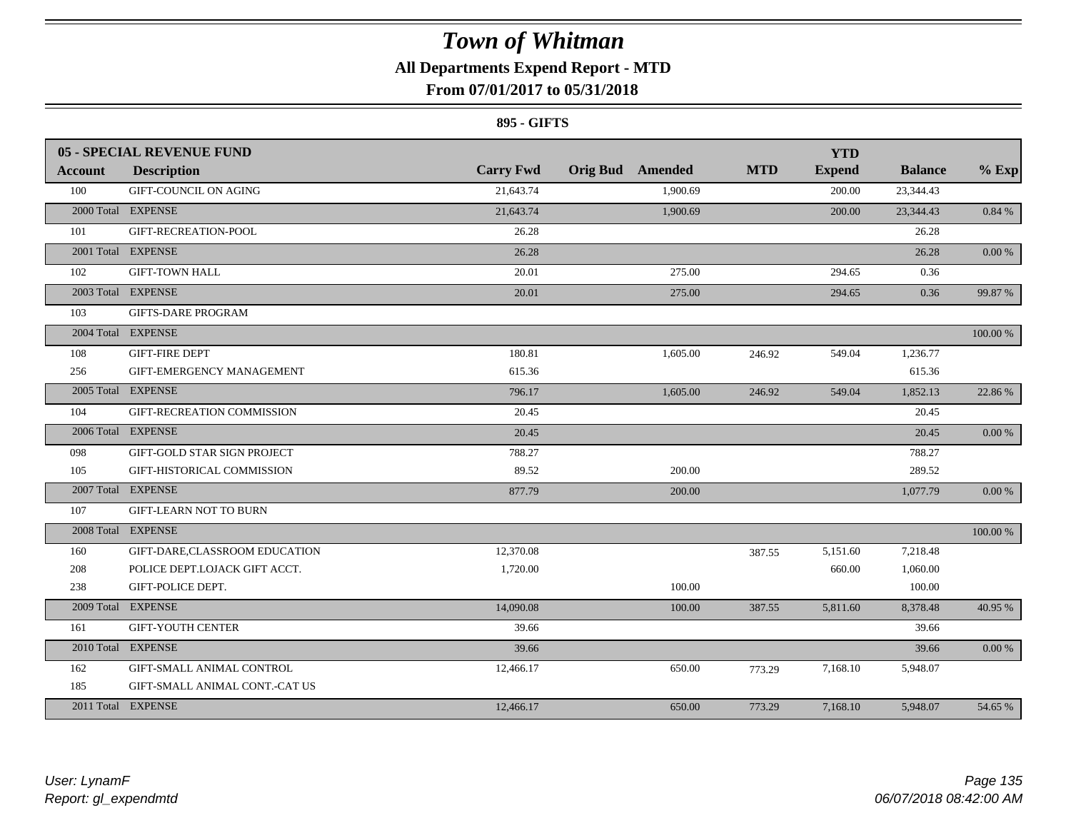### **All Departments Expend Report - MTD**

### **From 07/01/2017 to 05/31/2018**

#### **895 - GIFTS**

|                | <b>05 - SPECIAL REVENUE FUND</b> |                  |                         |            | <b>YTD</b>    |                |            |
|----------------|----------------------------------|------------------|-------------------------|------------|---------------|----------------|------------|
| <b>Account</b> | <b>Description</b>               | <b>Carry Fwd</b> | <b>Orig Bud</b> Amended | <b>MTD</b> | <b>Expend</b> | <b>Balance</b> | $%$ Exp    |
| 100            | GIFT-COUNCIL ON AGING            | 21,643.74        | 1,900.69                |            | 200.00        | 23,344.43      |            |
|                | 2000 Total EXPENSE               | 21,643.74        | 1,900.69                |            | 200.00        | 23,344.43      | $0.84~\%$  |
| 101            | GIFT-RECREATION-POOL             | 26.28            |                         |            |               | 26.28          |            |
|                | 2001 Total EXPENSE               | 26.28            |                         |            |               | 26.28          | 0.00 %     |
| 102            | <b>GIFT-TOWN HALL</b>            | 20.01            | 275.00                  |            | 294.65        | 0.36           |            |
|                | 2003 Total EXPENSE               | 20.01            | 275.00                  |            | 294.65        | 0.36           | 99.87%     |
| 103            | <b>GIFTS-DARE PROGRAM</b>        |                  |                         |            |               |                |            |
|                | 2004 Total EXPENSE               |                  |                         |            |               |                | 100.00 %   |
| 108            | <b>GIFT-FIRE DEPT</b>            | 180.81           | 1,605.00                | 246.92     | 549.04        | 1,236.77       |            |
| 256            | GIFT-EMERGENCY MANAGEMENT        | 615.36           |                         |            |               | 615.36         |            |
|                | 2005 Total EXPENSE               | 796.17           | 1,605.00                | 246.92     | 549.04        | 1,852.13       | 22.86 %    |
| 104            | GIFT-RECREATION COMMISSION       | 20.45            |                         |            |               | 20.45          |            |
|                | 2006 Total EXPENSE               | 20.45            |                         |            |               | 20.45          | $0.00\%$   |
| 098            | GIFT-GOLD STAR SIGN PROJECT      | 788.27           |                         |            |               | 788.27         |            |
| 105            | GIFT-HISTORICAL COMMISSION       | 89.52            | 200.00                  |            |               | 289.52         |            |
|                | 2007 Total EXPENSE               | 877.79           | 200.00                  |            |               | 1,077.79       | $0.00~\%$  |
| 107            | <b>GIFT-LEARN NOT TO BURN</b>    |                  |                         |            |               |                |            |
|                | 2008 Total EXPENSE               |                  |                         |            |               |                | 100.00 %   |
| 160            | GIFT-DARE, CLASSROOM EDUCATION   | 12,370.08        |                         | 387.55     | 5,151.60      | 7,218.48       |            |
| 208            | POLICE DEPT.LOJACK GIFT ACCT.    | 1,720.00         |                         |            | 660.00        | 1,060.00       |            |
| 238            | GIFT-POLICE DEPT.                |                  | 100.00                  |            |               | 100.00         |            |
|                | 2009 Total EXPENSE               | 14,090.08        | 100.00                  | 387.55     | 5,811.60      | 8,378.48       | 40.95 %    |
| 161            | <b>GIFT-YOUTH CENTER</b>         | 39.66            |                         |            |               | 39.66          |            |
|                | 2010 Total EXPENSE               | 39.66            |                         |            |               | 39.66          | $0.00\,\%$ |
| 162            | GIFT-SMALL ANIMAL CONTROL        | 12,466.17        | 650.00                  | 773.29     | 7,168.10      | 5,948.07       |            |
| 185            | GIFT-SMALL ANIMAL CONT.-CAT US   |                  |                         |            |               |                |            |
|                | 2011 Total EXPENSE               | 12,466.17        | 650.00                  | 773.29     | 7,168.10      | 5,948.07       | 54.65 %    |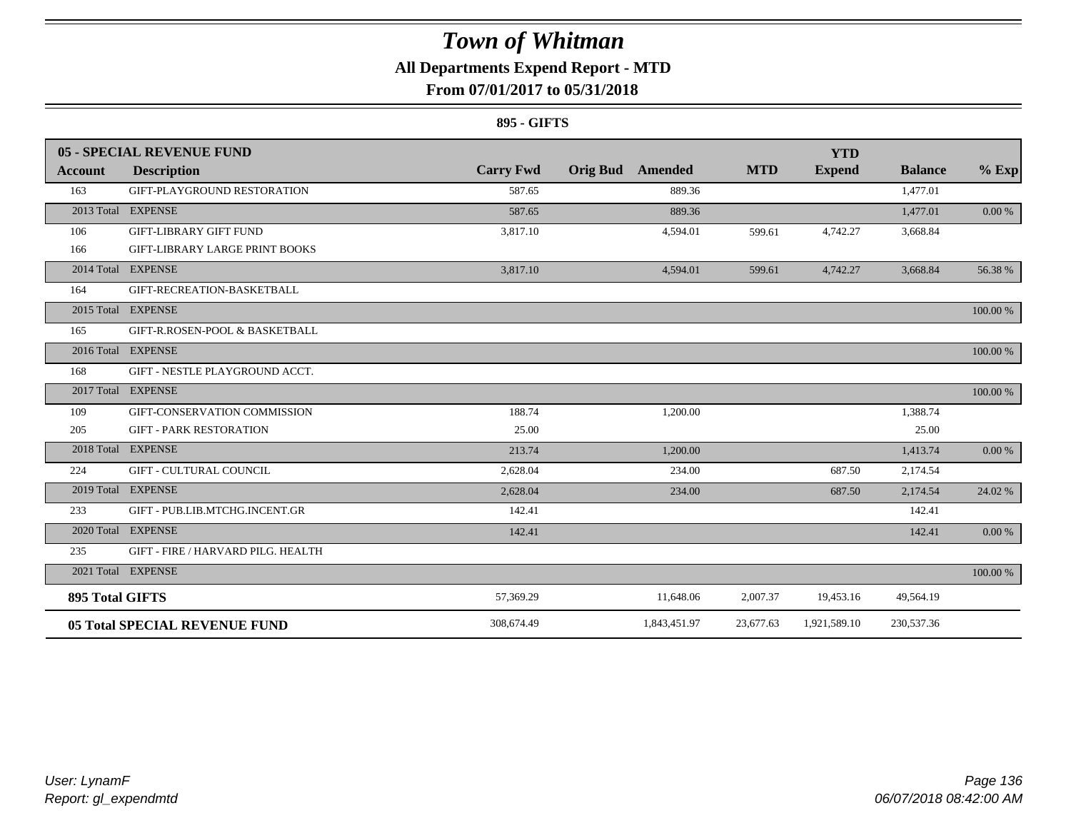### **All Departments Expend Report - MTD**

### **From 07/01/2017 to 05/31/2018**

#### **895 - GIFTS**

|                 | 05 - SPECIAL REVENUE FUND          |                  |                         |            | <b>YTD</b>    |                |          |
|-----------------|------------------------------------|------------------|-------------------------|------------|---------------|----------------|----------|
| Account         | <b>Description</b>                 | <b>Carry Fwd</b> | <b>Orig Bud</b> Amended | <b>MTD</b> | <b>Expend</b> | <b>Balance</b> | $%$ Exp  |
| 163             | GIFT-PLAYGROUND RESTORATION        | 587.65           | 889.36                  |            |               | 1,477.01       |          |
|                 | 2013 Total EXPENSE                 | 587.65           | 889.36                  |            |               | 1,477.01       | 0.00 %   |
| 106             | <b>GIFT-LIBRARY GIFT FUND</b>      | 3,817.10         | 4,594.01                | 599.61     | 4,742.27      | 3,668.84       |          |
| 166             | GIFT-LIBRARY LARGE PRINT BOOKS     |                  |                         |            |               |                |          |
|                 | 2014 Total EXPENSE                 | 3,817.10         | 4,594.01                | 599.61     | 4,742.27      | 3,668.84       | 56.38 %  |
| 164             | GIFT-RECREATION-BASKETBALL         |                  |                         |            |               |                |          |
|                 | 2015 Total EXPENSE                 |                  |                         |            |               |                | 100.00 % |
| 165             | GIFT-R.ROSEN-POOL & BASKETBALL     |                  |                         |            |               |                |          |
|                 | 2016 Total EXPENSE                 |                  |                         |            |               |                | 100.00 % |
| 168             | GIFT - NESTLE PLAYGROUND ACCT.     |                  |                         |            |               |                |          |
|                 | 2017 Total EXPENSE                 |                  |                         |            |               |                | 100.00 % |
| 109             | GIFT-CONSERVATION COMMISSION       | 188.74           | 1,200.00                |            |               | 1,388.74       |          |
| 205             | <b>GIFT - PARK RESTORATION</b>     | 25.00            |                         |            |               | 25.00          |          |
|                 | 2018 Total EXPENSE                 | 213.74           | 1,200.00                |            |               | 1,413.74       | 0.00 %   |
| 224             | <b>GIFT - CULTURAL COUNCIL</b>     | 2,628.04         | 234.00                  |            | 687.50        | 2,174.54       |          |
|                 | 2019 Total EXPENSE                 | 2,628.04         | 234.00                  |            | 687.50        | 2,174.54       | 24.02 %  |
| 233             | GIFT - PUB.LIB.MTCHG.INCENT.GR     | 142.41           |                         |            |               | 142.41         |          |
|                 | 2020 Total EXPENSE                 | 142.41           |                         |            |               | 142.41         | 0.00 %   |
| 235             | GIFT - FIRE / HARVARD PILG. HEALTH |                  |                         |            |               |                |          |
|                 | 2021 Total EXPENSE                 |                  |                         |            |               |                | 100.00 % |
| 895 Total GIFTS |                                    | 57,369.29        | 11,648.06               | 2,007.37   | 19,453.16     | 49,564.19      |          |
|                 | 05 Total SPECIAL REVENUE FUND      | 308,674.49       | 1,843,451.97            | 23,677.63  | 1,921,589.10  | 230,537.36     |          |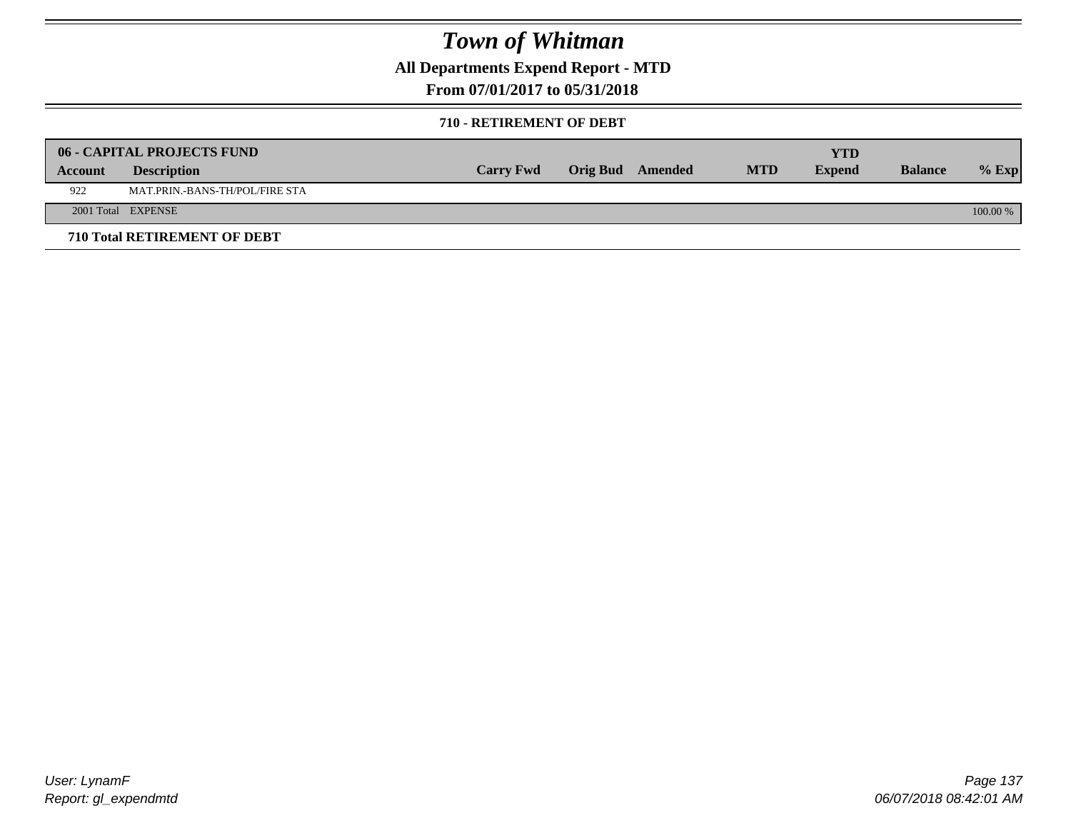**All Departments Expend Report - MTD**

### **From 07/01/2017 to 05/31/2018**

#### **710 - RETIREMENT OF DEBT**

|         | <b>06 - CAPITAL PROJECTS FUND</b>     |                  |                  |            | YTD           |                |            |
|---------|---------------------------------------|------------------|------------------|------------|---------------|----------------|------------|
| Account | <b>Description</b>                    | <b>Carry Fwd</b> | Orig Bud Amended | <b>MTD</b> | <b>Expend</b> | <b>Balance</b> | $%$ Exp    |
| 922     | <b>MAT.PRIN.-BANS-TH/POL/FIRE STA</b> |                  |                  |            |               |                |            |
|         | 2001 Total EXPENSE                    |                  |                  |            |               |                | $100.00\%$ |
|         | 710 Total RETIREMENT OF DEBT          |                  |                  |            |               |                |            |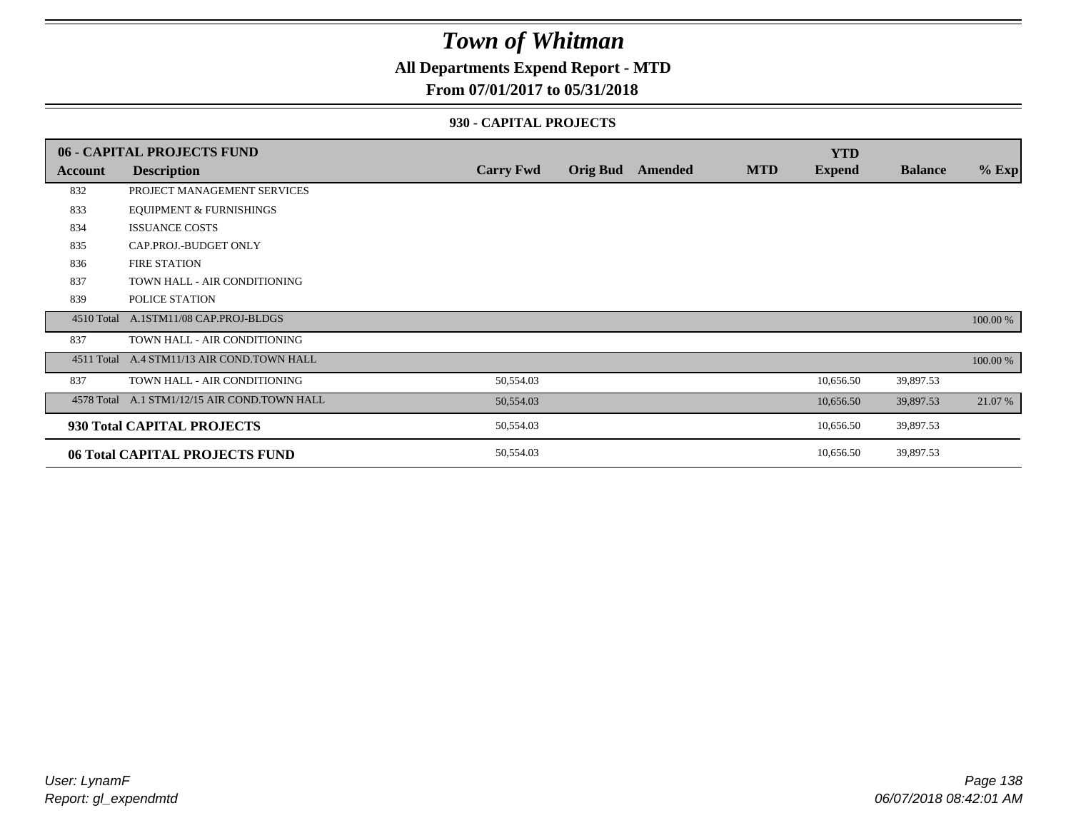### **All Departments Expend Report - MTD**

#### **From 07/01/2017 to 05/31/2018**

#### **930 - CAPITAL PROJECTS**

|            | 06 - CAPITAL PROJECTS FUND                   |                  |                 |         |            | <b>YTD</b>    |                |          |
|------------|----------------------------------------------|------------------|-----------------|---------|------------|---------------|----------------|----------|
| Account    | <b>Description</b>                           | <b>Carry Fwd</b> | <b>Orig Bud</b> | Amended | <b>MTD</b> | <b>Expend</b> | <b>Balance</b> | $%$ Exp  |
| 832        | PROJECT MANAGEMENT SERVICES                  |                  |                 |         |            |               |                |          |
| 833        | <b>EQUIPMENT &amp; FURNISHINGS</b>           |                  |                 |         |            |               |                |          |
| 834        | <b>ISSUANCE COSTS</b>                        |                  |                 |         |            |               |                |          |
| 835        | CAP.PROJ.-BUDGET ONLY                        |                  |                 |         |            |               |                |          |
| 836        | <b>FIRE STATION</b>                          |                  |                 |         |            |               |                |          |
| 837        | TOWN HALL - AIR CONDITIONING                 |                  |                 |         |            |               |                |          |
| 839        | POLICE STATION                               |                  |                 |         |            |               |                |          |
|            | 4510 Total A.1STM11/08 CAP.PROJ-BLDGS        |                  |                 |         |            |               |                | 100.00 % |
| 837        | TOWN HALL - AIR CONDITIONING                 |                  |                 |         |            |               |                |          |
| 4511 Total | A.4 STM11/13 AIR COND.TOWN HALL              |                  |                 |         |            |               |                | 100.00 % |
| 837        | TOWN HALL - AIR CONDITIONING                 | 50,554.03        |                 |         |            | 10,656.50     | 39,897.53      |          |
|            | 4578 Total A.1 STM1/12/15 AIR COND.TOWN HALL | 50,554.03        |                 |         |            | 10,656.50     | 39,897.53      | 21.07 %  |
|            | 930 Total CAPITAL PROJECTS                   | 50,554.03        |                 |         |            | 10,656.50     | 39,897.53      |          |
|            | 06 Total CAPITAL PROJECTS FUND               | 50,554.03        |                 |         |            | 10,656.50     | 39,897.53      |          |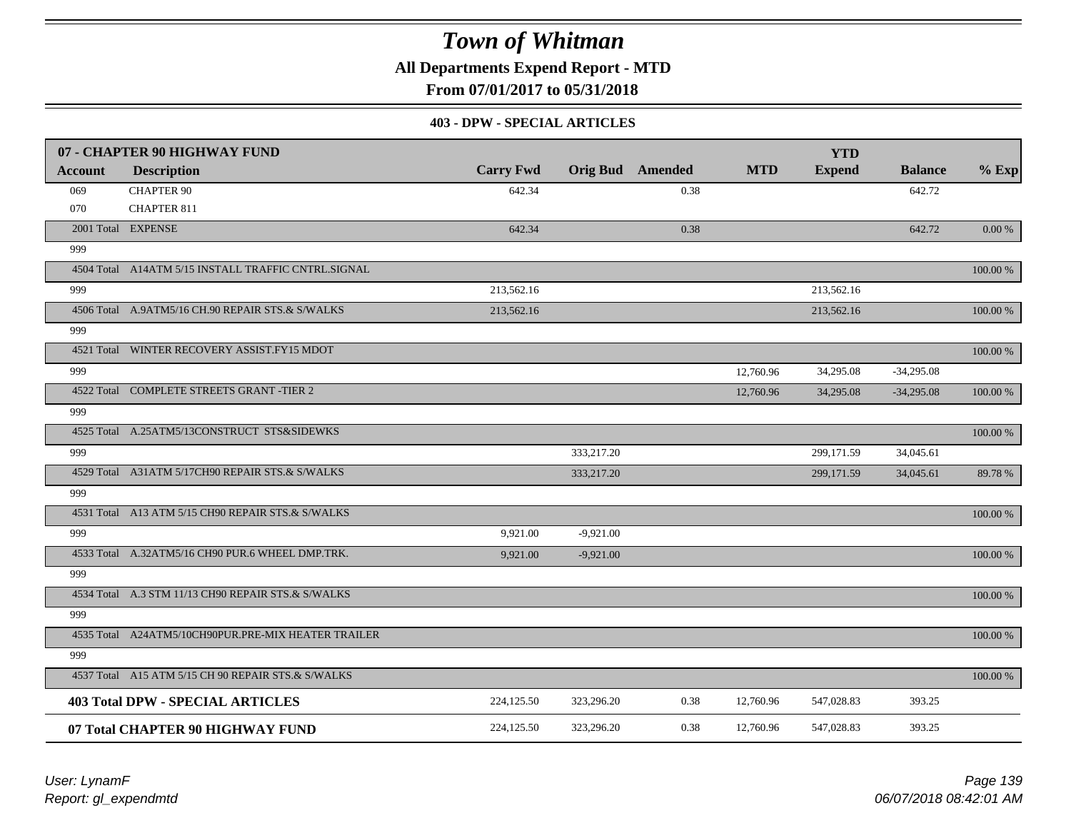**All Departments Expend Report - MTD**

**From 07/01/2017 to 05/31/2018**

#### **403 - DPW - SPECIAL ARTICLES**

|                | 07 - CHAPTER 90 HIGHWAY FUND                        |                  |             |                         |            | <b>YTD</b>    |                |           |
|----------------|-----------------------------------------------------|------------------|-------------|-------------------------|------------|---------------|----------------|-----------|
| <b>Account</b> | <b>Description</b>                                  | <b>Carry Fwd</b> |             | <b>Orig Bud</b> Amended | <b>MTD</b> | <b>Expend</b> | <b>Balance</b> | $%$ Exp   |
| 069            | <b>CHAPTER 90</b>                                   | 642.34           |             | 0.38                    |            |               | 642.72         |           |
| 070            | <b>CHAPTER 811</b>                                  |                  |             |                         |            |               |                |           |
|                | 2001 Total EXPENSE                                  | 642.34           |             | 0.38                    |            |               | 642.72         | $0.00 \%$ |
| 999            |                                                     |                  |             |                         |            |               |                |           |
|                | 4504 Total A14ATM 5/15 INSTALL TRAFFIC CNTRL.SIGNAL |                  |             |                         |            |               |                | 100.00 %  |
| 999            |                                                     | 213,562.16       |             |                         |            | 213,562.16    |                |           |
|                | 4506 Total A.9ATM5/16 CH.90 REPAIR STS.& S/WALKS    | 213,562.16       |             |                         |            | 213,562.16    |                | 100.00 %  |
| 999            |                                                     |                  |             |                         |            |               |                |           |
|                | 4521 Total WINTER RECOVERY ASSIST.FY15 MDOT         |                  |             |                         |            |               |                | 100.00 %  |
| 999            |                                                     |                  |             |                         | 12,760.96  | 34,295.08     | $-34,295.08$   |           |
|                | 4522 Total COMPLETE STREETS GRANT -TIER 2           |                  |             |                         | 12,760.96  | 34,295.08     | $-34,295.08$   | 100.00 %  |
| 999            |                                                     |                  |             |                         |            |               |                |           |
|                | 4525 Total A.25ATM5/13CONSTRUCT STS&SIDEWKS         |                  |             |                         |            |               |                | 100.00 %  |
| 999            |                                                     |                  | 333,217.20  |                         |            | 299,171.59    | 34,045.61      |           |
|                | 4529 Total A31ATM 5/17CH90 REPAIR STS.& S/WALKS     |                  | 333,217.20  |                         |            | 299,171.59    | 34,045.61      | 89.78%    |
| 999            |                                                     |                  |             |                         |            |               |                |           |
|                | 4531 Total A13 ATM 5/15 CH90 REPAIR STS.& S/WALKS   |                  |             |                         |            |               |                | 100.00 %  |
| 999            |                                                     | 9,921.00         | $-9,921.00$ |                         |            |               |                |           |
|                | 4533 Total A.32ATM5/16 CH90 PUR.6 WHEEL DMP.TRK.    | 9.921.00         | $-9,921.00$ |                         |            |               |                | 100.00 %  |
| 999            |                                                     |                  |             |                         |            |               |                |           |
|                | 4534 Total A.3 STM 11/13 CH90 REPAIR STS.& S/WALKS  |                  |             |                         |            |               |                | 100.00 %  |
| 999            |                                                     |                  |             |                         |            |               |                |           |
|                | 4535 Total A24ATM5/10CH90PUR.PRE-MIX HEATER TRAILER |                  |             |                         |            |               |                | 100.00 %  |
| 999            |                                                     |                  |             |                         |            |               |                |           |
|                | 4537 Total A15 ATM 5/15 CH 90 REPAIR STS.& S/WALKS  |                  |             |                         |            |               |                | 100.00 %  |
|                | <b>403 Total DPW - SPECIAL ARTICLES</b>             | 224,125.50       | 323,296.20  | 0.38                    | 12,760.96  | 547,028.83    | 393.25         |           |
|                | 07 Total CHAPTER 90 HIGHWAY FUND                    | 224,125.50       | 323,296.20  | 0.38                    | 12,760.96  | 547,028.83    | 393.25         |           |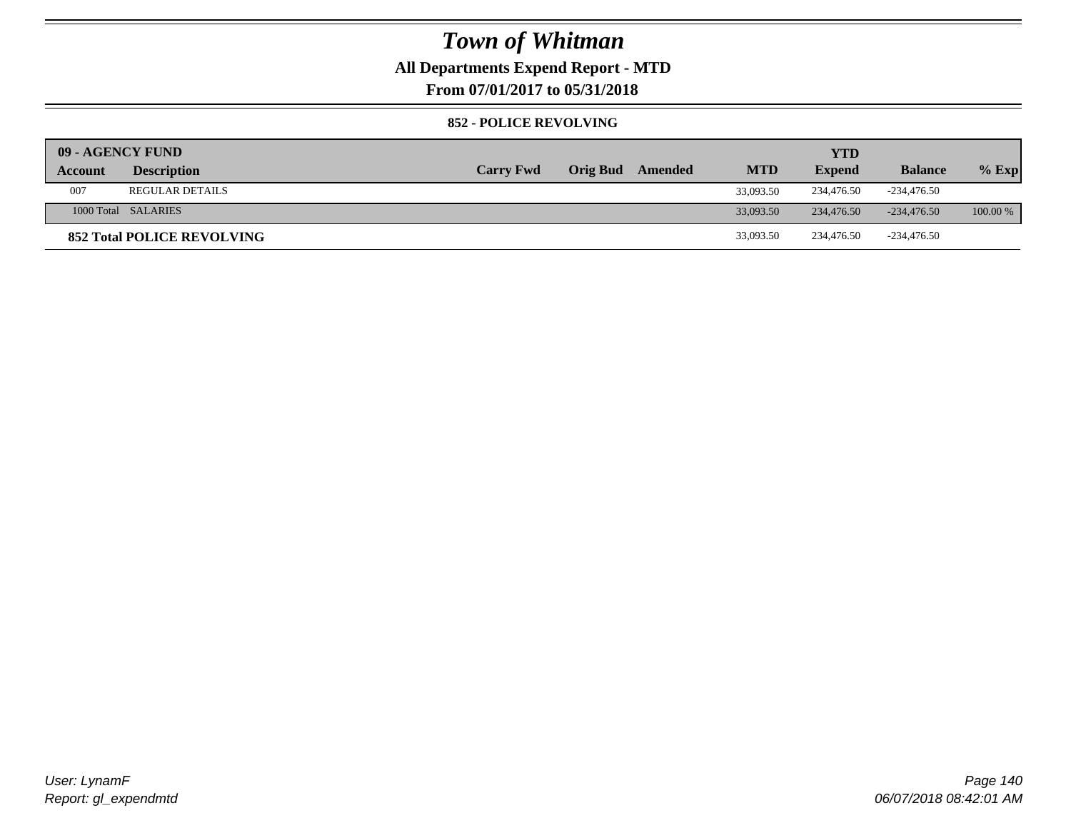### **All Departments Expend Report - MTD**

**From 07/01/2017 to 05/31/2018**

#### **852 - POLICE REVOLVING**

| 09 - AGENCY FUND |                                   |                  |                 |         |            | <b>YTD</b>    |                |          |
|------------------|-----------------------------------|------------------|-----------------|---------|------------|---------------|----------------|----------|
| Account          | <b>Description</b>                | <b>Carry Fwd</b> | <b>Orig Bud</b> | Amended | <b>MTD</b> | <b>Expend</b> | <b>Balance</b> | $%$ Exp  |
| 007              | <b>REGULAR DETAILS</b>            |                  |                 |         | 33,093.50  | 234,476.50    | -234,476.50    |          |
|                  | 1000 Total SALARIES               |                  |                 |         | 33,093.50  | 234,476.50    | $-234.476.50$  | 100.00 % |
|                  | <b>852 Total POLICE REVOLVING</b> |                  |                 |         | 33,093.50  | 234,476.50    | -234,476.50    |          |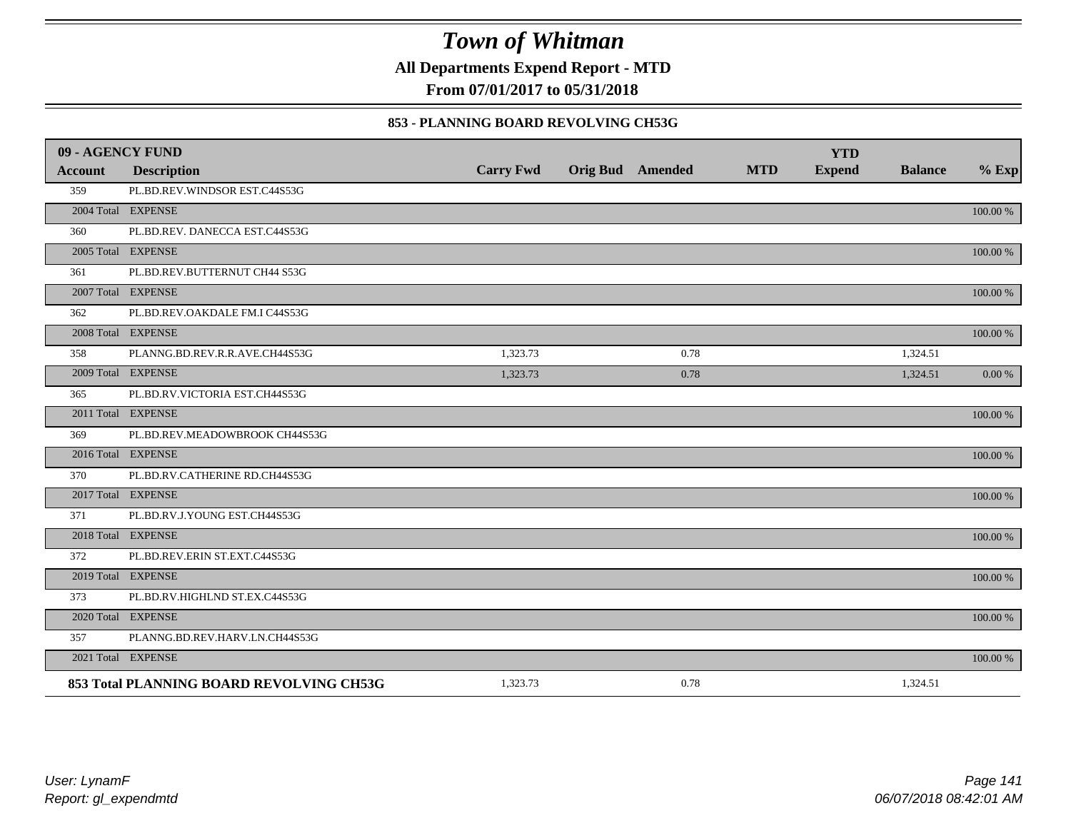**All Departments Expend Report - MTD**

**From 07/01/2017 to 05/31/2018**

#### **853 - PLANNING BOARD REVOLVING CH53G**

| 09 - AGENCY FUND |                                          |                  |                         |            | <b>YTD</b>    |                |          |
|------------------|------------------------------------------|------------------|-------------------------|------------|---------------|----------------|----------|
| <b>Account</b>   | <b>Description</b>                       | <b>Carry Fwd</b> | <b>Orig Bud</b> Amended | <b>MTD</b> | <b>Expend</b> | <b>Balance</b> | $%$ Exp  |
| 359              | PL.BD.REV.WINDSOR EST.C44S53G            |                  |                         |            |               |                |          |
|                  | 2004 Total EXPENSE                       |                  |                         |            |               |                | 100.00 % |
| 360              | PL.BD.REV. DANECCA EST.C44S53G           |                  |                         |            |               |                |          |
|                  | 2005 Total EXPENSE                       |                  |                         |            |               |                | 100.00 % |
| 361              | PL.BD.REV.BUTTERNUT CH44 S53G            |                  |                         |            |               |                |          |
|                  | 2007 Total EXPENSE                       |                  |                         |            |               |                | 100.00 % |
| 362              | PL.BD.REV.OAKDALE FM.I C44S53G           |                  |                         |            |               |                |          |
|                  | 2008 Total EXPENSE                       |                  |                         |            |               |                | 100.00 % |
| 358              | PLANNG.BD.REV.R.R.AVE.CH44S53G           | 1,323.73         | 0.78                    |            |               | 1,324.51       |          |
|                  | 2009 Total EXPENSE                       | 1,323.73         | 0.78                    |            |               | 1,324.51       | 0.00 %   |
| 365              | PL.BD.RV.VICTORIA EST.CH44S53G           |                  |                         |            |               |                |          |
|                  | 2011 Total EXPENSE                       |                  |                         |            |               |                | 100.00 % |
| 369              | PL.BD.REV.MEADOWBROOK CH44S53G           |                  |                         |            |               |                |          |
|                  | 2016 Total EXPENSE                       |                  |                         |            |               |                | 100.00 % |
| 370              | PL.BD.RV.CATHERINE RD.CH44S53G           |                  |                         |            |               |                |          |
|                  | 2017 Total EXPENSE                       |                  |                         |            |               |                | 100.00 % |
| 371              | PL.BD.RV.J.YOUNG EST.CH44S53G            |                  |                         |            |               |                |          |
|                  | 2018 Total EXPENSE                       |                  |                         |            |               |                | 100.00 % |
| 372              | PL.BD.REV.ERIN ST.EXT.C44S53G            |                  |                         |            |               |                |          |
|                  | 2019 Total EXPENSE                       |                  |                         |            |               |                | 100.00 % |
| 373              | PL.BD.RV.HIGHLND ST.EX.C44S53G           |                  |                         |            |               |                |          |
|                  | 2020 Total EXPENSE                       |                  |                         |            |               |                | 100.00 % |
| 357              | PLANNG.BD.REV.HARV.LN.CH44S53G           |                  |                         |            |               |                |          |
|                  | 2021 Total EXPENSE                       |                  |                         |            |               |                | 100.00 % |
|                  | 853 Total PLANNING BOARD REVOLVING CH53G | 1,323.73         | 0.78                    |            |               | 1,324.51       |          |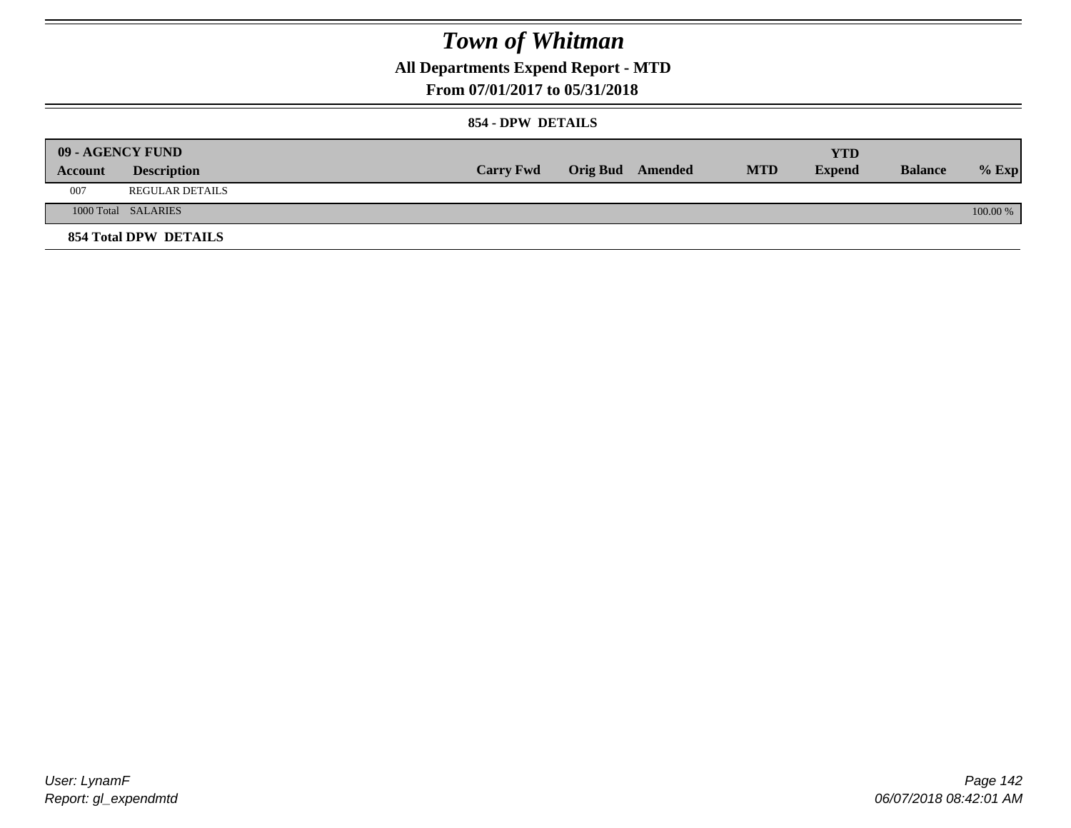### **All Departments Expend Report - MTD**

### **From 07/01/2017 to 05/31/2018**

#### **854 - DPW DETAILS**

|         | 09 - AGENCY FUND      |                  |                         |            | YTD           |                |            |
|---------|-----------------------|------------------|-------------------------|------------|---------------|----------------|------------|
| Account | <b>Description</b>    | <b>Carry Fwd</b> | <b>Orig Bud</b> Amended | <b>MTD</b> | <b>Expend</b> | <b>Balance</b> | $%$ Exp    |
| 007     | REGULAR DETAILS       |                  |                         |            |               |                |            |
|         | 1000 Total SALARIES   |                  |                         |            |               |                | $100.00\%$ |
|         | 854 Total DPW DETAILS |                  |                         |            |               |                |            |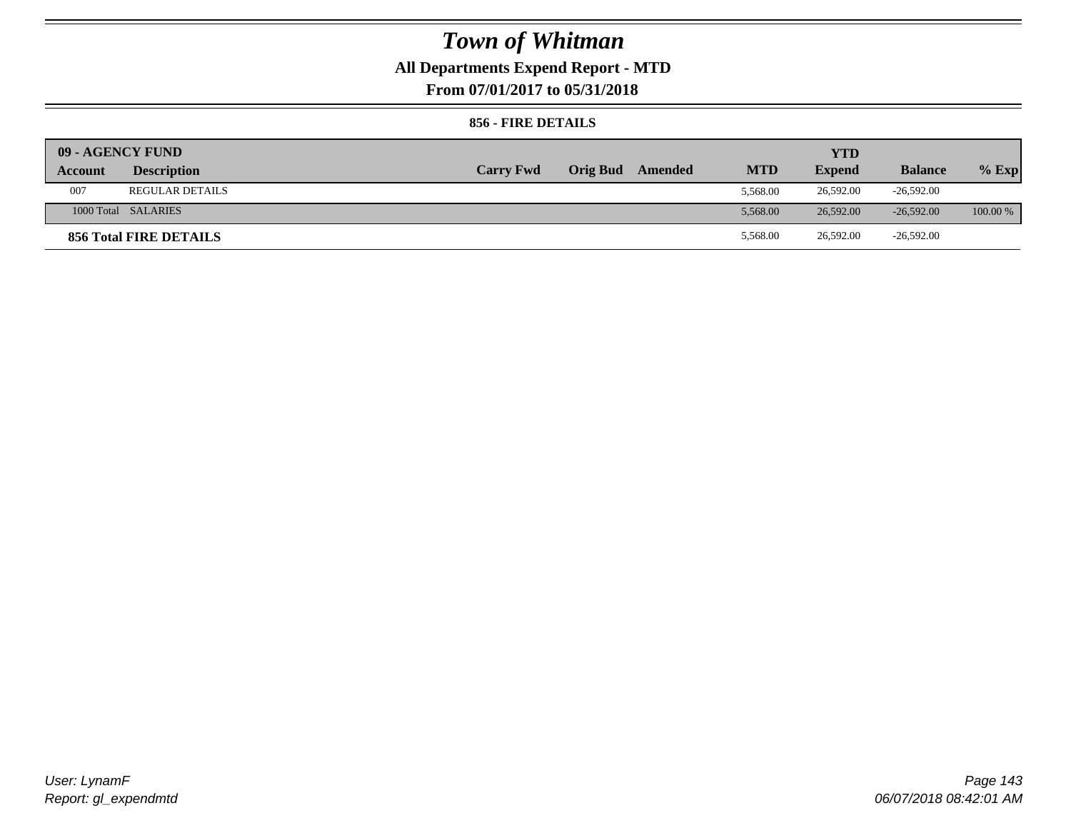### **All Departments Expend Report - MTD**

**From 07/01/2017 to 05/31/2018**

#### **856 - FIRE DETAILS**

| 09 - AGENCY FUND |                        |                  |                 |         |            | <b>YTD</b>    |                |            |
|------------------|------------------------|------------------|-----------------|---------|------------|---------------|----------------|------------|
| Account          | <b>Description</b>     | <b>Carry Fwd</b> | <b>Orig Bud</b> | Amended | <b>MTD</b> | <b>Expend</b> | <b>Balance</b> | $%$ Exp    |
| 007              | <b>REGULAR DETAILS</b> |                  |                 |         | 5.568.00   | 26,592.00     | $-26,592.00$   |            |
|                  | 1000 Total SALARIES    |                  |                 |         | 5.568.00   | 26,592.00     | $-26.592.00$   | $100.00\%$ |
|                  | 856 Total FIRE DETAILS |                  |                 |         | 5,568.00   | 26,592.00     | $-26,592.00$   |            |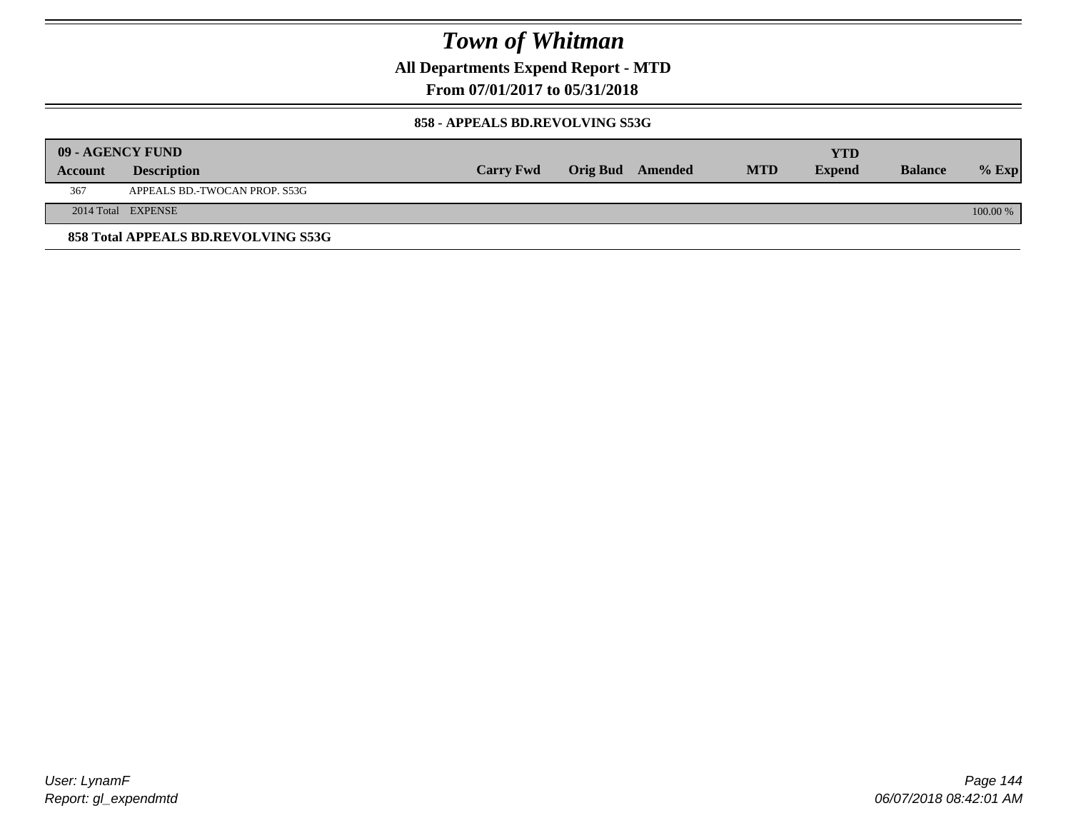**All Departments Expend Report - MTD**

### **From 07/01/2017 to 05/31/2018**

#### **858 - APPEALS BD.REVOLVING S53G**

| 09 - AGENCY FUND |                                     |                  |                  |            | <b>YTD</b>    |                |            |
|------------------|-------------------------------------|------------------|------------------|------------|---------------|----------------|------------|
| <b>Account</b>   | <b>Description</b>                  | <b>Carry Fwd</b> | Orig Bud Amended | <b>MTD</b> | <b>Expend</b> | <b>Balance</b> | $\%$ Exp   |
| 367              | APPEALS BD.-TWOCAN PROP. S53G       |                  |                  |            |               |                |            |
|                  | 2014 Total EXPENSE                  |                  |                  |            |               |                | $100.00\%$ |
|                  | 858 Total APPEALS BD.REVOLVING S53G |                  |                  |            |               |                |            |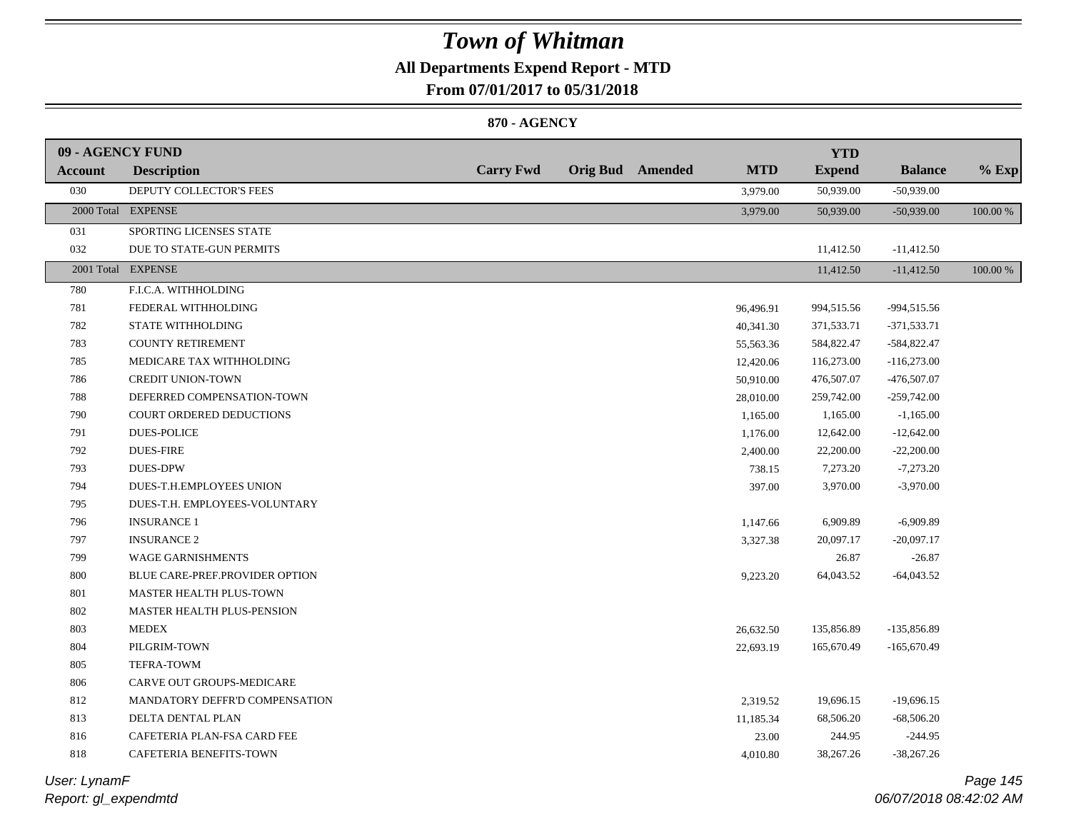## **All Departments Expend Report - MTD**

**From 07/01/2017 to 05/31/2018**

### **870 - AGENCY**

| 09 - AGENCY FUND |                                |                  |                         |            | <b>YTD</b>    |                |          |
|------------------|--------------------------------|------------------|-------------------------|------------|---------------|----------------|----------|
| <b>Account</b>   | <b>Description</b>             | <b>Carry Fwd</b> | <b>Orig Bud</b> Amended | <b>MTD</b> | <b>Expend</b> | <b>Balance</b> | $%$ Exp  |
| 030              | DEPUTY COLLECTOR'S FEES        |                  |                         | 3,979.00   | 50,939.00     | $-50,939.00$   |          |
|                  | 2000 Total EXPENSE             |                  |                         | 3,979.00   | 50,939.00     | $-50,939.00$   | 100.00 % |
| 031              | SPORTING LICENSES STATE        |                  |                         |            |               |                |          |
| 032              | DUE TO STATE-GUN PERMITS       |                  |                         |            | 11,412.50     | $-11,412.50$   |          |
|                  | 2001 Total EXPENSE             |                  |                         |            | 11,412.50     | $-11,412.50$   | 100.00 % |
| 780              | F.I.C.A. WITHHOLDING           |                  |                         |            |               |                |          |
| 781              | FEDERAL WITHHOLDING            |                  |                         | 96,496.91  | 994,515.56    | -994,515.56    |          |
| 782              | STATE WITHHOLDING              |                  |                         | 40,341.30  | 371,533.71    | $-371,533.71$  |          |
| 783              | <b>COUNTY RETIREMENT</b>       |                  |                         | 55,563.36  | 584,822.47    | $-584,822.47$  |          |
| 785              | MEDICARE TAX WITHHOLDING       |                  |                         | 12,420.06  | 116,273.00    | $-116,273.00$  |          |
| 786              | <b>CREDIT UNION-TOWN</b>       |                  |                         | 50,910.00  | 476,507.07    | -476,507.07    |          |
| 788              | DEFERRED COMPENSATION-TOWN     |                  |                         | 28,010.00  | 259,742.00    | $-259,742.00$  |          |
| 790              | COURT ORDERED DEDUCTIONS       |                  |                         | 1,165.00   | 1,165.00      | $-1,165.00$    |          |
| 791              | <b>DUES-POLICE</b>             |                  |                         | 1,176.00   | 12,642.00     | $-12,642.00$   |          |
| 792              | <b>DUES-FIRE</b>               |                  |                         | 2,400.00   | 22,200.00     | $-22,200.00$   |          |
| 793              | <b>DUES-DPW</b>                |                  |                         | 738.15     | 7,273.20      | $-7,273.20$    |          |
| 794              | DUES-T.H.EMPLOYEES UNION       |                  |                         | 397.00     | 3,970.00      | $-3,970.00$    |          |
| 795              | DUES-T.H. EMPLOYEES-VOLUNTARY  |                  |                         |            |               |                |          |
| 796              | <b>INSURANCE 1</b>             |                  |                         | 1,147.66   | 6,909.89      | $-6,909.89$    |          |
| 797              | <b>INSURANCE 2</b>             |                  |                         | 3,327.38   | 20,097.17     | $-20,097.17$   |          |
| 799              | <b>WAGE GARNISHMENTS</b>       |                  |                         |            | 26.87         | $-26.87$       |          |
| 800              | BLUE CARE-PREF.PROVIDER OPTION |                  |                         | 9,223.20   | 64,043.52     | $-64,043.52$   |          |
| 801              | MASTER HEALTH PLUS-TOWN        |                  |                         |            |               |                |          |
| 802              | MASTER HEALTH PLUS-PENSION     |                  |                         |            |               |                |          |
| 803              | <b>MEDEX</b>                   |                  |                         | 26,632.50  | 135,856.89    | -135,856.89    |          |
| 804              | PILGRIM-TOWN                   |                  |                         | 22,693.19  | 165,670.49    | $-165,670.49$  |          |
| 805              | TEFRA-TOWM                     |                  |                         |            |               |                |          |
| 806              | CARVE OUT GROUPS-MEDICARE      |                  |                         |            |               |                |          |
| 812              | MANDATORY DEFFR'D COMPENSATION |                  |                         | 2,319.52   | 19,696.15     | $-19,696.15$   |          |
| 813              | DELTA DENTAL PLAN              |                  |                         | 11,185.34  | 68,506.20     | $-68,506.20$   |          |
| 816              | CAFETERIA PLAN-FSA CARD FEE    |                  |                         | 23.00      | 244.95        | $-244.95$      |          |
| 818              | CAFETERIA BENEFITS-TOWN        |                  |                         | 4,010.80   | 38,267.26     | $-38,267.26$   |          |
|                  |                                |                  |                         |            |               |                |          |

*Report: gl\_expendmtd User: LynamF*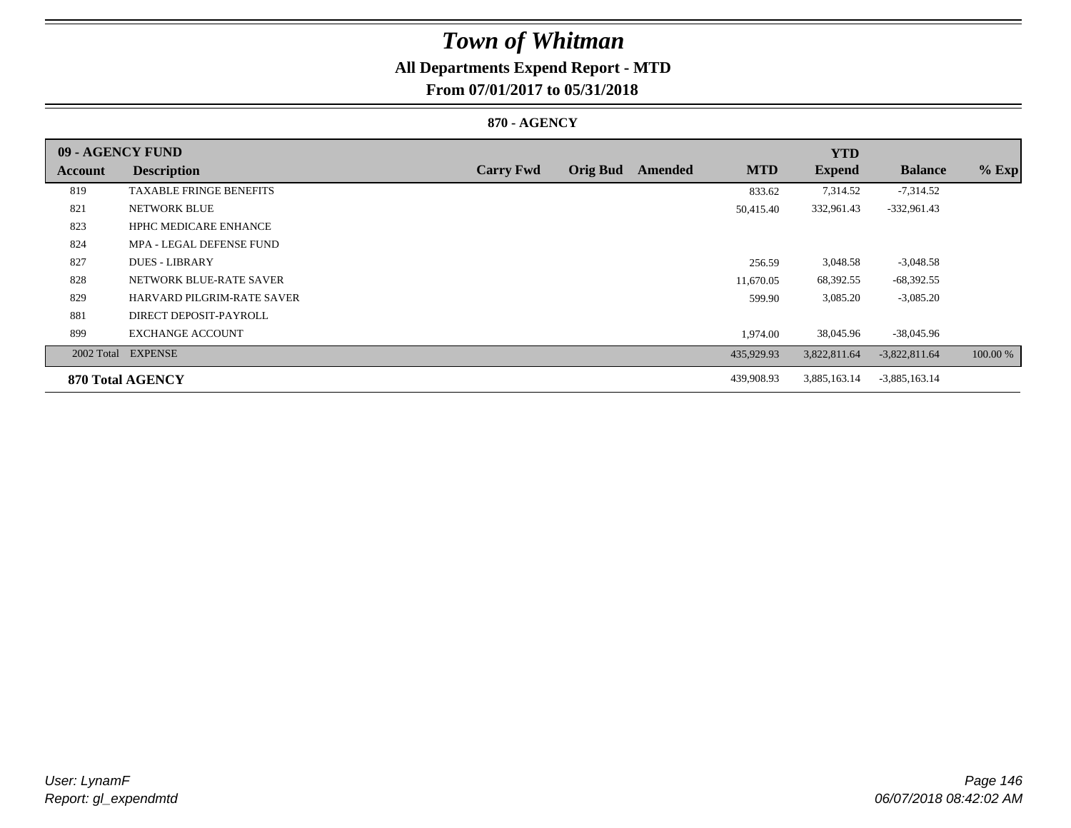## **All Departments Expend Report - MTD**

**From 07/01/2017 to 05/31/2018**

### **870 - AGENCY**

| 09 - AGENCY FUND |                                |                  |                 |         |            | <b>YTD</b>    |                 |          |
|------------------|--------------------------------|------------------|-----------------|---------|------------|---------------|-----------------|----------|
| Account          | <b>Description</b>             | <b>Carry Fwd</b> | <b>Orig Bud</b> | Amended | <b>MTD</b> | <b>Expend</b> | <b>Balance</b>  | $%$ Exp  |
| 819              | <b>TAXABLE FRINGE BENEFITS</b> |                  |                 |         | 833.62     | 7,314.52      | $-7,314.52$     |          |
| 821              | NETWORK BLUE                   |                  |                 |         | 50,415.40  | 332,961.43    | $-332,961.43$   |          |
| 823              | <b>HPHC MEDICARE ENHANCE</b>   |                  |                 |         |            |               |                 |          |
| 824              | MPA - LEGAL DEFENSE FUND       |                  |                 |         |            |               |                 |          |
| 827              | <b>DUES - LIBRARY</b>          |                  |                 |         | 256.59     | 3,048.58      | $-3,048.58$     |          |
| 828              | NETWORK BLUE-RATE SAVER        |                  |                 |         | 11.670.05  | 68,392.55     | $-68,392.55$    |          |
| 829              | HARVARD PILGRIM-RATE SAVER     |                  |                 |         | 599.90     | 3,085.20      | $-3,085.20$     |          |
| 881              | DIRECT DEPOSIT-PAYROLL         |                  |                 |         |            |               |                 |          |
| 899              | <b>EXCHANGE ACCOUNT</b>        |                  |                 |         | 1,974.00   | 38,045.96     | $-38,045.96$    |          |
|                  | 2002 Total EXPENSE             |                  |                 |         | 435,929.93 | 3,822,811.64  | $-3,822,811.64$ | 100.00 % |
|                  | 870 Total AGENCY               |                  |                 |         | 439,908.93 | 3,885,163.14  | $-3,885,163.14$ |          |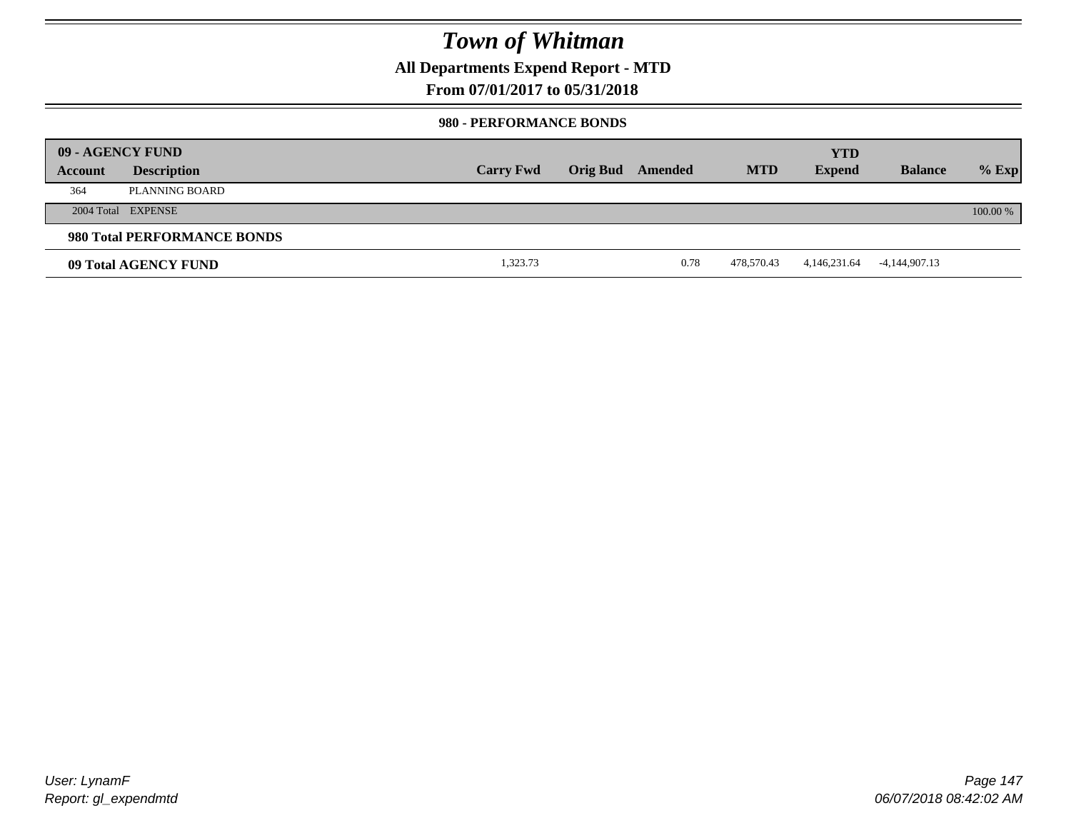**All Departments Expend Report - MTD**

### **From 07/01/2017 to 05/31/2018**

#### **980 - PERFORMANCE BONDS**

|         | 09 - AGENCY FUND            |                  |                 |         |            | <b>YTD</b>    |                |          |
|---------|-----------------------------|------------------|-----------------|---------|------------|---------------|----------------|----------|
| Account | <b>Description</b>          | <b>Carry Fwd</b> | <b>Orig Bud</b> | Amended | <b>MTD</b> | <b>Expend</b> | <b>Balance</b> | $%$ Exp  |
| 364     | PLANNING BOARD              |                  |                 |         |            |               |                |          |
|         | 2004 Total EXPENSE          |                  |                 |         |            |               |                | 100.00 % |
|         | 980 Total PERFORMANCE BONDS |                  |                 |         |            |               |                |          |
|         | 09 Total AGENCY FUND        | 1,323.73         |                 | 0.78    | 478,570.43 | 4,146,231.64  | -4,144,907.13  |          |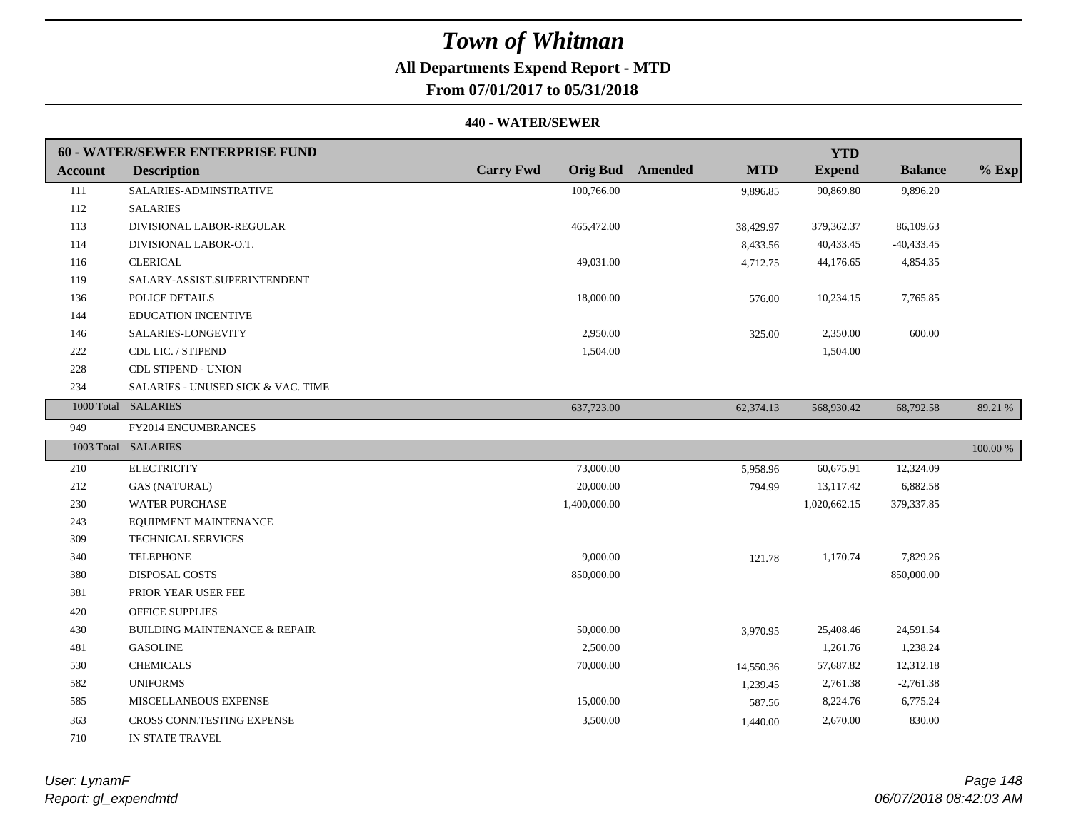## **All Departments Expend Report - MTD**

## **From 07/01/2017 to 05/31/2018**

#### **440 - WATER/SEWER**

|         | 60 - WATER/SEWER ENTERPRISE FUND         |                  |                                       | <b>YTD</b>    |                |             |
|---------|------------------------------------------|------------------|---------------------------------------|---------------|----------------|-------------|
| Account | <b>Description</b>                       | <b>Carry Fwd</b> | <b>Orig Bud</b> Amended<br><b>MTD</b> | <b>Expend</b> | <b>Balance</b> | $%$ Exp     |
| 111     | SALARIES-ADMINSTRATIVE                   | 100,766.00       | 9,896.85                              | 90,869.80     | 9,896.20       |             |
| 112     | <b>SALARIES</b>                          |                  |                                       |               |                |             |
| 113     | DIVISIONAL LABOR-REGULAR                 | 465,472.00       | 38,429.97                             | 379,362.37    | 86,109.63      |             |
| 114     | DIVISIONAL LABOR-O.T.                    |                  | 8,433.56                              | 40,433.45     | $-40,433.45$   |             |
| 116     | <b>CLERICAL</b>                          | 49,031.00        | 4,712.75                              | 44,176.65     | 4,854.35       |             |
| 119     | SALARY-ASSIST.SUPERINTENDENT             |                  |                                       |               |                |             |
| 136     | POLICE DETAILS                           | 18,000.00        | 576.00                                | 10,234.15     | 7,765.85       |             |
| 144     | <b>EDUCATION INCENTIVE</b>               |                  |                                       |               |                |             |
| 146     | SALARIES-LONGEVITY                       | 2,950.00         | 325.00                                | 2,350.00      | 600.00         |             |
| 222     | CDL LIC. / STIPEND                       | 1,504.00         |                                       | 1,504.00      |                |             |
| 228     | <b>CDL STIPEND - UNION</b>               |                  |                                       |               |                |             |
| 234     | SALARIES - UNUSED SICK & VAC. TIME       |                  |                                       |               |                |             |
|         | 1000 Total SALARIES                      | 637,723.00       | 62,374.13                             | 568,930.42    | 68,792.58      | 89.21 %     |
| 949     | FY2014 ENCUMBRANCES                      |                  |                                       |               |                |             |
|         | 1003 Total SALARIES                      |                  |                                       |               |                | $100.00~\%$ |
| 210     | <b>ELECTRICITY</b>                       | 73,000.00        | 5,958.96                              | 60,675.91     | 12,324.09      |             |
| 212     | <b>GAS (NATURAL)</b>                     | 20,000.00        | 794.99                                | 13,117.42     | 6,882.58       |             |
| 230     | <b>WATER PURCHASE</b>                    | 1,400,000.00     |                                       | 1,020,662.15  | 379,337.85     |             |
| 243     | EQUIPMENT MAINTENANCE                    |                  |                                       |               |                |             |
| 309     | TECHNICAL SERVICES                       |                  |                                       |               |                |             |
| 340     | <b>TELEPHONE</b>                         | 9,000.00         | 121.78                                | 1,170.74      | 7,829.26       |             |
| 380     | <b>DISPOSAL COSTS</b>                    | 850,000.00       |                                       |               | 850,000.00     |             |
| 381     | PRIOR YEAR USER FEE                      |                  |                                       |               |                |             |
| 420     | <b>OFFICE SUPPLIES</b>                   |                  |                                       |               |                |             |
| 430     | <b>BUILDING MAINTENANCE &amp; REPAIR</b> | 50,000.00        | 3,970.95                              | 25,408.46     | 24,591.54      |             |
| 481     | <b>GASOLINE</b>                          | 2,500.00         |                                       | 1,261.76      | 1,238.24       |             |
| 530     | <b>CHEMICALS</b>                         | 70,000.00        | 14,550.36                             | 57,687.82     | 12,312.18      |             |
| 582     | <b>UNIFORMS</b>                          |                  | 1,239.45                              | 2,761.38      | $-2,761.38$    |             |
| 585     | MISCELLANEOUS EXPENSE                    | 15,000.00        | 587.56                                | 8,224.76      | 6,775.24       |             |
| 363     | CROSS CONN.TESTING EXPENSE               | 3,500.00         | 1,440.00                              | 2,670.00      | 830.00         |             |
| 710     | IN STATE TRAVEL                          |                  |                                       |               |                |             |

*Report: gl\_expendmtd User: LynamF*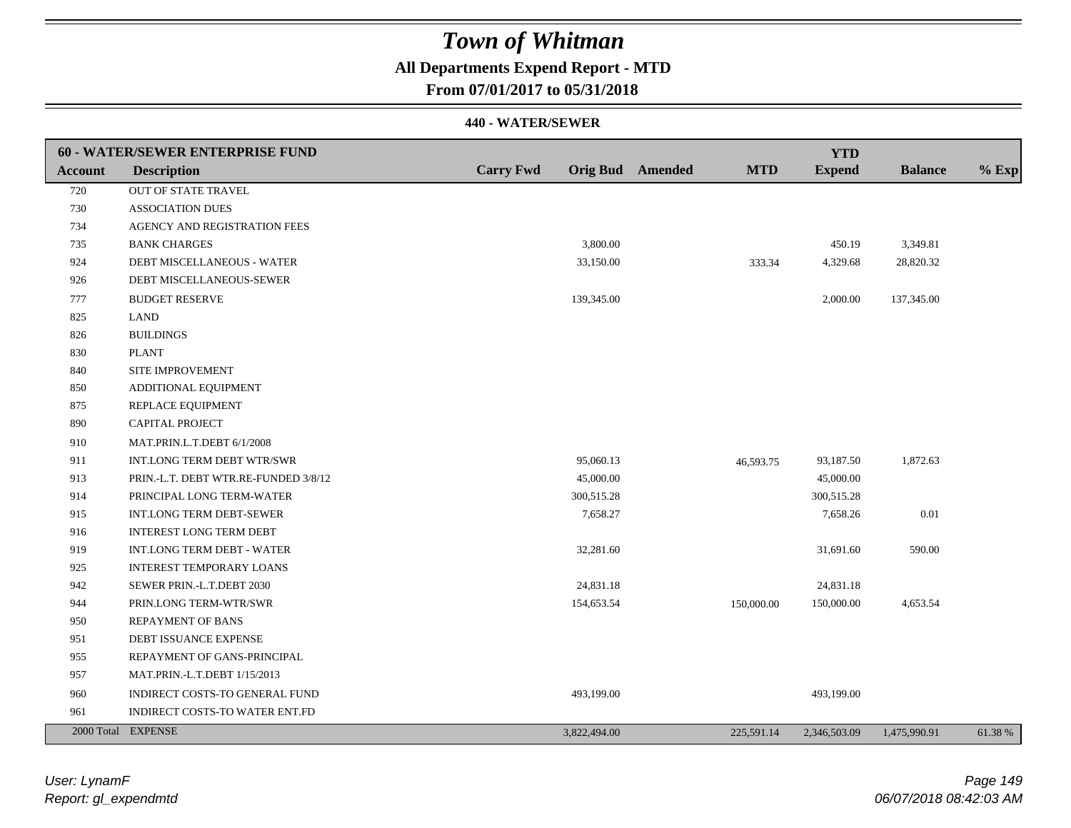## **All Departments Expend Report - MTD**

**From 07/01/2017 to 05/31/2018**

|                | 60 - WATER/SEWER ENTERPRISE FUND     |                  |              |                  |            | <b>YTD</b>    |                |         |
|----------------|--------------------------------------|------------------|--------------|------------------|------------|---------------|----------------|---------|
| <b>Account</b> | <b>Description</b>                   | <b>Carry Fwd</b> |              | Orig Bud Amended | <b>MTD</b> | <b>Expend</b> | <b>Balance</b> | $%$ Exp |
| 720            | <b>OUT OF STATE TRAVEL</b>           |                  |              |                  |            |               |                |         |
| 730            | <b>ASSOCIATION DUES</b>              |                  |              |                  |            |               |                |         |
| 734            | AGENCY AND REGISTRATION FEES         |                  |              |                  |            |               |                |         |
| 735            | <b>BANK CHARGES</b>                  |                  | 3,800.00     |                  |            | 450.19        | 3,349.81       |         |
| 924            | DEBT MISCELLANEOUS - WATER           |                  | 33,150.00    |                  | 333.34     | 4,329.68      | 28,820.32      |         |
| 926            | DEBT MISCELLANEOUS-SEWER             |                  |              |                  |            |               |                |         |
| 777            | <b>BUDGET RESERVE</b>                |                  | 139,345.00   |                  |            | 2,000.00      | 137,345.00     |         |
| 825            | <b>LAND</b>                          |                  |              |                  |            |               |                |         |
| 826            | <b>BUILDINGS</b>                     |                  |              |                  |            |               |                |         |
| 830            | <b>PLANT</b>                         |                  |              |                  |            |               |                |         |
| 840            | SITE IMPROVEMENT                     |                  |              |                  |            |               |                |         |
| 850            | ADDITIONAL EQUIPMENT                 |                  |              |                  |            |               |                |         |
| 875            | REPLACE EQUIPMENT                    |                  |              |                  |            |               |                |         |
| 890            | <b>CAPITAL PROJECT</b>               |                  |              |                  |            |               |                |         |
| 910            | MAT.PRIN.L.T.DEBT 6/1/2008           |                  |              |                  |            |               |                |         |
| 911            | INT.LONG TERM DEBT WTR/SWR           |                  | 95,060.13    |                  | 46,593.75  | 93,187.50     | 1,872.63       |         |
| 913            | PRIN.-L.T. DEBT WTR.RE-FUNDED 3/8/12 |                  | 45,000.00    |                  |            | 45,000.00     |                |         |
| 914            | PRINCIPAL LONG TERM-WATER            |                  | 300,515.28   |                  |            | 300,515.28    |                |         |
| 915            | <b>INT.LONG TERM DEBT-SEWER</b>      |                  | 7,658.27     |                  |            | 7,658.26      | 0.01           |         |
| 916            | <b>INTEREST LONG TERM DEBT</b>       |                  |              |                  |            |               |                |         |
| 919            | <b>INT.LONG TERM DEBT - WATER</b>    |                  | 32,281.60    |                  |            | 31,691.60     | 590.00         |         |
| 925            | <b>INTEREST TEMPORARY LOANS</b>      |                  |              |                  |            |               |                |         |
| 942            | SEWER PRIN.-L.T.DEBT 2030            |                  | 24,831.18    |                  |            | 24,831.18     |                |         |
| 944            | PRIN.LONG TERM-WTR/SWR               |                  | 154,653.54   |                  | 150,000.00 | 150,000.00    | 4,653.54       |         |
| 950            | <b>REPAYMENT OF BANS</b>             |                  |              |                  |            |               |                |         |
| 951            | DEBT ISSUANCE EXPENSE                |                  |              |                  |            |               |                |         |
| 955            | REPAYMENT OF GANS-PRINCIPAL          |                  |              |                  |            |               |                |         |
| 957            | MAT.PRIN.-L.T.DEBT 1/15/2013         |                  |              |                  |            |               |                |         |
| 960            | INDIRECT COSTS-TO GENERAL FUND       |                  | 493,199.00   |                  |            | 493,199.00    |                |         |
| 961            | INDIRECT COSTS-TO WATER ENT.FD       |                  |              |                  |            |               |                |         |
|                | 2000 Total EXPENSE                   |                  | 3,822,494.00 |                  | 225,591.14 | 2,346,503.09  | 1,475,990.91   | 61.38%  |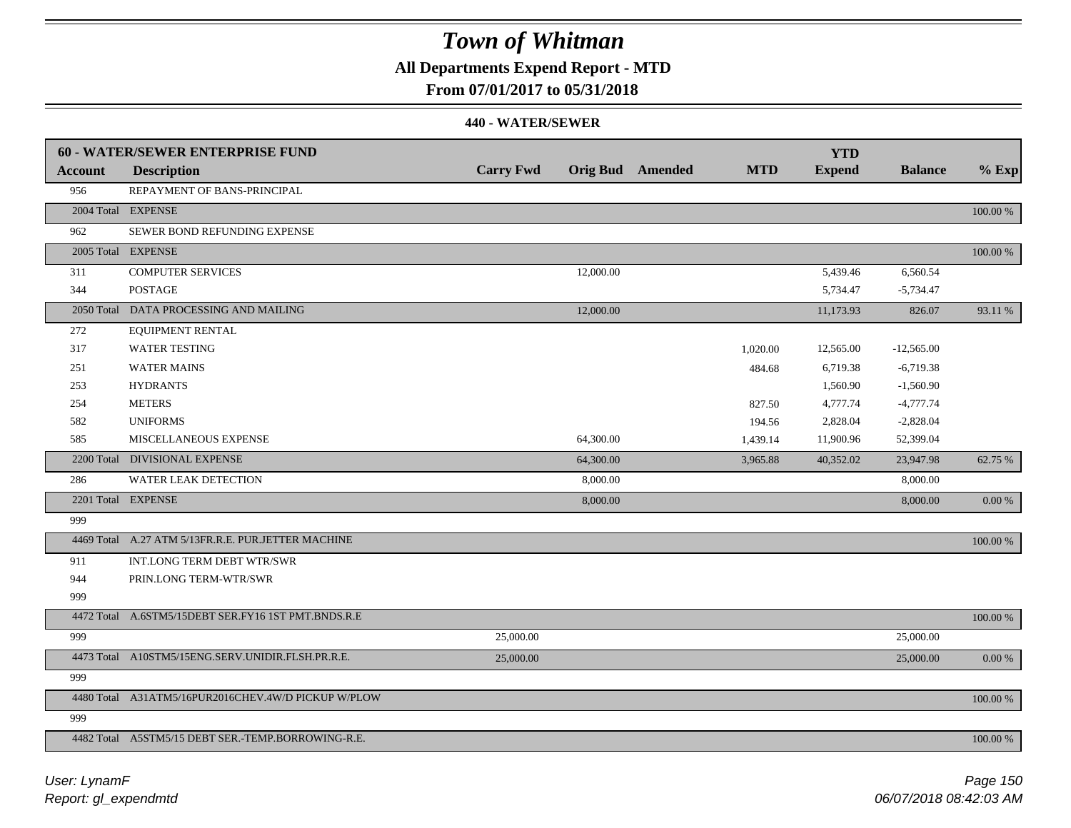### **All Departments Expend Report - MTD**

### **From 07/01/2017 to 05/31/2018**

|                | <b>60 - WATER/SEWER ENTERPRISE FUND</b>             |                  |           |                         |            | <b>YTD</b>    |                |            |
|----------------|-----------------------------------------------------|------------------|-----------|-------------------------|------------|---------------|----------------|------------|
| <b>Account</b> | <b>Description</b>                                  | <b>Carry Fwd</b> |           | <b>Orig Bud</b> Amended | <b>MTD</b> | <b>Expend</b> | <b>Balance</b> | $%$ Exp    |
| 956            | REPAYMENT OF BANS-PRINCIPAL                         |                  |           |                         |            |               |                |            |
|                | 2004 Total EXPENSE                                  |                  |           |                         |            |               |                | 100.00 %   |
| 962            | SEWER BOND REFUNDING EXPENSE                        |                  |           |                         |            |               |                |            |
|                | 2005 Total EXPENSE                                  |                  |           |                         |            |               |                | 100.00 %   |
| 311            | <b>COMPUTER SERVICES</b>                            |                  | 12,000.00 |                         |            | 5,439.46      | 6,560.54       |            |
| 344            | <b>POSTAGE</b>                                      |                  |           |                         |            | 5,734.47      | $-5,734.47$    |            |
|                | 2050 Total DATA PROCESSING AND MAILING              |                  | 12,000.00 |                         |            | 11,173.93     | 826.07         | 93.11 %    |
| 272            | EQUIPMENT RENTAL                                    |                  |           |                         |            |               |                |            |
| 317            | <b>WATER TESTING</b>                                |                  |           |                         | 1,020.00   | 12,565.00     | $-12,565.00$   |            |
| 251            | <b>WATER MAINS</b>                                  |                  |           |                         | 484.68     | 6,719.38      | $-6,719.38$    |            |
| 253            | <b>HYDRANTS</b>                                     |                  |           |                         |            | 1,560.90      | $-1,560.90$    |            |
| 254            | <b>METERS</b>                                       |                  |           |                         | 827.50     | 4,777.74      | $-4,777.74$    |            |
| 582            | <b>UNIFORMS</b>                                     |                  |           |                         | 194.56     | 2,828.04      | $-2,828.04$    |            |
| 585            | MISCELLANEOUS EXPENSE                               |                  | 64,300.00 |                         | 1,439.14   | 11,900.96     | 52,399.04      |            |
|                | 2200 Total DIVISIONAL EXPENSE                       |                  | 64,300.00 |                         | 3,965.88   | 40,352.02     | 23,947.98      | 62.75 %    |
| 286            | <b>WATER LEAK DETECTION</b>                         |                  | 8,000.00  |                         |            |               | 8,000.00       |            |
|                | 2201 Total EXPENSE                                  |                  | 8,000.00  |                         |            |               | 8,000.00       | $0.00\,\%$ |
| 999            |                                                     |                  |           |                         |            |               |                |            |
|                | 4469 Total A.27 ATM 5/13FR.R.E. PUR.JETTER MACHINE  |                  |           |                         |            |               |                | 100.00 %   |
| 911            | INT.LONG TERM DEBT WTR/SWR                          |                  |           |                         |            |               |                |            |
| 944            | PRIN.LONG TERM-WTR/SWR                              |                  |           |                         |            |               |                |            |
| 999            |                                                     |                  |           |                         |            |               |                |            |
|                | 4472 Total A.6STM5/15DEBT SER.FY16 1ST PMT.BNDS.R.E |                  |           |                         |            |               |                | 100.00 %   |
| 999            |                                                     | 25,000.00        |           |                         |            |               | 25,000.00      |            |
|                | 4473 Total A10STM5/15ENG.SERV.UNIDIR.FLSH.PR.R.E.   | 25,000.00        |           |                         |            |               | 25,000.00      | $0.00\ \%$ |
| 999            |                                                     |                  |           |                         |            |               |                |            |
|                | 4480 Total A31ATM5/16PUR2016CHEV.4W/D PICKUP W/PLOW |                  |           |                         |            |               |                | 100.00 %   |
| 999            |                                                     |                  |           |                         |            |               |                |            |
|                | 4482 Total A5STM5/15 DEBT SER.-TEMP.BORROWING-R.E.  |                  |           |                         |            |               |                | 100.00 %   |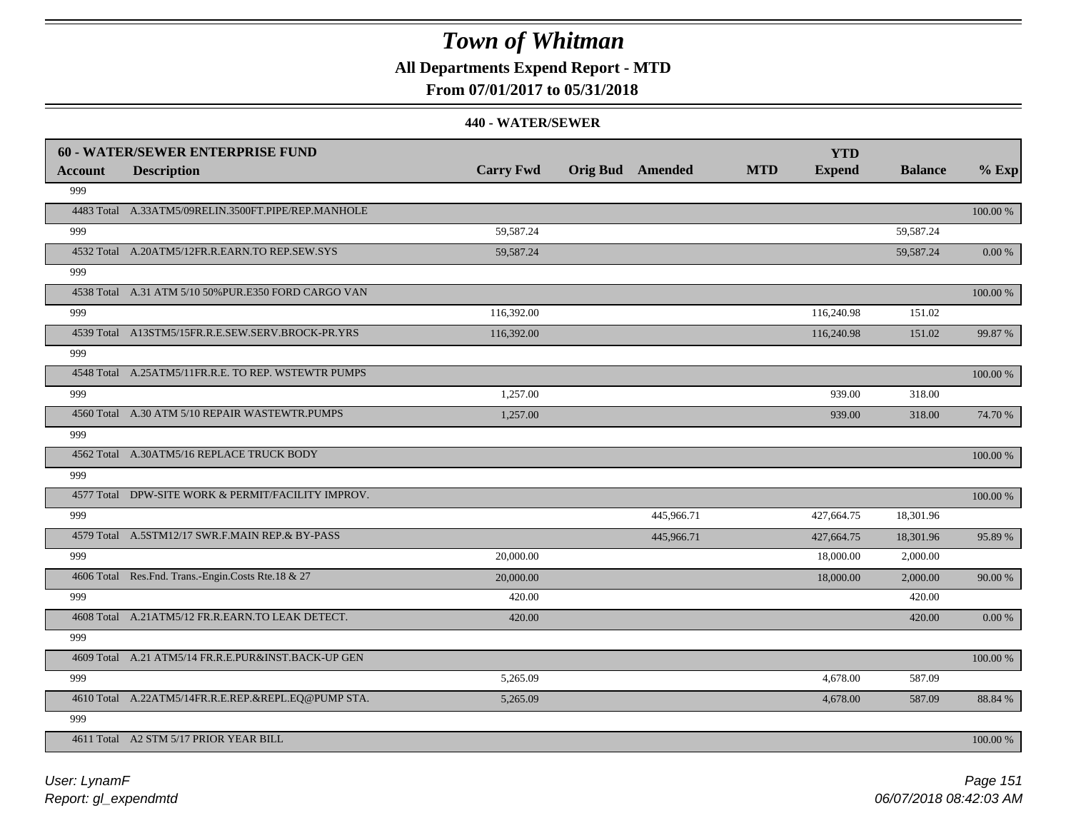**All Departments Expend Report - MTD**

### **From 07/01/2017 to 05/31/2018**

|         | <b>60 - WATER/SEWER ENTERPRISE FUND</b>              |                  |                         |            | <b>YTD</b>    |                |             |
|---------|------------------------------------------------------|------------------|-------------------------|------------|---------------|----------------|-------------|
| Account | <b>Description</b>                                   | <b>Carry Fwd</b> | <b>Orig Bud</b> Amended | <b>MTD</b> | <b>Expend</b> | <b>Balance</b> | $%$ Exp     |
| 999     |                                                      |                  |                         |            |               |                |             |
|         | 4483 Total A.33ATM5/09RELIN.3500FT.PIPE/REP.MANHOLE  |                  |                         |            |               |                | $100.00~\%$ |
| 999     |                                                      | 59,587.24        |                         |            |               | 59,587.24      |             |
|         | 4532 Total A.20ATM5/12FR.R.EARN.TO REP.SEW.SYS       | 59,587.24        |                         |            |               | 59,587.24      | 0.00 %      |
| 999     |                                                      |                  |                         |            |               |                |             |
|         | 4538 Total A.31 ATM 5/10 50% PUR.E350 FORD CARGO VAN |                  |                         |            |               |                | 100.00 %    |
| 999     |                                                      | 116,392.00       |                         |            | 116,240.98    | 151.02         |             |
|         | 4539 Total A13STM5/15FR.R.E.SEW.SERV.BROCK-PR.YRS    | 116,392.00       |                         |            | 116,240.98    | 151.02         | 99.87 %     |
| 999     |                                                      |                  |                         |            |               |                |             |
|         | 4548 Total A.25ATM5/11FR.R.E. TO REP. WSTEWTR PUMPS  |                  |                         |            |               |                | $100.00~\%$ |
| 999     |                                                      | 1,257.00         |                         |            | 939.00        | 318.00         |             |
|         | 4560 Total A.30 ATM 5/10 REPAIR WASTEWTR.PUMPS       | 1,257.00         |                         |            | 939.00        | 318.00         | 74.70 %     |
| 999     |                                                      |                  |                         |            |               |                |             |
|         | 4562 Total A.30ATM5/16 REPLACE TRUCK BODY            |                  |                         |            |               |                | 100.00 %    |
| 999     |                                                      |                  |                         |            |               |                |             |
|         | 4577 Total DPW-SITE WORK & PERMIT/FACILITY IMPROV.   |                  |                         |            |               |                | $100.00~\%$ |
| 999     |                                                      |                  | 445,966.71              |            | 427,664.75    | 18,301.96      |             |
|         | 4579 Total A.5STM12/17 SWR.F.MAIN REP.& BY-PASS      |                  | 445,966.71              |            | 427,664.75    | 18,301.96      | 95.89 %     |
| 999     |                                                      | 20,000.00        |                         |            | 18,000.00     | 2,000.00       |             |
|         | 4606 Total Res.Fnd. Trans.-Engin.Costs Rte.18 & 27   | 20,000.00        |                         |            | 18,000.00     | 2,000.00       | 90.00 %     |
| 999     |                                                      | 420.00           |                         |            |               | 420.00         |             |
|         | 4608 Total A.21ATM5/12 FR.R.EARN.TO LEAK DETECT.     | 420.00           |                         |            |               | 420.00         | 0.00 %      |
| 999     |                                                      |                  |                         |            |               |                |             |
|         | 4609 Total A.21 ATM5/14 FR.R.E.PUR&INST.BACK-UP GEN  |                  |                         |            |               |                | 100.00 %    |
| 999     |                                                      | 5,265.09         |                         |            | 4,678.00      | 587.09         |             |
|         | 4610 Total A.22ATM5/14FR.R.E.REP.&REPL.EQ@PUMP STA.  | 5,265.09         |                         |            | 4,678.00      | 587.09         | 88.84 %     |
| 999     |                                                      |                  |                         |            |               |                |             |
|         | 4611 Total A2 STM 5/17 PRIOR YEAR BILL               |                  |                         |            |               |                | 100.00 %    |
|         |                                                      |                  |                         |            |               |                |             |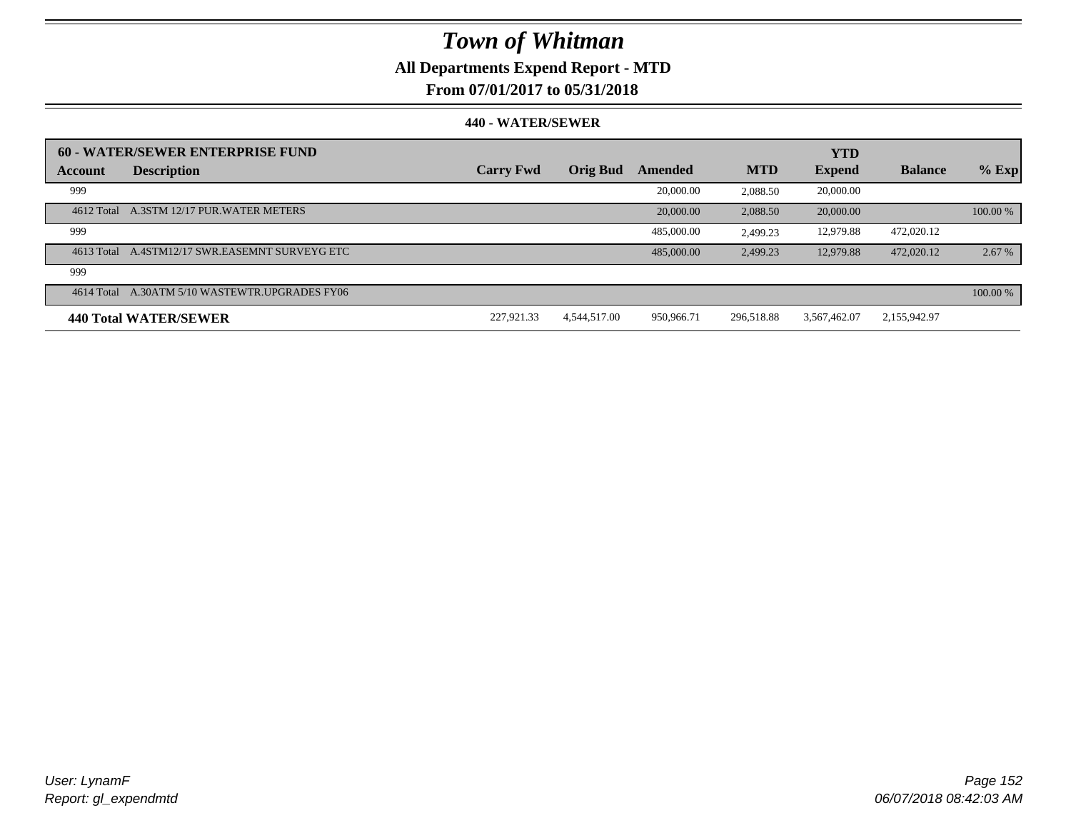## **All Departments Expend Report - MTD**

### **From 07/01/2017 to 05/31/2018**

|         | 60 - WATER/SEWER ENTERPRISE FUND               |                  |                 |            |            | <b>YTD</b>    |                |          |
|---------|------------------------------------------------|------------------|-----------------|------------|------------|---------------|----------------|----------|
| Account | <b>Description</b>                             | <b>Carry Fwd</b> | <b>Orig Bud</b> | Amended    | <b>MTD</b> | <b>Expend</b> | <b>Balance</b> | $%$ Exp  |
| 999     |                                                |                  |                 | 20,000.00  | 2.088.50   | 20,000.00     |                |          |
|         | 4612 Total A.3STM 12/17 PUR.WATER METERS       |                  |                 | 20,000.00  | 2.088.50   | 20,000.00     |                | 100.00 % |
| 999     |                                                |                  |                 | 485,000.00 | 2.499.23   | 12.979.88     | 472,020.12     |          |
|         | 4613 Total A.4STM12/17 SWR.EASEMNT SURVEYG ETC |                  |                 | 485,000.00 | 2.499.23   | 12.979.88     | 472,020.12     | 2.67 %   |
| 999     |                                                |                  |                 |            |            |               |                |          |
|         | 4614 Total A.30ATM 5/10 WASTEWTR.UPGRADES FY06 |                  |                 |            |            |               |                | 100.00 % |
|         | <b>440 Total WATER/SEWER</b>                   | 227,921.33       | 4.544.517.00    | 950,966.71 | 296.518.88 | 3,567,462.07  | 2,155,942.97   |          |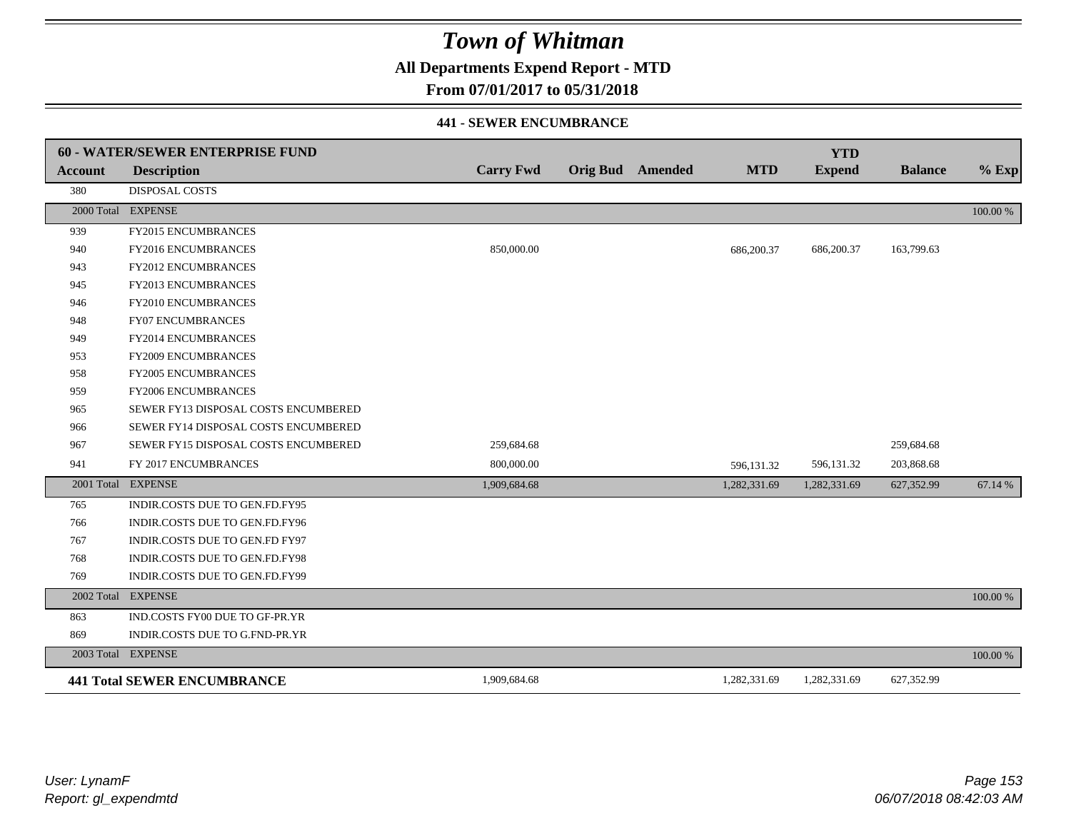**All Departments Expend Report - MTD**

### **From 07/01/2017 to 05/31/2018**

#### **441 - SEWER ENCUMBRANCE**

|                | <b>60 - WATER/SEWER ENTERPRISE FUND</b> |                  |                         |              | <b>YTD</b>    |                |          |
|----------------|-----------------------------------------|------------------|-------------------------|--------------|---------------|----------------|----------|
| <b>Account</b> | <b>Description</b>                      | <b>Carry Fwd</b> | <b>Orig Bud</b> Amended | <b>MTD</b>   | <b>Expend</b> | <b>Balance</b> | $%$ Exp  |
| 380            | <b>DISPOSAL COSTS</b>                   |                  |                         |              |               |                |          |
|                | 2000 Total EXPENSE                      |                  |                         |              |               |                | 100.00 % |
| 939            | FY2015 ENCUMBRANCES                     |                  |                         |              |               |                |          |
| 940            | FY2016 ENCUMBRANCES                     | 850,000.00       |                         | 686,200.37   | 686,200.37    | 163,799.63     |          |
| 943            | <b>FY2012 ENCUMBRANCES</b>              |                  |                         |              |               |                |          |
| 945            | FY2013 ENCUMBRANCES                     |                  |                         |              |               |                |          |
| 946            | <b>FY2010 ENCUMBRANCES</b>              |                  |                         |              |               |                |          |
| 948            | <b>FY07 ENCUMBRANCES</b>                |                  |                         |              |               |                |          |
| 949            | FY2014 ENCUMBRANCES                     |                  |                         |              |               |                |          |
| 953            | <b>FY2009 ENCUMBRANCES</b>              |                  |                         |              |               |                |          |
| 958            | <b>FY2005 ENCUMBRANCES</b>              |                  |                         |              |               |                |          |
| 959            | <b>FY2006 ENCUMBRANCES</b>              |                  |                         |              |               |                |          |
| 965            | SEWER FY13 DISPOSAL COSTS ENCUMBERED    |                  |                         |              |               |                |          |
| 966            | SEWER FY14 DISPOSAL COSTS ENCUMBERED    |                  |                         |              |               |                |          |
| 967            | SEWER FY15 DISPOSAL COSTS ENCUMBERED    | 259,684.68       |                         |              |               | 259,684.68     |          |
| 941            | FY 2017 ENCUMBRANCES                    | 800,000.00       |                         | 596,131.32   | 596,131.32    | 203,868.68     |          |
|                | 2001 Total EXPENSE                      | 1,909,684.68     |                         | 1,282,331.69 | 1,282,331.69  | 627,352.99     | 67.14 %  |
| 765            | INDIR.COSTS DUE TO GEN.FD.FY95          |                  |                         |              |               |                |          |
| 766            | INDIR.COSTS DUE TO GEN.FD.FY96          |                  |                         |              |               |                |          |
| 767            | INDIR.COSTS DUE TO GEN.FD FY97          |                  |                         |              |               |                |          |
| 768            | INDIR.COSTS DUE TO GEN.FD.FY98          |                  |                         |              |               |                |          |
| 769            | INDIR.COSTS DUE TO GEN.FD.FY99          |                  |                         |              |               |                |          |
|                | 2002 Total EXPENSE                      |                  |                         |              |               |                | 100.00 % |
| 863            | IND.COSTS FY00 DUE TO GF-PR.YR          |                  |                         |              |               |                |          |
| 869            | INDIR.COSTS DUE TO G.FND-PR.YR          |                  |                         |              |               |                |          |
|                | 2003 Total EXPENSE                      |                  |                         |              |               |                | 100.00 % |
|                | <b>441 Total SEWER ENCUMBRANCE</b>      | 1,909,684.68     |                         | 1,282,331.69 | 1,282,331.69  | 627,352.99     |          |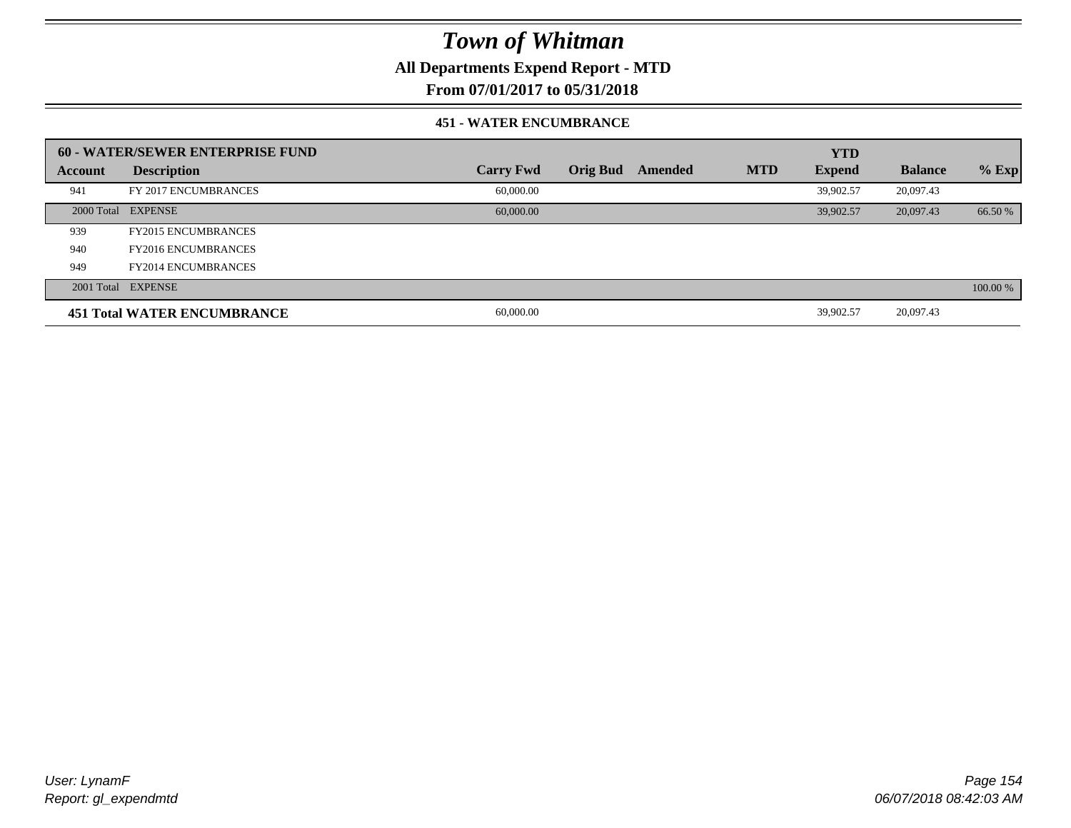**All Departments Expend Report - MTD**

### **From 07/01/2017 to 05/31/2018**

#### **451 - WATER ENCUMBRANCE**

|         | <b>60 - WATER/SEWER ENTERPRISE FUND</b> |                  |          |         |            | <b>YTD</b>    |                |          |
|---------|-----------------------------------------|------------------|----------|---------|------------|---------------|----------------|----------|
| Account | <b>Description</b>                      | <b>Carry Fwd</b> | Orig Bud | Amended | <b>MTD</b> | <b>Expend</b> | <b>Balance</b> | $%$ Exp  |
| 941     | FY 2017 ENCUMBRANCES                    | 60,000.00        |          |         |            | 39.902.57     | 20,097.43      |          |
|         | 2000 Total EXPENSE                      | 60,000,00        |          |         |            | 39.902.57     | 20,097.43      | 66.50 %  |
| 939     | <b>FY2015 ENCUMBRANCES</b>              |                  |          |         |            |               |                |          |
| 940     | <b>FY2016 ENCUMBRANCES</b>              |                  |          |         |            |               |                |          |
| 949     | <b>FY2014 ENCUMBRANCES</b>              |                  |          |         |            |               |                |          |
|         | 2001 Total EXPENSE                      |                  |          |         |            |               |                | 100.00 % |
|         | <b>451 Total WATER ENCUMBRANCE</b>      | 60,000.00        |          |         |            | 39,902.57     | 20,097.43      |          |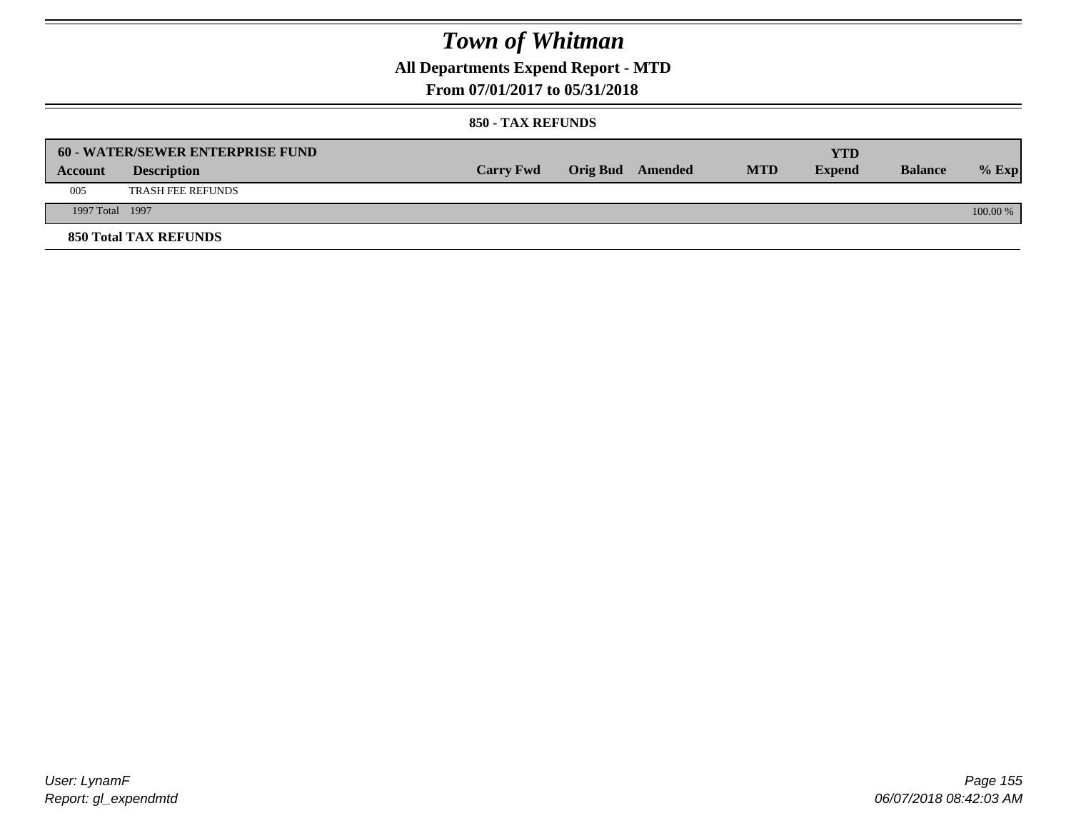## **All Departments Expend Report - MTD**

### **From 07/01/2017 to 05/31/2018**

|                 | <b>60 - WATER/SEWER ENTERPRISE FUND</b> |                  |                         |            | YTD           |                |            |
|-----------------|-----------------------------------------|------------------|-------------------------|------------|---------------|----------------|------------|
| Account         | <b>Description</b>                      | <b>Carry Fwd</b> | <b>Orig Bud</b> Amended | <b>MTD</b> | <b>Expend</b> | <b>Balance</b> | $%$ Exp    |
| 005             | <b>TRASH FEE REFUNDS</b>                |                  |                         |            |               |                |            |
| 1997 Total 1997 |                                         |                  |                         |            |               |                | $100.00\%$ |
|                 | <b>850 Total TAX REFUNDS</b>            |                  |                         |            |               |                |            |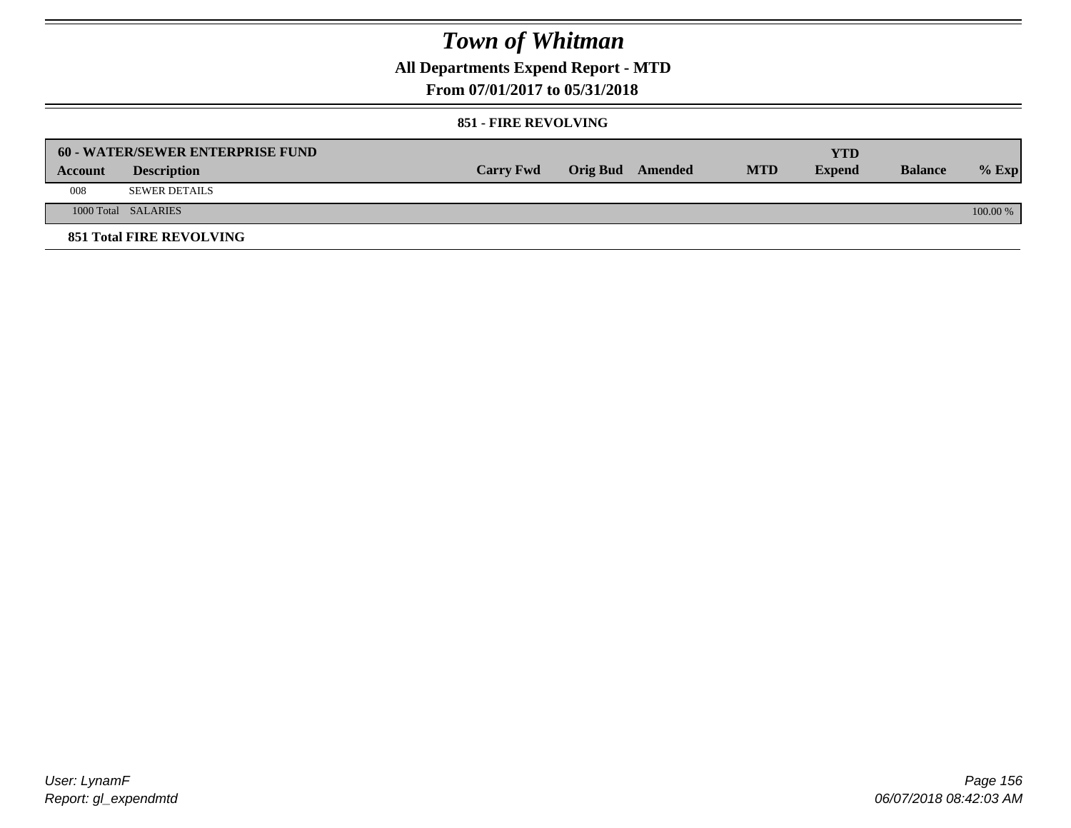**All Departments Expend Report - MTD**

### **From 07/01/2017 to 05/31/2018**

#### **851 - FIRE REVOLVING**

|         | 60 - WATER/SEWER ENTERPRISE FUND |                  |                  |            | YTD           |                |            |
|---------|----------------------------------|------------------|------------------|------------|---------------|----------------|------------|
| Account | <b>Description</b>               | <b>Carry Fwd</b> | Orig Bud Amended | <b>MTD</b> | <b>Expend</b> | <b>Balance</b> | $%$ Exp    |
| 008     | <b>SEWER DETAILS</b>             |                  |                  |            |               |                |            |
|         | 1000 Total SALARIES              |                  |                  |            |               |                | $100.00\%$ |
|         | <b>851 Total FIRE REVOLVING</b>  |                  |                  |            |               |                |            |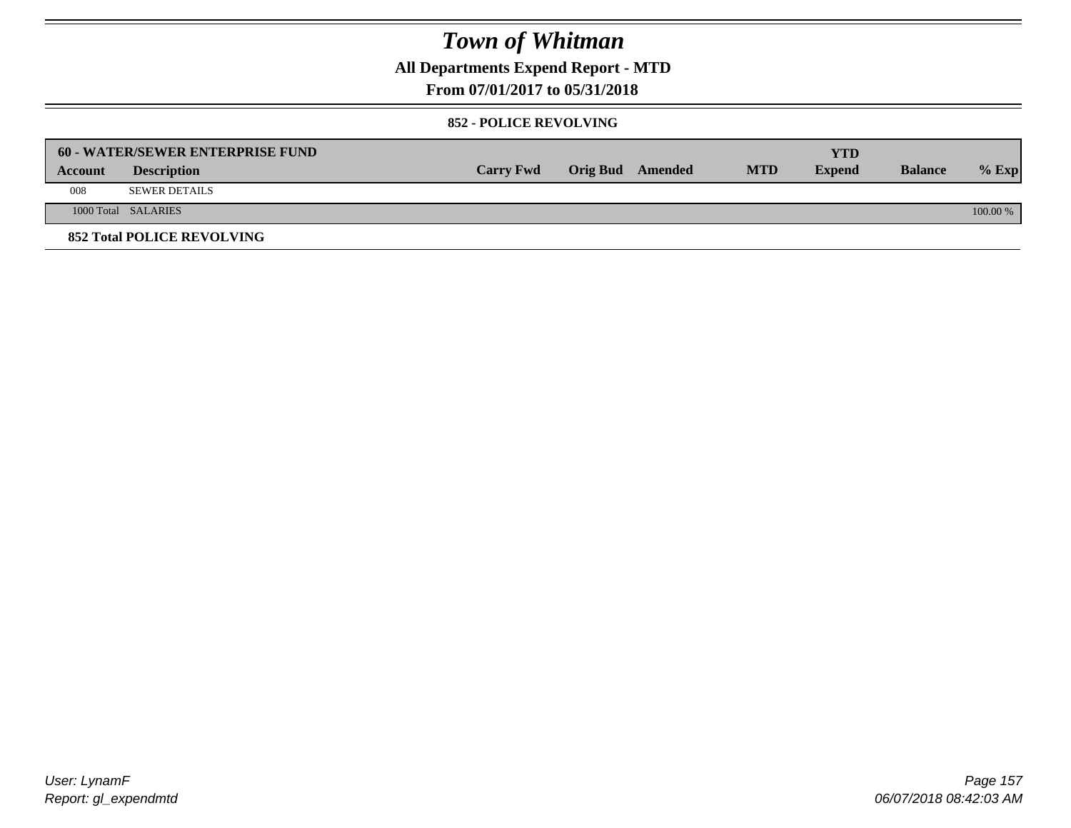**All Departments Expend Report - MTD**

### **From 07/01/2017 to 05/31/2018**

#### **852 - POLICE REVOLVING**

|         | 60 - WATER/SEWER ENTERPRISE FUND  |                  |                  |            | <b>YTD</b>    |                |            |
|---------|-----------------------------------|------------------|------------------|------------|---------------|----------------|------------|
| Account | <b>Description</b>                | <b>Carry Fwd</b> | Orig Bud Amended | <b>MTD</b> | <b>Expend</b> | <b>Balance</b> | $%$ Exp    |
| 008     | <b>SEWER DETAILS</b>              |                  |                  |            |               |                |            |
|         | 1000 Total SALARIES               |                  |                  |            |               |                | $100.00\%$ |
|         | <b>852 Total POLICE REVOLVING</b> |                  |                  |            |               |                |            |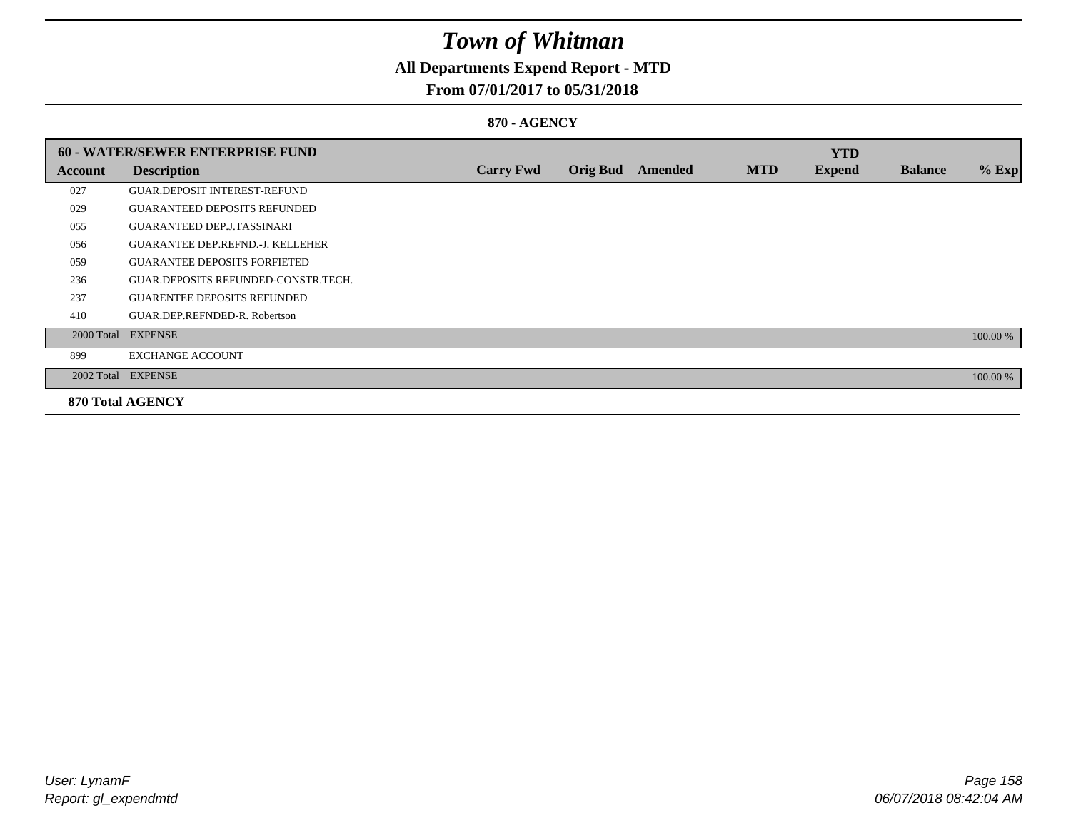## **All Departments Expend Report - MTD**

### **From 07/01/2017 to 05/31/2018**

#### **870 - AGENCY**

|         | 60 - WATER/SEWER ENTERPRISE FUND        |                  |                 |         |            | <b>YTD</b>    |                |          |
|---------|-----------------------------------------|------------------|-----------------|---------|------------|---------------|----------------|----------|
| Account | <b>Description</b>                      | <b>Carry Fwd</b> | <b>Orig Bud</b> | Amended | <b>MTD</b> | <b>Expend</b> | <b>Balance</b> | $%$ Exp  |
| 027     | <b>GUAR DEPOSIT INTEREST-REFUND</b>     |                  |                 |         |            |               |                |          |
| 029     | <b>GUARANTEED DEPOSITS REFUNDED</b>     |                  |                 |         |            |               |                |          |
| 055     | <b>GUARANTEED DEP.J.TASSINARI</b>       |                  |                 |         |            |               |                |          |
| 056     | <b>GUARANTEE DEP.REFND.-J. KELLEHER</b> |                  |                 |         |            |               |                |          |
| 059     | <b>GUARANTEE DEPOSITS FORFIETED</b>     |                  |                 |         |            |               |                |          |
| 236     | GUAR.DEPOSITS REFUNDED-CONSTR.TECH.     |                  |                 |         |            |               |                |          |
| 237     | <b>GUARENTEE DEPOSITS REFUNDED</b>      |                  |                 |         |            |               |                |          |
| 410     | GUAR.DEP.REFNDED-R. Robertson           |                  |                 |         |            |               |                |          |
|         | 2000 Total EXPENSE                      |                  |                 |         |            |               |                | 100.00 % |
| 899     | <b>EXCHANGE ACCOUNT</b>                 |                  |                 |         |            |               |                |          |
|         | 2002 Total EXPENSE                      |                  |                 |         |            |               |                | 100.00 % |
|         | <b>870 Total AGENCY</b>                 |                  |                 |         |            |               |                |          |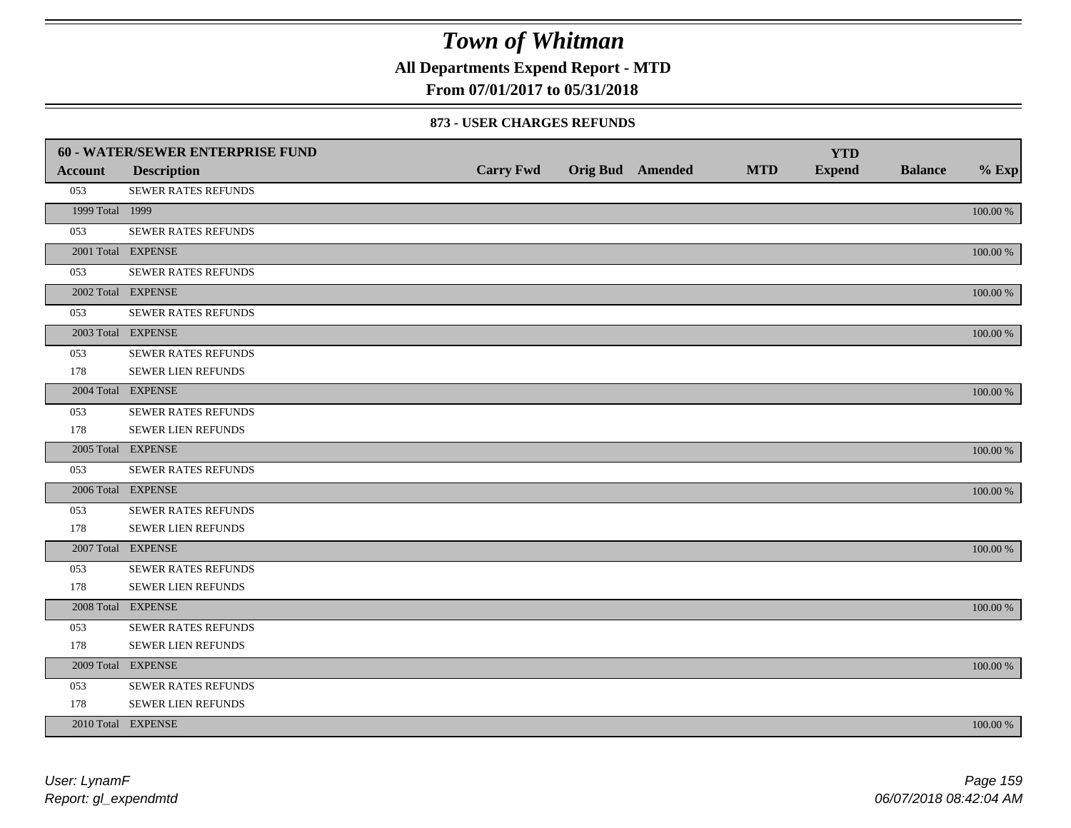**All Departments Expend Report - MTD**

### **From 07/01/2017 to 05/31/2018**

|                 | 60 - WATER/SEWER ENTERPRISE FUND |                  |                         |            | <b>YTD</b>    |                |             |
|-----------------|----------------------------------|------------------|-------------------------|------------|---------------|----------------|-------------|
| <b>Account</b>  | <b>Description</b>               | <b>Carry Fwd</b> | <b>Orig Bud</b> Amended | <b>MTD</b> | <b>Expend</b> | <b>Balance</b> | $%$ Exp     |
| 053             | SEWER RATES REFUNDS              |                  |                         |            |               |                |             |
| 1999 Total 1999 |                                  |                  |                         |            |               |                | 100.00 %    |
| 053             | SEWER RATES REFUNDS              |                  |                         |            |               |                |             |
|                 | 2001 Total EXPENSE               |                  |                         |            |               |                | 100.00 %    |
| 053             | SEWER RATES REFUNDS              |                  |                         |            |               |                |             |
|                 | 2002 Total EXPENSE               |                  |                         |            |               |                | $100.00~\%$ |
| 053             | SEWER RATES REFUNDS              |                  |                         |            |               |                |             |
|                 | 2003 Total EXPENSE               |                  |                         |            |               |                | 100.00 %    |
| 053             | SEWER RATES REFUNDS              |                  |                         |            |               |                |             |
| 178             | <b>SEWER LIEN REFUNDS</b>        |                  |                         |            |               |                |             |
|                 | 2004 Total EXPENSE               |                  |                         |            |               |                | 100.00 %    |
| 053             | SEWER RATES REFUNDS              |                  |                         |            |               |                |             |
| 178             | SEWER LIEN REFUNDS               |                  |                         |            |               |                |             |
|                 | 2005 Total EXPENSE               |                  |                         |            |               |                | 100.00 %    |
| 053             | <b>SEWER RATES REFUNDS</b>       |                  |                         |            |               |                |             |
|                 | 2006 Total EXPENSE               |                  |                         |            |               |                | 100.00 %    |
| 053             | <b>SEWER RATES REFUNDS</b>       |                  |                         |            |               |                |             |
| 178             | SEWER LIEN REFUNDS               |                  |                         |            |               |                |             |
|                 | 2007 Total EXPENSE               |                  |                         |            |               |                | 100.00 %    |
| 053             | SEWER RATES REFUNDS              |                  |                         |            |               |                |             |
| 178             | <b>SEWER LIEN REFUNDS</b>        |                  |                         |            |               |                |             |
|                 | 2008 Total EXPENSE               |                  |                         |            |               |                | 100.00 %    |
| 053             | <b>SEWER RATES REFUNDS</b>       |                  |                         |            |               |                |             |
| 178             | SEWER LIEN REFUNDS               |                  |                         |            |               |                |             |
|                 | 2009 Total EXPENSE               |                  |                         |            |               |                | 100.00 %    |
| 053             | SEWER RATES REFUNDS              |                  |                         |            |               |                |             |
| 178             | <b>SEWER LIEN REFUNDS</b>        |                  |                         |            |               |                |             |
|                 | 2010 Total EXPENSE               |                  |                         |            |               |                | 100.00 %    |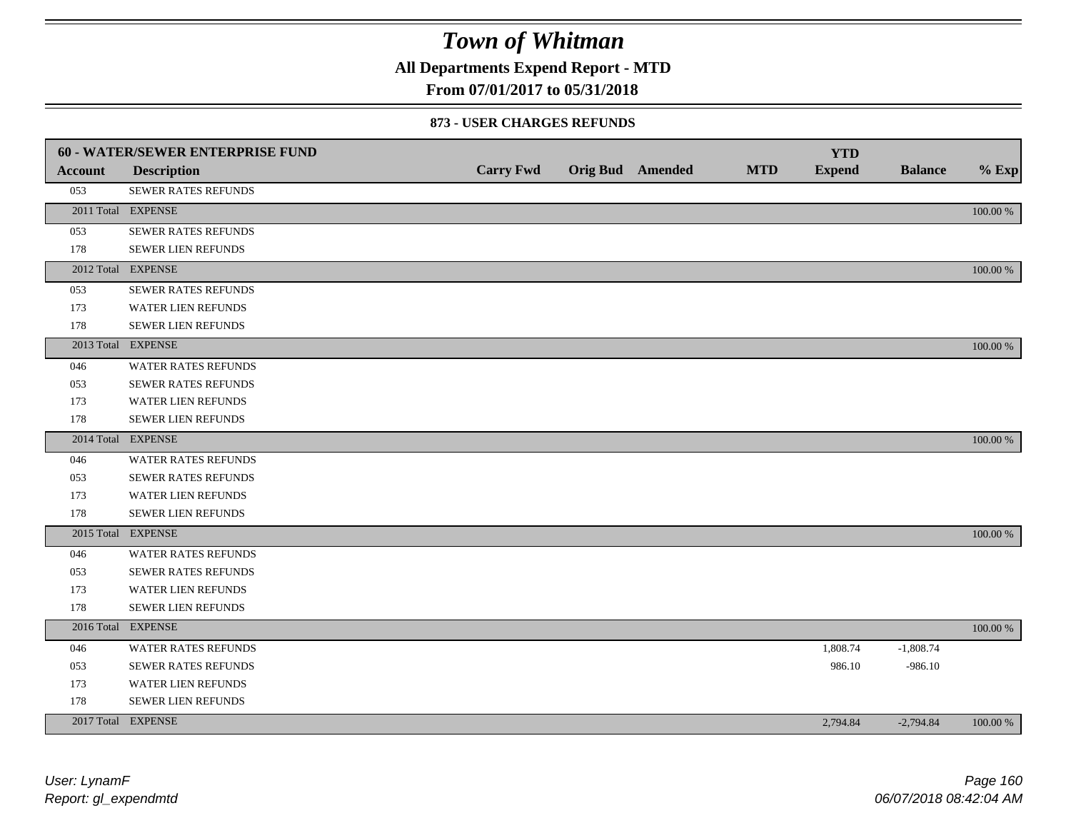**All Departments Expend Report - MTD**

### **From 07/01/2017 to 05/31/2018**

|                | <b>60 - WATER/SEWER ENTERPRISE FUND</b> |                  |                  |            | <b>YTD</b>    |                |          |
|----------------|-----------------------------------------|------------------|------------------|------------|---------------|----------------|----------|
| <b>Account</b> | <b>Description</b>                      | <b>Carry Fwd</b> | Orig Bud Amended | <b>MTD</b> | <b>Expend</b> | <b>Balance</b> | $%$ Exp  |
| 053            | SEWER RATES REFUNDS                     |                  |                  |            |               |                |          |
|                | 2011 Total EXPENSE                      |                  |                  |            |               |                | 100.00 % |
| 053            | SEWER RATES REFUNDS                     |                  |                  |            |               |                |          |
| 178            | <b>SEWER LIEN REFUNDS</b>               |                  |                  |            |               |                |          |
|                | 2012 Total EXPENSE                      |                  |                  |            |               |                | 100.00 % |
| 053            | <b>SEWER RATES REFUNDS</b>              |                  |                  |            |               |                |          |
| 173            | WATER LIEN REFUNDS                      |                  |                  |            |               |                |          |
| 178            | <b>SEWER LIEN REFUNDS</b>               |                  |                  |            |               |                |          |
|                | 2013 Total EXPENSE                      |                  |                  |            |               |                | 100.00 % |
| 046            | WATER RATES REFUNDS                     |                  |                  |            |               |                |          |
| 053            | <b>SEWER RATES REFUNDS</b>              |                  |                  |            |               |                |          |
| 173            | <b>WATER LIEN REFUNDS</b>               |                  |                  |            |               |                |          |
| 178            | SEWER LIEN REFUNDS                      |                  |                  |            |               |                |          |
|                | 2014 Total EXPENSE                      |                  |                  |            |               |                | 100.00 % |
| 046            | WATER RATES REFUNDS                     |                  |                  |            |               |                |          |
| 053            | <b>SEWER RATES REFUNDS</b>              |                  |                  |            |               |                |          |
| 173            | WATER LIEN REFUNDS                      |                  |                  |            |               |                |          |
| 178            | <b>SEWER LIEN REFUNDS</b>               |                  |                  |            |               |                |          |
|                | 2015 Total EXPENSE                      |                  |                  |            |               |                | 100.00 % |
| 046            | <b>WATER RATES REFUNDS</b>              |                  |                  |            |               |                |          |
| 053            | <b>SEWER RATES REFUNDS</b>              |                  |                  |            |               |                |          |
| 173            | <b>WATER LIEN REFUNDS</b>               |                  |                  |            |               |                |          |
| 178            | SEWER LIEN REFUNDS                      |                  |                  |            |               |                |          |
|                | 2016 Total EXPENSE                      |                  |                  |            |               |                | 100.00 % |
| 046            | WATER RATES REFUNDS                     |                  |                  |            | 1,808.74      | $-1,808.74$    |          |
| 053            | SEWER RATES REFUNDS                     |                  |                  |            | 986.10        | $-986.10$      |          |
| 173            | WATER LIEN REFUNDS                      |                  |                  |            |               |                |          |
| 178            | <b>SEWER LIEN REFUNDS</b>               |                  |                  |            |               |                |          |
|                | 2017 Total EXPENSE                      |                  |                  |            | 2,794.84      | $-2,794.84$    | 100.00 % |
|                |                                         |                  |                  |            |               |                |          |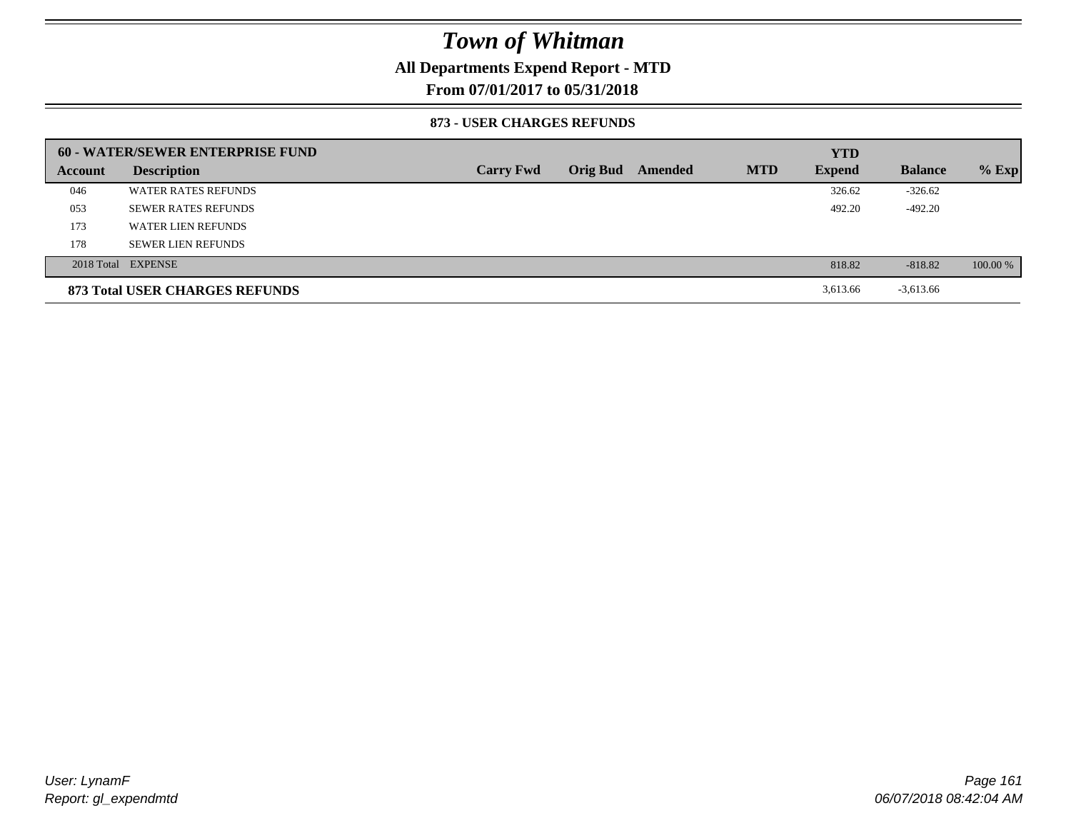### **All Departments Expend Report - MTD**

**From 07/01/2017 to 05/31/2018**

|         | 60 - WATER/SEWER ENTERPRISE FUND |                  |                 |         |            | <b>YTD</b>    |                |          |
|---------|----------------------------------|------------------|-----------------|---------|------------|---------------|----------------|----------|
| Account | <b>Description</b>               | <b>Carry Fwd</b> | <b>Orig Bud</b> | Amended | <b>MTD</b> | <b>Expend</b> | <b>Balance</b> | $%$ Exp  |
| 046     | <b>WATER RATES REFUNDS</b>       |                  |                 |         |            | 326.62        | $-326.62$      |          |
| 053     | <b>SEWER RATES REFUNDS</b>       |                  |                 |         |            | 492.20        | $-492.20$      |          |
| 173     | WATER LIEN REFUNDS               |                  |                 |         |            |               |                |          |
| 178     | <b>SEWER LIEN REFUNDS</b>        |                  |                 |         |            |               |                |          |
|         | 2018 Total EXPENSE               |                  |                 |         |            | 818.82        | $-818.82$      | 100.00 % |
|         | 873 Total USER CHARGES REFUNDS   |                  |                 |         |            | 3,613.66      | $-3,613.66$    |          |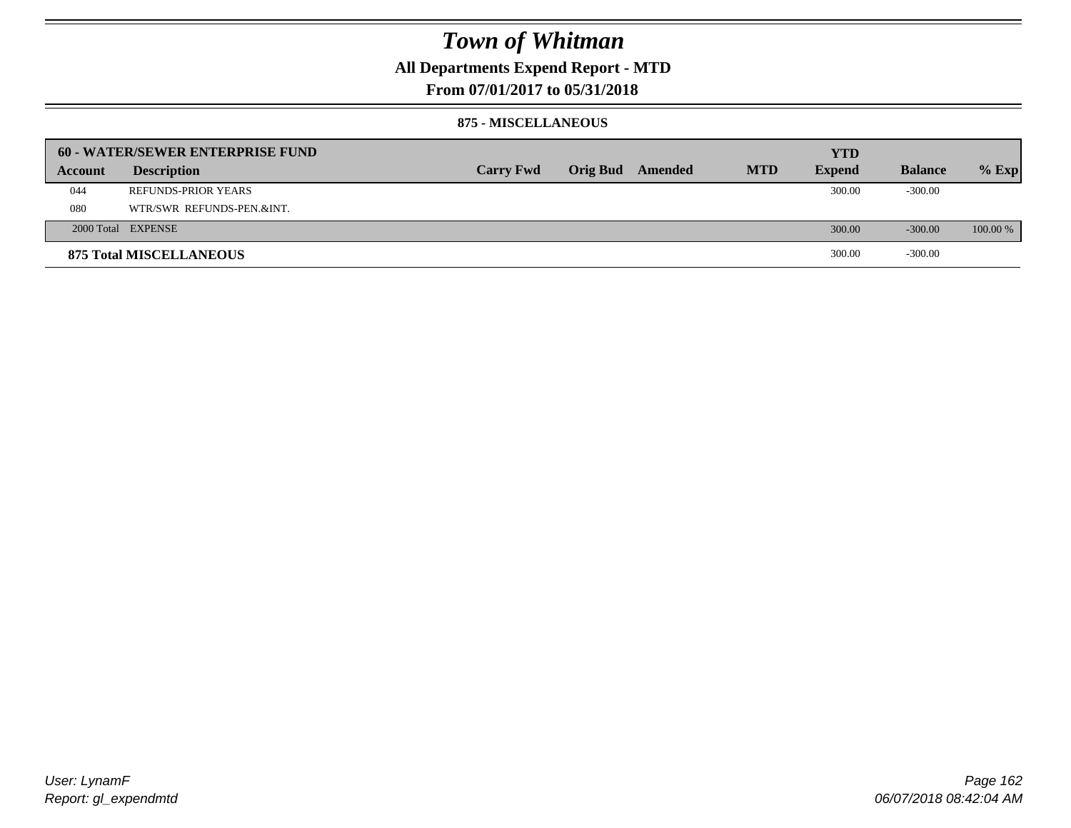### **All Departments Expend Report - MTD**

**From 07/01/2017 to 05/31/2018**

#### **875 - MISCELLANEOUS**

|         | 60 - WATER/SEWER ENTERPRISE FUND |                  |                  |            | <b>YTD</b>    |                |            |
|---------|----------------------------------|------------------|------------------|------------|---------------|----------------|------------|
| Account | <b>Description</b>               | <b>Carry Fwd</b> | Orig Bud Amended | <b>MTD</b> | <b>Expend</b> | <b>Balance</b> | $%$ Exp    |
| 044     | <b>REFUNDS-PRIOR YEARS</b>       |                  |                  |            | 300.00        | $-300.00$      |            |
| 080     | WTR/SWR REFUNDS-PEN.&INT.        |                  |                  |            |               |                |            |
|         | 2000 Total EXPENSE               |                  |                  |            | 300.00        | $-300.00$      | $100.00\%$ |
|         | <b>875 Total MISCELLANEOUS</b>   |                  |                  |            | 300.00        | $-300.00$      |            |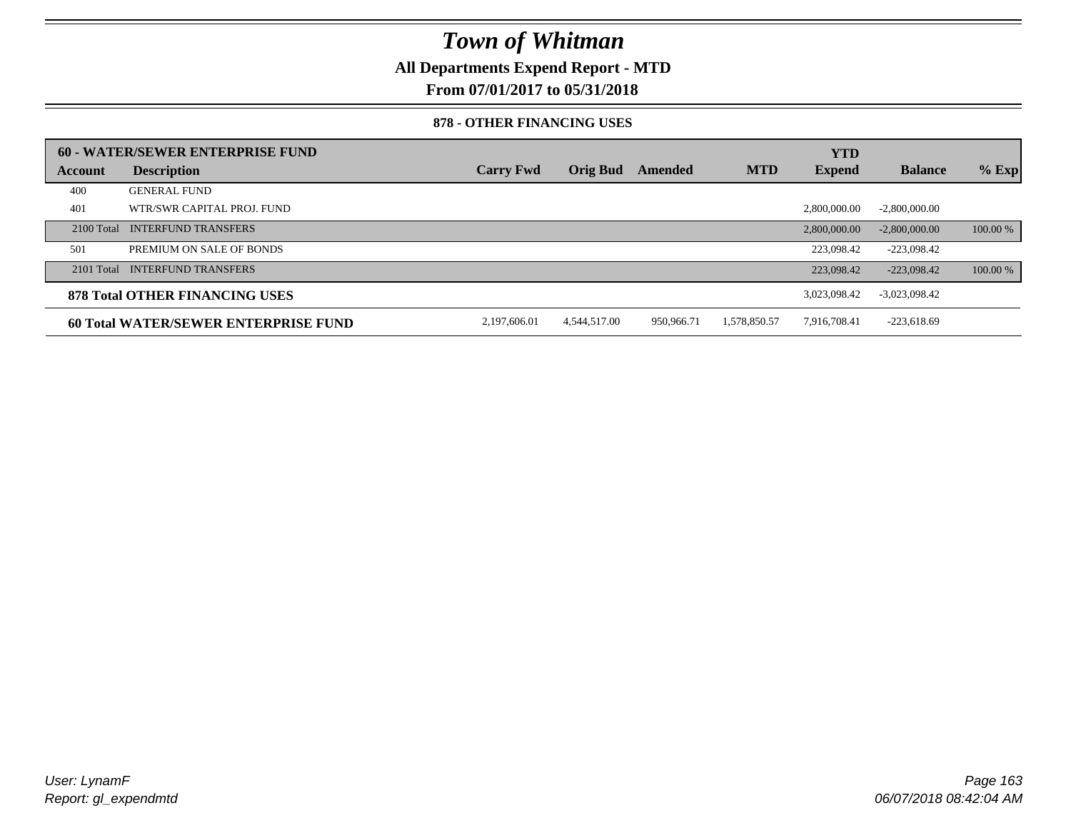**All Departments Expend Report - MTD**

**From 07/01/2017 to 05/31/2018**

#### **878 - OTHER FINANCING USES**

|              | 60 - WATER/SEWER ENTERPRISE FUND      |                  |                 |            |              | <b>YTD</b>    |                 |          |
|--------------|---------------------------------------|------------------|-----------------|------------|--------------|---------------|-----------------|----------|
| Account      | <b>Description</b>                    | <b>Carry Fwd</b> | <b>Orig Bud</b> | Amended    | <b>MTD</b>   | <b>Expend</b> | <b>Balance</b>  | $%$ Exp  |
| 400          | <b>GENERAL FUND</b>                   |                  |                 |            |              |               |                 |          |
| 401          | WTR/SWR CAPITAL PROJ. FUND            |                  |                 |            |              | 2,800,000,00  | $-2,800,000.00$ |          |
| $2100$ Total | <b>INTERFUND TRANSFERS</b>            |                  |                 |            |              | 2,800,000,00  | $-2,800,000,00$ | 100.00 % |
| 501          | PREMIUM ON SALE OF BONDS              |                  |                 |            |              | 223,098.42    | $-223.098.42$   |          |
|              | 2101 Total INTERFUND TRANSFERS        |                  |                 |            |              | 223,098.42    | $-223.098.42$   | 100.00 % |
|              | <b>878 Total OTHER FINANCING USES</b> |                  |                 |            |              | 3,023,098.42  | $-3,023,098.42$ |          |
|              | 60 Total WATER/SEWER ENTERPRISE FUND  | 2,197,606.01     | 4,544,517.00    | 950,966.71 | 1,578,850.57 | 7,916,708.41  | $-223,618.69$   |          |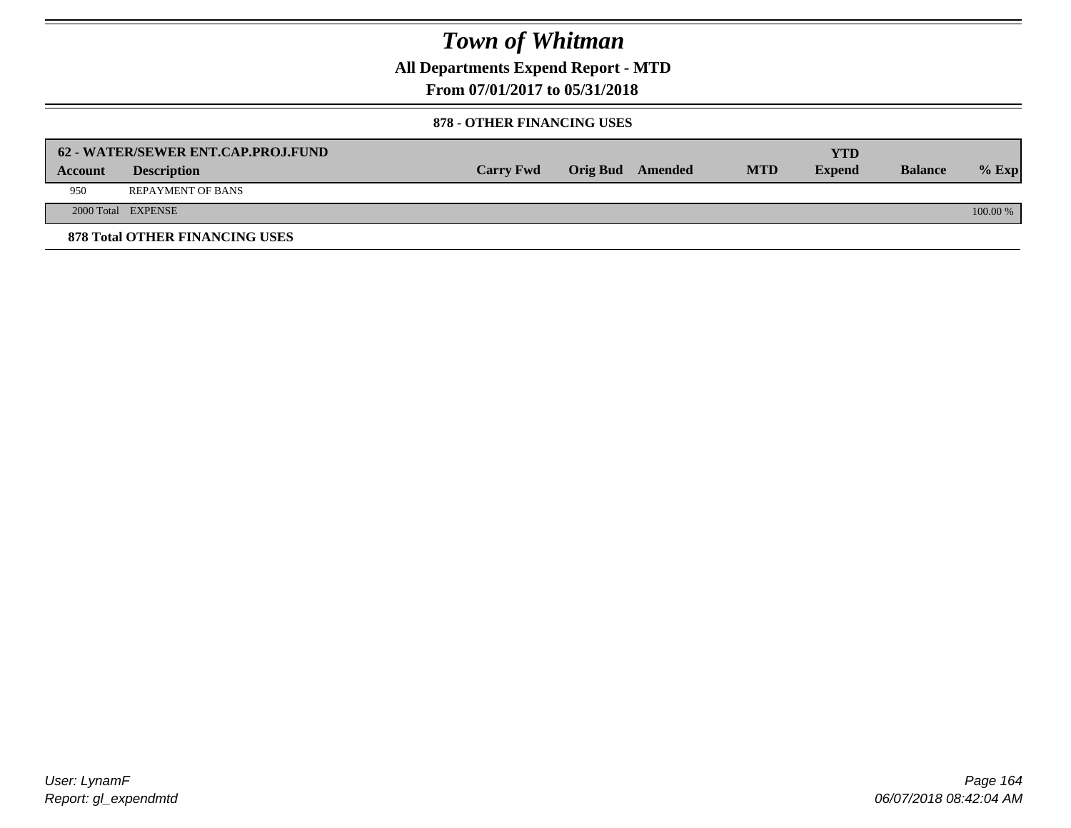**All Departments Expend Report - MTD**

**From 07/01/2017 to 05/31/2018**

#### **878 - OTHER FINANCING USES**

|                | 62 - WATER/SEWER ENT.CAP.PROJ.FUND    |                  |                  |            | YTD           |                |            |
|----------------|---------------------------------------|------------------|------------------|------------|---------------|----------------|------------|
| <b>Account</b> | <b>Description</b>                    | <b>Carry Fwd</b> | Orig Bud Amended | <b>MTD</b> | <b>Expend</b> | <b>Balance</b> | $%$ Exp    |
| 950            | <b>REPAYMENT OF BANS</b>              |                  |                  |            |               |                |            |
|                | 2000 Total EXPENSE                    |                  |                  |            |               |                | $100.00\%$ |
|                | <b>878 Total OTHER FINANCING USES</b> |                  |                  |            |               |                |            |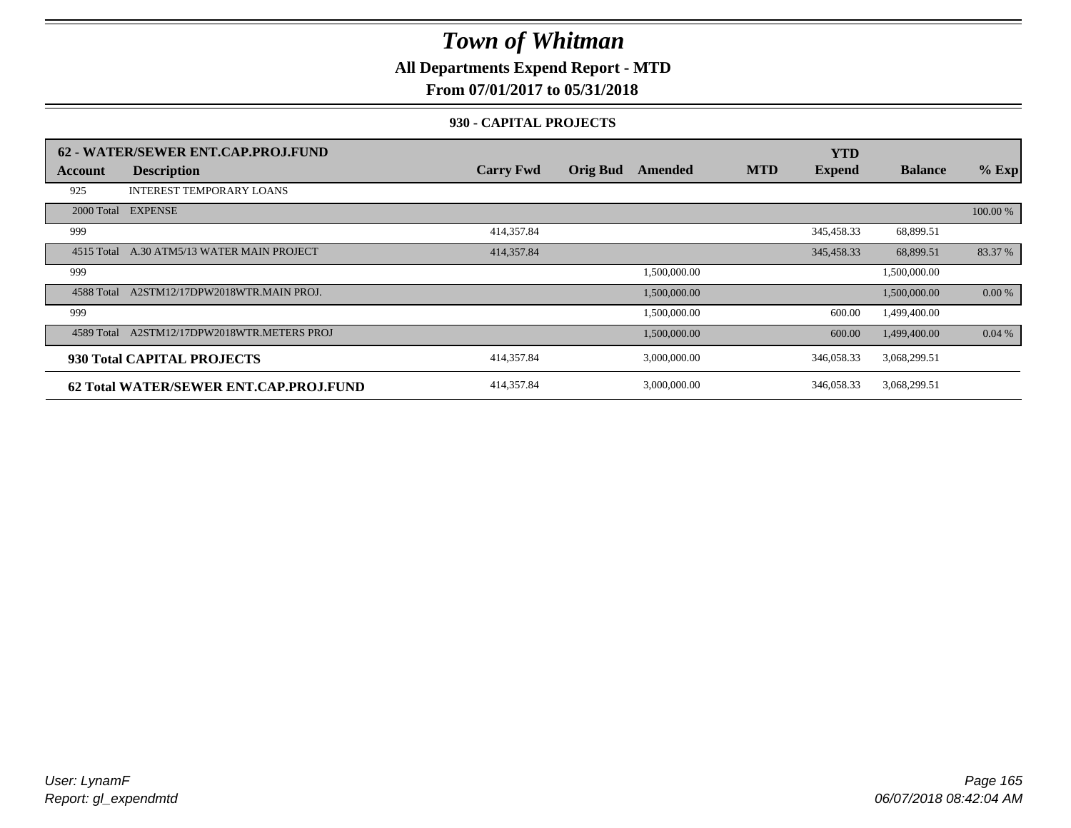**All Departments Expend Report - MTD**

**From 07/01/2017 to 05/31/2018**

### **930 - CAPITAL PROJECTS**

|            | 62 - WATER/SEWER ENT.CAP.PROJ.FUND     |                  |                 |              |            | <b>YTD</b>    |                |          |
|------------|----------------------------------------|------------------|-----------------|--------------|------------|---------------|----------------|----------|
| Account    | <b>Description</b>                     | <b>Carry Fwd</b> | <b>Orig Bud</b> | Amended      | <b>MTD</b> | <b>Expend</b> | <b>Balance</b> | $%$ Exp  |
| 925        | <b>INTEREST TEMPORARY LOANS</b>        |                  |                 |              |            |               |                |          |
| 2000 Total | <b>EXPENSE</b>                         |                  |                 |              |            |               |                | 100.00 % |
| 999        |                                        | 414,357.84       |                 |              |            | 345,458.33    | 68,899.51      |          |
| 4515 Total | A.30 ATM5/13 WATER MAIN PROJECT        | 414,357.84       |                 |              |            | 345,458.33    | 68,899.51      | 83.37 %  |
| 999        |                                        |                  |                 | 1,500,000.00 |            |               | 1,500,000.00   |          |
| 4588 Total | A2STM12/17DPW2018WTR.MAIN PROJ.        |                  |                 | 1,500,000.00 |            |               | 1,500,000.00   | 0.00 %   |
| 999        |                                        |                  |                 | 1,500,000.00 |            | 600.00        | 1,499,400.00   |          |
| 4589 Total | A2STM12/17DPW2018WTR.METERS PROJ       |                  |                 | 1,500,000.00 |            | 600.00        | 1,499,400.00   | 0.04%    |
|            | 930 Total CAPITAL PROJECTS             | 414,357.84       |                 | 3,000,000.00 |            | 346,058.33    | 3,068,299.51   |          |
|            | 62 Total WATER/SEWER ENT.CAP.PROJ.FUND | 414,357.84       |                 | 3,000,000.00 |            | 346,058.33    | 3,068,299.51   |          |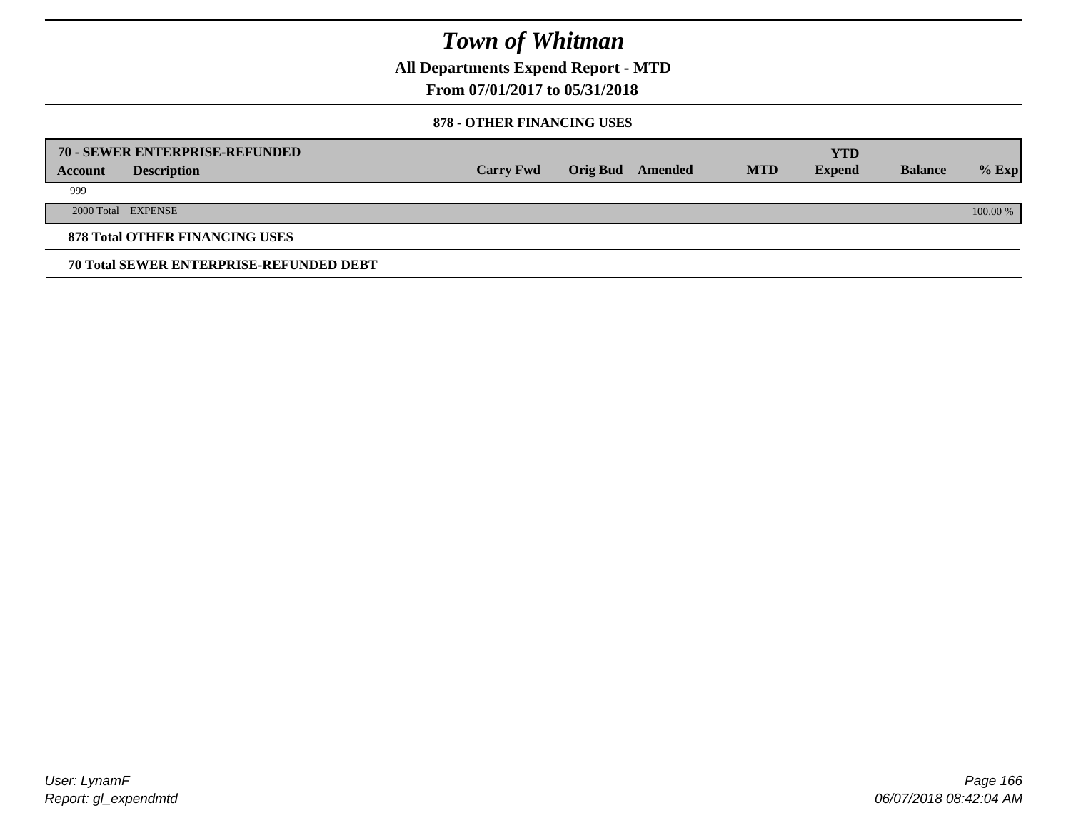**All Departments Expend Report - MTD**

### **From 07/01/2017 to 05/31/2018**

#### **878 - OTHER FINANCING USES**

|         | 70 - SEWER ENTERPRISE-REFUNDED                 |                  |                 |         |            | <b>YTD</b>    |                |          |
|---------|------------------------------------------------|------------------|-----------------|---------|------------|---------------|----------------|----------|
| Account | <b>Description</b>                             | <b>Carry Fwd</b> | <b>Orig Bud</b> | Amended | <b>MTD</b> | <b>Expend</b> | <b>Balance</b> | $%$ Exp  |
| 999     |                                                |                  |                 |         |            |               |                |          |
|         | 2000 Total EXPENSE                             |                  |                 |         |            |               |                | 100.00 % |
|         | <b>878 Total OTHER FINANCING USES</b>          |                  |                 |         |            |               |                |          |
|         | <b>70 Total SEWER ENTERPRISE-REFUNDED DEBT</b> |                  |                 |         |            |               |                |          |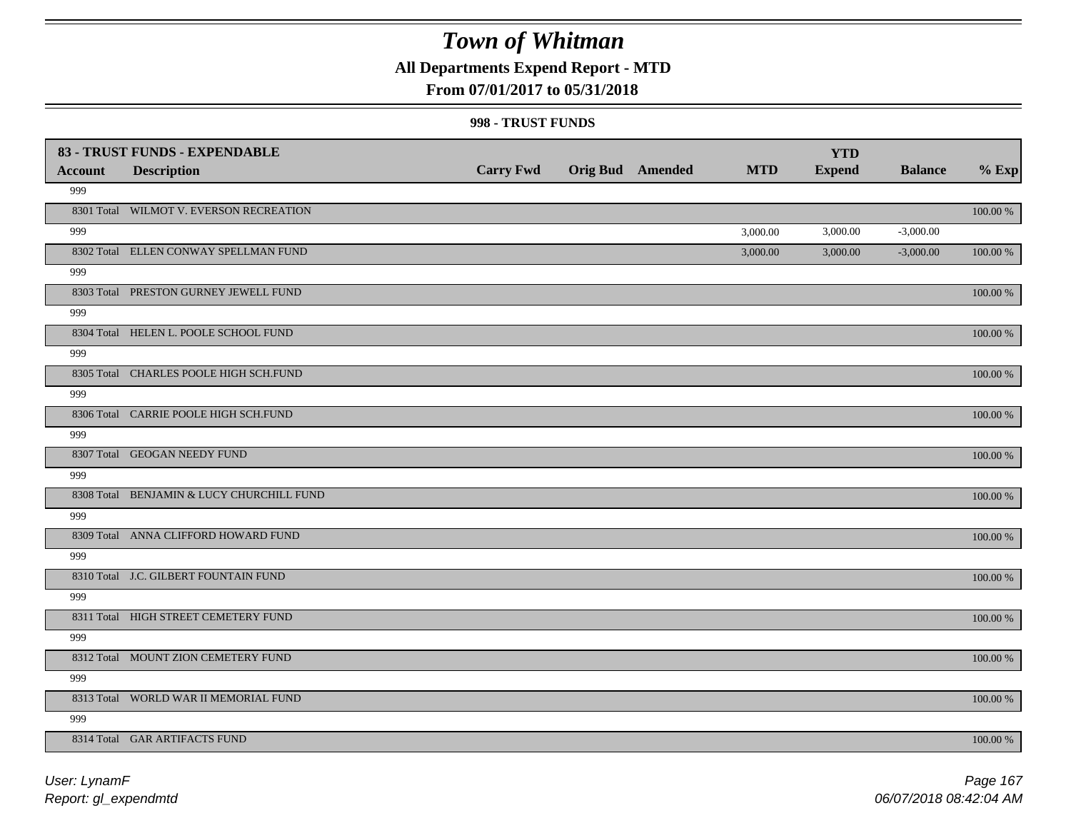## **All Departments Expend Report - MTD**

### **From 07/01/2017 to 05/31/2018**

|                | 83 - TRUST FUNDS - EXPENDABLE             |                  |                         |            | <b>YTD</b>    |                |             |
|----------------|-------------------------------------------|------------------|-------------------------|------------|---------------|----------------|-------------|
| <b>Account</b> | <b>Description</b>                        | <b>Carry Fwd</b> | <b>Orig Bud</b> Amended | <b>MTD</b> | <b>Expend</b> | <b>Balance</b> | $%$ Exp     |
| 999            |                                           |                  |                         |            |               |                |             |
|                | 8301 Total WILMOT V. EVERSON RECREATION   |                  |                         |            |               |                | 100.00 %    |
| 999            |                                           |                  |                         | 3,000.00   | 3,000.00      | $-3,000.00$    |             |
|                | 8302 Total ELLEN CONWAY SPELLMAN FUND     |                  |                         | 3,000.00   | 3,000.00      | $-3,000.00$    | 100.00 %    |
| 999            |                                           |                  |                         |            |               |                |             |
|                | 8303 Total PRESTON GURNEY JEWELL FUND     |                  |                         |            |               |                | 100.00 %    |
| 999            |                                           |                  |                         |            |               |                |             |
|                | 8304 Total HELEN L. POOLE SCHOOL FUND     |                  |                         |            |               |                | 100.00 %    |
| 999            |                                           |                  |                         |            |               |                |             |
|                | 8305 Total CHARLES POOLE HIGH SCH.FUND    |                  |                         |            |               |                | 100.00 %    |
| 999            |                                           |                  |                         |            |               |                |             |
|                | 8306 Total CARRIE POOLE HIGH SCH.FUND     |                  |                         |            |               |                | 100.00 %    |
| 999            |                                           |                  |                         |            |               |                |             |
|                | 8307 Total GEOGAN NEEDY FUND              |                  |                         |            |               |                | 100.00 %    |
| 999            |                                           |                  |                         |            |               |                |             |
|                | 8308 Total BENJAMIN & LUCY CHURCHILL FUND |                  |                         |            |               |                | 100.00 %    |
| 999            |                                           |                  |                         |            |               |                |             |
|                | 8309 Total ANNA CLIFFORD HOWARD FUND      |                  |                         |            |               |                | 100.00 %    |
| 999            |                                           |                  |                         |            |               |                |             |
|                | 8310 Total J.C. GILBERT FOUNTAIN FUND     |                  |                         |            |               |                | 100.00 %    |
| 999            |                                           |                  |                         |            |               |                |             |
|                | 8311 Total HIGH STREET CEMETERY FUND      |                  |                         |            |               |                | 100.00 %    |
| 999            |                                           |                  |                         |            |               |                |             |
|                | 8312 Total MOUNT ZION CEMETERY FUND       |                  |                         |            |               |                | $100.00~\%$ |
| 999            |                                           |                  |                         |            |               |                |             |
|                | 8313 Total WORLD WAR II MEMORIAL FUND     |                  |                         |            |               |                | 100.00 %    |
| 999            |                                           |                  |                         |            |               |                |             |
|                | 8314 Total GAR ARTIFACTS FUND             |                  |                         |            |               |                | 100.00 %    |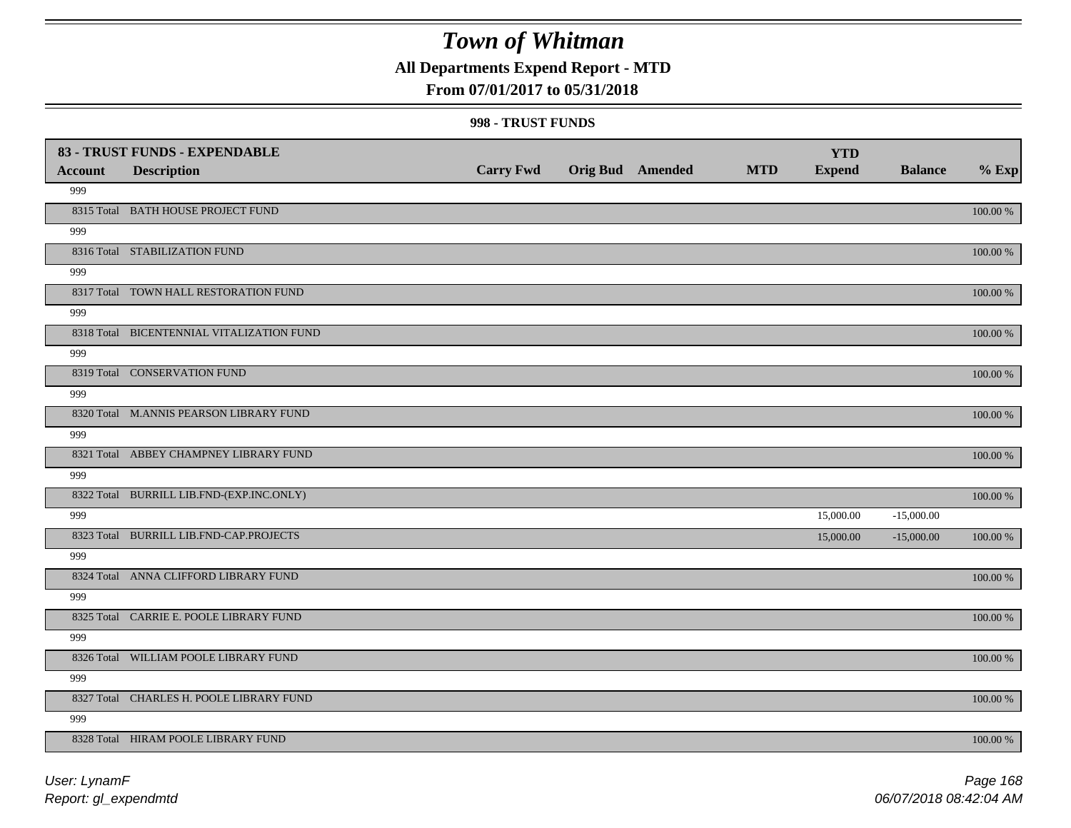### **All Departments Expend Report - MTD**

### **From 07/01/2017 to 05/31/2018**

|                | 83 - TRUST FUNDS - EXPENDABLE             |                  |                  |            | <b>YTD</b>    |                |             |
|----------------|-------------------------------------------|------------------|------------------|------------|---------------|----------------|-------------|
| <b>Account</b> | <b>Description</b>                        | <b>Carry Fwd</b> | Orig Bud Amended | <b>MTD</b> | <b>Expend</b> | <b>Balance</b> | $%$ Exp     |
| 999            |                                           |                  |                  |            |               |                |             |
|                | 8315 Total BATH HOUSE PROJECT FUND        |                  |                  |            |               |                | 100.00 %    |
| 999            |                                           |                  |                  |            |               |                |             |
|                | 8316 Total STABILIZATION FUND             |                  |                  |            |               |                | 100.00 %    |
| 999            |                                           |                  |                  |            |               |                |             |
|                | 8317 Total TOWN HALL RESTORATION FUND     |                  |                  |            |               |                | 100.00 %    |
| 999            |                                           |                  |                  |            |               |                |             |
|                | 8318 Total BICENTENNIAL VITALIZATION FUND |                  |                  |            |               |                | 100.00 %    |
| 999            |                                           |                  |                  |            |               |                |             |
|                | 8319 Total CONSERVATION FUND              |                  |                  |            |               |                | 100.00 %    |
| 999            |                                           |                  |                  |            |               |                |             |
|                | 8320 Total M.ANNIS PEARSON LIBRARY FUND   |                  |                  |            |               |                | 100.00 %    |
| 999            |                                           |                  |                  |            |               |                |             |
|                | 8321 Total ABBEY CHAMPNEY LIBRARY FUND    |                  |                  |            |               |                | 100.00 %    |
| 999            |                                           |                  |                  |            |               |                |             |
|                | 8322 Total BURRILL LIB.FND-(EXP.INC.ONLY) |                  |                  |            |               |                | 100.00 %    |
| 999            |                                           |                  |                  |            | 15,000.00     | $-15,000.00$   |             |
|                | 8323 Total BURRILL LIB.FND-CAP.PROJECTS   |                  |                  |            | 15,000.00     | $-15,000.00$   | 100.00 %    |
| 999            |                                           |                  |                  |            |               |                |             |
|                | 8324 Total ANNA CLIFFORD LIBRARY FUND     |                  |                  |            |               |                | 100.00 %    |
| 999            |                                           |                  |                  |            |               |                |             |
|                | 8325 Total CARRIE E. POOLE LIBRARY FUND   |                  |                  |            |               |                | 100.00 %    |
| 999            |                                           |                  |                  |            |               |                |             |
|                | 8326 Total WILLIAM POOLE LIBRARY FUND     |                  |                  |            |               |                | $100.00~\%$ |
| 999            |                                           |                  |                  |            |               |                |             |
|                | 8327 Total CHARLES H. POOLE LIBRARY FUND  |                  |                  |            |               |                | $100.00~\%$ |
| 999            |                                           |                  |                  |            |               |                |             |
|                | 8328 Total HIRAM POOLE LIBRARY FUND       |                  |                  |            |               |                | 100.00 %    |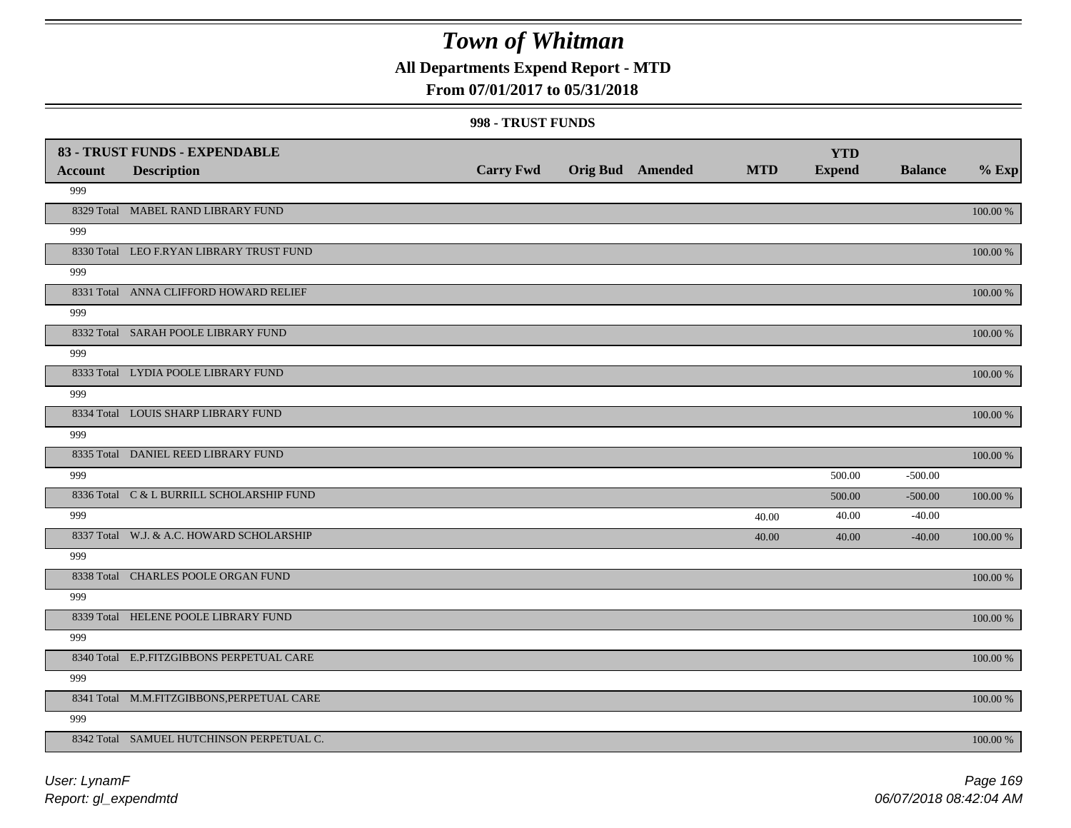### **All Departments Expend Report - MTD**

### **From 07/01/2017 to 05/31/2018**

|                       | 83 - TRUST FUNDS - EXPENDABLE              | <b>Carry Fwd</b> | <b>Orig Bud</b> Amended | <b>MTD</b> | <b>YTD</b><br><b>Expend</b> | <b>Balance</b> | $%$ Exp     |
|-----------------------|--------------------------------------------|------------------|-------------------------|------------|-----------------------------|----------------|-------------|
| <b>Account</b><br>999 | <b>Description</b>                         |                  |                         |            |                             |                |             |
|                       | 8329 Total MABEL RAND LIBRARY FUND         |                  |                         |            |                             |                | $100.00~\%$ |
| 999                   |                                            |                  |                         |            |                             |                |             |
|                       | 8330 Total LEO F.RYAN LIBRARY TRUST FUND   |                  |                         |            |                             |                | 100.00 %    |
| 999                   |                                            |                  |                         |            |                             |                |             |
|                       | 8331 Total ANNA CLIFFORD HOWARD RELIEF     |                  |                         |            |                             |                | 100.00 %    |
| 999                   |                                            |                  |                         |            |                             |                |             |
|                       | 8332 Total SARAH POOLE LIBRARY FUND        |                  |                         |            |                             |                | 100.00 %    |
| 999                   |                                            |                  |                         |            |                             |                |             |
|                       | 8333 Total LYDIA POOLE LIBRARY FUND        |                  |                         |            |                             |                | 100.00 %    |
| 999                   |                                            |                  |                         |            |                             |                |             |
|                       | 8334 Total LOUIS SHARP LIBRARY FUND        |                  |                         |            |                             |                | 100.00 %    |
| 999                   |                                            |                  |                         |            |                             |                |             |
|                       | 8335 Total DANIEL REED LIBRARY FUND        |                  |                         |            |                             |                | 100.00 %    |
| 999                   |                                            |                  |                         |            | 500.00                      | $-500.00$      |             |
|                       | 8336 Total C & L BURRILL SCHOLARSHIP FUND  |                  |                         |            | 500.00                      | $-500.00$      | 100.00 %    |
| 999                   |                                            |                  |                         | 40.00      | 40.00                       | $-40.00$       |             |
|                       | 8337 Total W.J. & A.C. HOWARD SCHOLARSHIP  |                  |                         | 40.00      | 40.00                       | $-40.00$       | $100.00~\%$ |
| 999                   |                                            |                  |                         |            |                             |                |             |
|                       | 8338 Total CHARLES POOLE ORGAN FUND        |                  |                         |            |                             |                | 100.00 %    |
| 999                   |                                            |                  |                         |            |                             |                |             |
|                       | 8339 Total HELENE POOLE LIBRARY FUND       |                  |                         |            |                             |                | 100.00 %    |
| 999                   |                                            |                  |                         |            |                             |                |             |
|                       | 8340 Total E.P.FITZGIBBONS PERPETUAL CARE  |                  |                         |            |                             |                | 100.00 %    |
| 999                   |                                            |                  |                         |            |                             |                |             |
|                       | 8341 Total M.M.FITZGIBBONS, PERPETUAL CARE |                  |                         |            |                             |                | 100.00 %    |
| 999                   |                                            |                  |                         |            |                             |                |             |
|                       | 8342 Total SAMUEL HUTCHINSON PERPETUAL C.  |                  |                         |            |                             |                | 100.00 %    |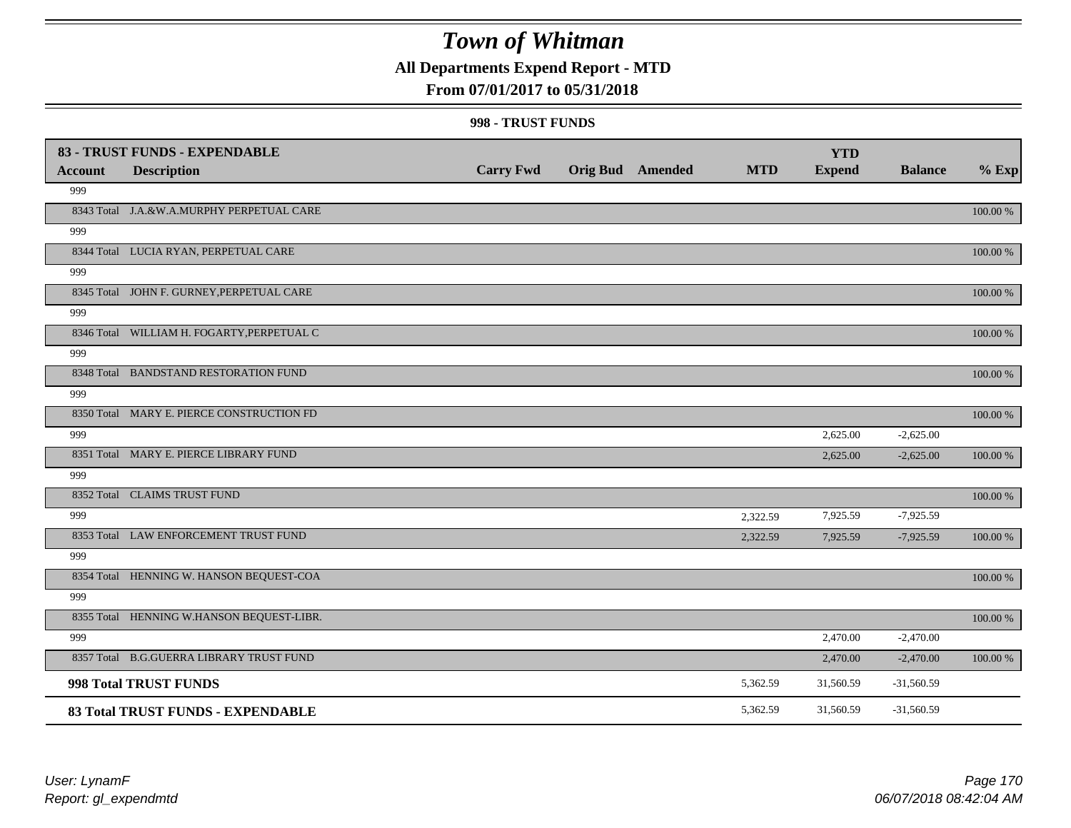## **All Departments Expend Report - MTD**

### **From 07/01/2017 to 05/31/2018**

| <b>Account</b> | 83 - TRUST FUNDS - EXPENDABLE<br><b>Description</b> | <b>Carry Fwd</b> | <b>Orig Bud</b> Amended | <b>MTD</b> | <b>YTD</b><br><b>Expend</b> | <b>Balance</b> | $%$ Exp    |
|----------------|-----------------------------------------------------|------------------|-------------------------|------------|-----------------------------|----------------|------------|
| 999            |                                                     |                  |                         |            |                             |                |            |
|                | 8343 Total J.A.&W.A.MURPHY PERPETUAL CARE           |                  |                         |            |                             |                | 100.00 %   |
| 999            |                                                     |                  |                         |            |                             |                |            |
|                | 8344 Total LUCIA RYAN, PERPETUAL CARE               |                  |                         |            |                             |                | 100.00 %   |
| 999            |                                                     |                  |                         |            |                             |                |            |
|                | 8345 Total JOHN F. GURNEY, PERPETUAL CARE           |                  |                         |            |                             |                | $100.00\%$ |
| 999            |                                                     |                  |                         |            |                             |                |            |
|                | 8346 Total WILLIAM H. FOGARTY, PERPETUAL C          |                  |                         |            |                             |                | 100.00 %   |
| 999            |                                                     |                  |                         |            |                             |                |            |
|                | 8348 Total BANDSTAND RESTORATION FUND               |                  |                         |            |                             |                | 100.00 %   |
| 999            |                                                     |                  |                         |            |                             |                |            |
|                | 8350 Total MARY E. PIERCE CONSTRUCTION FD           |                  |                         |            |                             |                | 100.00 %   |
| 999            |                                                     |                  |                         |            | 2,625.00                    | $-2,625.00$    |            |
|                | 8351 Total MARY E. PIERCE LIBRARY FUND              |                  |                         |            | 2,625.00                    | $-2,625.00$    | 100.00 %   |
| 999            |                                                     |                  |                         |            |                             |                |            |
|                | 8352 Total CLAIMS TRUST FUND                        |                  |                         |            |                             |                | 100.00 %   |
| 999            |                                                     |                  |                         | 2,322.59   | 7,925.59                    | $-7,925.59$    |            |
|                | 8353 Total LAW ENFORCEMENT TRUST FUND               |                  |                         | 2,322.59   | 7,925.59                    | $-7,925.59$    | 100.00 %   |
| 999            |                                                     |                  |                         |            |                             |                |            |
|                | 8354 Total HENNING W. HANSON BEQUEST-COA            |                  |                         |            |                             |                | $100.00\%$ |
| 999            |                                                     |                  |                         |            |                             |                |            |
|                | 8355 Total HENNING W.HANSON BEQUEST-LIBR.           |                  |                         |            |                             |                | 100.00 %   |
| 999            |                                                     |                  |                         |            | 2,470.00                    | $-2,470.00$    |            |
|                | 8357 Total B.G.GUERRA LIBRARY TRUST FUND            |                  |                         |            | 2,470.00                    | $-2,470.00$    | 100.00 %   |
|                | 998 Total TRUST FUNDS                               |                  |                         | 5,362.59   | 31,560.59                   | $-31,560.59$   |            |
|                | 83 Total TRUST FUNDS - EXPENDABLE                   |                  |                         | 5,362.59   | 31,560.59                   | $-31,560.59$   |            |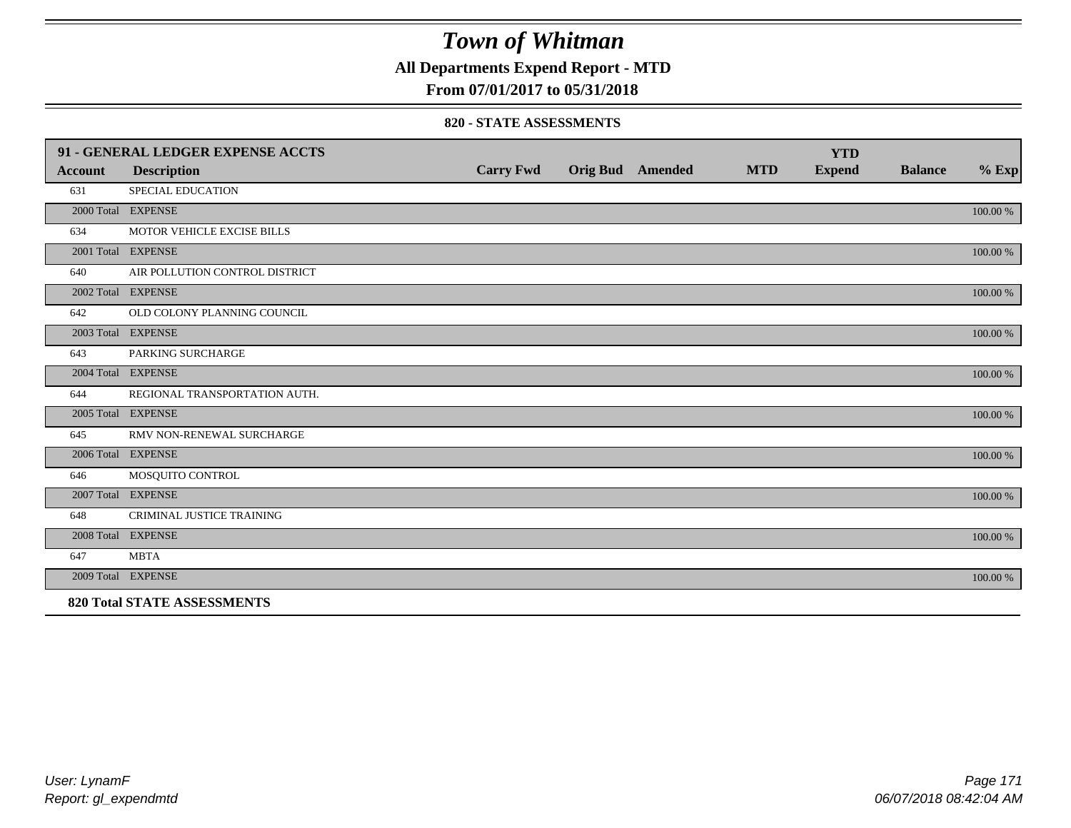**All Departments Expend Report - MTD**

### **From 07/01/2017 to 05/31/2018**

#### **820 - STATE ASSESSMENTS**

|         | 91 - GENERAL LEDGER EXPENSE ACCTS  |                  |                         |            | <b>YTD</b>    |                |          |
|---------|------------------------------------|------------------|-------------------------|------------|---------------|----------------|----------|
| Account | <b>Description</b>                 | <b>Carry Fwd</b> | <b>Orig Bud</b> Amended | <b>MTD</b> | <b>Expend</b> | <b>Balance</b> | $%$ Exp  |
| 631     | SPECIAL EDUCATION                  |                  |                         |            |               |                |          |
|         | 2000 Total EXPENSE                 |                  |                         |            |               |                | 100.00 % |
| 634     | MOTOR VEHICLE EXCISE BILLS         |                  |                         |            |               |                |          |
|         | 2001 Total EXPENSE                 |                  |                         |            |               |                | 100.00 % |
| 640     | AIR POLLUTION CONTROL DISTRICT     |                  |                         |            |               |                |          |
|         | 2002 Total EXPENSE                 |                  |                         |            |               |                | 100.00 % |
| 642     | OLD COLONY PLANNING COUNCIL        |                  |                         |            |               |                |          |
|         | 2003 Total EXPENSE                 |                  |                         |            |               |                | 100.00 % |
| 643     | PARKING SURCHARGE                  |                  |                         |            |               |                |          |
|         | 2004 Total EXPENSE                 |                  |                         |            |               |                | 100.00 % |
| 644     | REGIONAL TRANSPORTATION AUTH.      |                  |                         |            |               |                |          |
|         | 2005 Total EXPENSE                 |                  |                         |            |               |                | 100.00 % |
| 645     | RMV NON-RENEWAL SURCHARGE          |                  |                         |            |               |                |          |
|         | 2006 Total EXPENSE                 |                  |                         |            |               |                | 100.00 % |
| 646     | MOSQUITO CONTROL                   |                  |                         |            |               |                |          |
|         | 2007 Total EXPENSE                 |                  |                         |            |               |                | 100.00 % |
| 648     | CRIMINAL JUSTICE TRAINING          |                  |                         |            |               |                |          |
|         | 2008 Total EXPENSE                 |                  |                         |            |               |                | 100.00 % |
| 647     | <b>MBTA</b>                        |                  |                         |            |               |                |          |
|         | 2009 Total EXPENSE                 |                  |                         |            |               |                | 100.00 % |
|         | <b>820 Total STATE ASSESSMENTS</b> |                  |                         |            |               |                |          |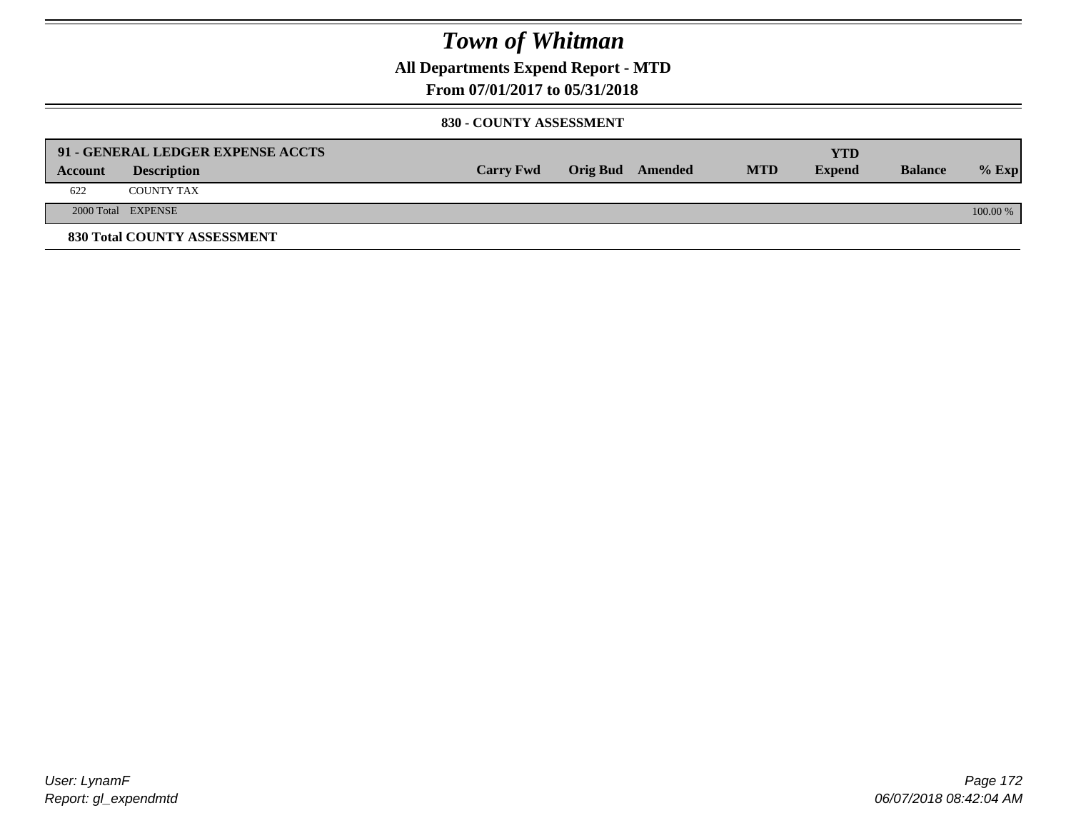**All Departments Expend Report - MTD**

### **From 07/01/2017 to 05/31/2018**

#### **830 - COUNTY ASSESSMENT**

|         | 91 - GENERAL LEDGER EXPENSE ACCTS |                  |                  |            | YTD           |                |            |
|---------|-----------------------------------|------------------|------------------|------------|---------------|----------------|------------|
| Account | <b>Description</b>                | <b>Carry Fwd</b> | Orig Bud Amended | <b>MTD</b> | <b>Expend</b> | <b>Balance</b> | $%$ Exp    |
| 622     | <b>COUNTY TAX</b>                 |                  |                  |            |               |                |            |
|         | 2000 Total EXPENSE                |                  |                  |            |               |                | $100.00\%$ |
|         | 830 Total COUNTY ASSESSMENT       |                  |                  |            |               |                |            |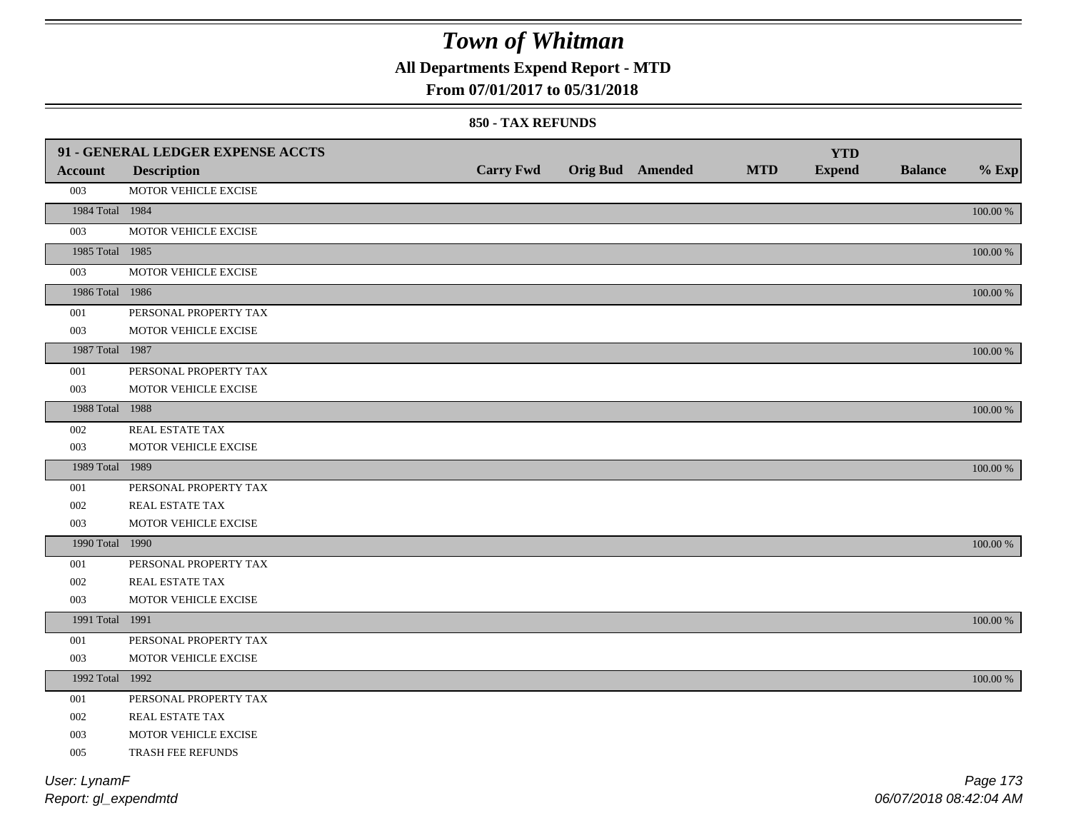## **All Departments Expend Report - MTD**

### **From 07/01/2017 to 05/31/2018**

#### **850 - TAX REFUNDS**

|                 | 91 - GENERAL LEDGER EXPENSE ACCTS |                  |                         |            | <b>YTD</b>    |                |             |
|-----------------|-----------------------------------|------------------|-------------------------|------------|---------------|----------------|-------------|
| <b>Account</b>  | <b>Description</b>                | <b>Carry Fwd</b> | <b>Orig Bud</b> Amended | <b>MTD</b> | <b>Expend</b> | <b>Balance</b> | $%$ Exp     |
| 003             | MOTOR VEHICLE EXCISE              |                  |                         |            |               |                |             |
| 1984 Total 1984 |                                   |                  |                         |            |               |                | $100.00~\%$ |
| 003             | MOTOR VEHICLE EXCISE              |                  |                         |            |               |                |             |
| 1985 Total 1985 |                                   |                  |                         |            |               |                | 100.00 %    |
| 003             | MOTOR VEHICLE EXCISE              |                  |                         |            |               |                |             |
| 1986 Total 1986 |                                   |                  |                         |            |               |                | 100.00 %    |
| 001             | PERSONAL PROPERTY TAX             |                  |                         |            |               |                |             |
| 003             | MOTOR VEHICLE EXCISE              |                  |                         |            |               |                |             |
| 1987 Total 1987 |                                   |                  |                         |            |               |                | 100.00 %    |
| 001             | PERSONAL PROPERTY TAX             |                  |                         |            |               |                |             |
| 003             | MOTOR VEHICLE EXCISE              |                  |                         |            |               |                |             |
| 1988 Total 1988 |                                   |                  |                         |            |               |                | 100.00 %    |
| 002             | REAL ESTATE TAX                   |                  |                         |            |               |                |             |
| 003             | MOTOR VEHICLE EXCISE              |                  |                         |            |               |                |             |
| 1989 Total 1989 |                                   |                  |                         |            |               |                | 100.00 %    |
| 001             | PERSONAL PROPERTY TAX             |                  |                         |            |               |                |             |
| 002             | <b>REAL ESTATE TAX</b>            |                  |                         |            |               |                |             |
| 003             | MOTOR VEHICLE EXCISE              |                  |                         |            |               |                |             |
| 1990 Total 1990 |                                   |                  |                         |            |               |                | 100.00 %    |
| $001\,$         | PERSONAL PROPERTY TAX             |                  |                         |            |               |                |             |
| 002             | REAL ESTATE TAX                   |                  |                         |            |               |                |             |
| 003             | MOTOR VEHICLE EXCISE              |                  |                         |            |               |                |             |
| 1991 Total 1991 |                                   |                  |                         |            |               |                | 100.00 %    |
| 001             | PERSONAL PROPERTY TAX             |                  |                         |            |               |                |             |
| 003             | MOTOR VEHICLE EXCISE              |                  |                         |            |               |                |             |
| 1992 Total 1992 |                                   |                  |                         |            |               |                | 100.00 %    |
| 001             | PERSONAL PROPERTY TAX             |                  |                         |            |               |                |             |
| 002             | <b>REAL ESTATE TAX</b>            |                  |                         |            |               |                |             |
| 003             | MOTOR VEHICLE EXCISE              |                  |                         |            |               |                |             |
| 005             | TRASH FEE REFUNDS                 |                  |                         |            |               |                |             |
| User: LynamF    |                                   |                  |                         |            |               |                | Page 173    |
|                 |                                   |                  |                         |            |               |                |             |

*Report: gl\_expendmtd*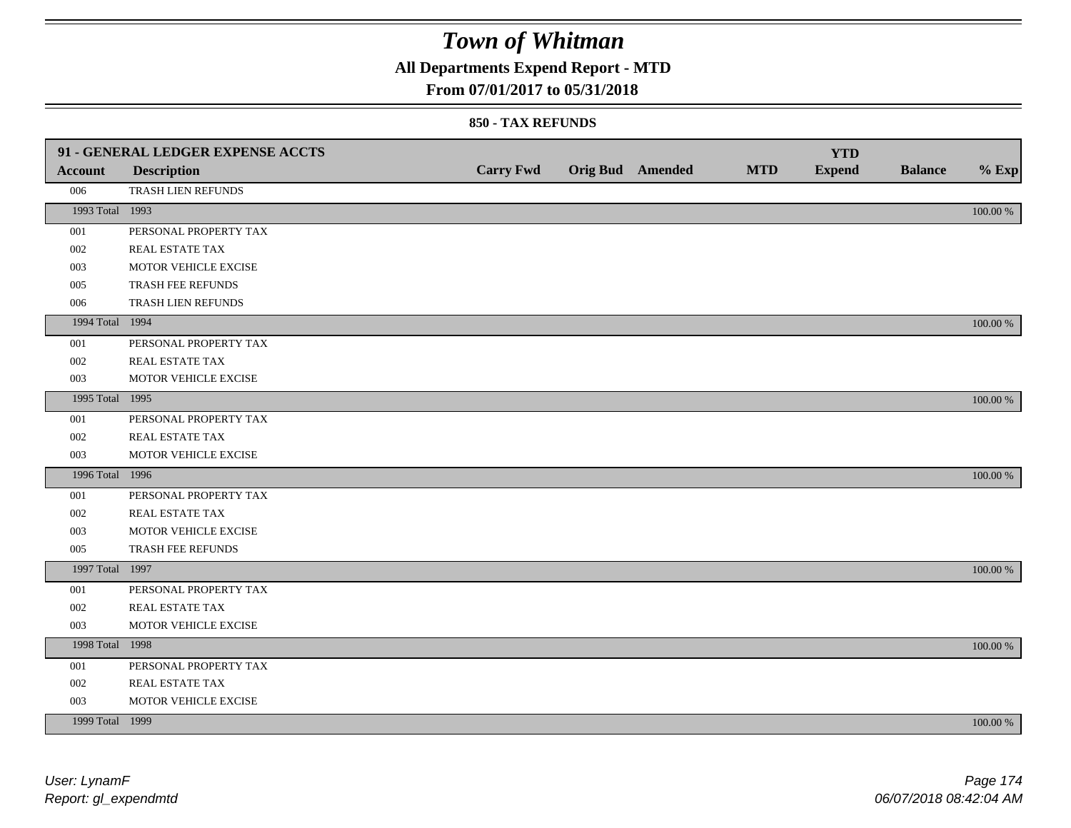## **All Departments Expend Report - MTD**

### **From 07/01/2017 to 05/31/2018**

|                 | 91 - GENERAL LEDGER EXPENSE ACCTS |                  |                  |            | <b>YTD</b>    |                |             |
|-----------------|-----------------------------------|------------------|------------------|------------|---------------|----------------|-------------|
| <b>Account</b>  | <b>Description</b>                | <b>Carry Fwd</b> | Orig Bud Amended | <b>MTD</b> | <b>Expend</b> | <b>Balance</b> | $%$ Exp     |
| 006             | TRASH LIEN REFUNDS                |                  |                  |            |               |                |             |
| 1993 Total 1993 |                                   |                  |                  |            |               |                | $100.00~\%$ |
| 001             | PERSONAL PROPERTY TAX             |                  |                  |            |               |                |             |
| 002             | REAL ESTATE TAX                   |                  |                  |            |               |                |             |
| 003             | MOTOR VEHICLE EXCISE              |                  |                  |            |               |                |             |
| 005             | TRASH FEE REFUNDS                 |                  |                  |            |               |                |             |
| 006             | TRASH LIEN REFUNDS                |                  |                  |            |               |                |             |
| 1994 Total 1994 |                                   |                  |                  |            |               |                | 100.00 %    |
| 001             | PERSONAL PROPERTY TAX             |                  |                  |            |               |                |             |
| 002             | REAL ESTATE TAX                   |                  |                  |            |               |                |             |
| 003             | MOTOR VEHICLE EXCISE              |                  |                  |            |               |                |             |
| 1995 Total 1995 |                                   |                  |                  |            |               |                | 100.00 %    |
| 001             | PERSONAL PROPERTY TAX             |                  |                  |            |               |                |             |
| 002             | REAL ESTATE TAX                   |                  |                  |            |               |                |             |
| 003             | MOTOR VEHICLE EXCISE              |                  |                  |            |               |                |             |
| 1996 Total 1996 |                                   |                  |                  |            |               |                | 100.00 %    |
| 001             | PERSONAL PROPERTY TAX             |                  |                  |            |               |                |             |
| 002             | REAL ESTATE TAX                   |                  |                  |            |               |                |             |
| 003             | MOTOR VEHICLE EXCISE              |                  |                  |            |               |                |             |
| 005             | TRASH FEE REFUNDS                 |                  |                  |            |               |                |             |
| 1997 Total 1997 |                                   |                  |                  |            |               |                | 100.00 %    |
| 001             | PERSONAL PROPERTY TAX             |                  |                  |            |               |                |             |
| 002             | REAL ESTATE TAX                   |                  |                  |            |               |                |             |
| 003             | MOTOR VEHICLE EXCISE              |                  |                  |            |               |                |             |
| 1998 Total 1998 |                                   |                  |                  |            |               |                | 100.00 %    |
| 001             | PERSONAL PROPERTY TAX             |                  |                  |            |               |                |             |
| 002             | REAL ESTATE TAX                   |                  |                  |            |               |                |             |
| 003             | MOTOR VEHICLE EXCISE              |                  |                  |            |               |                |             |
| 1999 Total 1999 |                                   |                  |                  |            |               |                | 100.00 %    |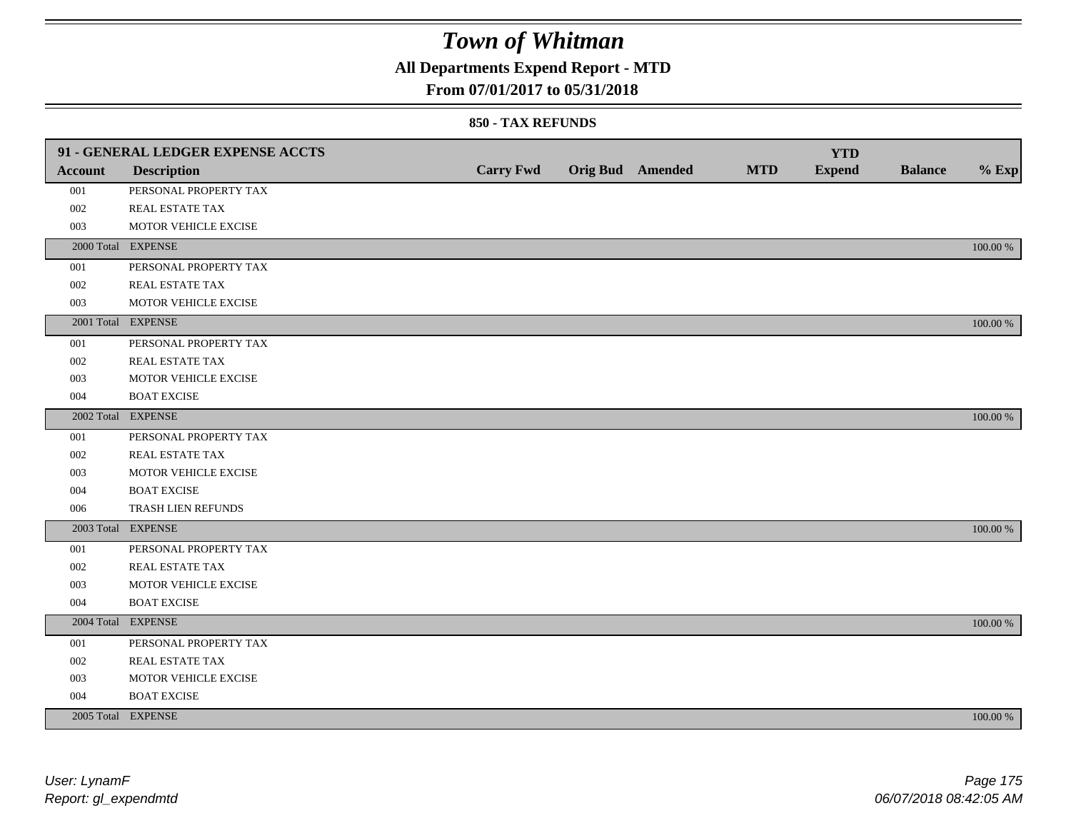## **All Departments Expend Report - MTD**

### **From 07/01/2017 to 05/31/2018**

|                | 91 - GENERAL LEDGER EXPENSE ACCTS |                  |                  |            | <b>YTD</b>    |                |             |
|----------------|-----------------------------------|------------------|------------------|------------|---------------|----------------|-------------|
| <b>Account</b> | <b>Description</b>                | <b>Carry Fwd</b> | Orig Bud Amended | <b>MTD</b> | <b>Expend</b> | <b>Balance</b> | $%$ Exp     |
| 001            | PERSONAL PROPERTY TAX             |                  |                  |            |               |                |             |
| 002            | REAL ESTATE TAX                   |                  |                  |            |               |                |             |
| 003            | MOTOR VEHICLE EXCISE              |                  |                  |            |               |                |             |
|                | 2000 Total EXPENSE                |                  |                  |            |               |                | 100.00 %    |
| 001            | PERSONAL PROPERTY TAX             |                  |                  |            |               |                |             |
| $002\,$        | REAL ESTATE TAX                   |                  |                  |            |               |                |             |
| 003            | MOTOR VEHICLE EXCISE              |                  |                  |            |               |                |             |
|                | 2001 Total EXPENSE                |                  |                  |            |               |                | 100.00 %    |
| 001            | PERSONAL PROPERTY TAX             |                  |                  |            |               |                |             |
| 002            | REAL ESTATE TAX                   |                  |                  |            |               |                |             |
| 003            | MOTOR VEHICLE EXCISE              |                  |                  |            |               |                |             |
| 004            | <b>BOAT EXCISE</b>                |                  |                  |            |               |                |             |
|                | 2002 Total EXPENSE                |                  |                  |            |               |                | 100.00 %    |
| 001            | PERSONAL PROPERTY TAX             |                  |                  |            |               |                |             |
| 002            | REAL ESTATE TAX                   |                  |                  |            |               |                |             |
| 003            | MOTOR VEHICLE EXCISE              |                  |                  |            |               |                |             |
| 004            | <b>BOAT EXCISE</b>                |                  |                  |            |               |                |             |
| 006            | TRASH LIEN REFUNDS                |                  |                  |            |               |                |             |
|                | 2003 Total EXPENSE                |                  |                  |            |               |                | 100.00 %    |
| 001            | PERSONAL PROPERTY TAX             |                  |                  |            |               |                |             |
| 002            | REAL ESTATE TAX                   |                  |                  |            |               |                |             |
| 003            | MOTOR VEHICLE EXCISE              |                  |                  |            |               |                |             |
| 004            | <b>BOAT EXCISE</b>                |                  |                  |            |               |                |             |
|                | 2004 Total EXPENSE                |                  |                  |            |               |                | 100.00 %    |
| 001            | PERSONAL PROPERTY TAX             |                  |                  |            |               |                |             |
| 002            | REAL ESTATE TAX                   |                  |                  |            |               |                |             |
| 003            | MOTOR VEHICLE EXCISE              |                  |                  |            |               |                |             |
| 004            | <b>BOAT EXCISE</b>                |                  |                  |            |               |                |             |
|                | 2005 Total EXPENSE                |                  |                  |            |               |                | $100.00~\%$ |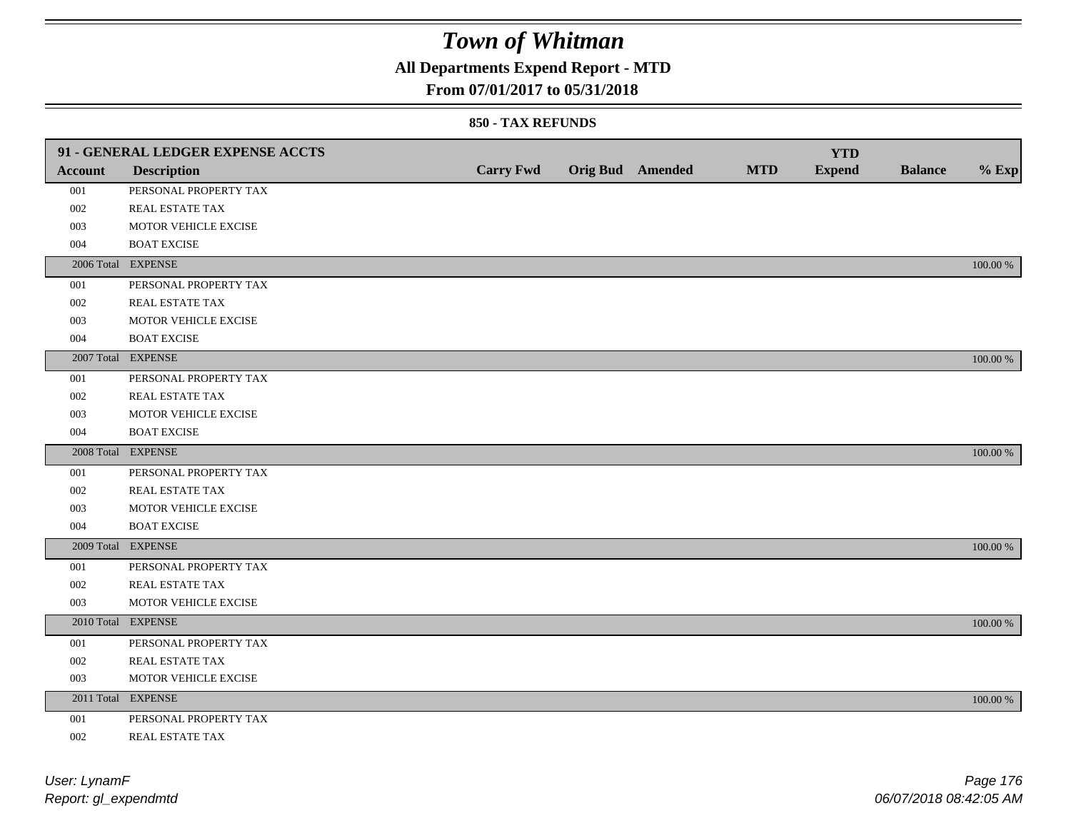## **All Departments Expend Report - MTD**

### **From 07/01/2017 to 05/31/2018**

|         | 91 - GENERAL LEDGER EXPENSE ACCTS |                  |                         |            | <b>YTD</b>    |                |             |
|---------|-----------------------------------|------------------|-------------------------|------------|---------------|----------------|-------------|
| Account | <b>Description</b>                | <b>Carry Fwd</b> | <b>Orig Bud</b> Amended | <b>MTD</b> | <b>Expend</b> | <b>Balance</b> | $%$ Exp     |
| 001     | PERSONAL PROPERTY TAX             |                  |                         |            |               |                |             |
| 002     | REAL ESTATE TAX                   |                  |                         |            |               |                |             |
| 003     | MOTOR VEHICLE EXCISE              |                  |                         |            |               |                |             |
| 004     | <b>BOAT EXCISE</b>                |                  |                         |            |               |                |             |
|         | 2006 Total EXPENSE                |                  |                         |            |               |                | 100.00 %    |
| 001     | PERSONAL PROPERTY TAX             |                  |                         |            |               |                |             |
| 002     | REAL ESTATE TAX                   |                  |                         |            |               |                |             |
| 003     | MOTOR VEHICLE EXCISE              |                  |                         |            |               |                |             |
| 004     | <b>BOAT EXCISE</b>                |                  |                         |            |               |                |             |
|         | 2007 Total EXPENSE                |                  |                         |            |               |                | 100.00 %    |
| 001     | PERSONAL PROPERTY TAX             |                  |                         |            |               |                |             |
| 002     | REAL ESTATE TAX                   |                  |                         |            |               |                |             |
| 003     | MOTOR VEHICLE EXCISE              |                  |                         |            |               |                |             |
| 004     | <b>BOAT EXCISE</b>                |                  |                         |            |               |                |             |
|         | 2008 Total EXPENSE                |                  |                         |            |               |                | 100.00 %    |
| 001     | PERSONAL PROPERTY TAX             |                  |                         |            |               |                |             |
| 002     | <b>REAL ESTATE TAX</b>            |                  |                         |            |               |                |             |
| 003     | MOTOR VEHICLE EXCISE              |                  |                         |            |               |                |             |
| 004     | <b>BOAT EXCISE</b>                |                  |                         |            |               |                |             |
|         | 2009 Total EXPENSE                |                  |                         |            |               |                | 100.00 %    |
| 001     | PERSONAL PROPERTY TAX             |                  |                         |            |               |                |             |
| 002     | REAL ESTATE TAX                   |                  |                         |            |               |                |             |
| 003     | MOTOR VEHICLE EXCISE              |                  |                         |            |               |                |             |
|         | 2010 Total EXPENSE                |                  |                         |            |               |                | 100.00 %    |
| 001     | PERSONAL PROPERTY TAX             |                  |                         |            |               |                |             |
| 002     | REAL ESTATE TAX                   |                  |                         |            |               |                |             |
| 003     | MOTOR VEHICLE EXCISE              |                  |                         |            |               |                |             |
|         | 2011 Total EXPENSE                |                  |                         |            |               |                | $100.00~\%$ |
| 001     | PERSONAL PROPERTY TAX             |                  |                         |            |               |                |             |
| 002     | REAL ESTATE TAX                   |                  |                         |            |               |                |             |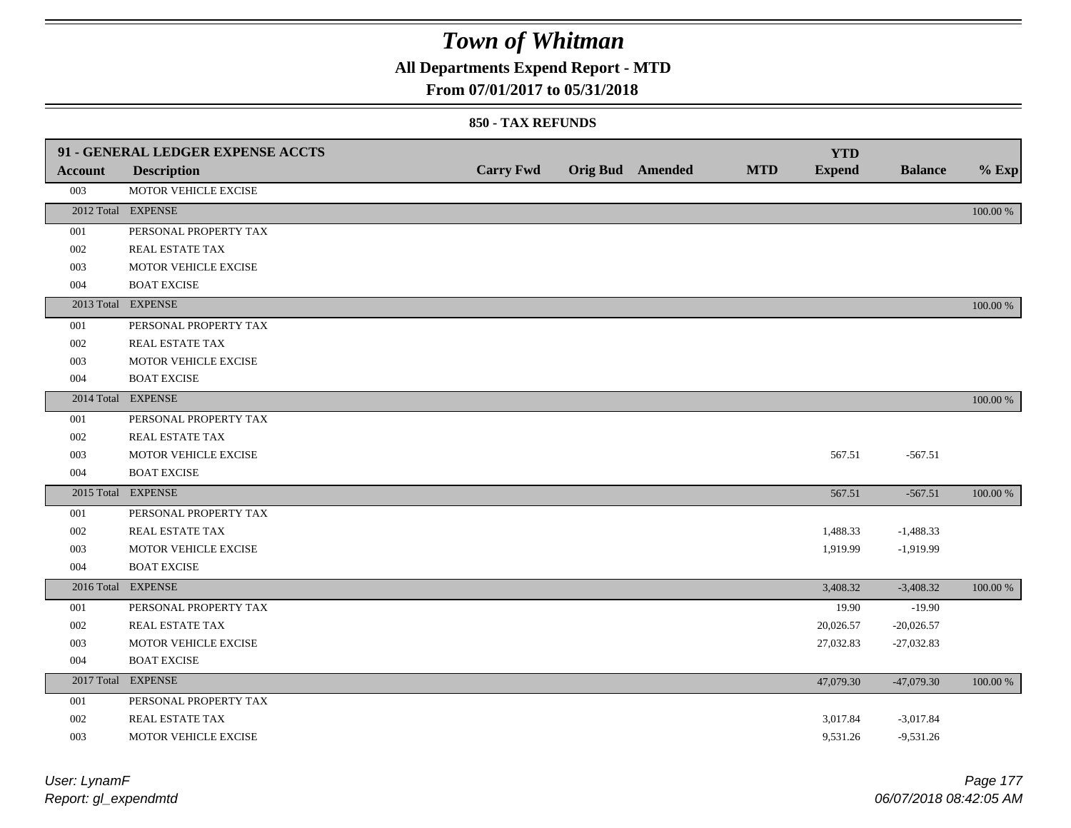## **All Departments Expend Report - MTD**

### **From 07/01/2017 to 05/31/2018**

| <b>Account</b> | 91 - GENERAL LEDGER EXPENSE ACCTS<br><b>Description</b> | <b>Carry Fwd</b> | <b>Orig Bud</b> Amended | <b>MTD</b> | <b>YTD</b><br><b>Expend</b> | <b>Balance</b> | $%$ Exp     |
|----------------|---------------------------------------------------------|------------------|-------------------------|------------|-----------------------------|----------------|-------------|
| 003            | MOTOR VEHICLE EXCISE                                    |                  |                         |            |                             |                |             |
|                | 2012 Total EXPENSE                                      |                  |                         |            |                             |                | 100.00 %    |
| 001            | PERSONAL PROPERTY TAX                                   |                  |                         |            |                             |                |             |
| 002            | REAL ESTATE TAX                                         |                  |                         |            |                             |                |             |
| 003            | MOTOR VEHICLE EXCISE                                    |                  |                         |            |                             |                |             |
| 004            | <b>BOAT EXCISE</b>                                      |                  |                         |            |                             |                |             |
|                | 2013 Total EXPENSE                                      |                  |                         |            |                             |                | $100.00~\%$ |
| 001            | PERSONAL PROPERTY TAX                                   |                  |                         |            |                             |                |             |
| 002            | REAL ESTATE TAX                                         |                  |                         |            |                             |                |             |
| 003            | MOTOR VEHICLE EXCISE                                    |                  |                         |            |                             |                |             |
| 004            | <b>BOAT EXCISE</b>                                      |                  |                         |            |                             |                |             |
|                | 2014 Total EXPENSE                                      |                  |                         |            |                             |                | 100.00 %    |
| 001            | PERSONAL PROPERTY TAX                                   |                  |                         |            |                             |                |             |
| 002            | REAL ESTATE TAX                                         |                  |                         |            |                             |                |             |
| 003            | MOTOR VEHICLE EXCISE                                    |                  |                         |            | 567.51                      | $-567.51$      |             |
| 004            | <b>BOAT EXCISE</b>                                      |                  |                         |            |                             |                |             |
|                | 2015 Total EXPENSE                                      |                  |                         |            | 567.51                      | $-567.51$      | 100.00 %    |
| 001            | PERSONAL PROPERTY TAX                                   |                  |                         |            |                             |                |             |
| 002            | REAL ESTATE TAX                                         |                  |                         |            | 1,488.33                    | $-1,488.33$    |             |
| 003            | MOTOR VEHICLE EXCISE                                    |                  |                         |            | 1,919.99                    | $-1,919.99$    |             |
| 004            | <b>BOAT EXCISE</b>                                      |                  |                         |            |                             |                |             |
|                | 2016 Total EXPENSE                                      |                  |                         |            | 3,408.32                    | $-3,408.32$    | 100.00 %    |
| 001            | PERSONAL PROPERTY TAX                                   |                  |                         |            | 19.90                       | $-19.90$       |             |
| 002            | REAL ESTATE TAX                                         |                  |                         |            | 20,026.57                   | $-20,026.57$   |             |
| 003            | MOTOR VEHICLE EXCISE                                    |                  |                         |            | 27,032.83                   | $-27,032.83$   |             |
| 004            | <b>BOAT EXCISE</b>                                      |                  |                         |            |                             |                |             |
|                | 2017 Total EXPENSE                                      |                  |                         |            | 47,079.30                   | $-47,079.30$   | 100.00 %    |
| 001            | PERSONAL PROPERTY TAX                                   |                  |                         |            |                             |                |             |
| 002            | REAL ESTATE TAX                                         |                  |                         |            | 3,017.84                    | $-3,017.84$    |             |
| 003            | MOTOR VEHICLE EXCISE                                    |                  |                         |            | 9,531.26                    | $-9,531.26$    |             |

| User: LynamF         |    |
|----------------------|----|
| Report: gl_expendmtd | 06 |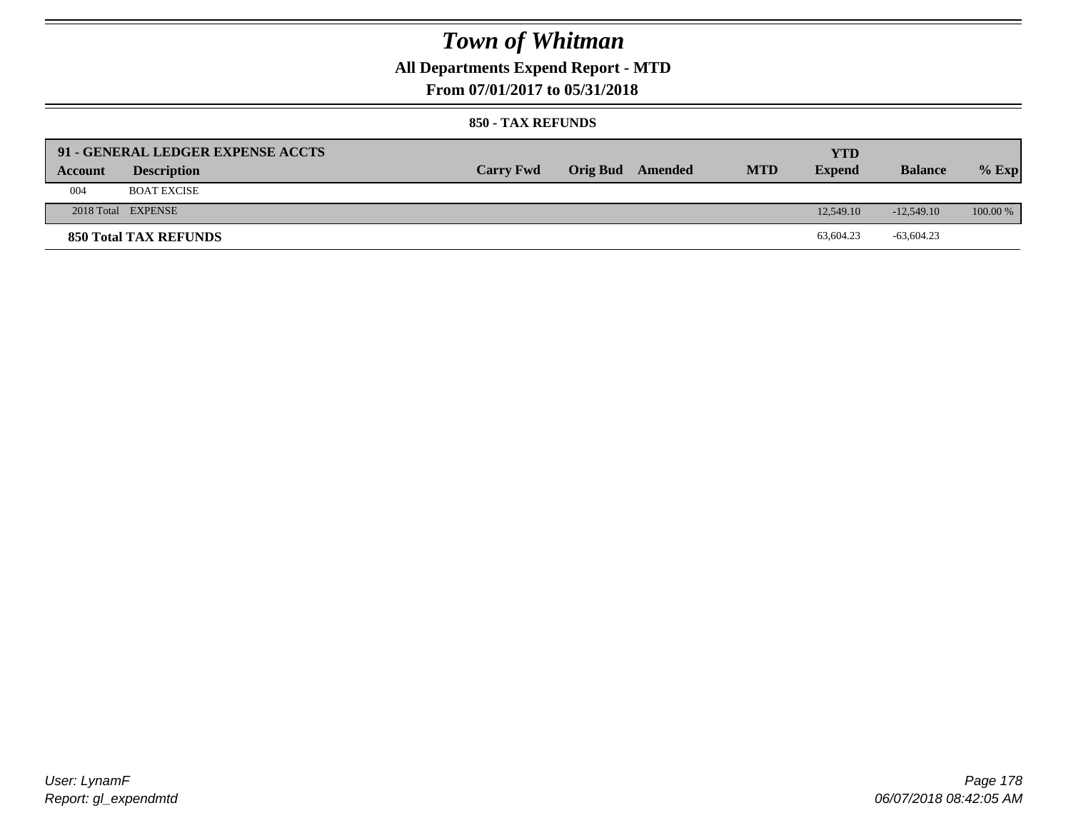## **All Departments Expend Report - MTD**

### **From 07/01/2017 to 05/31/2018**

|         | 91 - GENERAL LEDGER EXPENSE ACCTS |                  |                         |            | YTD           |                |            |
|---------|-----------------------------------|------------------|-------------------------|------------|---------------|----------------|------------|
| Account | <b>Description</b>                | <b>Carry Fwd</b> | <b>Orig Bud</b> Amended | <b>MTD</b> | <b>Expend</b> | <b>Balance</b> | $%$ Exp    |
| 004     | <b>BOAT EXCISE</b>                |                  |                         |            |               |                |            |
|         | 2018 Total EXPENSE                |                  |                         |            | 12,549.10     | $-12.549.10$   | $100.00\%$ |
|         | <b>850 Total TAX REFUNDS</b>      |                  |                         |            | 63,604.23     | $-63,604.23$   |            |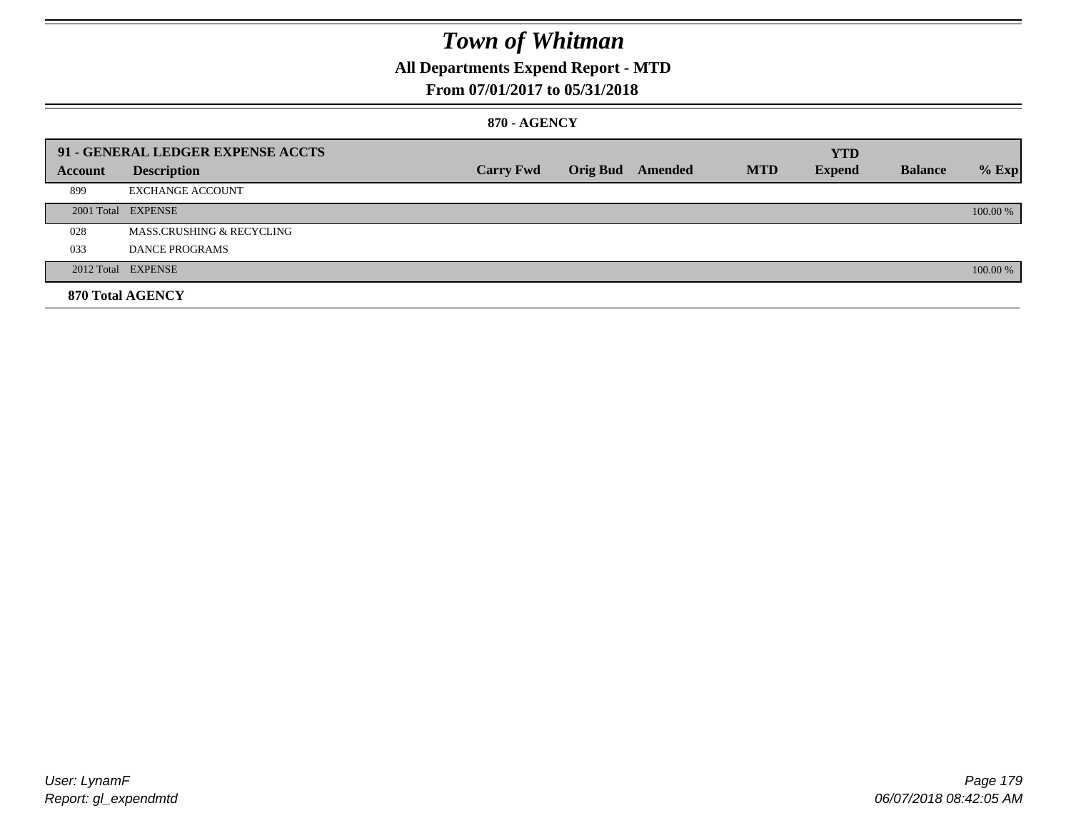## **All Departments Expend Report - MTD**

### **From 07/01/2017 to 05/31/2018**

#### **870 - AGENCY**

|         | 91 - GENERAL LEDGER EXPENSE ACCTS |                  |                         |            | <b>YTD</b>    |                |          |
|---------|-----------------------------------|------------------|-------------------------|------------|---------------|----------------|----------|
| Account | <b>Description</b>                | <b>Carry Fwd</b> | <b>Orig Bud</b> Amended | <b>MTD</b> | <b>Expend</b> | <b>Balance</b> | $%$ Exp  |
| 899     | <b>EXCHANGE ACCOUNT</b>           |                  |                         |            |               |                |          |
|         | 2001 Total EXPENSE                |                  |                         |            |               |                | 100.00 % |
| 028     | MASS.CRUSHING & RECYCLING         |                  |                         |            |               |                |          |
| 033     | <b>DANCE PROGRAMS</b>             |                  |                         |            |               |                |          |
|         | 2012 Total EXPENSE                |                  |                         |            |               |                | 100.00 % |
|         | 870 Total AGENCY                  |                  |                         |            |               |                |          |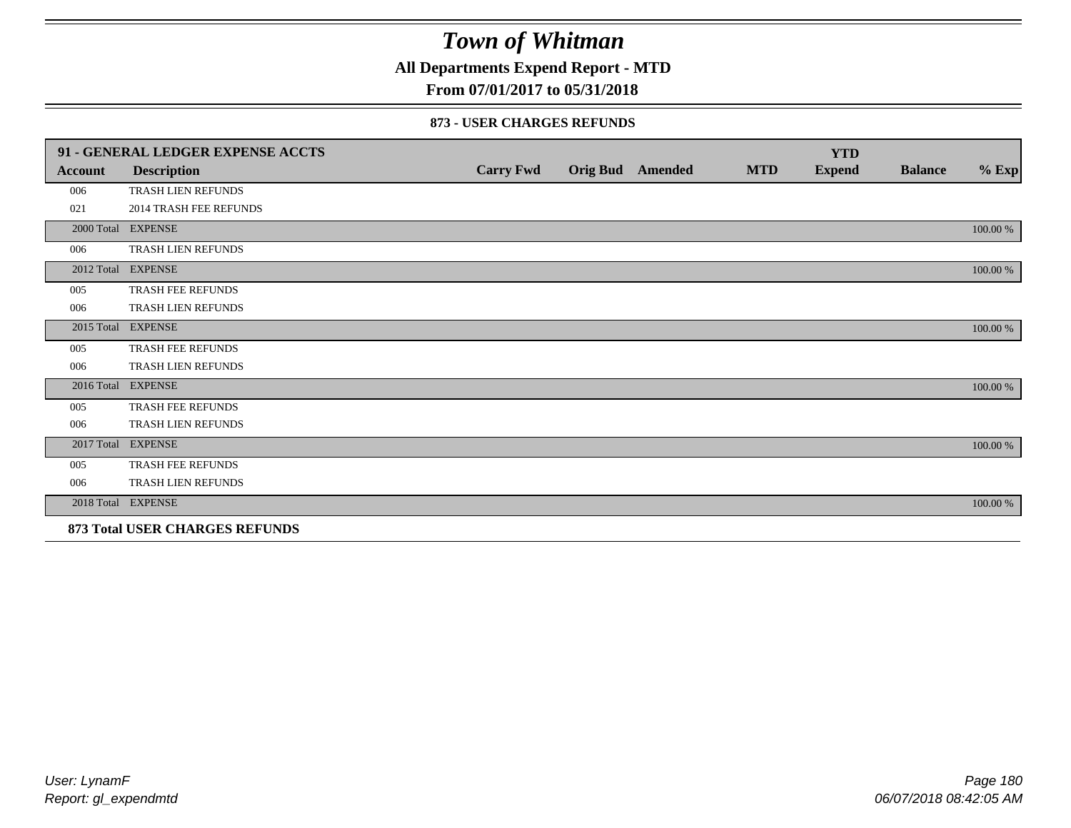**All Departments Expend Report - MTD**

### **From 07/01/2017 to 05/31/2018**

|                                | 91 - GENERAL LEDGER EXPENSE ACCTS |                  |  |                         |            | <b>YTD</b>    |                |          |
|--------------------------------|-----------------------------------|------------------|--|-------------------------|------------|---------------|----------------|----------|
| Account                        | <b>Description</b>                | <b>Carry Fwd</b> |  | <b>Orig Bud</b> Amended | <b>MTD</b> | <b>Expend</b> | <b>Balance</b> | $%$ Exp  |
| 006                            | <b>TRASH LIEN REFUNDS</b>         |                  |  |                         |            |               |                |          |
| 021                            | <b>2014 TRASH FEE REFUNDS</b>     |                  |  |                         |            |               |                |          |
|                                | 2000 Total EXPENSE                |                  |  |                         |            |               |                | 100.00 % |
| 006                            | TRASH LIEN REFUNDS                |                  |  |                         |            |               |                |          |
|                                | 2012 Total EXPENSE                |                  |  |                         |            |               |                | 100.00 % |
| 005                            | TRASH FEE REFUNDS                 |                  |  |                         |            |               |                |          |
| 006                            | TRASH LIEN REFUNDS                |                  |  |                         |            |               |                |          |
| 2015 Total                     | <b>EXPENSE</b>                    |                  |  |                         |            |               |                | 100.00 % |
| 005                            | TRASH FEE REFUNDS                 |                  |  |                         |            |               |                |          |
| 006                            | TRASH LIEN REFUNDS                |                  |  |                         |            |               |                |          |
|                                | 2016 Total EXPENSE                |                  |  |                         |            |               |                | 100.00 % |
| 005                            | TRASH FEE REFUNDS                 |                  |  |                         |            |               |                |          |
| 006                            | <b>TRASH LIEN REFUNDS</b>         |                  |  |                         |            |               |                |          |
|                                | 2017 Total EXPENSE                |                  |  |                         |            |               |                | 100.00 % |
| 005                            | TRASH FEE REFUNDS                 |                  |  |                         |            |               |                |          |
| 006                            | TRASH LIEN REFUNDS                |                  |  |                         |            |               |                |          |
|                                | 2018 Total EXPENSE                |                  |  |                         |            |               |                | 100.00 % |
| 873 Total USER CHARGES REFUNDS |                                   |                  |  |                         |            |               |                |          |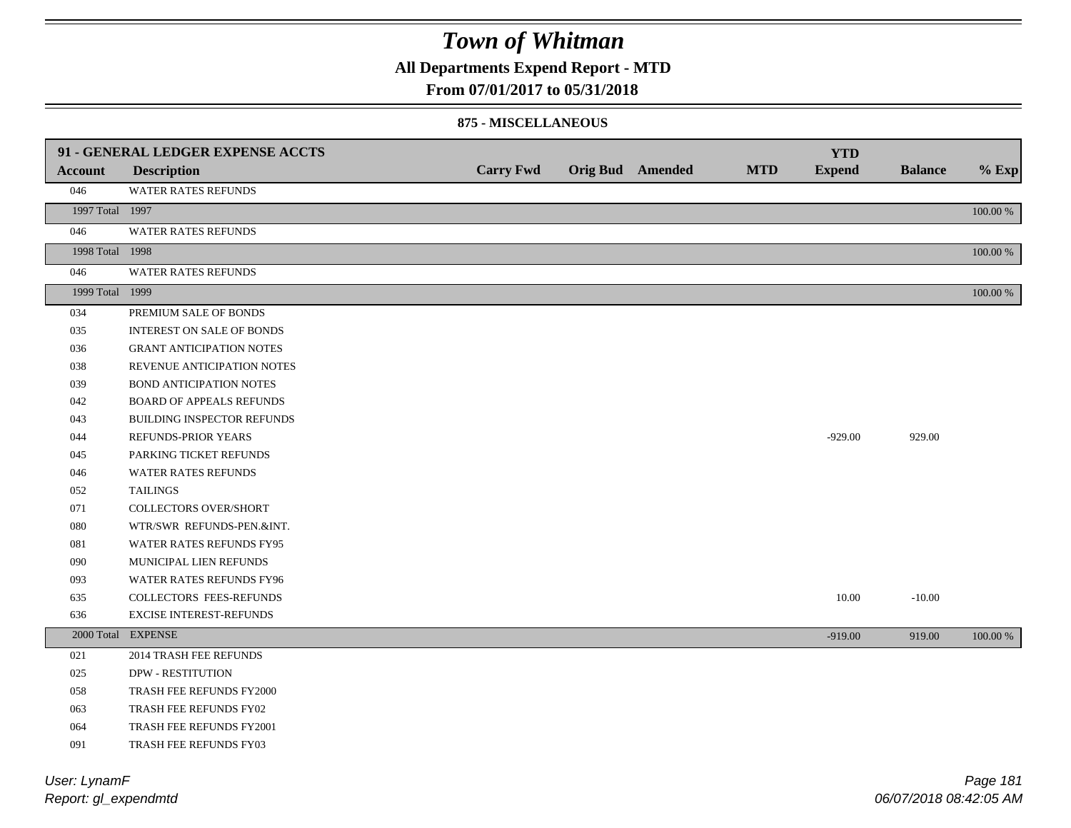**All Departments Expend Report - MTD**

### **From 07/01/2017 to 05/31/2018**

#### **875 - MISCELLANEOUS**

|                 | 91 - GENERAL LEDGER EXPENSE ACCTS |                  |                         |            | <b>YTD</b>    |                |          |
|-----------------|-----------------------------------|------------------|-------------------------|------------|---------------|----------------|----------|
| <b>Account</b>  | <b>Description</b>                | <b>Carry Fwd</b> | <b>Orig Bud</b> Amended | <b>MTD</b> | <b>Expend</b> | <b>Balance</b> | $%$ Exp  |
| 046             | WATER RATES REFUNDS               |                  |                         |            |               |                |          |
| 1997 Total 1997 |                                   |                  |                         |            |               |                | 100.00 % |
| 046             | <b>WATER RATES REFUNDS</b>        |                  |                         |            |               |                |          |
| 1998 Total 1998 |                                   |                  |                         |            |               |                | 100.00 % |
| 046             | <b>WATER RATES REFUNDS</b>        |                  |                         |            |               |                |          |
| 1999 Total 1999 |                                   |                  |                         |            |               |                | 100.00 % |
| 034             | PREMIUM SALE OF BONDS             |                  |                         |            |               |                |          |
| 035             | <b>INTEREST ON SALE OF BONDS</b>  |                  |                         |            |               |                |          |
| 036             | <b>GRANT ANTICIPATION NOTES</b>   |                  |                         |            |               |                |          |
| 038             | REVENUE ANTICIPATION NOTES        |                  |                         |            |               |                |          |
| 039             | BOND ANTICIPATION NOTES           |                  |                         |            |               |                |          |
| 042             | <b>BOARD OF APPEALS REFUNDS</b>   |                  |                         |            |               |                |          |
| 043             | BUILDING INSPECTOR REFUNDS        |                  |                         |            |               |                |          |
| 044             | REFUNDS-PRIOR YEARS               |                  |                         |            | $-929.00$     | 929.00         |          |
| 045             | PARKING TICKET REFUNDS            |                  |                         |            |               |                |          |
| 046             | <b>WATER RATES REFUNDS</b>        |                  |                         |            |               |                |          |
| 052             | <b>TAILINGS</b>                   |                  |                         |            |               |                |          |
| 071             | COLLECTORS OVER/SHORT             |                  |                         |            |               |                |          |
| 080             | WTR/SWR REFUNDS-PEN.&INT.         |                  |                         |            |               |                |          |
| 081             | WATER RATES REFUNDS FY95          |                  |                         |            |               |                |          |
| 090             | MUNICIPAL LIEN REFUNDS            |                  |                         |            |               |                |          |
| 093             | WATER RATES REFUNDS FY96          |                  |                         |            |               |                |          |
| 635             | <b>COLLECTORS FEES-REFUNDS</b>    |                  |                         |            | 10.00         | $-10.00$       |          |
| 636             | EXCISE INTEREST-REFUNDS           |                  |                         |            |               |                |          |
|                 | 2000 Total EXPENSE                |                  |                         |            | $-919.00$     | 919.00         | 100.00 % |
| 021             | 2014 TRASH FEE REFUNDS            |                  |                         |            |               |                |          |
| 025             | <b>DPW - RESTITUTION</b>          |                  |                         |            |               |                |          |
| 058             | TRASH FEE REFUNDS FY2000          |                  |                         |            |               |                |          |
| 063             | TRASH FEE REFUNDS FY02            |                  |                         |            |               |                |          |
| 064             | TRASH FEE REFUNDS FY2001          |                  |                         |            |               |                |          |
| 091             | TRASH FEE REFUNDS FY03            |                  |                         |            |               |                |          |

*Report: gl\_expendmtd User: LynamF*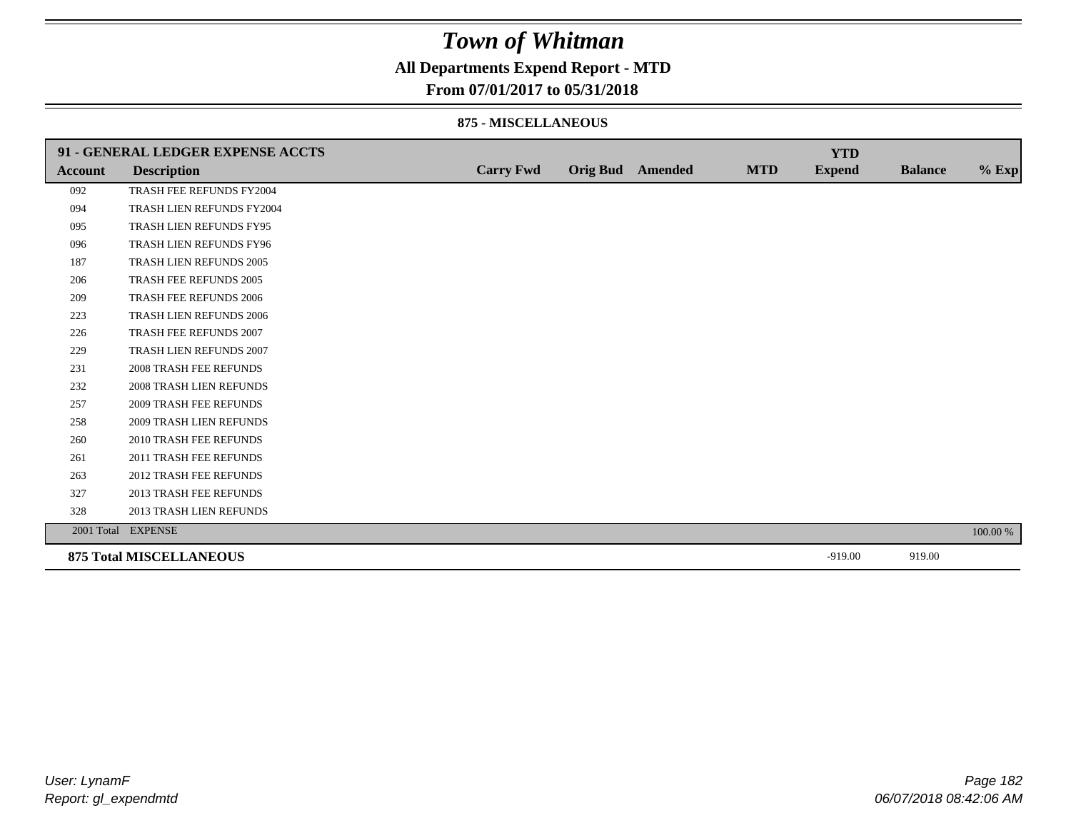## **All Departments Expend Report - MTD**

### **From 07/01/2017 to 05/31/2018**

#### **875 - MISCELLANEOUS**

|         | 91 - GENERAL LEDGER EXPENSE ACCTS |                  |                         |            | <b>YTD</b>    |                |          |
|---------|-----------------------------------|------------------|-------------------------|------------|---------------|----------------|----------|
| Account | <b>Description</b>                | <b>Carry Fwd</b> | <b>Orig Bud</b> Amended | <b>MTD</b> | <b>Expend</b> | <b>Balance</b> | $%$ Exp  |
| 092     | TRASH FEE REFUNDS FY2004          |                  |                         |            |               |                |          |
| 094     | TRASH LIEN REFUNDS FY2004         |                  |                         |            |               |                |          |
| 095     | TRASH LIEN REFUNDS FY95           |                  |                         |            |               |                |          |
| 096     | TRASH LIEN REFUNDS FY96           |                  |                         |            |               |                |          |
| 187     | TRASH LIEN REFUNDS 2005           |                  |                         |            |               |                |          |
| 206     | TRASH FEE REFUNDS 2005            |                  |                         |            |               |                |          |
| 209     | <b>TRASH FEE REFUNDS 2006</b>     |                  |                         |            |               |                |          |
| 223     | TRASH LIEN REFUNDS 2006           |                  |                         |            |               |                |          |
| 226     | TRASH FEE REFUNDS 2007            |                  |                         |            |               |                |          |
| 229     | TRASH LIEN REFUNDS 2007           |                  |                         |            |               |                |          |
| 231     | <b>2008 TRASH FEE REFUNDS</b>     |                  |                         |            |               |                |          |
| 232     | 2008 TRASH LIEN REFUNDS           |                  |                         |            |               |                |          |
| 257     | <b>2009 TRASH FEE REFUNDS</b>     |                  |                         |            |               |                |          |
| 258     | <b>2009 TRASH LIEN REFUNDS</b>    |                  |                         |            |               |                |          |
| 260     | 2010 TRASH FEE REFUNDS            |                  |                         |            |               |                |          |
| 261     | 2011 TRASH FEE REFUNDS            |                  |                         |            |               |                |          |
| 263     | <b>2012 TRASH FEE REFUNDS</b>     |                  |                         |            |               |                |          |
| 327     | <b>2013 TRASH FEE REFUNDS</b>     |                  |                         |            |               |                |          |
| 328     | 2013 TRASH LIEN REFUNDS           |                  |                         |            |               |                |          |
|         | 2001 Total EXPENSE                |                  |                         |            |               |                | 100.00 % |
|         | <b>875 Total MISCELLANEOUS</b>    |                  |                         |            | $-919.00$     | 919.00         |          |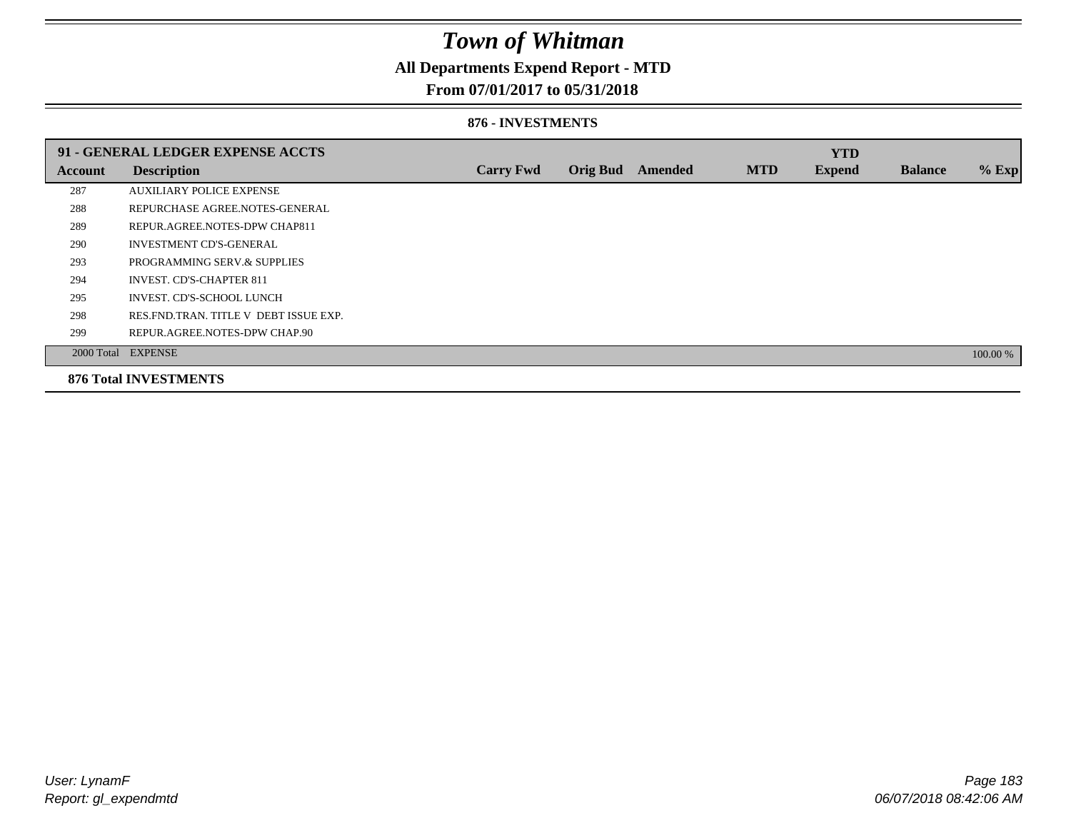## **All Departments Expend Report - MTD**

### **From 07/01/2017 to 05/31/2018**

#### **876 - INVESTMENTS**

|                | 91 - GENERAL LEDGER EXPENSE ACCTS       |                  |                 |         |            | <b>YTD</b>    |                |          |
|----------------|-----------------------------------------|------------------|-----------------|---------|------------|---------------|----------------|----------|
| <b>Account</b> | <b>Description</b>                      | <b>Carry Fwd</b> | <b>Orig Bud</b> | Amended | <b>MTD</b> | <b>Expend</b> | <b>Balance</b> | $%$ Exp  |
| 287            | <b>AUXILIARY POLICE EXPENSE</b>         |                  |                 |         |            |               |                |          |
| 288            | REPURCHASE AGREE NOTES-GENERAL          |                  |                 |         |            |               |                |          |
| 289            | REPUR.AGREE.NOTES-DPW CHAP811           |                  |                 |         |            |               |                |          |
| 290            | <b>INVESTMENT CD'S-GENERAL</b>          |                  |                 |         |            |               |                |          |
| 293            | PROGRAMMING SERV.& SUPPLIES             |                  |                 |         |            |               |                |          |
| 294            | <b>INVEST. CD'S-CHAPTER 811</b>         |                  |                 |         |            |               |                |          |
| 295            | INVEST. CD'S-SCHOOL LUNCH               |                  |                 |         |            |               |                |          |
| 298            | RES. FND. TRAN. TITLE V DEBT ISSUE EXP. |                  |                 |         |            |               |                |          |
| 299            | REPUR.AGREE.NOTES-DPW CHAP.90           |                  |                 |         |            |               |                |          |
|                | 2000 Total EXPENSE                      |                  |                 |         |            |               |                | 100.00 % |
|                | <b>876 Total INVESTMENTS</b>            |                  |                 |         |            |               |                |          |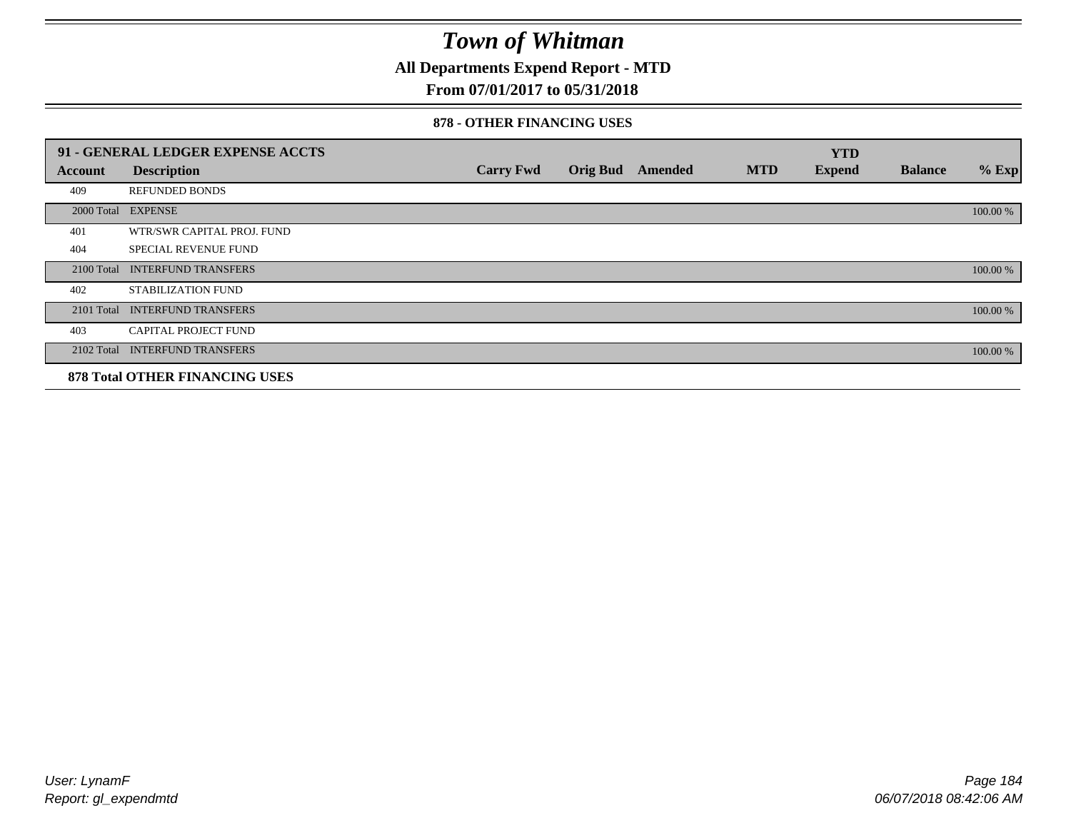**All Departments Expend Report - MTD**

## **From 07/01/2017 to 05/31/2018**

#### **878 - OTHER FINANCING USES**

|                | 91 - GENERAL LEDGER EXPENSE ACCTS     |                  |                 |         |            | <b>YTD</b>    |                |          |
|----------------|---------------------------------------|------------------|-----------------|---------|------------|---------------|----------------|----------|
| <b>Account</b> | <b>Description</b>                    | <b>Carry Fwd</b> | <b>Orig Bud</b> | Amended | <b>MTD</b> | <b>Expend</b> | <b>Balance</b> | $%$ Exp  |
| 409            | <b>REFUNDED BONDS</b>                 |                  |                 |         |            |               |                |          |
| 2000 Total     | <b>EXPENSE</b>                        |                  |                 |         |            |               |                | 100.00 % |
| 401            | WTR/SWR CAPITAL PROJ. FUND            |                  |                 |         |            |               |                |          |
| 404            | <b>SPECIAL REVENUE FUND</b>           |                  |                 |         |            |               |                |          |
| 2100 Total     | <b>INTERFUND TRANSFERS</b>            |                  |                 |         |            |               |                | 100.00 % |
| 402            | STABILIZATION FUND                    |                  |                 |         |            |               |                |          |
| 2101 Total     | <b>INTERFUND TRANSFERS</b>            |                  |                 |         |            |               |                | 100.00 % |
| 403            | <b>CAPITAL PROJECT FUND</b>           |                  |                 |         |            |               |                |          |
|                | 2102 Total INTERFUND TRANSFERS        |                  |                 |         |            |               |                | 100.00 % |
|                | <b>878 Total OTHER FINANCING USES</b> |                  |                 |         |            |               |                |          |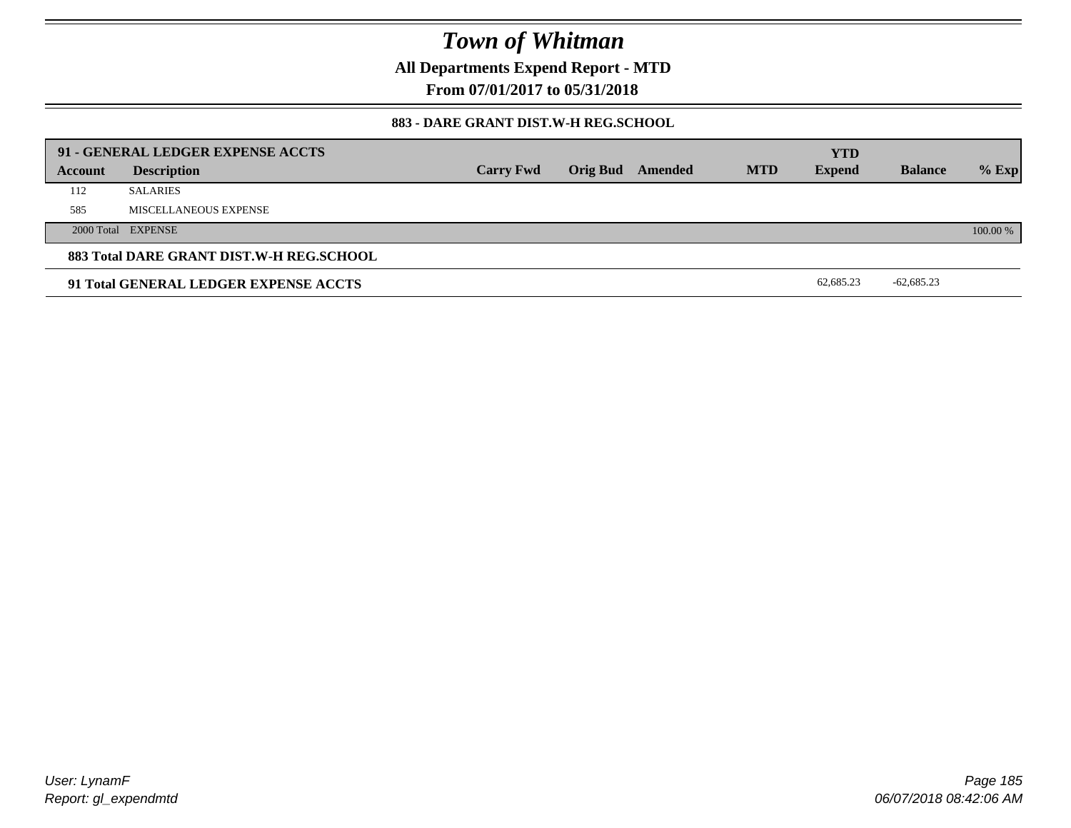**All Departments Expend Report - MTD**

**From 07/01/2017 to 05/31/2018**

#### **883 - DARE GRANT DIST.W-H REG.SCHOOL**

|         | 91 - GENERAL LEDGER EXPENSE ACCTS        |                  |                  |            | <b>YTD</b>    |                |          |
|---------|------------------------------------------|------------------|------------------|------------|---------------|----------------|----------|
| Account | <b>Description</b>                       | <b>Carry Fwd</b> | Orig Bud Amended | <b>MTD</b> | <b>Expend</b> | <b>Balance</b> | $%$ Exp  |
| 112     | <b>SALARIES</b>                          |                  |                  |            |               |                |          |
| 585     | MISCELLANEOUS EXPENSE                    |                  |                  |            |               |                |          |
|         | 2000 Total EXPENSE                       |                  |                  |            |               |                | 100.00 % |
|         | 883 Total DARE GRANT DIST.W-H REG.SCHOOL |                  |                  |            |               |                |          |
|         | 91 Total GENERAL LEDGER EXPENSE ACCTS    |                  |                  |            | 62,685.23     | $-62,685.23$   |          |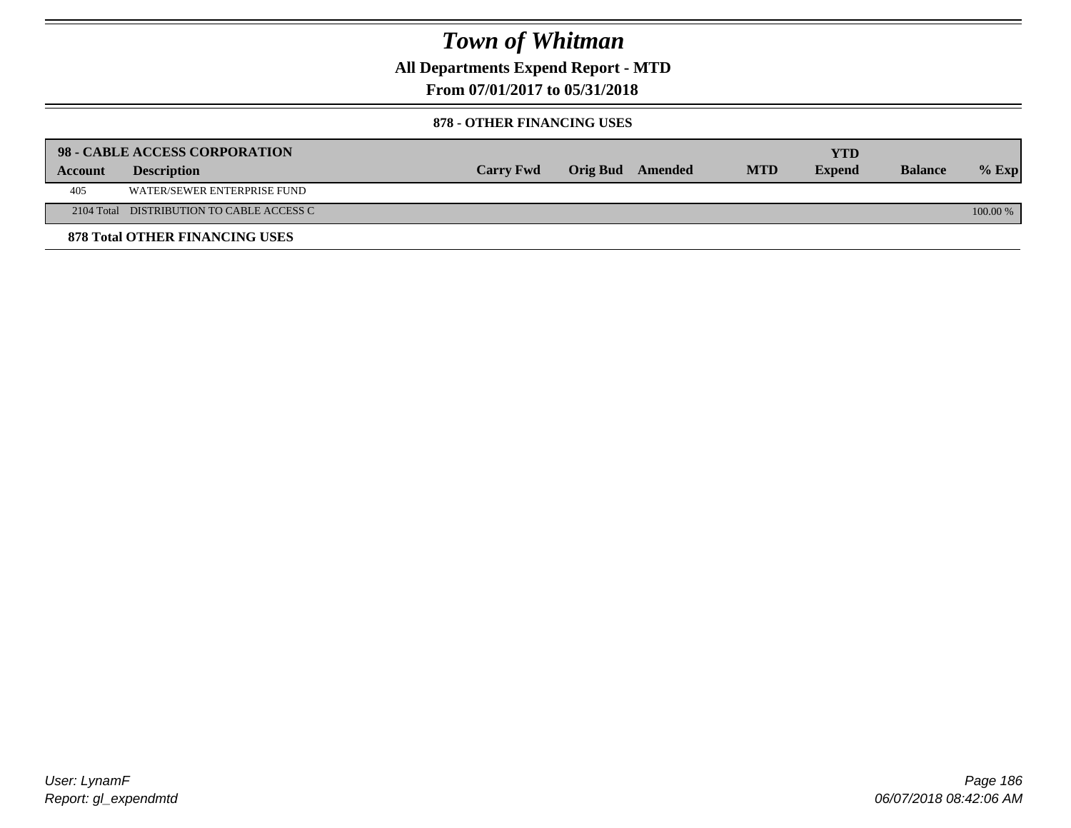**All Departments Expend Report - MTD**

## **From 07/01/2017 to 05/31/2018**

#### **878 - OTHER FINANCING USES**

|         | 98 - CABLE ACCESS CORPORATION             |                  |                  |            | <b>YTD</b>    |                |            |
|---------|-------------------------------------------|------------------|------------------|------------|---------------|----------------|------------|
| Account | <b>Description</b>                        | <b>Carry Fwd</b> | Orig Bud Amended | <b>MTD</b> | <b>Expend</b> | <b>Balance</b> | $%$ Exp    |
| 405     | WATER/SEWER ENTERPRISE FUND               |                  |                  |            |               |                |            |
|         | 2104 Total DISTRIBUTION TO CABLE ACCESS C |                  |                  |            |               |                | $100.00\%$ |
|         | <b>878 Total OTHER FINANCING USES</b>     |                  |                  |            |               |                |            |